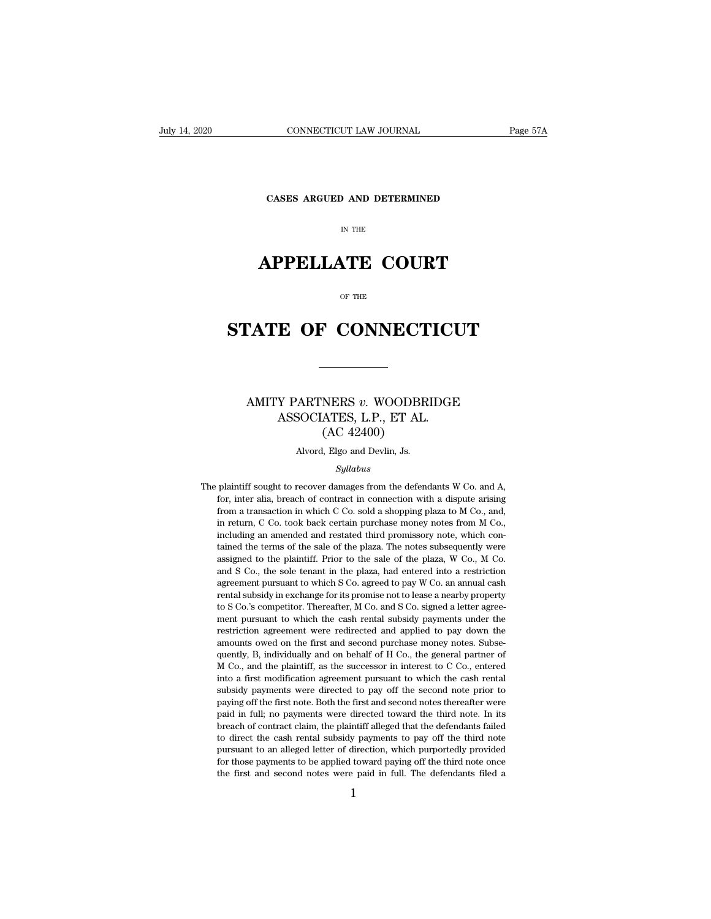**CONNECTICUT LAW JOURNAL**<br>**CASES ARGUED AND DETERMINED** 

# CONNECTICUT LAW JOURNAL<br>
Fage 57A<br>
CASES ARGUED AND DETERMINED<br>
IN THE<br> **APPELLATE COURT**<br>
<sub>OF THE</sub>

# CASES ARGUED AND DETERMINED<br>
IN THE<br> **STATE OF CONNECTICUT**

### **TATE OF CONNECTICUT**<br>
MITY PARTNERS *v.* WOODBRIDGE<br>
ASSOCIATES, L.P., ET AL. ASSOCIATES, L.P., ET AL. NERS v. WOODBR<br>ATES, L.P., ET AL.<br>(AC 42400)<br>, Elgo and Devlin, Js. ASSOCIATES, L.P., ET AL.

### *Syllabus*

ASSOUTATES, L.P., ET AL.<br>
(AC 42400)<br>
Alvord, Elgo and Devlin, Js.<br>
Syllabus<br>
The plaintiff sought to recover damages from the defendants W Co. and A,<br>
for, inter alia, breach of contract in connection with a dispute arisi  $(AC 42400)$ <br>Alvord, Elgo and Devlin, Js.<br>Syllabus<br>plaintiff sought to recover damages from the defendants W Co. and A,<br>for, inter alia, breach of contract in connection with a dispute arising<br>from a transaction in which C from a transaction in which C Co. sold a shopping plaza to M Co. and A, for, inter alia, breach of contract in connection with a dispute arising from a transaction in which C Co. sold a shopping plaza to M Co., and, in ret syllabus<br>
Syllabus<br>
Syllabus<br>
plaintiff sought to recover damages from the defendants W Co. and A,<br>
for, inter alia, breach of contract in connection with a dispute arising<br>
from a transaction in which C Co. sold a shoppin *Syllabus*<br> *Syllabus*<br>
plaintiff sought to recover damages from the defendants W Co. and A,<br>
for, inter alia, breach of contract in connection with a dispute arising<br>
from a transaction in which C Co. sold a shopping plaz plaintiff sought to recover damages from the defendants W Co. and A, for, inter alia, breach of contract in connection with a dispute arising from a transaction in which C Co. sold a shopping plaza to M Co., and, in return plantant solgin to tecover dangles from the detendants  $w$  co. and  $\hat{P}$ , for, inter alia, breach of contract in connection with a dispute arising from a transaction in which C Co. sold a shopping plaza to M Co., and, in from a transaction in which C Co. sold a shopping plaza to M Co., and, in return, C Co. took back certain purchase money notes from M Co., including an amended and restated third promissory note, which contained the terms rom a dialection in which C co. Sola a shepping phala as in co., and, in return, C Co. took back certain purchase money notes from M Co., including an amended and restated third promissory note, which contained the terms o in Featur, C Co. took back echain put that a money hotes from in Co., including an amended and restated third promissory note, which contained the terms of the sale of the plaza. The notes subsequently were assigned to the tained the terms of the sale of the plaza. The notes subsequently were assigned to the plaintiff. Prior to the sale of the plaza, W Co., M Co. and S Co., the sole tenant in the plaza, had entered into a restriction agreeme dance are derns of alc sale of alc phaza. The notes subsequently were<br>assigned to the plaintiff. Prior to the sale of the plaza, W Co., M Co.<br>and S Co., the sole tenant in the plaza, had entered into a restriction<br>agreemen assigned to the plantin. Thor to the sate of the plaza, w cot, in cot<br>and S Co., the sole tenant in the plaza, had entered into a restriction<br>agreement pursuant to which S Co. agreed to pay W Co. an annual cash<br>rental subs and B Co., are sort tenant in the plaza, had entered into a restriction<br>agreement pursuant to which S Co. agreed to pay W Co. an annual cash<br>rental subsidy in exchange for its promise not to lease a nearby property<br>to S Co expecting pursuant to which B Co. agreed to pay  $w$  Co. an annual cash rental subsidy in exchange for its promise not to lease a nearby property to S Co.'s competitor. Thereafter, M Co. and S Co. signed a letter agreement Final subsidy in exchange for its promise not to idease a helaby property to S Co.'s competitor. Thereafter, M Co. and S Co. signed a letter agreement pursuant to which the cash rental subsidy payments under the restrictio to S Co.'s competitor. Thereafter, M Co. and S Co. signed a letter agreement pursuant to which the cash rental subsidy payments under the restriction agreement were redirected and applied to pay down the amounts owed on t restriction agreement were redirected and applied to pay down the amounts owed on the first and second purchase money notes. Subsequently, B, individually and on behalf of H Co., the general partner of M Co., and the plain resured<br>on agreement were reduceded and applied to pay down the<br>amounts owed on the first and second purchase money notes. Subse-<br>quently, B, individually and on behalf of H Co., the general partner of<br>M Co., and the plain amounts owed on the first and second putchase money hotes. Subsequently, B, individually and on behalf of H Co., the general partner of M Co., and the plaintiff, as the successor in interest to C Co., entered into a first ducting, B, individually and of behalf of H Co., the general particle of M Co., and the plaintiff, as the successor in interest to C Co., entered into a first modification agreement pursuant to which the cash rental subsid In too., and the plantin, as the succession in interest to  $C$  co., entered<br>into a first modification agreement pursuant to which the cash rental<br>subsidy payments were directed to pay off the second note prior to<br>paying of alleged between the second note purportedly payments were directed to pay off the second note prior to paying off the first note. Both the first and second notes thereafter were paid in full; no payments were directed towa subsidy payincials were directed to pay on the second note prior to paying off the first note. Both the first and second notes thereafter were paid in full; no payments were directed toward the third note. In its breach of paying on the first hote. Dota the first and second hotes thereafter were paid in full; no payments were directed toward the third note. In its breach of contract claim, the plaintiff alleged that the defendants failed to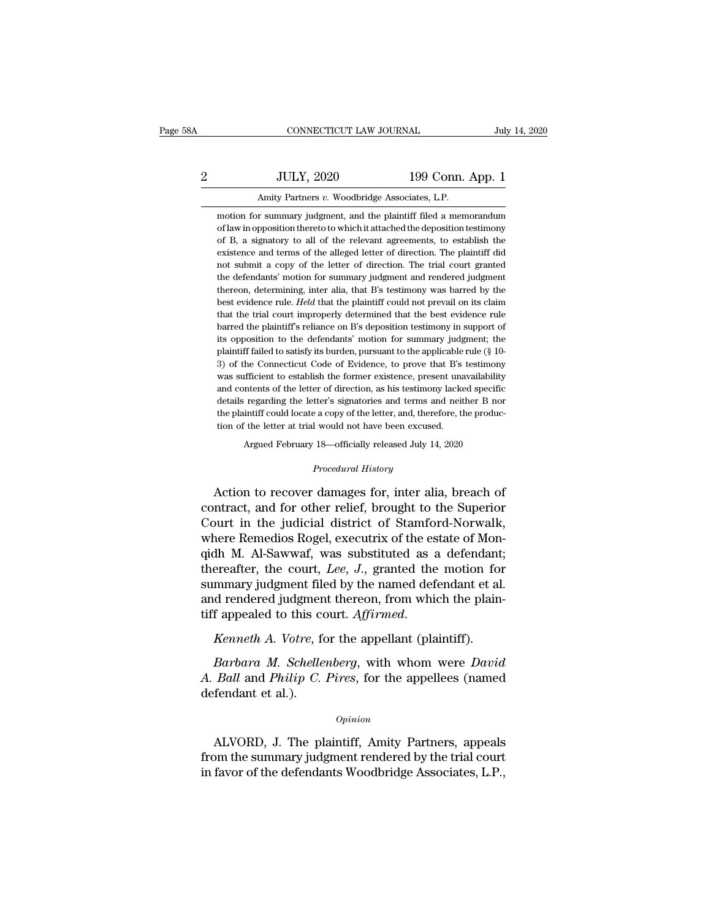## EXECUTE CONNECTICUT LAW JOURNAL July 14, 2020<br>2 JULY, 2020 199 Conn. App. 1<br>Amity Partners v. Woodbridge Associates, L.P. CONNECTICUT LAW JOURNAL<br>JULY, 2020 199 Conn.<br>Amity Partners *v.* Woodbridge Associates, L.P.<br>r summary judgment, and the plaintiff filed a mem JULY, 2020 199 Conn. App. 1<br>Amity Partners v. Woodbridge Associates, L.P.<br>motion for summary judgment, and the plaintiff filed a memorandum<br>of law in opposition thereto to which it attached the deposition testimony

JULY, 2020 199 Conn. App. 1<br>Amity Partners v. Woodbridge Associates, L.P.<br>motion for summary judgment, and the plaintiff filed a memorandum<br>of law in opposition thereto to which it attached the deposition testimony<br>of B, a JULY, 2020 199 Conn. App. 1<br>Amity Partners v. Woodbridge Associates, L.P.<br>motion for summary judgment, and the plaintiff filed a memorandum<br>of law in opposition thereto to which it attached the deposition testimony<br>of B, a Amity Partners v. Woodbridge Associates, L.P.<br>motion for summary judgment, and the plaintiff filed a memorandum<br>of law in opposition thereto to which it attached the deposition testimony<br>of B, a signatory to all of the rel Amity Partners v. Woodbridge Associates, L.P.<br>motion for summary judgment, and the plaintiff filed a memorandum<br>of law in opposition thereto to which it attached the deposition testimony<br>of B, a signatory to all of the rel motion for summary judgment, and the plaintiff filed a memorandum<br>of law in opposition thereto to which it attached the deposition testimony<br>of B, a signatory to all of the relevant agreements, to establish the<br>existence a of law in opposition thereto to which it attached the deposition testimony<br>of B, a signatory to all of the relevant agreements, to establish the<br>existence and terms of the alleged letter of direction. The plaintiff did<br>not of B, a signatory to all of the relevant agreements, to establish the existence and terms of the alleged letter of direction. The plaintiff did not submit a copy of the letter of direction. The trial court granted the defe existence and terms of the alleged letter of direction. The plaintiff did<br>not submit a copy of the letter of direction. The trial court granted<br>the defendants' motion for summary judgment and rendered judgment<br>thereon, det not submit a copy of the letter of direction. The trial court granted<br>the defendants' motion for summary judgment and rendered judgment<br>thereon, determining, inter alia, that B's testimony was barred by the<br>best evidence r the defendants' motion for summary judgment and rendered judgment<br>thereon, determining, inter alia, that B's testimony was barred by the<br>best evidence rule. Held that the plaintiff could not prevail on its claim<br>that the t thereon, determining, inter alia, that B's testimony was barred by the best evidence rule. *Held* that the plaintiff could not prevail on its claim that the trial court improperly determined that the best evidence rule bar best evidence rule. *Held* that the plaintiff could not prevail on its claim<br>that the trial court improperly determined that the best evidence rule<br>barred the plaintiff's reliance on B's deposition testimony in support of<br> that the trial court improperly determined that the best evidence rule<br>barred the plaintiff's reliance on B's deposition testimony in support of<br>its opposition to the defendants' motion for summary judgment; the<br>plaintiff barred the plaintiff's reliance on B's deposition testimony in support of<br>its opposition to the defendants' motion for summary judgment; the<br>plaintiff failed to satisfy its burden, pursuant to the applicable rule ( $\S$  10its opposition to the defendants' motion for summary judgment; the plaintiff failed to satisfy its burden, pursuant to the applicable rule (§ 10-3) of the Connecticut Code of Evidence, to prove that B's testimony was suffi plaintiff failed to satisfy its burden, pursuant to the applicable rule ( $\S$  10-3) of the Connecticut Code of Evidence, to prove that B's testimony was sufficient to establish the former existence, present unavailability 3) of the Connecticut Code of Evidence, to prove that B's testimony was sufficient to establish the former existence, present unavailability and contents of the letter of direction, as his testimony lacked specific details and contents of the letter of direction, as his testimony lacked specific<br>details regarding the letter's signatories and terms and neither B nor<br>the plaintiff could locate a copy of the letter, and, therefore, the produc-

Argued February 18—officially released July 14, 2020<br>*Procedural History*<br>Action to recover damages for, inter alia, breach of details regarding the letter's signatories and terms and neither B nor<br>the plaintiff could locate a copy of the letter, and, therefore, the produc-<br>tion of the letter at trial would not have been excused.<br>Argued February 1 the plaintiff could locate a copy of the letter, and, therefore, the production of the letter at trial would not have been excused.<br>
Argued February 18—officially released July 14, 2020<br>
Procedural History<br>
Action to recov Argued February 18—officially released July 14, 2020<br> *Procedural History*<br>
Action to recover damages for, inter alia, breach of<br>
contract, and for other relief, brought to the Superior<br>
Court in the judicial district of S Argued February 18—officially released July 14, 2020<br> *Procedural History*<br>
Action to recover damages for, inter alia, breach of<br>
contract, and for other relief, brought to the Superior<br>
Court in the judicial district of S *Procedural History*<br>Action to recover damages for, inter alia, breach of<br>contract, and for other relief, brought to the Superior<br>Court in the judicial district of Stamford-Norwalk,<br>where Remedios Rogel, executrix of the e Action to recover damages for, inter alia, breach of<br>contract, and for other relief, brought to the Superior<br>Court in the judicial district of Stamford-Norwalk,<br>where Remedios Rogel, executrix of the estate of Mon-<br>qidh M. Action to recover damages for, inter alia, breach of<br>contract, and for other relief, brought to the Superior<br>Court in the judicial district of Stamford-Norwalk,<br>where Remedios Rogel, executrix of the estate of Mon-<br>qidh M contract, and for other relief, brought to the Superior Court in the judicial district of Stamford-Norwalk, where Remedios Rogel, executrix of the estate of Monqidh M. Al-Sawwaf, was substituted as a defendant; thereafter Court in the judicial district of Stamford-Norwalk<br>where Remedios Rogel, executrix of the estate of Mon<br>qidh M. Al-Sawwaf, was substituted as a defendant<br>thereafter, the court, *Lee*, *J.*, granted the motion for<br>summary j Freafter, the court, *Lee*, *J.*, granted the motion for<br>
mmary judgment filed by the named defendant et al.<br>
d rendered judgment thereon, from which the plain-<br>
f appealed to this court. *Affirmed*.<br> *Kenneth A. Votre*, f

Follom and rendered judgment filed by the named defendant et al.<br>
and rendered judgment thereon, from which the plain-<br> *Henneth A. Votre*, for the appellant (plaintiff).<br> *Barbara M. Schellenberg*, with whom were *David*<br> and rendered judgmen<br>tiff appealed to this contracts of the Section M. Schelle<br>A. Ball and Philip C.<br>defendant et al.). Barbara M. Schellenberg, with whom were David<br>
Ball and Philip C. Pires, for the appellees (named<br>
fendant et al.).<br>
Opinion<br>
ALVORD, J. The plaintiff, Amity Partners, appeals<br>
om the summary judgment rendered by the trial

### *Opinion*

from the summary judgment rendered by the trial court *A. Ball and Philip C. Pires, for the appellees (named defendant et al.).*<br> *Opinion*<br> *ALVORD, J. The plaintiff, Amity Partners, appeals from the summary judgment rendered by the trial court in favor of the defendants Woo*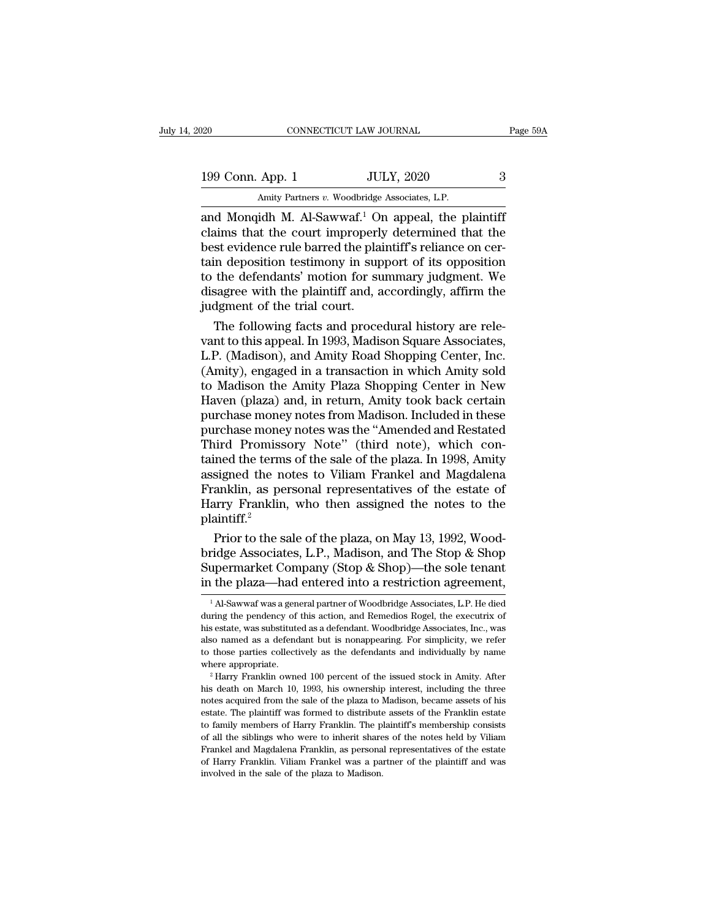| 120                                                          | CONNECTICUT LAW JOURNAL                       |                   |   | Page 59A |
|--------------------------------------------------------------|-----------------------------------------------|-------------------|---|----------|
|                                                              |                                               |                   |   |          |
| 199 Conn. App. 1                                             |                                               | <b>JULY, 2020</b> | 3 |          |
|                                                              | Amity Partners v. Woodbridge Associates, L.P. |                   |   |          |
| and Mongidh M Al-Sawwaf <sup>1</sup> On anneal the plaintiff |                                               |                   |   |          |

 $\begin{array}{r} \text{199 Conn. App. 1} \end{array} \begin{array}{r} \text{COMRECTICUT LAW JOURNAL} \end{array} \begin{array}{r} \text{Page 59/} \ \text{2020} \end{array} \begin{array}{r} \text{Page 59/} \ \text{2020} \end{array} \begin{array}{r} \text{Any Partners } v. \text{ Woodbridge Associates, L.P.} \ \text{2020} \end{array} \begin{array}{r} \text{Any Partners } v. \text{ Woodbridge Associates, L.P.} \ \text{214} \end{array}$ 199 Conn. App. 1 JULY, 2020 3<br>Amity Partners v. Woodbridge Associates, L.P.<br>and Monqidh M. Al-Sawwaf.<sup>1</sup> On appeal, the plaintiff<br>claims that the court improperly determined that the<br>best evidence rule barred the plaintiff 199 Conn. App. 1 JULY, 2020 3<br>
Amity Partners v. Woodbridge Associates, L.P.<br>
and Monqidh M. Al-Sawwaf.<sup>1</sup> On appeal, the plaintiff<br>
claims that the court improperly determined that the<br>
best evidence rule barred the plai 199 Conn. App. 1 JULY, 2020 3<br>Amity Partners v. Woodbridge Associates, L.P.<br>and Monqidh M. Al-Sawwaf.<sup>1</sup> On appeal, the plaintiff<br>claims that the court improperly determined that the<br>best evidence rule barred the plaintif Amity Partners v. Woodbridge Associates, L.P.<br>
and Monqidh M. Al-Sawwaf.<sup>1</sup> On appeal, the plaintiff<br>
claims that the court improperly determined that the<br>
best evidence rule barred the plaintiff's reliance on cer-<br>
tain Amity Partners v. Woodbridge Associates, L.P.<br>and Monqidh M. Al-Sawwaf.<sup>1</sup> On appeal, the plaintiff<br>claims that the court improperly determined that the<br>best evidence rule barred the plaintiff's reliance on cer-<br>tain depos and Monqidh M. Al-Sawwaf.<sup>1</sup> Orclaims that the court improperly<br>best evidence rule barred the plaitain deposition testimony in sup<br>to the defendants' motion for su<br>disagree with the plaintiff and, a<br>judgment of the trial c ialisms that the court improperly determined that the<br>st evidence rule barred the plaintiff's reliance on cer-<br>in deposition testimony in support of its opposition<br>the defendants' motion for summary judgment. We<br>sagree wit best evidence rule barred the plaintiff's reliance on certain deposition testimony in support of its opposition<br>to the defendants' motion for summary judgment. We<br>disagree with the plaintiff and, accordingly, affirm the<br>ju

tain deposition testimony in support of its opposition<br>to the defendants' motion for summary judgment. We<br>disagree with the plaintiff and, accordingly, affirm the<br>judgment of the trial court.<br>The following facts and proced to the defendants' motion for summary judgment. We<br>disagree with the plaintiff and, accordingly, affirm the<br>judgment of the trial court.<br>The following facts and procedural history are rele-<br>vant to this appeal. In 1993, Ma disagree with the plaintiff and, accordingly, affirm the<br>judgment of the trial court.<br>The following facts and procedural history are rele-<br>vant to this appeal. In 1993, Madison Square Associates,<br>L.P. (Madison), and Amity judgment of the trial court.<br>
The following facts and procedural history are rele-<br>
vant to this appeal. In 1993, Madison Square Associates,<br>
L.P. (Madison), and Amity Road Shopping Center, Inc.<br>
(Amity), engaged in a tran The following facts and procedural history are relevant to this appeal. In 1993, Madison Square Associates, L.P. (Madison), and Amity Road Shopping Center, Inc. (Amity), engaged in a transaction in which Amity sold to Madi vant to this appeal. In 1993, Madison Square Associates,<br>L.P. (Madison), and Amity Road Shopping Center, Inc.<br>(Amity), engaged in a transaction in which Amity sold<br>to Madison the Amity Plaza Shopping Center in New<br>Haven (p L.P. (Madison), and Amity Road Shopping Center, Inc. (Amity), engaged in a transaction in which Amity sold<br>to Madison the Amity Plaza Shopping Center in New<br>Haven (plaza) and, in return, Amity took back certain<br>purchase mo (Amity), engaged in a transaction in which Amity sold<br>to Madison the Amity Plaza Shopping Center in New<br>Haven (plaza) and, in return, Amity took back certain<br>purchase money notes from Madison. Included in these<br>purchase mo to Madison the Amity Plaza Shopping Center in New<br>Haven (plaza) and, in return, Amity took back certain<br>purchase money notes from Madison. Included in these<br>purchase money notes was the "Amended and Restated<br>Third Promisso Haven (plaza) and, in return, Amity took back certain<br>purchase money notes from Madison. Included in these<br>purchase money notes was the "Amended and Restated<br>Third Promissory Note" (third note), which con-<br>tained the terms purchase money notes from Madison. Included in these<br>purchase money notes was the "Amended and Restated<br>Third Promissory Note" (third note), which con-<br>tained the terms of the sale of the plaza. In 1998, Amity<br>assigned the plaintiff.<sup>2</sup> ird Promissory Note" (third note), which con-<br>ined the terms of the sale of the plaza. In 1998, Amity<br>signed the notes to Viliam Frankel and Magdalena<br>anklin, as personal representatives of the estate of<br>arry Franklin, who tained the terms of the sale of the plaza. In 1998, Amity<br>assigned the notes to Viliam Frankel and Magdalena<br>Franklin, as personal representatives of the estate of<br>Harry Franklin, who then assigned the notes to the<br>plainti

assigned the notes to Viliam Frankel and Magdalena<br>Franklin, as personal representatives of the estate of<br>Harry Franklin, who then assigned the notes to the<br>plaintiff.<sup>2</sup><br>Prior to the sale of the plaza, on May 13, 1992, Wo Franklin, as personal representatives of the estate of<br>Harry Franklin, who then assigned the notes to the<br>plaintiff.<sup>2</sup><br>Prior to the sale of the plaza, on May 13, 1992, Wood-<br>bridge Associates, L.P., Madison, and The Stop Prior to the sale of the plaza, on May 13, 1992, Wood-<br>ridge Associates, L.P., Madison, and The Stop & Shop<br>upermarket Company (Stop & Shop)—the sole tenant<br>the plaza—had entered into a restriction agreement,<br><sup>1</sup> Al-Sawwaf bridge Associates, L.P., Madison, and The Stop & Shop<br>Supermarket Company (Stop & Shop)—the sole tenant<br>in the plaza—had entered into a restriction agreement,<br><sup>1</sup>Al-Sawwaf was a general partner of Woodbridge Associates, L.

Supermarket Company (Stop & Shop)—the sole tenant<br>in the plaza—had entered into a restriction agreement,<br> $\frac{1}{1}$ Al-Sawwaf was a general partner of Woodbridge Associates, L.P. He died<br>during the pendency of this action, in the plaza—had entered into a restriction agreement,<br>
<sup>1</sup>Al-Sawwaf was a general partner of Woodbridge Associates, L.P. He died during the pendency of this action, and Remedios Rogel, the executrix of his estate, was su In the plaza—nad entered into a restriction agreement,<br>
<sup>1</sup>Al-Sawwaf was a general partner of Woodbridge Associates, L.P. He died<br>
during the pendency of this action, and Remedios Rogel, the executrix of<br>
his estate, was s <sup>1</sup> Al-Sawwaf was a general partner of Woodbridge Associates, L.P. He died during the pendency of this action, and Remedios Rogel, the executrix of his estate, was substituted as a defendant. Woodbridge Associates, Inc., his estate, was substituted as a defendant. Woodbridge Associates, Inc., was also named as a defendant but is nonappearing. For simplicity, we refer to those parties collectively as the defendants and individually by name

also named as a defendant but is nonappearing. For simplicity, we refer<br>to those parties collectively as the defendants and individually by name<br>where appropriate.<br><sup>2</sup> Harry Franklin owned 100 percent of the issued stock i to those parties collectively as the defendants and individually by name<br>where appropriate.<br><sup>2</sup> Harry Franklin owned 100 percent of the issued stock in Amity. After<br>his death on March 10, 1993, his ownership interest, incl where appropriate.<br>
<sup>2</sup> Harry Franklin owned 100 percent of the issued stock in Amity. After<br>
<sup>2</sup> Harry Franklin owned 100 percent of the issued stock in Amity. After<br>
his death on March 10, 1993, his ownership interest, i <sup>2</sup> Harry Franklin owned 100 percent of the issued stock in Amity. After his death on March 10, 1993, his ownership interest, including the three notes acquired from the sale of the plaza to Madison, became assets of his e Frankel and Magdalena Franklin, as personal representatives of the estate. The plaintiff was formed to distribute assets of the Franklin estate of the plaintiff was formed to distribute assets of the Franklin estate to fam notes acquired from the sale of the plaza to Madison, became assets of his estate. The plaintiff was formed to distribute assets of the Franklin estate to family members of Harry Franklin. The plaintiff's membership consis to family members of Harry Franklin. The plaintiff's membership consists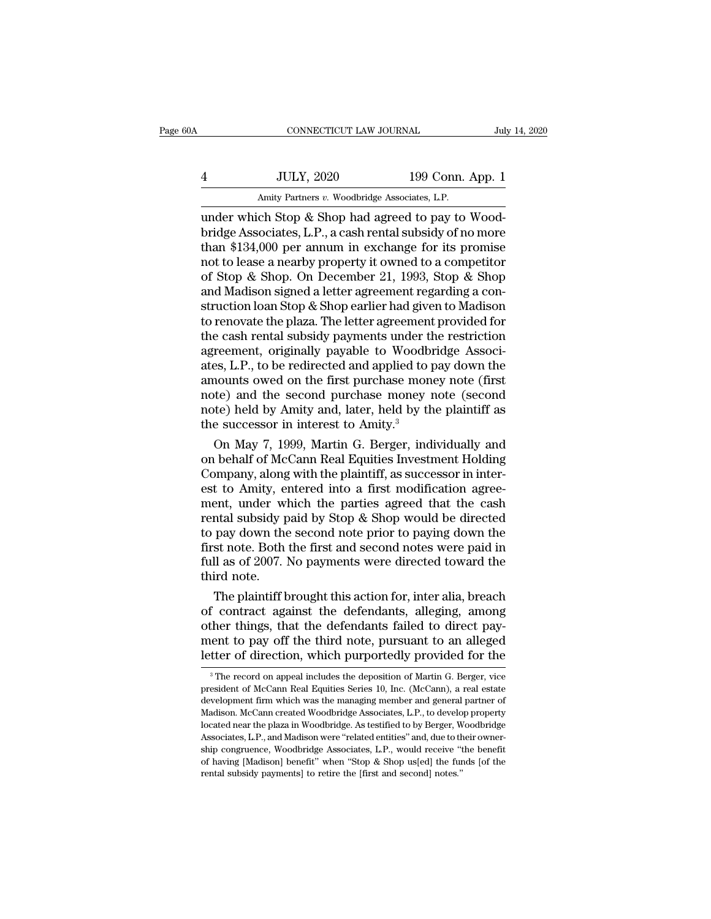| )A | CONNECTICUT LAW JOURNAL                            |                  | July 14, 2020 |
|----|----------------------------------------------------|------------------|---------------|
|    | <b>JULY, 2020</b>                                  | 199 Conn. App. 1 |               |
|    | Amity Partners v. Woodbridge Associates, L.P.      |                  |               |
|    | under which Stop & Shop had agreed to pay to Wood- |                  |               |

CONNECTICUT LAW JOURNAL<br>
4 JULY, 2020 199 Conn. App. 1<br>
Amity Partners v. Woodbridge Associates, L.P.<br>
under which Stop & Shop had agreed to pay to Wood-<br>
bridge Associates, L.P., a cash rental subsidy of no more<br>
than \$13 bridge Associates, L.P.<br>Amity Partners v. Woodbridge Associates, L.P.<br>under which Stop & Shop had agreed to pay to Woodbridge Associates, L.P., a cash rental subsidy of no more<br>than \$134,000 per annum in exchange for its p  $\frac{139}{4}$  JULY, 2020 199 Conn. App. 1<br>Amity Partners v. Woodbridge Associates, L.P.<br>under which Stop & Shop had agreed to pay to Wood-<br>bridge Associates, L.P., a cash rental subsidy of no more<br>than \$134,000 per annum in  $\frac{1}{2}$  JULY, 2020 199 Conn. App. 1<br>Amity Partners v. Woodbridge Associates, L.P.<br>under which Stop & Shop had agreed to pay to Wood-<br>bridge Associates, L.P., a cash rental subsidy of no more<br>than \$134,000 per annum in e Amity Partners v. Woodbridge Associates, L.P.<br>
under which Stop & Shop had agreed to pay to Wood-<br>
bridge Associates, L.P., a cash rental subsidy of no more<br>
than \$134,000 per annum in exchange for its promise<br>
not to lea Amity Partners v. Woodbridge Associates, L.P.<br>
under which Stop & Shop had agreed to pay to Wood-<br>
bridge Associates, L.P., a cash rental subsidy of no more<br>
than \$134,000 per annum in exchange for its promise<br>
not to leas under which Stop & Shop had agreed to pay to Wood-<br>bridge Associates, L.P., a cash rental subsidy of no more<br>than \$134,000 per annum in exchange for its promise<br>not to lease a nearby property it owned to a competitor<br>of St bridge Associates, L.P., a cash rental subsidy of no more<br>than \$134,000 per annum in exchange for its promise<br>not to lease a nearby property it owned to a competitor<br>of Stop & Shop. On December 21, 1993, Stop & Shop<br>and Ma than \$134,000 per annum in exchange for its promise<br>not to lease a nearby property it owned to a competitor<br>of Stop & Shop. On December 21, 1993, Stop & Shop<br>and Madison signed a letter agreement regarding a con-<br>struction not to lease a nearby property it owned to a competitor<br>of Stop & Shop. On December 21, 1993, Stop & Shop<br>and Madison signed a letter agreement regarding a con-<br>struction loan Stop & Shop earlier had given to Madison<br>to re of Stop & Shop. On December 21, 1993, Stop & Shop<br>and Madison signed a letter agreement regarding a construction loan Stop & Shop earlier had given to Madison<br>to renovate the plaza. The letter agreement provided for<br>the ca and Madison signed a letter agreement regarding a construction loan Stop & Shop earlier had given to Madison<br>to renovate the plaza. The letter agreement provided for<br>the cash rental subsidy payments under the restriction<br>a struction loan Stop & Shop earlier had given to Madison<br>to renovate the plaza. The letter agreement provided for<br>the cash rental subsidy payments under the restriction<br>agreement, originally payable to Woodbridge Associ-<br>at to renovate the plaza. The letter agreement provided for<br>the cash rental subsidy payments under the restriction<br>agreement, originally payable to Woodbridge Associ-<br>ates, L.P., to be redirected and applied to pay down the<br>a the cash rental subsidy payments under the agreement, originally payable to Woodbi<br>ates, L.P., to be redirected and applied to p<br>amounts owed on the first purchase mone<br>note) and the second purchase money i<br>note) held by A reement, originally payable to Woodbridge Associ-<br>es, L.P., to be redirected and applied to pay down the<br>nounts owed on the first purchase money note (first<br>te) and the second purchase money note (second<br>te) held by Amity ates, L.P., to be redirected and applied to pay down the<br>amounts owed on the first purchase money note (first<br>note) and the second purchase money note (second<br>note) held by Amity and, later, held by the plaintiff as<br>the su

amounts owed on the first purchase money note (first<br>note) and the second purchase money note (second<br>note) held by Amity and, later, held by the plaintiff as<br>the successor in interest to Amity.<sup>3</sup><br>On May 7, 1999, Martin G note) and the second purchase money note (second<br>note) held by Amity and, later, held by the plaintiff as<br>the successor in interest to Amity.<sup>3</sup><br>On May 7, 1999, Martin G. Berger, individually and<br>on behalf of McCann Real note) held by Amity and, later, held by the plaintiff as<br>the successor in interest to Amity.<sup>3</sup><br>On May 7, 1999, Martin G. Berger, individually and<br>on behalf of McCann Real Equities Investment Holding<br>Company, along with t the successor in interest to Amity.<sup>3</sup><br>On May 7, 1999, Martin G. Berger, individually and<br>on behalf of McCann Real Equities Investment Holding<br>Company, along with the plaintiff, as successor in inter-<br>est to Amity, entered On May 7, 1999, Martin G. Berger, individually and<br>on behalf of McCann Real Equities Investment Holding<br>Company, along with the plaintiff, as successor in inter-<br>est to Amity, entered into a first modification agree-<br>ment, on behalf of McCann Real Equities Investment Holding<br>Company, along with the plaintiff, as successor in inter-<br>est to Amity, entered into a first modification agree-<br>ment, under which the parties agreed that the cash<br>renta Company, along with the plaintiff, as successor in interest to Amity, entered into a first modification agreement, under which the parties agreed that the cash rental subsidy paid by Stop & Shop would be directed to pay do est to Amity, entered into a first modification agreement, under which the parties agreed that the cash rental subsidy paid by Stop & Shop would be directed to pay down the second note prior to paying down the first note. ent, under which the parties agreed that the cash<br>ntal subsidy paid by Stop & Shop would be directed<br>pay down the second note prior to paying down the<br>st note. Both the first and second notes were paid in<br>ll as of 2007. No rental subsidy paid by Stop & Shop would be directed<br>to pay down the second note prior to paying down the<br>first note. Both the first and second notes were paid in<br>full as of 2007. No payments were directed toward the<br>third

to pay down the second note prior to paying down the<br>first note. Both the first and second notes were paid in<br>full as of 2007. No payments were directed toward the<br>third note.<br>The plaintiff brought this action for, inter a first note. Both the first and second notes were paid in<br>full as of 2007. No payments were directed toward the<br>third note.<br>The plaintiff brought this action for, inter alia, breach<br>of contract against the defendants, alleg full as of 2007. No payments were directed toward the<br>third note.<br>The plaintiff brought this action for, inter alia, breach<br>of contract against the defendants, alleging, among<br>other things, that the defendants failed to di f contract against the defendants, alleging, among<br>ther things, that the defendants failed to direct pay-<br>ent to pay off the third note, pursuant to an alleged<br>tter of direction, which purportedly provided for the<br><sup>3</sup>The other things, that the defendants failed to direct payment to pay off the third note, pursuant to an alleged<br>letter of direction, which purportedly provided for the<br><sup>3</sup>The record on appeal includes the deposition of Martin

ment to pay off the third note, pursuant to an alleged<br>letter of direction, which purportedly provided for the<br><sup>3</sup>The record on appeal includes the deposition of Martin G. Berger, vice<br>president of McCann Real Equities Ser Metter of direction, which purportedly provided for the<br>
<sup>3</sup> The record on appeal includes the deposition of Martin G. Berger, vice<br>
president of McCann Real Equities Series 10, Inc. (McCann), a real estate<br>
development fi letter OI GIFECHOH, WHICH purporteury provided for the absoluted for the president of McCann Real Equities Series 10, Inc. (McCann), a real estate development firm which was the managing member and general partner of Madis <sup>3</sup> The record on appeal includes the deposition of Martin G. Berger, vice president of McCann Real Equities Series 10, Inc. (McCann), a real estate development firm which was the managing member and general partner of Ma president of McCann Real Equities Series 10, Inc. (McCann), a real estate development firm which was the managing member and general partner of Madison. McCann created Woodbridge Associates, L.P., to develop property locat development firm which was the managing member and general partner of Madison. McCann created Woodbridge Associates, L.P., to develop property located near the plaza in Woodbridge. As testified to by Berger, Woodbridge Ass development firm which was the managing member and general partner of Madison. McCann created Woodbridge Associates, L.P., to develop property located near the plaza in Woodbridge. As testified to by Berger, Woodbridge Ass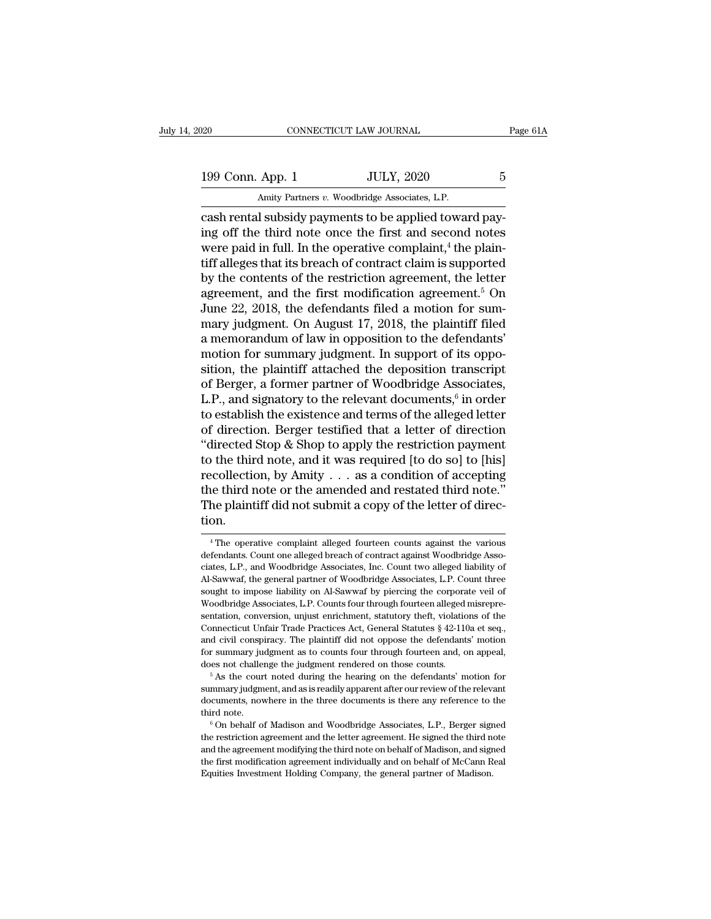20 CONNECTICUT LAW JOURNAL Page 61A<br>199 Conn. App. 1 JULY, 2020 5<br>Amity Partners v. Woodbridge Associates, L.P. EXECUTE AM JOURNAL CONNECTICUT LAW JOURNAL APP. 1 JULY, 2020<br>Amity Partners *v*. Woodbridge Associates, L.P.

connectricut LAW JOURNAL<br>
199 Conn. App. 1 JULY, 2020 5<br>
Amity Partners v. Woodbridge Associates, L.P.<br>
cash rental subsidy payments to be applied toward pay-<br>
ing off the third note once the first and second notes<br>
were p 199 Conn. App. 1 JULY, 2020 5<br>Amity Partners v. Woodbridge Associates, L.P.<br>Cash rental subsidy payments to be applied toward pay-<br>ing off the third note once the first and second notes<br>were paid in full. In the operative 199 Conn. App. 1 JULY, 2020 5<br>Amity Partners v. Woodbridge Associates, L.P.<br>Cash rental subsidy payments to be applied toward pay-<br>ing off the third note once the first and second notes<br>were paid in full. In the operative 199 Conn. App. 1 JULY, 2020 5<br>Amity Partners v. Woodbridge Associates, L.P.<br>cash rental subsidy payments to be applied toward pay-<br>ing off the third note once the first and second notes<br>were paid in full. In the operative Amity Partners *v*. Woodbridge Associates, L.P.<br>
cash rental subsidy payments to be applied toward pay-<br>
ing off the third note once the first and second notes<br>
were paid in full. In the operative complaint,<sup>4</sup> the plain-<br> Amity Partners v. Woodbridge Associates, L.P.<br>
cash rental subsidy payments to be applied toward pay-<br>
ing off the third note once the first and second notes<br>
were paid in full. In the operative complaint,<sup>4</sup> the plain-<br> cash rental subsidy payments to be applied toward paying off the third note once the first and second notes<br>were paid in full. In the operative complaint,<sup>4</sup> the plain-<br>tiff alleges that its breach of contract claim is sup ing off the third note once the first and second notes<br>were paid in full. In the operative complaint,<sup>4</sup> the plain-<br>tiff alleges that its breach of contract claim is supported<br>by the contents of the restriction agreement, were paid in full. In the operative complaint,<sup>4</sup> the plaintiff alleges that its breach of contract claim is supported<br>by the contents of the restriction agreement, the letter<br>agreement, and the first modification agreemen tiff alleges that its breach of contract claim is supported<br>by the contents of the restriction agreement, the letter<br>agreement, and the first modification agreement.<sup>5</sup> On<br>June 22, 2018, the defendants filed a motion for s by the contents of the restriction agreement, the letter<br>agreement, and the first modification agreement.<sup>5</sup> On<br>June 22, 2018, the defendants filed a motion for sum-<br>mary judgment. On August 17, 2018, the plaintiff filed<br>a agreement, and the first modification agreement.<sup>5</sup> On<br>June 22, 2018, the defendants filed a motion for sum-<br>mary judgment. On August 17, 2018, the plaintiff filed<br>a memorandum of law in opposition to the defendants'<br>moti June 22, 2018, the defendants filed a motion for sum-<br>mary judgment. On August 17, 2018, the plaintiff filed<br>a memorandum of law in opposition to the defendants'<br>motion for summary judgment. In support of its oppo-<br>sition for sum-<br>tiff filed<br>endants'<br>ts oppo-<br>anscript<br>ociates,<br>ed letter<br>ed letter<br>iroction mary judgment. On August 17, 2018, the plaintiff filed<br>a memorandum of law in opposition to the defendants'<br>motion for summary judgment. In support of its oppo-<br>sition, the plaintiff attached the deposition transcript<br>of a memorandum of law in opposition to the defendants'<br>motion for summary judgment. In support of its oppo-<br>sition, the plaintiff attached the deposition transcript<br>of Berger, a former partner of Woodbridge Associates,<br>L.P. motion for summary judgment. In support of its opposition, the plaintiff attached the deposition transcript<br>of Berger, a former partner of Woodbridge Associates,<br>L.P., and signatory to the relevant documents,<sup>6</sup> in order<br> sition, the plaintiff attached the deposition transcript<br>of Berger, a former partner of Woodbridge Associates,<br>L.P., and signatory to the relevant documents,<sup>6</sup> in order<br>to establish the existence and terms of the alleged of Berger, a former partner of Woodbridge Associates,<br>L.P., and signatory to the relevant documents,<sup>6</sup> in order<br>to establish the existence and terms of the alleged letter<br>of direction. Berger testified that a letter of di L.P., and signatory to the relevant documents,<sup>6</sup> in order<br>to establish the existence and terms of the alleged letter<br>of direction. Berger testified that a letter of direction<br>"directed Stop & Shop to apply the restrictio to establish the existence and terms of the alleged letter<br>of direction. Berger testified that a letter of direction<br>"directed Stop & Shop to apply the restriction payment<br>to the third note, and it was required [to do so] tion. recollection, by Amity  $\dots$  as a condition of accepting<br>the third note or the amended and restated third note."<br>The plaintiff did not submit a copy of the letter of direc-<br>tion.<br> $4\text{The}$  operative complaint alleged fourte the third note or the amended and restated third note."<br>The plaintiff did not submit a copy of the letter of direction.<br>"<br><sup>4</sup> The operative complaint alleged fourteen counts against the various<br>defendants. Count one allege

The plaintiff did not submit a copy of the letter of direction.<br>
<sup>4</sup> The operative complaint alleged fourteen counts against the various<br>
defendants. Count one alleged breach of contract against Woodbridge Associates, L.P. The general partner of Woodbridge Associates, L.P., and Woodbridge Associates, L.P., and Woodbridge Associates, I.C. Count two alleged liability of Al-Sawwaf, the general partner of Woodbridge Associates, L.P. Count three <sup>4</sup> The operative complaint alleged fourteen counts against the various defendants. Count one alleged breach of contract against Woodbridge Associates, L.P., and Woodbridge Associates, Inc. Count two alleged liability of A <sup>4</sup> The operative complaint alleged fourteen counts against the various defendants. Count one alleged breach of contract against Woodbridge Associates, L.P., and Woodbridge Associates, I.C. Count two alleged liability of defendants. Count one alleged breach of contract against Woodbridge Associates, L.P., and Woodbridge Associates, Inc. Count two alleged liability of Al-Sawwaf, the general partner of Woodbridge Associates, L.P. Count three ciates, L.P., and Woodbridge Associates, Inc. Count two alleged liability of Al-Sawwaf, the general partner of Woodbridge Associates, L.P. Count three sought to impose liability on Al-Sawwaf by piercing the corporate veil and civil conspiracy. The plaintiff did not oppose the defendants' or summary capacity of Woodbridge Associates, L.P. Count three sought to impose liability on Al-Sawwaf by piercing the corporate veil of Woodbridge Associa for summary in the summary of Sales and the percent as to coupled the corporate veil of Woodbridge Associates, L.P. Counts four through fourteen alleged misrepresentation, conversion, unjust enrichment, statutory theft, vi boundary and challenge the system of the defendants of the connecticut Unfair Trade Practices Act, General Statutes  $\S$  42-110a et seq., and civil conspiracy. The plaintiff did not oppose the defendants' motion for summar sentation, conversion, unjust enrichment, statutory theft, violations of the Connecticut Unfair Trade Practices Act, General Statutes  $\S$  42-110a et seq., and civil conspiracy. The plaintiff did not oppose the defendants'

and civil conspiracy. The plaintiff did not oppose the defendants' motion<br>for summary judgment as to counts four through fourteen and, on appeal,<br>does not challenge the judgment rendered on those counts.<br><sup>5</sup> As the court n for summary judgment as to counts four through fourteen and, on appeal, does not challenge the judgment rendered on those counts.<br>
<sup>5</sup> As the court noted during the hearing on the defendants' motion for summary judgment, a <sup>5</sup> As the court noted during the hearing on the defendants' motion for summary judgment, and as is readily apparent after our review of the relevant documents, nowhere in the three documents is there any reference to the

and the agreement, and as is readily apparent after our review of the relevant<br>documents, nowhere in the three documents is there any reference to the<br>third note.<br><sup>6</sup> On behalf of Madison and Woodbridge Associates, L.P., B documents, nowhere in the three documents is there any reference to the third note.<br><sup>6</sup> On behalf of Madison and Woodbridge Associates, L.P., Berger signed the restriction agreement and the letter agreement. He signed the  $6$ On behalf of Madison and Woodbridge Associates, L.P., Berger signed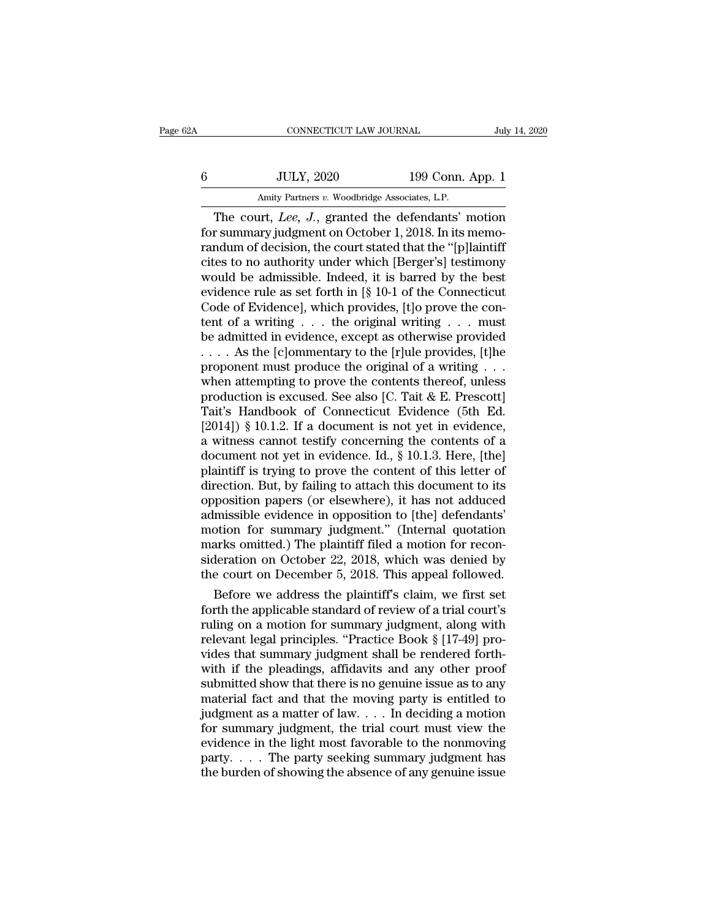| 2A | CONNECTICUT LAW JOURNAL                        |                  | July 14, 2020 |
|----|------------------------------------------------|------------------|---------------|
| 6  | <b>JULY, 2020</b>                              | 199 Conn. App. 1 |               |
|    | Amity Partners v. Woodbridge Associates, L.P.  |                  |               |
|    | The court Lee J granted the defendants' motion |                  |               |

CONNECTICUT LAW JOURNAL July 14, 2020<br>JULY, 2020 199 Conn. App. 1<br>Amity Partners v. Woodbridge Associates, L.P.<br>The court, *Lee, J.*, granted the defendants' motion<br>r summary judgment on October 1, 2018. In its memofor the Summary 1990 Sonn. App. 1<br>
Amity Partners v. Woodbridge Associates, L.P.<br>
The court, *Lee*, *J.*, granted the defendants' motion<br>
for summary judgment on October 1, 2018. In its memo-<br>
randum of decision, the court For a set of the court,  $2020$  and  $199$  Conn. App. 1<br>
The court,  $Lee$ ,  $J$ , granted the defendants' motion<br>
for summary judgment on October 1, 2018. In its memo-<br>
randum of decision, the court stated that the "[p]laintiff  $\frac{100}{100}$  and  $\frac{100}{100}$  and  $\frac{100}{100}$  and  $\frac{100}{100}$  and  $\frac{100}{100}$  and  $\frac{100}{100}$  and  $\frac{100}{100}$  and  $\frac{100}{100}$  and  $\frac{100}{100}$  and  $\frac{100}{100}$  are court stated that the "[p] laintiff cites Amity Partners v. Woodbridge Associates, L.P.<br>The court, Lee, J., granted the defendants' motion<br>for summary judgment on October 1, 2018. In its memo-<br>randum of decision, the court stated that the "[p]laintiff<br>cites to no Amity Partners v. Woodbridge Associates, L.P.<br>
The court, Lee, J., granted the defendants' motion<br>
for summary judgment on October 1, 2018. In its memo-<br>
randum of decision, the court stated that the "[p]laintiff<br>
cites t The court, *Lee*, *J.*, granted the defendants' motion<br>for summary judgment on October 1, 2018. In its memo-<br>randum of decision, the court stated that the "[p]laintiff<br>cites to no authority under which [Berger's] testimon for summary judgment on October 1, 2018. In its memo-<br>randum of decision, the court stated that the "[p]laintiff<br>cites to no authority under which [Berger's] testimony<br>would be admissible. Indeed, it is barred by the best randum of decision, the court stated that the "[p]laintiff<br>cites to no authority under which [Berger's] testimony<br>would be admissible. Indeed, it is barred by the best<br>evidence rule as set forth in [§ 10-1 of the Connecti cites to no authority under which [Berger's] testimony<br>would be admissible. Indeed, it is barred by the best<br>evidence rule as set forth in [§ 10-1 of the Connecticut<br>Code of Evidence], which provides, [t]o prove the con-<br>t would be admissible. Indeed, it is barred by the best<br>evidence rule as set forth in [§ 10-1 of the Connecticut<br>Code of Evidence], which provides, [t]o prove the con-<br>tent of a writing . . . the original writing . . . must evidence rule as set forth in [§ 10-1 of the Connecticut<br>Code of Evidence], which provides, [t]o prove the con-<br>tent of a writing . . . the original writing . . . must<br>be admitted in evidence, except as otherwise provided Code of Evidence], which provides, [t]o prove the content of a writing . . . the original writing . . . must<br>be admitted in evidence, except as otherwise provided<br>. . . . As the [c]ommentary to the [r]ule provides, [t]he<br> tent of a writing . . . the original writing . . . must<br>be admitted in evidence, except as otherwise provided<br>... . As the [c]ommentary to the [r]ule provides, [t]he<br>proponent must produce the original of a writing . . .<br> be admitted in evidence, except as otherwise provided<br>
.... As the [c]ommentary to the [r]ule provides, [t]he<br>
proponent must produce the original of a writing ...<br>
when attempting to prove the contents thereof, unless<br>
p .... As the [c]ommentary to the [r]ule provides, [t]he<br>proponent must produce the original of a writing ...<br>when attempting to prove the contents thereof, unless<br>production is excused. See also [C. Tait & E. Prescott]<br>Tai proponent must produce the original of a writing . . .<br>when attempting to prove the contents thereof, unless<br>production is excused. See also [C. Tait & E. Prescott]<br>Tait's Handbook of Connecticut Evidence (5th Ed.<br>[2014]) when attempting to prove the contents thereof, unless<br>production is excused. See also [C. Tait & E. Prescott]<br>Tait's Handbook of Connecticut Evidence (5th Ed.<br>[2014]) § 10.1.2. If a document is not yet in evidence,<br>a witn production is excused. See also [C. Tait & E. Prescott]<br>Tait's Handbook of Connecticut Evidence (5th Ed.<br>[2014]) § 10.1.2. If a document is not yet in evidence,<br>a witness cannot testify concerning the contents of a<br>documen Tait's Handbook of Connecticut Evidence (5th Ed. [2014]) § 10.1.2. If a document is not yet in evidence, a witness cannot testify concerning the contents of a document not yet in evidence. Id., § 10.1.3. Here, [the] plain [2014]) § 10.1.2. If a document is not yet in evidence,<br>a witness cannot testify concerning the contents of a<br>document not yet in evidence. Id., § 10.1.3. Here, [the]<br>plaintiff is trying to prove the content of this lette a witness cannot testify concerning the contents of a<br>document not yet in evidence. Id.,  $\S$  10.1.3. Here, [the]<br>plaintiff is trying to prove the content of this letter of<br>direction. But, by failing to attach this documen document not yet in evidence. Id., § 10.1.3. Here, [the] plaintiff is trying to prove the content of this letter of direction. But, by failing to attach this document to its opposition papers (or elsewhere), it has not add plaintiff is trying to prove the content of this letter of<br>direction. But, by failing to attach this document to its<br>opposition papers (or elsewhere), it has not adduced<br>admissible evidence in opposition to [the] defendant direction. But, by failing to attach this document to its<br>opposition papers (or elsewhere), it has not adduced<br>admissible evidence in opposition to [the] defendants'<br>motion for summary judgment." (Internal quotation<br>marks position papers (or elsewnere), it has not adduced<br>missible evidence in opposition to [the] defendants'<br>otion for summary judgment." (Internal quotation<br>arks omitted.) The plaintiff filed a motion for recon-<br>deration on Oc aamissible evidence in opposition to [the] detendants<br>motion for summary judgment." (Internal quotation<br>marks omitted.) The plaintiff filed a motion for recon-<br>sideration on October 22, 2018, which was denied by<br>the court

motion for summary judgment." (internal quotation<br>marks omitted.) The plaintiff filed a motion for recon-<br>sideration on October 22, 2018, which was denied by<br>the court on December 5, 2018. This appeal followed.<br>Before we a marks omitted.) The plaintiff filed a motion for reconsideration on October 22, 2018, which was denied by the court on December 5, 2018. This appeal followed.<br>Before we address the plaintiff's claim, we first set forth the sideration on October 22, 2018, which was denied by<br>the court on December 5, 2018. This appeal followed.<br>Before we address the plaintiff's claim, we first set<br>forth the applicable standard of review of a trial court's<br>ruli the court on December 5, 2018. This appear followed.<br>
Before we address the plaintiff's claim, we first set<br>
forth the applicable standard of review of a trial court's<br>
ruling on a motion for summary judgment, along with<br> Before we address the plaintiff's claim, we first set<br>forth the applicable standard of review of a trial court's<br>ruling on a motion for summary judgment, along with<br>relevant legal principles. "Practice Book  $\S$  [17-49] pr forth the applicable standard of review of a trial court's<br>ruling on a motion for summary judgment, along with<br>relevant legal principles. "Practice Book  $\S$  [17-49] pro-<br>vides that summary judgment shall be rendered forth ruling on a motion for summary judgment, along with<br>relevant legal principles. "Practice Book § [17-49] pro-<br>vides that summary judgment shall be rendered forth-<br>with if the pleadings, affidavits and any other proof<br>submit relevant legal principles. "Practice Book  $\S$  [17-49] provides that summary judgment shall be rendered forth-<br>with if the pleadings, affidavits and any other proof<br>submitted show that there is no genuine issue as to any<br>m vides that summary judgment shall be rendered forth-<br>with if the pleadings, affidavits and any other proof<br>submitted show that there is no genuine issue as to any<br>material fact and that the moving party is entitled to<br>jud with if the pleadings, affidavits and any other proof<br>submitted show that there is no genuine issue as to any<br>material fact and that the moving party is entitled to<br>judgment as a matter of law. . . . In deciding a motion<br> submitted show that there is no genuine issue as to any material fact and that the moving party is entitled to judgment as a matter of law.  $\dots$  In deciding a motion for summary judgment, the trial court must view the evi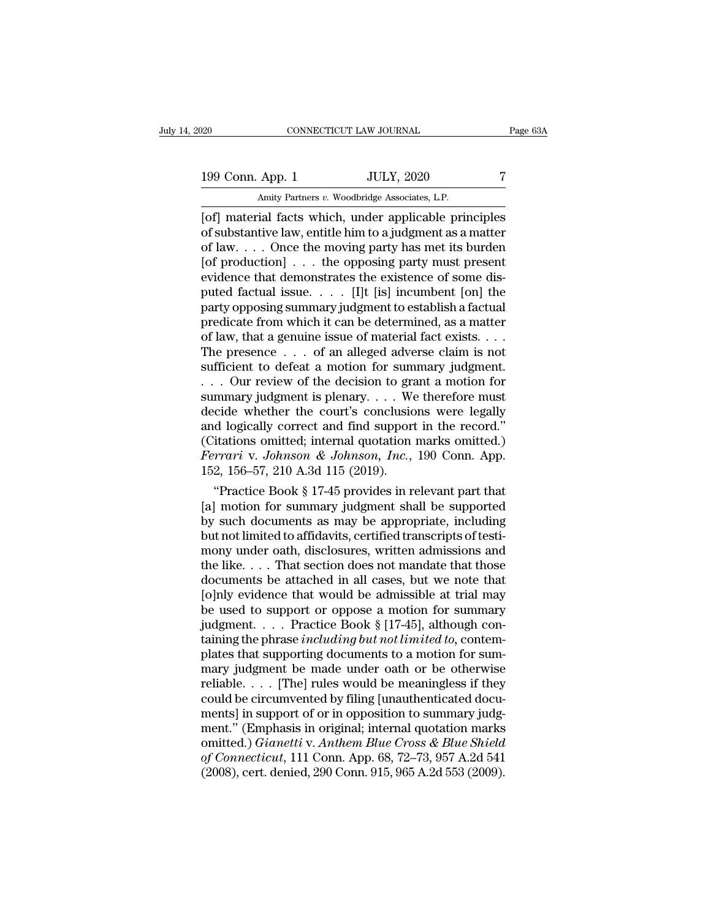20 CONNECTICUT LAW JOURNAL Page 63A<br>199 Conn. App. 1 JULY, 2020 7<br>Amity Partners v. Woodbridge Associates, L.P.

CONNECTICUT LAW JOURNAL<br>
199 Conn. App. 1 JULY, 2020 7<br>
Amity Partners *v.* Woodbridge Associates, L.P.<br>
199 Conn. App. 1 JULY, 2020 7<br>
Amity Partners *v.* Woodbridge Associates, L.P. EXECTIVE DRIVIERT DURINAL Page 63A<br>
199 Conn. App. 1 JULY, 2020 7<br>
Amity Partners v. Woodbridge Associates, L.P.<br>
[of] material facts which, under applicable principles<br>
of substantive law, entitle him to a judgment as a m 199 Conn. App. 1 JULY, 2020 7<br>Amity Partners v. Woodbridge Associates, L.P.<br>
[of] material facts which, under applicable principles<br>
of substantive law, entitle him to a judgment as a matter<br>
of law.... Once the moving par 199 Conn. App. 1 JULY, 2020 7<br>Amity Partners v. Woodbridge Associates, L.P.<br>
[of] material facts which, under applicable principles<br>
of substantive law, entitle him to a judgment as a matter<br>
of law.... Once the moving pa 199 Conn. App. 1 JULY, 2020 7<br>
Amity Partners v. Woodbridge Associates, L.P.<br>
[of] material facts which, under applicable principles<br>
of substantive law, entitle him to a judgment as a matter<br>
of law.... Once the moving p 199 Conn. App. 1 JULY, 2020 7<br>
Amity Partners v. Woodbridge Associates, L.P.<br>
[of] material facts which, under applicable principles<br>
of substantive law, entitle him to a judgment as a matter<br>
of law.... Once the moving p Amity Partners v. Woodbridge Associates, L.P.<br>
[of] material facts which, under applicable principles<br>
of substantive law, entitle him to a judgment as a matter<br>
of law.... Once the moving party has met its burden<br>
[of pr [of] material facts which, under applicable principles<br>of substantive law, entitle him to a judgment as a matter<br>of law. . . . Once the moving party has met its burden<br>[of production] . . . the opposing party must present of substantive law, entitle him to a judgment as a matter<br>of law. . . . Once the moving party has met its burden<br>[of production] . . . the opposing party must present<br>evidence that demonstrates the existence of some dis-<br> of law, ... . Once the moving party has met its burden<br>[of production] ... the opposing party must present<br>evidence that demonstrates the existence of some dis-<br>puted factual issue. ... [I]t [is] incumbent [on] the<br>party [of production] . . . the opposing party must present<br>evidence that demonstrates the existence of some dis-<br>puted factual issue. . . . . [I]t [is] incumbent [on] the<br>party opposing summary judgment to establish a factual<br> evidence that demonstrates the existence of some dis-<br>puted factual issue. . . . [I]t [is] incumbent [on] the<br>party opposing summary judgment to establish a factual<br>predicate from which it can be determined, as a matter<br>o puted factual issue. . . . [I]t [is] incumbent [on] the<br>party opposing summary judgment to establish a factual<br>predicate from which it can be determined, as a matter<br>of law, that a genuine issue of material fact exists. . party opposing summary judgment to establish a factual<br>predicate from which it can be determined, as a matter<br>of law, that a genuine issue of material fact exists. . . .<br>The presence . . . of an alleged adverse claim is n predicate from which it can be determined, as a matter<br>of law, that a genuine issue of material fact exists. . . .<br>The presence . . . of an alleged adverse claim is not<br>sufficient to defeat a motion for summary judgment.<br> of law, that a genuine issue of material fact exists....<br>The presence ... of an alleged adverse claim is not<br>sufficient to defeat a motion for summary judgment.<br>... Our review of the decision to grant a motion for<br>summary The presence  $\dots$  of an alleged adverse claim is not sufficient to defeat a motion for summary judgment.<br>  $\dots$  Our review of the decision to grant a motion for summary judgment is plenary.  $\dots$  We therefore must decide wh sufficient to defeat a motion for summary judgment.<br>
... Our review of the decision to grant a motion for<br>
summary judgment is plenary.... We therefore must<br>
decide whether the court's conclusions were legally<br>
and logical ... Our review of the decision to grammary judgment is plenary.... We<br>decide whether the court's conclusion and logically correct and find support<br>(Citations omitted; internal quotation Ferrari v. Johnson & Johnson, Inc., mmary judgment is plenary.... We therefore must<br>
cide whether the court's conclusions were legally<br>
d logically correct and find support in the record."<br>
itations omitted; internal quotation marks omitted.)<br> *rrari* v. *J* decide whether the court's conclusions were legally<br>and logically correct and find support in the record."<br>(Citations omitted; internal quotation marks omitted.)<br> $Fernari$  v. Johnson & Johnson, Inc., 190 Conn. App.<br>152, 156–5

and logically correct and find support in the record."<br>
(Citations omitted; internal quotation marks omitted.)<br> *Ferrari* v. *Johnson & Johnson*, *Inc.*, 190 Conn. App.<br>
152, 156–57, 210 A.3d 115 (2019).<br>
"Practice Book § (Citations omitted; internal quotation marks omitted.)<br> *Ferrari* v. Johnson & Johnson, Inc., 190 Conn. App.<br>
152, 156–57, 210 A.3d 115 (2019).<br>
"Practice Book § 17-45 provides in relevant part that<br>
[a] motion for summar Ferrari v. Johnson & Johnson, Inc., 190 Conn. App.<br>152, 156–57, 210 A.3d 115 (2019).<br>
"Practice Book § 17-45 provides in relevant part that<br>
[a] motion for summary judgment shall be supported<br>
by such documents as may be 152, 156–57, 210 A.3d 115 (2019).<br>
"Practice Book § 17-45 provides in relevant part that<br>
[a] motion for summary judgment shall be supported<br>
by such documents as may be appropriate, including<br>
but not limited to affidavi "Practice Book § 17-45 provides in relevant part that [a] motion for summary judgment shall be supported<br>by such documents as may be appropriate, including<br>but not limited to affidavits, certified transcripts of testi-<br>mo [a] motion for summary judgment shall be supported<br>by such documents as may be appropriate, including<br>but not limited to affidavits, certified transcripts of testi-<br>mony under oath, disclosures, written admissions and<br>the by such documents as may be appropriate, including<br>but not limited to affidavits, certified transcripts of testi-<br>mony under oath, disclosures, written admissions and<br>the like.... That section does not mandate that those<br> but not limited to affidavits, certified transcripts of testi-<br>mony under oath, disclosures, written admissions and<br>the like.... That section does not mandate that those<br>documents be attached in all cases, but we note tha mony under oath, disclosures, written admissions and<br>the like.... That section does not mandate that those<br>documents be attached in all cases, but we note that<br>[0]nly evidence that would be admissible at trial may<br>be used the like.... That section does not mandate that those<br>documents be attached in all cases, but we note that<br>[o]nly evidence that would be admissible at trial may<br>be used to support or oppose a motion for summary<br>judgment.. documents be attached in all cases, but we note that<br>[o]nly evidence that would be admissible at trial may<br>be used to support or oppose a motion for summary<br>judgment.... Practice Book § [17-45], although con-<br>taining the [o]nly evidence that would be admissible at trial may<br>be used to support or oppose a motion for summary<br>judgment. . . . Practice Book § [17-45], although con-<br>taining the phrase including but not limited to, contem-<br>plate be used to support or oppose a motion for summary<br>judgment.... Practice Book § [17-45], although con-<br>taining the phrase *including but not limited to*, contem-<br>plates that supporting documents to a motion for sum-<br>mary j judgment. . . . . Practice Book § [17-45], although containing the phrase *including but not limited to*, contemplates that supporting documents to a motion for summary judgment be made under oath or be otherwise reliable taining the phrase *including but not limited to*, contemplates that supporting documents to a motion for sum-<br>mary judgment be made under oath or be otherwise<br>reliable.... [The] rules would be meaningless if they<br>could b plates that supporting documents to a motion for sum-<br>mary judgment be made under oath or be otherwise<br>reliable. . . . [The] rules would be meaningless if they<br>could be circumvented by filing [unauthenticated docu-<br>ments] mary judgment be made under oath or be otherwise<br>reliable. . . . [The] rules would be meaningless if they<br>could be circumvented by filing [unauthenticated docu-<br>ments] in support of or in opposition to summary judg-<br>ment." reliable. . . . . [The] rules would be meaningless if they could be circumvented by filing [unauthenticated documents] in support of or in opposition to summary judgment." (Emphasis in original; internal quotation marks om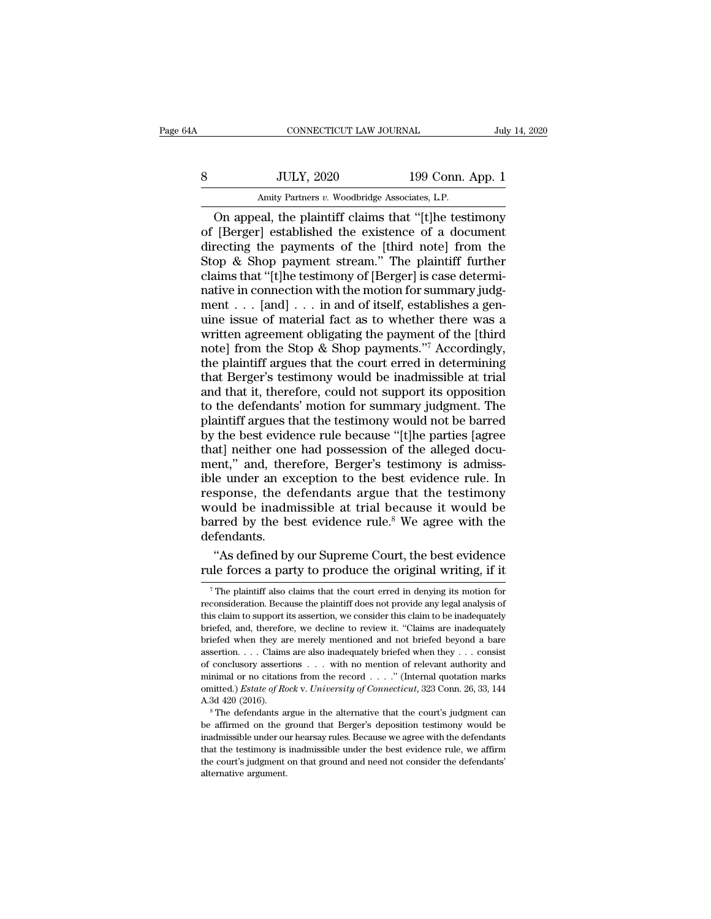| 4A | CONNECTICUT LAW JOURNAL                               |                  | July 14, 2020 |
|----|-------------------------------------------------------|------------------|---------------|
| 8  | <b>JULY, 2020</b>                                     | 199 Conn. App. 1 |               |
|    | Amity Partners v. Woodbridge Associates, L.P.         |                  |               |
|    | On anneal the plaintiff claims that "[t] be testimony |                  |               |

CONNECTICUT LAW JOURNAL July 14, 2020<br>JULY, 2020 199 Conn. App. 1<br>Amity Partners v. Woodbridge Associates, L.P.<br>On appeal, the plaintiff claims that "[t]he testimony<br>[Berger] established the existence of a document<br>recting So a bully, 2020 199 Conn. App. 1<br>Amity Partners v. Woodbridge Associates, L.P.<br>On appeal, the plaintiff claims that "[t]he testimony<br>of [Berger] established the existence of a document<br>directing the payments of the [third  $\frac{\text{JULY, 2020}}{\text{Amity Patterns } v. \text{ Woodbridge Associates, L.P.}}$ <br>On appeal, the plaintiff claims that "[t]he testimony of [Berger] established the existence of a document directing the payments of the [third note] from the Stop & Shop payment strea Stop Barnett Stream. App. 1<br>
Starting Partners v. Woodbridge Associates, L.P.<br>
On appeal, the plaintiff claims that "[t]he testimony<br>
of [Berger] established the existence of a document<br>
directing the payments of the [thi Amity Partners v. Woodbridge Associates, L.P.<br>
On appeal, the plaintiff claims that "[t]he testimony<br>
of [Berger] established the existence of a document<br>
directing the payments of the [third note] from the<br>
Stop & Shop p Amity Partners v. Woodbridge Associates, L.P.<br>
On appeal, the plaintiff claims that "[t]he testimony<br>
of [Berger] established the existence of a document<br>
directing the payments of the [third note] from the<br>
Stop & Shop p On appeal, the plaintiff claims that "[t]he testimony<br>of [Berger] established the existence of a document<br>directing the payments of the [third note] from the<br>Stop & Shop payment stream." The plaintiff further<br>claims that of [Berger] established the existence of a document<br>directing the payments of the [third note] from the<br>Stop & Shop payment stream." The plaintiff further<br>claims that "[t]he testimony of [Berger] is case determi-<br>native i directing the payments of the [third note] from the<br>Stop & Shop payment stream." The plaintiff further<br>claims that "[t]he testimony of [Berger] is case determi-<br>native in connection with the motion for summary judg-<br>ment Stop & Shop payment stream." The plaintiff further<br>claims that "[t]he testimony of [Berger] is case determi-<br>native in connection with the motion for summary judg-<br>ment . . . [and] . . . in and of itself, establishes a ge claims that "[t]he testimony of [Berger] is case determinative in connection with the motion for summary judgment . . . [and] . . . in and of itself, establishes a genuine issue of material fact as to whether there was a native in connection with the motion for summary judgment  $\ldots$  [and]  $\ldots$  in and of itself, establishes a genuine issue of material fact as to whether there was a written agreement obligating the payment of the [third n ment . . . [and] . . . in and of itself, establishes a genuine issue of material fact as to whether there was a written agreement obligating the payment of the [third note] from the Stop & Shop payments."<sup>7</sup> Accordingly, uine issue of material fact as to whether there was a<br>written agreement obligating the payment of the [third<br>note] from the Stop & Shop payments."<sup>7</sup> Accordingly,<br>the plaintiff argues that the court erred in determining<br>th written agreement obligating the payment of the [third<br>note] from the Stop & Shop payments."<sup>7</sup> Accordingly,<br>the plaintiff argues that the court erred in determining<br>that Berger's testimony would be inadmissible at trial<br>a note] from the Stop & Shop payments."7 Accordingly,<br>the plaintiff argues that the court erred in determining<br>that Berger's testimony would be inadmissible at trial<br>and that it, therefore, could not support its opposition<br>t the plaintiff argues that the court erred in determining<br>that Berger's testimony would be inadmissible at trial<br>and that it, therefore, could not support its opposition<br>to the defendants' motion for summary judgment. The<br>p that Berger's testimony would be inadmissible at trial<br>and that it, therefore, could not support its opposition<br>to the defendants' motion for summary judgment. The<br>plaintiff argues that the testimony would not be barred<br>by and that it, therefore, could not support its opposition<br>to the defendants' motion for summary judgment. The<br>plaintiff argues that the testimony would not be barred<br>by the best evidence rule because "[t]he parties [agree<br>t to the defendants' motion for summary judgment. The<br>plaintiff argues that the testimony would not be barred<br>by the best evidence rule because "[t]he parties [agree<br>that] neither one had possession of the alleged docu-<br>men plaintiff argues that the testimony would not be barred<br>by the best evidence rule because "[t]he parties [agree<br>that] neither one had possession of the alleged docu-<br>ment," and, therefore, Berger's testimony is admiss-<br>ibl by the best evidence rule because "[t]he parties [agree that] neither one had possession of the alleged document," and, therefore, Berger's testimony is admissible under an exception to the best evidence rule. In response defendants. ent," and, therefore, Berger's testimony is admiss-<br>le under an exception to the best evidence rule. In<br>sponse, the defendants argue that the testimony<br>ould be inadmissible at trial because it would be<br>rred by the best evi ible under an exception to the best evidence rule. In response, the defendants argue that the testimony would be inadmissible at trial because it would be barred by the best evidence rule.<sup>8</sup> We agree with the defendants.

Fraction of the best evidence rule." We agree with the efendants.<br>
"As defined by our Supreme Court, the best evidence<br>
alle forces a party to produce the original writing, if it<br>
The plaintiff also claims that the court e defendants.<br>
"As defined by our Supreme Court, the best evidence<br>
rule forces a party to produce the original writing, if it<br>
<sup>7</sup>The plaintiff also claims that the court erred in denying its motion for<br>
reconsideration. Be "As defined by our Supreme Court, the best evidence rule forces a party to produce the original writing, if it  $\frac{1}{\sqrt{2}}$ . The plaintiff also claims that the court erred in denying its motion for reconsideration. Becaus rule forces a party to produce the original writing, if it<br>
<sup>7</sup> The plaintiff also claims that the court erred in denying its motion for<br>
reconsideration. Because the plaintiff does not provide any legal analysis of<br>
this The Horces a party to produce the original writing, if it  $\frac{1}{\sqrt{2}}$  The plaintiff also claims that the court erred in denying its motion for reconsideration. Because the plaintiff does not provide any legal analysis of The plaintiff also claims that the court erred in denying its motion for reconsideration. Because the plaintiff does not provide any legal analysis of this claim to support its assertion, we consider this claim to be inad reconsideration. Because the plaintiff does not provide any legal analysis of this claim to support its assertion, we consider this claim to be inadequately briefed, and, therefore, we decline to review it. "Claims are in this claim to support its assertion, we consider this claim to be inadequately briefed, and, therefore, we decline to review it. "Claims are inadequately briefed when they are merely mentioned and not briefed beyond a bar briefed, and, therefore, we decline to review it. "Claims are inadequately briefed when they are merely mentioned and not briefed beyond a bare assertion. . . . Claims are also inadequately briefed when they . . . consist briefed when they are merely mentioned and not briefed beyond a bare assertion. . . . Claims are also inadequately briefed when they . . . consist of conclusory assertions . . . with no mention of relevant authority and m for conclusory assertions . . . with no mention of relevant authority and minimal or no citations from the record . . . . " (Internal quotation marks omitted.) *Estate of Rock v. University of Connecticut*, 323 Conn. 26,

<sup>%</sup> of conclusory assertions . . . with no mention of relevant authority and minimal or no citations from the record . . . ." (Internal quotation marks omitted.) *Estate of Rock v. University of Connecticut*, 323 Conn. 26, comitted.) *Estate of Rock v. University of Connecticut*, 323 Conn. 26, 33, 144 A.3d 420 (2016).<br>
<sup>8</sup> The defendants argue in the alternative that the court's judgment can be affirmed on the ground that Berger's depositio A.3d  $420$  (2016).<br><sup>8</sup> The defendants argue in the alternative that the court's judgment can<br>be affirmed on the ground that Berger's deposition testimony would be<br>inadmissible under our hearsay rules. Because we agree wit alternative arguments as<br>the affirmed on the ginal missible under our that the test<br>imony is the court's judgment<br>alternative argument.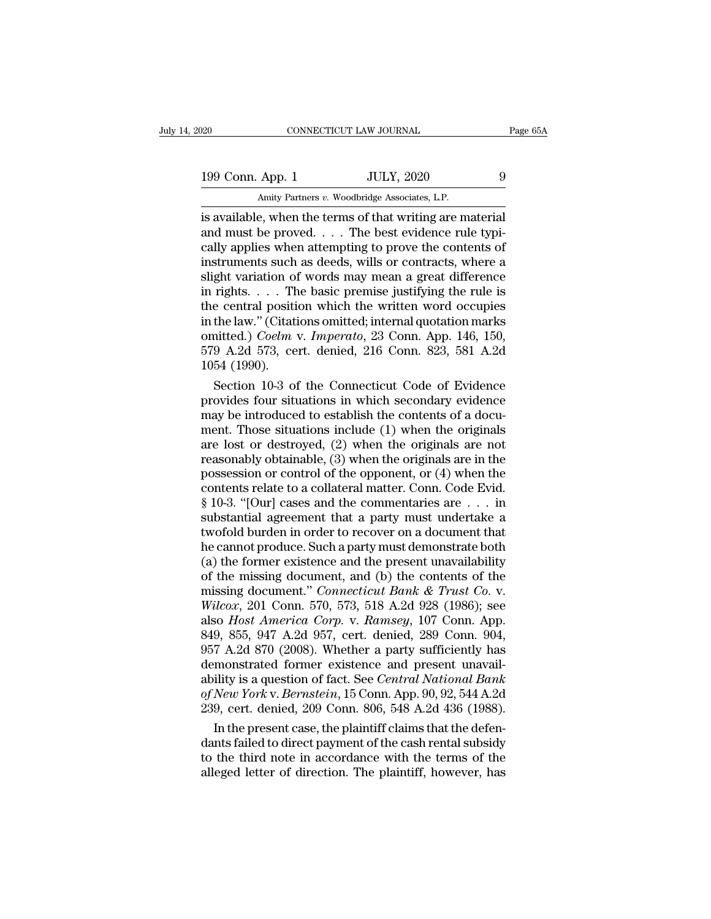20 CONNECTICUT LAW JOURNAL Page 65A<br>199 Conn. App. 1 JULY, 2020 9<br>Amity Partners v. Woodbridge Associates, L.P. CONNECTICUT LAW JOURNAL<br>
199 Conn. App. 1 JULY, 2020 9<br>
Amity Partners *v.* Woodbridge Associates, L.P.<br>
is available, when the terms of that writing are material

Fage 6<br>
199 Conn. App. 1 JULY, 2020 9<br>
199 Conn. App. 1 JULY, 2020 9<br>
199 Amity Partners v. Woodbridge Associates, L.P.<br>
198 Amity Partners v. Woodbridge Associates, L.P.<br>
199 Conn. App. 1 JULY, 2020 9<br>
199 Amity Partners 199 Conn. App. 1 JULY, 2020 9<br>Amity Partners v. Woodbridge Associates, L.P.<br>is available, when the terms of that writing are material<br>and must be proved. . . . The best evidence rule typi-<br>cally applies when attempting to 199 Conn. App. 1 JULY, 2020 9<br>Amity Partners v. Woodbridge Associates, L.P.<br>is available, when the terms of that writing are material<br>and must be proved. . . . The best evidence rule typi-<br>cally applies when attempting to 199 Conn. App. 1 JULY, 2020 9<br>
Amity Partners v. Woodbridge Associates, L.P.<br>
is available, when the terms of that writing are material<br>
and must be proved. . . . The best evidence rule typi-<br>
cally applies when attemptin Amity Partners v. Woodbridge Associates, L.P.<br>is available, when the terms of that writing are material<br>and must be proved.... The best evidence rule typi-<br>cally applies when attempting to prove the contents of<br>instrument Amity Partners  $v$ . Woodbridge Associates, L.P.<br>is available, when the terms of that writing are material<br>and must be proved. . . . The best evidence rule typi-<br>cally applies when attempting to prove the contents of<br>instr is available, when the terms of that writing are material<br>and must be proved. . . . The best evidence rule typi-<br>cally applies when attempting to prove the contents of<br>instruments such as deeds, wills or contracts, where and must be proved.... The best evidence rule typically applies when attempting to prove the contents of instruments such as deeds, wills or contracts, where a slight variation of words may mean a great difference in righ cally applies when attempting to prove the contents of<br>instruments such as deeds, wills or contracts, where a<br>slight variation of words may mean a great difference<br>in rights. . . . The basic premise justifying the rule is<br> instruments such as deeds, wills or contracts, where a<br>slight variation of words may mean a great difference<br>in rights. . . . The basic premise justifying the rule is<br>the central position which the written word occupies<br>in slight variation of<br>in rights. . . . The<br>the central positi<br>in the law." (Citati<br>omitted.) *Coelm*<br>579 A.2d 573, ce<br>1054 (1990).<br>Section 10-3 of rights.... The basic premise justifying the rule is<br>e central position which the written word occupies<br>the law." (Citations omitted; internal quotation marks<br>nitted.) *Coelm* v. *Imperato*, 23 Conn. App. 146, 150,<br>9 A.2d the central position which the written word occupies<br>in the law." (Citations omitted; internal quotation marks<br>omitted.) *Coelm* v. *Imperato*, 23 Conn. App. 146, 150,<br>579 A.2d 573, cert. denied, 216 Conn. 823, 581 A.2d<br>1

in the law." (Citations omitted; internal quotation marks<br>
omitted.) *Coelm v. Imperato*, 23 Conn. App. 146, 150,<br>
579 A.2d 573, cert. denied, 216 Conn. 823, 581 A.2d<br>
1054 (1990).<br>
Section 10-3 of the Connecticut Code of omitted.) Coelm v. Imperato, 23 Conn. App. 146, 150,<br>579 A.2d 573, cert. denied, 216 Conn. 823, 581 A.2d<br>1054 (1990).<br>Section 10-3 of the Connecticut Code of Evidence<br>provides four situations in which secondary evidence<br>m 579 A.2d 573, cert. denied, 216 Conn. 823, 581 A.2d<br>1054 (1990).<br>Section 10-3 of the Connecticut Code of Evidence<br>provides four situations in which secondary evidence<br>may be introduced to establish the contents of a docu-1054 (1990).<br>
Section 10-3 of the Connecticut Code of Evidence<br>
provides four situations in which secondary evidence<br>
may be introduced to establish the contents of a docu-<br>
ment. Those situations include (1) when the ori Section 10-3 of the Connecticut Code of Evidence<br>provides four situations in which secondary evidence<br>may be introduced to establish the contents of a docu-<br>ment. Those situations include (1) when the originals<br>are lost o provides four situations in which secondary evidence<br>may be introduced to establish the contents of a docu-<br>ment. Those situations include (1) when the originals<br>are lost or destroyed, (2) when the originals are not<br>reaso may be introduced to establish the contents of a document. Those situations include (1) when the originals are not reasonably obtainable, (3) when the originals are in the possession or control of the opponent, or (4) whe ment. Those situations include (1) when the originals<br>are lost or destroyed, (2) when the originals are not<br>reasonably obtainable, (3) when the originals are in the<br>possession or control of the opponent, or (4) when the<br>c are lost or destroyed, (2) when the originals are not<br>reasonably obtainable, (3) when the originals are in the<br>possession or control of the opponent, or (4) when the<br>contents relate to a collateral matter. Conn. Code Evid reasonably obtainable, (3) when the originals are in the<br>possession or control of the opponent, or (4) when the<br>contents relate to a collateral matter. Conn. Code Evid.<br>§ 10-3. "[Our] cases and the commentaries are  $\dots$  i possession or control of the opponent, or (4) when the<br>contents relate to a collateral matter. Conn. Code Evid.<br>§ 10-3. "[Our] cases and the commentaries are . . . in<br>substantial agreement that a party must undertake a<br>tw contents relate to a collateral matter. Conn. Code Evid.<br>§ 10-3. "[Our] cases and the commentaries are . . . in<br>substantial agreement that a party must undertake a<br>twofold burden in order to recover on a document that<br>he § 10-3. "[Our] cases and the commentaries are . . . in<br>substantial agreement that a party must undertake a<br>twofold burden in order to recover on a document that<br>he cannot produce. Such a party must demonstrate both<br>(a) the substantial agreement that a party must undertake a<br>twofold burden in order to recover on a document that<br>he cannot produce. Such a party must demonstrate both<br>(a) the former existence and the present unavailability<br>of the twofold burden in order to recover on a document that<br>he cannot produce. Such a party must demonstrate both<br>(a) the former existence and the present unavailability<br>of the missing document, and (b) the contents of the<br>missi he cannot produce. Such a party must demonstrate both (a) the former existence and the present unavailability of the missing document. and (b) the contents of the missing document." *Connecticut Bank & Trust Co.* v. *Wilco* (a) the former existence and the present unavailability<br>of the missing document, and (b) the contents of the<br>missing document." *Connecticut Bank & Trust Co. v.*<br> $Wilcox$ , 201 Conn. 570, 573, 518 A.2d 928 (1986); see<br>also *H* of the missing document, and (b) the contents of the<br>missing document." *Connecticut Bank & Trust Co. v.*<br>Wilcox, 201 Conn. 570, 573, 518 A.2d 928 (1986); see<br>also *Host America Corp. v. Ramsey*, 107 Conn. App.<br>849, 855, missing document." *Connecticut Bank & Trust Co. v.*<br> *Wilcox*, 201 Conn. 570, 573, 518 A.2d 928 (1986); see<br>
also *Host America Corp. v. Ramsey*, 107 Conn. App.<br>
849, 855, 947 A.2d 957, cert. denied, 289 Conn. 904,<br>
957 A *Wilcox*, 201 Conn. 570, 573, 518 A.2d 928 (1986); see<br>also *Host America Corp.* v. *Ramsey*, 107 Conn. App.<br>849, 855, 947 A.2d 957, cert. denied, 289 Conn. 904,<br>957 A.2d 870 (2008). Whether a party sufficiently has<br>demons also Host America Corp. v. Ramsey, 107 Conn. App.<br>849, 855, 947 A.2d 957, cert. denied, 289 Conn. 904,<br>957 A.2d 870 (2008). Whether a party sufficiently has<br>demonstrated former existence and present unavail-<br>ability is a q 9, 855, 947 A.2d 957, cert. denied, 289 Conn. 904, 7 A.2d 870 (2008). Whether a party sufficiently has<br>monstrated former existence and present unavail-<br>ility is a question of fact. See *Central National Bank*<br>*New York v.* 957 A.2d 870 (2008). Whether a party sufficiently has<br>demonstrated former existence and present unavail-<br>ability is a question of fact. See *Central National Bank*<br>of *New York* v. *Bernstein*, 15 Conn. App. 90, 92, 544 A

demonstrated former existence and present unavailability is a question of fact. See *Central National Bank* of *New York v. Bernstein*, 15 Conn. App. 90, 92, 544 A.2d 239, cert. denied, 209 Conn. 806, 548 A.2d 436 (1988). ability is a question of fact. See *Central National Bank*<br>of New York v. Bernstein, 15 Conn. App. 90, 92, 544 A.2d<br>239, cert. denied, 209 Conn. 806, 548 A.2d 436 (1988).<br>In the present case, the plaintiff claims that the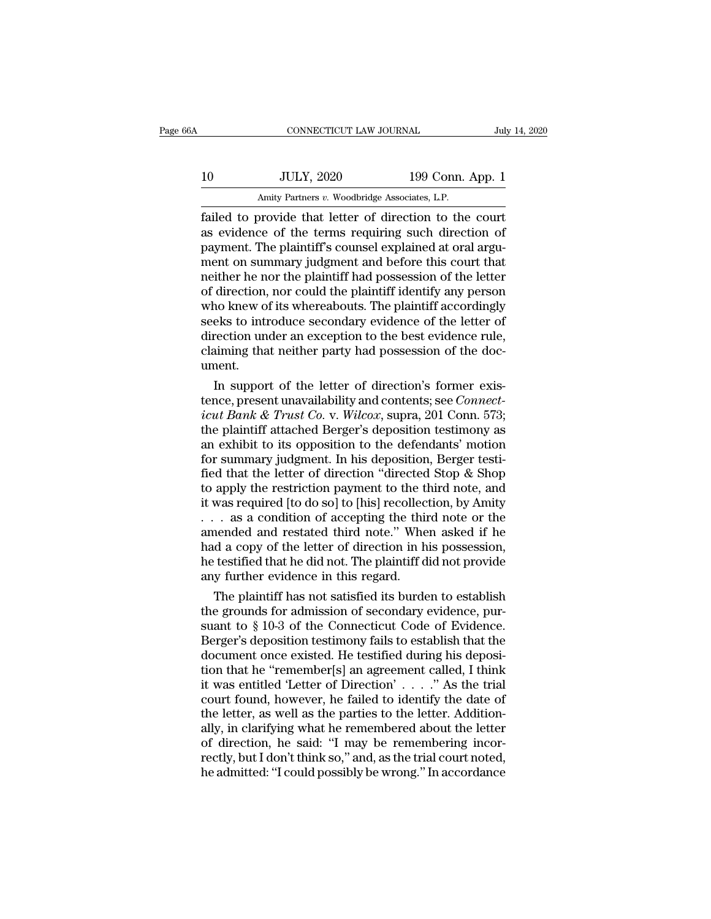|    | CONNECTICUT LAW JOURNAL                                 |                  | July 14, 2020 |
|----|---------------------------------------------------------|------------------|---------------|
| 10 | <b>JULY, 2020</b>                                       | 199 Conn. App. 1 |               |
|    | Amity Partners v. Woodbridge Associates, L.P.           |                  |               |
|    | failed to provide that letter of direction to the court |                  |               |

Failed to provide that letter of direction to the court<br>as evidence of the terms requiring such direction of<br>the provide that letter of direction to the court<br>as evidence of the terms requiring such direction of<br>narmont Th 10 JULY, 2020 199 Conn. App. 1<br>Amity Partners v. Woodbridge Associates, L.P.<br>
failed to provide that letter of direction to the court<br>
as evidence of the terms requiring such direction of<br>
payment. The plaintiff's counsel 10 JULY, 2020 199 Conn. App. 1<br>
Amity Partners v. Woodbridge Associates, L.P.<br>
failed to provide that letter of direction to the court<br>
as evidence of the terms requiring such direction of<br>
payment. The plaintiff's counsel 10 JULY, 2020 199 Conn. App. 1<br>Amity Partners v. Woodbridge Associates, L.P.<br>failed to provide that letter of direction to the court<br>as evidence of the terms requiring such direction of<br>payment. The plaintiff's counsel exp Amity Partners v. Woodbridge Associates, L.P.<br>
failed to provide that letter of direction to the court<br>
as evidence of the terms requiring such direction of<br>
payment. The plaintiff's counsel explained at oral argu-<br>
ment o Amity Partners v. Woodbridge Associates, L.P.<br>
failed to provide that letter of direction to the court<br>
as evidence of the terms requiring such direction of<br>
payment. The plaintiff's counsel explained at oral argu-<br>
ment o failed to provide that letter of direction to the court<br>as evidence of the terms requiring such direction of<br>payment. The plaintiff's counsel explained at oral argu-<br>ment on summary judgment and before this court that<br>neit as evidence of the terms requiring such direction of<br>payment. The plaintiff's counsel explained at oral argu-<br>ment on summary judgment and before this court that<br>neither he nor the plaintiff had possession of the letter<br>of payment. The plaintiff's counsel explained at oral argument on summary judgment and before this court that<br>neither he nor the plaintiff had possession of the letter<br>of direction, nor could the plaintiff identify any person ment on summary judgment and before this court that<br>neither he nor the plaintiff had possession of the letter<br>of direction, nor could the plaintiff identify any person<br>who knew of its whereabouts. The plaintiff accordingly ument. direction, nor could the plaintiff identify any person<br>no knew of its whereabouts. The plaintiff accordingly<br>eks to introduce secondary evidence of the letter of<br>rection under an exception to the best evidence rule,<br>aimin who knew of its whereabouts. The plaintiff accordingly<br>seeks to introduce secondary evidence of the letter of<br>direction under an exception to the best evidence rule,<br>claiming that neither party had possession of the doc-<br>u

seeks to introduce secondary evidence of the letter of<br>direction under an exception to the best evidence rule,<br>claiming that neither party had possession of the doc-<br>ument.<br>In support of the letter of direction's former ex direction under an exception to the best evidence rule,<br>claiming that neither party had possession of the doc-<br>ument.<br>In support of the letter of direction's former exis-<br>tence, present unavailability and contents; see *Co* claiming that neither party had possession of the document.<br>
In support of the letter of direction's former exis-<br>
tence, present unavailability and contents; see *Connect-*<br> *icut Bank & Trust Co.* v. *Wilcox*, supra, 20 in support of the letter of direction's former existence, present unavailability and contents; see *Connecticut Bank & Trust Co.* v. *Wilcox*, supra, 201 Conn. 573; the plaintiff attached Berger's deposition testimony as In support of the letter of direction's former exis-<br>tence, present unavailability and contents; see *Connect-*<br>icut Bank & Trust Co. v. Wilcox, supra, 201 Conn. 573;<br>the plaintiff attached Berger's deposition testimony a tence, present unavailability and contents; see *Connect-*<br>icut Bank & Trust Co. v. Wilcox, supra, 201 Conn. 573;<br>the plaintiff attached Berger's deposition testimony as<br>an exhibit to its opposition to the defendants' moti icut Bank & Trust Co. v. Wilcox, supra, 201 Conn. 573;<br>the plaintiff attached Berger's deposition testimony as<br>an exhibit to its opposition to the defendants' motion<br>for summary judgment. In his deposition, Berger testi-<br> the plaintiff attached Berger's deposition testimony as<br>an exhibit to its opposition to the defendants' motion<br>for summary judgment. In his deposition, Berger testi-<br>fied that the letter of direction "directed Stop & Shop<br> an exhibit to its opposition to the defendants' motion<br>for summary judgment. In his deposition, Berger testi-<br>fied that the letter of direction "directed Stop & Shop<br>to apply the restriction payment to the third note, and for summary judgment. In his deposition, Berger testified that the letter of direction "directed Stop & Shop<br>to apply the restriction payment to the third note, and<br>it was required [to do so] to [his] recollection, by Ami fied that the letter of direction "directed Stop & Shop<br>to apply the restriction payment to the third note, and<br>it was required [to do so] to [his] recollection, by Amity<br>... as a condition of accepting the third note or t to apply the restriction payment to the tlit was required [to do so] to [his] recollect . . . as a condition of accepting the thin amended and restated third note." Whe had a copy of the letter of direction in h he testif was required [to do so] to [his] recollection, by Amity<br>
. as a condition of accepting the third note or the<br>
nended and restated third note." When asked if he<br>
d a copy of the letter of direction in his possession,<br>
test ... as a condition of accepting the third note or the amended and restated third note." When asked if he had a copy of the letter of direction in his possession, he testified that he did not. The plaintiff did not provide

amended and restated third note." When asked if he<br>had a copy of the letter of direction in his possession,<br>he testified that he did not. The plaintiff did not provide<br>any further evidence in this regard.<br>The plaintiff has had a copy of the letter of direction in his possession,<br>he testified that he did not. The plaintiff did not provide<br>any further evidence in this regard.<br>The plaintiff has not satisfied its burden to establish<br>the grounds he testified that he did not. The plaintiff did not provide<br>any further evidence in this regard.<br>The plaintiff has not satisfied its burden to establish<br>the grounds for admission of secondary evidence, pur-<br>suant to § 10-3 any further evidence in this regard.<br>
The plaintiff has not satisfied its burden to establish<br>
the grounds for admission of secondary evidence, pur-<br>
suant to  $\S 10{\text -}3$  of the Connecticut Code of Evidence.<br>
Berger's dep The plaintiff has not satisfied its burden to establish<br>the grounds for admission of secondary evidence, pur-<br>suant to  $\S 10{\text -}3$  of the Connecticut Code of Evidence.<br>Berger's deposition testimony fails to establish that the grounds for admission of secondary evidence, pursuant to  $\S$  10-3 of the Connecticut Code of Evidence.<br>Berger's deposition testimony fails to establish that the document once existed. He testified during his depositio suant to § 10-3 of the Connecticut Code of Evidence.<br>Berger's deposition testimony fails to establish that the<br>document once existed. He testified during his deposi-<br>tion that he "remember[s] an agreement called, I think<br> Berger's deposition testimony fails to establish that the document once existed. He testified during his deposition that he "remember[s] an agreement called, I think it was entitled 'Letter of Direction'  $\ldots$ " As the tri document once existed. He testified during his deposition that he "remember[s] an agreement called, I think<br>it was entitled 'Letter of Direction'  $\ldots$  ." As the trial<br>court found, however, he failed to identify the date tion that he "remember[s] an agreement called, I think it was entitled 'Letter of Direction' . . . . " As the trial court found, however, he failed to identify the date of the letter, as well as the parties to the letter. it was entitled 'Letter of Direction' . . . . " As the trial court found, however, he failed to identify the date of the letter, as well as the parties to the letter. Additionally, in clarifying what he remembered about th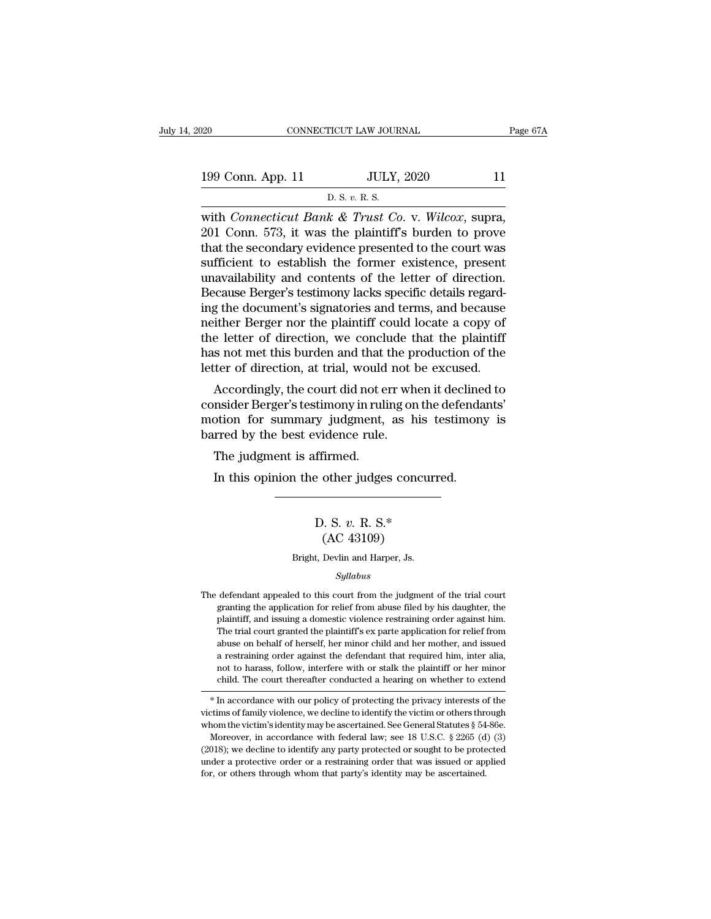| 020               | CONNECTICUT LAW JOURNAL                                    | Page 67A |
|-------------------|------------------------------------------------------------|----------|
| 199 Conn. App. 11 | <b>JULY, 2020</b>                                          | 11       |
|                   | D. S. v. R. S.                                             |          |
|                   | with <i>Connecticut Bank &amp; Trust Co y Wilcox</i> supra |          |

CONNECTICUT LAW JOURNAL Page 6<br>
199 Conn. App. 11 JULY, 2020 11<br>
D. S. v. R. S.<br>
with *Connecticut Bank & Trust Co.* v. *Wilcox*, supra,<br>
201 Conn. 573, it was the plaintiff's burden to prove<br>
that the secondary ovidence p 199 Conn. App. 11 JULY, 2020 11<br>
D. S. v. R. S.<br>
with *Connecticut Bank & Trust Co.* v. *Wilcox*, supra,<br>
201 Conn. 573, it was the plaintiff's burden to prove<br>
that the secondary evidence presented to the court was<br>
suff 199 Conn. App. 11 JULY, 2020 11<br>
D. S. v. R. S.<br>
with *Connecticut Bank & Trust Co.* v. *Wilcox*, supra,<br>
201 Conn. 573, it was the plaintiff's burden to prove<br>
that the secondary evidence presented to the court was<br>
suff 199 Conn. App. 11 D. S. v. R. S.<br>
ULY, 2020 11<br>
D. S. v. R. S.<br>
With *Connecticut Bank & Trust Co.* v. *Wilcox*, supra,<br>
201 Conn. 573, it was the plaintiff's burden to prove<br>
that the secondary evidence presented to the D. S. v. R. S.<br>
with *Connecticut Bank & Trust Co.* v. *Wilcox*, supra,<br>
201 Conn. 573, it was the plaintiff's burden to prove<br>
that the secondary evidence presented to the court was<br>
sufficient to establish the former ex B. s. v. R. s.<br>with *Connecticut Bank & Trust Co.* v. *Wilcox*, supra,<br>201 Conn. 573, it was the plaintiff's burden to prove<br>that the secondary evidence presented to the court was<br>sufficient to establish the former existe with *Connecticut Bank & Trust Co.* v. *Wilcox*, supra, 201 Conn. 573, it was the plaintiff's burden to prove that the secondary evidence presented to the court was sufficient to establish the former existence, present una 201 Conn. 573, it was the plaintiff's burden to prove<br>that the secondary evidence presented to the court was<br>sufficient to establish the former existence, present<br>unavailability and contents of the letter of direction.<br>Bec that the secondary evidence presented to the court was<br>sufficient to establish the former existence, present<br>unavailability and contents of the letter of direction.<br>Because Berger's testimony lacks specific details regardsufficient to establish the former existence, present<br>unavailability and contents of the letter of direction.<br>Because Berger's testimony lacks specific details regard-<br>ing the document's signatories and terms, and because<br> unavailability and contents of the letter of direction.<br>Because Berger's testimony lacks specific details regard-<br>ing the document's signatories and terms, and because<br>neither Berger nor the plaintiff could locate a copy o Example perger stestimony factors specific details regarded<br>g the document's signatories and terms, and because<br>tither Berger nor the plaintiff could locate a copy of<br>e letter of direction, we conclude that the plaintiff<br>s Ing the document's signatories and terms, and because<br>neither Berger nor the plaintiff could locate a copy of<br>the letter of direction, we conclude that the plaintiff<br>has not met this burden and that the production of the<br>l

mether berger flor the plannin collid locate a copy of<br>the letter of direction, we conclude that the plaintiff<br>has not met this burden and that the production of the<br>letter of direction, at trial, would not be excused.<br>Acc the fetter of direction, we conclude that the pietter of direction, at trial, would not letter of direction, at trial, would not letter of direction, at trial, would not let all about the consider Berger's testimony in rul ter of direction, at trial, would<br>Accordingly, the court did not e<br>nsider Berger's testimony in ruli<br>otion for summary judgment,<br>rred by the best evidence rule.<br>The judgment is affirmed.<br>In this opinion the other judge: Accordingly, the court did not err when it decline<br>nsider Berger's testimony in ruling on the defenda<br>otion for summary judgment, as his testimony<br>rred by the best evidence rule.<br>The judgment is affirmed.<br>In this opinion t

## vidence rule.<br>ffirmed.<br>e other judges concurre.<br>D. S. *v*. R. S.\*<br>(AC 43109) firmed.<br>
other judges concu<br>
). S. v. R. S.\*<br>
(AC 43109)<br>
Devlin and Harper, Js. D. S. v. R. S.\*<br>(AC 43109)<br>Bright, Devlin and Harper, Js.<br>Sullabus

### *Syllabus*

 $(AC 43109)$ <br>Bright, Devlin and Harper, Js.<br> $Syllabus$ <br>The defendant appealed to this court from the judgment of the trial court<br>granting the application for relief from abuse filed by his daughter, the (AC 43109)<br>Bright, Devlin and Harper, Js.<br>Syllabus<br>defendant appealed to this court from the judgment of the trial court<br>granting the application for relief from abuse filed by his daughter, the<br>plaintiff, and issuing a do Bright, Devlin and Harper, Js.<br>
Syllabus<br>
defendant appealed to this court from the judgment of the trial court<br>
granting the application for relief from abuse filed by his daughter, the<br>
plaintiff, and issuing a domestic Syllabus<br>
Syllabus<br>
defendant appealed to this court from the judgment of the trial court<br>
granting the application for relief from abuse filed by his daughter, the<br>
plaintiff, and issuing a domestic violence restraining o *Syllabus*<br>defendant appealed to this court from the judgment of the trial court<br>granting the application for relief from abuse filed by his daughter, the<br>plaintiff, and issuing a domestic violence restraining order agains defendant appealed to this court from the judgment of the trial court granting the application for relief from abuse filed by his daughter, the plaintiff, and issuing a domestic violence restraining order against him. The granting the application for relief from abuse filed by his daughter, the plaintiff, and issuing a domestic violence restraining order against him. The trial court granted the plaintiff's ex parte application for relief fr plaintiff, and issuing a domestic violence restraining order against him.<br>The trial court granted the plaintiff's ex parte application for relief from<br>abuse on behalf of herself, her minor child and her mother, and issued<br> The trial court granted the plaintiff sex parte application for renet from<br>abuse on behalf of herself, her minor child and her mother, and issued<br>a restraining order against the defendant that required him, inter alia,<br>not abuse on benair of herself, her minor child and her mother, and issued<br>a restraining order against the defendant that required him, inter alia,<br>not to harass, follow, interfere with or stalk the plaintiff or her minor<br>chi

a restraining order against the derendant that required nim, inter and,<br>not to harass, follow, interfere with or stalk the plaintiff or her minor<br>child. The court thereafter conducted a hearing on whether to extend<br> $*$  In not to harass, follow, interfere with or stalk the plaintiff or her minor<br>child. The court thereafter conducted a hearing on whether to extend<br>\*In accordance with our policy of protecting the privacy interests of the<br>vict

Fig. 1. The court thereatter conducted a nearing on whether to extend<br>  $*$  In accordance with our policy of protecting the privacy interests of the<br>
victims of family violence, we decline to identify the victim or others \* In accordance with our policy of protecting the privacy interests of the victims of family violence, we decline to identify the victim or others through whom the victim's identity may be ascertained. See General Statute victims of family violence, we decline to identify the victim or others through whom the victim's identity may be ascertained. See General Statutes  $\S$  54 Moreover, in accordance with federal law; see 18 U.S.C.  $\S$  2265 (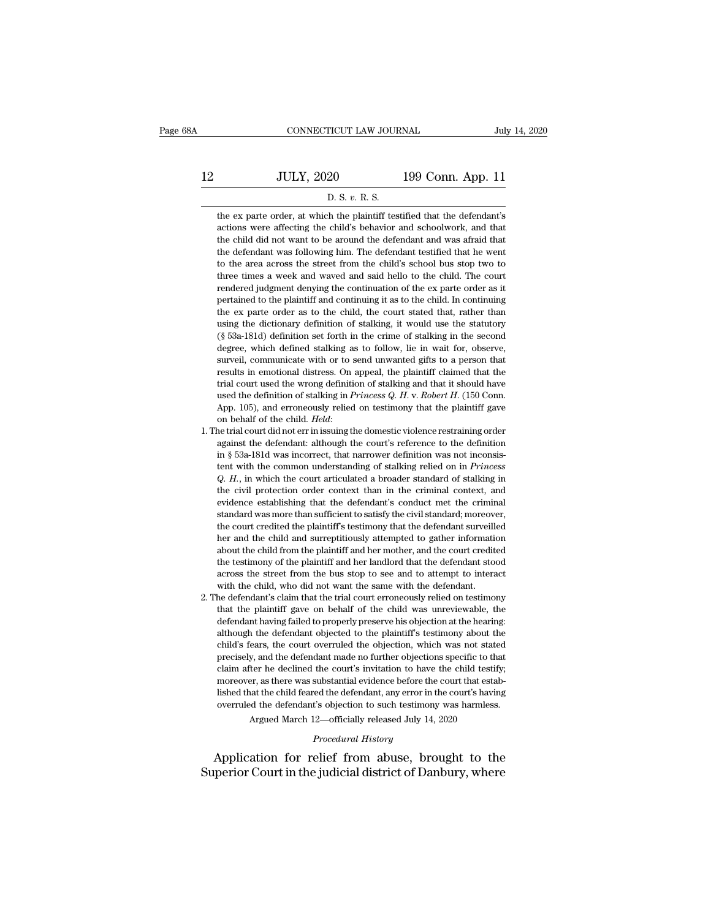|    | CONNECTICUT LAW JOURNAL                                                                                                                           |                   | July 14, 2020 |
|----|---------------------------------------------------------------------------------------------------------------------------------------------------|-------------------|---------------|
|    |                                                                                                                                                   |                   |               |
| 12 | <b>JULY, 2020</b>                                                                                                                                 | 199 Conn. App. 11 |               |
|    | D. S. v. R. S.                                                                                                                                    |                   |               |
|    | the ex parte order, at which the plaintiff testified that the defendant's<br>actions were affecting the child's behavior and schoolwork, and that |                   |               |

**actions 1998** JULY, 2020 199 Conn. App. 11<br>
D. S. v. R. S.<br>
the ex parte order, at which the plaintiff testified that the defendant's<br>
actions were affecting the child's behavior and schoolwork, and that<br>
the child did n JULY,  $2020$  199 Conn. App. 11<br>
D. S. v. R. S.<br>
the ex parte order, at which the plaintiff testified that the defendant's<br>
actions were affecting the child's behavior and schoolwork, and that<br>
the child did not want to be  $\overline{P}$  D. S. v. R. S.<br>the ex parte order, at which the plaintiff testified that the defendant's<br>actions were affecting the child's behavior and schoolwork, and that<br>the child did not want to be around the defendant and D. S. v. R. S.<br>the ex parte order, at which the plaintiff testified that the defendant's<br>actions were affecting the child's behavior and schoolwork, and that<br>the child did not want to be around the defendant and was afraid the ex parte order, at which the plaintiff testified that the defendant's actions were affecting the child's behavior and schoolwork, and that the child did not want to be around the defendant and was afraid that the defen are on partic order, at which are praised and are decreased and accordinate accions were affecting the child's behavior and schoolwork, and that the child did not want to be around the defendant testified that he went to t pertained to the area across the standard manuform and school work, and all<br>the child did not want to be around the defendant testified that he went<br>to the area across the street from the child's school bus stop two to<br>thr the defendant was following him. The defendant testified that he went<br>to the area across the street from the child's school bus stop two to<br>three times a week and waved and said hello to the child. The court<br>rendered judgm are decided and was statuted the dictionary definition to the area across the street from the child's school bus stop two to three times a week and waved and said hello to the child. The court rendered judgment denying the for the times a week and waved and said hello to the child. The court<br>rendered judgment denying the continuation of the ex parte order as it<br>pertained to the plaintiff and continuing it as to the child. In continuing<br>the e ance and given day we call the continuation of the exparts of each as it pertained to the plaintiff and continuing it as to the child. In continuing the exparts order as to the child, the court stated that, rather than usi surfaced jaightent deriying are commutation of the expart order as neglectrated to the plaintiff and continuing it as to the child. In continuing the exparte order as to the child, the court stated that, rather than using results in emotional distress. On appeal, the plaintiff claimed that the exparte order as to the child, the court stated that, rather than using the dictionary definition of stalking, it would use the statutory (§ 53a-181d the calculated as to the china, the court stated that, taken that<br>using the dictionary definition of stalking, it would use the statutory<br>(§ 53a-181d) definition set forth in the crime of stalking in the second<br>degree, wh using the theolonary definition of standing, it would use the stadiony (§ 53a-181d) definition set forth in the crime of stalking in the second degree, which defined stalking as to follow, lie in wait for, observe, surveil degree, which defined stalking as to follow, lie in wait for, observe, surveil, communicate with or to send unwanted gifts to a person that results in emotional distress. On appeal, the plaintiff claimed that the trial co degree, which definite standing as to follow, i.e. in wate for, observe, surveil, communicate with or to send unwanted gifts to a person that results in emotional distress. On appeal, the plaintiff claimed that the trial c results in emotional ustress. On appeat, the plantificant tradition trivial court used the wrong definition of stalking and that it should have used the definition of stalking in *Princess Q. H. v. Robert H.* (150 Conn. A

- % used the definition of stalking in *Princess Q. H. v. Robert H.* (150 Conn. App. 105), and erroneously relied on testimony that the plaintiff gave on behalf of the child. *Held*:<br>1. The trial court did not err in issuin discultion of standing in *Trincess*  $\chi$ . *T. V. 1006/11*. (100 commonly App. 105), and erroneously relied on testimony that the plaintiff gave on behalf of the child. *Held*: the defendant: although the court's referen *App.* 109), and erroneously rened on destinting via the planting gave on behalf of the child. *Held*:<br>ne trial court did not err in issuing the domestic violence restraining order<br>against the defendant: although the court on behand of the child. The child the court's reference to the definition against the defendant: although the court's reference to the definition in § 53a-181d was incorrect, that narrower definition was not inconsistent w reviewed that countered in standard conduct the definition in § 53a-181d was incorrect, that narrower definition was not inconsistent with the common understanding of stalking relied on in *Princess* Q. *H.*, in which the standard was incorrect, that narrower definition was not inconsis-<br>tent with the common understanding of stalking relied on in *Princess*<br>Q. H., in which the court articulated a broader standard of stalking in<br>the civil pr It is obta-forth was incorrect, that harbower definition was not inconsistent with the common understanding of stalking relied on in *Princess* Q. H., in which the court articulated a broader standard of stalking in the ci Fig. H., in which the countertainting of standing child and surreption of the child protection order context than in the criminal context, and evidence establishing that the defendant's conduct met the criminal standard wa w. 11., in which are court arise<br>and a broader standard of standard of standing in the civil protection order context than in the criminal context, and<br>evidence establishing that the defendant's conduct met the criminal<br>st the term protection of the context than in the entimial context, and<br>evidence establishing that the defendant's conduct met the criminal<br>standard was more than sufficient to satisfy the civil standard; moreover,<br>the court standard was more than sufficient to satisfy the civil standard; moreover, the court credited the plaintiff's testimony that the defendant surveilled her and the child and surreptitiously attempted to gather information ab standard was more than sufficient to satisfy the civil standard; moreover, the court credited the plaintiff's testimony that the defendant surveilled her and the child and surreptitiously attempted to gather information ab The defendant of the plaintin's classified to gather information<br>the rand the child and surreptitiously attempted to gather information<br>about the child from the plaintiff and her mother, and the court credited<br>the testimon ther and the child from the plaintiff and her mother, and the court credited<br>the testimony of the plaintiff and her landlord that the defendant stood<br>across the street from the bus stop to see and to attempt to interact<br>wi
- defendant having failed to properly preserve his objection at the hearing:<br>the testimony of the plaintiff and her landlord that the defendant stood<br>across the street from the bus stop to see and to attempt to interact<br>with although the defendant and the land of that the defendant stood across the street from the bus stop to see and to attempt to interact with the child, who did not want the same with the defendant.<br>He defendant's claim that across the steet nont the ous stop to see and to attempt to interact<br>with the child, who did not want the same with the defendant.<br>he defendant's claim that the trial court erroneously relied on testimony<br>that the plaintif what the child, who did not want the same with the defendant.<br>
he defendant's claim that the trial court erroneously relied on testimony<br>
that the plaintiff gave on behalf of the child was unreviewable, the<br>
defendant havi relative that the plaintiff gave on behalf of the child was unreviewable, the defendant having failed to properly preserve his objection at the hearing:<br>although the defendant objected to the plaintiff's testimony about th defendant having failed to properly preserve his objection at the hearing:<br>although the defendant objected to the plaintiff's testimony about the<br>child's fears, the court overruled the objection, which was not stated<br>preci determant having fanct to property preserve his objection at the tetantigality.<br>although the defendant objected to the plaintiff's testimony about the<br>child's fears, the court overruled the objection, which was not stated<br> aditional diversion of the defendant objected to the plantin is assumedly about the child's fears, the court overruled the objection, which was not stated precisely, and the defendant made no further objections specific to precisely, and the defendant made no further objections specific to that claim after he declined the court's invitation to have the child testify; moreover, as there was substantial evidence before the court that establis claim after he declined the court's invitation to have the child testify;<br>moreover, as there was substantial evidence before the court that estab-<br>lished that the child feared the defendant, any error in the court's having moreover, as there was substantial evidence before the court that established that the child feared the defendant, any error in the court's having overruled the defendant's objection to such testimony was harmless.<br>Argued

Argued March 12—officially released July 14, 2020<br>*Procedural History*<br>Application for relief from abuse, brought to the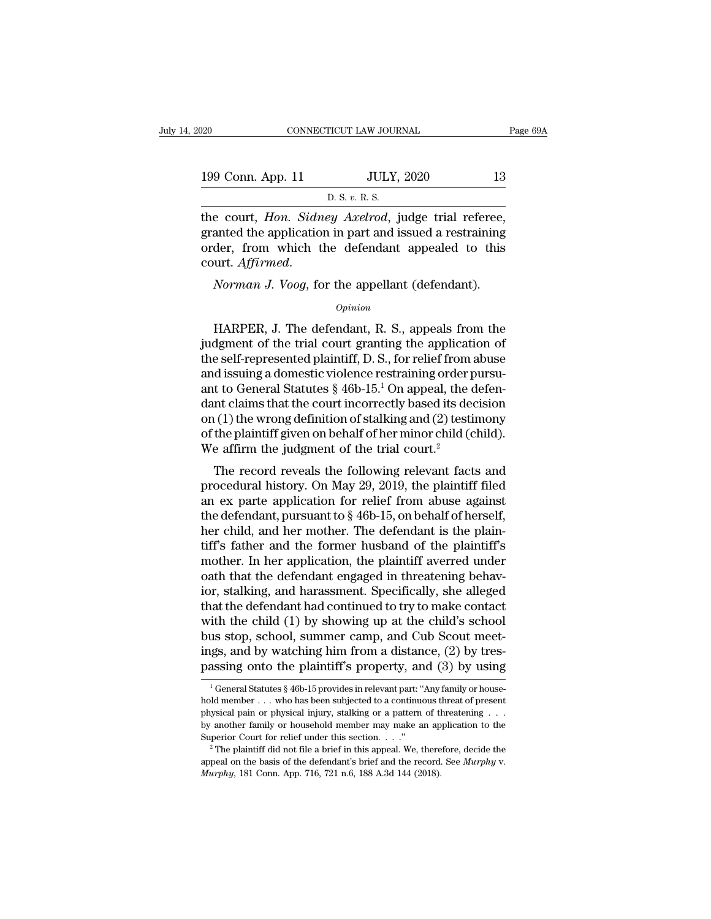| 020               | CONNECTICUT LAW JOURNAL                                 | Page 69A |
|-------------------|---------------------------------------------------------|----------|
| 199 Conn. App. 11 | <b>JULY, 2020</b>                                       | 13       |
|                   | D. S. v. R. S.                                          |          |
|                   | the court <i>Hon Sidney Arelved</i> judge trial referee |          |

The court, *Hon.* Sidney Axelrod, judge trial referee,<br>granted the application in part and issued a restraining<br>order, from which the defendant appealed to this 199 Conn. App. 11 JULY, 2020 13<br>
D. S. v. R. S.<br>
the court, *Hon. Sidney Axelrod*, judge trial referee,<br>
granted the application in part and issued a restraining<br>
order, from which the defendant appealed to this<br>
court *Af* 199 Conn. App. 11 JULY, 2020 13<br>
D. S. v. R. S.<br>
the court, *Hon. Sidney Axelrod*, judge trial referee,<br>
granted the application in part and issued a restraining<br>
order, from which the defendant appealed to this<br>
court. D. S. v. R. S.<br>
the court, *Hon. Sidney Axelrod*, judge trial referee,<br>
granted the application in part and issued a restraining<br>
order, from which the defendant appealed to this<br>
court. *Affirmed.*<br> *Norman J. Voog*, for anted the application in part and issued a restraining<br>der, from which the defendant appealed to this<br>urt. *Affirmed.*<br>Norman J. Voog, for the appellant (defendant).<br>Opinion<br>HARPER, J. The defendant, R. S., appeals from th

### *Opinion*

order, from which the defendant appeared to this<br>court. *Affirmed.*<br>*Opinion*<br>*Opinion*<br>HARPER, J. The defendant, R. S., appeals from the<br>judgment of the trial court granting the application of<br>the self-represented plainti Fourt. Affirmed.<br>
Norman J. Voog, for the appellant (defendant).<br>  $\frac{1}{\text{Spin}}$ <br>
HARPER, J. The defendant, R. S., appeals from the<br>
judgment of the trial court granting the application of<br>
the self-represented plaintiff, D *Norman J. Voog*, for the appellant (defendant).<br> *Opinion*<br>
HARPER, J. The defendant, R. S., appeals from the<br>
judgment of the trial court granting the application of<br>
the self-represented plaintiff, D. S., for relief fro *Opinion*<br>
HARPER, J. The defendant, R. S., appeals from the<br>
judgment of the trial court granting the application of<br>
the self-represented plaintiff, D. S., for relief from abuse<br>
and issuing a domestic violence restrain  $\Phi$ <br>
HARPER, J. The defendant, R. S., appeals from the<br>
judgment of the trial court granting the application of<br>
the self-represented plaintiff, D. S., for relief from abuse<br>
and issuing a domestic violence restraining o HARPER, J. The defendant, R. S., appeals from the<br>judgment of the trial court granting the application of<br>the self-represented plaintiff, D. S., for relief from abuse<br>and issuing a domestic violence restraining order purs judgment of the trial court granting the application of<br>the self-represented plaintiff, D. S., for relief from abuse<br>and issuing a domestic violence restraining order pursu-<br>ant to General Statutes § 46b-15.<sup>1</sup> On appeal, the self-represented plaintiff, D. S., for relief from and issuing a domestic violence restraining order p<br>ant to General Statutes  $\S$  46b-15.<sup>1</sup> On appeal, the c<br>dant claims that the court incorrectly based its dee<br>on (1 It is determined a statute of the resulting of the defen-<br>
at to General Statutes § 46b-15.<sup>1</sup> On appeal, the defen-<br>
at claims that the court incorrectly based its decision<br>
(1) the wrong definition of stalking and (2) t ant to defieral statutes  $\frac{1}{8}$  400-10. On appear, the definition on (1) the wrong definition of stalking and (2) testimony of the plaintiff given on behalf of her minor child (child). We affirm the judgment of the tri

dant claims that the court incorrectly based its decision<br>on (1) the wrong definition of stalking and (2) testimony<br>of the plaintiff given on behalf of her minor child (child).<br>We affirm the judgment of the trial court.<sup>2</sup> on (1) the wrong demition of standing and (2) testimony<br>of the plaintiff given on behalf of her minor child (child).<br>We affirm the judgment of the trial court.<sup>2</sup><br>The record reveals the following relevant facts and<br>proced or the planting given on behan of her nunor child (child).<br>We affirm the judgment of the trial court.<sup>2</sup><br>The record reveals the following relevant facts and<br>procedural history. On May 29, 2019, the plaintiff filed<br>an ex p The record reveals the following relevant facts and<br>procedural history. On May 29, 2019, the plaintiff filed<br>an ex parte application for relief from abuse against<br>the defendant, pursuant to  $\S 46b-15$ , on behalf of hersel The record reveals the following relevant facts and<br>procedural history. On May 29, 2019, the plaintiff filed<br>an ex parte application for relief from abuse against<br>the defendant, pursuant to § 46b-15, on behalf of herself,<br> procedural history. On May 29, 2019, the plaintiff filed<br>an ex parte application for relief from abuse against<br>the defendant, pursuant to § 46b-15, on behalf of herself,<br>her child, and her mother. The defendant is the plai an ex parte application for relief from abuse against<br>the defendant, pursuant to  $\S$  46b-15, on behalf of herself,<br>her child, and her mother. The defendant is the plain-<br>tiff's father and the former husband of the plainti the defendant, pursuant to  $\S$  46b-15, on behalf of herself,<br>her child, and her mother. The defendant is the plain-<br>tiff's father and the former husband of the plaintiff's<br>mother. In her application, the plaintiff averred her child, and her mother. The defendant is the plain-<br>tiff's father and the former husband of the plaintiff's<br>mother. In her application, the plaintiff averred under<br>oath that the defendant engaged in threatening behav-<br>i tiff's father and the former husband of the plaintiff's<br>mother. In her application, the plaintiff averred under<br>oath that the defendant engaged in threatening behav-<br>ior, stalking, and harassment. Specifically, she allege mother. In her application, the plaintiff averred under<br>oath that the defendant engaged in threatening behav-<br>ior, stalking, and harassment. Specifically, she alleged<br>that the defendant had continued to try to make contact oath that the defendant engaged in threatening behav-<br>ior, stalking, and harassment. Specifically, she alleged<br>that the defendant had continued to try to make contact<br>with the child (1) by showing up at the child's school<br> 1 th the child (1) by showing up at the child's school<br>us stop, school, summer camp, and Cub Scout meet-<br>gs, and by watching him from a distance, (2) by tres-<br>assing onto the plaintiff's property, and (3) by using<br><sup>1</sup> Gen bus stop, school, summer camp, and Cub Scout meetings, and by watching him from a distance, (2) by trespassing onto the plaintiff's property, and (3) by using  $\frac{1}{1}$  General Statutes § 46b-15 provides in relevant part:

ings, and by watching him from a distance, (2) by tres-<br>passing onto the plaintiff's property, and (3) by using<br> $\frac{1}{1}$ General Statutes § 46b-15 provides in relevant part: "Any family or house-<br>hold member . . . who has passing onto the plaintiff's property, and (3) by using<br>
<sup>1</sup> General Statutes § 46b-15 provides in relevant part: "Any family or house-<br>
hold member ... who has been subjected to a continuous threat of present<br>
physical p passing Office plaintiff is property, and (3) by using<br>  $\frac{1}{2}$  General Statutes § 46b-15 provides in relevant part: "Any family or house-<br>
hold member ... who has been subjected to a continuous threat of present<br>
physi application the basis of the defendant's brief and the record. The defendant of present physical pain or physical injury, stalking or a pattern of threatening . . . by another family or household member may make an applica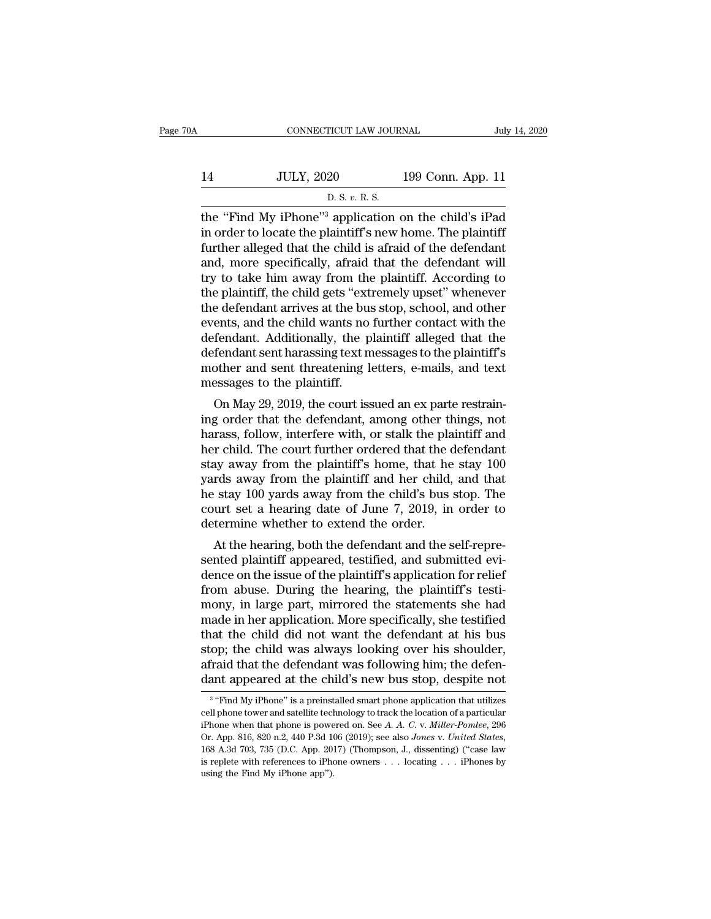| A  | CONNECTICUT LAW JOURNAL                                           |                   | July 14, 2020 |
|----|-------------------------------------------------------------------|-------------------|---------------|
| 14 | <b>JULY, 2020</b>                                                 | 199 Conn. App. 11 |               |
|    | D. S. v. R. S.                                                    |                   |               |
|    | the "Find My iPhone" <sup>3</sup> application on the child's iPad |                   |               |

CONNECTICUT LAW JOURNAL July 14, 2020<br>199 Conn. App. 11<br>14 JULY, 2020 199 Conn. App. 11<br>15 D. S. v. R. S.<br>12 The "Find My iPhone"<sup>3</sup> application on the child's iPad<br>18 in order to locate the plaintiff's new home. The plai <sup>14</sup> JULY, 2020 <sup>199</sup> Conn. App. 11<br>
<sup>D. S. v. R. s.<br>
the "Find My iPhone"<sup>3</sup> application on the child's iPad<br>
in order to locate the plaintiff's new home. The plaintiff<br>
further alleged that the child is afraid of the de</sup> Further alleged that the child's afraid of the defendant<br>the "Find My iPhone"<sup>3</sup> application on the child's iPad<br>in order to locate the plaintiff's new home. The plaintiff<br>further alleged that the child is afraid of the d 14 JULY, 2020 199 Conn. App. 11<br>
D. S. v. R. S.<br>
the "Find My iPhone"<sup>3</sup> application on the child's iPad<br>
in order to locate the plaintiff's new home. The plaintiff<br>
further alleged that the child is afraid of the defenda D. S. v. R. S.<br>D. S. v. R. S.<br>the "Find My iPhone"<sup>3</sup> application on the child's iPad<br>in order to locate the plaintiff's new home. The plaintiff<br>further alleged that the child is afraid of the defendant<br>and, more specific  $\frac{1}{2}$  b. s. v. k. s.<br>the "Find My iPhone"<sup>3</sup> application on the child's iPad<br>in order to locate the plaintiff's new home. The plaintiff<br>further alleged that the child is afraid of the defendant<br>and, more specifically, the "Find My iPhone"<sup>3</sup> application on the child's iPad<br>in order to locate the plaintiff's new home. The plaintiff<br>further alleged that the child is afraid of the defendant<br>and, more specifically, afraid that the defendant in order to locate the plaintiff's new home. The plaintiff<br>further alleged that the child is afraid of the defendant<br>and, more specifically, afraid that the defendant will<br>try to take him away from the plaintiff. According further alleged that the child is afraid of the defendant<br>and, more specifically, afraid that the defendant will<br>try to take him away from the plaintiff. According to<br>the plaintiff, the child gets "extremely upset" wheneve and, more specifically, afraid that the defendant will<br>try to take him away from the plaintiff. According to<br>the plaintiff, the child gets "extremely upset" whenever<br>the defendant arrives at the bus stop, school, and other try to take him away from the plaintiff. According to<br>the plaintiff, the child gets "extremely upset" whenever<br>the defendant arrives at the bus stop, school, and other<br>events, and the child wants no further contact with th the plaintiff, the child gets "ext<br>the defendant arrives at the bu<br>events, and the child wants no<br>defendant. Additionally, the p<br>defendant sent harassing text n<br>mother and sent threatening l<br>messages to the plaintiff.<br>On M e defendant arrives at the bus stop, school, and other<br>ents, and the child wants no further contact with the<br>fendant sent harassing text messages to the plaintiff's<br>other and sent threatening letters, e-mails, and text<br>ess events, and the child wants no further contact with the<br>defendant . Additionally, the plaintiff alleged that the<br>defendant sent harassing text messages to the plaintiff's<br>mother and sent threatening letters, e-mails, and t

defendant. Additionally, the plaintiff aneged that the<br>defendant sent harassing text messages to the plaintiff's<br>mother and sent threatening letters, e-mails, and text<br>messages to the plaintiff.<br>On May 29, 2019, the court defendant sent narassing text messages to the plaintin's<br>mother and sent threatening letters, e-mails, and text<br>messages to the plaintiff.<br>On May 29, 2019, the court issued an ex parte restrain-<br>ing order that the defendan mouter and sent threatening letters, e-mails, and text<br>messages to the plaintiff.<br>On May 29, 2019, the court issued an ex parte restrain-<br>ing order that the defendant, among other things, not<br>harass, follow, interfere with on May 29, 2019, the court issued an ex parte restrain-<br>ing order that the defendant, among other things, not<br>harass, follow, interfere with, or stalk the plaintiff and<br>her child. The court further ordered that the defend On May 29, 2019, the court issued an ex parte restraining order that the defendant, among other things, not harass, follow, interfere with, or stalk the plaintiff and her child. The court further ordered that the defendant ing order that the defendant, among other things, not<br>harass, follow, interfere with, or stalk the plaintiff and<br>her child. The court further ordered that the defendant<br>stay away from the plaintiff's home, that he stay 100 harass, follow, interfere with, or stalk the pla<br>her child. The court further ordered that the c<br>stay away from the plaintiff's home, that he<br>yards away from the plaintiff and her child,<br>he stay 100 yards away from the chi Frequity away from the plaintiff's home, that he defendant<br>ay away from the plaintiff's home, that he stay 100<br>rds away from the plaintiff and her child, and that<br>actay 100 yards away from the child's bus stop. The<br>urt set stay away from the plaintiff and her child, and that<br>he stay 100 yards away from the child's bus stop. The<br>court set a hearing date of June 7, 2019, in order to<br>determine whether to extend the order.<br>At the hearing, both t

yards away from the plaintiff and her child, and that<br>he stay 100 yards away from the child's bus stop. The<br>court set a hearing date of June 7, 2019, in order to<br>determine whether to extend the order.<br>At the hearing, both from abuse. During the final statements of the testified<br>from abuse. The court set a hearing date of June 7, 2019, in order to<br>determine whether to extend the order.<br>At the hearing, both the defendant and the self-repre-<br>s court set a nearing date of June  $t$ , 2019, in order to<br>determine whether to extend the order.<br>At the hearing, both the defendant and the self-repre-<br>sented plaintiff appeared, testified, and submitted evi-<br>dence on the i determine whether to extend the order.<br>At the hearing, both the defendant and the self-repre-<br>sented plaintiff appeared, testified, and submitted evi-<br>dence on the issue of the plaintiff's application for relief<br>from abuse At the hearing, both the defendant and the self-repre-<br>sented plaintiff appeared, testified, and submitted evi-<br>dence on the issue of the plaintiff's application for relief<br>from abuse. During the hearing, the plaintiff's t sented plaintiff appeared, testified, and submitted evidence on the issue of the plaintiff's application for relief from abuse. During the hearing, the plaintiff's testimony, in large part, mirrored the statements she had dence on the issue of the plaintiff's application for relief<br>from abuse. During the hearing, the plaintiff's testi-<br>mony, in large part, mirrored the statements she had<br>made in her application. More specifically, she testi from abuse. During the hearing, the plaintiff's testi-<br>mony, in large part, mirrored the statements she had<br>made in her application. More specifically, she testified<br>that the child did not want the defendant at his bus<br>st at the child did not want the defendant at his bus<br>
op; the child was always looking over his shoulder,<br>
raid that the defendant was following him; the defen-<br>
int appeared at the child's new bus stop, despite not<br>
"Find M stop; the child was always looking over his shoulder,<br>afraid that the defendant was following him; the defen-<br>dant appeared at the child's new bus stop, despite not<br> $\frac{3}{4}$ "Find My iPhone" is a preinstalled smart phone

 $3$  "Find afraid that the defendant was following him; the defendant appeared at the child's new bus stop, despite not <sup>3</sup> "Find My iPhone" is a preinstalled smart phone application that utilizes cell phone tower and satellite techn dant appeared at the child's new bus stop, despite not<br><sup>3</sup> "Find My iPhone" is a preinstalled smart phone application that utilizes<br>cell phone tower and satellite technology to track the location of a particular<br>iPhone whe <sup>3</sup> "Find My iPhone" is a preinstalled smart phone application that utilizes cell phone tower and satellite technology to track the location of a particular iPhone when that phone is powered on. See *A. A. C. v. Miller-Po* cell phone tower and satellite technology to track the location of a particular iPhone when that phone is powered on. See A. A. C. v. Miller-Pomlee, 296 Or. App. 816, 820 n.2, 440 P.3d 106 (2019); see also *Jones* v. *Uni*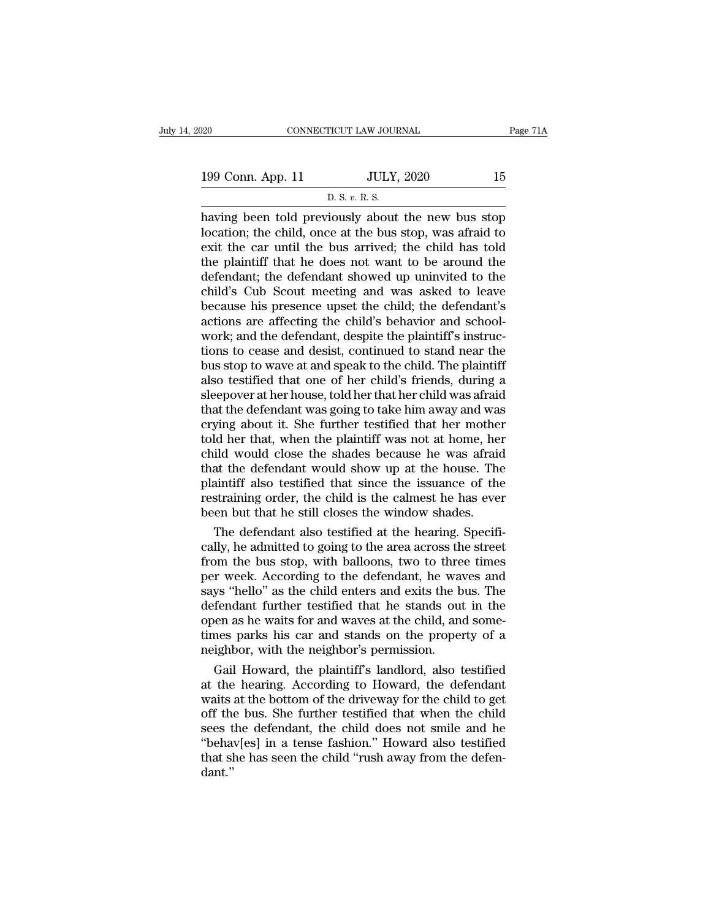199 Conn. App. 11 JULY, 2020 15<br>
D. S. v. R. S. ricut law jour<br>JULY,<br><u>D. S. v. R. S.</u><br>jously about

 $\begin{array}{ll}\n 0.20 & \text{COMRECTICUT LAW JOURNAL} & \text{Page 71A} \\
 \hline\n 199 & \text{Conn. App. 11} & \text{JULY, } 2020 & \text{15} \\
 \hline\n & \text{D. S. } v. R. S.\n \end{array}$ 199 Conn. App. 11 JULY, 2020 15<br>
D. S. v. R. S.<br>
having been told previously about the new bus stop<br>
location; the child, once at the bus stop, was afraid to<br>
exit the car until the bus arrived; the child has told<br>
the pl 199 Conn. App. 11 JULY, 2020 15<br>
D. S. v. R. S.<br>
having been told previously about the new bus stop<br>
location; the child, once at the bus stop, was afraid to<br>
exit the car until the bus arrived; the child has told<br>
the pl 199 Conn. App. 11 JULY, 2020 15<br>
D. S. v. R. S.<br>
having been told previously about the new bus stop<br>
location; the child, once at the bus stop, was afraid to<br>
exit the car until the bus arrived; the child has told<br>
the pl D. S. v. R. S.<br>D. S. v. R. S.<br>having been told previously about the new bus stop<br>location; the child, once at the bus stop, was afraid to<br>exit the car until the bus arrived; the child has told<br>the plaintiff that he does n  $\sim$  D. S. v. R. S.<br>having been told previously about the new bus stop<br>location; the child, once at the bus stop, was afraid to<br>exit the car until the bus arrived; the child has told<br>the plaintiff that he does not want to having been told previously about the new bus stop<br>location; the child, once at the bus stop, was afraid to<br>exit the car until the bus arrived; the child has told<br>the plaintiff that he does not want to be around the<br>defend location; the child, once at the bus stop, was afraid to exit the car until the bus arrived; the child has told the plaintiff that he does not want to be around the defendant; the defendant showed up uninvited to the child exit the car until the bus arrived; the child has told<br>the plaintiff that he does not want to be around the<br>defendant; the defendant showed up uninvited to the<br>child's Cub Scout meeting and was asked to leave<br>because his p the plaintiff that he does not want to be around the defendant; the defendant showed up uninvited to the child's Cub Scout meeting and was asked to leave because his presence upset the child; the defendant's actions are af defendant; the defendant showed up uninvited to the child's Cub Scout meeting and was asked to leave because his presence upset the child; the defendant's actions are affecting the child's behavior and schoolwork; and the child's Cub Scout meeting and was asked to leave<br>because his presence upset the child; the defendant's<br>actions are affecting the child's behavior and school-<br>work; and the defendant, despite the plaintiff's instruc-<br>tions because his presence upset the child; the defendant's<br>actions are affecting the child's behavior and school-<br>work; and the defendant, despite the plaintiff's instruc-<br>tions to cease and desist, continued to stand near the<br> actions are affecting the child's behavior and school-<br>work; and the defendant, despite the plaintiff's instruc-<br>tions to cease and desist, continued to stand near the<br>bus stop to wave at and speak to the child. The plaint work; and the defendant, despite the plaintiff's instructions to cease and desist, continued to stand near the<br>bus stop to wave at and speak to the child. The plaintiff<br>also testified that one of her child's friends, durin tions to cease and desist, continued to stand near the<br>bus stop to wave at and speak to the child. The plaintiff<br>also testified that one of her child's friends, during a<br>sleepover at her house, told her that her child was bus stop to wave at and speak to the child. The plaintiff<br>also testified that one of her child's friends, during a<br>sleepover at her house, told her that her child was afraid<br>that the defendant was going to take him away an also testified that one of her child's friends, during a<br>sleepover at her house, told her that her child was afraid<br>that the defendant was going to take him away and was<br>crying about it. She further testified that her moth sleepover at her house, told her that her child was afraid<br>that the defendant was going to take him away and was<br>crying about it. She further testified that her mother<br>told her that, when the plaintiff was not at home, her that the defendant was going to take him away and was<br>crying about it. She further testified that her mother<br>told her that, when the plaintiff was not at home, her<br>child would close the shades because he was afraid<br>that th crying about it. She further testified that her mother told her that, when the plaintiff was not at home, here child would close the shades because he was afraited that the defendant would show up at the house. The plainti Id her that, when the plaintiff was not at home, her<br>ild would close the shades because he was afraid<br>at the defendant would show up at the house. The<br>aintiff also testified that since the issuance of the<br>straining order, child would close the shades because he was afraid<br>that the defendant would show up at the house. The<br>plaintiff also testified that since the issuance of the<br>restraining order, the child is the calmest he has ever<br>been but

that the defendant would show up at the house. The<br>plaintiff also testified that since the issuance of the<br>restraining order, the child is the calmest he has ever<br>been but that he still closes the window shades.<br>The defend plaintiff also testified that since the issuance of the<br>restraining order, the child is the calmest he has ever<br>been but that he still closes the window shades.<br>The defendant also testified at the hearing. Specifi-<br>cally, restraining order, the child is the calmest he has ever<br>been but that he still closes the window shades.<br>The defendant also testified at the hearing. Specifi-<br>cally, he admitted to going to the area across the street<br>from been but that he still closes the window shades.<br>The defendant also testified at the hearing. Specifically, he admitted to going to the area across the street<br>from the bus stop, with balloons, two to three times<br>per week. The defendant also testified at the hearing. Specifically, he admitted to going to the area across the street<br>from the bus stop, with balloons, two to three times<br>per week. According to the defendant, he waves and<br>says "he cally, he admitted to going to the area across the street<br>from the bus stop, with balloons, two to three times<br>per week. According to the defendant, he waves and<br>says "hello" as the child enters and exits the bus. The<br>defe from the bus stop, with balloons, two to thre<br>per week. According to the defendant, he was<br>says "hello" as the child enters and exits the b<br>defendant further testified that he stands out<br>open as he waits for and waves at t r week. According to the defendant, he waves and<br>ys "hello" as the child enters and exits the bus. The<br>fendant further testified that he stands out in the<br>en as he waits for and waves at the child, and some-<br>mes parks his says "hello" as the child enters and exits the bus. The<br>defendant further testified that he stands out in the<br>open as he waits for and waves at the child, and some-<br>times parks his car and stands on the property of a<br>neigh

defendant further testified that he stands out in the<br>open as he waits for and waves at the child, and some-<br>times parks his car and stands on the property of a<br>neighbor, with the neighbor's permission.<br>Gail Howard, the pl open as he waits for and waves at the child, and some-<br>times parks his car and stands on the property of a<br>neighbor, with the neighbor's permission.<br>Gail Howard, the plaintiff's landlord, also testified<br>at the hearing. Acc times parks his car and stands on the property of a<br>neighbor, with the neighbor's permission.<br>Gail Howard, the plaintiff's landlord, also testified<br>at the hearing. According to Howard, the defendant<br>waits at the bottom of neighbor, with the neighbor's permission.<br>
Gail Howard, the plaintiff's landlord, also testified<br>
at the hearing. According to Howard, the defendant<br>
waits at the bottom of the driveway for the child to get<br>
off the bus. S Gail Howard, the plaintiff's landlord, also testified<br>at the hearing. According to Howard, the defendant<br>waits at the bottom of the driveway for the child to get<br>off the bus. She further testified that when the child<br>sees dant.''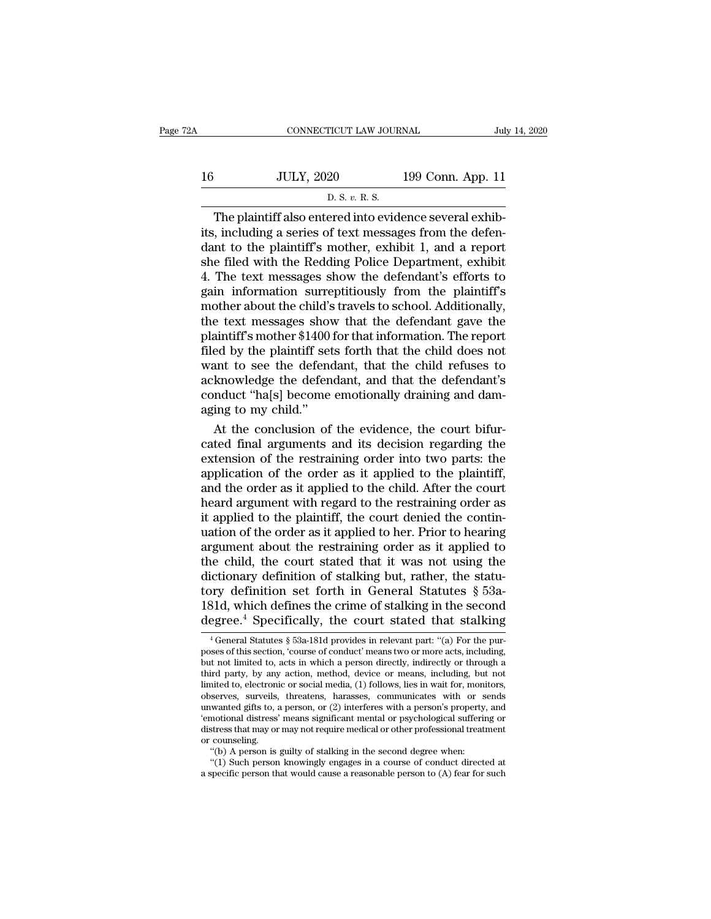| 2A | CONNECTICUT LAW JOURNAL                                 |                   | July 14, 2020 |
|----|---------------------------------------------------------|-------------------|---------------|
| 16 | <b>JULY, 2020</b>                                       | 199 Conn. App. 11 |               |
|    | D. S. v. R. S.                                          |                   |               |
|    | The plaintiff also entered into evidence several exhib- |                   |               |

CONNECTICUT LAW JOURNAL<br>July, 2020 199 Conn. App. 11<br>D. S. v. R. S.<br>The plaintiff also entered into evidence several exhib-<br>i, including a series of text messages from the defen-<br>nt to the plaintiff's mother, exhibit 1, an Its, including a series of text messages from the defendant to the plaintiff's mother, exhibit 1, and a report of the filed with the Bedding Police Department exhibit 16 JULY, 2020 199 Conn. App. 11<br>
D. S. v. R. S.<br>
The plaintiff also entered into evidence several exhibits, including a series of text messages from the defendant to the plaintiff's mother, exhibit 1, and a report she fil 16 JULY, 2020 199 Conn. App. 11<br>
D. S. v. R. S.<br>
The plaintiff also entered into evidence several exhibits, including a series of text messages from the defendant to the plaintiff's mother, exhibit 1, and a report she fil  $\frac{1}{2}$  D. S. v. R. S.<br>D. S. v. R. S.<br>The plaintiff also entered into evidence several exhibits, including a series of text messages from the defendant to the plaintiff's mother, exhibit 1, and a report<br>she filed with t  $\overline{p}$  b. s. v. R. s.<br>The plaintiff also entered into evidence several exhibits, including a series of text messages from the defendant to the plaintiff's mother, exhibit 1, and a report she filed with the Redding Polic The plaintiff also entered into evidence several exhibits, including a series of text messages from the defendant to the plaintiff's mother, exhibit 1, and a report she filed with the Redding Police Department, exhibit 4. its, including a series of text messages from the defendant to the plaintiff's mother, exhibit 1, and a report<br>she filed with the Redding Police Department, exhibit<br>4. The text messages show the defendant's efforts to<br>gain dant to the plaintiff's mother, exhibit 1, and a report<br>she filed with the Redding Police Department, exhibit<br>4. The text messages show the defendant's efforts to<br>gain information surreptitiously from the plaintiff's<br>mothe she filed with the Redding Police Department, exhibit 4. The text messages show the defendant's efforts to gain information surreptitiously from the plaintiff's mother about the child's travels to school. Additionally, the 4. The text messages show the defendant's efforts to<br>gain information surreptitiously from the plaintiff's<br>mother about the child's travels to school. Additionally,<br>the text messages show that the defendant gave the<br>plaint gain information surreptitiously from the plaintiff's<br>mother about the child's travels to school. Additionally,<br>the text messages show that the defendant gave the<br>plaintiff's mother \$1400 for that information. The report<br>f mother about the child's travels to school. Additionally,<br>the text messages show that the defendant gave the<br>plaintiff's mother \$1400 for that information. The report<br>filed by the plaintiff sets forth that the child does n the text messages show<br>plaintiff's mother \$1400<br>filed by the plaintiff set<br>want to see the defend<br>acknowledge the defend<br>conduct "ha[s] become<br>aging to my child."<br>At the conclusion of Multiff's mother \$1400 for that information. The report<br>ed by the plaintiff sets forth that the child does not<br>ant to see the defendant, that the child refuses to<br>knowledge the defendant, and that the defendant's<br>nduct "ha filed by the plaintiff sets forth that the child does not<br>want to see the defendant, that the child refuses to<br>acknowledge the defendant, and that the defendant's<br>conduct "ha[s] become emotionally draining and dam-<br>aging t

want to see the defendant, that the child refuses to<br>acknowledge the defendant, and that the defendant's<br>conduct "ha[s] become emotionally draining and dam-<br>aging to my child."<br>At the conclusion of the evidence, the court acknowledge the defendant, and that the defendant's<br>conduct "ha[s] become emotionally draining and dam-<br>aging to my child."<br>At the conclusion of the evidence, the court bifur-<br>cated final arguments and its decision regardi conduct "ha|s] become emotionally draining and dam-<br>aging to my child."<br>At the conclusion of the evidence, the court bifur-<br>cated final arguments and its decision regarding the<br>extension of the restraining order into two p aging to my child."<br>At the conclusion of the evidence, the court bifur-<br>cated final arguments and its decision regarding the<br>extension of the restraining order into two parts: the<br>application of the order as it applied to At the conclusion of the evidence, the court bifur-<br>cated final arguments and its decision regarding the<br>extension of the restraining order into two parts: the<br>application of the order as it applied to the child. After the cated final arguments and its decision regarding the extension of the restraining order into two parts: the application of the order as it applied to the child. After the court heard argument with regard to the restraining extension of the restraining order into two parts: the<br>application of the order as it applied to the plaintiff,<br>and the order as it applied to the child. After the court<br>heard argument with regard to the restraining order application of the order as it applied to the plaintiff,<br>and the order as it applied to the child. After the court<br>heard argument with regard to the restraining order as<br>it applied to the plaintiff, the court denied the co and the order as it applied to the child. After the court<br>heard argument with regard to the restraining order as<br>it applied to the plaintiff, the court denied the contin-<br>uation of the order as it applied to her. Prior to heard argument with regard to the restraining order as<br>it applied to the plaintiff, the court denied the contin-<br>uation of the order as it applied to her. Prior to hearing<br>argument about the restraining order as it applied it applied to the plaintiff, the court denied the continuation of the order as it applied to her. Prior to hearing argument about the restraining order as it applied to the child, the court stated that it was not using the uation of the order as it applied to her. Prior to hearing<br>argument about the restraining order as it applied to<br>the child, the court stated that it was not using the<br>dictionary definition of stalking but, rather, the sta dictionary definition of stalking but, rather, the statu-<br>tory definition set forth in General Statutes § 53a-<br>181d, which defines the crime of stalking in the second<br>degree.<sup>4</sup> Specifically, the court stated that stalking tory definition set forth in General Statutes § 53a-181d, which defines the crime of stalking in the second degree.<sup>4</sup> Specifically, the court stated that stalking  $\frac{4 \text{ General Statistics } \S\ 53a-181d \text{ provides in relevant part: } \text{``(a) For the purposes of this section, 'course of conduct' means two or more acts,$ 

<sup>181</sup>d, which defines the crime of stalking in the second degree.<sup>4</sup> Specifically, the court stated that stalking  $\frac{1}{4}$  General Statutes § 53a-181d provides in relevant part: "(a) For the purposes of this section, 'cour 181d, which defines the crime of stalking in the second<br>degree.<sup>4</sup> Specifically, the court stated that stalking<br> $\frac{1}{4}$  General Statutes § 53a-181d provides in relevant part: "(a) For the pur-<br>poses of this section, 'co degree.<sup>4</sup> Specifically, the court stated that stalking  $\frac{1}{4}$  General Statutes § 53a-181d provides in relevant part: "(a) For the purposes of this section, 'course of conduct' means two or more acts, including, but no <sup>1</sup> General Statutes § 53a-181d provides in relevant part: "(a) For the purposes of this section, 'course of conduct' means two or more acts, including, but not limited to, acts in which a person directly, indirectly or t <sup>4</sup> General Statutes § 53a-181d provides in relevant part: "(a) For the purposes of this section, 'course of conduct' means two or more acts, including, but not limited to, acts in which a person directly, indirectly or t poses of this section, 'course of conduct' means two or more acts, including,<br>but not limited to, acts in which a person directly, indirectly or through a<br>third party, by any action, method, device or means, including, but but not limited to, acts in which a person directly, indirectly or through a third party, by any action, method, device or means, including, but not limited to, electronic or social media, (1) follows, lies in wait for, mo third party, by any<br>limited to, electroni<br>observes, surveils,<br>unwanted gifts to, a<br>"emotional distress"<br>distress that may or<br>or counseling.<br>"(b) A person is inted to, electronic or social media, (1) follows, lies in wait for, moniserves, surveils, threatens, harasses, communicates with or s<br>wanted gifts to, a person, or (2) interferes with a person's property<br>notional distress serves, surveils, threatens, harasses, communicates with or sends<br>wanted gifts to, a person, or (2) interferes with a person's property, and<br>notional distress' means significant mental or psychological suffering or<br>stress unwanted gifts to, a person, or (2) interferes with a person's property, and<br>
'emotional distress' means significant mental or psychological suffering or<br>
distress that may or may not require medical or other professional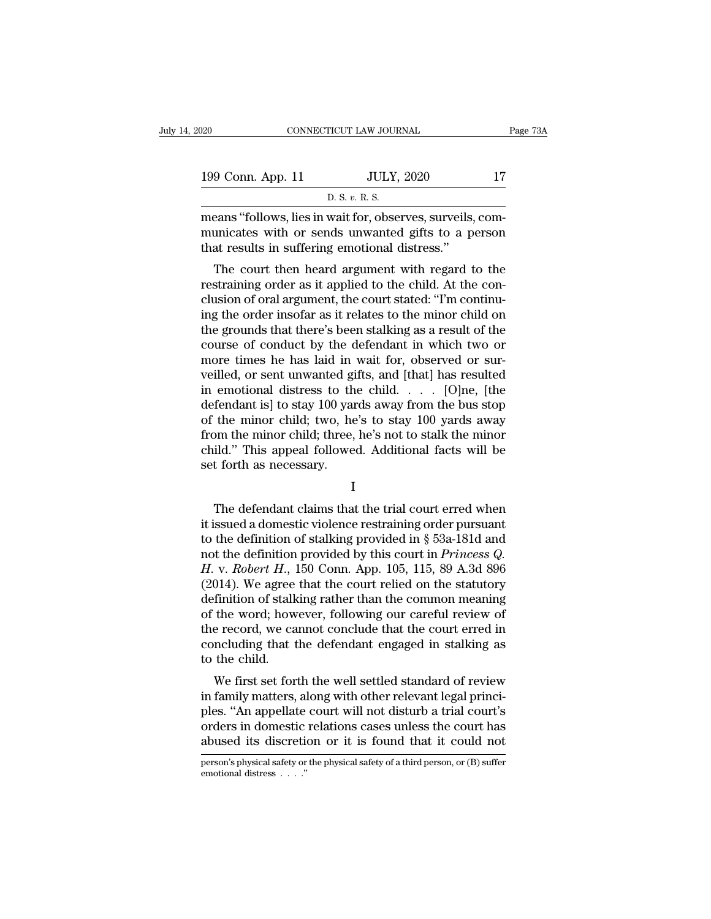| )20               | CONNECTICUT LAW JOURNAL                                | Page 73A |
|-------------------|--------------------------------------------------------|----------|
| 199 Conn. App. 11 | <b>JULY, 2020</b>                                      | 17       |
|                   | D. S. v. R. S.                                         |          |
|                   | means "follows lies in wait for observes surveils com- |          |

CONNECTICUT LAW JOURNAL<br>
199 Conn. App. 11 JULY, 2020 17<br>
D. S. v. R. S.<br>
means "follows, lies in wait for, observes, surveils, com-<br>
municates with or sends unwanted gifts to a person<br>
that results in suffering emotional 199 Conn. App. 11 JULY, 2020 17<br>
D. S. v. R. S.<br>
means "follows, lies in wait for, observes, surveils, com-<br>
municates with or sends unwanted gifts to a person<br>
that results in suffering emotional distress." 199 Conn. App. 11 JULY, 2020<br>
D. S.  $v$ . R. S.<br>
means "follows, lies in wait for, observes, surveils,<br>
municates with or sends unwanted gifts to a p<br>
that results in suffering emotional distress."<br>
The court then heard ar 9 Conn. App. 11 UULY, 2020 17<br>
D. S. v. R. S.<br>
D. S. v. R. S.<br>
D. S. v. R. S.<br>
D. S. v. R. S.<br>
D. S. v. R. S.<br>
D. S. v. R. S.<br>
The court then heard argument with regard to the<br>
straining order as it applied to the child.

 $P$ . S.  $v$ . R. S.<br>
means "follows, lies in wait for, observes, surveils, com-<br>
municates with or sends unwanted gifts to a person<br>
that results in suffering emotional distress."<br>
The court then heard argument with regard means "follows, lies in wait for, observes, surveils, com-<br>municates with or sends unwanted gifts to a person<br>that results in suffering emotional distress."<br>The court then heard argument with regard to the<br>restraining orde means follows, hes in wait for, observes, survens, com-<br>municates with or sends unwanted gifts to a person<br>that results in suffering emotional distress."<br>The court then heard argument with regard to the<br>restraining order a that results in suffering emotional distress."<br>The court then heard argument with regard to the<br>restraining order as it applied to the child. At the con-<br>clusion of oral argument, the court stated: "I'm continu-<br>ing the or The court then heard argument with regard to the<br>restraining order as it applied to the child. At the con-<br>clusion of oral argument, the court stated: "I'm continu-<br>ing the order insofar as it relates to the minor child on The court then heard argument with regard to the restraining order as it applied to the child. At the conclusion of oral argument, the court stated: "I'm continuing the order insofar as it relates to the minor child on the restraining order as it applied to the child. At the conclusion of oral argument, the court stated: "I'm continuing the order insofar as it relates to the minor child on the grounds that there's been stalking as a result o clusion of oral argument, the court stated: "I'm continu-<br>ing the order insofar as it relates to the minor child on<br>the grounds that there's been stalking as a result of the<br>course of conduct by the defendant in which two ing the order insofar as it relates to the minor child on<br>the grounds that there's been stalking as a result of the<br>course of conduct by the defendant in which two or<br>more times he has laid in wait for, observed or sur-<br>ve the grounds that there's been stalking as a result of the course of conduct by the defendant in which two or more times he has laid in wait for, observed or surveilled, or sent unwanted gifts, and [that] has resulted in e course of conduct by the defendant in which two or<br>more times he has laid in wait for, observed or sur-<br>veilled, or sent unwanted gifts, and [that] has resulted<br>in emotional distress to the child. . . . . [O]ne, [the<br>defen more times he has laid in wait for, observed or surveilled, or sent unwanted gifts, and [that] has resulted in emotional distress to the child. . . . . [O]ne, [the defendant is] to stay 100 yards away from the bus stop of veilled, or sent unwanted gi<br>in emotional distress to th<br>defendant is] to stay 100 yar<br>of the minor child; two, he<br>from the minor child; three,<br>child." This appeal followe<br>set forth as necessary. the minor child; two, he's to stay 100 yards away<br>om the minor child; three, he's not to stalk the minor<br>ild." This appeal followed. Additional facts will be<br>t forth as necessary.<br> $I$ <br>The defendant claims that the trial c

I

from the minor child; three, he's not to stalk the minor<br>child." This appeal followed. Additional facts will be<br>set forth as necessary.<br> $I$ <br>The defendant claims that the trial court erred when<br>it issued a domestic violenc child." This appeal followed. Additional facts will be<br>set forth as necessary.<br> $I$ <br>The defendant claims that the trial court erred when<br>it issued a domestic violence restraining order pursuant<br>to the definition of stalkin I<br>
The defendant claims that the trial court erred when<br>
it issued a domestic violence restraining order pursuant<br>
to the definition of stalking provided in § 53a-181d and<br>
not the definition provided by this court in *Pri* <sup>I</sup><br>
The defendant claims that the trial court erred when<br>
it issued a domestic violence restraining order pursuant<br>
to the definition of stalking provided in § 53a-181d and<br>
not the definition provided by this court in *P* The defendant claims that the trial court erred when<br>it issued a domestic violence restraining order pursuant<br>to the definition of stalking provided in § 53a-181d and<br>not the definition provided by this court in *Princess* The defendant claims that the trial court erred when<br>it issued a domestic violence restraining order pursuant<br>to the definition of stalking provided in § 53a-181d and<br>not the definition provided by this court in *Princess* it issued a domestic violence restraining order pursuant<br>to the definition of stalking provided in  $\S$  53a-181d and<br>not the definition provided by this court in *Princess Q.*<br>H. v. *Robert H.*, 150 Conn. App. 105, 115, 89 to the definition of stalking provided in § 53a-181d and<br>not the definition provided by this court in *Princess Q.*<br> $H.$  v. *Robert*  $H.,$  150 Conn. App. 105, 115, 89 A.3d 896<br>(2014). We agree that the court relied on the not the definition provided by this court in *Princess Q.*<br>*H.* v. *Robert H.*, 150 Conn. App. 105, 115, 89 A.3d 896 (2014). We agree that the court relied on the statutory<br>definition of stalking rather than the common me  $H.$  v. Robert  $H.$ , 1<br>(2014). We agree definition of stalk<br>of the word; how<br>the record, we ca<br>concluding that t<br>to the child.<br>We first set for 014). We agree that the Court Feheu on the statutory<br>finition of stalking rather than the common meaning<br>the word; however, following our careful review of<br>e record, we cannot conclude that the court erred in<br>ncluding that definition of starking rather than the contribution meaning<br>of the word; however, following our careful review of<br>the record, we cannot conclude that the court erred in<br>concluding that the defendant engaged in stalking as<br>

be the word, nowever, following our careful review of<br>the record, we cannot conclude that the court erred in<br>concluding that the defendant engaged in stalking as<br>to the child.<br>We first set forth the well settled standard o the record, we cannot conclude that the court erred in<br>concluding that the defendant engaged in stalking as<br>to the child.<br>We first set forth the well settled standard of review<br>in family matters, along with other relevant to the child.<br>We first set forth the well settled standard of review<br>in family matters, along with other relevant legal princi-<br>ples. "An appellate court will not disturb a trial court's<br>orders in domestic relations cases in family matters, along with other relevant legal principles. "An appellate court will not disturb a trial court's orders in domestic relations cases unless the court has abused its discretion or it is found that it could emotional distress . . . .''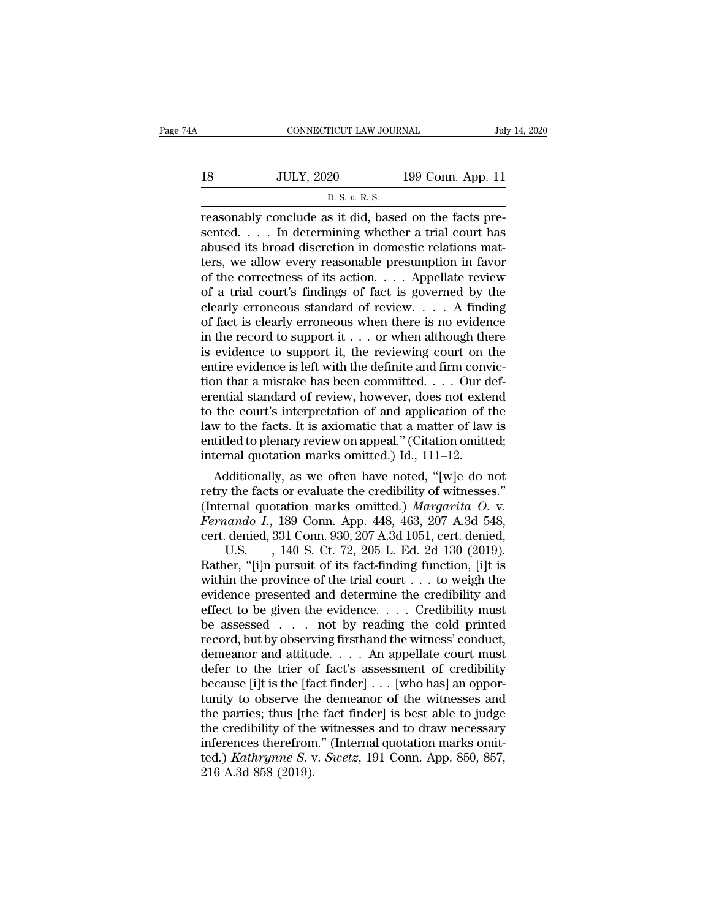|    | CONNECTICUT LAW JOURNAL                               |                   | July 14, 2020 |
|----|-------------------------------------------------------|-------------------|---------------|
| 18 | <b>JULY, 2020</b>                                     | 199 Conn. App. 11 |               |
|    | D. S. v. R. S.                                        |                   |               |
|    | reasonably conclude as it did based on the facts pre- |                   |               |

CONNECTICUT LAW JOURNAL<br>
18 JULY, 2020 199 Conn. App. 11<br>
D. S. v. R. S.<br>
Treasonably conclude as it did, based on the facts pre-<br>
sented.... In determining whether a trial court has  $\n \begin{array}{ll}\n 18 & \text{JULY, } 2020 & \text{199 Conn. App. 11}\n \hline\n & \text{D. S. } v. \text{ R. S.}\n \end{array}\n \quad \text{reasonably conclude as it did, based on the facts presented. . . . In determining whether a trial court has abused its broad discretion in domestic relations matters, we allow every reasonable prescription in favor.$ 18 JULY, 2020 199 Conn. App. 11<br>
D. S. v. R. S.<br>
reasonably conclude as it did, based on the facts pre-<br>
sented. . . . In determining whether a trial court has<br>
abused its broad discretion in domestic relations mat-<br>
ters 18 JULY, 2020 199 Conn. App. 11<br>
D. S. v. R. S.<br>
Treasonably conclude as it did, based on the facts pre-<br>
sented. . . . In determining whether a trial court has<br>
abused its broad discretion in domestic relations mat-<br>
ter D. S. v. R. S.<br>
The correction of the facts pre-<br>
sented. . . . In determining whether a trial court has<br>
abused its broad discretion in domestic relations mat-<br>
ters, we allow every reasonable presumption in favor<br>
of th  $\frac{1}{2}$  b. s. v. R. s.<br>
Feasonably conclude as it did, based on the facts pre-<br>
sented. . . . In determining whether a trial court has<br>
abused its broad discretion in domestic relations mat-<br>
ters, we allow every reason reasonably conclude as it did, based on the facts pre-<br>sented. . . . In determining whether a trial court has<br>abused its broad discretion in domestic relations mat-<br>ters, we allow every reasonable presumption in favor<br>of sented. . . . In determining whether a trial court has<br>abused its broad discretion in domestic relations mat-<br>ters, we allow every reasonable presumption in favor<br>of the correctness of its action. . . . Appellate review<br>o abused its broad discretion in domestic relations matters, we allow every reasonable presumption in favor<br>of the correctness of its action. . . . Appellate review<br>of a trial court's findings of fact is governed by the<br>cle ters, we allow every reasonable presumption in favor<br>of the correctness of its action. . . . Appellate review<br>of a trial court's findings of fact is governed by the<br>clearly erroneous standard of review. . . . A finding<br>of of the correctness of its action. . . . Appellate review<br>of a trial court's findings of fact is governed by the<br>clearly erroneous standard of review. . . . A finding<br>of fact is clearly erroneous when there is no evidence<br> of a trial court's findings of fact is governed by the clearly erroneous standard of review. . . . A finding of fact is clearly erroneous when there is no evidence in the record to support it . . . or when although there clearly erroneous standard of review,  $\dots$  . A finding<br>of fact is clearly erroneous when there is no evidence<br>in the record to support it  $\dots$  or when although there<br>is evidence to support it, the reviewing court on the<br>e of fact is clearly erroneous when there is no evidence<br>in the record to support it . . . or when although there<br>is evidence to support it, the reviewing court on the<br>entire evidence is left with the definite and firm conv in the record to support it  $\ldots$  or when although there is evidence to support it, the reviewing court on the entire evidence is left with the definite and firm conviction that a mistake has been committed.  $\ldots$  Our def is evidence to support it, the reviewing court on the entire evidence is left with the definite and firm conviction that a mistake has been committed. . . . Our deferential standard of review, however, does not extend to entire evidence is left with the definite and firm conv<br>tion that a mistake has been committed.  $\ldots$  Our d<br>erential standard of review, however, does not exte<br>to the court's interpretation of and application of t<br>law to In that a mistake has been committed. . . . Our defendial standard of review, however, does not extend<br>the court's interpretation of and application of the<br>w to the facts. It is axiomatic that a matter of law is<br>titled to erential standard of review, however, does not extend<br>to the court's interpretation of and application of the<br>law to the facts. It is axiomatic that a matter of law is<br>entitled to plenary review on appeal." (Citation omit

to the court's interpretation of and application of the<br>law to the facts. It is axiomatic that a matter of law is<br>entitled to plenary review on appeal." (Citation omitted;<br>internal quotation marks omitted.) Id., 111–12.<br>Ad Fernando I., 189 Conn. 207 A.3d 1051, ert. denied,<br> *Fernando I*., 189 Conn. Appearing the contribution of the facts or evaluate the credibility of witnesses."<br>
(Internal quotation marks omitted.) *Margarita O. v.*<br> *Ferna* entitled to plenary review on appeal." (Citation omitted;<br>internal quotation marks omitted.) Id., 111–12.<br>Additionally, as we often have noted, "[w]e do not<br>retry the facts or evaluate the credibility of witnesses."<br>(Inter raal quotation marks omitted.) Id., 111–12.<br>Iditionally, as we often have noted, "[w]e do not<br> *v* the facts or evaluate the credibility of witnesses."<br>
renal quotation marks omitted.) *Margarita O.* v.<br> *iando I.*, 189 Co Additionally, as we often have noted, "[w]e do not<br>retry the facts or evaluate the credibility of witnesses."<br>(Internal quotation marks omitted.) *Margarita O. v.*<br>*Fernando I.*, 189 Conn. App. 448, 463, 207 A.3d 548,<br>cer retry the facts or evaluate the credibility of witnesses."<br>
(Internal quotation marks omitted.) *Margarita O. v.*<br> *Fernando I.*, 189 Conn. App. 448, 463, 207 A.3d 548,<br>
cert. denied, 331 Conn. 930, 207 A.3d 1051, cert. d (Internal quotation marks omitted.) *Margarita O. v.*<br> *Fernando I.*, 189 Conn. App. 448, 463, 207 A.3d 548, cert. denied, 331 Conn. 930, 207 A.3d 1051, cert. denied, U.S. , 140 S. Ct. 72, 205 L. Ed. 2d 130 (2019).<br>
Rathe Fernando I., 189 Conn. App. 448, 463, 207 A.3d 548,<br>cert. denied, 331 Conn. 930, 207 A.3d 1051, cert. denied,<br>U.S. , 140 S. Ct. 72, 205 L. Ed. 2d 130 (2019).<br>Rather, "[i]n pursuit of its fact-finding function, [i]t is<br>wit cert. denied, 331 Conn. 930, 207 A.3d 1051, cert. denied,<br>U.S. , 140 S. Ct. 72, 205 L. Ed. 2d 130 (2019).<br>Rather, "[i]n pursuit of its fact-finding function, [i]t is<br>within the province of the trial court . . . to weigh th U.S. , 140 S. Ct. 72, 205 L. Ed. 2d 130 (2019).<br>Rather, "[i]n pursuit of its fact-finding function, [i]t is<br>within the province of the trial court . . . to weigh the<br>evidence presented and determine the credibility and<br>ef Rather, "[i]n pursuit of its fact-finding function, [i]t is<br>within the province of the trial court  $\dots$  to weigh the<br>evidence presented and determine the credibility and<br>effect to be given the evidence.  $\dots$  Credibility m within the province of the trial court . . . to weigh the<br>evidence presented and determine the credibility and<br>effect to be given the evidence. . . . Credibility must<br>be assessed . . . not by reading the cold printed<br>reco evidence presented and determine the credibility and effect to be given the evidence. . . . Credibility must be assessed . . . . not by reading the cold printed record, but by observing firsthand the witness' conduct, dem effect to be given the evidence. . . . Credibility must<br>be assessed . . . not by reading the cold printed<br>record, but by observing firsthand the witness' conduct,<br>demeanor and attitude. . . . An appellate court must<br>defer be assessed . . . not by reading the cold printed<br>record, but by observing firsthand the witness' conduct,<br>demeanor and attitude. . . . An appellate court must<br>defer to the trier of fact's assessment of credibility<br>because record, but by observing firsthand the witness' conduct,<br>demeanor and attitude. . . . . An appellate court must<br>defer to the trier of fact's assessment of credibility<br>because [i]t is the [fact finder] . . . [who has] an o demeanor and attitude.... An appellate court must<br>defer to the trier of fact's assessment of credibility<br>because [i]t is the [fact finder] ... [who has] an oppor-<br>tunity to observe the demeanor of the witnesses and<br>the pa defer to the trier of fact's assessment of credibility<br>because [i]t is the [fact finder] . . . [who has] an oppor-<br>tunity to observe the demeanor of the witnesses and<br>the parties; thus [the fact finder] is best able to jud because [i]t is the [fa<br>tunity to observe th<br>the parties; thus [the<br>the credibility of the<br>inferences therefrom<br>ted.) *Kathryme S*.<br>216 A.3d 858 (2019).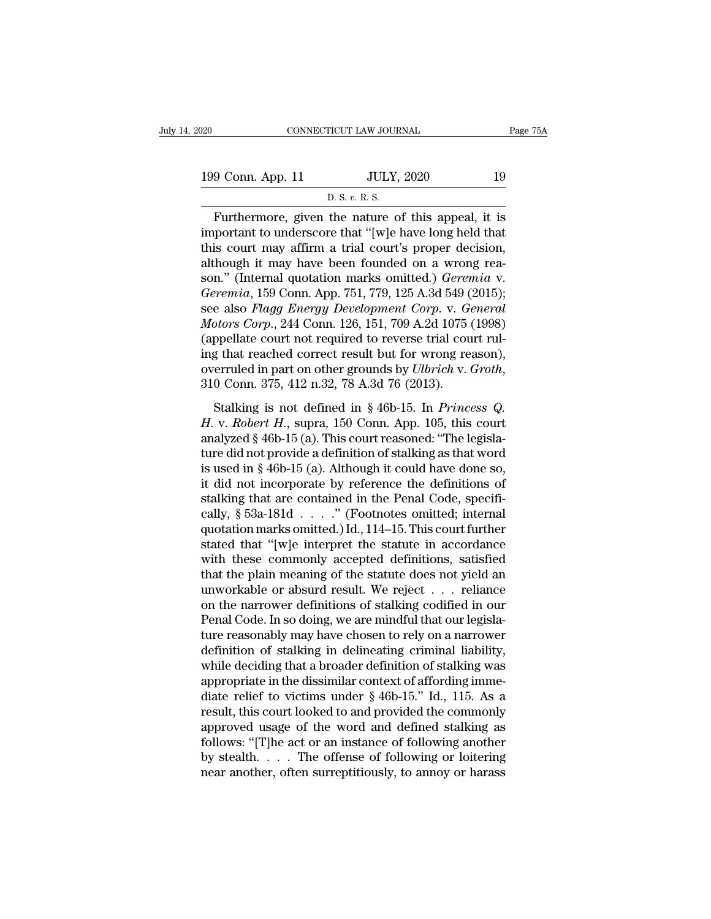| 120               | CONNECTICUT LAW JOURNAL                           | Page 75A |  |
|-------------------|---------------------------------------------------|----------|--|
|                   |                                                   |          |  |
| 199 Conn. App. 11 | <b>JULY, 2020</b>                                 | 19       |  |
|                   | D. S. v. R. S.                                    |          |  |
|                   | Furthermore given the nature of this anneal it is |          |  |

Fage 75A<br>
9 Conn. App. 11 JULY, 2020 19<br>
D. S. v. R. S.<br>
Furthermore, given the nature of this appeal, it is<br>
portant to underscore that "[w]e have long held that<br>
is gourt may affirm a trial gourt's proper docision 199 Conn. App. 11 JULY, 2020 19<br>
D. S. v. R. S.<br>
Furthermore, given the nature of this appeal, it is<br>
important to underscore that "[w]e have long held that<br>
this court may affirm a trial court's proper decision,<br>
althoug 199 Conn. App. 11 JULY, 2020 19<br>
D. S. v. R. S.<br>
Furthermore, given the nature of this appeal, it is<br>
important to underscore that "[w]e have long held that<br>
this court may affirm a trial court's proper decision,<br>
althoug 199 Conn. App. 11 JULY, 2020 19<br>
D. S. v. R. S.<br>
Furthermore, given the nature of this appeal, it is<br>
important to underscore that "[w]e have long held that<br>
this court may affirm a trial court's proper decision,<br>
althoug D. S. v. R. S.<br>
Furthermore, given the nature of this appeal, it is<br>
important to underscore that "[w]e have long held that<br>
this court may affirm a trial court's proper decision,<br>
although it may have been founded on a wr *B. s. v. k. s.*<br> **Furthermore, given the nature of this appeal, it is<br>
important to underscore that "[w]e have long held that<br>
this court may affirm a trial court's proper decision,<br>
although it may have been founded on a** Furthermore, given the nature of this appeal, it is<br>important to underscore that "[w]e have long held that<br>this court may affirm a trial court's proper decision,<br>although it may have been founded on a wrong rea-<br>son." (Int important to underscore that "[w]e have long held that<br>this court may affirm a trial court's proper decision,<br>although it may have been founded on a wrong rea-<br>son." (Internal quotation marks omitted.) *Geremia* v.<br>*Geremi* this court may affirm a trial court's proper decision,<br>although it may have been founded on a wrong rea-<br>son." (Internal quotation marks omitted.) *Geremia v.*<br>*Geremia*, 159 Conn. App. 751, 779, 125 A.3d 549 (2015);<br>see although it may have been founded on a wrong reason." (Internal quotation marks omitted.) *Geremia* v.<br> *Geremia*, 159 Conn. App. 751, 779, 125 A.3d 549 (2015);<br>
see also *Flagg Energy Development Corp.* v. *General*<br> *Mo* son." (Internal quotation marks omitted.) *Geremia v.*<br> *Geremia*, 159 Conn. App. 751, 779, 125 A.3d 549 (2015);<br>
see also *Flagg Energy Development Corp. v. General*<br> *Motors Corp.*, 244 Conn. 126, 151, 709 A.2d 1075 (199 Stalking is not defined in § 46b-15. In *Princess Q.*<br>
we can be verified to reverse trial court rul-<br>
g that reached correct result but for wrong reason),<br>
erruled in part on other grounds by *Ulbrich* v. *Groth*,<br>
0 Conn *Hotors Corp.*, 211 Conn. 120, 191, 109 E.2d 1019 (1999)<br>
(appellate court not required to reverse trial court rul-<br>
ing that reached correct result but for wrong reason),<br>
overruled in part on other grounds by *Ulbrich* v

ing that reached correct result but for wrong reason),<br>overruled in part on other grounds by *Ulbrich* v. *Groth*,<br>310 Conn. 375, 412 n.32, 78 A.3d 76 (2013).<br>Stalking is not defined in § 46b-15. In *Princess Q.*<br>*H. v. R* ture did not be a definition of the definitions of<br>individual not provide a definition. S10 Conn. 375, 412 n.32, 78 A.3d 76 (2013).<br>Stalking is not defined in § 46b-15. In *Princess Q.*<br>H. v. *Robert H.*, supra, 150 Conn. 310 Conn. 375, 412 n.32, 78 A.3d 76 (2013).<br>
Stalking is not defined in § 46b-15. In *Princess Q.*<br> *H. v. Robert H.*, supra, 150 Conn. App. 105, this court<br>
analyzed § 46b-15 (a). This court reasoned: "The legisla-<br>
ture Stalking is not defined in § 46b-15. In *Princess Q.*<br>*H. v. Robert H.*, supra, 150 Conn. App. 105, this court<br>analyzed § 46b-15 (a). This court reasoned: "The legisla-<br>ture did not provide a definition of stalking as tha Stalking is not defined in § 46b-15. In *Princess Q.*<br>*H. v. Robert H.*, supra, 150 Conn. App. 105, this court<br>analyzed § 46b-15 (a). This court reasoned: "The legisla-<br>ture did not provide a definition of stalking as tha *H.* v. *Robert H.*, supra, 150 Conn. App. 105, this court analyzed § 46b-15 (a). This court reasoned: "The legislature did not provide a definition of stalking as that word is used in § 46b-15 (a). Although it could have analyzed § 46b-15 (a). This court reasoned: "The legislature did not provide a definition of stalking as that word<br>is used in § 46b-15 (a). Although it could have done so,<br>it did not incorporate by reference the definitio ture did not provide a definition of stalking as that word<br>
is used in § 46b-15 (a). Although it could have done so,<br>
it did not incorporate by reference the definitions of<br>
stalking that are contained in the Penal Code, is used in § 46b-15 (a). Although it could have done so,<br>it did not incorporate by reference the definitions of<br>stalking that are contained in the Penal Code, specifi-<br>cally, § 53a-181d . . . . ." (Footnotes omitted; inte it did not incorporate by reference the definitions of<br>stalking that are contained in the Penal Code, specifi-<br>cally, § 53a-181d  $\ldots$ ." (Footnotes omitted; internal<br>quotation marks omitted.) Id., 114–15. This court furth stalking that are contained in the Penal Code, specifically,  $\S$  53a-181d . . . . ." (Footnotes omitted; internal quotation marks omitted.) Id., 114–15. This court further stated that "[w]e interpret the statute in accord cally, § 53a-181d  $\ldots$  ." (Footnotes omitted; internal quotation marks omitted.) Id., 114–15. This court further stated that "[w]e interpret the statute in accordance with these commonly accepted definitions, satisfied t quotation marks omitted.) Id., 114–15. This court further<br>stated that "[w]e interpret the statute in accordance<br>with these commonly accepted definitions, satisfied<br>that the plain meaning of the statute does not yield an<br>un stated that "[w]e interpret the statute in accordance<br>with these commonly accepted definitions, satisfied<br>that the plain meaning of the statute does not yield an<br>unworkable or absurd result. We reject . . . reliance<br>on the with these commonly accepted definitions, satisfied<br>that the plain meaning of the statute does not yield an<br>unworkable or absurd result. We reject  $\ldots$  reliance<br>on the narrower definitions of stalking codified in our<br>Pen that the plain meaning of the statute does not yield an unworkable or absurd result. We reject . . . reliance<br>on the narrower definitions of stalking codified in our<br>Penal Code. In so doing, we are mindful that our legisl unworkable or absurd result. We reject  $\ldots$  reliance<br>on the narrower definitions of stalking codified in our<br>Penal Code. In so doing, we are mindful that our legisla-<br>ture reasonably may have chosen to rely on a narrower on the narrower definitions of stalking codified in our<br>Penal Code. In so doing, we are mindful that our legisla-<br>ture reasonably may have chosen to rely on a narrower<br>definition of stalking in delineating criminal liabili Penal Code. In so doing, we are mindful that our legislature reasonably may have chosen to rely on a narrower<br>definition of stalking in delineating criminal liability,<br>while deciding that a broader definition of stalking w ture reasonably may have chosen to rely on a narrower<br>definition of stalking in delineating criminal liability,<br>while deciding that a broader definition of stalking was<br>appropriate in the dissimilar context of affording im definition of stalking in delineating criminal liability,<br>while deciding that a broader definition of stalking was<br>appropriate in the dissimilar context of affording imme-<br>diate relief to victims under § 46b-15." Id., 115. while deciding that a broader definition of stalking was<br>appropriate in the dissimilar context of affording imme-<br>diate relief to victims under § 46b-15." Id., 115. As a<br>result, this court looked to and provided the commo appropriate in the dissimilar context of affording immediate relief to victims under  $\S$  46b-15." Id., 115. As a result, this court looked to and provided the commonly approved usage of the word and defined stalking as fo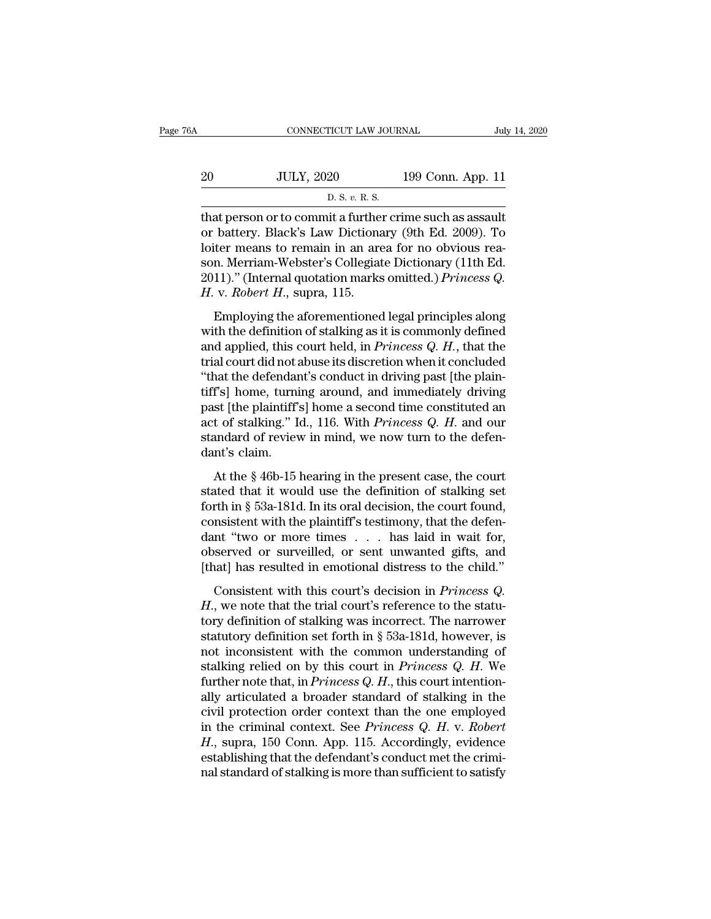| A  | CONNECTICUT LAW JOURNAL                                  |                   | July 14, 2020 |
|----|----------------------------------------------------------|-------------------|---------------|
| 20 | <b>JULY, 2020</b>                                        | 199 Conn. App. 11 |               |
|    | D. S. v. R. S.                                           |                   |               |
|    | that person or to commit a further crime such as assault |                   |               |

CONNECTICUT LAW JOURNAL July 14, 2020<br>
20 JULY, 2020 199 Conn. App. 11<br>
D. S. v. R. S.<br>
That person or to commit a further crime such as assault<br>
or battery. Black's Law Dictionary (9th Ed. 2009). To 20 JULY, 2020 199 Conn. App. 11<br>
D. S. v. R. S.<br>
that person or to commit a further crime such as assault<br>
or battery. Black's Law Dictionary (9th Ed. 2009). To<br>
loiter means to remain in an area for no obvious rea-<br>
son 20 JULY, 2020 199 Conn. App. 11<br>
D. S. v. R. S.<br>
that person or to commit a further crime such as assault<br>
or battery. Black's Law Dictionary (9th Ed. 2009). To<br>
loiter means to remain in an area for no obvious rea-<br>
son. 20 JULY, 2020 199 Conn. App. 11<br>
D. S. v. R. S.<br>
that person or to commit a further crime such as assault<br>
or battery. Black's Law Dictionary (9th Ed. 2009). To<br>
loiter means to remain in an area for no obvious rea-<br>
son. D. S. v. R. S.<br>
That person or to commit a further crime such as assault<br>
or battery. Black's Law Dictionary (9th Ed. 2009). To<br>
loiter means to remain in an area for no obvious rea-<br>
son. Merriam-Webster's Collegiate Dict *H. S. v. R. S.*<br>that person or to commit a furthe<br>or battery. Black's Law Dictiona<br>loiter means to remain in an are<br>son. Merriam-Webster's Collegiat<br>2011)." (Internal quotation marks<br>*H. v. Robert H.*, supra, 115.<br>Employi at person of to commit a rattace ernic such as assault<br>battery. Black's Law Dictionary (9th Ed. 2009). To<br>ter means to remain in an area for no obvious rea-<br>n. Merriam-Webster's Collegiate Dictionary (11th Ed.<br>11)." (Inte between the definition of states in an area for no obvious reason. Merriam-Webster's Collegiate Dictionary (11th Ed. 2011)." (Internal quotation marks omitted.) *Princess Q.*<br>H. v. *Robert H.*, supra, 115.<br>Employing the a

fonter incars to remain in an area for no obvious reason. Merriam-Webster's Collegiate Dictionary (11th Ed. 2011)." (Internal quotation marks omitted.) *Princess Q.* H. v. *Robert H.*, supra, 115.<br>Employing the aforementio 2011)." (Internal website is conceptual precionally (Tiat La.<br>2011)." (Internal quotation marks omitted.) *Princess Q.*<br> $H$ . v. *Robert H.*, supra, 115.<br>Employing the aforementioned legal principles along<br>with the definit *H. v. Robert H.*, supra, 115.<br>
Employing the aforementioned legal principles along<br>
with the definition of stalking as it is commonly defined<br>
and applied, this court held, in *Princess Q. H.*, that the<br>
trial court did Employing the aforementioned legal principles along<br>with the definition of stalking as it is commonly defined<br>and applied, this court held, in *Princess Q. H.*, that the<br>trial court did not abuse its discretion when it co Employing the aforementioned legal principles along<br>with the definition of stalking as it is commonly defined<br>and applied, this court held, in *Princess Q. H.*, that the<br>trial court did not abuse its discretion when it co with the definition of stalking as it is commonly defined<br>and applied, this court held, in *Princess Q. H.*, that the<br>trial court did not abuse its discretion when it concluded<br>"that the defendant's conduct in driving past and applied, this court held, in *Princess Q. H.*, that the trial court did not abuse its discretion when it concluded "that the defendant's conduct in driving past [the plaintiff's] home, turning around, and immediately trial court did not a<br>"that the defendar<br>tiff's] home, turni<br>past [the plaintiff';<br>act of stalking." I<br>standard of reviev<br>dant's claim.<br>At the § 46b-15 ] Fs] home, turning around, and immediately driving<br>f's] home, turning around, and immediately driving<br>st [the plaintiff's] home a second time constituted an<br>t of stalking." Id., 116. With *Princess Q. H.* and our<br>andard of and if the plaintiff's home a second time constituted an act of stalking." Id., 116. With *Princess Q. H.* and our standard of review in mind, we now turn to the defendant's claim.<br>At the § 46b-15 hearing in the present c

past face plants in § 16.00 absorbed and act of stalking." Id., 116. With *Princess Q. H.* and our standard of review in mind, we now turn to the defendant's claim.<br>At the § 46b-15 hearing in the present case, the court s consistent of standard of review in mind, we now turn to the defendant's claim.<br>At the § 46b-15 hearing in the present case, the court stated that it would use the definition of stalking set forth in § 53a-181d. In its or dant's claim.<br>
At the § 46b-15 hearing in the present case, the court<br>
stated that it would use the definition of stalking set<br>
forth in § 53a-181d. In its oral decision, the court found,<br>
consistent with the plaintiff's At the  $\S$  46b-15 hearing in the present case, the court<br>stated that it would use the definition of stalking set<br>forth in  $\S$  53a-181d. In its oral decision, the court found,<br>consistent with the plaintiff's testimony, tha At the § 46b-15 hearing in the present case, the court<br>stated that it would use the definition of stalking set<br>forth in § 53a-181d. In its oral decision, the court found,<br>consistent with the plaintiff's testimony, that th The in § 53a-181d. In its oral decision, the court found,<br>msistent with the plaintiff's testimony, that the defen-<br>nt "two or more times . . . . has laid in wait for,<br>served or surveilled, or sent unwanted gifts, and<br>nat] *Hold II* and accurated, and accurated and accurated consistent with the plaintiff's testimony, that the defendant "two or more times . . . has laid in wait for, observed or surveilled, or sent unwanted gifts, and [that] h

dant "two or more times  $\dots$  has laid in wait for,<br>dant "two or more times  $\dots$  has laid in wait for,<br>observed or surveilled, or sent unwanted gifts, and<br>[that] has resulted in emotional distress to the child."<br>Consistent statutory definition set forth in § 53a-181d, however, is<br>not increase for set that the child."<br>Consistent with this court's decision in *Princess Q.*<br>H., we note that the trial court's reference to the statu-<br>tory defini [that] has resulted in emotional distress to the child."<br>Consistent with this court's decision in *Princess Q.*<br>H., we note that the trial court's reference to the statu-<br>tory definition of stalking was incorrect. The nar Consistent with this court's decision in *Princess Q.*<br> *H.*, we note that the trial court's reference to the statu-<br>
tory definition of stalking was incorrect. The narrower<br>
statutory definition set forth in § 53a-181d, h Consistent with this court's decision in *Princess Q.* H., we note that the trial court's reference to the statu-<br>tory definition of stalking was incorrect. The narrower<br>statutory definition set forth in § 53a-181d, howeve H., we note that the trial court's reference to the statu-<br>tory definition of stalking was incorrect. The narrower<br>statutory definition set forth in § 53a-181d, however, is<br>not inconsistent with the common understanding o tory definition of stalking was incorrect. The narrower<br>statutory definition set forth in § 53a-181d, however, is<br>not inconsistent with the common understanding of<br>stalking relied on by this court in *Princess Q. H.* We<br>f statutory definition set forth in § 53a-181d, however, is<br>not inconsistent with the common understanding of<br>stalking relied on by this court in *Princess Q. H.* We<br>further note that, in *Princess Q. H.*, this court intenti not inconsistent with the common understanding of<br>stalking relied on by this court in *Princess Q. H.* We<br>further note that, in *Princess Q. H.*, this court intention-<br>ally articulated a broader standard of stalking in the stalking relied on by this court in *Princess Q. H.* We further note that, in *Princess Q. H.*, this court intentionally articulated a broader standard of stalking in the civil protection order context than the one employ further note that, in *Princess Q. H.*, this court intentionally articulated a broader standard of stalking in the civil protection order context than the one employed in the criminal context. See *Princess Q. H.* v. *Rob*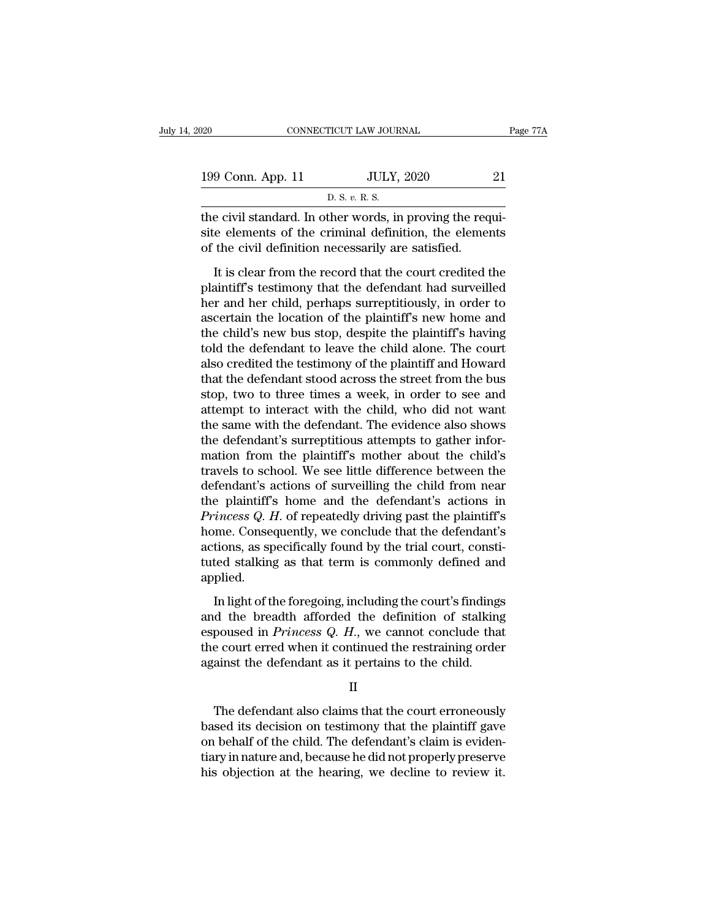| 120                                                       | CONNECTICUT LAW JOURNAL | Page 77A |
|-----------------------------------------------------------|-------------------------|----------|
|                                                           |                         |          |
| 199 Conn. App. 11                                         | <b>JULY, 2020</b>       | 21       |
|                                                           | D. S. v. R. S.          |          |
| the civil standard. In other words, in proving the requi- |                         |          |

the civil standard. In other words, in proving the requisite elements of the civil definition processarily are estisted of the civil definition processarily are estisted 199 Conn. App. 11 JULY, 2020 21<br>
D. S. v. R. S.<br>
the civil standard. In other words, in proving the requisite elements of the criminal definition, the elements<br>
of the civil definition necessarily are satisfied. 199 Conn. App. 11 JULY, 2020<br>
D. S. v. R. S.<br>
the civil standard. In other words, in proving the req<br>
site elements of the criminal definition, the element<br>
of the civil definition necessarily are satisfied.<br>
It is clear  $\frac{10 \text{ L} \times 2020}{\text{D. S. v. R. S.}}$ <br>
E civil standard. In other words, in proving the requi-<br>
de elements of the criminal definition, the elements<br>
the civil definition necessarily are satisfied.<br>
It is clear from the reco

planet is the civil standard. In other words, in proving the requisite elements of the criminal definition, the elements of the civil definition necessarily are satisfied.<br>It is clear from the record that the court credit the civil standard. In other words, in proving the requisite elements of the criminal definition, the elements of the civil definition necessarily are satisfied.<br>It is clear from the record that the court credited the plai as the state and at the state world, in proving the required site elements of the criminal definition, the elements of the civil definition necessarily are satisfied.<br>It is clear from the record that the court credited the the civil definition necessarily are satisfied.<br>It is clear from the record that the court credited the<br>plaintiff's testimony that the defendant had surveilled<br>her and her child, perhaps surreptitiously, in order to<br>ascert It is clear from the record that the court credited the<br>plaintiff's testimony that the defendant had surveilled<br>her and her child, perhaps surreptitiously, in order to<br>ascertain the location of the plaintiff's new home and It is clear from the record that the court credited the<br>plaintiff's testimony that the defendant had surveilled<br>her and her child, perhaps surreptitiously, in order to<br>ascertain the location of the plaintiff's new home and plaintiff's testimony that the defendant had surveilled<br>her and her child, perhaps surreptitiously, in order to<br>ascertain the location of the plaintiff's new home and<br>the child's new bus stop, despite the plaintiff's havin her and her child, perhaps surreptitiously, in order to<br>ascertain the location of the plaintiff's new home and<br>the child's new bus stop, despite the plaintiff's having<br>told the defendant to leave the child alone. The court ascertain the location of the plaintiff's new home and<br>the child's new bus stop, despite the plaintiff's having<br>told the defendant to leave the child alone. The court<br>also credited the testimony of the plaintiff and Howard the child's new bus stop, despite the plaintiff's having<br>told the defendant to leave the child alone. The court<br>also credited the testimony of the plaintiff and Howard<br>that the defendant stood across the street from the bu told the defendant to leave the child alone. The court<br>also credited the testimony of the plaintiff and Howard<br>that the defendant stood across the street from the bus<br>stop, two to three times a week, in order to see and<br>at also credited the testimony of the plaintiff and Howard<br>that the defendant stood across the street from the bus<br>stop, two to three times a week, in order to see and<br>attempt to interact with the child, who did not want<br>the that the defendant stood across the street from the bus<br>stop, two to three times a week, in order to see and<br>attempt to interact with the child, who did not want<br>the same with the defendant. The evidence also shows<br>the def stop, two to three times a week, in order to see and<br>attempt to interact with the child, who did not want<br>the same with the defendant. The evidence also shows<br>the defendant's surreptitious attempts to gather infor-<br>mation attempt to interact with the child, who did not want<br>the same with the defendant. The evidence also shows<br>the defendant's surreptitious attempts to gather infor-<br>mation from the plaintiff's mother about the child's<br>travels the same with the defendant. The evidence also shows<br>the defendant's surreptitious attempts to gather infor-<br>mation from the plaintiff's mother about the child's<br>travels to school. We see little difference between the<br>defe the defendant's surreptitious attempts to gather information from the plaintiff's mother about the child's<br>travels to school. We see little difference between the<br>defendant's actions of surveilling the child from near<br>the mation from the plaintiff's mother about the child's travels to school. We see little difference between the defendant's actions of surveilling the child from near the plaintiff's home and the defendant's actions in *Prin* travels to school. We see little difference between the<br>defendant's actions of surveilling the child from near<br>the plaintiff's home and the defendant's actions in<br>*Princess Q. H.* of repeatedly driving past the plaintiff's applied. Francess Q. H. of repeatedly driving past the plaintiff's<br>me. Consequently, we conclude that the defendant's<br>tions, as specifically found by the trial court, consti-<br>ted stalking as that term is commonly defined and<br>plied France Consequently, we conclude that the defendant's<br>home. Consequently, we conclude that the defendant's<br>actions, as specifically found by the trial court, consti-<br>tuted stalking as that term is commonly defined and<br>app

France Consequently, we conclude that are determined actions, as specifically found by the trial court, constituted stalking as that term is commonly defined and applied.<br>In light of the foregoing, including the court's fi tuted stalking as that term is commonly defined and applied.<br>In light of the foregoing, including the court's findings and the breadth afforded the definition of stalking espoused in  $Priness Q$ .  $H$ , we cannot conclude that th applied.<br>
In light of the foregoing, including the court's finding<br>
and the breadth afforded the definition of stalking<br>
espoused in *Princess Q. H.*, we cannot conclude tha<br>
the court erred when it continued the restrain d the breadth attorded the definition of stalking<br>poused in *Princess Q. H.*, we cannot conclude that<br>e court erred when it continued the restraining order<br>ainst the defendant as it pertains to the child.<br> $II$ <br>The defendan

II

bespoused in *Princess Q. H.*, we cannot conclude that<br>the court erred when it continued the restraining order<br>against the defendant as it pertains to the child.<br> $II$ <br>The defendant also claims that the court erroneously<br>ba the court erred when it continued the restraining order<br>against the defendant as it pertains to the child.<br>II<br>The defendant also claims that the court erroneously<br>based its decision on testimony that the plaintiff gave<br>on against the defendant as it pertains to the child.<br>
II<br>
The defendant also claims that the court erroneously<br>
based its decision on testimony that the plaintiff gave<br>
on behalf of the child. The defendant's claim is eviden II<br>The defendant also claims that the court erroneously<br>based its decision on testimony that the plaintiff gave<br>on behalf of the child. The defendant's claim is eviden-<br>tiary in nature and, because he did not properly pres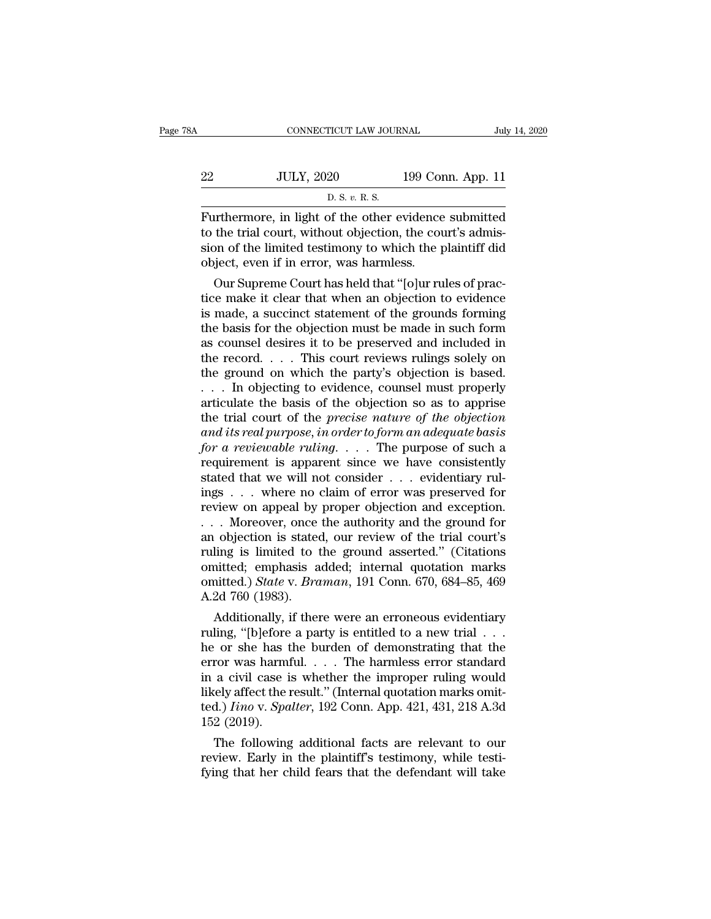| ۱A | CONNECTICUT LAW JOURNAL                              |                   | July 14, 2020 |
|----|------------------------------------------------------|-------------------|---------------|
| 22 | <b>JULY, 2020</b>                                    | 199 Conn. App. 11 |               |
|    | D. S. v. R. S.                                       |                   |               |
|    | Furthermore in light of the other evidence submitted |                   |               |

Furthermore, in light of the other evidence submitted<br>
to the trial court, without objection, the court's admission of the limited to the trial court, without objection, the court's admission of the limited testimony to w 22 JULY, 2020 199 Conn. App. 11<br>
D. S. v. R. S.<br>
Furthermore, in light of the other evidence submitted<br>
to the trial court, without objection, the court's admis-<br>
sion of the limited testimony to which the plaintiff did<br> Since 22 and 199 Conn. App. 11<br>  $\frac{D.S. v. R.S.}{D.S. v. R.S.}$ <br>
Furthermore, in light of the other evidence submitted<br>
to the trial court, without objection, the court's admis-<br>
sion of the limited testimony to which the plainti <u>22 JULY, 2020</u> 199 Com<br>
D. S. v. R. S.<br>
Furthermore, in light of the other evidence<br>
to the trial court, without objection, the coursion of the limited testimony to which the p<br>
object, even if in error, was harmless.<br>
O  $\frac{D.S. v. R.S.}{D.S. v. R.S.}$ <br>
Sum at the trial court, without objection, the court's admission of the limited testimony to which the plaintiff did-<br>
by superme Court has held that "[o]ur rules of prac-<br>
ce make it clear that w Furthermore, in light of the other evidence submitted<br>to the trial court, without objection, the court's admis-<br>sion of the limited testimony to which the plaintiff did<br>object, even if in error, was harmless.<br>Our Supreme C

Furthermore, in light of the other evidence submitted<br>to the trial court, without objection, the court's admis-<br>sion of the limited testimony to which the plaintiff did<br>object, even if in error, was harmless.<br>Our Supreme C to the trial court, without objection, the court's admission of the limited testimony to which the plaintiff did<br>object, even if in error, was harmless.<br>Our Supreme Court has held that "[0]ur rules of prac-<br>tice make it cl sion of the imited testimony to which the plaintiff did<br>object, even if in error, was harmless.<br>Our Supreme Court has held that "[o]ur rules of prac-<br>tice make it clear that when an objection to evidence<br>is made, a succinc object, even if in error, was narmiess.<br>
Our Supreme Court has held that "[o]ur rules of practice make it clear that when an objection to evidence<br>
is made, a succinct statement of the grounds forming<br>
the basis for the ob Our Supreme Court has held that "[o]ur rules of practice make it clear that when an objection to evidence is made, a succinct statement of the grounds forming the basis for the objection must be made in such form as couns tice make it clear that when an objection to evidence<br>is made, a succinct statement of the grounds forming<br>the basis for the objection must be made in such form<br>as counsel desires it to be preserved and included in<br>the rec is made, a succinct statement of the grounds forming<br>the basis for the objection must be made in such form<br>as counsel desires it to be preserved and included in<br>the record.... This court reviews rulings solely on<br>the grou the basis for the objection must be made in such form<br>as counsel desires it to be preserved and included in<br>the record.... This court reviews rulings solely on<br>the ground on which the party's objection is based.<br>... In ob *as counsel desires it to be preserved and included in*<br>the record....This court reviews rulings solely on<br>the ground on which the party's objection is based.<br>... In objecting to evidence, counsel must properly<br>articulate *for a reviews rulings solely on*<br>*for a formal on which the party's objection is based.*<br>*For a reviewable to evidence, counsel must properly*<br>*articulate the basis of the objection so as to apprise*<br>*for a reviewable rul* the ground on which the party's objection is based.<br>  $\dots$  In objecting to evidence, counsel must properly<br>
articulate the basis of the objection so as to apprise<br>
the trial court of the *precise nature of the objection*<br> ... In objecting to evidence, counsel must properly articulate the basis of the objection so as to apprise the trial court of the *precise nature of the objection* and its real purpose, in order to form an adequate basis articulate the basis of the objection so as to apprise<br>the trial court of the *precise nature of the objection*<br>and its real purpose, in order to form an adequate basis<br>for a reviewable ruling.... The purpose of such a<br>re the trial court of the *precise nature of the objection*<br>and its real purpose, in order to form an adequate basis<br>for a reviewable ruling.... The purpose of such a<br>requirement is apparent since we have consistently<br>stated and its real purpose, in order to form an adequate basis<br>for a reviewable ruling.... The purpose of such a<br>requirement is apparent since we have consistently<br>stated that we will not consider ... evidentiary rul-<br>ings ... for a reviewable ruling. . . . The purpose of such a<br>requirement is apparent since we have consistently<br>stated that we will not consider . . . evidentiary rul-<br>ings . . . where no claim of error was preserved for<br>review o requirement is apparent since we have consistently<br>stated that we will not consider . . . evidentiary rul-<br>ings . . . where no claim of error was preserved for<br>review on appeal by proper objection and exception.<br>. . . Mor stated that we will not consider . . . evidentiary rul-<br>ings . . . where no claim of error was preserved for<br>review on appeal by proper objection and exception.<br>. . . Moreover, once the authority and the ground for<br>an obj ings . . . where no claim of error was preserved for<br>review on appeal by proper objection and exception.<br>. . . Moreover, once the authority and the ground for<br>an objection is stated, our review of the trial court's<br>ruling review on appeal by proper objection and exception.<br>
... Moreover, once the authority and the ground for<br>
an objection is stated, our review of the trial court's<br>
ruling is limited to the ground asserted." (Citations<br>
omi A univergover, once the authority and the ground for objection is stated, our review of the trial court's ling is limited to the ground asserted." (Citations initted; emphasis added; internal quotation marks initted.) *St* an objection is stated, our review of the trial court s<br>ruling is limited to the ground asserted." (Citations<br>omitted: emphasis added; internal quotation marks<br>omitted.) State v. Braman, 191 Conn. 670, 684–85, 469<br>A.2d 76

ruing is imited to the ground asserted. (Citations<br>omitted; emphasis added; internal quotation marks<br>omitted.) *State v. Braman*, 191 Conn. 670, 684–85, 469<br>A.2d 760 (1983).<br>Additionally, if there were an erroneous evident omitted.) *State v. Braman*, 191 Conn. 670, 684–85, 469<br>A.2d 760 (1983).<br>Additionally, if there were an erroneous evidentiary<br>ruling, "[b]efore a party is entitled to a new trial . . .<br>he or she has the burden of demonstr omitted.) *State v. Braman*, 191 Conn. 670, 684–85, 469<br>A.2d 760 (1983).<br>
Additionally, if there were an erroneous evidentiary<br>
ruling, "[b]efore a party is entitled to a new trial . . .<br>
he or she has the burden of demon A.2d 700 (1983).<br>
Additionally, if there were an erroneous evidentiary<br>
ruling, "[b]efore a party is entitled to a new trial . . .<br>
he or she has the burden of demonstrating that the<br>
error was harmful. . . . The harmless Additionally, if there were an erroneous evidentiary<br>ruling, "[b]efore a party is entitled to a new trial . . .<br>he or she has the burden of demonstrating that the<br>error was harmful. . . . The harmless error standard<br>in a c ruling, "[b]efore<br>he or she has t<br>error was harmi<br>in a civil case i<br>likely affect the i<br>ted.) *Iino* v. *Spa*<br>152 (2019).<br>The following For she has the burden of demonstrating that the<br>ror was harmful.... The harmless error standard<br>a civil case is whether the improper ruling would<br>tely affect the result." (Internal quotation marks omit-<br>d.) *Iino* v. *Sp* error was narmulared in the narmless error standard<br>in a civil case is whether the improper ruling would<br>likely affect the result." (Internal quotation marks omit-<br>ted.) *Iino* v. *Spalter*, 192 Conn. App. 421, 431, 218 A In a civil case is whether the improper ruling would<br>likely affect the result." (Internal quotation marks omit-<br>ted.) *Iino* v. *Spalter*, 192 Conn. App. 421, 431, 218 A.3d<br>152 (2019).<br>The following additional facts are r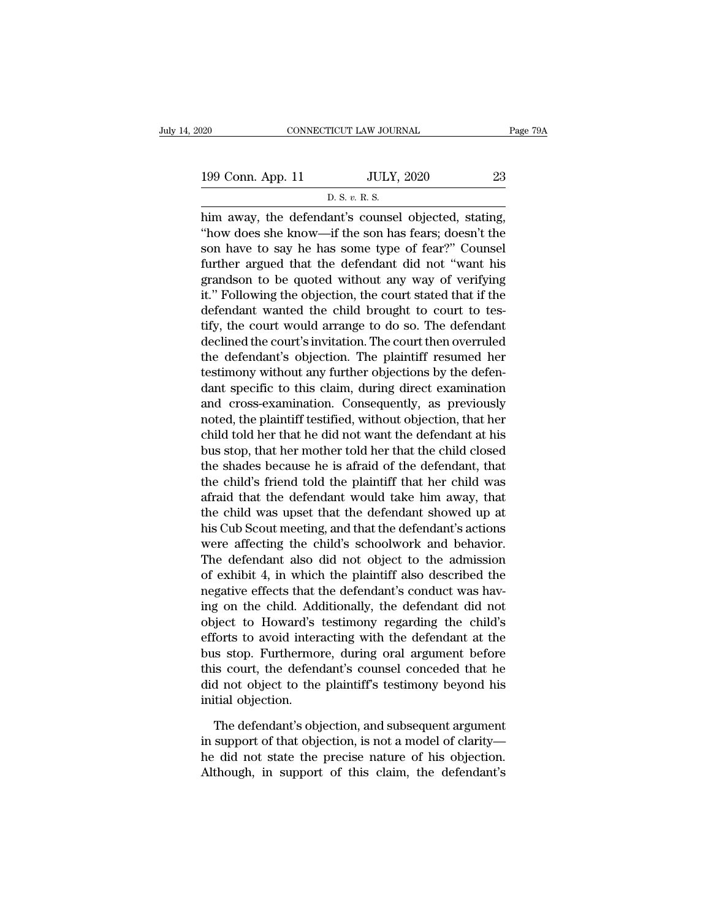20 CONNECTICUT LAW JOURNAL Page 79A<br>
199 Conn. App. 11 JULY, 2020 23<br>
D. S. v. R. S. TICUT LAW JOUR<br>JULY,<br>D. S. *v.* R. S.<br>ant's counsel

 $\begin{array}{cccc}\n & \text{COMRECTICUT LAW JOURNAL} & \text{Page 7} \\
\hline\n & \text{App. 11} & \text{JULY, 2020} & \text{23} \\
 & \text{D. S. } v. R. S.\n\end{array}$ him away, the defendant's counsel objected, stating,<br>"how does she know—if the son has fears; doesn't the 199 Conn. App. 11 JULY, 2020 23<br>
D. S. v. R. S.<br>
him away, the defendant's counsel objected, stating,<br>
"how does she know—if the son has fears; doesn't the<br>
son have to say he has some type of fear?" Counsel<br>
further argue 199 Conn. App. 11 JULY, 2020 23<br>
D. S. v. R. S.<br>
him away, the defendant's counsel objected, stating,<br>
"how does she know—if the son has fears; doesn't the<br>
son have to say he has some type of fear?" Counsel<br>
further argu 199 Conn. App. 11 JULY, 2020 23<br>
D. S. v. R. S.<br>
him away, the defendant's counsel objected, stating,<br>
"how does she know—if the son has fears; doesn't the<br>
son have to say he has some type of fear?" Counsel<br>
further argu D. S.  $v$ . R. S.<br>
him away, the defendant's counsel objected, stating,<br>
"how does she know—if the son has fears; doesn't the<br>
son have to say he has some type of fear?" Counsel<br>
further argued that the defendant did not "  $\frac{1}{10.5.6.6.6.8}$ <br>
him away, the defendant's counsel objected, stating,<br>
"how does she know—if the son has fears; doesn't the<br>
son have to say he has some type of fear?" Counsel<br>
further argued that the defendant did n him away, the defendant's counsel objected, stating, "how does she know—if the son has fears; doesn't the son have to say he has some type of fear?" Counsel further argued that the defendant did not "want his grandson to b "how does she know—if the son has fears; doesn't the<br>son have to say he has some type of fear?" Counsel<br>further argued that the defendant did not "want his<br>grandson to be quoted without any way of verifying<br>it." Following son have to say he has some type of fear?" Counsel<br>further argued that the defendant did not "want his<br>grandson to be quoted without any way of verifying<br>it." Following the objection, the court stated that if the<br>defendant further argued that the defendant did not "want his<br>grandson to be quoted without any way of verifying<br>it." Following the objection, the court stated that if the<br>defendant wanted the child brought to court to tes-<br>tify, th grandson to be quoted without any way of verifying<br>it." Following the objection, the court stated that if the<br>defendant wanted the child brought to court to tes-<br>tify, the court would arrange to do so. The defendant<br>declin it." Following the objection, the court stated that if the<br>defendant wanted the child brought to court to tes-<br>tify, the court would arrange to do so. The defendant<br>declined the court's invitation. The court then overruled defendant wanted the child brought to court to tes-<br>tify, the court would arrange to do so. The defendant<br>declined the court's invitation. The court then overruled<br>the defendant's objection. The plaintiff resumed her<br>testi tify, the court would arrange to do so. The defendant<br>declined the court's invitation. The court then overruled<br>the defendant's objection. The plaintiff resumed her<br>testimony without any further objections by the defen-<br>da declined the court's invitation. The court then overruled<br>the defendant's objection. The plaintiff resumed her<br>testimony without any further objections by the defen-<br>dant specific to this claim, during direct examination<br>a the defendant's objection. The plaintiff resumed her<br>testimony without any further objections by the defen-<br>dant specific to this claim, during direct examination<br>and cross-examination. Consequently, as previously<br>noted, t testimony without any further objections by the defen-<br>dant specific to this claim, during direct examination<br>and cross-examination. Consequently, as previously<br>noted, the plaintiff testified, without objection, that her<br>c dant specific to this claim, during direct examination<br>and cross-examination. Consequently, as previously<br>noted, the plaintiff testified, without objection, that her<br>child told her that he did not want the defendant at his and cross-examination. Consequently, as previously<br>noted, the plaintiff testified, without objection, that her<br>child told her that he did not want the defendant at his<br>bus stop, that her mother told her that the child clos noted, the plaintiff testified, without objection, that her<br>child told her that he did not want the defendant at his<br>bus stop, that her mother told her that the child closed<br>the shades because he is afraid of the defendant child told her that he did not want the defendant at his<br>bus stop, that her mother told her that the child closed<br>the shades because he is afraid of the defendant, that<br>the child's friend told the plaintiff that her child bus stop, that her mother told her that the child closed<br>the shades because he is afraid of the defendant, that<br>the child's friend told the plaintiff that her child was<br>afraid that the defendant would take him away, that<br>t the shades because he is afraid of the defendant, that<br>the child's friend told the plaintiff that her child was<br>afraid that the defendant would take him away, that<br>the child was upset that the defendant showed up at<br>his Cu the child's friend told the plaintiff that her child was<br>afraid that the defendant would take him away, that<br>the child was upset that the defendant showed up at<br>his Cub Scout meeting, and that the defendant's actions<br>were afraid that the defendant would take him away, that<br>the child was upset that the defendant showed up at<br>his Cub Scout meeting, and that the defendant's actions<br>were affecting the child's schoolwork and behavior.<br>The defend the child was upset that the defendant showed up at<br>his Cub Scout meeting, and that the defendant's actions<br>were affecting the child's schoolwork and behavior.<br>The defendant also did not object to the admission<br>of exhibit his Cub Scout meeting, and that the defendant's actions<br>were affecting the child's schoolwork and behavior.<br>The defendant also did not object to the admission<br>of exhibit 4, in which the plaintiff also described the<br>negativ were affecting the child's schoolwork and behavior.<br>The defendant also did not object to the admission<br>of exhibit 4, in which the plaintiff also described the<br>negative effects that the defendant's conduct was hav-<br>ing on t The defendant also did not object to the admission<br>of exhibit 4, in which the plaintiff also described the<br>negative effects that the defendant's conduct was hav-<br>ing on the child. Additionally, the defendant did not<br>object of exhibit 4, in which the plaintiff also described the<br>negative effects that the defendant's conduct was hav-<br>ing on the child. Additionally, the defendant did not<br>object to Howard's testimony regarding the child's<br>effort negative effects that the defendant's conduct was having on the child. Additionally, the defendant did not object to Howard's testimony regarding the child's efforts to avoid interacting with the defendant at the bus stop. ing on the child. Add<br>object to Howard's<br>efforts to avoid inter<br>bus stop. Furthermo<br>this court, the defend<br>did not object to the<br>initial objection.<br>The defendant's obj forts to avoid interacting with the defendant at the<br>is stop. Furthermore, during oral argument before<br>is court, the defendant's counsel conceded that he<br>d not object to the plaintiff's testimony beyond his<br>itial objection bus stop. Furthermore, during oral argument before<br>this court, the defendant's counsel conceded that he<br>did not object to the plaintiff's testimony beyond his<br>initial objection.<br>The defendant's objection, and subsequent ar

this court, the defendant's counsel conceded that he<br>did not object to the plaintiff's testimony beyond his<br>initial objection.<br>The defendant's objection, and subsequent argument<br>in support of that objection, is not a model did not object to the plaintiff's testimony beyond his<br>initial objection.<br>The defendant's objection, and subsequent argument<br>in support of that objection, is not a model of clarity—<br>he did not state the precise nature of h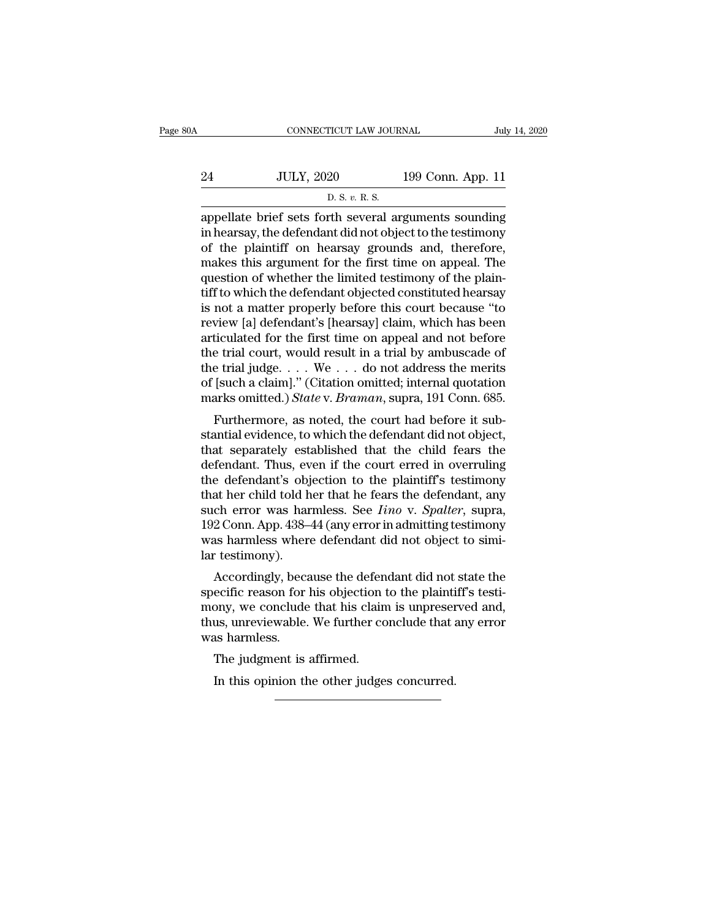| A  | CONNECTICUT LAW JOURNAL                               |                   | July 14, 2020 |
|----|-------------------------------------------------------|-------------------|---------------|
| 24 | <b>JULY, 2020</b>                                     | 199 Conn. App. 11 |               |
|    | D. S. v. R. S.                                        |                   |               |
|    | annellate brief sets forth several arguments sounding |                   |               |

CONNECTICUT LAW JOURNAL July 14, 2020<br>
24 JULY, 2020 199 Conn. App. 11<br>
D. S. v. R. S.<br>
appellate brief sets forth several arguments sounding<br>
in hearsay, the defendant did not object to the testimony<br>
of the plaintiff on 24 JULY, 2020 199 Conn. App. 11<br>
D. S. v. R. S.<br>
appellate brief sets forth several arguments sounding<br>
in hearsay, the defendant did not object to the testimony<br>
of the plaintiff on hearsay grounds and, therefore,<br>
makes 24 JULY, 2020 199 Conn. App. 11<br>
D. S. v. R. S.<br>
appellate brief sets forth several arguments sounding<br>
in hearsay, the defendant did not object to the testimony<br>
of the plaintiff on hearsay grounds and, therefore,<br>
makes 24 JULY, 2020 199 Conn. App. 11<br>
D. S.  $v$ . R. S.<br>
appellate brief sets forth several arguments sounding<br>
in hearsay, the defendant did not object to the testimony<br>
of the plaintiff on hearsay grounds and, therefore,<br>
mak  $\frac{D.S. v. R.S.}{D.S. v. R.S.}$ <br>appellate brief sets forth several arguments sounding<br>in hearsay, the defendant did not object to the testimony<br>of the plaintiff on hearsay grounds and, therefore,<br>makes this argument for the first  $\frac{B. S. v. R. S.}{D. S. v. R. S.}$ <br>appellate brief sets forth several arguments sounding<br>in hearsay, the defendant did not object to the testimony<br>of the plaintiff on hearsay grounds and, therefore,<br>makes this argument for the f appellate brief sets forth several arguments sounding<br>in hearsay, the defendant did not object to the testimony<br>of the plaintiff on hearsay grounds and, therefore,<br>makes this argument for the first time on appeal. The<br>ques in hearsay, the defendant did not object to the testimony<br>of the plaintiff on hearsay grounds and, therefore,<br>makes this argument for the first time on appeal. The<br>question of whether the limited testimony of the plain-<br>ti of the plaintiff on hearsay grounds and, therefore,<br>makes this argument for the first time on appeal. The<br>question of whether the limited testimony of the plain-<br>tiff to which the defendant objected constituted hearsay<br>is makes this argument for the first time on appeal. The<br>question of whether the limited testimony of the plain-<br>tiff to which the defendant objected constituted hearsay<br>is not a matter properly before this court because "to question of whether the limited testimony of the plain-<br>tiff to which the defendant objected constituted hearsay<br>is not a matter properly before this court because "to<br>review [a] defendant's [hearsay] claim, which has bee tiff to which the defendant objected constituted hearsay<br>is not a matter properly before this court because "to<br>review [a] defendant's [hearsay] claim, which has been<br>articulated for the first time on appeal and not before is not a matter properly before this court because "to<br>review [a] defendant's [hearsay] claim, which has been<br>articulated for the first time on appeal and not before<br>the trial court, would result in a trial by ambuscade of Furthermore, as noted, the court had before<br>ficulated for the first time on appeal and not before<br>e trial judge.... We ... do not address the merits<br>[such a claim]." (Citation omitted; internal quotation<br>arks omitted.) *S* anculated for the first thile on appear and not before<br>the trial court, would result in a trial by ambuscade of<br>the trial judge.... We ... do not address the merits<br>of [such a claim]." (Citation omitted; internal quotatio

the trial judge.  $\dots$  We  $\dots$  do not address the merits<br>of [such a claim]." (Citation omitted; internal quotation<br>marks omitted.) *State* v. *Braman*, supra, 191 Conn. 685.<br>Furthermore, as noted, the court had before it s definal public to the court had before internal quotation<br>marks omitted.) State v. Braman, supra, 191 Conn. 685.<br>Furthermore, as noted, the court had before it sub-<br>stantial evidence, to which the defendant did not object or such a claim. (Critical of internal quotation<br>marks omitted.) *State v. Braman*, supra, 191 Conn. 685.<br>Furthermore, as noted, the court had before it sub-<br>stantial evidence, to which the defendant did not object,<br>that Furthermore, as noted, the court had before it substantial evidence, to which the defendant did not object, that separately established that the child fears the defendant. Thus, even if the court erred in overruling the d Furthermore, as noted, the court had before it substantial evidence, to which the defendant did not object, that separately established that the child fears the defendant. Thus, even if the court erred in overruling the de stantial evidence, to which the defendant did not object,<br>that separately established that the child fears the<br>defendant. Thus, even if the court erred in overruling<br>the defendant's objection to the plaintiff's testimony<br>t that separately established that the child fears the defendant. Thus, even if the court erred in overruling the defendant's objection to the plaintiff's testimony that her child told her that he fears the defendant, any su defendant. Thus, ev<br>the defendant's obj<br>that her child told h<br>such error was har<br>192 Conn. App. 438–<br>was harmless where<br>lar testimony).<br>Accordingly, beca accordingly, because the defendant did not state the ecific reason for his objection to the painting testimony<br>Accordingly, because the defendant did not object to simi-<br>testimony).<br>Accordingly, because the defendant did n such error was harmless. See *Iino* v. *Spalter*, supra, 192 Conn. App. 438–44 (any error in admitting testimony was harmless where defendant did not object to similar testimony).<br>Accordingly, because the defendant did not

such error was harmless. See  $\overline{t}mv$  v. Spatter, supra, 192 Conn. App. 438–44 (any error in admitting testimony was harmless where defendant did not object to similar testimony).<br>Accordingly, because the defendant did n T<sub>92</sub> Coluli. App. 456–44 (ally error in additionally essentionly was harmless where defendant did not object to similar testimony).<br>Accordingly, because the defendant did not state the specific reason for his objection to was harmess wher<br>lar testimony).<br>Accordingly, beca<br>specific reason for<br>mony, we conclude<br>thus, unreviewable.<br>was harmless.<br>The judgment is Accordingly, because the defen<br>ecific reason for his objection t<br>ony, we conclude that his clain<br>us, unreviewable. We further co<br>as harmless.<br>The judgment is affirmed.<br>In this opinion the other judge: ecific reason for his objection to the plaintiony, we conclude that his claim is unpreser<br>us, unreviewable. We further conclude that as<br>harmless.<br>The judgment is affirmed.<br>In this opinion the other judges concurred.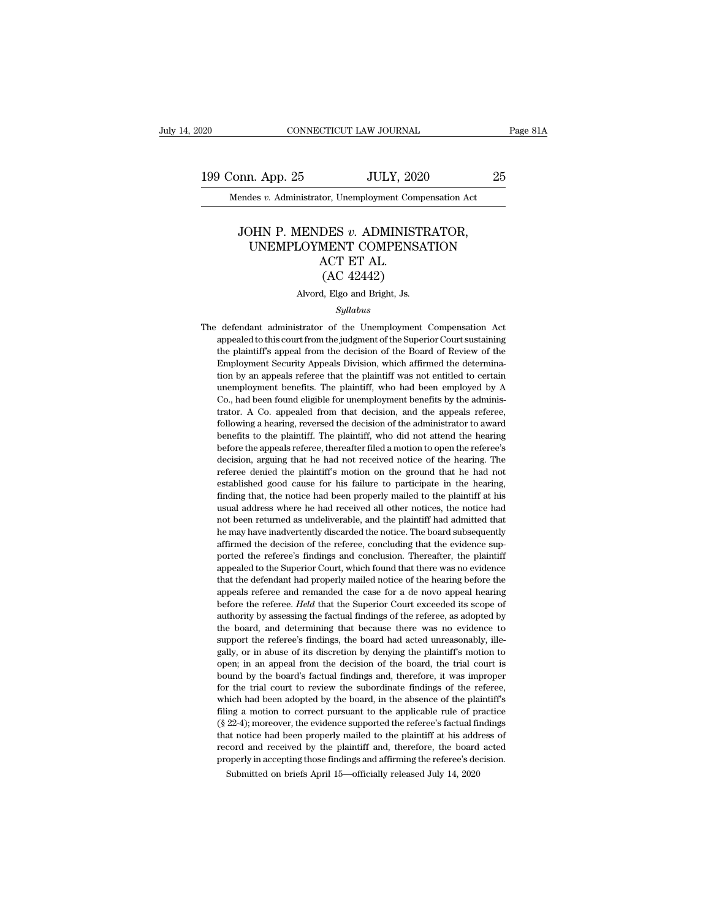20 CONNECTICUT LAW JOURNAL Page 81A<br>199 Conn. App. 25 JULY, 2020 25<br>Mendes v. Administrator, Unemployment Compensation Act Mendes *v.* Administrator, Unemployment Compensation Act<br>Mendes *v.* Administrator, Unemployment Compensation Act

### MR. App. 25 JULY, 2020<br>
Fendes *v.* Administrator, Unemployment Compensation Act<br>
JOHN P. MENDES *v.* ADMINISTRATOR,<br>
UNEMPLOYMENT COMPENSATION<br>
ACT ET AL n. App. 25 JULY, 2020 25<br>
des v. Administrator, Unemployment Compensation Act<br>
DHN P. MENDES v. ADMINISTRATOR,<br>
UNEMPLOYMENT COMPENSATION<br>
ACT ET AL.<br>
(AC 42442) JULY, 20<br>
tor, Unemployment Cor<br>
DES v. ADMINIS<br>
MENT COMPENS<br>
ACT ET AL.<br>
(AC 42442) or, Unemployment Compe<br>
OES v. ADMINISTR<br>
MENT COMPENSA<br>
ACT ET AL.<br>
(AC 42442)<br>
, Elgo and Bright, Js. JOHN P. MENDES v. ADMINISTRATOR,<br>UNEMPLOYMENT COMPENSATION<br>ACT ET AL.<br>(AC 42442)<br>Alvord, Elgo and Bright, Js.

### *Syllabus*

ACT ET AL.<br>
(AC 42442)<br>
Alvord, Elgo and Bright, Js.<br>
Syllabus<br>
The defendant administrator of the Unemployment Compensation Act<br>
appealed to this court from the judgment of the Superior Court sustaining  ${\rm (AC~42442)}$  <br>Alvord, Elgo and Bright, Js. <br> $\label{thm:2} Syllabus$  defendant administrator of the Unemployment Compensation Act<br>appealed to this court from the judgment of the Superior Court sustaining<br>the plaintiff's appeal from Alvord, Elgo and Bright, Js.<br>
Syllabus<br>
defendant administrator of the Unemployment Compensation Act<br>
appealed to this court from the judgment of the Superior Court sustaining<br>
the plaintiff's appeal from the decision of t Employment Syllabus<br>
Syllabus<br>
defendant administrator of the Unemployment Compensation Act<br>
appealed to this court from the judgment of the Superior Court sustaining<br>
the plaintiff's appeal from the decision of the Board  $Syllabus$ <br>defendant administrator of the Unemployment Compensation Act<br>appealed to this court from the judgment of the Superior Court sustaining<br>the plaintiff's appeal from the decision of the Board of Review of the<br>Employme defendant administrator of the Unemployment Compensation Act<br>appealed to this court from the judgment of the Superior Court sustaining<br>the plaintiff's appeal from the decision of the Board of Review of the<br>Employment Secur appealed to this court from the judgment of the Superior Court sustaining<br>the plaintiff's appeal from the decision of the Board of Review of the<br>Employment Security Appeals Division, which affirmed the determina-<br>tion by a dependent of the plaintiff's appeal from the decision of the Board of Review of the Employment Security Appeals Division, which affirmed the determination by an appeals referee that the plaintiff was not entitled to certai following a hearing, reversed the decision of the administrator of the determination by an appeals referee that the plaintiff was not entitled to certain unemployment benefits. The plaintiff, who had been employed by A Co. Employment security rippeals Division, which antitied are determination by an appeals referee that the plaintiff, who had been employed by A Co., had been found eligible for unemployment benefits by the administrator. A Co tion by an appeals referee that the plaintiff was not entitled to certain unemployment benefits. The plaintiff, who had been employed by A Co., had been found eligible for unemployment benefits by the administrator. A Co. decision, arguing that he had not received notice of the hadring referee.<br>The had been found eligible for unemployment benefits by the administrator. A Co. appealed from that decision, and the appeals referee, following a Fraction. A Co. appealed from that decision, and the appeals referee, following a hearing, reversed the decision of the administrator to award benefits to the plaintiff. The plaintiff, who did not attend the hearing before restablished good cause for his failure to participate in the hearing, following a hearing, reversed the decision of the administrator to award benefits to the plaintiff. The plaintiff, who did not attend the hearing befor finding that, the plaintiff. The plaintiff, who did not attend the hearing before the appeals referee, thereafter filed a motion to open the referee's decision, arguing that he had not received notice of the hearing. The r before the appeals referee, thereafter filed a motion to open the referee's decision, arguing that he had not received notice of the hearing. The referee denied the plaintiff's motion on the ground that he had not establis been as uppears retreet, and and modulated for the hearing. The decision, arguing that he had not received notice of the hearing. The referee denied the plaintiff's motion on the ground that he had not established good cau declared, and the may have indetered in the may have interested to the matterial referee denied the plaintiff's motion on the ground that he had not established good cause for his failure to participate in the hearing, fin referred the decision of the ground that its had not established good cause for his failure to participate in the hearing, finding that, the notice had been properly mailed to the plaintiff at his usual address where he ha branching that, the notice had been properly mailed to the plaintiff at his usual address where he had received all other notices, the notice had not been returned as undeliverable, and the plaintiff had admitted that he m many and, are notee had received all other notices, the notice had not been returned as undeliverable, and the plaintiff had admitted that he may have inadvertently discarded the notice. The board subsequently affirmed the that the defendant had properly mailed notice of the hearing before the may have inadvertently discarded the notice. The board subsequently affirmed the decision of the referee, concluding that the evidence supported the r The may have inadeter tradition, and the paintain rition dentities the may have inadvertently discarded the notice. The board subsequently affirmed the decision of the referee, concluding that the evidence supported the re affirmed the decision of the referee, concluding that the evidence supported the referee's findings and conclusion. Thereafter, the plaintiff appealed to the Superior Court, which found that there was no evidence that the and the referee's findings and conclusion. Thereafter, the plaintiff appealed to the Superior Court, which found that there was no evidence that the defendant had properly mailed notice of the hearing before the appeals re and and consider the board, and considered that there was no evidence that the defendant had properly mailed notice of the hearing before the appeals referee and remanded the case for a de novo appeal hearing before the re that the defendant had properly mailed notice of the hearing before the appeals referee and remanded the case for a de novo appeal hearing before the referee. *Held* that the Superior Court exceeded its scope of authority and the deterministant had property miancal nodec of the nearing sector the appeals referee and remanded the case for a de novo appeal hearing before the referee. Held that the Superior Court exceeded its scope of authorit before the referee. *Held* that the Superior Court exceeded its scope of authority by assessing the factual findings of the referee, as adopted by the board, and determining that because there was no evidence to support th before the fefect. *Hela* that the bopefior count exected its scope of authority by assessing the factual findings of the referee, as adopted by the board, and determining that because there was no evidence to support the for the board, and determining that because there was no evidence to support the referee's findings, the board had acted unreasonably, illegally, or in abuse of its discretion by denying the plaintiff's motion to open; in and the referee's findings, the board had acted unreasonably, ille-<br>gally, or in abuse of its discretion by denying the plaintiff's motion to<br>open; in an appeal from the decision of the board, the trial court is<br>bound by t support are referce s mangs, are board had acted unreasonably, megally, or in abuse of its discretion by denying the plaintiff's motion to open; in an appeal from the decision of the board, the trial court is bound by the gany, or in abase of its usercetor by deriying the plantian's motion to open; in an appeal from the decision of the board, the trial court is bound by the board's factual findings and, therefore, it was improper for the tr been, in an appear nom are decision of all board, the trial court is<br>bound by the board's factual findings and, therefore, it was improper<br>for the trial court to review the subordinate findings of the referee,<br>which had be Found by the board's factual minings and, therefore, it was infiproper<br>for the trial court to review the subordinate findings of the referee,<br>which had been adopted by the board, in the absence of the plaintiff's<br>filing a properly mate of the board, in the absence of the plaintiff's filing a motion to correct pursuant to the applicable rule of practice (§ 22-4); moreover, the evidence supported the referee's factual findings that notice had filing a motion to correct pursuant to the applicable rule of practice ( $\S$  22-4); moreover, the evidence supported the referee's factual findings that notice had been properly mailed to the plaintiff at his address of re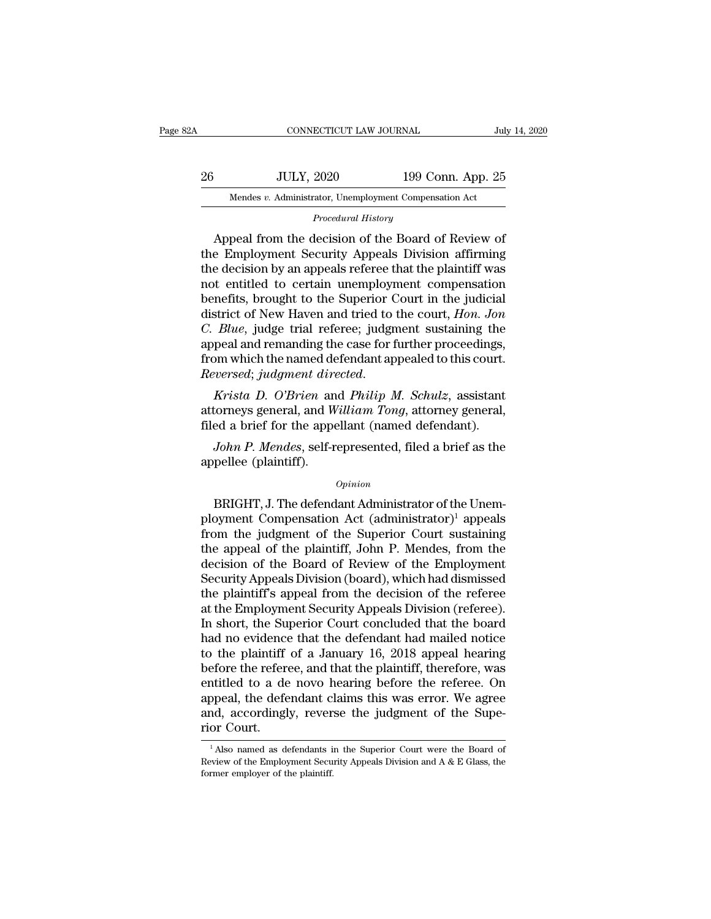| 32A | CONNECTICUT LAW JOURNAL                                |                   | July 14, 2020 |
|-----|--------------------------------------------------------|-------------------|---------------|
| 26  | <b>JULY, 2020</b>                                      | 199 Conn. App. 25 |               |
|     | Mendes v. Administrator, Unemployment Compensation Act |                   |               |
|     | Procedural History                                     |                   |               |
|     | Anneal from the decision of the Board of Review of     |                   |               |

JULY, 2020 199 Conn. App. 25<br>
Mendes v. Administrator, Unemployment Compensation Act<br>
Procedural History<br>
Appeal from the decision of the Board of Review of<br>
e Employment Security Appeals Division affirming<br>
a decision by  $\begin{tabular}{ c c c c} \multicolumn{1}{c}{{\textstyle{\text{JULY, 2020}}}} & $\text{199 Conn. App. 25} \\ \hline \hline \multicolumn{1}{c}{{\textcolor{red}{\text{Mendes }v. } \text{Administrator, Un employment Comparison Act}} \\ \multicolumn{1}{c}{{\textcolor{red}{\text{Procedural History}}}} \\ \multicolumn{1}{c}{{\textcolor{red}{\text{A}}}} \\ \multicolumn{1}{c}{{\textcolor{red}{\text{A}}} \\ \multicolumn{1}{c}{{\textcolor{red}{\text{A}}} \\ \multicolumn{1}{c}{{\textcolor{red}{\text{A}}} \\ \multicolumn{$ 26 JULY, 2020 199 Conn. App. 25<br>
Mendes *v.* Administrator, Unemployment Compensation Act<br> *Procedural History*<br>
Appeal from the decision of the Board of Review of<br>
the Employment Security Appeals Division affirming<br>
the Mendes v. Administrator, Unemployment Compensation Act<br>
Procedural History<br>
Appeal from the decision of the Board of Review of<br>
the Employment Security Appeals Division affirming<br>
the decision by an appeals referee that th Procedural History<br>
Appeal from the decision of the Board of Review of<br>
the Employment Security Appeals Division affirming<br>
the decision by an appeals referee that the plaintiff was<br>
not entitled to certain unemployment co *Procedural History*<br>Appeal from the decision of the Board of Review of<br>the Employment Security Appeals Division affirming<br>the decision by an appeals referee that the plaintiff was<br>not entitled to certain unemployment comp Appeal from the decision of the Board of Review of<br>the Employment Security Appeals Division affirming<br>the decision by an appeals referee that the plaintiff was<br>not entitled to certain unemployment compensation<br>benefits, br the Employment Security Appeals Division affirming<br>the decision by an appeals referee that the plaintiff was<br>not entitled to certain unemployment compensation<br>benefits, brought to the Superior Court in the judicial<br>distric the decision by an appeals referee that the plaintiff was<br>not entitled to certain unemployment compensation<br>benefits, brought to the Superior Court in the judicial<br>district of New Haven and tried to the court, *Hon. Jon*<br> *Reversedies*, *brought to the Superior Court in the judicial* district of New Haven and tried to the court, *Hon. Jon C. Blue*, judge trial referee; judgment sustaining the appeal and remanding the case for further proc district of New Haven and tried to the court, *Hon. Jon*<br>C. Blue, judge trial referee; judgment sustaining the<br>appeal and remanding the case for further proceedings,<br>from which the named defendant appealed to this court.<br>R Filed a brief for the appellant (named defendant)<br>from which the named defendant appealed to this court.<br>*Reversed; judgment directed.*<br>*Krista D. O'Brien* and *Philip M. Schulz*, assistant<br>attorneys general, and *William* 

*John Which the named defendant appealed to this court.*<br> *Wersed; judgment directed.*<br> *Krista D. O'Brien and Philip M. Schulz*, assistant<br>
torneys general, and William Tong, attorney general,<br>
ed a brief for the appellan Reversed; judgment dire<br>Krista D. O'Brien an<br>attorneys general, and W<br>filed a brief for the appe<br>John P. Mendes, self-r<br>appellee (plaintiff).

### *Opinion*

torneys general, and *William Tong*, attorney general,<br>ed a brief for the appellant (named defendant).<br>John P. Mendes, self-represented, filed a brief as the<br>pellee (plaintiff).<br> $opinion$ <br>BRIGHT, J. The defendant Administrator filed a brief for the appellant (named defendant).<br>
John P. Mendes, self-represented, filed a brief as the<br>
appellee (plaintiff).<br>  $\frac{opinion}{opinion}$ <br>
BRIGHT, J. The defendant Administrator of the Unem-<br>
ployment Compensation Ac *John P. Mendes, self-represented, filed a brief as the*<br>appellee (plaintiff).<br> $opinion$ <br>BRIGHT, J. The defendant Administrator of the Unem-<br>ployment Compensation Act (administrator)<sup>1</sup> appeals<br>from the judgment of the Superio appellee (plaintiff).<br>
opinion<br>
BRIGHT, J. The defendant Administrator of the Unem-<br>
ployment Compensation Act (administrator)<sup>1</sup> appeals<br>
from the judgment of the Superior Court sustaining<br>
the appeal of the plaintiff, Jo opinion<br>
BRIGHT, J. The defendant Administrator of the Unem-<br>
ployment Compensation Act (administrator)<sup>1</sup> appeals<br>
from the judgment of the Superior Court sustaining<br>
the appeal of the plaintiff, John P. Mendes, from the<br>  $opman$ <br>BRIGHT, J. The defendant Administrator of the Unem-<br>ployment Compensation Act  $(administrator)^1$  appeals<br>from the judgment of the Superior Court sustaining<br>the appeal of the plaintiff, John P. Mendes, from the<br>decision of the BRIGHT, J. The defendant Administrator of the Unem-<br>ployment Compensation Act (administrator)<sup>1</sup> appeals<br>from the judgment of the Superior Court sustaining<br>the appeal of the plaintiff, John P. Mendes, from the<br>decision of ployment Compensation Act (administrator)<sup>1</sup> appeals<br>from the judgment of the Superior Court sustaining<br>the appeal of the plaintiff, John P. Mendes, from the<br>decision of the Board of Review of the Employment<br>Security Appea from the judgment of the Superior Court sustaining<br>the appeal of the plaintiff, John P. Mendes, from the<br>decision of the Board of Review of the Employment<br>Security Appeals Division (board), which had dismissed<br>the plaintif the appeal of the plaintiff, John P. Mendes, from the decision of the Board of Review of the Employment<br>Security Appeals Division (board), which had dismissed<br>the plaintiff's appeal from the decision of the referee<br>at the decision of the Board of Review of the Employment<br>Security Appeals Division (board), which had dismissed<br>the plaintiff's appeal from the decision of the referee<br>at the Employment Security Appeals Division (referee).<br>In sho Security Appeals Division (board), which had dismissed<br>the plaintiff's appeal from the decision of the referee<br>at the Employment Security Appeals Division (referee).<br>In short, the Superior Court concluded that the board<br>ha the plaintiff's appeal from the decision of the referee<br>at the Employment Security Appeals Division (referee).<br>In short, the Superior Court concluded that the board<br>had no evidence that the defendant had mailed notice<br>to t at the Employment Security Appeals Division (referee).<br>In short, the Superior Court concluded that the board<br>had no evidence that the defendant had mailed notice<br>to the plaintiff of a January 16, 2018 appeal hearing<br>before In short, the Superior Court concluded that the board<br>had no evidence that the defendant had mailed notice<br>to the plaintiff of a January 16, 2018 appeal hearing<br>before the referee, and that the plaintiff, therefore, was<br>en had no evidence<br>to the plaintiff<br>before the refere<br>entitled to a de<br>appeal, the defe<br>and, accordingl<br>rior Court. ntitled to a de novo hearing before the referee. On<br>opeal, the defendant claims this was error. We agree<br>nd, accordingly, reverse the judgment of the Supe-<br>or Court.<br><sup>1</sup> Also named as defendants in the Superior Court were appeal, the defendant claims this was error. We agree and, accordingly, reverse the judgment of the Superior Court.<br> $\frac{1}{1}$ Also named as defendants in the Superior Court were the Board of Review of the Employment Securi

and, accordingly, rever<br>
rior Court.<br>
<sup>1</sup> Also named as defendants i<br>
Review of the Employment Secu<br>
former employer of the plaintiff.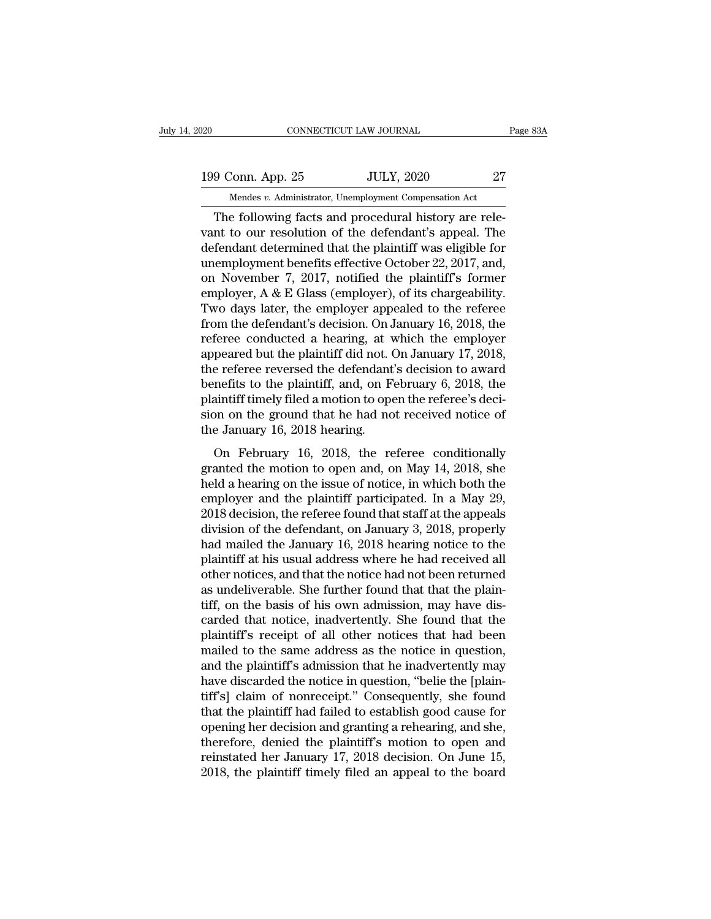20 CONNECTICUT LAW JOURNAL Page 83A<br>199 Conn. App. 25 JULY, 2020 27<br>Mendes v. Administrator, Unemployment Compensation Act CONNECTICUT LAW JOURNAL<br>
199 Conn. App. 25 JULY, 2020 27<br>
Mendes *v.* Administrator, Unemployment Compensation Act<br>
The following facts and procedural history are rele-

CONNECTICUT LAW JOURNAL<br>
9 Conn. App. 25 JULY, 2020 27<br>
Mendes v. Administrator, Unemployment Compensation Act<br>
The following facts and procedural history are rele-<br>
nt to our resolution of the defendant's appeal. The<br>
fon 199 Conn. App. 25 JULY, 2020 27<br>
Mendes v. Administrator, Unemployment Compensation Act<br>
The following facts and procedural history are relevant to our resolution of the defendant's appeal. The<br>
defendant determined that t 199 Conn. App. 25 JULY, 2020 27<br>
Mendes v. Administrator, Unemployment Compensation Act<br>
The following facts and procedural history are relevant to our resolution of the defendant's appeal. The<br>
defendant determined that 199 Conn. App. 25 JULY, 2020 27<br>
Mendes v. Administrator, Unemployment Compensation Act<br>
The following facts and procedural history are relevant to our resolution of the defendant's appeal. The<br>
defendant determined that Mendes v. Administrator, Unemployment Compensation Act<br>
The following facts and procedural history are rele-<br>
vant to our resolution of the defendant's appeal. The<br>
defendant determined that the plaintiff was eligible for<br> Mendes v. Administrator, Unemployment Compensation Act<br>
The following facts and procedural history are rele-<br>
vant to our resolution of the defendant's appeal. The<br>
defendant determined that the plaintiff was eligible for The following facts and procedural history are relevant to our resolution of the defendant's appeal. The defendant determined that the plaintiff was eligible for unemployment benefits effective October 22, 2017, and, on No vant to our resolution of the defendant's appeal. The<br>defendant determined that the plaintiff was eligible for<br>unemployment benefits effective October 22, 2017, and,<br>on November 7, 2017, notified the plaintiff's former<br>emp defendant determined that the plaintiff was eligible for<br>unemployment benefits effective October 22, 2017, and,<br>on November 7, 2017, notified the plaintiff's former<br>employer, A & E Glass (employer), of its chargeability.<br>T unemployment benefits effective October 22, 2017, and,<br>on November 7, 2017, notified the plaintiff's former<br>employer, A & E Glass (employer), of its chargeability.<br>Two days later, the employer appealed to the referee<br>from on November 7, 2017, notified the plaintiff's former<br>employer, A & E Glass (employer), of its chargeability.<br>Two days later, the employer appealed to the referee<br>from the defendant's decision. On January 16, 2018, the<br>ref employer, A & E Glass (employer), of its chargeability.<br>Two days later, the employer appealed to the referee<br>from the defendant's decision. On January 16, 2018, the<br>referee conducted a hearing, at which the employer<br>appear Two days later, the employer appealed to the referee<br>from the defendant's decision. On January 16, 2018, the<br>referee conducted a hearing, at which the employer<br>appeared but the plaintiff did not. On January 17, 2018,<br>the r from the defendant's decision. On January 16, 2018, the referee conducted a hearing, at which the employer appeared but the plaintiff did not. On January 17, 2018, the referee reversed the defendant's decision to award ben referee conducted a hearing, at v<br>appeared but the plaintiff did not. (<br>the referee reversed the defendant<br>benefits to the plaintiff, and, on F<br>plaintiff timely filed a motion to ope<br>sion on the ground that he had no<br>the J peared bac are plantain and note on standary 11, 2018,<br>e referee reversed the defendant's decision to award<br>mefits to the plaintiff, and, on February 6, 2018, the<br>aintiff timely filed a motion to open the referee's deci-<br>o the force reversed are detendants decision to divided<br>benefits to the plaintiff, and, on February 6, 2018, the<br>plaintiff timely filed a motion to open the referee's deci-<br>sion on the ground that he had not received notice

beliantiff timely filed a motion to open the referee's decision on the ground that he had not received notice of the January 16, 2018 hearing.<br>On February 16, 2018, the referee conditionally granted the motion to open and, plantant altery fired a historic so open are vertex solution<br>sion on the ground that he had not received notice of<br>the January 16, 2018 hearing.<br>On February 16, 2018, the referee conditionally<br>granted the motion to open a 2018 decision, the referee found that the referee conditionally<br>
2018 decision, the referee conditionally<br>
2018 decision of the issue of notice, in which both the<br>
2018 decision, the referee found that staff at the appeal on February 16, 2018, the referee conditionally<br>granted the motion to open and, on May 14, 2018, she<br>held a hearing on the issue of notice, in which both the<br>employer and the plaintiff participated. In a May 29,<br>2018 decis On February 16, 2018, the referee conditionally<br>granted the motion to open and, on May 14, 2018, she<br>held a hearing on the issue of notice, in which both the<br>employer and the plaintiff participated. In a May 29,<br>2018 decis granted the motion to open and, on May 14, 2018, she<br>held a hearing on the issue of notice, in which both the<br>employer and the plaintiff participated. In a May 29,<br>2018 decision, the referee found that staff at the appeals held a hearing on the issue of notice, in which both the<br>employer and the plaintiff participated. In a May 29,<br>2018 decision, the referee found that staff at the appeals<br>division of the defendant, on January 3, 2018, prope employer and the plaintiff participated. In a May 29,<br>2018 decision, the referee found that staff at the appeals<br>division of the defendant, on January 3, 2018, properly<br>had mailed the January 16, 2018 hearing notice to the 2018 decision, the referee found that staff at the appeals<br>division of the defendant, on January 3, 2018, properly<br>had mailed the January 16, 2018 hearing notice to the<br>plaintiff at his usual address where he had received division of the defendant, on January 3, 2018, properly<br>had mailed the January 16, 2018 hearing notice to the<br>plaintiff at his usual address where he had received all<br>other notices, and that the notice had not been returne had mailed the January 16, 2018 hearing notice to the plaintiff at his usual address where he had received all other notices, and that the notice had not been returned as undeliverable. She further found that that the plai plaintiff at his usual address where he had received all<br>other notices, and that the notice had not been returned<br>as undeliverable. She further found that that the plain-<br>tiff, on the basis of his own admission, may have d other notices, and that the notice had not been returned<br>as undeliverable. She further found that that the plain-<br>tiff, on the basis of his own admission, may have dis-<br>carded that notice, inadvertently. She found that the as undeliverable. She further found that that the plain-<br>tiff, on the basis of his own admission, may have dis-<br>carded that notice, inadvertently. She found that the<br>plaintiff's receipt of all other notices that had been<br>m tiff, on the basis of his own admission, may have dis-<br>carded that notice, inadvertently. She found that the<br>plaintiff's receipt of all other notices that had been<br>mailed to the same address as the notice in question,<br>and carded that notice, inadvertently. She found that the plaintiff's receipt of all other notices that had been mailed to the same address as the notice in question, and the plaintiff's admission that he inadvertently may hav plaintiff's receipt of all other notices that had been<br>mailed to the same address as the notice in question,<br>and the plaintiff's admission that he inadvertently may<br>have discarded the notice in question, "belie the [plainmailed to the same address as the notice in question,<br>and the plaintiff's admission that he inadvertently may<br>have discarded the notice in question, "belie the [plain-<br>tiff's] claim of nonreceipt." Consequently, she found<br> and the plaintiff's admission that he inadvertently may<br>have discarded the notice in question, "belie the [plain-<br>tiff's] claim of nonreceipt." Consequently, she found<br>that the plaintiff had failed to establish good cause have discarded the notice in question, "belie the [plaintiff's] claim of nonreceipt." Consequently, she found that the plaintiff had failed to establish good cause for opening her decision and granting a rehearing, and she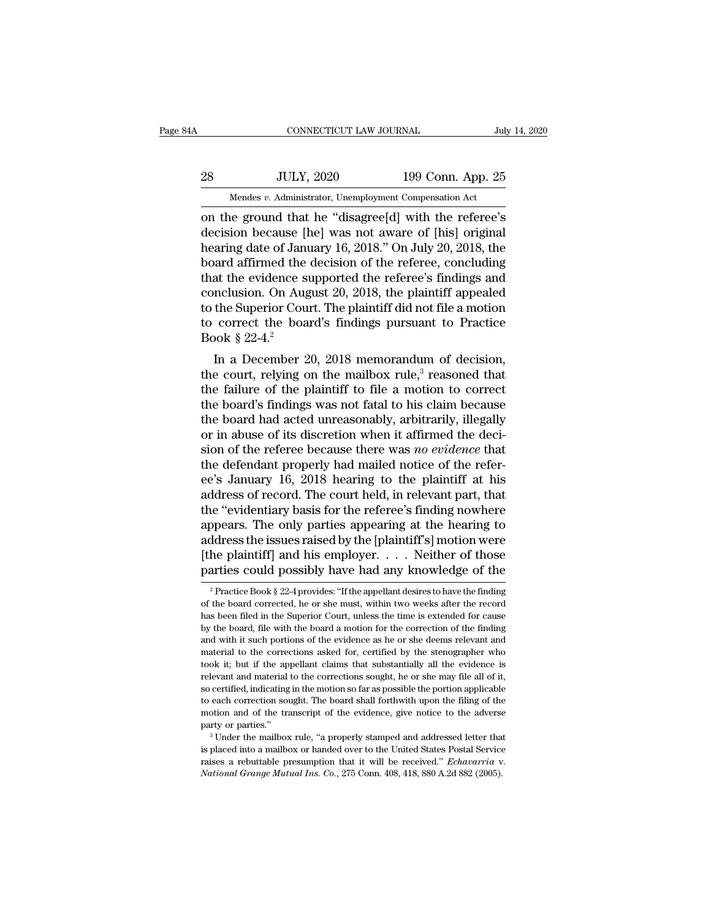# EXECUTE CONNECTICUT LAW JOURNAL July 14, 2020<br>28 JULY, 2020 199 Conn. App. 25<br>Mendes v. Administrator, Unemployment Compensation Act CONNECTICUT LAW JOURNAL July 14, 2020<br>28 JULY, 2020 199 Conn. App. 25<br>Mendes *v.* Administrator, Unemployment Compensation Act<br>on the ground that he "disagree[d] with the referee's

CONNECTICUT LAW JOURNAL July 14, 2020<br>
28 JULY, 2020 199 Conn. App. 25<br>
Mendes v. Administrator, Unemployment Compensation Act<br>
on the ground that he "disagree[d] with the referee's<br>
decision because [he] was not aware of decision because in the referee of the referee of the product and that the "disagree[d] with the referee's decision because [he] was not aware of [his] original hearing date of January 16, 2018." On July 20, 2018, the hear 28 JULY, 2020 199 Conn. App. 25<br>
Mendes v. Administrator, Unemployment Compensation Act<br>
on the ground that he "disagree[d] with the referee's<br>
decision because [he] was not aware of [his] original<br>
hearing date of Januar  $\frac{199 \text{ Conn. App. 25}}{\text{Mendes } v. \text{ Administrator, Un employment Comparison Act}}$ <br>
on the ground that he "disagree[d] with the referee's<br>
decision because [he] was not aware of [his] original<br>
hearing date of January 16, 2018." On July 20, 2018, the<br>
board affirm Mendes v. Administrator, Unemployment Compensation Act<br>
on the ground that he "disagree[d] with the referee's<br>
decision because [he] was not aware of [his] original<br>
hearing date of January 16, 2018." On July 20, 2018, th Mendes v. Administrator, Unemployment Compensation Act<br>
on the ground that he "disagree[d] with the referee's<br>
decision because [he] was not aware of [his] original<br>
hearing date of January 16, 2018." On July 20, 2018, th on the ground that he "disagree[d] with the referee's<br>decision because [he] was not aware of [his] original<br>hearing date of January 16, 2018." On July 20, 2018, the<br>board affirmed the decision of the referee, concluding<br>t decision because [he] was not aware of [his] original<br>hearing date of January 16, 2018." On July 20, 2018, the<br>board affirmed the decision of the referee, concluding<br>that the evidence supported the referee's findings and<br> hearing date of Januboard affirmed the<br>that the evidence s<br>conclusion. On Aug<br>to the Superior Cou<br>to correct the boa<br>Book  $\S 22-4.^2$ <br>In a December 2 and antihied the decision of the referee, concluding<br>at the evidence supported the referee's findings and<br>nclusion. On August 20, 2018, the plaintiff appealed<br>the Superior Court. The plaintiff did not file a motion<br>correc that the evidence supported the referees midnings and<br>conclusion. On August 20, 2018, the plaintiff appealed<br>to the Superior Court. The plaintiff did not file a motion<br>to correct the board's findings pursuant to Practice<br>

to the Superior Court. The plaintiff did not file a motion<br>to correct the board's findings pursuant to Practice<br>Book § 22-4.<sup>2</sup><br>In a December 20, 2018 memorandum of decision,<br>the court, relying on the mailbox rule,<sup>3</sup> rea to the superior Court. The plaintiful did not the a motion<br>to correct the board's findings pursuant to Practice<br>Book § 22-4.<sup>2</sup><br>In a December 20, 2018 memorandum of decision,<br>the court, relying on the mailbox rule,<sup>3</sup> rea to correct the board's initially pursuant to Tractice<br>Book § 22-4.<sup>2</sup><br>In a December 20, 2018 memorandum of decision,<br>the court, relying on the mailbox rule,<sup>3</sup> reasoned that<br>the failure of the plaintiff to file a motion t book  $\frac{1}{2}$  22-4.<br>In a December 20, 2018 memorandum of decision,<br>the court, relying on the mailbox rule,<sup>3</sup> reasoned that<br>the failure of the plaintiff to file a motion to correct<br>the board's findings was not fatal to h In a December 20, 2018 memorandum of decision,<br>the court, relying on the mailbox rule,<sup>3</sup> reasoned that<br>the failure of the plaintiff to file a motion to correct<br>the board's findings was not fatal to his claim because<br>the the court, relying on the mailbox rule,<sup>3</sup> reasoned that<br>the failure of the plaintiff to file a motion to correct<br>the board's findings was not fatal to his claim because<br>the board had acted unreasonably, arbitrarily, ille the failure of the plaintiff to file a motion to correct<br>the board's findings was not fatal to his claim because<br>the board had acted unreasonably, arbitrarily, illegally<br>or in abuse of its discretion when it affirmed the d the board's findings was not fatal to his claim because<br>the board had acted unreasonably, arbitrarily, illegally<br>or in abuse of its discretion when it affirmed the deci-<br>sion of the referee because there was *no evidence* the board had acted unreasonably, arbitrarily, illegally<br>or in abuse of its discretion when it affirmed the deci-<br>sion of the referee because there was *no evidence* that<br>the defendant properly had mailed notice of the ref or in abuse of its discretion when it affirmed the decision of the referee because there was *no evidence* that<br>the defendant properly had mailed notice of the refer-<br>ee's January 16, 2018 hearing to the plaintiff at his<br>a sion of the referee because there was *no evidence* that<br>the defendant properly had mailed notice of the refer-<br>ee's January 16, 2018 hearing to the plaintiff at his<br>address of record. The court held, in relevant part, th the defendant properly had mailed notice of the refer-<br>ee's January 16, 2018 hearing to the plaintiff at his<br>address of record. The court held, in relevant part, that<br>the "evidentiary basis for the referee's finding nowher ee's January 16, 2018 hearing to the plaintiff at his<br>address of record. The court held, in relevant part, that<br>the "evidentiary basis for the referee's finding nowhere<br>appears. The only parties appearing at the hearing t ppears. The only parties appearing at the hearing to<br>ddress the issues raised by the [plaintiff's] motion were<br>he plaintiff] and his employer. . . . Neither of those<br>arties could possibly have had any knowledge of the<br> $\frac$ address the issues raised by the [plaintiff's] motion were<br>[the plaintiff] and his employer. . . . Neither of those<br>parties could possibly have had any knowledge of the<br> $\frac{1}{2}$ Practice Book § 22-4 provides: "If the appe

<sup>[</sup>the plaintiff] and his employer. . . . Neither of those parties could possibly have had any knowledge of the  $\frac{1}{2}$ Practice Book § 22-4 provides: "If the appellant desires to have the finding of the board corrected, h parties could possibly have had any knowledge of the  $\frac{1}{2}$  Practice Book § 22-4 provides: "If the appellant desires to have the finding of the board corrected, he or she must, within two weeks after the record has bee parties COUIQ possibly have had any Khowledge of the  $\frac{2}{3}$  Practice Book § 22-4 provides: "If the appellant desires to have the finding of the board corrected, he or she must, within two weeks after the record has bee <sup>2</sup> Practice Book § 22-4 provides: "If the appellant desires to have the finding of the board corrected, he or she must, within two weeks after the record has been filed in the Superior Court, unless the time is extended of the board corrected, he or she must, within two weeks after the record has been filed in the Superior Court, unless the time is extended for cause by the board, file with the board a motion for the correction of the fin Frame and material in the Superior Court, unless the time is extended for cause<br>by the board, file with the board a motion for the correction of the finding<br>and with it such portions of the evidence as he or she deems rele by the board, file with the board a motion for the correction of the finding and with it such portions of the evidence as he or she deems relevant and material to the corrections asked for, certified by the stenographer wh and with it such portions of the evidence as he or she deems relevant and material to the corrections asked for, certified by the stenographer who took it; but if the appellant claims that substantially all the evidence is material to the corrections asked for, certified by the stenographer who took it; but if the appellant claims that substantially all the evidence is relevant and material to the corrections sought, he or she may file all o must it is the the appellant claims that substantially all the evidence is relevant and material to the corrections sought, he or she may file all of it, so certified, indicating in the motion so far as possible the porti Following a mail indicating in the motion so far as possible the portion applicable to each correction sought. The board shall forthwith upon the filing of the motion and of the transcript of the evidence, give notice to

raises a rebuttable presumption that it will be received.'' *Echavarria* it with the filing of the motion and of the transcript of the evidence, give notice to the adverse party or parties.'' <sup>3</sup> Under the mailbox rule,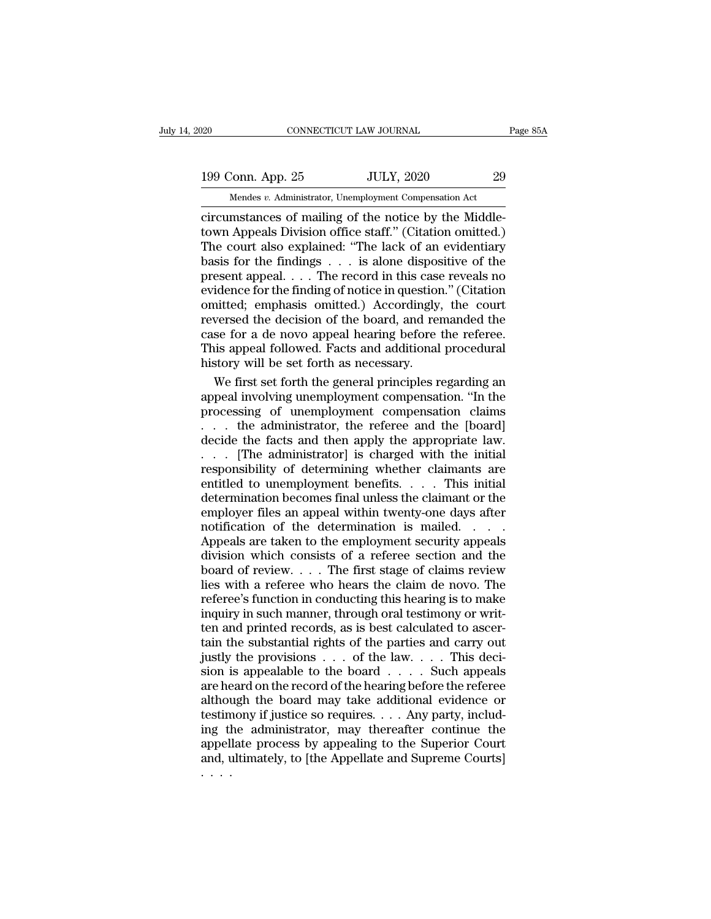20 CONNECTICUT LAW JOURNAL Page 85A<br>199 Conn. App. 25 JULY, 2020 29<br>Mendes v. Administrator, Unemployment Compensation Act

CONNECTICUT LAW JOURNAL<br>
199 Conn. App. 25 JULY, 2020 29<br>
Mendes *v.* Administrator, Unemployment Compensation Act<br>
circumstances of mailing of the notice by the Middleconnectricumstances of mailing of the notice by the Middle-<br>
The notice by the Middle-<br>
circumstances of mailing of the notice by the Middle-<br>
town Appeals Division office staff." (Citation omitted.)<br>
The court also explai 199 Conn. App. 25 JULY, 2020 29<br>
Mendes v. Administrator, Unemployment Compensation Act<br>
circumstances of mailing of the notice by the Middle-<br>
town Appeals Division office staff.'' (Citation omitted.)<br>
The court also expl 199 Conn. App. 25 JULY, 2020 29<br>
Mendes v. Administrator, Unemployment Compensation Act<br>
circumstances of mailing of the notice by the Middle-<br>
town Appeals Division office staff." (Citation omitted.)<br>
The court also expl 199 Conn. App. 25 JULY, 2020 29<br>
Mendes v. Administrator, Unemployment Compensation Act<br>
circumstances of mailing of the notice by the Middle-<br>
town Appeals Division office staff." (Citation omitted.)<br>
The court also expl Mendes v. Administrator, Unemployment Compensation Act<br>
circumstances of mailing of the notice by the Middle-<br>
town Appeals Division office staff." (Citation omitted.)<br>
The court also explained: "The lack of an evidentiar Mendes v. Administrator, Unemployment Compensation Act<br>
circumstances of mailing of the notice by the Middle-<br>
town Appeals Division office staff." (Citation omitted.)<br>
The court also explained: "The lack of an evidentiar circumstances of mailing of the notice by the Middletown Appeals Division office staff." (Citation omitted.)<br>The court also explained: "The lack of an evidentiary<br>basis for the findings  $\dots$  is alone dispositive of the<br>pr town Appeals Division office staff." (Citation omitted.)<br>The court also explained: "The lack of an evidentiary<br>basis for the findings . . . is alone dispositive of the<br>present appeal. . . . The record in this case reveals The court also explained: "The lack of an evidentiary<br>basis for the findings  $\dots$  is alone dispositive of the<br>present appeal  $\dots$ . The record in this case reveals no<br>evidence for the finding of notice in question." (Citat basis for the findings  $\ldots$  is alone dispositive of the present appeal.  $\ldots$  The record in this case reveals no evidence for the finding of notice in question." (Citation omitted; emphasis omitted.) Accordingly, the cou present appeal. . . . The record in this case<br>evidence for the finding of notice in questior<br>omitted; emphasis omitted.) Accordingly,<br>reversed the decision of the board, and re<br>case for a de novo appeal hearing before<br>This idence for the finding of notice in question." (Citation<br>nitted; emphasis omitted.) Accordingly, the court<br>versed the decision of the board, and remanded the<br>se for a de novo appeal hearing before the referee.<br>is appeal fo omitted; emphasis omitted.) Accordingly, the court<br>reversed the decision of the board, and remanded the<br>case for a de novo appeal hearing before the referee.<br>This appeal followed. Facts and additional procedural<br>history wi

reversed the decision of the board, and remanded the<br>case for a de novo appeal hearing before the referee.<br>This appeal followed. Facts and additional procedural<br>history will be set forth as necessary.<br>We first set forth th case for a de novo appeal hearing before the referee.<br>This appeal followed. Facts and additional procedural<br>history will be set forth as necessary.<br>We first set forth the general principles regarding an<br>appeal involving un This appeal followed. Facts and additional procedural<br>history will be set forth as necessary.<br>We first set forth the general principles regarding an<br>appeal involving unemployment compensation. "In the<br>processing of unemplo history will be set forth as necessary.<br>We first set forth the general principles regarding an<br>appeal involving unemployment compensation. "In the<br>processing of unemployment compensation claims<br>. . . . the administrator, t We first set forth the general principles regarding an appeal involving unemployment compensation. "In the processing of unemployment compensation claims  $\dots$  the administrator, the referee and the [board] decide the fact appeal involving unemployment compensation. "In the processing of unemployment compensation claims  $\dots$  the administrator, the referee and the [board] decide the facts and then apply the appropriate law.  $\dots$  [The adminis processing of unemployment compensation claims<br>
... the administrator, the referee and the [board]<br>
decide the facts and then apply the appropriate law.<br>
... [The administrator] is charged with the initial<br>
responsibility ... the administrator, the referee and the [board]<br>decide the facts and then apply the appropriate law.<br>... [The administrator] is charged with the initial<br>responsibility of determining whether claimants are<br>entitled to u decide the facts and then apply the appropriate law.<br>
. . . [The administrator] is charged with the initial<br>
responsibility of determining whether claimants are<br>
entitled to unemployment benefits. . . . This initial<br>
deter  $\ldots$  [The administrator] is charged with the initial responsibility of determining whether claimants are entitled to unemployment benefits.  $\ldots$  This initial determination becomes final unless the claimant or the employ responsibility of determining whether claimants are<br>entitled to unemployment benefits. . . . This initial<br>determination becomes final unless the claimant or the<br>employer files an appeal within twenty-one days after<br>notifi entitled to unemployment benefits. . . . . This initial<br>determination becomes final unless the claimant or the<br>employer files an appeal within twenty-one days after<br>notification of the determination is mailed. . . . .<br>Appe determination becomes final unless the claimant or the<br>employer files an appeal within twenty-one days after<br>notification of the determination is mailed. . . . .<br>Appeals are taken to the employment security appeals<br>divisio employer files an appeal within twenty-one days after<br>notification of the determination is mailed. . . . .<br>Appeals are taken to the employment security appeals<br>division which consists of a referee section and the<br>board of notification of the determination is mailed. . . . . Appeals are taken to the employment security appeals division which consists of a referee section and the board of review. . . . The first stage of claims review lies w Appeals are taken to the employment security appeals<br>division which consists of a referee section and the<br>board of review. . . . The first stage of claims review<br>lies with a referee who hears the claim de novo. The<br>refere division which consists of a referee section and the<br>board of review. . . . The first stage of claims review<br>lies with a referee who hears the claim de novo. The<br>referee's function in conducting this hearing is to make<br>in board of review. . . . The first stage of claims review<br>lies with a referee who hears the claim de novo. The<br>referee's function in conducting this hearing is to make<br>inquiry in such manner, through oral testimony or writlies with a referee who hears the claim de novo. The referee's function in conducting this hearing is to make inquiry in such manner, through oral testimony or written and printed records, as is best calculated to ascerta referee's function in conducting this hearing is to make<br>inquiry in such manner, through oral testimony or writ-<br>ten and printed records, as is best calculated to ascer-<br>tain the substantial rights of the parties and carry inquiry in such manner, through oral testimony or writ-<br>ten and printed records, as is best calculated to ascer-<br>tain the substantial rights of the parties and carry out<br>justly the provisions  $\dots$  of the law.  $\dots$  This de ten and printed records, as is best calculated to ascertain the substantial rights of the parties and carry out<br>justly the provisions  $\ldots$  of the law.  $\ldots$  This decision is appealable to the board  $\ldots$ . Such appeals<br>ar tain the substantial rights of the parties and carry out<br>justly the provisions  $\dots$  of the law.  $\dots$  This decision is appealable to the board  $\dots$ . Such appeals<br>are heard on the record of the hearing before the referee<br>al justly the provisions  $\ldots$  of the law.  $\ldots$  This decision is appealable to the board  $\ldots$ . Such appeals are heard on the record of the hearing before the referee although the board may take additional evidence or testi sion is appealable to the board  $\dots$ . Such appeals are heard on the record of the hearing before the referee although the board may take additional evidence or testimony if justice so requires.  $\dots$  Any party, including t are he<br>althou<br>testin<br>ing tl<br>appell<br>and, u<br>. . . . .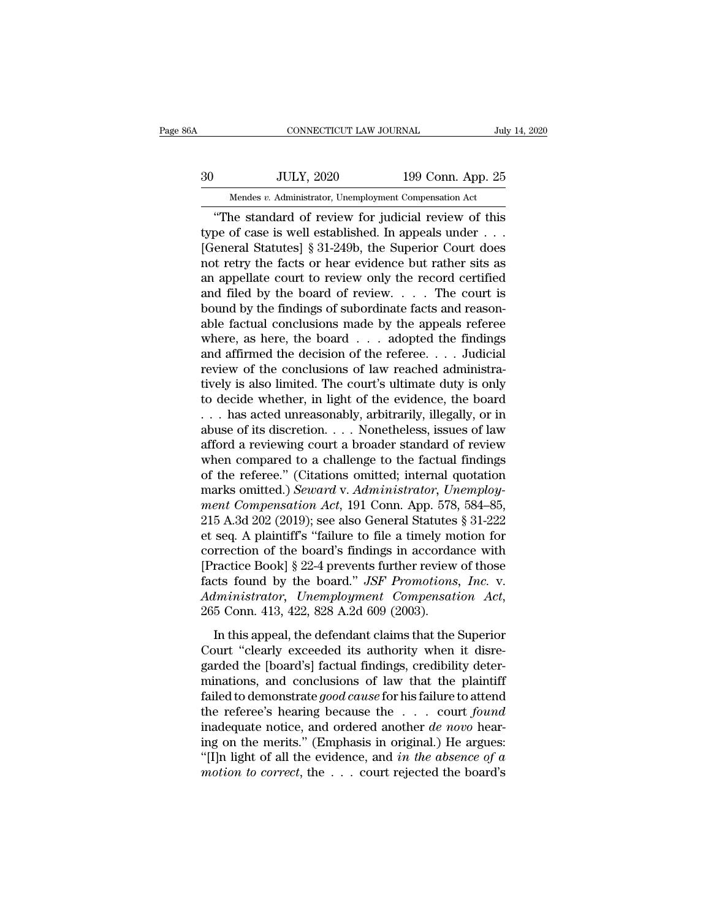# EXECUTE CONNECTICUT LAW JOURNAL July 14, 2020<br>30 JULY, 2020 199 Conn. App. 25<br>Mendes v. Administrator, Unemployment Compensation Act CONNECTICUT LAW JOURNAL July 14, 2020<br>JULY, 2020 199 Conn. App. 25<br>Mendes *v.* Administrator, Unemployment Compensation Act<br>"The standard of review for judicial review of this

CONNECTICUT LAW JOURNAL July 14, 2020<br>JULY, 2020 199 Conn. App. 25<br>Mendes v. Administrator, Unemployment Compensation Act<br>"The standard of review for judicial review of this<br>pe of case is well established. In appeals under THE SERVIE OF STREET ON THE SERVIE OF STREET ON THE STREET OF CASE IS Well established. In appeals under . . .<br>
The standard of review for judicial review of this type of case is well established. In appeals under . . . .<br>  $30$  JULY, 2020 199 Conn. App. 25<br>
Mendes v. Administrator, Unemployment Compensation Act<br>
"The standard of review for judicial review of this<br>
type of case is well established. In appeals under . . .<br>
[General Statutes] 30 JULY, 2020 199 Conn. App. 25<br>
Mendes v. Administrator, Unemployment Compensation Act<br>
"The standard of review for judicial review of this<br>
type of case is well established. In appeals under . . .<br>
[General Statutes] § Mendes v. Administrator, Unemployment Compensation Act<br>
"The standard of review for judicial review of this<br>
type of case is well established. In appeals under . . .<br>
[General Statutes] § 31-249b, the Superior Court does<br> Mendes v. Administrator, Unemployment Compensation Act<br>
"The standard of review for judicial review of this<br>
type of case is well established. In appeals under . . .<br>
[General Statutes] § 31-249b, the Superior Court does<br> "The standard of review for judicial review of this<br>type of case is well established. In appeals under . . .<br>[General Statutes] § 31-249b, the Superior Court does<br>not retry the facts or hear evidence but rather sits as<br>an type of case is well established. In appeals under . . .<br>[General Statutes] § 31-249b, the Superior Court does<br>not retry the facts or hear evidence but rather sits as<br>an appellate court to review only the record certified [General Statutes] § 31-249b, the Superior Court does<br>not retry the facts or hear evidence but rather sits as<br>an appellate court to review only the record certified<br>and filed by the board of review. . . . The court is<br>boun not retry the facts or hear evidence but rather sits as<br>an appellate court to review only the record certified<br>and filed by the board of review. . . . The court is<br>bound by the findings of subordinate facts and reason-<br>abl an appellate court to review only the record certified<br>and filed by the board of review. . . . The court is<br>bound by the findings of subordinate facts and reason-<br>able factual conclusions made by the appeals referee<br>where and filed by the board of review. . . . . The court is<br>bound by the findings of subordinate facts and reason-<br>able factual conclusions made by the appeals referee<br>where, as here, the board  $\ldots$  adopted the findings<br>and a bound by the findings of subordinate facts and reasonable factual conclusions made by the appeals referee<br>where, as here, the board  $\ldots$  adopted the findings<br>and affirmed the decision of the referee.  $\ldots$  Judicial<br>revie able factual conclusions made by the appeals referee<br>where, as here, the board  $\ldots$  adopted the findings<br>and affirmed the decision of the referee.  $\ldots$  Judicial<br>review of the conclusions of law reached administra-<br>tivel where, as here, the board  $\ldots$  adopted the findings<br>and affirmed the decision of the referee.  $\ldots$  Judicial<br>review of the conclusions of law reached administra-<br>tively is also limited. The court's ultimate duty is only<br> and affirmed the decision of the referee. . . . Judicial<br>review of the conclusions of law reached administra-<br>tively is also limited. The court's ultimate duty is only<br>to decide whether, in light of the evidence, the boar review of the conclusions of law reached administratively is also limited. The court's ultimate duty is only to decide whether, in light of the evidence, the board  $\dots$  has acted unreasonably, arbitrarily, illegally, or i tively is also limited. The court's ultimate duty is only<br>to decide whether, in light of the evidence, the board<br>... has acted unreasonably, arbitrarily, illegally, or in<br>abuse of its discretion.... Nonetheless, issues of to decide whether, in light of the evidence, the board . . . . has acted unreasonably, arbitrarily, illegally, or in abuse of its discretion. . . . Nonetheless, issues of law afford a reviewing court a broader standard of *mention and acted unreasonably, arbitrarily, illegally, or in abuse of its discretion.... Nonetheless, issues of law afford a reviewing court a broader standard of review when compared to a challenge to the factual findin* abuse of its discretion. . . . Nonetheless, issues of law<br>afford a reviewing court a broader standard of review<br>when compared to a challenge to the factual findings<br>of the referee." (Citations omitted; internal quotation<br> afford a reviewing court a broader standard of review<br>when compared to a challenge to the factual findings<br>of the referee." (Citations omitted; internal quotation<br>marks omitted.) *Seward* v. Administrator, Unemploy-<br>ment when compared to a challenge to the factual findings<br>of the referee." (Citations omitted; internal quotation<br>marks omitted.) *Seward* v. Administrator, Unemploy-<br>ment Compensation Act, 191 Conn. App. 578, 584–85,<br>215 A.3d of the referee." (Citations omitted; internal quotation<br>marks omitted.) *Seward* v. *Administrator*, *Unemploy-<br>ment Compensation Act*, 191 Conn. App. 578, 584–85,<br>215 A.3d 202 (2019); see also General Statutes § 31-222<br>et marks omitted.) *Seward v. Administrator, Unemploy-*<br>ment Compensation Act, 191 Conn. App. 578, 584–85,<br>215 A.3d 202 (2019); see also General Statutes § 31-222<br>et seq. A plaintiff's "failure to file a timely motion for<br>cor *Ment Compensation Act*, 191 Conn. App. 578, 584–85, 215 A.3d 202 (2019); see also General Statutes § 31-222 et seq. A plaintiff's "failure to file a timely motion for correction of the board's findings in accordance with External of the board's findings in accordance with<br>ractice Book] § 22-4 prevents further review of those<br>cts found by the board." *JSF Promotions, Inc.* v.<br>*lministrator, Unemployment Compensation Act*,<br>5 Conn. 413, 422, Fractice Book] § 22-4 prevents further review of those<br>facts found by the board." *JSF Promotions, Inc. v.*<br>*Administrator, Unemployment Compensation Act,*<br>265 Conn. 413, 422, 828 A.2d 609 (2003).<br>In this appeal, the defen

facts found by the board." *JSF Promotions, Inc. v.*<br>Administrator, Unemployment Compensation Act,<br>265 Conn. 413, 422, 828 A.2d 609 (2003).<br>In this appeal, the defendant claims that the Superior<br>Court "clearly exceeded it Machinistrator, Unemployment Compensation Act,<br>265 Conn. 413, 422, 828 A.2d 609 (2003).<br>In this appeal, the defendant claims that the Superior<br>Court "clearly exceeded its authority when it disre-<br>garded the [board's] factu Framewater, Chemptogment Compensation Tree,<br>265 Conn. 413, 422, 828 A.2d 609 (2003).<br>In this appeal, the defendant claims that the Superior<br>Court "clearly exceeded its authority when it disre-<br>garded the [board's] factual In this appeal, the defendant claims that the Superior<br>Court "clearly exceeded its authority when it disre-<br>garded the [board's] factual findings, credibility deter-<br>minations, and conclusions of law that the plaintiff<br>fai In this appeal, the defendant claims that the Superior<br>Court "clearly exceeded its authority when it disre-<br>garded the [board's] factual findings, credibility deter-<br>minations, and conclusions of law that the plaintiff<br>fai Court "clearly exceeded its authority when it disregarded the [board's] factual findings, credibility determinations, and conclusions of law that the plaintiff failed to demonstrate *good cause* for his failure to attend garded the [board's] factual findings, credibility deter-<br>minations, and conclusions of law that the plaintiff<br>failed to demonstrate *good cause* for his failure to attend<br>the referee's hearing because the  $\ldots$  court *fo* minations, and conclusions of law that the plaintiff<br>failed to demonstrate *good cause* for his failure to attend<br>the referee's hearing because the . . . court *found*<br>inadequate notice, and ordered another *de novo* hear-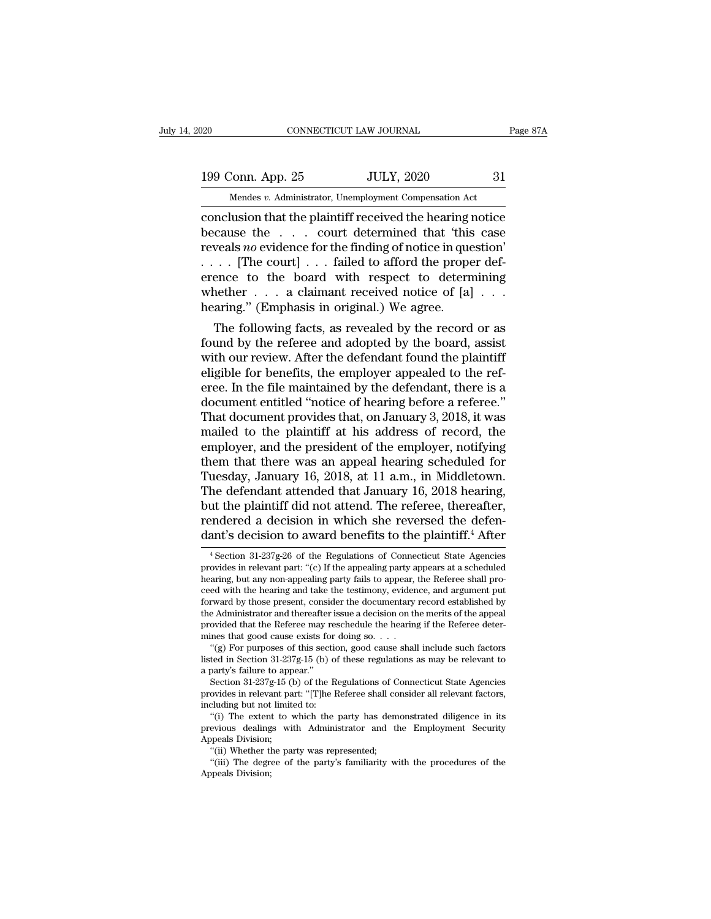20 CONNECTICUT LAW JOURNAL Page 87A<br>199 Conn. App. 25 JULY, 2020 31<br>Mendes v. Administrator, Unemployment Compensation Act

CONNECTICUT LAW JOURNAL<br>
199 Conn. App. 25 JULY, 2020 31<br>
Mendes *v.* Administrator, Unemployment Compensation Act<br>
conclusion that the plaintiff received the hearing notice connectricut LAW JOURNAL Page 87A<br>
199 Conn. App. 25 JULY, 2020 31<br>
Mendes v. Administrator, Unemployment Compensation Act<br>
conclusion that the plaintiff received the hearing notice<br>
because the . . . court determined that 199 Conn. App. 25 JULY, 2020 31<br>
Mendes v. Administrator, Unemployment Compensation Act<br>
conclusion that the plaintiff received the hearing notice<br>
because the . . . . court determined that 'this case<br>
reveals *no* eviden 199 Conn. App. 25 JULY, 2020 31<br>
Mendes *v.* Administrator, Unemployment Compensation Act<br>
conclusion that the plaintiff received the hearing notice<br>
because the . . . . court determined that 'this case<br>
reveals *no* evid 199 Conn. App. 25 JULY, 2020 31<br>
Mendes v. Administrator, Unemployment Compensation Act<br>
conclusion that the plaintiff received the hearing notice<br>
because the . . . court determined that 'this case<br>
reveals no evidence f Mendes v. Administrator, Unemployment Compensation Act<br>
conclusion that the plaintiff received the hearing notice<br>
because the . . . court determined that 'this case<br>
reveals no evidence for the finding of notice in quest Mendes v. Administrator, Unemployment Compensation Act<br>
conclusion that the plaintiff received the hearing notice<br>
because the . . . court determined that 'this case<br>
reveals *no* evidence for the finding of notice in que conclusion that the plaintiff received the hearing is<br>because the . . . . court determined that 'this<br>reveals *no* evidence for the finding of notice in que<br>. . . . [The court] . . . failed to afford the prope<br>erence to t cause the  $\ldots$  court determined that this case<br>veals *no* evidence for the finding of notice in question'<br> $\ldots$  [The court]  $\ldots$  failed to afford the proper def-<br>ence to the board with respect to determining<br>nether  $\ldots$ reveals *no* evidence for the finding of notice in question<br>  $\ldots$  [The court]  $\ldots$  failed to afford the proper def-<br>
erence to the board with respect to determining<br>
whether  $\ldots$  a claimant received notice of [a]  $\ldots$ 

 $\dots$  [The court]  $\dots$  ration of antional the proper deference to the board with respect to determining whether  $\dots$  a claimant received notice of [a]  $\dots$  hearing." (Emphasis in original.) We agree.<br>The following facts, a erence to the board with respect to determining<br>whether  $\ldots$  a claimant received notice of [a]  $\ldots$ <br>hearing." (Emphasis in original.) We agree.<br>The following facts, as revealed by the record or as<br>found by the referee a whether  $\ldots$  a claimant received notice of [a]  $\ldots$ <br>hearing." (Emphasis in original.) We agree.<br>The following facts, as revealed by the record or as<br>found by the referee and adopted by the board, assist<br>with our review. rearing. (Emphasis in original.) we agree.<br>The following facts, as revealed by the record or as<br>found by the referee and adopted by the board, assist<br>with our review. After the defendant found the plaintiff<br>eligible for be The following facts, as revealed by the record or as<br>found by the referee and adopted by the board, assist<br>with our review. After the defendant found the plaintiff<br>eligible for benefits, the employer appealed to the ref-<br>e found by the referee and adopted by the board, assist<br>with our review. After the defendant found the plaintiff<br>eligible for benefits, the employer appealed to the ref-<br>eree. In the file maintained by the defendant, there i with our review. After the defendant found the plaintiff<br>eligible for benefits, the employer appealed to the ref-<br>eree. In the file maintained by the defendant, there is a<br>document entitled "notice of hearing before a refe eligible for benefits, the employer appealed to the referee. In the file maintained by the defendant, there is a document entitled "notice of hearing before a referee."<br>That document provides that, on January 3, 2018, it w eree. In the file maintained by the defendant, there is a document entitled "notice of hearing before a referee."<br>That document provides that, on January 3, 2018, it was mailed to the plaintiff at his address of record, th document entitled "notice of hearing before a referee."<br>That document provides that, on January 3, 2018, it was<br>mailed to the plaintiff at his address of record, the<br>employer, and the president of the employer, notifying<br>t That document provides that, on January 3, 2018, it was<br>mailed to the plaintiff at his address of record, the<br>employer, and the president of the employer, notifying<br>them that there was an appeal hearing scheduled for<br>Tuesd mailed to the plaintiff at his address of record, the employer, and the president of the employer, notifying them that there was an appeal hearing scheduled for Tuesday, January 16, 2018, at 11 a.m., in Middletown. The def employer, and the president of the employer, notifying<br>them that there was an appeal hearing scheduled for<br>Tuesday, January 16, 2018, at 11 a.m., in Middletown.<br>The defendant attended that January 16, 2018 hearing,<br>but the he defendant attended that January 16, 2018 hearing,<br>ut the plaintiff did not attend. The referee, thereafter,<br>endered a decision in which she reversed the defen-<br>ant's decision to award benefits to the plaintiff.<sup>4</sup> After but the plaintiff did not attend. The referee, thereafter,<br>rendered a decision in which she reversed the defen-<br>dant's decision to award benefits to the plaintiff.<sup>4</sup> After<br><sup>4</sup> Section 31-237g-26 of the Regulations of Conn

but are prained in the action. The reversed the defendant's decision in which she reversed the defendant's decision to award benefits to the plaintiff.<sup>4</sup> After  $\frac{4}{3}$  as a section  $\frac{31-237g-26}{3}$  of the Regulations rendered a decision in which she reversed the defendent's decision to award benefits to the plaintiff.<sup>4</sup> After  $\frac{4}{3}$  Section 31-237g-26 of the Regulations of Connecticut State Agencies provides in relevant part: "(c) dant's decision to award benefits to the plaintiff.<sup>4</sup> After  $\overline{ }$ <br><sup>4</sup> Section 31-237g-26 of the Regulations of Connecticut State Agencies<br>provides in relevant part: "(c) If the appealing party appears at a scheduled<br>he <sup>4</sup> Section 31-237g-26 of the Regulations of Connecticut State Agencies provides in relevant part: "(c) If the appealing party appears at a scheduled hearing, but any non-appealing party fails to appear, the Referee shall provides in relevant part: "(c) If the appealing party appears at a scheduled hearing, but any non-appealing party fails to appear, the Referee shall proceed with the hearing and take the testimony, evidence, and argument provides in relevant part: "(c) If the appealing party a<br>hearing, but any non-appealing party fails to appear,<br>ceed with the hearing and take the testimony, evider<br>forward by those present, consider the documentary<br>the Ad aring, but any non-appealing party tails to appear, the Keferee shall pro-<br>ed with the hearing and take the testimony, evidence, and argument put<br>tward by those present, consider the documentary record established by<br>e Ad ceed with the hearing and take the testimony, evidence, and argument put<br>forward by those present, consider the documentary record established by<br>the Administrator and thereafter issue a decision on the merits of the appea forward by those present, consider<br>the Administrator and thereafter<br>provided that the Referee may r<br>mines that good cause exists for<br>"(g) For purposes of this sect<br>listed in Section 31-237g-15 (b)<br>a party's failure to appe

e Administrator and thereatter issue a decision on the ments of the appeal<br>ovided that the Referee may reschedule the hearing if the Referee deter-<br>ines that good cause exists for doing so. . . .<br>"(g) For purposes of this

provided that the keteree may reschedule the hearing if the keteree deter-<br>mines that good cause exists for doing so....<br>"(g) For purposes of this section, good cause shall include such factors<br>listed in Section 31-237g-1 mines that good cause exists for<br>
"(g) For purposes of this sectial<br>
listed in Section 31-237g-15 (b) o<br>
a party's failure to appear."<br>
Section 31-237g-15 (b) of the R<br>
provides in relevant part: "[T]he I<br>
including but no "(g) For purposes of this section, good cause shall include such factors<br>ted in Section 31-237g-15 (b) of these regulations as may be relevant to<br>party's failure to appear."<br>Section 31-237g-15 (b) of the Regulations of Co a party's railure to app<br>
Section 31-237g-15 (provides in relevant pa<br>
including but not limit<br>
"(i) The extent to v<br>
previous dealings wi<br>
Appeals Division;<br>
"(ii) Whether the pa<br>
(iii) Whether the pa

insted in Section 31-237g-15 (b) of these regulations as may be relevant to<br>a party's failure to appear."<br>Section 31-237g-15 (b) of the Regulations of Connecticut State Agencies<br>provides in relevant part: "[T]he Referee sh Section 31-237g-15 (b) of the Regulations of Covides in relevant part: "[T]he Referee shall ccluding but not limited to: "(i) The extent to which the party has den evious dealings with Administrator and the parts Division ovides in relevant part: "[T]ne keteree shall consider all relevant factors,<br>cluding but not limited to:<br>"(i) The extent to which the party has demonstrated diligence in its<br>evious dealings with Administrator and the Emplo including but not limited to:<br>
"(i) The extent to which the party has demonstrated diligence in its<br>
previous dealings with Administrator and the Employment Security<br>
Appeals Division;<br>
"(ii) Whether the party was represen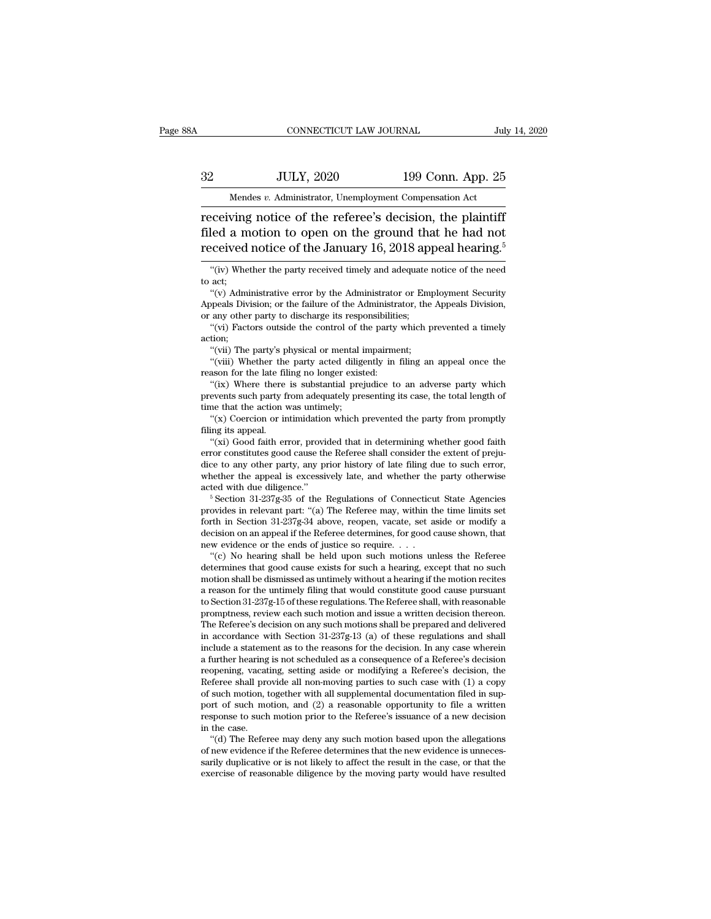# EXECUTE CONNECTICUT LAW JOURNAL July 14, 2020<br>32 JULY, 2020 199 Conn. App. 25<br>Mendes v. Administrator, Unemployment Compensation Act CONNECTICUT LAW JOURNAL July 14, 2020<br>
32 JULY, 2020 199 Conn. App. 25<br>
Mendes *v.* Administrator, Unemployment Compensation Act<br>
Teceiving notice of the referee's decision, the plaintiff

 $\begin{tabular}{ll} \multicolumn{1}{l}{{\text{conv6}}} & \multicolumn{1}{l}{\text{conv6}} & \multicolumn{1}{l}{\text{July 14, 202}}\\ \hline \multicolumn{1}{l}{\text{Mendes }v. \text{ Administrator, Un employment Comparison Act}}\\ \hline \multicolumn{1}{l}{\text{receiving notice of the reference's decision, the plaintiff}}\\ \hline \multicolumn{1}{l}{\text{filed a motion to open on the ground that he had not} }\\ \multicolumn{1}{l}{\text{recoivend notice of the Innum 16, 2018, and then the second line of the long time.}} \end{tabular}$  $f{32}$  JULY, 2020 199 Conn. App. 25<br>Mendes v. Administrator, Unemployment Compensation Act<br>receiving notice of the referee's decision, the plaintiff<br>filed a motion to open on the ground that he had not<br>received notice of 32 JULY, 2020 199 Conn. App. 25<br>
Mendes v. Administrator, Unemployment Compensation Act<br>
receiving notice of the referee's decision, the plaintiff<br>
filed a motion to open on the ground that he had not<br>
received notice of  $\frac{1}{2}$  and  $\frac{1}{2}$  is a complement of the party receiving notice of the referee's decision, the plaintiff<br>led a motion to open on the ground that he had not<br>ceived notice of the January 16, 2018 appeal hearing.<sup>5</sup><br> $\$ receiving<br>filed a n<br>received<br>"(iv) Whe<br>to act;<br>"(v) Adm led a motion to open on the ground that he had not<br>
cceived notice of the January 16, 2018 appeal hearing.<sup>5</sup><br>
"(iv) Whether the party received timely and adequate notice of the need<br>
act;<br>
"(v) Administrative error by the

med a motion to open on the ground that he had not<br>received notice of the January 16, 2018 appeal hearing.<sup>5</sup><br>"(iv) Whether the party received timely and adequate notice of the need<br>to act;<br>"(v) Administrative error by the "(iv) Whether the party received timely and adequate notice of the need to act;<br>
" $(v)$  Administrative error by the Administrator or Employment Security<br>
Appeals Division; or the failure of the Administrator, the Appeals D "(iv) Whether the party received timely and adequate notice of the need<br>act;<br>"(v) Administrative error by the Administrator or Employment Security<br>ppeals Division; or the failure of the Administrator, the Appeals Division, "(v) Administrative error by the Administrator or Employment Security Appeals Division; or the failure of the Administrator, the Appeals Division, or any other party to discharge its responsibilities; "(vi) Factors outsid "(v) Administrative error by the Administrator or Employment Security<br>ppeals Division; or the failure of the Administrator, the Appeals Division,<br>any other party to discharge its responsibilities;<br>"(vii) Factors outside th

action;

Appeals Division; or the fallure of the Administric<br>or any other party to discharge its responsibiliti<br>"(vi) Factors outside the control of the party<br>action;<br>"(vii) The party's physical or mental impairme<br>"(viii) Whether t

any other party to discharge its responsibilities;<br>"(vi) Factors outside the control of the party which prevented a timely<br>tion;<br>"(viii) The party's physical or mental impairment;<br>"(viii) Whether the party acted diligently "(vi) Factors outside the control of the party which prevented a timely<br>action;<br>"(viii) The party's physical or mental impairment;<br>"(viii) Whether the party acted diligently in filing an appeal once the<br>reason for the late action;<br>"(vii) The party's physical or mental<br>"(viii) Whether the party acted dilig<br>reason for the late filing no longer exis<br>"(ix) Where there is substantial pre<br>prevents such party from adequately pre<br>time that the actio "(vii) The party's physical or mental impairment;<br>"(viii) Whether the party acted diligently in filing an appeal once the<br>ason for the late filing no longer existed:<br>"(ix) Where there is substantial prejudice to an adverse Filips whether the<br>reason for the late filips ("(ix) Where there<br>prevents such party f<br>time that the action v<br>"(x) Coercion or in<br>filing its appeal.<br>"(xi) Good faith er ason for the late filing no longer existed:<br>
"(ix) Where there is substantial prejudice to an adverse party which<br>
events such party from adequately presenting its case, the total length of<br>
me that the action was untimely

(ix) Where there is substantial prejudice to an adverse party which<br>prevents such party from adequately presenting its case, the total length of<br>time that the action was untimely;<br>"(x) Coercion or intimidation which preven time that the action was untimely;<br>
" $(x)$  Coercion or intimidation which prevented the party from promptly<br>
filing its appeal.<br>
" $(xi)$  Good faith error, provided that in determining whether good faith<br>
error constitutes g time that the action was untimely;<br>
"(x) Coercion or intimidation which prevented the party from promptly<br>
filing its appeal.<br>
"(xi) Good faith error, provided that in determining whether good faith<br>
error constitutes good "(x) Coercion or intimidation which prevented the party from promptly<br>filing its appeal.<br>"(xi) Good faith error, provided that in determining whether good faith<br>error constitutes good cause the Referee shall consider the "(xi) Good faith error, provided that in determining whether good faith error constitutes good cause the Referee shall consider the extent of prejudice to any other party, any prior history of late filing due to such erro

error constitutes good cause the Referee shall consider the extent of prejudice to any other party, any prior history of late filing due to such error, whether the appeal is excessively late, and whether the party otherwis dice to any other party, any prior history of late filing due to such error, whether the appeal is excessively late, and whether the party otherwise acted with due diligence."<br>
<sup>5</sup> Section 31-237g-35 of the Regulations of whether the appeal is excessively late, and whether the acted with due diligence."<br>
<sup>5</sup> Section 31-237g-35 of the Regulations of Connecticu<br>
provides in relevant part: "(a) The Referee may, within the<br>
forth in Section 31 ted with due diligence."<br>
<sup>5</sup> Section 31-237g-35 of the Regulations of Connecticut State Agencies<br>
ovides in relevant part: "(a) The Referee may, within the time limits set<br>
rth in Section 31-237g-34 above, reopen, vacate "Section 31-237g-35 of the Regulations of Connecticut State Agencies<br>provides in relevant part: "(a) The Referee may, within the time limits set<br>forth in Section 31-237g-34 above, reopen, vacate, set aside or modify a<br>dec

provides in relevant part: "(a) The Keferee may, within the time limits set<br>forth in Section 31-237g-34 above, reopen, vacate, set aside or modify a<br>decision on an appeal if the Referee determines, for good cause shown, t forth in Section 31-237g-34 above, reopen, vacate, set aside or modify a decision on an appeal if the Referee determines, for good cause shown, that new evidence or the ends of justice so require. . . . . . . . . . . . . decision on an appeal if the Referee determines, for good cause shown, that<br>new evidence or the ends of justice so require. . . .<br>"(c) No hearing shall be held upon such motions unless the Referee<br>determines that good caus new evidence or the ends of justice so require. . . .<br>"(c) No hearing shall be held upon such motions unless the Referee<br>determines that good cause exists for such a hearing, except that no such<br>motion shall be dismissed a "(c) No hearing shall be held upon such motions unless the Referee determines that good cause exists for such a hearing, except that no such motion shall be dismissed as untimely without a hearing if the motion recites a determines that good cause exists for such a hearing, except that no such<br>motion shall be dismissed as untimely without a hearing if the motion recites<br>a reason for the untimely filing that would constitute good cause purs motion shall be dismissed as untimely without a hearing if the motion recites<br>a reason for the untimely filing that would constitute good cause pursuant<br>to Section 31-237g-15 of these regulations. The Referee shall, with r a reason for the untimely filmg that would constitute good cause pursuant<br>to Section 31-237g-15 of these regulations. The Referee shall, with reasonable<br>promptness, review each such motion and issue a written decision ther to Section 31-237g-1b of these regulations. The Referee shall, with reasonable<br>promptness, review each such motion and issue a written decision thereon.<br>The Referee's decision on any such motions shall be prepared and del promptness, review each such motion and issue a written decision thereon.<br>The Referee's decision on any such motions shall be prepared and delivered<br>in accordance with Section 31-237g-13 (a) of these regulations and shall<br> The keteree's decision on any such motions shall be prepared and delivered<br>in accordance with Section 31-237g-13 (a) of these regulations and shall<br>include a statement as to the reasons for the decision. In any case where in accordance with Section 31-2378-13 (a) of these regulations and shall<br>include a statement as to the reasons for the decision. In any case wherein<br>a further hearing is not scheduled as a consequence of a Referee's decis include a statement as to the reasons for the decision. In any case wherein<br>a further hearing is not scheduled as a consequence of a Referee's decision<br>reopening, vacating, setting aside or modifying a Referee's decision, a further hearing is not scheduled as a consequence of a Referee's decision reopening, vacating, setting aside or modifying a Referee's decision, the Referee shall provide all non-moving parties to such case with (1) a co opening, vacating, setting aside or modifying a Keferee's decision, the feree shall provide all non-moving parties to such case with (1) a copy such motion, together with all supplemental documentation filed in sup-<br>protof of such motion, together with all supplemental documentation filed in support of such motion, and  $(2)$  a reasonable opportunity to file a written response to such motion prior to the Referee's issuance of a new decision

or such motion, together with all supplemental documentation filed in sup-<br>port of such motion, and (2) a reasonable opportunity to file a written<br>response to such motion prior to the Referee's issuance of a new decision<br>i sarily duplicative or is not likely to affect the result in the case, or that the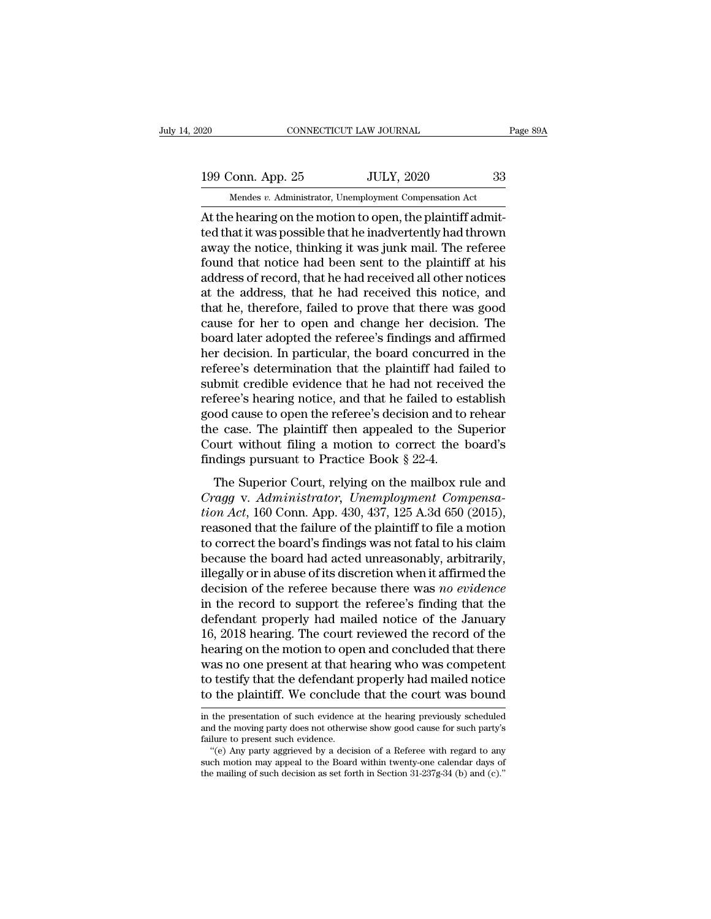20 CONNECTICUT LAW JOURNAL Page 89A<br>199 Conn. App. 25 JULY, 2020 33<br>Mendes v. Administrator, Unemployment Compensation Act

CONNECTICUT LAW JOURNAL<br>
199 Conn. App. 25 JULY, 2020 33<br>
Mendes *v.* Administrator, Unemployment Compensation Act<br>
At the hearing on the motion to open, the plaintiff admit-CONNECTICUT LAW JOURNAL<br>
199 Conn. App. 25 JULY, 2020 33<br>
Mendes v. Administrator, Unemployment Compensation Act<br>
At the hearing on the motion to open, the plaintiff admit-<br>
ted that it was possible that he inadvertently h 199 Conn. App. 25 JULY, 2020 33<br>
Mendes v. Administrator, Unemployment Compensation Act<br>
At the hearing on the motion to open, the plaintiff admit-<br>
ted that it was possible that he inadvertently had thrown<br>
away the notic 199 Conn. App. 25 JULY, 2020 33<br>
Mendes  $v$ . Administrator, Unemployment Compensation Act<br>
At the hearing on the motion to open, the plaintiff admit-<br>
ted that it was possible that he inadvertently had thrown<br>
away the no 199 Conn. App. 25 JULY, 2020 33<br>
Mendes  $v$ . Administrator, Unemployment Compensation Act<br>
At the hearing on the motion to open, the plaintiff admit-<br>
ted that it was possible that he inadvertently had thrown<br>
away the no Mendes v. Administrator, Unemployment Compensation Act<br>At the hearing on the motion to open, the plaintiff admit-<br>ted that it was possible that he inadvertently had thrown<br>away the notice, thinking it was junk mail. The r Mendes v. Administrator, Unemployment Compensation Act<br>At the hearing on the motion to open, the plaintiff admit-<br>ted that it was possible that he inadvertently had thrown<br>away the notice, thinking it was junk mail. The r At the hearing on the motion to open, the plaintiff admitted that it was possible that he inadvertently had thrown<br>away the notice, thinking it was junk mail. The referee<br>found that notice had been sent to the plaintiff at ted that it was possible that he inadvertently had thrown<br>away the notice, thinking it was junk mail. The referee<br>found that notice had been sent to the plaintiff at his<br>address of record, that he had received all other no away the notice, thinking it was junk mail. The referee<br>found that notice had been sent to the plaintiff at his<br>address of record, that he had received all other notices<br>at the address, that he had received this notice, an found that notice had been sent to the plaintiff at his<br>address of record, that he had received all other notices<br>at the address, that he had received this notice, and<br>that he, therefore, failed to prove that there was goo address of record, that he had received all other notices<br>at the address, that he had received this notice, and<br>that he, therefore, failed to prove that there was good<br>cause for her to open and change her decision. The<br>boa at the address, that he had received this notice, and<br>that he, therefore, failed to prove that there was good<br>cause for her to open and change her decision. The<br>board later adopted the referee's findings and affirmed<br>her d that he, therefore, failed to prove that there was good<br>cause for her to open and change her decision. The<br>board later adopted the referee's findings and affirmed<br>her decision. In particular, the board concurred in the<br>ref cause for her to open and change her decision. The<br>board later adopted the referee's findings and affirmed<br>her decision. In particular, the board concurred in the<br>referee's determination that the plaintiff had failed to<br>su board later adopted the referee's findings and affirmed<br>her decision. In particular, the board concurred in the<br>referee's determination that the plaintiff had failed to<br>submit credible evidence that he had not received th her decision. In particular, the board concurred in the referee's determination that the plaintiff had failed to submit credible evidence that he had not received the referee's hearing notice, and that he failed to establi referee's determination that the plaintiff had fa<br>submit credible evidence that he had not receiv<br>referee's hearing notice, and that he failed to es<br>good cause to open the referee's decision and to<br>the case. The plaintiff Feree's hearing notice, and that he failed to establish<br>od cause to open the referee's decision and to rehear<br>e case. The plaintiff then appealed to the Superior<br>ourt without filing a motion to correct the board's<br>dings p referred sine and gradier, and that it hands to establish good cause to open the referee's decision and to rehear<br>the case. The plaintiff then appealed to the Superior<br>Court without filing a motion to correct the board's<br>f

good calse to open the referee *s* decision and to renear<br>the case. The plaintiff then appealed to the Superior<br>Court without filing a motion to correct the board's<br>findings pursuant to Practice Book § 22-4.<br>The Superior C Court without filing a motion to correct the board's<br>findings pursuant to Practice Book § 22-4.<br>The Superior Court, relying on the mailbox rule and<br>*Cragg v. Administrator, Unemployment Compensa-*<br>*tion Act*, 160 Conn. Ap findings pursuant to Practice Book § 22-4.<br>The Superior Court, relying on the mailbox rule and<br>*Cragg v. Administrator, Unemployment Compensa-*<br>*tion Act*, 160 Conn. App. 430, 437, 125 A.3d 650 (2015),<br>reasoned that the f The Superior Court, relying on the mailbox rule and<br>Cragg v. Administrator, Unemployment Compensa-<br>tion Act, 160 Conn. App. 430, 437, 125 A.3d 650 (2015),<br>reasoned that the failure of the plaintiff to file a motion<br>to cor The Superior Court, relying on the mailbox rule and<br> *Cragg v. Administrator*, *Unemployment Compensa-*<br> *tion Act*, 160 Conn. App. 430, 437, 125 A.3d 650 (2015),<br>
reasoned that the failure of the plaintiff to file a motio Cragg v. Administrator, Unemployment Compensa-<br>tion Act, 160 Conn. App. 430, 437, 125 A.3d 650 (2015),<br>reasoned that the failure of the plaintiff to file a motion<br>to correct the board's findings was not fatal to his claim<br> *tion Act*, 160 Conn. App. 430, 437, 125 A.3d 650 (2015),<br>reasoned that the failure of the plaintiff to file a motion<br>to correct the board's findings was not fatal to his claim<br>because the board had acted unreasonably, ar reasoned that the failure of the plaintiff to file a motion<br>to correct the board's findings was not fatal to his claim<br>because the board had acted unreasonably, arbitrarily,<br>illegally or in abuse of its discretion when it to correct the board's findings was not fatal to his claim<br>because the board had acted unreasonably, arbitrarily,<br>illegally or in abuse of its discretion when it affirmed the<br>decision of the referee because there was *no e* because the board had acted unreasonably, arbitrarily,<br>illegally or in abuse of its discretion when it affirmed the<br>decision of the referee because there was no evidence<br>in the record to support the referee's finding that illegally or in abuse of its discretion when it affirmed the<br>decision of the referee because there was *no evidence*<br>in the record to support the referee's finding that the<br>defendant properly had mailed notice of the Janua decision of the referee because there was *no evidence*<br>in the record to support the referee's finding that the<br>defendant properly had mailed notice of the January<br>16, 2018 hearing. The court reviewed the record of the<br>hea in the record to support the referee's finding that the<br>defendant properly had mailed notice of the January<br>16, 2018 hearing. The court reviewed the record of the<br>hearing on the motion to open and concluded that there<br>was hearing on the motion to open and concluded that there<br>was no one present at that hearing who was competent<br>to testify that the defendant properly had mailed notice<br>to the plaintiff. We conclude that the court was bound<br>in was no one present at that hearing who was competent<br>to testify that the defendant properly had mailed notice<br>to the plaintiff. We conclude that the court was bound<br>in the presentation of such evidence at the hearing previ

to testify that the defendant properly had mailed notice<br>to the plaintiff. We conclude that the court was bound<br>in the presentation of such evidence at the hearing previously scheduled<br>and the moving party does not otherwi The plaintiff. We conclude that the court was bound<br>the presentation of such evidence at the hearing previously scheduled<br>d the moving party does not otherwise show good cause for such party's<br>lure to present such evidence

fo the plaintiff. We conclude that the court was bound<br>in the presentation of such evidence at the hearing previously scheduled<br>and the moving party does not otherwise show good cause for such party's<br>failure to present s in the presentation of such evidence at the hearing previously scheduled<br>and the moving party does not otherwise show good cause for such party's<br>failure to present such evidence.<br>"(e) Any party aggrieved by a decision of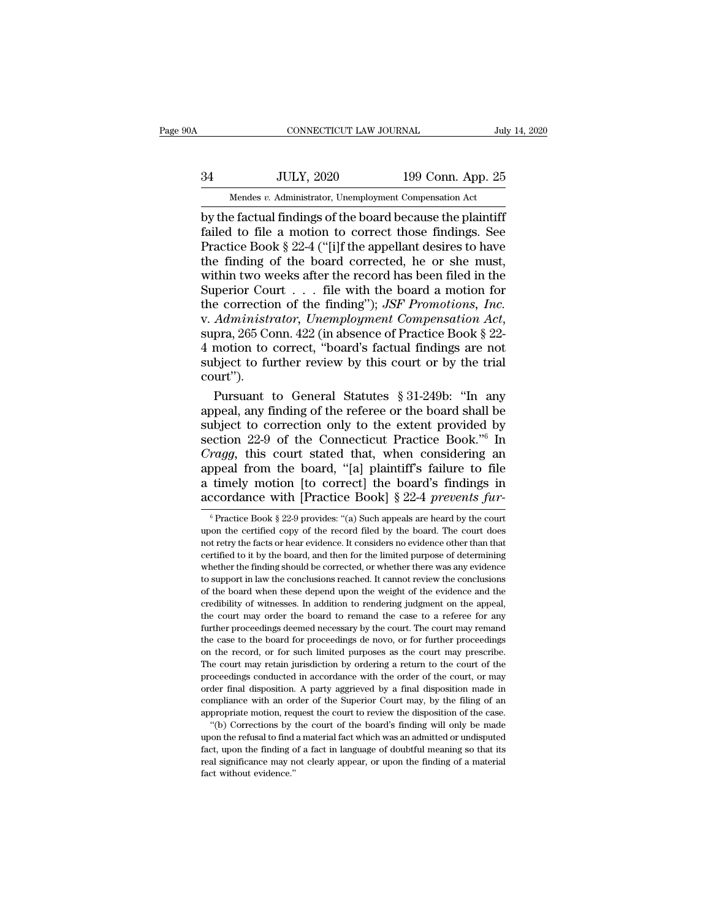# EXECUTE CONNECTICUT LAW JOURNAL July 14, 2020<br>34 JULY, 2020 199 Conn. App. 25<br>Mendes v. Administrator, Unemployment Compensation Act CONNECTICUT LAW JOURNAL July 14, 2020<br>
34 JULY, 2020 199 Conn. App. 25<br>
Mendes *v.* Administrator, Unemployment Compensation Act<br>
by the factual findings of the board because the plaintiff

CONNECTICUT LAW JOURNAL July 14, 2020<br>
34 JULY, 2020 199 Conn. App. 25<br>
Mendes v. Administrator, Unemployment Compensation Act<br>
by the factual findings of the board because the plaintiff<br>
failed to file a motion to correct  $f_{\text{Mendes } v}$ . Administrator, Unemployment Compensation Act<br>by the factual findings of the board because the plaintiff<br>failed to file a motion to correct those findings. See<br>Practice Book § 22-4 ("[i]f the appellant desir  $34$  JULY, 2020 199 Conn. App. 25<br>
Mendes v. Administrator, Unemployment Compensation Act<br>
by the factual findings of the board because the plaintiff<br>
failed to file a motion to correct those findings. See<br>
Practice Book  $34$  JULY, 2020 199 Conn. App. 25<br>
Mendes *v.* Administrator, Unemployment Compensation Act<br>
by the factual findings of the board because the plaintiff<br>
failed to file a motion to correct those findings. See<br>
Practice Boo Mendes v. Administrator, Unemployment Compensation Act<br>by the factual findings of the board because the plaintiff<br>failed to file a motion to correct those findings. See<br>Practice Book § 22-4 ("[i]f the appellant desires to Mendes v. Administrator, Unemployment Compensation Act<br>by the factual findings of the board because the plaintiff<br>failed to file a motion to correct those findings. See<br>Practice Book § 22-4 ("[i]f the appellant desires to by the factual findings of the board because the plaintiff<br>failed to file a motion to correct those findings. See<br>Practice Book § 22-4 ("[i]f the appellant desires to have<br>the finding of the board corrected, he or she must failed to file a motion to correct those findings. See<br>Practice Book § 22-4 ("[i]f the appellant desires to have<br>the finding of the board corrected, he or she must,<br>within two weeks after the record has been filed in the<br>S the finding of the board corrected, he or she must,<br>within two weeks after the record has been filed in the<br>Superior Court . . . file with the board a motion for<br>the correction of the finding"); *JSF Promotions, Inc.*<br>v. within two weeks after the record has been filed in the Superior Court . . . file with the board a motion for the correction of the finding"); *JSF Promotions, Inc.* v. *Administrator, Unemployment Compensation Act*, supr court''). e correction of the finding"); *JSF Promotions, Inc.*<br>Administrator, Unemployment Compensation Act,<br>pra, 265 Conn. 422 (in absence of Practice Book § 22-<br>motion to correct, "board's factual findings are not<br>bject to furthe v. Administrator, Unemployment Compensation Act,<br>supra, 265 Conn. 422 (in absence of Practice Book § 22-<br>4 motion to correct, "board's factual findings are not<br>subject to further review by this court or by the trial<br>court

supra, 265 Conn. 422 (in absence of Practice Book § 22-4 motion to correct, "board's factual findings are not subject to further review by this court or by the trial court").<br>Pursuant to General Statutes § 31-249b: "In an 4 motion to correct, "board's factual findings are not<br>subject to further review by this court or by the trial<br>court").<br>Pursuant to General Statutes  $\S 31-249b$ : "In any<br>appeal, any finding of the referee or the board sha subject to further review by this court or by the trial<br>court").<br>Pursuant to General Statutes § 31-249b: "In any<br>appeal, any finding of the referee or the board shall be<br>subject to correction only to the extent provided by court").<br>
Pursuant to General Statutes § 31-249b: "In any<br>
appeal, any finding of the referee or the board shall be<br>
subject to correction only to the extent provided by<br>
section 22-9 of the Connecticut Practice Book." In Pursuant to General Statutes § 31-249b: "In any<br>appeal, any finding of the referee or the board shall be<br>subject to correction only to the extent provided by<br>section 22-9 of the Connecticut Practice Book."<sup>6</sup> In<br>*Cragg*, appeal, any finding of the referee or the board shall be<br>subject to correction only to the extent provided by<br>section 22-9 of the Connecticut Practice Book.<sup>76</sup> In<br>*Cragg*, this court stated that, when considering an<br>appe *rragg*, this court stated that, when considering an opeal from the board, "[a] plaintiff's failure to file timely motion [to correct] the board's findings in coordance with [Practice Book]  $22-4$  *prevents fur*<sup>6</sup><br><sup>6</sup> Pr appeal from the board, "[a] plaintiff's failure to file<br>a timely motion [to correct] the board's findings in<br>accordance with [Practice Book]  $\S 22-4$  prevents fur-<br><sup>6</sup> Practice Book  $\S 22-9$  provides: "(a) Such appeals ar

a timely motion [to correct] the board's findings in accordance with [Practice Book]  $\S 22-4$  *prevents fur*<sup>6</sup> Practice Book  $\S 22-9$  provides: "(a) Such appeals are heard by the court upon the certified copy of the reco accordance with [Practice Book] § 22-4 *prevents fur*<br>
<sup>6</sup> Practice Book § 22-9 provides: "(a) Such appeals are heard by the court<br>
upon the certified copy of the record filed by the board. The court does<br>
not retry the f  $\frac{1}{2}$  accordance with [Fractice BOOK]  $\frac{1}{2}$   $\frac{22-4}{2}$  *prevents juri*-<br>  $\frac{1}{2}$   $\frac{1}{2}$   $\frac{1}{2}$   $\frac{1}{2}$   $\frac{1}{2}$  provides: "(a) Such appeals are heard by the court<br>
upon the certified copy of the recor <sup>6</sup> Practice Book § 22-9 provides: "(a) Such appeals are heard by the court upon the certified copy of the record filed by the board. The court does not retry the facts or hear evidence. It considers no evidence other tha upon the certified copy of the record filed by the board. The court does<br>not retry the facts or hear evidence. It considers no evidence other than that<br>certified to it by the board, and then for the limited purpose of dete from the facts or hear evidence. It considers no evidence other than that certified to it by the board, and then for the limited purpose of determining whether the finding should be corrected, or whether there was any evid certified to it by the board, and then for the limited purpose of determining whether the finding should be corrected, or whether there was any evidence to support in law the conclusions reached. It cannot review the concl whether the finding should be corrected, or whether there was any evidence to support in law the conclusions reached. It cannot review the conclusions of the board when these depend upon the weight of the evidence and the the case to the board for proceedings denoted. It cannot review the conclusions of the board when these depend upon the weight of the evidence and the credibility of witnesses. In addition to rendering judgment on the appe of the board when these depend upon the weight of the evidence and the credibility of witnesses. In addition to rendering judgment on the appeal, the court may order the board to remand the case to a referee for any furthe eredibility of witnesses. In addition to rendering judgment on the appeal, the court may order the board to remand the case to a referee for any further proceedings deemed necessary by the court. The court may remand the c the court may order the board to remand the case to a referee for any further proceedings deemed necessary by the court. The court may remand the case to the board for proceedings de novo, or for further proceedings on the further proceedings deemed necessary by the court. The court may remand the case to the board for proceedings de novo, or for further proceedings on the record, or for such limited purposes as the court may prescribe. The the case to the board for proceedings de novo, or for further proceedings on the record, or for such limited purposes as the court may prescribe. The court may retain jurisdiction by ordering a return to the court of the p approvided by ordering a return propriate motion, the record, or for such limited purposes as the court may prescribe.<br>The court may retain jurisdiction by ordering a return to the court of the proceedings conducted in acc From the court may retain jurisdiction by ordering a return to the court of the coedings conducted in accordance with the order of the court, or may der final disposition. A party aggrieved by a final disposition made in proceedings conducted in accordance with the order of the court, or may<br>proceedings conducted in accordance with the order of the court, or may<br>order final disposition. A party aggrieved by a final disposition made in<br>comp compliance with an order of the Superior Court may, by the filing of an appropriate motion, request the court to review the disposition of the case.

proceedings conducted in accordance with the order of the court, or may order final disposition. A party aggrieved by a final disposition made in compliance with an order of the Superior Court may, by the filing of an app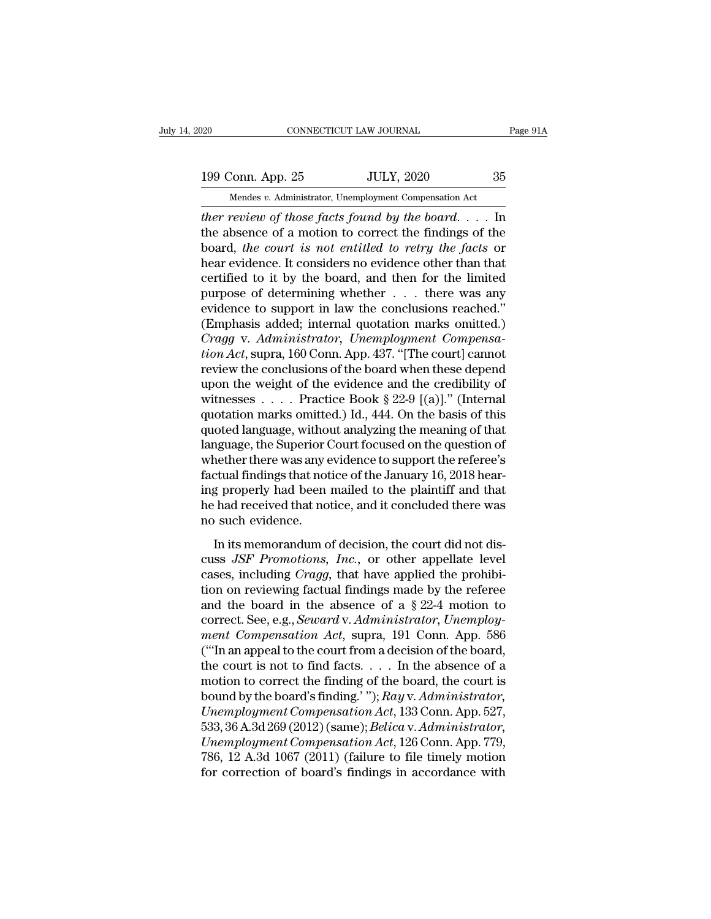20 CONNECTICUT LAW JOURNAL Page 91A<br>199 Conn. App. 25 JULY, 2020 35<br>Mendes v. Administrator, Unemployment Compensation Act Mendes *v.* Administrator, Unemployment Compensation Act<br>
Mendes *v.* Administrator, Unemployment Compensation Act<br>
ther review of those facts found by the board.... In

**EXECUTE FOR THE PROBET CONNECTICUT LAW JOURNAL** Page 91A<br> **199 Conn. App. 25** JULY, 2020 35<br>
Mendes v. Administrator, Unemployment Compensation Act<br> *ther review of those facts found by the board*. . . . In<br>
the absence o 199 Conn. App. 25 JULY, 2020 35<br>
Mendes v. Administrator, Unemployment Compensation Act<br>
ther review of those facts found by the board.... In<br>
the absence of a motion to correct the findings of the<br>
board, the court is no 199 Conn. App. 25 JULY, 2020 35<br>
Mendes v. Administrator, Unemployment Compensation Act<br>
ther review of those facts found by the board. . . . In<br>
the absence of a motion to correct the findings of the<br>
board, the court is 199 Conn. App. 25 JULY, 2020 35<br>
Mendes v. Administrator, Unemployment Compensation Act<br>
ther review of those facts found by the board.... In<br>
the absence of a motion to correct the findings of the<br>
board, the court is no Mendes v. Administrator, Unemployment Compensation Act<br>
ther review of those facts found by the board. . . . In<br>
the absence of a motion to correct the findings of the<br>
board, the court is not entitled to retry the facts mendes v. Administrator, Unemployment Compensation Act<br>
ther review of those facts found by the board.... In<br>
the absence of a motion to correct the findings of the<br>
board, the court is not entitled to retry the facts or<br> ther review of those facts found by the board.... In<br>the absence of a motion to correct the findings of the<br>board, the court is not entitled to retry the facts or<br>hear evidence. It considers no evidence other than that<br>ce the absence of a motion to correct the findings of the<br>board, the court is not entitled to retry the facts or<br>hear evidence. It considers no evidence other than that<br>certified to it by the board, and then for the limited<br> board, *the court is not entitled to retry the facts* or<br>hear evidence. It considers no evidence other than that<br>certified to it by the board, and then for the limited<br>purpose of determining whether . . . there was any<br>evi *thear evidence.* It considers no evidence other than that certified to it by the board, and then for the limited purpose of determining whether . . . there was any evidence to support in law the conclusions reached."<br>(Emp certified to it by the board, and then for the limited<br>purpose of determining whether . . . there was any<br>evidence to support in law the conclusions reached."<br>(Emphasis added; internal quotation marks omitted.)<br> $Cragg$  v. A purpose of determining whether  $\dots$  there was any<br>evidence to support in law the conclusions reached."<br>(Emphasis added; internal quotation marks omitted.)<br>Cragg v. Administrator, Unemployment Compensa-<br>tion Act, supra, 16 evidence to support in law the conclusions reached."<br>(Emphasis added; internal quotation marks omitted.)<br>Cragg v. Administrator, Unemployment Compensa-<br>tion Act, supra, 160 Conn. App. 437. "[The court] cannot<br>review the co (Emphasis added; internal quotation marks omitted.)<br> *Cragg v. Administrator*, *Unemployment Compensation Act*, supra, 160 Conn. App. 437. "[The court] cannot<br>
review the conclusions of the board when these depend<br>
upon t Cragg v. Administrator, Unemployment Compensa-<br>tion Act, supra, 160 Conn. App. 437. "[The court] cannot<br>review the conclusions of the board when these depend<br>upon the weight of the evidence and the credibility of<br>witnesse *tion Act*, supra, 160 Conn. App. 437. "[The court] cannot<br>review the conclusions of the board when these depend<br>upon the weight of the evidence and the credibility of<br>witnesses . . . . . Practice Book § 22-9 [(a)]." (Int review the conclusions of the board when these depend<br>upon the weight of the evidence and the credibility of<br>witnesses . . . . . Practice Book § 22-9 [(a)]." (Internal<br>quotation marks omitted.) Id., 444. On the basis of t upon the weight of the evidence and the credibility of<br>witnesses . . . . . Practice Book § 22-9 [(a)]." (Internal<br>quotation marks omitted.) Id., 444. On the basis of this<br>quoted language, without analyzing the meaning of witnesses  $\ldots$  . Practice Book § 22-9 [(a)]." (Internal<br>quotation marks omitted.) Id., 444. On the basis of this<br>quoted language, without analyzing the meaning of that<br>language, the Superior Court focused on the question quotation marks omitted.) Id., 444. On the basis of this<br>quoted language, without analyzing the meaning of that<br>language, the Superior Court focused on the question of<br>whether there was any evidence to support the referee' quoted language, without<br>language, the Superior (whether there was any efactual findings that not<br>ing properly had been<br>he had received that no<br>no such evidence.<br>In its memorandum o Islandse, the superior court rocused on the question of<br>
nether there was any evidence to support the referee's<br>
ctual findings that notice of the January 16, 2018 hear-<br>
g properly had been mailed to the plaintiff and tha Factual findings that notice of the January 16, 2018 hear-<br>ing properly had been mailed to the plaintiff and that<br>he had received that notice, and it concluded there was<br>no such evidence.<br>In its memorandum of decision, the

ractual mange and holice of the standary 10, 2010 hear<br>ing properly had been mailed to the plaintiff and that<br>he had received that notice, and it concluded there was<br>no such evidence.<br>In its memorandum of decision, the cou the had received that notice, and it concluded there was<br>no such evidence.<br>In its memorandum of decision, the court did not dis-<br>cuss JSF Promotions, Inc., or other appellate level<br>cases, including Cragg, that have applie and the board in the schematic mass and the board in the contributed and the board in the court did not discuss *JSF Promotions, Inc.*, or other appellate level cases, including *Cragg*, that have applied the prohibition In its memorandum of decision, the court did not discuss *JSF Promotions*, *Inc.*, or other appellate level cases, including *Cragg*, that have applied the prohibition on reviewing factual findings made by the referee and In its memorandum of decision, the court did not discuss *JSF Promotions*, *Inc.*, or other appellate level cases, including *Cragg*, that have applied the prohibition on reviewing factual findings made by the referee and cuss *JSF Promotions*, *Inc.*, or other appellate level<br>cases, including *Cragg*, that have applied the prohibi-<br>tion on reviewing factual findings made by the referee<br>and the board in the absence of a § 22-4 motion to<br>co cases, including *Cragg*, that have applied the prohibition on reviewing factual findings made by the referee and the board in the absence of a  $\S 22-4$  motion to correct. See, e.g., *Seward v. Administrator, Unemployment* tion on reviewing factual findings made by the referee<br>and the board in the absence of a  $\S 22-4$  motion to<br>correct. See, e.g., *Seward* v. *Administrator*, *Unemploy-<br>ment Compensation Act*, supra, 191 Conn. App. 586<br>("' and the board in the absence of a  $\S 22-4$  motion to<br>correct. See, e.g., *Seward* v. *Administrator*, *Unemploy-<br>ment Compensation Act*, supra, 191 Conn. App. 586<br>("In an appeal to the court from a decision of the board,<br> *Correct. See, e.g., Seward v. Administrator, Unemploy-<br>ment Compensation Act, supra, 191 Conn. App. 586*<br>("'In an appeal to the court from a decision of the board,<br>the court is not to find facts.... In the absence of a<br>mo ment Compensation Act, supra, 191 Conn. App. 586<br>("Th an appeal to the court from a decision of the board,<br>the court is not to find facts. . . . In the absence of a<br>motion to correct the finding of the board, the court is<br> ("In an appeal to the court from a decision of the board,<br>the court is not to find facts. . . . . In the absence of a<br>motion to correct the finding of the board, the court is<br>bound by the board's finding.' "); *Ray* v. *Ad* the court is not to find facts. . . . . In the absence of a<br>motion to correct the finding of the board, the court is<br>bound by the board's finding.' ");  $Ray v. Administrator$ ,<br> $Unemplogment\,Comparison\,Act$ , 133 Conn. App. 527,<br>533, 36 A.3d 269 (2012) motion to correct the finding of the board, the court is<br>bound by the board's finding.' "); Ray v. Administrator,<br>Unemployment Compensation Act, 133 Conn. App. 527,<br>533, 36 A.3d 269 (2012) (same); Belica v. Administrator,<br>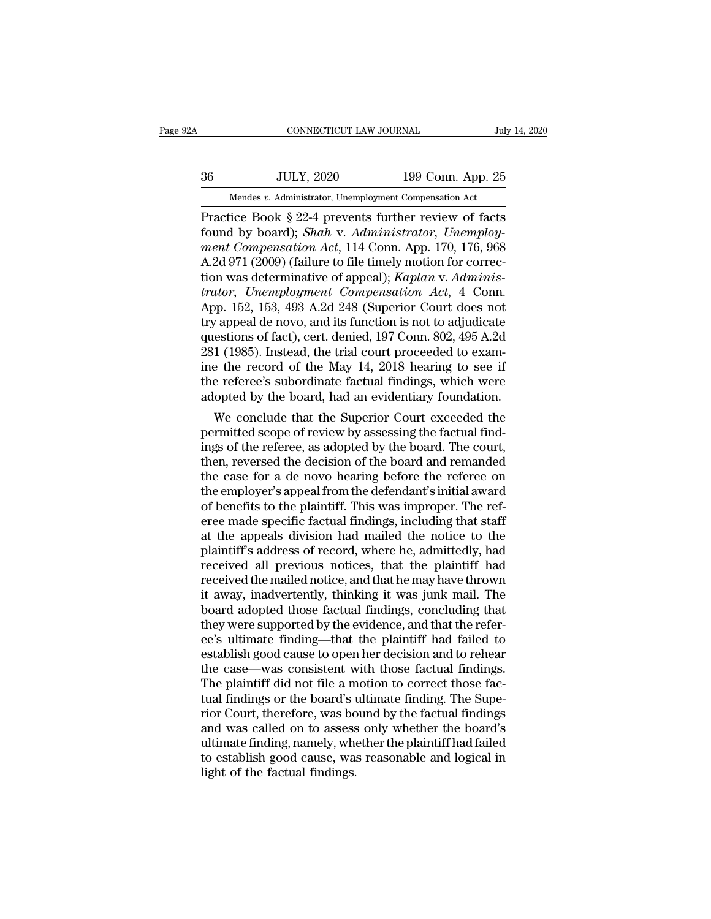# EXECUTE CONNECTICUT LAW JOURNAL July 14, 2020<br>36 JULY, 2020 199 Conn. App. 25<br>Mendes v. Administrator, Unemployment Compensation Act CONNECTICUT LAW JOURNAL July 14, 2020<br>
36 JULY, 2020 199 Conn. App. 25<br>
Mendes *v.* Administrator, Unemployment Compensation Act<br>
Practice Book § 22-4 prevents further review of facts

CONNECTICUT LAW JOURNAL July 14, 2020<br>
36 JULY, 2020 199 Conn. App. 25<br>
Mendes v. Administrator, Unemployment Compensation Act<br>
Practice Book § 22-4 prevents further review of facts<br>
found by board); *Shah* v. Administrato Found by board); *Shah* v. *Administrator*, Unemployment Compensation Act<br>
Fractice Book § 22-4 prevents further review of facts<br>
found by board); *Shah* v. *Administrator*, *Unemploy-*<br> *ment Compensation Act*, 114 Conn. *Mendes v. Administrator, Unemployment Compensation Act*<br> **Practice Book § 22-4 prevents further review of facts**<br> **found by board);** *Shah* **v.** *Administrator, Unemployment Compensation Act***, 114 Conn. App. 170, 176, 968<br>
A**  $\frac{36}{22}$  JULY, 2020 199 Conn. App. 25<br>
Mendes v. Administrator, Unemployment Compensation Act<br>
Practice Book § 22-4 prevents further review of facts<br>
found by board); *Shah* v. Administrator, Unemploy-<br>
ment Compensati Mendes *v.* Administrator, Unemployment Compensation Act<br>
Practice Book § 22-4 prevents further review of facts<br>
found by board); *Shah* v. *Administrator*, Unemploy-<br>
ment Compensation Act, 114 Conn. App. 170, 176, 968<br>
A *Mendes v. Administrator, Unemployment Compensation Act*<br> **Practice Book** § 22-4 prevents further review of facts<br>
found by board); *Shah* v. *Administrator, Unemploy-<br>
ment Compensation Act*, 114 Conn. App. 170, 176, 968<br> Practice Book § 22-4 prevents further review of facts<br>found by board); *Shah* v. *Administrator*, *Unemploy-<br>ment Compensation Act*, 114 Conn. App. 170, 176, 968<br>A.2d 971 (2009) (failure to file timely motion for correc-<br>t found by board); *Shah v. Administrator*, *Unemploy-<br>ment Compensation Act*, 114 Conn. App. 170, 176, 968<br>A.2d 971 (2009) (failure to file timely motion for correc-<br>tion was determinative of appeal); *Kaplan v. Adminis-<br>tr* ment Compensation Act, 114 Conn. App. 170, 176, 968<br>A.2d 971 (2009) (failure to file timely motion for correction was determinative of appeal); *Kaplan v. Administrator, Unemployment Compensation Act*, 4 Conn.<br>App. 152, 15 A.2d 971 (2009) (failure to file timely motion for correction was determinative of appeal); *Kaplan v. Administrator, Unemployment Compensation Act*, 4 Conn.<br>App. 152, 153, 493 A.2d 248 (Superior Court does not try appeal tion was determinative of appeal); *Kaplan v. Adminis-*<br>trator, *Unemployment Compensation Act*, 4 Conn.<br>App. 152, 153, 493 A.2d 248 (Superior Court does not<br>try appeal de novo, and its function is not to adjudicate<br>questi trator, Unemployment Compensation Act, 4 Conn.<br>App. 152, 153, 493 A.2d 248 (Superior Court does not<br>try appeal de novo, and its function is not to adjudicate<br>questions of fact), cert. denied, 197 Conn. 802, 495 A.2d<br>281 (1 App. 152, 153, 493 A.2d 248 (Superior Court does not<br>try appeal de novo, and its function is not to adjudicate<br>questions of fact), cert. denied, 197 Conn. 802, 495 A.2d<br>281 (1985). Instead, the trial court proceeded to exa r appeal de novo, and its function is not to adjudicate<br>estions of fact), cert. denied, 197 Conn. 802, 495 A.2d<br>1 (1985). Instead, the trial court proceeded to exam-<br>e the record of the May 14, 2018 hearing to see if<br>e ref questions of ract), cert. denied, 197 Conn. 802, 495 A.2d<br>281 (1985). Instead, the trial court proceeded to exam-<br>ine the record of the May 14, 2018 hearing to see if<br>the referee's subordinate factual findings, which were<br>

281 (1985). Instead, the trial court proceeded to exam-<br>ine the record of the May 14, 2018 hearing to see if<br>the referee's subordinate factual findings, which were<br>adopted by the board, had an evidentiary foundation.<br>We co the referee's subordinate factual findings, which were<br>adopted by the board, had an evidentiary foundation.<br>We conclude that the Superior Court exceeded the<br>permitted scope of review by assessing the factual find-<br>ings of the referee's subordinate factual findings, which were<br>adopted by the board, had an evidentiary foundation.<br>We conclude that the Superior Court exceeded the<br>permitted scope of review by assessing the factual find-<br>ings of adopted by the board, had an evidentiary foundation.<br>We conclude that the Superior Court exceeded the<br>permitted scope of review by assessing the factual find-<br>ings of the referee, as adopted by the board. The court,<br>then, We conclude that the Superior Court exceeded the<br>permitted scope of review by assessing the factual find-<br>ings of the referee, as adopted by the board. The court,<br>then, reversed the decision of the board and remanded<br>the c permitted scope of review by assessing the factual findings of the referee, as adopted by the board. The court, then, reversed the decision of the board and remanded the case for a de novo hearing before the referee on the ings of the referee, as adopted by the board. The court,<br>then, reversed the decision of the board and remanded<br>the case for a de novo hearing before the referee on<br>the employer's appeal from the defendant's initial award<br>o then, reversed the decision of the board and remanded<br>the case for a de novo hearing before the referee on<br>the employer's appeal from the defendant's initial award<br>of benefits to the plaintiff. This was improper. The ref-<br> the case for a de novo hearing before the referee on<br>the employer's appeal from the defendant's initial award<br>of benefits to the plaintiff. This was improper. The ref-<br>eree made specific factual findings, including that st the employer's appeal from the defendant's initial award<br>of benefits to the plaintiff. This was improper. The ref-<br>eree made specific factual findings, including that staff<br>at the appeals division had mailed the notice to of benefits to the plaintiff. This was improper. The referee made specific factual findings, including that staff<br>at the appeals division had mailed the notice to the<br>plaintiff's address of record, where he, admittedly, ha eree made specific factual findings, including that staff<br>at the appeals division had mailed the notice to the<br>plaintiff's address of record, where he, admittedly, had<br>received all previous notices, that the plaintiff had<br> at the appeals division had mailed the notice to the plaintiff's address of record, where he, admittedly, had received all previous notices, that the plaintiff had received the mailed notice, and that he may have thrown it plaintiff's address of record, where he, admittedly, had<br>received all previous notices, that the plaintiff had<br>received the mailed notice, and that he may have thrown<br>it away, inadvertently, thinking it was junk mail. The<br> received all previous notices, that the plaintiff had<br>received the mailed notice, and that he may have thrown<br>it away, inadvertently, thinking it was junk mail. The<br>board adopted those factual findings, concluding that<br>the received the mailed notice, and that he may have thrown<br>it away, inadvertently, thinking it was junk mail. The<br>board adopted those factual findings, concluding that<br>they were supported by the evidence, and that the refer-<br> it away, inadvertently, thinking it was junk mail. The board adopted those factual findings, concluding that they were supported by the evidence, and that the referee's ultimate finding—that the plaintiff had failed to est board adopted those factual findings, concluding that<br>they were supported by the evidence, and that the refer-<br>ee's ultimate finding—that the plaintiff had failed to<br>establish good cause to open her decision and to rehear<br> they were supported by the evidence, and that the refer-<br>ee's ultimate finding—that the plaintiff had failed to<br>establish good cause to open her decision and to rehear<br>the case—was consistent with those factual findings.<br>T ee's ultimate finding—that the plaintiff had failed to<br>establish good cause to open her decision and to rehear<br>the case—was consistent with those factual findings.<br>The plaintiff did not file a motion to correct those fac-<br> establish good cause to open her decision and to rehear<br>the case—was consistent with those factual findings.<br>The plaintiff did not file a motion to correct those fac-<br>tual findings or the board's ultimate finding. The Supe the case—was consistent with those factual findings.<br>The plaintiff did not file a motion to correct those fac-<br>tual findings or the board's ultimate finding. The Supe-<br>rior Court, therefore, was bound by the factual findin The plaintiff did not file a m<br>tual findings or the board's u<br>rior Court, therefore, was bo<br>and was called on to assess<br>ultimate finding, namely, whe<br>to establish good cause, was<br>light of the factual findings.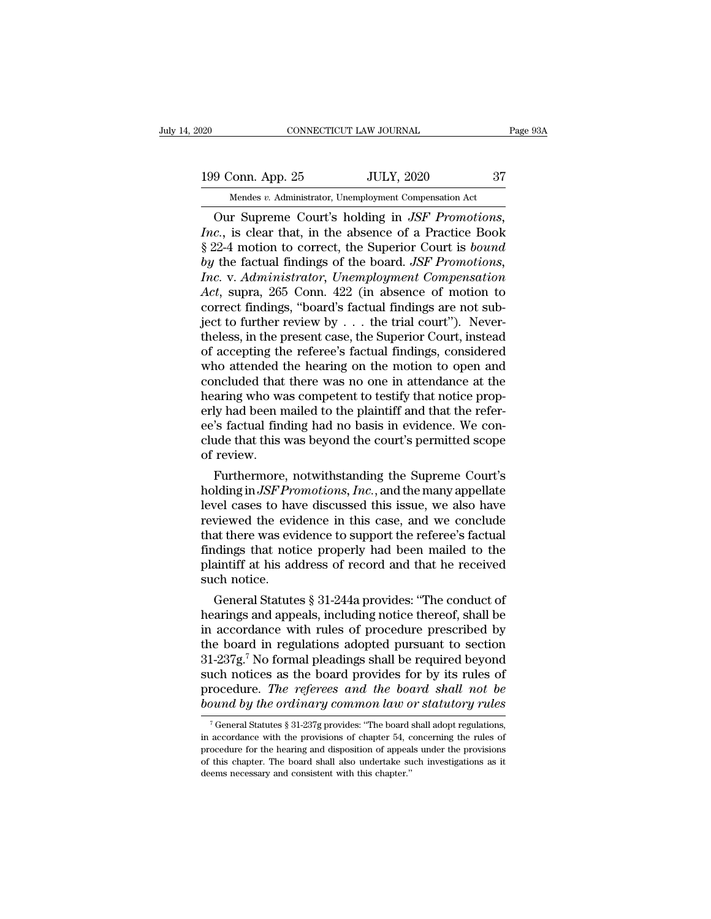20 CONNECTICUT LAW JOURNAL Page 93A<br>199 Conn. App. 25 JULY, 2020 37<br>Mendes v. Administrator, Unemployment Compensation Act

EXECUTE DE TO CONNECTICUT LAW JOURNAL<br>
Mendes *v.* Administrator, Unemployment Compensation Act<br>
Our Supreme Court's holding in *JSF Promotions*, CONNECTICUT LAW JOURNAL Page 9:<br>
9 Conn. App. 25 JULY, 2020 37<br>
Mendes v. Administrator, Unemployment Compensation Act<br>
Our Supreme Court's holding in *JSF Promotions*,<br> *c.*, is clear that, in the absence of a Practice Bo *Inc.*<br> *Inc., INCR*, *INCR, 2020*<br> *INCR, 2020*<br> *INCR, Administrator, Unemployment Compensation Act*<br> *Inc.*, is clear that, in the absence of a Practice Book<br> *S* 22-4 motion to correct, the Superior Court is *bound*<br> 199 Conn. App. 25 JULY, 2020 37<br>
Mendes v. Administrator, Unemployment Compensation Act<br>
Our Supreme Court's holding in *JSF Promotions*,<br> *Inc.*, is clear that, in the absence of a Practice Book<br>
§ 22-4 motion to correct, **by** 199 Conn. App. 25 JULY, 2020 37<br> *bendes v. Administrator, Unemployment Compensation Act*<br> *Our Supreme Court's holding in JSF Promotions,*<br> *Inc.*, is clear that, in the absence of a Practice Book<br>
§ 22-4 motion to c *Inc. Inc. Inc. Inc. Inc. Inc. Inc. Inc. Inc. Inc. Issues v. Administrator, Unemployment Compensation Act*<br> *Inc.*, is clear that, in the absence of a Practice Book<br>
§ 22-4 motion to correct, the Superi Mendes *v.* Administrator, Unemployment Compensation Act<br> *Act*, is clear that, in the absence of a Practice Book<br>
§ 22-4 motion to correct, the Superior Court is *bound*<br> *by* the factual findings of the board. *JSF Promo* Our Supreme Court's holding in *JSF Promotions,*<br>*Inc.*, is clear that, in the absence of a Practice Book § 22-4 motion to correct, the Superior Court is *bound*<br>*by* the factual findings of the board. *JSF Promotions,*<br> Inc., is clear that, in the absence of a Practice Book § 22-4 motion to correct, the Superior Court is *bound* by the factual findings of the board. *JSF Promotions*, Inc. v. Administrator, Unemployment Compensation Act, § 22-4 motion to correct, the Superior Court is *bound*<br>by the factual findings of the board. *JSF Promotions*,<br>*Inc.* v. Administrator, Unemployment Compensation<br>Act, supra, 265 Conn. 422 (in absence of motion to<br>correct by the factual findings of the board. *JSF Promotions,*<br> *Inc.* v. Administrator, Unemployment Compensation<br>
Act, supra, 265 Conn. 422 (in absence of motion to<br>
correct findings, "board's factual findings are not sub-<br>
je Inc. v. Administrator, Unemployment Compensation<br>Act, supra, 265 Conn. 422 (in absence of motion to<br>correct findings, "board's factual findings are not sub-<br>ject to further review by  $\ldots$  the trial court"). Never-<br>theles Act, supra, 265 Conn. 422 (in absence of motion to<br>correct findings, "board's factual findings are not sub-<br>ject to further review by  $\dots$  the trial court"). Never-<br>theless, in the present case, the Superior Court, instea correct findings, "board's factual findings are not sub-<br>ject to further review by  $\ldots$  the trial court"). Never-<br>theless, in the present case, the Superior Court, instead<br>of accepting the referee's factual findings, con ject to further review by . . . the trial court"). Nevertheless, in the present case, the Superior Court, instead of accepting the referee's factual findings, considered who attended the hearing on the motion to open and c theless, in the present case, the Superior Court, instead<br>of accepting the referee's factual findings, considered<br>who attended the hearing on the motion to open and<br>concluded that there was no one in attendance at the<br>hear of accepting the referee's factual findings, considered<br>who attended the hearing on the motion to open and<br>concluded that there was no one in attendance at the<br>hearing who was competent to testify that notice prop-<br>erly ha who attended t<br>concluded that<br>hearing who way<br>erly had been n<br>ee's factual fina<br>clude that this<br>of review.<br>Furthermore ncluded that there was no one in attendance at the<br>aring who was competent to testify that notice prop-<br>ly had been mailed to the plaintiff and that the refer-<br>'s factual finding had no basis in evidence. We con-<br>ide that hearing who was competent to testify that notice properly had been mailed to the plaintiff and that the refer-<br>ee's factual finding had no basis in evidence. We conclude that this was beyond the court's permitted scope<br>of

erly had been mailed to the plaintiff and that the refer-<br>ee's factual finding had no basis in evidence. We con-<br>clude that this was beyond the court's permitted scope<br>of review.<br>Furthermore, notwithstanding the Supreme Co ee's factual finding had no basis in evidence. We conclude that this was beyond the court's permitted scope<br>of review.<br>Furthermore, notwithstanding the Supreme Court's<br>holding in JSF Promotions, Inc., and the many appellat clude that this was beyond the court's permitted scope<br>of review.<br>Furthermore, notwithstanding the Supreme Court's<br>holding in JSF Promotions, Inc., and the many appellate<br>level cases to have discussed this issue, we also h of review.<br>Furthermore, notwithstanding the Supreme Court's<br>holding in JSF Promotions, Inc., and the many appellate<br>level cases to have discussed this issue, we also have<br>reviewed the evidence in this case, and we conclude Furthermore, notwithstanding the Supreme Court's<br>holding in JSF Promotions, Inc., and the many appellate<br>level cases to have discussed this issue, we also have<br>reviewed the evidence in this case, and we conclude<br>that there holding in *JSF Prc*<br>level cases to have<br>reviewed the evident<br>that there was evident<br>findings that notic<br>plaintiff at his ad<br>such notice.<br>General Statute vel cases to have discussed this issue, we also have<br>viewed the evidence in this case, and we conclude<br>at there was evidence to support the referee's factual<br>dings that notice properly had been mailed to the<br>aintiff at his reviewed the evidence in this case, and we conclude<br>that there was evidence to support the referee's factual<br>findings that notice properly had been mailed to the<br>plaintiff at his address of record and that he received<br>such

that there was evidence to support the reteree's factual<br>findings that notice properly had been mailed to the<br>plaintiff at his address of record and that he received<br>such notice.<br>General Statutes  $\S 31-244$ a provides: "Th maings that notice properly had been mailed to the<br>plaintiff at his address of record and that he received<br>such notice.<br>General Statutes § 31-244a provides: "The conduct of<br>hearings and appeals, including notice thereof, plantiful at his address of record and that he received<br>such notice.<br>General Statutes § 31-244a provides: "The conduct of<br>hearings and appeals, including notice thereof, shall be<br>in accordance with rules of procedure pres such notice.<br>
General Statutes § 31-244a provides: "The conduct of<br>
hearings and appeals, including notice thereof, shall be<br>
in accordance with rules of procedure prescribed by<br>
the board in regulations adopted pursuant General Statutes § 31-244a provides: "The conduct of<br>hearings and appeals, including notice thereof, shall be<br>in accordance with rules of procedure prescribed by<br>the board in regulations adopted pursuant to section<br>31-237g hearings and appeals, including notice thereof, shall be<br>in accordance with rules of procedure prescribed by<br>the board in regulations adopted pursuant to section<br>31-237g.<sup>7</sup> No formal pleadings shall be required beyond<br>suc 1-237g.<sup>7</sup> No formal pleadings shall be required beyond ach notices as the board provides for by its rules of rocedure. *The referees and the board shall not be pund by the ordinary common law or statutory rules*  $\frac{7}{7}$ such notices as the board provides for by its rules of<br>procedure. The referees and the board shall not be<br>bound by the ordinary common law or statutory rules<br> $\frac{1}{10}$ <br> $\frac{1}{10}$  General Statutes § 31-237g provides: "The

procedure. The referees and the board shall not be<br>bound by the ordinary common law or statutory rules<br> $\frac{1}{1}$  General Statutes § 31-237g provides: "The board shall adopt regulations,<br>in accordance with the provisions o bound by the ordinary common law or statutory rules<br>
<sup>7</sup>General Statutes § 31-237g provides: "The board shall adopt regulations,<br>
in accordance with the provisions of chapter 54, concerning the rules of<br>
procedure for the <sup>7</sup> General Statutes § 31-237g provides: "The board shall adopt regulations,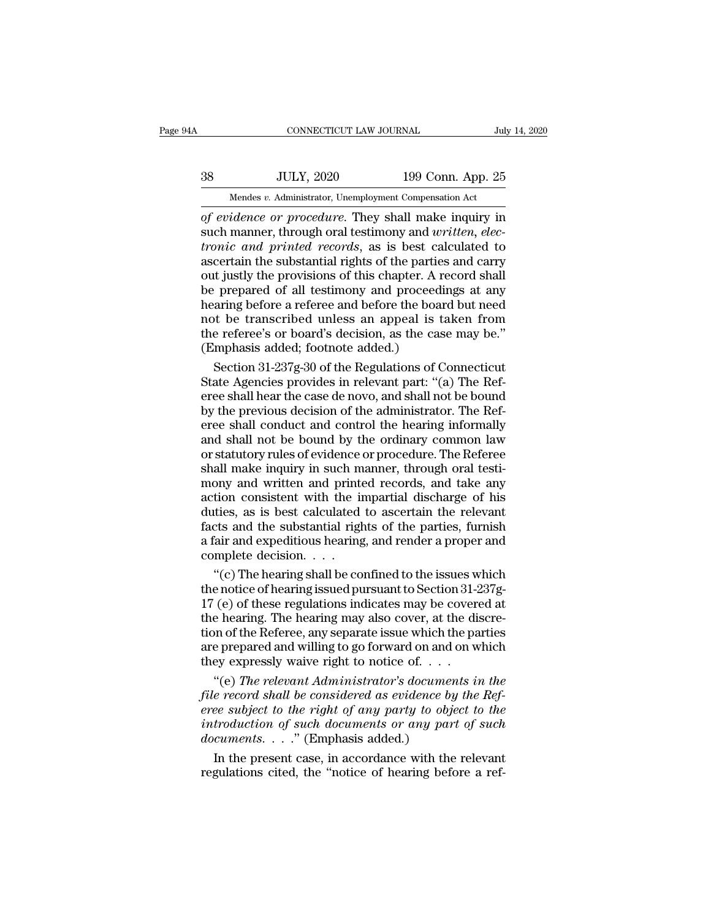# EXECUTE CONNECTICUT LAW JOURNAL July 14, 2020<br>38 JULY, 2020 199 Conn. App. 25<br>Mendes v. Administrator, Unemployment Compensation Act CONNECTICUT LAW JOURNAL July 14, 2020<br>
38 JULY, 2020 199 Conn. App. 25<br>
Mendes *v.* Administrator, Unemployment Compensation Act<br>
of evidence or procedure. They shall make inquiry in

*CONNECTICUT LAW JOURNAL* July 14, 2020<br> **38** JULY, 2020 199 Conn. App. 25<br> *Mendes v. Administrator, Unemployment Compensation Act*<br> *of evidence or procedure*. They shall make inquiry in<br>
such manner, through oral testim SUBBER 199 Conn. App. 25<br>
Such manner, through oral testimony and *written, electronic and printed records*, as is best calculated to<br>
Such manner, through oral testimony and *written, electronic and printed records*, as i *tronic and printed records*, the provision of the principal and printed records, as is best calculated to ascertain the substantial rights of the parties and carry out justly the provisions of this chapter A record shall  $38$  JULY, 2020 199 Conn. App. 25<br>
Mendes v. Administrator, Unemployment Compensation Act<br>
of evidence or procedure. They shall make inquiry in<br>
such manner, through oral testimony and written, electronic and printed reco Mendes v. Administrator, Unemployment Compensation Act<br>of evidence or procedure. They shall make inquiry in<br>such manner, through oral testimony and written, elec-<br>tronic and printed records, as is best calculated to<br>ascer Mendes v. Administrator, Unemployment Compensation Act<br>of evidence or procedure. They shall make inquiry in<br>such manner, through oral testimony and written, elec-<br>tronic and printed records, as is best calculated to<br>ascer of evidence or procedure. They shall make inquiry in<br>such manner, through oral testimony and written, elec-<br>tronic and printed records, as is best calculated to<br>ascertain the substantial rights of the parties and carry<br>out such manner, through oral testimony and *written*, *electronic and printed records*, as is best calculated to ascertain the substantial rights of the parties and carry out justly the provisions of this chapter. A record sh tronic and printed records, as is best calculated to<br>ascertain the substantial rights of the parties and carry<br>out justly the provisions of this chapter. A record shall<br>be prepared of all testimony and proceedings at any<br>h ascertain the substantial rights of the partie<br>out justly the provisions of this chapter. A r<br>be prepared of all testimony and proceedi<br>hearing before a referee and before the boar<br>not be transcribed unless an appeal is t<br> It justly the provisions of this chapter. A record shall<br>
if prepared of all testimony and proceedings at any<br>
aring before a referee and before the board but need<br>
t be transcribed unless an appeal is taken from<br>
e refere be prepared of all testimony and proceedings at any<br>hearing before a referee and before the board but need<br>not be transcribed unless an appeal is taken from<br>the referee's or board's decision, as the case may be."<br>(Emphasis

hearing before a referee and before the board but need<br>not be transcribed unless an appeal is taken from<br>the referee's or board's decision, as the case may be."<br>(Emphasis added; footnote added.)<br>Section 31-237g-30 of the R not be transcribed unless an appeal is taken from<br>the referee's or board's decision, as the case may be."<br>(Emphasis added; footnote added.)<br>Section 31-237g-30 of the Regulations of Connecticut<br>State Agencies provides in re the referee's or board's decision, as the case may be."<br>(Emphasis added; footnote added.)<br>Section 31-237g-30 of the Regulations of Connecticut<br>State Agencies provides in relevant part: "(a) The Ref-<br>eree shall hear the cas (Emphasis added; footnote added.)<br>Section 31-237g-30 of the Regulations of Connecticut<br>State Agencies provides in relevant part: "(a) The Ref-<br>eree shall hear the case de novo, and shall not be bound<br>by the previous decisi Section 31-237g-30 of the Regulations of Connecticut<br>State Agencies provides in relevant part: "(a) The Ref-<br>eree shall hear the case de novo, and shall not be bound<br>by the previous decision of the administrator. The Ref-<br> State Agencies provides in relevant part: "(a) The Referee shall hear the case de novo, and shall not be bound<br>by the previous decision of the administrator. The Referee shall conduct and control the hearing informally<br>and eree shall hear the case de novo, and shall not be bound<br>by the previous decision of the administrator. The Ref-<br>eree shall conduct and control the hearing informally<br>and shall not be bound by the ordinary common law<br>or st by the previous decision of the administrator. The Referee shall conduct and control the hearing informally<br>and shall not be bound by the ordinary common law<br>or statutory rules of evidence or procedure. The Referee<br>shall m eree shall conduct and control the hearing informally<br>and shall not be bound by the ordinary common law<br>or statutory rules of evidence or procedure. The Referee<br>shall make inquiry in such manner, through oral testi-<br>mony a and shall not be bound by the ordinary common law<br>or statutory rules of evidence or procedure. The Referee<br>shall make inquiry in such manner, through oral testi-<br>mony and written and printed records, and take any<br>action co or statutory rules of evidence or procedure. The Referee<br>shall make inquiry in such manner, through oral testi-<br>mony and written and printed records, and take any<br>action consistent with the impartial discharge of his<br>dutie shall make inquiry in such m<br>mony and written and print<br>action consistent with the in<br>duties, as is best calculated<br>facts and the substantial righ<br>a fair and expeditious hearing<br>complete decision. . . . .<br>"(c) The hearing ony and written and printed records, and take any<br>tion consistent with the impartial discharge of his<br>tities, as is best calculated to ascertain the relevant<br>cts and the substantial rights of the parties, furnish<br>air and e action consistent with the impartial discharge of his<br>duties, as is best calculated to ascertain the relevant<br>facts and the substantial rights of the parties, furnish<br>a fair and expeditious hearing, and render a proper and

duties, as is best calculated to ascertain the relevant<br>facts and the substantial rights of the parties, furnish<br>a fair and expeditious hearing, and render a proper and<br>complete decision. . . .<br>"(c) The hearing shall be co facts and the substantial rights of the parties, furnish<br>a fair and expeditious hearing, and render a proper and<br>complete decision.  $\ldots$ .<br>"(c) The hearing shall be confined to the issues which<br>the notice of hearing issue a fair and expeditious hearing, and render a proper and<br>complete decision. . . .<br>"(c) The hearing shall be confined to the issues which<br>the notice of hearing issued pursuant to Section 31-237g-<br>17 (e) of these regulations complete decision. . . . .<br>
"(c) The hearing shall be confined to the issues which<br>
the notice of hearing issued pursuant to Section 31-237g-<br>
17 (e) of these regulations indicates may be covered at<br>
the hearing. The hear "(c) The hearing shall be confined to the issues well the notice of hearing issued pursuant to Section 31-2 17 (e) of these regulations indicates may be cover the hearing. The hearing may also cover, at the distion of the e notice of hearing issued pursuant to Section 31-237g-<br>
(e) of these regulations indicates may be covered at<br>
e hearing. The hearing may also cover, at the discre-<br>
on of the Referee, any separate issue which the parties<br> 17 (e) of these regulations indicates may be covered at<br>the hearing. The hearing may also cover, at the discre-<br>tion of the Referee, any separate issue which the parties<br>are prepared and willing to go forward on and on whi

*f* the hearing. The hearing may also cover, at the discretion of the Referee, any separate issue which the parties are prepared and willing to go forward on and on which they expressly waive right to notice of. . . .<br>
"(e *ion of the Referee, any separate issue which the parties*<br>are prepared and willing to go forward on and on which<br>they expressly waive right to notice of. . . .<br>"(e) *The relevant Administrator's documents in the*<br>*file re* are prepared and willing to go forward on and<br>they expressly waive right to notice of. . . .<br>"(e) *The relevant Administrator's documer*<br>*file record shall be considered as evidence by*<br>*eree subject to the right of any pa* Equal to notice of  $\ldots$  if  $\ell$  (e) The relevant Administrator's documents in the e record shall be considered as evidence by the Ref-<br>ee subject to the right of any party to object to the<br>troduction of such documents or "(e) The relevant Administrator's documents in the file record shall be considered as evidence by the Ref-<br>eree subject to the right of any party to object to the<br>introduction of such documents or any part of such<br>documen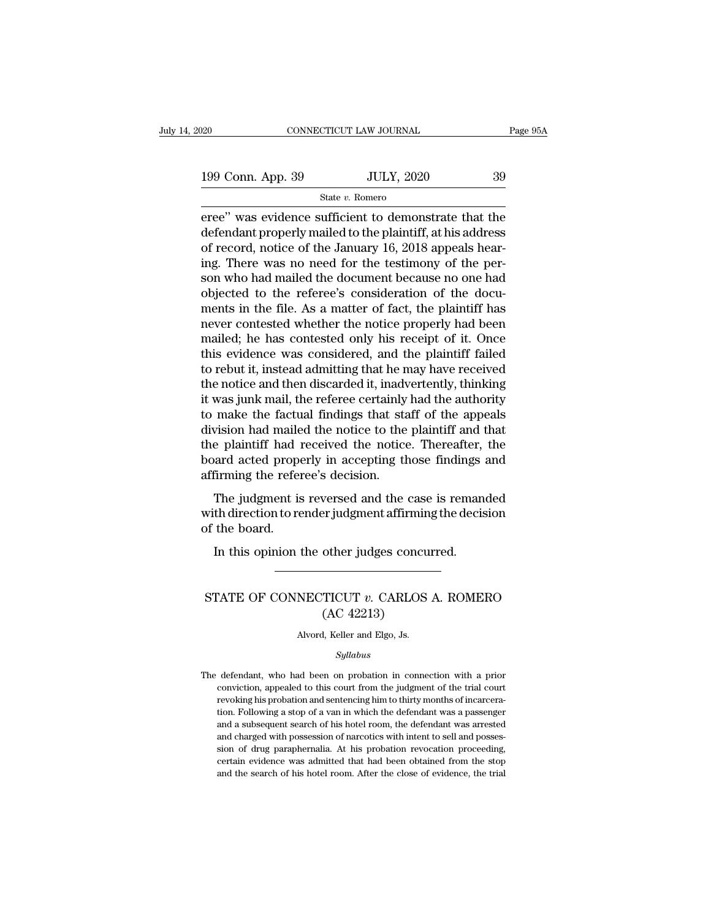State *v.* Romero

eree'' was evidence sufficient to demonstrate that the<br>defendant properly mailed to the plaintiff, at his address<br>of recent notice of the January 16–2018 among hear 199 Conn. App. 39 JULY, 2020 39<br>
State v. Romero<br>
eree" was evidence sufficient to demonstrate that the<br>
defendant properly mailed to the plaintiff, at his address<br>
of record, notice of the January 16, 2018 appeals hear-<br> 199 Conn. App. 39 JULY, 2020 39<br>
State v. Romero<br>
eree" was evidence sufficient to demonstrate that the<br>
defendant properly mailed to the plaintiff, at his address<br>
of record, notice of the January 16, 2018 appeals hear-<br> 199 Conn. App. 39 JULY, 2020 39<br>
State v. Romero<br>
eree" was evidence sufficient to demonstrate that the<br>
defendant properly mailed to the plaintiff, at his address<br>
of record, notice of the January 16, 2018 appeals hear-<br> State v. Romero<br>
State v. Romero<br>
eree" was evidence sufficient to demonstrate that the<br>
defendant properly mailed to the plaintiff, at his address<br>
of record, notice of the January 16, 2018 appeals hear-<br>
ing. There was state v. Komero<br>
eree" was evidence sufficient to demonstrate that the<br>
defendant properly mailed to the plaintiff, at his address<br>
of record, notice of the January 16, 2018 appeals hear-<br>
ing. There was no need for the t eree" was evidence sufficient to demonstrate that the<br>defendant properly mailed to the plaintiff, at his address<br>of record, notice of the January 16, 2018 appeals hear-<br>ing. There was no need for the testimony of the per-<br> defendant properly mailed to the plaintiff, at his address<br>of record, notice of the January 16, 2018 appeals hear-<br>ing. There was no need for the testimony of the per-<br>son who had mailed the document because no one had<br>obj of record, notice of the January 16, 2018 appeals hearing. There was no need for the testimony of the person who had mailed the document because no one had objected to the referee's consideration of the documents in the fi ing. There was no need for the testimony of the per-<br>son who had mailed the document because no one had<br>objected to the referee's consideration of the docu-<br>ments in the file. As a matter of fact, the plaintiff has<br>never c son who had mailed the document because no one had<br>objected to the referee's consideration of the docu-<br>ments in the file. As a matter of fact, the plaintiff has<br>never contested whether the notice properly had been<br>mailed; objected to the referee's consideration of the documents in the file. As a matter of fact, the plaintiff has<br>never contested whether the notice properly had been<br>mailed; he has contested only his receipt of it. Once<br>this e ments in the file. As a matter of fact, the plaintiff has<br>never contested whether the notice properly had been<br>mailed; he has contested only his receipt of it. Once<br>this evidence was considered, and the plaintiff failed<br>to never contested whether the notice properly had been<br>mailed; he has contested only his receipt of it. Once<br>this evidence was considered, and the plaintiff failed<br>to rebut it, instead admitting that he may have received<br>the mailed; he has contested only his receipt of it. Once<br>this evidence was considered, and the plaintiff failed<br>to rebut it, instead admitting that he may have received<br>the notice and then discarded it, inadvertently, thinkin this evidence was considered, and the plaintiff failed<br>to rebut it, instead admitting that he may have received<br>the notice and then discarded it, inadvertently, thinking<br>it was junk mail, the referee certainly had the auth to rebut it, instead admitting that he may have received<br>the notice and then discarded it, inadvertently, thinking<br>it was junk mail, the referee certainly had the authority<br>to make the factual findings that staff of the ap the notice and then discarded it, inady<br>it was junk mail, the referee certainly<br>to make the factual findings that sta<br>division had mailed the notice to the<br>the plaintiff had received the notice<br>board acted properly in acce make the factual findings that staff of the appeals<br>vision had mailed the notice to the plaintiff and that<br>e plaintiff had received the notice. Thereafter, the<br>ard acted properly in accepting those findings and<br>firming the whis division had mailed the notice to the plaintiff and that<br>division had mailed the notice to the plaintiff and that<br>the plaintiff had received the notice. Thereafter, the<br>board acted properly in accepting those findings modern that make<br>the plaintiff had if<br>board acted prope<br>affirming the refer<br>The judgment is<br>with direction to refer the board.<br>In this opinion t

In this opinion the other judges concurred.<br>In this opinion the other judgment affirming the decision.<br>The judgment is reversed and the case is remant the direction to render judgment affirming the decision<br>the board.<br>In t Fine judgment as reversed and the case is remainded<br>with direction to render judgment affirming the decision<br>of the board.<br>In this opinion the other judges concurred.<br>STATE OF CONNECTICUT *v*. CARLOS A. ROMERO<br>(AC 42213)

# other judges concu<br>
TICUT v. CARLOS<br>
(AC 42213)<br>
, Keller and Elgo, Js. STATE OF CONNECTICUT  $v$ . CARLOS A. ROMERO<br>(AC 42213)<br>Alvord, Keller and Elgo, Js.

## *Syllabus*

 $(AC 42213)$ <br>Alvord, Keller and Elgo, Js.<br>Syllabus<br>The defendant, who had been on probation in connection with a prior<br>conviction, appealed to this court from the judgment of the trial court Alvord, Keller and Elgo, Js.<br>
Syllabus<br>
defendant, who had been on probation in connection with a prior<br>
conviction, appealed to this court from the judgment of the trial court<br>
revoking his probation and sentencing him to Alvord, Keller and Elgo, Js.<br>
Syllabus<br>
defendant, who had been on probation in connection with a prior<br>
conviction, appealed to this court from the judgment of the trial court<br>
revoking his probation and sentencing him to Syllabus<br>defendant, who had been on probation in connection with a prior<br>conviction, appealed to this court from the judgment of the trial court<br>revoking his probation and sentencing him to thirty months of incarcera-<br>tion symmussed and search of his court from the judgment of the trial court<br>revoking his probation and sentencing him to thirty months of incarcera-<br>tion. Following a stop of a van in which the defendant was a passenger<br>and a s defendant, who had been on probation in connection with a prior conviction, appealed to this court from the judgment of the trial court revoking his probation and sentencing him to thirty months of incarceration. Following conviction, appealed to this court from the judgment of the trial court<br>revoking his probation and sentencing him to thirty months of incarcera-<br>tion. Following a stop of a van in which the defendant was a passenger<br>and a revoking his probation and sentencing him to thirty months of incarceration. Following a stop of a van in which the defendant was a passenger and a subsequent search of his hotel room, the defendant was arrested and charge revoking his probation and sentencing him to thirty months of incarceration. Following a stop of a van in which the defendant was a passenger and a subsequent search of his hotel room, the defendant was arrested and charge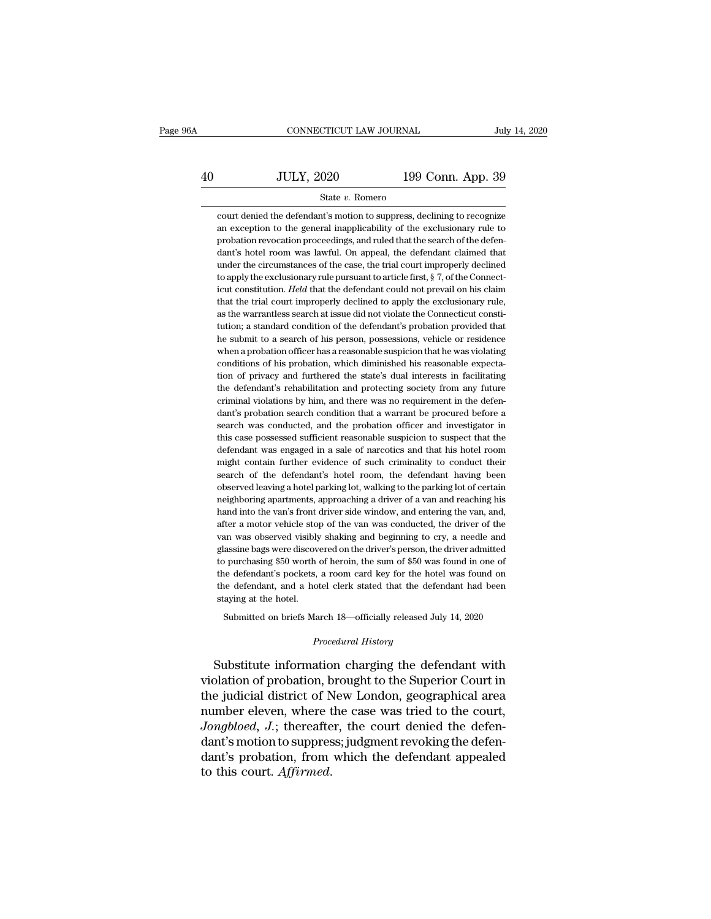# EXECUTE CONNECTICUT LAW JOURNAL July 14, 2020<br>40 JULY, 2020 199 Conn. App. 39<br>5tate v. Romero State *v.* Romero

JULY, 2020 199 Conn. App. 39<br>State v. Romero<br>court denied the defendant's motion to suppress, declining to recognize<br>an exception to the general imapplicability of the exclusionary rule to  $\frac{39}{\text{State } v. \text{ Romero}}$ <br>  $\frac{199 \text{ Conn. App. } 39}{\text{Court denied the defendant's motion to suppress, declining to recognize}}$ <br>
an exception to the general inapplicability of the exclusionary rule to<br>
probation revocation proceedings, and ruled that the search of the defen- $\frac{199}{200}$   $\frac{199}{200}$   $\frac{199}{200}$   $\frac{199}{200}$   $\frac{199}{200}$   $\frac{199}{200}$   $\frac{199}{200}$   $\frac{199}{200}$   $\frac{199}{200}$   $\frac{199}{200}$   $\frac{199}{200}$   $\frac{199}{200}$   $\frac{199}{200}$   $\frac{199}{200}$   $\frac{199}{200}$   $\frac{199}{200$ State v. Romero<br>
State v. Romero<br>
court denied the defendant's motion to suppress, declining to recognize<br>
an exception to the general inapplicability of the exclusionary rule to<br>
probation revocation proceedings, and rule State  $v$ . Romero<br>
court denied the defendant's motion to suppress, declining to recognize<br>
an exception to the general inapplicability of the exclusionary rule to<br>
probation revocation proceedings, and ruled that the sea court denied the defendant's motion to suppress, declining to recognize<br>an exception to the general inapplicability of the exclusionary rule to<br>probation revocation proceedings, and ruled that the search of the defen-<br>dant an exception to the general inapplicability of the exclusionary rule to<br>probation revocation proceedings, and ruled that the search of the defen-<br>dant's hotel room was lawful. On appeal, the defendant claimed that<br>under th probation revocation proceedings, and ruled that the search of the defendant's hotel room was lawful. On appeal, the defendant claimed that under the circumstances of the case, the trial court improperly declined to apply probation revocation proceedings, and ruled that the search of the defendant's hotel room was lawful. On appeal, the defendant claimed that under the circumstances of the case, the trial court improperly declined to apply under the circumstances of the case, the trial court improperly declined<br>to apply the exclusionary rule pursuant to article first,  $\S$  7, of the Connect-<br>icut constitution. *Held* that the defendant could not prevail on h to apply the exclusionary rule pursuant to article first,  $\S$  7, of the Connecticut constitution. *Held* that the defendant could not prevail on his claim that the trial court improperly declined to apply the exclusionary icut constitution. *Held* that the defendant could not prevail on his claim that the trial court improperly declined to apply the exclusionary rule, as the warrantless search at issue did not violate the Connecticut consti that the trial court improperly declined to apply the exclusionary rule, as the warrantless search at issue did not violate the Connecticut constitution; a standard condition of the defendant's probation provided that he s as the warrantless search at issue did not violate the Connecticut constitution; a standard condition of the defendant's probation provided that he submit to a search of his person, possessions, vehicle or residence when a tution; a standard condition of the defendant's probation provided that<br>he submit to a search of his person, possessions, vehicle or residence<br>when a probation officer has a reasonable suspicion that he was violating<br>condi he submit to a search of his person, possessions, vehicle or residence<br>when a probation officer has a reasonable suspicion that he was violating<br>conditions of his probation, which diminished his reasonable expecta-<br>tion of when a probation officer has a reasonable suspicion that he was violating conditions of his probation, which diminished his reasonable expectation of privacy and furthered the state's dual interests in facilitating the def conditions of his probation, which diminished his reasonable expectation of privacy and furthered the state's dual interests in facilitating the defendant's rehabilitation and protecting society from any future criminal vi tion of privacy and furthered the state's dual interests in facilitating<br>the defendant's rehabilitation and protecting society from any future<br>criminal violations by him, and there was no requirement in the defen-<br>dant's p the defendant's rehabilitation and protecting society from any future criminal violations by him, and there was no requirement in the defendant's probation search condition that a warrant be procured before a search was co the defendant's rehabilitation and protecting society from any future criminal violations by him, and there was no requirement in the defendant's probation search condition that a warrant be procured before a search was co dant's probation search condition that a warrant be procured before a<br>search was conducted, and the probation officer and investigator in<br>this case possessed sufficient reasonable suspicion to suspect that the<br>defendant wa search was conducted, and the probation officer and investigator in this case possessed sufficient reasonable suspicion to suspect that the defendant was engaged in a sale of narcotics and that his hotel room might contain this case possessed sufficient reasonable suspicion to suspect that the defendant was engaged in a sale of narcotics and that his hotel room might contain further evidence of such criminality to conduct their search of the defendant was engaged in a sale of narcotics and that his hotel room<br>might contain further evidence of such criminality to conduct their<br>search of the defendant's hotel room, the defendant having been<br>observed leaving a ho might contain further evidence of such criminality to conduct their<br>search of the defendant's hotel room, the defendant having been<br>observed leaving a hotel parking lot, walking to the parking lot of certain<br>neighboring ap search of the defendant's hotel room, the defendant having been<br>observed leaving a hotel parking lot, walking to the parking lot of certain<br>neighboring apartments, approaching a driver of a van and reaching his<br>hand into t observed leaving a hotel parking lot, walking to the parking lot of certain<br>neighboring apartments, approaching a driver of a van and reaching his<br>hand into the van's front driver side window, and entering the van, and,<br>af neighboring apartments, approaching a driver of a van and reaching his<br>hand into the van's front driver side window, and entering the van, and,<br>after a motor vehicle stop of the van was conducted, the driver of the<br>van was hand into the van's front driver side window, and entering the van, and, after a motor vehicle stop of the van was conducted, the driver of the van was observed visibly shaking and beginning to cry, a needle and glassine b after a motor vehicle stop of the van was conducted, the driver of the van was observed visibly shaking and beginning to cry, a needle and glassine bags were discovered on the driver's person, the driver admitted to purcha van was observed visibly<br>glassine bags were discov<br>to purchasing \$50 worth<br>the defendant's pockets,<br>the defendant, and a ho<br>staying at the hotel.<br>Submitted on briefs Ma glassine bags were discovered on the driver's person, the driver admitted to purchasing \$50 worth of heroin, the sum of \$50 was found in one of the defendant's pockets, a room card key for the hotel was found on the defen

Submitted on briefs March 18—officially released July 14, 2020<br>*Procedural History*<br>Substitute information charging the defendant with the defendant's pockets, a room card key for the hotel was found on<br>the defendant, and a hotel clerk stated that the defendant had been<br>staying at the hotel.<br>Submitted on briefs March 18—officially released July 14, 2020<br> the defendant, and a hotel clerk stated that the defendant had been<br>staying at the hotel.<br>Submitted on briefs March 18—officially released July 14, 2020<br>*Procedural History*<br>Substitute information charging the defendant wi Submitted on briefs March 18—officially released July 14, 2020<br>
Procedural History<br>
Substitute information charging the defendant with<br>
violation of probation, brought to the Superior Court in<br>
the judicial district of New Submitted on briefs March 18—officially released July 14, 2020<br>
Procedural History<br>
Substitute information charging the defendant with<br>
violation of probation, brought to the Superior Court in<br>
the judicial district of New *Procedural History*<br>
Substitute information charging the defendant with<br>
violation of probation, brought to the Superior Court in<br>
the judicial district of New London, geographical area<br>
number eleven, where the case was Substitute information charging the defendant with<br>
violation of probation, brought to the Superior Court in<br>
the judicial district of New London, geographical area<br>
number eleven, where the case was tried to the court,<br> Substitute information charging the defendant with<br>violation of probation, brought to the Superior Court in<br>the judicial district of New London, geographical area<br>number eleven, where the case was tried to the court,<br>*Jong* violation of probation, b<br>the judicial district of N<br>number eleven, where t<br>*Jongbloed*, *J*.; thereafte<br>dant's motion to suppres<br>dant's probation, from<br>to this court. *Affirmed*.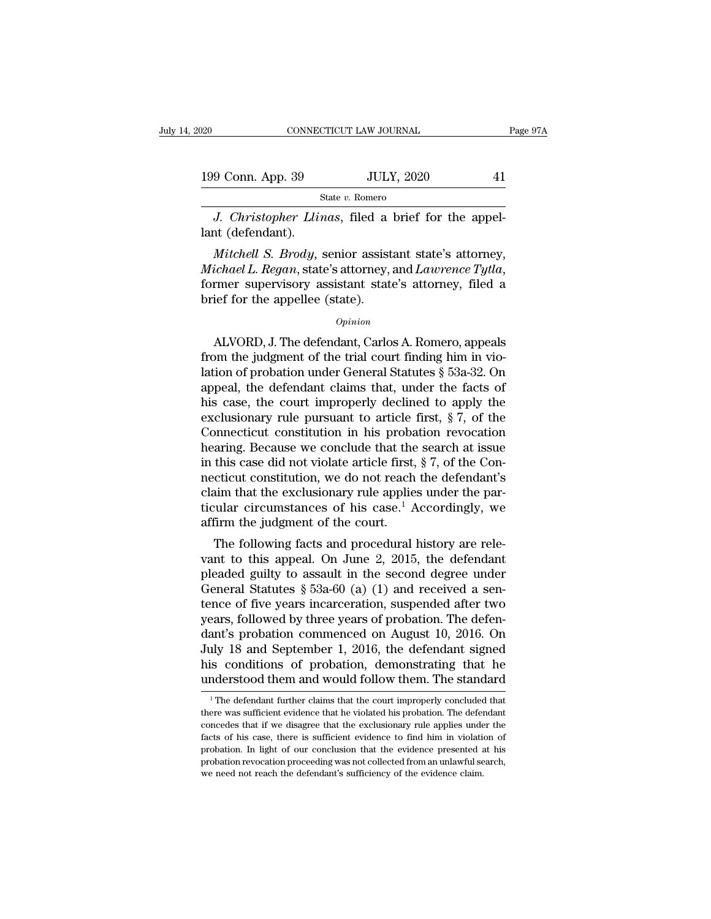| 020               | CONNECTICUT LAW JOURNAL | Page 97A |
|-------------------|-------------------------|----------|
| 199 Conn. App. 39 | <b>JULY, 2020</b>       | 41       |
|                   | State v. Romero         |          |

*CONNECTICUT LAW JOURNAL*<br> *J. Christopher Llinas*, filed a brief for the appel-<br> *J. Christopher Llinas*, filed a brief for the appel-<br> *M.* (defendant). 199 Conn. App. 39<br>
S<br>
J. Christopher Llin<br>
lant (defendant).<br>
Mitchell S. Brody, s

*Mitchell S. Brody*, senior assistant state's attorney,<br> *Mitchell S. Brody*, senior assistant state's attorney,<br> *Mitchell S. Brody*, senior assistant state's attorney,<br> *ichael L. Regan*, state's attorney, and *Lawrence Michael L. Regan*, state's attorney, and *Lawrence* Tytla, *Mitchell S. Brody*, senior assistant state's attorney, *Michael L. Regan*, state's attorney, and *Lawrence Tytla*, former supervisory assistant state's attorney J. Christopher Llinas, filed a<br>lant (defendant).<br>Mitchell S. Brody, senior assist<br>Michael L. Regan, state's attorney,<br>former supervisory assistant state<br>brief for the appellee (state).<br>opinion Mitchell S. Brody, senior assistant state's attorney,<br>
ichael L. Regan, state's attorney, and Lawrence Tytla,<br>
rmer supervisory assistant state's attorney, filed a<br>
ief for the appellee (state).<br>  $\frac{Opinion}{Opinion}$ <br>
ALVORD, J.

## *Opinion*

*Michael L. Regan*, state's attorney, and *Lawrence Tytla*,<br>former supervisory assistant state's attorney, filed a<br>brief for the appellee (state).<br>*Opinion*<br>ALVORD, J. The defendant, Carlos A. Romero, appeals<br>from the judg former supervisory assistant state's attorney, filed a<br>brief for the appellee (state).<br> $\qquad$ <br> $\qquad$   $\qquad$   $\qquad$   $\qquad$   $\qquad$   $\qquad$   $\qquad$   $\qquad$   $\qquad$   $\qquad$   $\qquad$   $\qquad$   $\qquad$   $\qquad$   $\qquad$   $\qquad$   $\qquad$   $\qquad$   $\qquad$   $\qquad$   $\qquad$   $\$ brief for the appellee (state).<br>  $\qquad$   $\qquad$   $\qquad$   $\qquad$   $\qquad$   $\qquad$   $\qquad$   $\qquad$   $\qquad$   $\qquad$   $\qquad$   $\qquad$   $\qquad$   $\qquad$   $\qquad$   $\qquad$   $\qquad$   $\qquad$   $\qquad$   $\qquad$   $\qquad$   $\qquad$   $\qquad$   $\qquad$   $\qquad$   $\qquad$   $\qquad$   $\qquad$   $\qquad$   $\qquad$   $\qquad$   $\$ *Opinion*<br>
ALVORD, J. The defendant, Carlos A. Romero, appeals<br>
from the judgment of the trial court finding him in vio-<br>
lation of probation under General Statutes § 53a-32. On<br>
appeal, the defendant claims that, under th Excellent ALVORD, J. The defendant, Carlos A. Romero, appeals<br>from the judgment of the trial court finding him in vio-<br>lation of probation under General Statutes § 53a-32. On<br>appeal, the defendant claims that, under the f ALVORD, J. The defendant, Carlos A. Romero, appeals<br>from the judgment of the trial court finding him in vio-<br>lation of probation under General Statutes § 53a-32. On<br>appeal, the defendant claims that, under the facts of<br>hi from the judgment of the trial court finding him in violation of probation under General Statutes  $\S$  53a-32. On appeal, the defendant claims that, under the facts of his case, the court improperly declined to apply the e lation of probation under General Statutes  $\S$  53a-32. On appeal, the defendant claims that, under the facts of his case, the court improperly declined to apply the exclusionary rule pursuant to article first,  $\S$  7, of t appeal, the defendant claims that, under the facts of<br>his case, the court improperly declined to apply the<br>exclusionary rule pursuant to article first,  $\S 7$ , of the<br>Connecticut constitution in his probation revocation<br>he his case, the court improperly declined to apply the exclusionary rule pursuant to article first,  $\S 7$ , of the Connecticut constitution in his probation revocation hearing. Because we conclude that the search at issue in exclusionary rule pursuant to article first,  $\S 7$ , of the<br>Connecticut constitution in his probation revocation<br>hearing. Because we conclude that the search at issue<br>in this case did not violate article first,  $\S 7$ , of t Connecticut constitution in his probable hat the in this case did not violate article first, necticut constitution, we do not reach claim that the exclusionary rule applie ticular circumstances of his case.<sup>1</sup>  $\mu$  affirm this case did not violate article first,  $\S$  7, of the Concricut constitution, we do not reach the defendant's<br>aim that the exclusionary rule applies under the par-<br>cular circumstances of his case.<sup>1</sup> Accordingly, we<br>firm In this case did not violate article inst,  $\frac{1}{2}$ ,  $\frac{1}{2}$ , or the Connecticut constitution, we do not reach the defendant's claim that the exclusionary rule applies under the particular circumstances of his case.<sup>1</sup>

recticul constitution, we do not reach the defendant s<br>claim that the exclusionary rule applies under the par-<br>ticular circumstances of his case.<sup>1</sup> Accordingly, we<br>affirm the judgment of the court.<br>The following facts an Early full and the exclusionary rule applies under the particular circumstances of his case.<sup>1</sup> Accordingly, we affirm the judgment of the court.<br>The following facts and procedural history are relevant to this appeal. On J ticular circulistances of fils case. Accordingly, we<br>affirm the judgment of the court.<br>The following facts and procedural history are rele-<br>vant to this appeal. On June 2, 2015, the defendant<br>pleaded guilty to assault in The following facts and procedural history are relevant to this appeal. On June 2, 2015, the defendant pleaded guilty to assault in the second degree under General Statutes  $\S$  53a-60 (a) (1) and received a sentence of fi The following facts and procedural history are relevant to this appeal. On June 2, 2015, the defendant pleaded guilty to assault in the second degree under General Statutes  $\S$  53a-60 (a) (1) and received a sentence of fi vant to this appeal. On June 2, 2015, the defendant<br>pleaded guilty to assault in the second degree under<br>General Statutes  $\S$  53a-60 (a) (1) and received a sen-<br>tence of five years incarceration, suspended after two<br>years pleaded guilty to assault in the second degree under<br>General Statutes § 53a-60 (a) (1) and received a sentence of five years incarceration, suspended after two<br>years, followed by three years of probation. The defen-<br>dant's General Statutes § 53a-60 (a) (1) and received a sentence of five years incarceration, suspended after two years, followed by three years of probation. The defendant's probation commenced on August 10, 2016. On July 18 an ant's probation commenced on August 10, 2016. On<br>uly 18 and September 1, 2016, the defendant signed<br>is conditions of probation, demonstrating that he<br>nderstood them and would follow them. The standard<br><sup>1</sup>The defendant furt July 18 and September 1, 2016, the defendant signed<br>his conditions of probation, demonstrating that he<br>understood them and would follow them. The standard<br><sup>1</sup>The defendant further claims that the court improperly concluded

his conditions of probation, demonstrating that he understood them and would follow them. The standard  $\frac{1}{1}$  The defendant further claims that the court improperly concluded that there was sufficient evidence that he facts of his case, there is sufficient evidence to find him in violation. The standard<br>The defendant further claims that the court improperly concluded that<br>there was sufficient evidence that he violated his probation. The The defendant further claims that the court improperly concluded that there was sufficient evidence that he violated his probation. The defendant concedes that if we disagree that the exclusionary rule applies under the f <sup>1</sup> The defendant further claims that the court improperly concluded that there was sufficient evidence that he violated his probation. The defendant concedes that if we disagree that the exclusionary rule applies under t there was sufficient evidence that he violated his probation. The defendant concedes that if we disagree that the exclusionary rule applies under the facts of his case, there is sufficient evidence to find him in violation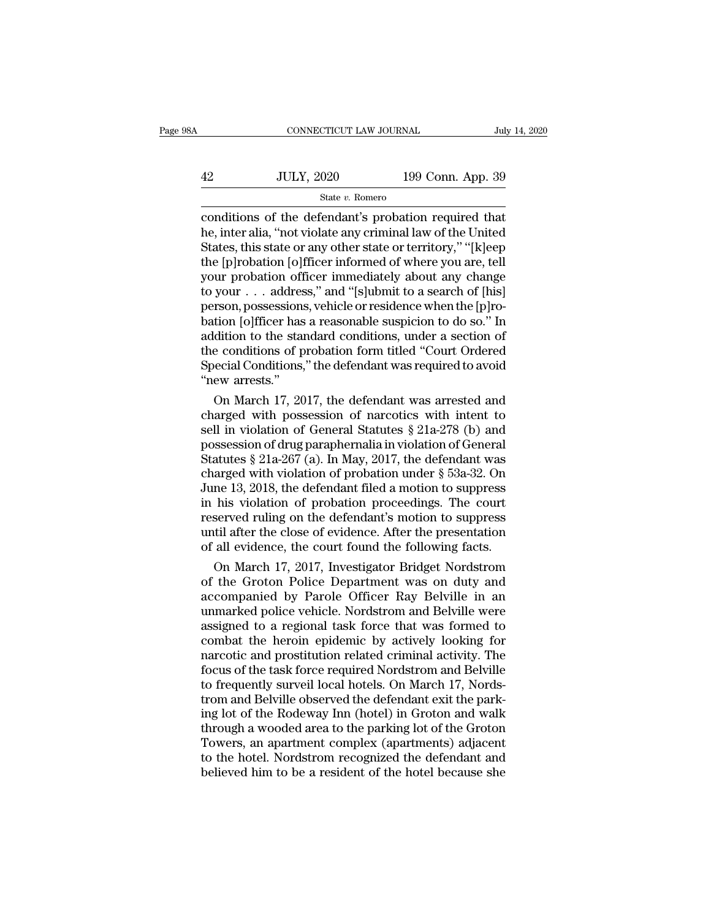|    | CONNECTICUT LAW JOURNAL |                   | July 14, 2020 |
|----|-------------------------|-------------------|---------------|
|    |                         |                   |               |
| 42 | <b>JULY, 2020</b>       | 199 Conn. App. 39 |               |
|    | State v. Romero         |                   |               |

CONNECTICUT LAW JOURNAL July 14, 2020<br>
42 JULY, 2020 199 Conn. App. 39<br>
5tate v. Romero<br>
conditions of the defendant's probation required that<br>
the, inter alia, "not violate any criminal law of the United<br>
States this stat  $\frac{1}{2}$  JULY, 2020 199 Conn. App. 39<br>  $\frac{1}{2}$  State v. Romero<br>
conditions of the defendant's probation required that<br>
he, inter alia, "not violate any criminal law of the United<br>
States, this state or any other state States, this state or any other state or territory,'' ''[k]eep  $199$  Conn. App. 39<br>  $\frac{\text{State } v. \text{ Romero}}{\text{conditions of the defendant's problem required that}}$ <br>
he, inter alia, "not violate any criminal law of the United<br>
States, this state or any other state or territory," "[k]eep<br>
the [p]robation [o]fficer informed of where y State v. Romero<br>
State v. Romero<br>
Conditions of the defendant's probation required that<br>
he, inter alia, "not violate any criminal law of the United<br>
States, this state or any other state or territory," "[k]eep<br>
the [p]ro State v. Romero<br>
conditions of the defendant's probation required that<br>
he, inter alia, "not violate any criminal law of the United<br>
States, this state or any other state or territory," "[k]eep<br>
the [p]robation [o]fficer conditions of the defendant's probation required that<br>he, inter alia, "not violate any criminal law of the United<br>States, this state or any other state or territory," "[k]eep<br>the [p]robation [o]fficer informed of where you he, inter alia, "not violate any criminal law of the United<br>States, this state or any other state or territory," "[k]eep<br>the [p]robation [o]fficer informed of where you are, tell<br>your probation officer immediately about an States, this state or any other state or territory," "[k]eep<br>the [p]robation [o]fficer informed of where you are, tell<br>your probation officer immediately about any change<br>to your . . . address," and "[s]ubmit to a search o the [p]robation [o]fficer informed of where you are, tell<br>your probation officer immediately about any change<br>to your . . . address," and "[s]ubmit to a search of [his]<br>person, possessions, vehicle or residence when the [p your probation officer immediately about any change<br>to your . . . address," and "[s]ubmit to a search of [his]<br>person, possessions, vehicle or residence when the [p]ro-<br>bation [o]fficer has a reasonable suspicion to do so. to your . . . addresperson, possessions<br>bation [o]fficer has<br>addition to the stan<br>the conditions of p<br>Special Conditions,<br>"new arrests."<br>On March 17, 20 rson, possessions, vehicle or residence when the [p]rotion [o]fficer has a reasonable suspicion to do so." In<br>dition to the standard conditions, under a section of<br>e conditions of probation form titled "Court Ordered<br>ecci bation [o]fficer has a reasonable suspicion to do so." In<br>addition to the standard conditions, under a section of<br>the conditions of probation form titled "Court Ordered<br>Special Conditions," the defendant was required to a

addition to the standard conditions, under a section of<br>the conditions of probation form titled "Court Ordered<br>Special Conditions," the defendant was required to avoid<br>"new arrests."<br>On March 17, 2017, the defendant was ar the conditions of probation form titled "Court Ordered<br>Special Conditions," the defendant was required to avoid<br>"new arrests."<br>On March 17, 2017, the defendant was arrested and<br>charged with possession of narcotics with in Special Conditions," the defendant was required to avoid<br>
"new arrests."<br>
On March 17, 2017, the defendant was arrested and<br>
charged with possession of narcotics with intent to<br>
sell in violation of General Statutes  $\S 21$ "new arrests."<br>
On March 17, 2017, the defendant was arrested and<br>
charged with possession of narcotics with intent to<br>
sell in violation of General Statutes § 21a-278 (b) and<br>
possession of drug paraphernalia in violatio On March 17, 2017, the defendant was arrested and<br>charged with possession of narcotics with intent to<br>sell in violation of General Statutes  $\S 21a-278$  (b) and<br>possession of drug paraphermalia in violation of General<br>Stat charged with possession of narcotics with intent to<br>sell in violation of General Statutes  $\S 21a-278$  (b) and<br>possession of drug paraphernalia in violation of General<br>Statutes  $\S 21a-267$  (a). In May, 2017, the defendant sell in violation of General Statutes § 21a-278 (b) and<br>possession of drug paraphernalia in violation of General<br>Statutes § 21a-267 (a). In May, 2017, the defendant was<br>charged with violation of probation under § 53a-32. O possession of drug paraphernalia in violation of General<br>Statutes § 21a-267 (a). In May, 2017, the defendant was<br>charged with violation of probation under § 53a-32. On<br>June 13, 2018, the defendant filed a motion to suppres Statutes § 21a-267 (a). In May, 2017, the defendant was charged with violation of probation under § 53a-32. On June 13, 2018, the defendant filed a motion to suppress in his violation of probation proceedings. The court r arged with violation of probation under § 53a-32. On<br>ne 13, 2018, the defendant filed a motion to suppress<br>his violation of probation proceedings. The court<br>served ruling on the defendant's motion to suppress<br>til after the June 13, 2018, the defendant filed a motion to suppress<br>in his violation of probation proceedings. The court<br>reserved ruling on the defendant's motion to suppress<br>until after the close of evidence. After the presentation<br>o

in his violation of probation proceedings. The court<br>reserved ruling on the defendant's motion to suppress<br>until after the close of evidence. After the presentation<br>of all evidence, the court found the following facts.<br>On reserved ruling on the defendant's motion to suppress<br>until after the close of evidence. After the presentation<br>of all evidence, the court found the following facts.<br>On March 17, 2017, Investigator Bridget Nordstrom<br>of the until after the close of evidence. After the presentation<br>of all evidence, the court found the following facts.<br>On March 17, 2017, Investigator Bridget Nordstrom<br>of the Groton Police Department was on duty and<br>accompanied of all evidence, the court found the following facts.<br>
On March 17, 2017, Investigator Bridget Nordstrom<br>
of the Groton Police Department was on duty and<br>
accompanied by Parole Officer Ray Belville in an<br>
unmarked police v On March 17, 2017, Investigator Bridget Nordstrom<br>of the Groton Police Department was on duty and<br>accompanied by Parole Officer Ray Belville in an<br>unmarked police vehicle. Nordstrom and Belville were<br>assigned to a regional of the Groton Police Department was on duty and<br>accompanied by Parole Officer Ray Belville in an<br>unmarked police vehicle. Nordstrom and Belville were<br>assigned to a regional task force that was formed to<br>combat the heroin e accompanied by Parole Officer Ray Belville in an<br>unmarked police vehicle. Nordstrom and Belville were<br>assigned to a regional task force that was formed to<br>combat the heroin epidemic by actively looking for<br>narcotic and pro unmarked police vehicle. Nordstrom and Belville were<br>assigned to a regional task force that was formed to<br>combat the heroin epidemic by actively looking for<br>narcotic and prostitution related criminal activity. The<br>focus of assigned to a regional task force that was formed to<br>combat the heroin epidemic by actively looking for<br>narcotic and prostitution related criminal activity. The<br>focus of the task force required Nordstrom and Belville<br>to fr combat the heroin epidemic by actively looking for<br>narcotic and prostitution related criminal activity. The<br>focus of the task force required Nordstrom and Belville<br>to frequently surveil local hotels. On March 17, Nords-<br>tr narcotic and prostitution related criminal activity. The<br>focus of the task force required Nordstrom and Belville<br>to frequently surveil local hotels. On March 17, Nords-<br>trom and Belville observed the defendant exit the par focus of the task force required Nordstrom and Belville<br>to frequently surveil local hotels. On March 17, Nords-<br>trom and Belville observed the defendant exit the park-<br>ing lot of the Rodeway Inn (hotel) in Groton and walk<br> to frequently surveil local hotels. On March 17, Nordstrom and Belville observed the defendant exit the parking lot of the Rodeway Inn (hotel) in Groton and walk through a wooded area to the parking lot of the Groton Tower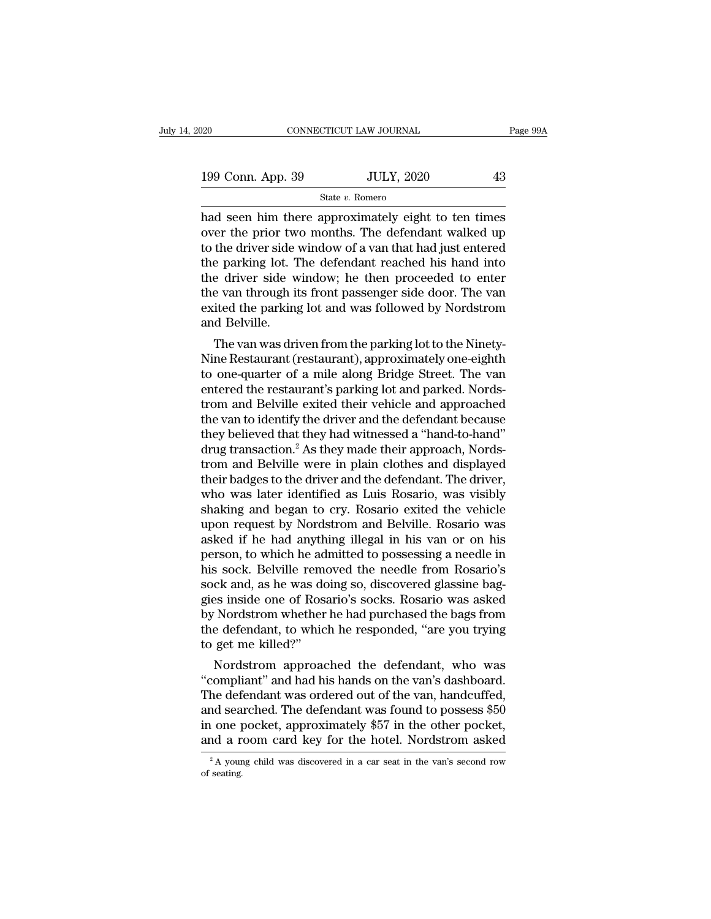| 020               | CONNECTICUT LAW JOURNAL | Page 99A |
|-------------------|-------------------------|----------|
| 199 Conn. App. 39 | <b>JULY, 2020</b>       | 43       |
|                   | State v. Romero         |          |

 $\begin{array}{|l|l|} \hline \text{199 Conn. App. 39} \hline \text{501} & \text{51} & \text{52} & \text{53} \ \hline \text{51} & \text{53} & \text{54} & \text{55} & \text{56} \ \hline \text{61} & \text{62} & \text{63} & \text{64} & \text{65} \ \hline \text{65} & \text{66} & \text{67} & \text{68} & \text{67} & \text{68} \ \hline \text{67} & \text{68} & \text{67} & \text{67} & \text{68} & \$ 199 Conn. App. 39 JULY, 2020 43<br>
State v. Romero<br>
had seen him there approximately eight to ten times<br>
over the prior two months. The defendant walked up<br>
to the driver side window of a van that had just entered<br>
the park 199 Conn. App. 39 JULY, 2020 43<br>
State v. Romero<br>
had seen him there approximately eight to ten times<br>
over the prior two months. The defendant walked up<br>
to the driver side window of a van that had just entered<br>
the park 199 Conn. App. 39 JULY, 2020 43<br>
State v. Romero<br>
had seen him there approximately eight to ten times<br>
over the prior two months. The defendant walked up<br>
to the driver side window of a van that had just entered<br>
the park State v. Romero<br>
had seen him there approximately eight to ten times<br>
over the prior two months. The defendant walked up<br>
to the driver side window of a van that had just entered<br>
the parking lot. The defendant reached hi state v. Romero<br>had seen him there approximately eight to ten times<br>over the prior two months. The defendant walked up<br>to the driver side window of a van that had just entered<br>the parking lot. The defendant reached his ha had seen him there approximately eight to ten times<br>over the prior two months. The defendant walked up<br>to the driver side window of a van that had just entered<br>the parking lot. The defendant reached his hand into<br>the drive over the prior tw<br>to the driver side<br>the parking lot. T<br>the driver side w<br>the van through it<br>exited the parking<br>and Belville.<br>The van was dri the driver side whidow of a van that had just entered<br>e parking lot. The defendant reached his hand into<br>e driver side window; he then proceeded to enter<br>e van through its front passenger side door. The van<br>ited the parkin the driver side window; he then proceeded to enter<br>the driver side window; he then proceeded to enter<br>the van through its front passenger side door. The van<br>exited the parking lot and was followed by Nordstrom<br>and Belville

the unver side window; he then proceeded to enter<br>the van through its front passenger side door. The van<br>exited the parking lot and was followed by Nordstrom<br>and Belville.<br>The van was driven from the parking lot to the Nin the van through its front passenger side door. The van<br>exited the parking lot and was followed by Nordstrom<br>and Belville.<br>The van was driven from the parking lot to the Ninety-<br>Nine Restaurant (restaurant), approximately o exited the parking fot and was followed by Nordstrom<br>and Belville.<br>The van was driven from the parking lot to the Ninety-<br>Nine Restaurant (restaurant), approximately one-eighth<br>to one-quarter of a mile along Bridge Street. The van was driven from the parking lot to the Ninety-<br>Nine Restaurant (restaurant), approximately one-eighth<br>to one-quarter of a mile along Bridge Street. The van<br>entered the restaurant's parking lot and parked. Nords-<br>t The van was driven from the parking lot to the Ninety-<br>Nine Restaurant (restaurant), approximately one-eighth<br>to one-quarter of a mile along Bridge Street. The van<br>entered the restaurant's parking lot and parked. Nords-<br>tr Nine Restaurant (restaurant), approximately one-eighth<br>to one-quarter of a mile along Bridge Street. The van<br>entered the restaurant's parking lot and parked. Nords-<br>trom and Belville exited their vehicle and approached<br>the to one-quarter of a mile along Bridge Street. The van<br>entered the restaurant's parking lot and parked. Nords-<br>trom and Belville exited their vehicle and approached<br>the van to identify the driver and the defendant because<br>t entered the restaurant's parking lot and parked. Nords-<br>trom and Belville exited their vehicle and approached<br>the van to identify the driver and the defendant because<br>they believed that they had witnessed a "hand-to-hand"<br> trom and Belville exited their vehicle and approached<br>the van to identify the driver and the defendant because<br>they believed that they had witnessed a "hand-to-hand"<br>drug transaction.<sup>2</sup> As they made their approach, Nordsthe van to identify the driver and the defendant because<br>they believed that they had witnessed a "hand-to-hand"<br>drug transaction.<sup>2</sup> As they made their approach, Nords-<br>trom and Belville were in plain clothes and displayed they believed that they had witnessed a "hand-to-hand"<br>drug transaction.<sup>2</sup> As they made their approach, Nords-<br>trom and Belville were in plain clothes and displayed<br>their badges to the driver and the defendant. The driver drug transaction.<sup>2</sup> As they made their approach, Nordstrom and Belville were in plain clothes and displayed<br>their badges to the driver and the defendant. The driver,<br>who was later identified as Luis Rosario, was visibly<br>s trom and Belville were in plain clothes and displayed<br>their badges to the driver and the defendant. The driver,<br>who was later identified as Luis Rosario, was visibly<br>shaking and began to cry. Rosario exited the vehicle<br>upo their badges to the driver and the defendant. The driver,<br>who was later identified as Luis Rosario, was visibly<br>shaking and began to cry. Rosario exited the vehicle<br>upon request by Nordstrom and Belville. Rosario was<br>asked who was later identified as Luis Rosario, was visibly<br>shaking and began to cry. Rosario exited the vehicle<br>upon request by Nordstrom and Belville. Rosario was<br>asked if he had anything illegal in his van or on his<br>person, t shaking and began to cry. Rosario exited the vehicle<br>upon request by Nordstrom and Belville. Rosario was<br>asked if he had anything illegal in his van or on his<br>person, to which he admitted to possessing a needle in<br>his sock upon request by Nordstrom and Belville. Rosario was<br>asked if he had anything illegal in his van or on his<br>person, to which he admitted to possessing a needle in<br>his sock. Belville removed the needle from Rosario's<br>sock and asked if he had anything illegal in his van or on his<br>person, to which he admitted to possessing a needle in<br>his sock. Belville removed the needle from Rosario's<br>sock and, as he was doing so, discovered glassine bag-<br>gies person, to which he ad<br>his sock. Belville rems<br>ock and, as he was do<br>gies inside one of Ros<br>by Nordstrom whether<br>the defendant, to whic<br>to get me killed?"<br>Nordstrom approac s sock. Beiville removed the needle from Rosario's<br>ck and, as he was doing so, discovered glassine bag-<br>es inside one of Rosario's socks. Rosario was asked<br>Nordstrom whether he had purchased the bags from<br>e defendant, to w Sock and, as he was doing so, discovered glassine bag-<br>gies inside one of Rosario's socks. Rosario was asked<br>by Nordstrom whether he had purchased the bags from<br>the defendant, to which he responded, "are you trying<br>to get

gies inside one of Rosario's socks. Rosario was asked<br>by Nordstrom whether he had purchased the bags from<br>the defendant, to which he responded, "are you trying<br>to get me killed?"<br>Nordstrom approached the defendant, who was by Nordstrom whether he had purchased the bags from<br>the defendant, to which he responded, "are you trying<br>to get me killed?"<br>Nordstrom approached the defendant, who was<br>"compliant" and had his hands on the van's dashboard. the defendant, to which he responded, are you trying<br>to get me killed?"<br>"Nordstrom approached the defendant, who was<br>"compliant" and had his hands on the van's dashboard.<br>The defendant was ordered out of the van, handcuffe For the killed?<br>
Nordstrom approached the defendant, who was<br>
"compliant" and had his hands on the van, handcuffed,<br>
The defendant was ordered out of the van, handcuffed,<br>
and searched. The defendant was found to possess the defendant was ordered out of the van, handcuffed, and searched. The defendant was found to possess \$50  $\mu$  one pocket, approximately \$57 in the other pocket, and a room card key for the hotel. Nordstrom asked  $\mu$ <sup>2</sup> and sea<br>in one  $\frac{1}{2}$ <br>and  $\frac{1}{2}$   $\frac{1}{2}$ <br>of seating.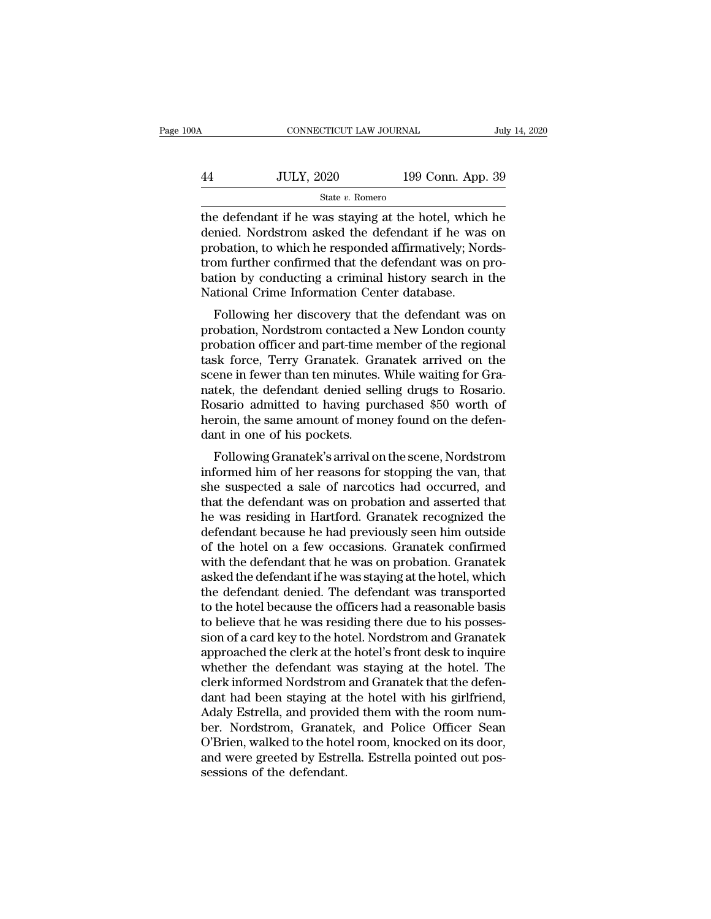# CONNECTICUT LAW JOURNAL July 14, 2020<br>44 JULY, 2020 199 Conn. App. 39<br>5tate v. Romero State *v.* Romero

 $\begin{array}{c|l}\n\hline\n\text{COMNETICUT LAW JOURNAL} & \text{July 14, 2020} \\
\hline\n\end{array}$   $\begin{array}{c|l}\n\text{State } v. \text{ Romero} \\
\hline\n\end{array}\n\hline\n\begin{array}{c|l}\n\text{State } v. \text{ Romero} \\
\hline\n\end{array}\n\hline\n\end{array}\n\hline\n\begin{array}{c|l}\n\text{State } v. \text{ Romero} \\
\hline\n\end{array}\n\hline\n\begin{array}{c|l}\n\text{the defendant if he was staying at the hotel, which he}\n\end{array}\n\hline\n$  $\frac{100 \text{ JULY, } 2020}{\text{State } v. \text{ Romero}}$ <br>
the defendant if he was staying at the hotel, which he<br>
denied. Nordstrom asked the defendant if he was on<br>
probation, to which he responded affirmatively; Nords-<br>
trom further confir Fig. 2020 199 Conn. App. 39<br>
State v. Romero<br>
the defendant if he was staying at the hotel, which he<br>
denied. Nordstrom asked the defendant if he was on<br>
probation, to which he responded affirmatively; Nords-<br>
trom furthe  $\frac{44}{\text{JULY, 2020}}$  199 Conn. App. 39<br>  $\frac{39}{\text{State } v. \text{ Romero}}$ <br>
the defendant if he was staying at the hotel, which he<br>
denied. Nordstrom asked the defendant if he was on<br>
probation, to which he responded affirmatively; State v. Romero<br>
State v. Romero<br>
the defendant if he was staying at the hotel, which he<br>
denied. Nordstrom asked the defendant if he was on<br>
probation, to which he responded affirmatively; Nords-<br>
trom further confirmed state  $v$ . Romero<br>the defendant if he was staying at the hotel, which<br>denied. Nordstrom asked the defendant if he was<br>probation, to which he responded affirmatively; No<br>trom further confirmed that the defendant was on p<br>b e detendant if he was staying at the hotel, which he<br>mied. Nordstrom asked the defendant if he was on<br>obation, to which he responded affirmatively; Nords-<br>om further confirmed that the defendant was on pro-<br>tion by conduct defined. Nordstrom asked the defendant if he was on<br>probation, to which he responded affirmatively; Nords-<br>trom further confirmed that the defendant was on pro-<br>bation by conducting a criminal history search in the<br>Nationa

probation, to which he responded annihatively, Nords-<br>trom further confirmed that the defendant was on pro-<br>bational Crime Information Center database.<br>Following her discovery that the defendant was on<br>probation, Nordstrom trom further committed that the defendant was on probation by conducting a criminal history search in the National Crime Information Center database.<br>Following her discovery that the defendant was on probation, Nordstrom c bation by conducting a criminal fustory search in the<br>National Crime Information Center database.<br>Following her discovery that the defendant was on<br>probation, Nordstrom contacted a New London county<br>probation officer and p rational Crine information Center database.<br>Following her discovery that the defendant was on<br>probation, Nordstrom contacted a New London county<br>probation officer and part-time member of the regional<br>task force, Terry Gran Following her discovery that the defendant was on<br>probation, Nordstrom contacted a New London county<br>probation officer and part-time member of the regional<br>task force, Terry Granatek. Granatek arrived on the<br>scene in fewer probation, Nordstrom contacted a New London county<br>probation officer and part-time member of the regional<br>task force, Terry Granatek. Granatek arrived on the<br>scene in fewer than ten minutes. While waiting for Gra-<br>natek, t probation officer and part-time r<br>task force, Terry Granatek. Gra<br>scene in fewer than ten minutes.<br>natek, the defendant denied sel<br>Rosario admitted to having pu<br>heroin, the same amount of mon<br>dant in one of his pockets.<br>Fo Following Granatek's arrived on the ene in fewer than ten minutes. While waiting for Gra-<br>tek, the defendant denied selling drugs to Rosario.<br>Sario admitted to having purchased \$50 worth of<br>roin, the same amount of money f scene in rewer than ten nimutes. While wanting for Gra-<br>natek, the defendant denied selling drugs to Rosario.<br>Rosario admitted to having purchased \$50 worth of<br>heroin, the same amount of money found on the defen-<br>dant in o

hatek, the defendant defied seming drugs to Rosario.<br>Rosario admitted to having purchased \$50 worth of<br>heroin, the same amount of money found on the defen-<br>dant in one of his pockets.<br>Following Granatek's arrival on the sc the defendant in one of his pockets.<br>
Following Granatek's arrival on the scene, Nordstrom<br>
informed him of her reasons for stopping the van, that<br>
she suspected a sale of narcotics had occurred, and<br>
that the defendant wa heroin, the same amount of money found on the defendant in one of his pockets.<br>Following Granatek's arrival on the scene, Nordstrom<br>informed him of her reasons for stopping the van, that<br>she suspected a sale of narcotics h Following Granatek's arrival on the scene, Nordstrom<br>informed him of her reasons for stopping the van, that<br>she suspected a sale of narcotics had occurred, and<br>that the defendant was on probation and asserted that<br>he was r Following Granatek's arrival on the scene, Nordstrom<br>informed him of her reasons for stopping the van, that<br>she suspected a sale of narcotics had occurred, and<br>that the defendant was on probation and asserted that<br>he was r informed him of her reasons for stopping the van, that<br>she suspected a sale of narcotics had occurred, and<br>that the defendant was on probation and asserted that<br>he was residing in Hartford. Granatek recognized the<br>defendan she suspected a sale of narcotics had occurred, and<br>that the defendant was on probation and asserted that<br>he was residing in Hartford. Granatek recognized the<br>defendant because he had previously seen him outside<br>of the hot that the defendant was on probation and asserted that<br>he was residing in Hartford. Granatek recognized the<br>defendant because he had previously seen him outside<br>of the hotel on a few occasions. Granatek confirmed<br>with the d the was residing in Hartford. Granatek recognized the<br>defendant because he had previously seen him outside<br>of the hotel on a few occasions. Granatek confirmed<br>with the defendant that he was on probation. Granatek<br>asked the defendant because he had previously seen him outside<br>of the hotel on a few occasions. Granatek confirmed<br>with the defendant that he was on probation. Granatek<br>asked the defendant if he was staying at the hotel, which<br>the d of the hotel on a few occasions. Granatek confirmed<br>with the defendant that he was on probation. Granatek<br>asked the defendant if he was staying at the hotel, which<br>the defendant denied. The defendant was transported<br>to the with the defendant that he was on probation. Granatek<br>asked the defendant if he was staying at the hotel, which<br>the defendant denied. The defendant was transported<br>to the hotel because the officers had a reasonable basis<br>t asked the defendant if he was staying at the hotel, which<br>the defendant denied. The defendant was transported<br>to the hotel because the officers had a reasonable basis<br>to believe that he was residing there due to his posses the defendant denied. The defendant was transported<br>to the hotel because the officers had a reasonable basis<br>to believe that he was residing there due to his posses-<br>sion of a card key to the hotel. Nordstrom and Granatek<br> to the hotel because the officers had a reasonable basis<br>to believe that he was residing there due to his posses-<br>sion of a card key to the hotel. Nordstrom and Granatek<br>approached the clerk at the hotel's front desk to in to believe that he was residing there due to his posses-<br>sion of a card key to the hotel. Nordstrom and Granatek<br>approached the clerk at the hotel's front desk to inquire<br>whether the defendant was staying at the hotel. The sion of a card key to the hotel. Nordstrom and Granatek<br>approached the clerk at the hotel's front desk to inquire<br>whether the defendant was staying at the hotel. The<br>clerk informed Nordstrom and Granatek that the defen-<br>da approached the clerk at the hotel's front desk to inquire<br>whether the defendant was staying at the hotel. The<br>clerk informed Nordstrom and Granatek that the defen-<br>dant had been staying at the hotel with his girlfriend,<br>Ad whether the defendant was staying at the hotel. The<br>clerk informed Nordstrom and Granatek that the defen-<br>dant had been staying at the hotel with his girlfriend,<br>Adaly Estrella, and provided them with the room num-<br>ber. No clerk informed Nordstrom<br>dant had been staying at 1<br>Adaly Estrella, and provide<br>ber. Nordstrom, Granatel<br>O'Brien, walked to the hote<br>and were greeted by Estre<br>sessions of the defendant.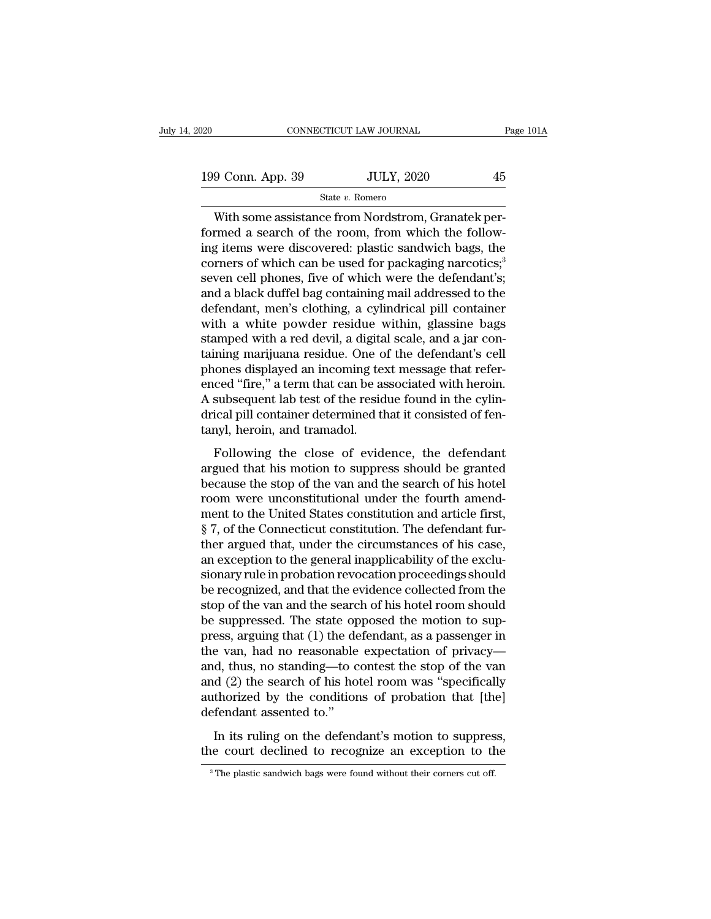| 020               | CONNECTICUT LAW JOURNAL | Page 101A |
|-------------------|-------------------------|-----------|
| 199 Conn. App. 39 | <b>JULY, 2020</b>       | 45        |
|                   | State v. Romero         |           |

CONNECTICUT LAW JOURNAL<br>
9 Conn. App. 39 JULY, 2020 45<br>
State v. Romero<br>
With some assistance from Nordstrom, Granatek per-<br>
Transition assistance from Nordstrom, Granatek per-<br>
States were discovered: plastic sandwich bas 199 Conn. App. 39 JULY, 2020 45<br>
State v. Romero<br>
With some assistance from Nordstrom, Granatek performed a search of the room, from which the follow-<br>
ing items were discovered: plastic sandwich bags, the<br>
secrecy of whi 199 Conn. App. 39 JULY, 2020 45<br>
State v. Romero<br>
With some assistance from Nordstrom, Granatek performed a search of the room, from which the following items were discovered: plastic sandwich bags, the corners of which c 199 Conn. App. 39 JULY, 2020 45<br>
State v. Romero<br>
With some assistance from Nordstrom, Granatek performed a search of the room, from which the following items were discovered: plastic sandwich bags, the corners of which c State v. Romero<br>
With some assistance from Nordstrom, Granatek per-<br>
formed a search of the room, from which the follow-<br>
ing items were discovered: plastic sandwich bags, the<br>
corners of which can be used for packaging n state v. Romero<br>
With some assistance from Nordstrom, Granatek per-<br>
formed a search of the room, from which the follow-<br>
ing items were discovered: plastic sandwich bags, the<br>
corners of which can be used for packaging na With some assistance from Nordstrom, Granatek per-<br>formed a search of the room, from which the follow-<br>ing items were discovered: plastic sandwich bags, the<br>corners of which can be used for packaging narcotics;<sup>3</sup><br>seven ce formed a search of the room, from which the following items were discovered: plastic sandwich bags, the corners of which can be used for packaging narcotics;<sup>3</sup><br>seven cell phones, five of which were the defendant's;<br>and a ing items were discovered: plastic sandwich bags, the corners of which can be used for packaging narcotics,<sup>3</sup> seven cell phones, five of which were the defendant's; and a black duffel bag containing mail addressed to the corners of which can be used for packaging narcotics;<sup>3</sup><br>seven cell phones, five of which were the defendant's;<br>and a black duffel bag containing mail addressed to the<br>defendant, men's clothing, a cylindrical pill containe seven cell phones, five of which were the defendant's;<br>and a black duffel bag containing mail addressed to the<br>defendant, men's clothing, a cylindrical pill container<br>with a white powder residue within, glassine bags<br>stamp and a black duffel bag containing mail addressed to the defendant, men's clothing, a cylindrical pill container with a white powder residue within, glassine bags stamped with a red devil, a digital scale, and a jar contain defendant, men's clothing, a cylindrical pill container<br>with a white powder residue within, glassine bags<br>stamped with a red devil, a digital scale, and a jar con-<br>taining marijuana residue. One of the defendant's cell<br>pho with a white powder residue within, glassine bags<br>stamped with a red devil, a digital scale, and a jar con-<br>taining marijuana residue. One of the defendant's cell<br>phones displayed an incoming text message that refer-<br>enced stamped with a red devil, a digita<br>taining marijuana residue. One o<br>phones displayed an incoming te:<br>enced "fire," a term that can be as<br>A subsequent lab test of the resid<br>drical pill container determined th<br>tanyl, heroin, Following the close of evidence, the defendant of existing the content of "fire," a term that can be associated with heroin.<br>Subsequent lab test of the residue found in the cylinical pill container determined that it consi phones displayed an incoming text message that refer<br>enced "fire," a term that can be associated with heroin.<br>A subsequent lab test of the residue found in the cylin-<br>drical pill container determined that it consisted of f

A subsequent lab test of the residue found in the cylindrical pill container determined that it consisted of fen-<br>tanyl, heroin, and tramadol.<br>Following the close of evidence, the defendant<br>argued that his motion to suppre room were unconstitution. The defendant<br>
Subsequent as test of the restate found in the eyinh<br>
drical pill container determined that it consisted of fen-<br>
tanyl, heroin, and tramadol.<br>
Following the close of evidence, the mean pm container determined and a consisted of ferminal targuel that his motion to suppress should be granted<br>because the stop of the van and the search of his hotel<br>room were unconstitutional under the fourth amend-<br>ment Following the close of evidence, the defendant<br>argued that his motion to suppress should be granted<br>because the stop of the van and the search of his hotel<br>room were unconstitutional under the fourth amend-<br>ment to the Uni Following the close of evidence, the defendant<br>argued that his motion to suppress should be granted<br>because the stop of the van and the search of his hotel<br>room were unconstitutional under the fourth amend-<br>ment to the Uni argued that his motion to suppress should be granted<br>because the stop of the van and the search of his hotel<br>room were unconstitutional under the fourth amend-<br>ment to the United States constitution and article first,<br>§ 7, because the stop of the van and the search of his hotel<br>room were unconstitutional under the fourth amend-<br>ment to the United States constitution and article first,<br>§ 7, of the Connecticut constitution. The defendant fur-<br> room were unconstitutional under the fourth amend-<br>ment to the United States constitution and article first,<br>§ 7, of the Connecticut constitution. The defendant fur-<br>ther argued that, under the circumstances of his case,<br>a ment to the United States constitution and article first,<br>§ 7, of the Connecticut constitution. The defendant fur-<br>ther argued that, under the circumstances of his case,<br>an exception to the general inapplicability of the e  $\S$  7, of the Connecticut constitution. The defendant further argued that, under the circumstances of his case, an exception to the general inapplicability of the exclusionary rule in probation revocation proceedings shou ther argued that, under the circumstances of his case,<br>an exception to the general inapplicability of the exclu-<br>sionary rule in probation revocation proceedings should<br>be recognized, and that the evidence collected from t an exception to the general inapplicability of the exclusionary rule in probation revocation proceedings should<br>be recognized, and that the evidence collected from the<br>stop of the van and the search of his hotel room shoul sionary rule in probation revocation proceedings should<br>be recognized, and that the evidence collected from the<br>stop of the van and the search of his hotel room should<br>be suppressed. The state opposed the motion to sup-<br>pr be recognized, and that the evidence collected from the<br>stop of the van and the search of his hotel room should<br>be suppressed. The state opposed the motion to sup-<br>press, arguing that (1) the defendant, as a passenger in<br>t stop of the van and the search of his hotel room should<br>be suppressed. The state opposed the motion to sup-<br>press, arguing that (1) the defendant, as a passenger in<br>the van, had no reasonable expectation of privacy—<br>and, t be suppressed. The state op<br>press, arguing that (1) the de<br>the van, had no reasonable<br>and, thus, no standing—to c<br>and (2) the search of his ho<br>authorized by the conditior<br>defendant assented to."<br>In its ruling on the defend East, argang and (1) are detendant, as a passenger in evant, had no reasonable expectation of privacy—d, thus, no standing—to contest the stop of the van d (2) the search of his hotel room was "specifically thorized by the and, thus, no standing—to contest the stop of the van<br>and (2) the search of his hotel room was "specifically<br>authorized by the conditions of probation that [the]<br>defendant assented to."<br>In its ruling on the defendant's mot

3 defendant assented to."<br>3 In its ruling on the defendant's motion to suppress,<br>the court declined to recognize an exception to the<br><sup>3</sup> The plastic sandwich bags were found without their corners cut off.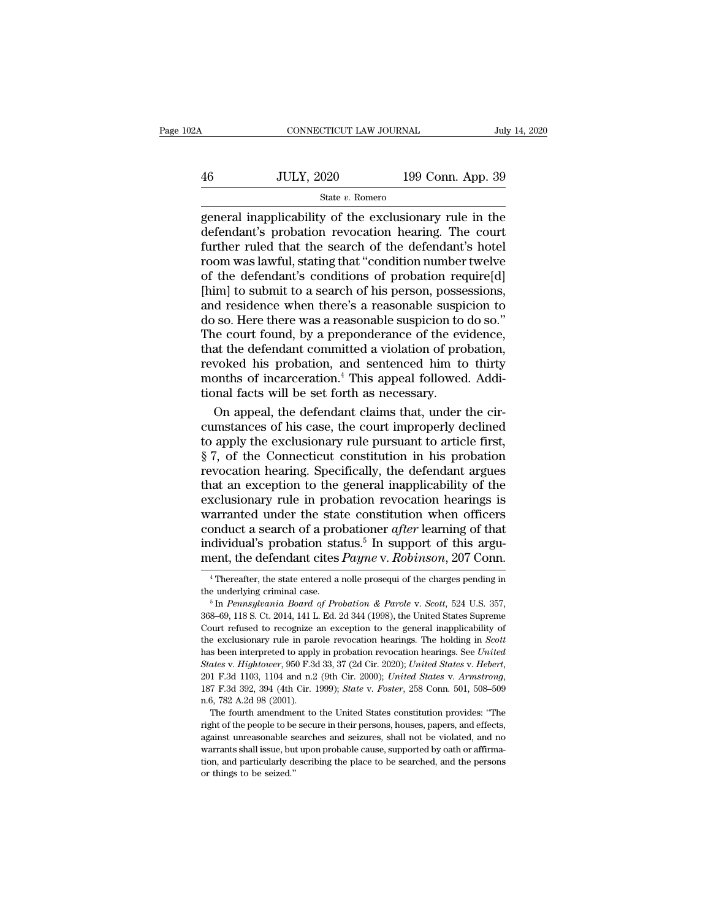| Α  | CONNECTICUT LAW JOURNAL |                   | July 14, 2020 |
|----|-------------------------|-------------------|---------------|
| 46 | <b>JULY, 2020</b>       | 199 Conn. App. 39 |               |
|    | State v. Romero         |                   |               |

 $\begin{array}{l|l} \hline \text{COMRECTICUT LAW JOURNAL} & \text{July 14, 2020} \\ \hline & \text{JULY, 2020} & \text{199 Conn. App. 39} \\ \hline & \text{State $v$. Romero} \\ \hline \text{general inapplicability of the exclusionary rule in the defendant's probation revocation hearing. The court further ruled that the search of the defendant's hotel} \end{array}$  $\frac{100}{200}$   $\frac{199}{200}$   $\frac{199}{200}$   $\frac{199}{200}$ . App. 39<br>  $\frac{199}{200}$   $\frac{199}{200}$   $\frac{199}{200}$   $\frac{199}{200}$   $\frac{199}{200}$   $\frac{199}{200}$   $\frac{199}{200}$   $\frac{199}{200}$   $\frac{199}{200}$   $\frac{199}{200}$   $\frac{199}{200}$   $f_{\text{state } v. \text{ Romero}}$  199 Conn. App. 39<br>  $f_{\text{state } v. \text{ Romero}}$ <br>  $f_{\text{center}}$  in the defendant's probation revocation hearing. The court<br>
further ruled that the search of the defendant's hotel<br>
room was lawful, stating that "condit Fig. 5.1 and  $\frac{199 \text{ Com. App. } 39}{\text{State } v. \text{ Romero}}$ <br>
State v. Romero<br>
State v. Romero<br>
general inapplicability of the exclusionary rule in the<br>
defendant's probation revocation hearing. The court<br>
further ruled that the searc Solar, 2020<br>
State v. Romero<br>
State v. Romero<br>
State v. Romero<br>
defendant's probation revocation hearing. The court<br>
further ruled that the search of the defendant's hotel<br>
room was lawful, stating that "condition number State v. Romero<br>
general inapplicability of the exclusionary rule in the<br>
defendant's probation revocation hearing. The court<br>
further ruled that the search of the defendant's hotel<br>
room was lawful, stating that "conditi general inapplicability of the exclusionary rule in the<br>defendant's probation revocation hearing. The court<br>further ruled that the search of the defendant's hotel<br>room was lawful, stating that "condition number twelve<br>of t defendant's probation revocation hearing. The court<br>further ruled that the search of the defendant's hotel<br>room was lawful, stating that "condition number twelve<br>of the defendant's conditions of probation require[d]<br>[him] further ruled that the search of the defendant's hotel<br>room was lawful, stating that "condition number twelve<br>of the defendant's conditions of probation require[d]<br>[him] to submit to a search of his person, possessions,<br>an room was lawful, stating that "condition number twelve<br>of the defendant's conditions of probation require[d]<br>[him] to submit to a search of his person, possessions,<br>and residence when there's a reasonable suspicion to do s of the defendant's conditions of probation require[d]<br>[him] to submit to a search of his person, possessions,<br>and residence when there's a reasonable suspicion to<br>do so. Here there was a reasonable suspicion to do so."<br>The [him] to submit to a search of his person, possessions, and residence when there's a reasonable suspicion to do so."<br>The court found, by a preponderance of the evidence, that the defendant committed a violation of probatio and residence when there's a reasonable suspido so. Here there was a reasonable suspicion to The court found, by a preponderance of the eventhat the defendant committed a violation of pro revoked his probation, and sentenc  $\bullet$  so. Here there was a reasonable suspicion to do so."<br>he court found, by a preponderance of the evidence,<br>at the defendant committed a violation of probation,<br>woked his probation, and sentenced him to thirty<br>onths of The court found, by a preponderance of the evidence,<br>that the defendant committed a violation of probation,<br>revoked his probation, and sentenced him to thirty<br>months of incarceration.<sup>4</sup> This appeal followed. Addi-<br>tional

that the defendant committed a violation of probation,<br>revoked his probation, and sentenced him to thirty<br>months of incarceration.<sup>4</sup> This appeal followed. Addi-<br>tional facts will be set forth as necessary.<br>On appeal, the revoked his probation, and sentenced him to thirty<br>months of incarceration.<sup>4</sup> This appeal followed. Addi-<br>tional facts will be set forth as necessary.<br>On appeal, the defendant claims that, under the cir-<br>cumstances of his months of incarceration.<sup>4</sup> This appeal followed. Additional facts will be set forth as necessary.<br>On appeal, the defendant claims that, under the circumstances of his case, the court improperly declined<br>to apply the exclu tional facts will be set forth as necessary.<br>
On appeal, the defendant claims that, under the cir-<br>
cumstances of his case, the court improperly declined<br>
to apply the exclusionary rule pursuant to article first,<br>
§ 7, of On appeal, the defendant claims that, under the circumstances of his case, the court improperly declined<br>to apply the exclusionary rule pursuant to article first,<br> $\S 7$ , of the Connecticut constitution in his probation<br>re cumstances of his case, the court improperly declined<br>to apply the exclusionary rule pursuant to article first,<br> $\S 7$ , of the Connecticut constitution in his probation<br>revocation hearing. Specifically, the defendant argue to apply the exclusionary rule pursuant to article first,<br>§ 7, of the Connecticut constitution in his probation<br>revocation hearing. Specifically, the defendant argues<br>that an exception to the general inapplicability of the § 7, of the Connecticut constitution in his probation revocation hearing. Specifically, the defendant argues that an exception to the general inapplicability of the exclusionary rule in probation revocation hearings is wa revocation hearing. Specifically, the defendant argues<br>that an exception to the general inapplicability of the<br>exclusionary rule in probation revocation hearings is<br>warranted under the state constitution when officers<br>cond arranted under the state constitution when officers<br>
onduct a search of a probationer *after* learning of that<br>
dividual's probation status.<sup>5</sup> In support of this argu-<br>
ent, the defendant cites *Payne* v. *Robinson*, 207 conduct a search of a probationer *after* learning of that<br>individual's probation status.<sup>5</sup> In support of this argu-<br>ment, the defendant cites *Payne* v. *Robinson*, 207 Conn.<br><sup>4</sup> Thereafter, the state entered a nolle pro

ment, the defendant cites *Payne* v. *Robinson*, 207 Conn.<br>
<sup>4</sup> Thereafter, the state entered a nolle prosequi of the charges pending in the underlying criminal case.<br>
<sup>5</sup> In *Pennsylvania Board of Probation & Parole* v. Thent, the deferminant cites *Puyne* V. *Roothson*, 201 Collit.<br>
<sup>4</sup> Thereafter, the state entered a nolle prosequi of the charges pending in<br>
<sup>5</sup> In *Pennsylvania Board of Probation & Parole v. Scott*, 524 U.S. 357,<br>
<sup>5</sup> <sup>4</sup> Thereafter, the state entered a nolle prosequi of the charges pending in the underlying criminal case.<br><sup>5</sup> In *Pennsylvania Board of Probation & Parole* v. *Scott*, 524 U.S. 357, 368–69, 118 S. Ct. 2014, 141 L. Ed. 2d the underlying criminal case.<br><sup>5</sup> In *Pennsylvania Board of Probation & Parole v. Scott*, 524 U.S. 357, 368–69, 118 S. Ct. 2014, 141 L. Ed. 2d 344 (1998), the United States Supreme<br>Court refused to recognize an exception t <sup>the ancritional Board of Probation & Parole v. Scott, 524 U.S. 357,<br>368–69, 118 S. Ct. 2014, 141 L. Ed. 2d 344 (1998), the United States Supreme<br>Court refused to recognize an exception to the general inapplicability of<br>th</sup> the exclusionary rule in particle to apply<br>that been interpreted to apply<br>*States v. Hightower*, 950 F.3d<br>201 F.3d 1103, 1104 and n.2<br>187 F.3d 392, 394 (4th Cir. 1<br>n.6, 782 A.2d 98 (2001).<br>The fourth amendment to is been interpreted to apply in probation revocation hearings. See United ates v. Hightower, 950 F.3d 33, 37 (2d Cir. 2020); United States v. Hebert, 1 F.3d 1103, 1104 and n.2 (9th Cir. 2000); United States v. Armstrong, 7 *States v. Hightower*, 950 F.3d 33, 37 (2d Cir. 2020); *United States v. Hebert*, 201 F.3d 1103, 1104 and n.2 (9th Cir. 2000); *United States v. Armstrong*, 187 F.3d 392, 394 (4th Cir. 1999); *State v. Foster*, 258 Conn. 5

<sup>201</sup> F.3d 1103, 1104 and n.2 (9th Cir. 2000); *United States v. Armstrong*, 187 F.3d 1103, 1104 and n.2 (9th Cir. 2000); *United States v. Armstrong*, 187 F.3d 392, 394 (4th Cir. 1999); *State v. Foster*, 258 Conn. 501, 508 201 F.3d 1103, 1104 and n.2 (9th Cir. 2000); *United States v. Armstrong*, 187 F.3d 392, 394 (4th Cir. 1999); *State v. Foster*, 258 Conn. 501, 508–509 n.6, 782 A.2d 98 (2001).<br>The fourth amendment to the United States co n.6, 782 A.2d 98 (2001).<br>The fourth amendment to the United States constitution provides: "The<br>right of the people to be secure in their persons, houses, papers, and effects,<br>against unreasonable searches and seizures, sha The fourth amendment<br>
right of the people to be<br>
against unreasonable s<br>
warrants shall issue, but<br>
tion, and particularly donthings to be seized."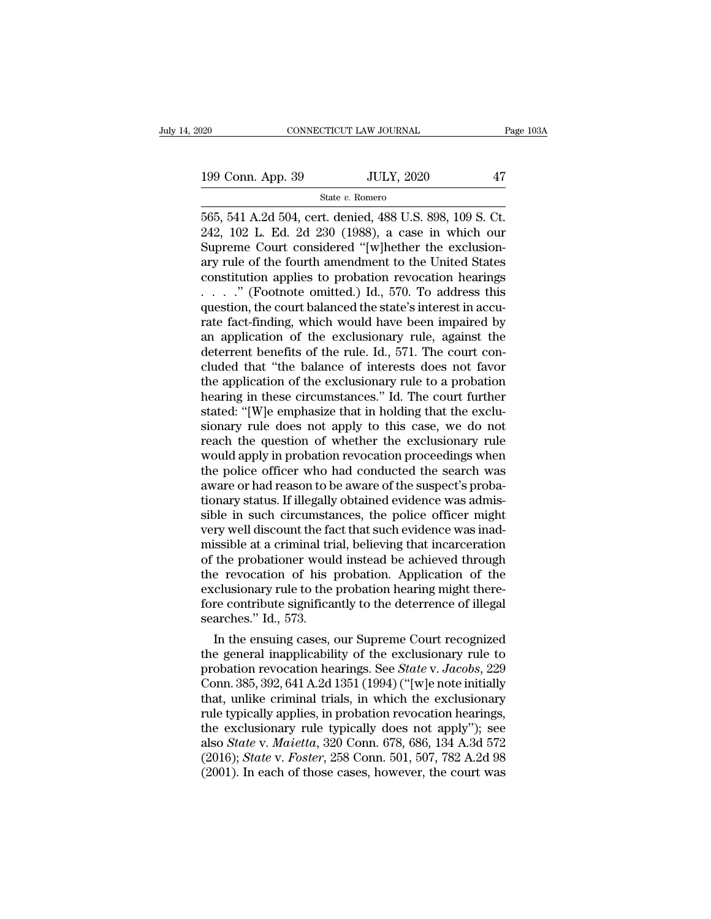State *v.* Romero

Fage 10<br>
199 Conn. App. 39 JULY, 2020 47<br>
565, 541 A.2d 504, cert. denied, 488 U.S. 898, 109 S. Ct.<br>
242, 102 L. Ed. 2d 230 (1988), a case in which our<br>
Suppose Court considered "[w]bether the exclusion 199 Conn. App. 39 JULY, 2020 47<br>
State v. Romero<br>
565, 541 A.2d 504, cert. denied, 488 U.S. 898, 109 S. Ct.<br>
242, 102 L. Ed. 2d 230 (1988), a case in which our<br>
Supreme Court considered "[w]hether the exclusion-<br>
2ny rule 199 Conn. App. 39 JULY, 2020 47<br>
State v. Romero<br>
565, 541 A.2d 504, cert. denied, 488 U.S. 898, 109 S. Ct.<br>
242, 102 L. Ed. 2d 230 (1988), a case in which our<br>
Supreme Court considered "[w]hether the exclusion-<br>
any rule 199 Conn. App. 39 JULY, 2020 47<br>
State v. Romero<br>
565, 541 A.2d 504, cert. denied, 488 U.S. 898, 109 S. Ct.<br>
242, 102 L. Ed. 2d 230 (1988), a case in which our<br>
Supreme Court considered "[w]hether the exclusion-<br>
ary rule State v. Romero<br>565, 541 A.2d 504, cert. denied, 488 U.S. 898, 109 S. Ct.<br>242, 102 L. Ed. 2d 230 (1988), a case in which our<br>Supreme Court considered "[w]hether the exclusion-<br>ary rule of the fourth amendment to the Unite state v. Romero<br>565, 541 A.2d 504, cert. denied, 488 U.S. 898, 109 S. Ct.<br>242, 102 L. Ed. 2d 230 (1988), a case in which our<br>Supreme Court considered "[w]hether the exclusion-<br>ary rule of the fourth amendment to the United 565, 541 A.2d 504, cert. denied, 488 U.S. 898, 109 S. Ct.<br>242, 102 L. Ed. 2d 230 (1988), a case in which our<br>Supreme Court considered "[w]hether the exclusion-<br>ary rule of the fourth amendment to the United States<br>constitu 242, 102 L. Ed. 2d 230 (1988), a case in which our<br>Supreme Court considered "[w]hether the exclusion-<br>ary rule of the fourth amendment to the United States<br>constitution applies to probation revocation hearings<br> $\ldots$  ." (F Supreme Court considered "[w]hether the exclusion-<br>ary rule of the fourth amendment to the United States<br>constitution applies to probation revocation hearings<br> $\ldots$ ." (Footnote omitted.) Id., 570. To address this<br>question ary rule of the fourth amendment to the United States<br>constitution applies to probation revocation hearings<br> $\ldots$ ." (Footnote omitted.) Id., 570. To address this<br>question, the court balanced the state's interest in accu-<br> constitution applies to probation revocation hearings<br>  $\ldots$   $\ldots$  '' (Footnote omitted.) Id., 570. To address this<br>
question, the court balanced the state's interest in accu-<br>
rate fact-finding, which would have been imp ....." (Footnote omitted.) Id., 570. To address this<br>question, the court balanced the state's interest in accu-<br>rate fact-finding, which would have been impaired by<br>an application of the exclusionary rule, against the<br>det question, the court balanced the state's interest in accurate fact-finding, which would have been impaired by<br>an application of the exclusionary rule, against the<br>deterrent benefits of the rule. Id., 571. The court con-<br>cl rate fact-finding, which would have been impaired by<br>an application of the exclusionary rule, against the<br>deterrent benefits of the rule. Id., 571. The court con-<br>cluded that "the balance of interests does not favor<br>the ap an application of the exclusionary rule, against the<br>deterrent benefits of the rule. Id., 571. The court con-<br>cluded that "the balance of interests does not favor<br>the application of the exclusionary rule to a probation<br>hea deterrent benefits of the rule. Id., 571. The court concluded that "the balance of interests does not favor<br>the application of the exclusionary rule to a probation<br>hearing in these circumstances." Id. The court further<br>sta cluded that "the balance of interests does not favor<br>the application of the exclusionary rule to a probation<br>hearing in these circumstances." Id. The court further<br>stated: "[W]e emphasize that in holding that the exclu-<br>si the application of the exclusionary rule to a probation<br>hearing in these circumstances." Id. The court further<br>stated: "[W]e emphasize that in holding that the exclu-<br>sionary rule does not apply to this case, we do not<br>rea hearing in these circumstances." Id. The court further stated: "[W]e emphasize that in holding that the exclusionary rule does not apply to this case, we do not reach the question of whether the exclusionary rule would app stated: "[W]e emphasize that in holding that the exclusionary rule does not apply to this case, we do not reach the question of whether the exclusionary rule would apply in probation revocation proceedings when the police sionary rule does not apply to this case, we do not<br>reach the question of whether the exclusionary rule<br>would apply in probation revocation proceedings when<br>the police officer who had conducted the search was<br>aware or had reach the question of whether the exclusionary rule<br>would apply in probation revocation proceedings when<br>the police officer who had conducted the search was<br>aware or had reason to be aware of the suspect's proba-<br>tionary s would apply in probation revocation proceedings when<br>the police officer who had conducted the search was<br>aware or had reason to be aware of the suspect's proba-<br>tionary status. If illegally obtained evidence was admis-<br>sib the police officer who had conducted the search was<br>aware or had reason to be aware of the suspect's proba-<br>tionary status. If illegally obtained evidence was admis-<br>sible in such circumstances, the police officer might<br>ve aware or had reason to be aware of the suspect's probationary status. If illegally obtained evidence was admissible in such circumstances, the police officer might very well discount the fact that such evidence was inadmis tionary status. If illegally obtained evidence was admissible in such circumstances, the police officer might<br>very well discount the fact that such evidence was inad-<br>missible at a criminal trial, believing that incarcerat sible in such circumstances, the police officer might<br>very well discount the fact that such evidence was inad-<br>missible at a criminal trial, believing that incarceration<br>of the probationer would instead be achieved through very well discount the fa<br>missible at a criminal tri<br>of the probationer woul<br>the revocation of his<br>exclusionary rule to the<br>fore contribute significa<br>searches." Id., 573.<br>In the ensuing cases, In the probationer would instead be achieved through<br>the probationer would instead be achieved through<br>e revocation of his probation. Application of the<br>clusionary rule to the probation hearing might there-<br>re contribute or the probationer would instead be achieved through<br>the revocation of his probation. Application of the<br>exclusionary rule to the probation hearing might there-<br>fore contribute significantly to the deterrence of illegal<br>s

the revocation of his probation. Application of the<br>exclusionary rule to the probation hearing might there-<br>fore contribute significantly to the deterrence of illegal<br>searches." Id., 573.<br>In the ensuing cases, our Supreme exclusionary rule to the probation nearing might therefore contribute significantly to the deterrence of illegal<br>searches." Id., 573.<br>In the ensuing cases, our Supreme Court recognized<br>the general inapplicability of the ex fore contribute significantly to the deterrence of liegal<br>searches." Id., 573.<br>In the ensuing cases, our Supreme Court recognized<br>the general inapplicability of the exclusionary rule to<br>probation revocation hearings. See searcnes. Id., 573.<br>
In the ensuing cases, our Supreme Court recognized<br>
the general inapplicability of the exclusionary rule to<br>
probation revocation hearings. See *State v. Jacobs*, 229<br>
Conn. 385, 392, 641 A.2d 1351 (1 In the ensuing cases, our Supreme Court recognized<br>the general inapplicability of the exclusionary rule to<br>probation revocation hearings. See *State* v. *Jacobs*, 229<br>Conn. 385, 392, 641 A.2d 1351 (1994) ("[w]e note initi the general inapplicability of the exclusionary rule to<br>probation revocation hearings. See *State* v. *Jacobs*, 229<br>Conn. 385, 392, 641 A.2d 1351 (1994) ("[w]e note initially<br>that, unlike criminal trials, in which the excl probation revocation hearings. See *State* v. *Jacobs*, 229<br>Conn. 385, 392, 641 A.2d 1351 (1994) ("[w]e note initially<br>that, unlike criminal trials, in which the exclusionary<br>rule typically applies, in probation revocation Conn. 385, 392, 641 A.2d 1351 (1994) ("[w]e note initially that, unlike criminal trials, in which the exclusionary rule typically applies, in probation revocation hearings, the exclusionary rule typically does not apply");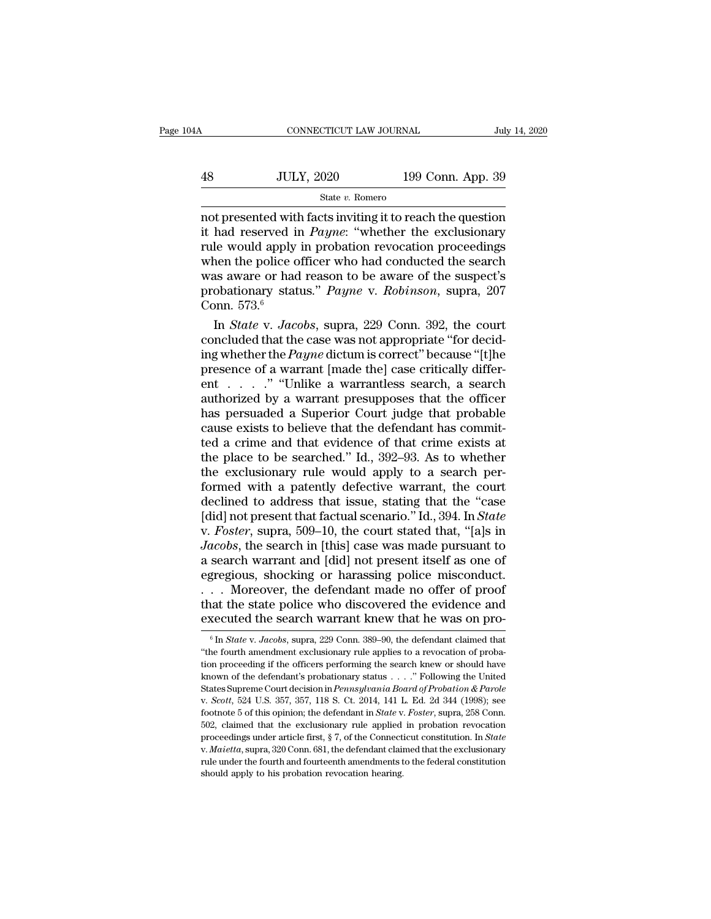# CONNECTICUT LAW JOURNAL July 14, 2020<br>48 JULY, 2020 199 Conn. App. 39<br>5tate v. Romero State *v.* Romero

 $\begin{array}{lll}\n & \text{COMRECTICUT LAW JOURNAL} & \text{July 14, 2020} \\
 & & \text{JULY, 2020} & \text{199 Conn. App. 39} \\
 & & \text{State $v$. Romero}\n\end{array}$ **it and the served in** *Payne***:** ''whether the exclusionary<br>
it had reserved in *Payne*: ''whether the exclusionary<br>
rule would apply in probation revocation proceedings<br>
when the police officer who had conducted the search Fig. 39<br>
Fig. 2020 199 Conn. App. 39<br>
State v. Romero<br>
not presented with facts inviting it to reach the question<br>
it had reserved in *Payne*: "whether the exclusionary<br>
rule would apply in probation revocation proceeding  $38$  JULY, 2020 199 Conn. App. 39<br>
state v. Romero<br>
not presented with facts inviting it to reach the question<br>
it had reserved in *Payne*: "whether the exclusionary<br>
rule would apply in probation revocation proceedings<br> was aware or had reason to be aware of the suspection<br>it had reserved in *Payne*: "whether the exclusionary<br>rule would apply in probation revocation proceedings<br>when the police officer who had conducted the search<br>was awa State v. Romero<br>
not presented with facts inviting it to reach the question<br>
it had reserved in *Payne*: "whether the exclusionary<br>
rule would apply in probation revocation proceedings<br>
when the police officer who had cond not presented with<br>it had reserved in<br>rule would apply<br>when the police c<br>was aware or had<br>probationary stat<br>Conn. 573.<sup>6</sup><br>In *State* v. Jac had reserved in *Payne*: "whether the exclusionary<br>le would apply in probation revocation proceedings<br>nen the police officer who had conducted the search<br>as aware or had reason to be aware of the suspect's<br>obationary statu rule would apply in probation revocation proceedings<br>when the police officer who had conducted the search<br>was aware or had reason to be aware of the suspect's<br>probationary status." *Payne* v. *Robinson*, supra, 207<br>Conn. 5

when the police officer who had conducted the search<br>was aware or had reason to be aware of the suspect's<br>probationary status." *Payne* v. *Robinson*, supra, 207<br>Conn. 573.<sup>6</sup><br>In *State* v. *Jacobs*, supra, 229 Conn. 392, was aware or had reason to be aware of the suspect's<br>probationary status." *Payne* v. *Robinson*, supra, 207<br>Conn. 573.<sup>6</sup><br>In *State* v. *Jacobs*, supra, 229 Conn. 392, the court<br>concluded that the case was not appropriat probationary status." *Payne* v. *Robinson*, supra, 207<br>Conn. 573.<sup>6</sup><br>In *State* v. *Jacobs*, supra, 229 Conn. 392, the court<br>concluded that the case was not appropriate "for decid-<br>ing whether the *Payne* dictum is corre Conn. 573.<sup>6</sup><br>In *State v. Jacobs*, supra, 229 Conn. 392, the court<br>concluded that the case was not appropriate "for decid-<br>ing whether the *Payne* dictum is correct" because "[t]he<br>presence of a warrant [made the] case c In *State* v. *Jacobs*, supra, 229 Conn. 392, the court<br>concluded that the case was not appropriate "for decid-<br>ing whether the *Payne* dictum is correct" because "[t]he<br>presence of a warrant [made the] case critically di concluded that the case was not appropriate "for decid-<br>ing whether the *Payne* dictum is correct" because "[t]he<br>presence of a warrant [made the] case critically differ-<br>ent . . . . . " "Unlike a warrantless search, a se ing whether the *Payne* dictum is correct" because "[t]he<br>presence of a warrant [made the] case critically differ-<br>ent  $\dots$ ." "Unlike a warrantless search, a search<br>authorized by a warrant presupposes that the officer<br>has presence of a warrant [made the] case critically different . . . . . " "Unlike a warrantless search, a search authorized by a warrant presupposes that the officer has persuaded a Superior Court judge that probable cause e ent . . . . . " "Unlike a warrantless search, a search authorized by a warrant presupposes that the officer has persuaded a Superior Court judge that probable cause exists to believe that the defendant has committed a cri authorized by a warrant presupposes that the officer<br>has persuaded a Superior Court judge that probable<br>cause exists to believe that the defendant has commit-<br>ted a crime and that evidence of that crime exists at<br>the place has persuaded a Superior Court judge that probable<br>cause exists to believe that the defendant has commit-<br>ted a crime and that evidence of that crime exists at<br>the place to be searched." Id., 392–93. As to whether<br>the excl cause exists to believe that the defendant has commit-<br>ted a crime and that evidence of that crime exists at<br>the place to be searched." Id., 392–93. As to whether<br>the exclusionary rule would apply to a search per-<br>formed w ted a crime and that evidence of that crime exists at<br>the place to be searched." Id., 392–93. As to whether<br>the exclusionary rule would apply to a search per-<br>formed with a patently defective warrant, the court<br>declined to the place to be searched." Id., 392–93. As to whether<br>the exclusionary rule would apply to a search per-<br>formed with a patently defective warrant, the court<br>declined to address that issue, stating that the "case<br>[did] not the exclusionary rule would apply to a search per-<br>formed with a patently defective warrant, the court<br>declined to address that issue, stating that the "case<br>[did] not present that factual scenario." Id., 394. In *State*<br>v formed with a patently defective warrant, the court<br>declined to address that issue, stating that the "case<br>[did] not present that factual scenario." Id., 394. In *State*<br>v. *Foster*, supra, 509–10, the court stated that, declined to address that issue, stating that the "case<br>[did] not present that factual scenario." Id., 394. In *State*<br>v. *Foster*, supra, 509–10, the court stated that, "[a]s in<br>*Jacobs*, the search in [this] case was made [did] not present that factual scenario." Id., 394. In *State* v. *Foster*, supra, 509–10, the court stated that, "[a]s in *Jacobs*, the search in [this] case was made pursuant to a search warrant and [did] not present its v. Foster, supra, 509–10, the court stated that, "[a]s in Jacobs, the search in [this] case was made pursuant to a search warrant and [did] not present itself as one of egregious, shocking or harassing police misconduct.<br> gregious, shocking or harassing police misconduct.<br>
... Moreover, the defendant made no offer of proof<br>
aat the state police who discovered the evidence and<br>
<u>wecuted</u> the search warrant knew that he was on pro-<br>
<sup>6</sup> In *S* ... Moreover, the defendant made no offer of proof that the state police who discovered the evidence and executed the search warrant knew that he was on pro-<br><sup>6</sup> In *State v. Jacobs*, supra, 229 Conn. 389–90, the defendan

that the state police who discovered the evidence and executed the search warrant knew that he was on proceeding if the search warrant search, the defendant claimed that "the fourth amendment exclusionary rule applies to **executed the search warrant knew that he was on pro-**<br><sup>6</sup> In *State* v. *Jacobs*, supra, 229 Conn. 389–90, the defendant claimed that "the fourth amendment exclusionary rule applies to a revocation of probation proceedin **EXECUTED THE SEATCH WATTAILL KHEW THAT HE WAS ON Pro-**<br><sup>6</sup> In *State v. Jacobs*, supra, 229 Conn. 389–90, the defendant claimed that "the fourth amendment exclusionary rule applies to a revocation of probation proceeding "the fourth amendment exclusionary rule applies to a revocation of probation proceeding if the officers performing the search knew or should have known of the defendant's probationary status  $\ldots$ ." Following the United S tion proceeding if the officers performing the search knew or should have known of the defendant's probationary status . . . . " Following the United States Supreme Court decision in *Pennsylvania Board of Probation & Par* known of the defendant's probationary status . . . . " Following the United States Supreme Court decision in *Pennsylvania Board of Probation & Parole* v. *Scott*, 524 U.S. 357, 357, 118 S. Ct. 2014, 141 L. Ed. 2d 344 (199 v. *Scott*, 524 U.S. 357, 357, 118 S. Ct. 2014, 141 L. Ed. 2d 344 (1998); see footnote 5 of this opinion; the defendant in *State* v. *Foster*, supra, 258 Conn. 502, claimed that the exclusionary rule applied in probation 502, claimed that the exclusionary rule applied in probation revocation proceedings under article first,  $\S 7$ , of the Connecticut constitution. In *State* v. *Maietta*, supra, 320 Conn. 681, the defendant claimed that th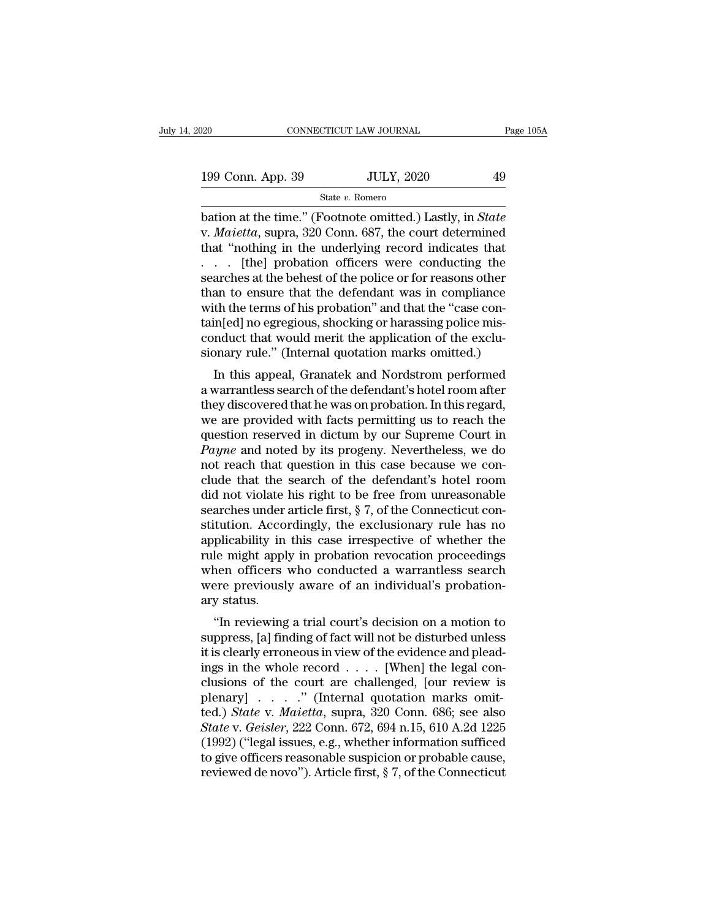| 120               | CONNECTICUT LAW JOURNAL | Page 105A |  |
|-------------------|-------------------------|-----------|--|
|                   |                         |           |  |
| 199 Conn. App. 39 | <b>JULY, 2020</b>       | 49        |  |
|                   | State v. Romero         |           |  |

bation at the time.'' (Footnote omitted.) Lastly, in *State*<br>
We are the time.'' (Footnote omitted.) Lastly, in *State*<br>
We are the time.'' (Footnote omitted.) Lastly, in *State*<br>
We *Maietta*, supra, 320 Conn. 687, the co 199 Conn. App. 39 JULY, 2020 49<br>
State *v*. Romero<br>
bation at the time." (Footnote omitted.) Lastly, in *State*<br>
v. *Maietta*, supra, 320 Conn. 687, the court determined<br>
that "nothing in the underlying record indicates th 199 Conn. App. 39 JULY, 2020 49<br>
State v. Romero<br>
bation at the time." (Footnote omitted.) Lastly, in *State*<br>
v. *Maietta*, supra, 320 Conn. 687, the court determined<br>
that "nothing in the underlying record indicates tha 199 Conn. App. 39 JULY, 2020 49<br>
State v. Romero<br>
bation at the time." (Footnote omitted.) Lastly, in *State*<br>
v. *Maietta*, supra, 320 Conn. 687, the court determined<br>
that "nothing in the underlying record indicates tha State v. Romero<br>
State v. Romero<br>
bation at the time." (Footnote omitted.) Lastly, in *State*<br>
v. *Maietta*, supra, 320 Conn. 687, the court determined<br>
that "nothing in the underlying record indicates that<br>
... [the] pro State v. Romero<br>bation at the time." (Footnote omitted.) Lastly, in *State*<br>v. *Maietta*, supra, 320 Conn. 687, the court determined<br>that "nothing in the underlying record indicates that<br> $\ldots$  [the] probation officers wer bation at the time." (Footnote omitted.) Lastly, in *State* v. *Maietta*, supra, 320 Conn. 687, the court determined that "nothing in the underlying record indicates that  $\ldots$  [the] probation officers were conducting the v. *Maietta*, supra, 320 Conn. 687, the court determined<br>that "nothing in the underlying record indicates that<br> $\ldots$  [the] probation officers were conducting the<br>searches at the behest of the police or for reasons other<br>t that "nothing in the underlying record indicates that  $\ldots$  [the] probation officers were conducting the searches at the behest of the police or for reasons other than to ensure that the defendant was in compliance with t ... [the] probation officers were conducting the<br>searches at the behest of the police or for reasons other<br>than to ensure that the defendant was in compliance<br>with the terms of his probation" and that the "case con-<br>tain[e arches at the benest of the police of for reasons other<br>an to ensure that the defendant was in compliance<br>th the terms of his probation" and that the "case con-<br>in[ed] no egregious, shocking or harassing police mis-<br>mduct man to ensure that the defendant was in comphance<br>with the terms of his probation" and that the "case con-<br>tain[ed] no egregious, shocking or harassing police mis-<br>conduct that would merit the application of the exclu-<br>sio

with the terms of his probation and that the case contain<br>[ed] no egregious, shocking or harassing police mis-<br>conduct that would merit the application of the exclu-<br>sionary rule." (Internal quotation marks omitted.)<br>In th rampleu in egregious, shocking or narassing police mis-<br>conduct that would merit the application of the exclu-<br>sionary rule." (Internal quotation marks omitted.)<br>In this appeal, Granatek and Nordstrom performed<br>a warrantle conduct that would herit the application of the exclusionary rule." (Internal quotation marks omitted.)<br>In this appeal, Granatek and Nordstrom performed<br>a warrantless search of the defendant's hotel room after<br>they discov In this appeal, Granatek and Nordstrom performed<br>a warrantless search of the defendant's hotel room after<br>they discovered that he was on probation. In this regard,<br>we are provided with facts permitting us to reach the<br>ques In this appeal, Granatek and Nordstrom performed<br>a warrantless search of the defendant's hotel room after<br>they discovered that he was on probation. In this regard,<br>we are provided with facts permitting us to reach the<br>ques a warrantless search of the defendant's hotel room after<br>they discovered that he was on probation. In this regard,<br>we are provided with facts permitting us to reach the<br>question reserved in dictum by our Supreme Court in<br> they discovered that he was on probation. In this regard,<br>we are provided with facts permitting us to reach the<br>question reserved in dictum by our Supreme Court in<br> $Payne$  and noted by its progeny. Nevertheless, we do<br>not re we are provided with facts permitting us to reach the question reserved in dictum by our Supreme Court in *Payne* and noted by its progeny. Nevertheless, we do not reach that question in this case because we conclude that question reserved in dictum by our Supreme Court in *Payne* and noted by its progeny. Nevertheless, we do not reach that question in this case because we conclude that the search of the defendant's hotel room did not viola Payne and noted by its progeny. Nevertheless, we do<br>not reach that question in this case because we con-<br>clude that the search of the defendant's hotel room<br>did not violate his right to be free from unreasonable<br>searches u not reach that question in this case because we conclude that the search of the defendant's hotel room<br>did not violate his right to be free from unreasonable<br>searches under article first, § 7, of the Connecticut con-<br>stitu clude that the search of the defendant's hotel room<br>did not violate his right to be free from unreasonable<br>searches under article first, § 7, of the Connecticut con-<br>stitution. Accordingly, the exclusionary rule has no<br>app did not violate his right to be free from unreasonable<br>searches under article first, § 7, of the Connecticut con-<br>stitution. Accordingly, the exclusionary rule has no<br>applicability in this case irrespective of whether the<br> searches under<br>stitution. Acco<br>applicability in<br>rule might appl<br>when officers<br>were previousl<br>ary status.<br>"In reviewing Filicability in this case irrespective of whether the<br>
le might apply in probation revocation proceedings<br>
aen officers who conducted a warrantless search<br>
are previously aware of an individual's probation-<br>
y status.<br>
"In applicability in this case inespective of whether the<br>rule might apply in probation revocation proceedings<br>when officers who conducted a warrantless search<br>were previously aware of an individual's probation-<br>ary status.<br>"I

Figure inight apply in probation revocation proceedings<br>when officers who conducted a warrantless search<br>were previously aware of an individual's probation-<br>ary status.<br>"In reviewing a trial court's decision on a motion to when officers who conducted a warrantiess search<br>were previously aware of an individual's probation-<br>ary status.<br>"In reviewing a trial court's decision on a motion to<br>suppress, [a] finding of fact will not be disturbed unl were previously aware of an individual s probation-<br>ary status.<br>
"In reviewing a trial court's decision on a motion to<br>
suppress, [a] finding of fact will not be disturbed unless<br>
it is clearly erroneous in view of the ev ary status.<br>
"In reviewing a trial court's decision on a motion to<br>
suppress, [a] finding of fact will not be disturbed unless<br>
it is clearly erroneous in view of the evidence and plead<br>
ings in the whole record  $\ldots$ . [W "In reviewing a trial court's decision on a motion to<br>suppress, [a] finding of fact will not be disturbed unless<br>it is clearly erroneous in view of the evidence and plead-<br>ings in the whole record  $\ldots$ . [When] the legal suppress, [a] finding of fact will not be disturbed unless<br>it is clearly erroneous in view of the evidence and plead-<br>ings in the whole record . . . . [When] the legal con-<br>clusions of the court are challenged, [our review it is clearly erroneous in view of the evidence and plead-<br>ings in the whole record . . . . [When] the legal con-<br>clusions of the court are challenged, [our review is<br>plenary] . . . . . " (Internal quotation marks omit-<br>t ings in the whole record . . . . [When] the legal conclusions of the court are challenged, [our review is plenary] . . . . " (Internal quotation marks omitted.) *State* v. *Maietta*, supra, 320 Conn. 686; see also *State* clusions of the court are challenged, [our review is<br>plenary] . . . . . " (Internal quotation marks omit-<br>ted.) State v. Maietta, supra, 320 Conn. 686; see also<br>State v. Geisler, 222 Conn. 672, 694 n.15, 610 A.2d 1225<br>(19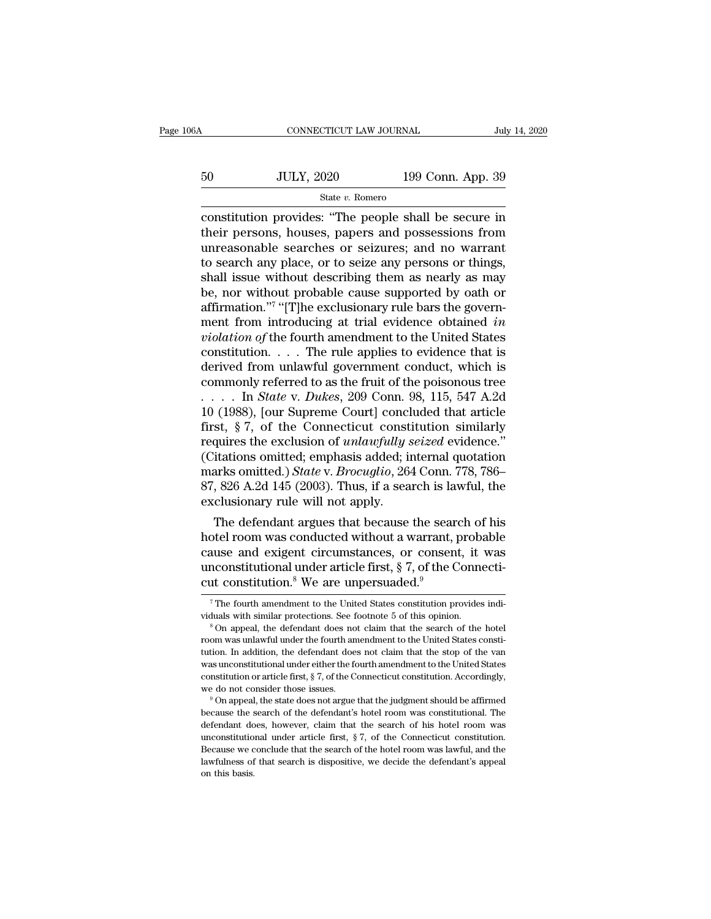| jΑ | CONNECTICUT LAW JOURNAL              |                   | July 14, 2020 |
|----|--------------------------------------|-------------------|---------------|
| 50 |                                      |                   |               |
|    | <b>JULY, 2020</b><br>State v. Romero | 199 Conn. App. 39 |               |

CONNECTICUT LAW JOURNAL July 14, 2020<br>
State v. Romero<br>
Constitution provides: ''The people shall be secure in<br>
their persons, houses, papers and possessions from<br>
their persons, houses, papers and possessions from  $_{\text{total}}$   $_{\text{total}}$   $_{\text{total}}$   $_{\text{total}}$   $_{\text{total}}$   $_{\text{total}}$   $_{\text{total}}$   $_{\text{total}}$   $_{\text{total}}$   $_{\text{total}}$   $_{\text{total}}$   $_{\text{total}}$   $_{\text{total}}$   $_{\text{total}}$   $_{\text{total}}$   $_{\text{total}}$   $_{\text{total}}$   $_{\text{total}}$   $_{\text{total}}$   $_{\text{total}}$   $_{\text{total}}$   $_{\text{total}}$   $_{\text{total}}$   $_{\text{total}}$   $_{\text{$  $199$  Conn. App. 39<br>
State v. Romero<br>
State v. Romero<br>
constitution provides: "The people shall be secure in<br>
their persons, houses, papers and possessions from<br>
unreasonable searches or seizures; and no warrant<br>
to searc  $_{\text{State }v. \text{ Romero}}$ <br>  $_{\text{state }v. \text{ Romero}}$ <br>  $_{\text{constitution} \text{ provides: }}$  "The people shall be secure in<br>
their persons, houses, papers and possessions from<br>
unreasonable searches or seizures; and no warrant<br>
to search any place, or to seiz State v. Romero<br>
State v. Romero<br>
constitution provides: "The people shall be secure in<br>
their persons, houses, papers and possessions from<br>
unreasonable searches or seizures; and no warrant<br>
to search any place, or to se State v. Romero<br>
constitution provides: "The people shall be secure in<br>
their persons, houses, papers and possessions from<br>
unreasonable searches or seizures; and no warrant<br>
to search any place, or to seize any persons o affirmation."<sup>7</sup> "[T]he exclusionary rule bars the governrovides: "The people shall be secure in<br>, houses, papers and possessions from<br>searches or seizures; and no warrant<br>place, or to seize any persons or things,<br>thout describing them as nearly as may<br>ut probable cause supporte their persons, houses, papers and possessions from<br>unreasonable searches or seizures; and no warrant<br>to search any place, or to seize any persons or things,<br>shall issue without describing them as nearly as may<br>be, nor with unreasonable searches or seizures; and no warrant<br>to search any place, or to seize any persons or things,<br>shall issue without describing them as nearly as may<br>be, nor without probable cause supported by oath or<br>affirmation to search any place, or to seize any persons or things,<br>shall issue without describing them as nearly as may<br>be, nor without probable cause supported by oath or<br>affirmation."<sup>7</sup> "[T]he exclusionary rule bars the govern-<br>m shall issue without describing them as nearly as may<br>be, nor without probable cause supported by oath or<br>affirmation."<sup>7</sup> "[T]he exclusionary rule bars the govern-<br>ment from introducing at trial evidence obtained *in*<br>vio be, nor without probable cause supported by oath or<br>affirmation."<sup>7</sup> "[T]he exclusionary rule bars the govern-<br>ment from introducing at trial evidence obtained *in*<br>violation of the fourth amendment to the United States<br>c affirmation."<sup>7</sup> "[T]he exclusionary rule bars the government from introducing at trial evidence obtained *in violation of* the fourth amendment to the United States constitution.... The rule applies to evidence that is ment from introducing at trial evidence obtained in *violation of* the fourth amendment to the United States constitution. . . . The rule applies to evidence that is derived from unlawful government conduct, which is comm *violation of* the fourth amendment to the United States<br>constitution. . . . The rule applies to evidence that is<br>derived from unlawful government conduct, which is<br>commonly referred to as the fruit of the poisonous tree<br> constitution. . . . The rule applies to evidence that is<br>derived from unlawful government conduct, which is<br>commonly referred to as the fruit of the poisonous tree<br> $\dots$  has *State v. Dukes*, 209 Conn. 98, 115, 547 A.2d<br>10 derived from unlawful government conduct, which is<br>commonly referred to as the fruit of the poisonous tree<br> $\ldots$  in State v. Dukes, 209 Conn. 98, 115, 547 A.2d<br>10 (1988), [our Supreme Court] concluded that article<br>first, commonly referred to as the fruit of the poisonous tree<br>
..... In *State* v. *Dukes*, 209 Conn. 98, 115, 547 A.2d<br>
10 (1988), [our Supreme Court] concluded that article<br>
first, § 7, of the Connecticut constitution similarl .... In *State* v. *Dukes*, 209 Conn. 98, 115, 547 A.2d 10 (1988), [our Supreme Court] concluded that article first, § 7, of the Connecticut constitution similarly requires the exclusion of *unlawfully seized* evidence." ( 10 (1988), [our Supreme Court] concl<br>first, § 7, of the Connecticut const<br>requires the exclusion of *unlawfully s*<br>(Citations omitted; emphasis added; in<br>marks omitted.) *State* v. *Brocuglio*, 264<br>87, 826 A.2d 145 (2003) st,  $\frac{8}{7}$ , or the Connecticut constitution similarly<br>quires the exclusion of *unlawfully seized* evidence."<br>itations omitted.) *State v. Brocuglio*, 264 Conn. 778, 786–<br>, 826 A.2d 145 (2003). Thus, if a search is lawf requires the exclusion of *uniduryally seized* evidence.<br>
(Citations omitted; emphasis added; internal quotation<br>
marks omitted.) *State* v. *Brocuglio*, 264 Conn. 778, 786–<br>
87, 826 A.2d 145 (2003). Thus, if a search is l

(Citations omitted; emphasis added; internal quotation<br>marks omitted.) *State v. Brocuglio*, 264 Conn. 778, 786–<br>87, 826 A.2d 145 (2003). Thus, if a search is lawful, the<br>exclusionary rule will not apply.<br>The defendant ar marks omitted.) *State v. Brocugtio*, 204 Conn. 778, 780–87, 826 A.2d 145 (2003). Thus, if a search is lawful, the exclusionary rule will not apply.<br>The defendant argues that because the search of his hotel room was condu 87, 820 A.2d 149 (2003). Thus, if a search is law<br>exclusionary rule will not apply.<br>The defendant argues that because the sear<br>hotel room was conducted without a warrant, j<br>cause and exigent circumstances, or consen<br>uncon otel room was conducted without a warrant, probable<br>ause and exigent circumstances, or consent, it was<br>nconstitutional under article first, § 7, of the Connecti-<br>t constitution.<sup>8</sup> We are unpersuaded.<sup>9</sup><br><sup>7</sup>The fourth amen cause and exigent circumstances, or consent, it was<br>unconstitutional under article first, § 7, of the Connecticut constitution.<sup>8</sup> We are unpersuaded.<sup>9</sup><br><sup>7</sup>The fourth amendment to the United States constitution provides

cut constitution.<sup>8</sup> We are unpersuaded.<sup>9</sup><br>The fourth amendment to the United States constitution provides individuals with similar protections. See footnote 5 of this opinion.<br><sup>8</sup> On appeal, the defendant does not claim The fourth amendment to the United States constitution provides individuals with similar protections. See footnote 5 of this opinion.<br>
<sup>8</sup> On appeal, the defendant does not claim that the search of the hotel room was unla <sup>7</sup> The fourth amendment to the United States constitution provides individuals with similar protections. See footnote 5 of this opinion.<br><sup>8</sup> On appeal, the defendant does not claim that the search of the hotel room was u viduals with similar protections. See footnote 5 of this opinion.<br><sup>8</sup> On appeal, the defendant does not claim that the search of the hotel room was unlawful under the fourth amendment to the United States constitution. In <sup>8</sup> On appeal, the defendant does not claim that the search of the hotel room was unlawful under the fourth amendment to the United States constitution. In addition, the defendant does not claim that the stop of the van w because the search of the defendant desired in that the stop of the van was unconstitutional under either the fourth amendment to the United States constitution or article first,  $\S$  7, of the Connecticut constitution. Ac

was unconstitutional under either the fourth amendment to the United States<br>constitution or article first, § 7, of the Connecticut constitution. Accordingly,<br>we do not consider those issues.<br><sup>9</sup> On appeal, the state does constitution or article first,  $\S$  7, of the Connecticut constitution. Accordingly, we do not consider those issues.<br>
<sup>9</sup> On appeal, the state does not argue that the judgment should be affirmed because the search of the we do not consider those issues.<br><sup>9</sup> On appeal, the state does not argue that the judgment should be affirmed because the search of the defendant's hotel room was constitutional. The defendant does, however, claim that the  $^\circ$  On appeal, the state does not argue that the judgment should be affirmed because the search of the defendant's hotel room was constitutional. The defendant does, however, claim that the search of his hotel room was u because the search of the defendant's hotel room was constitutional. The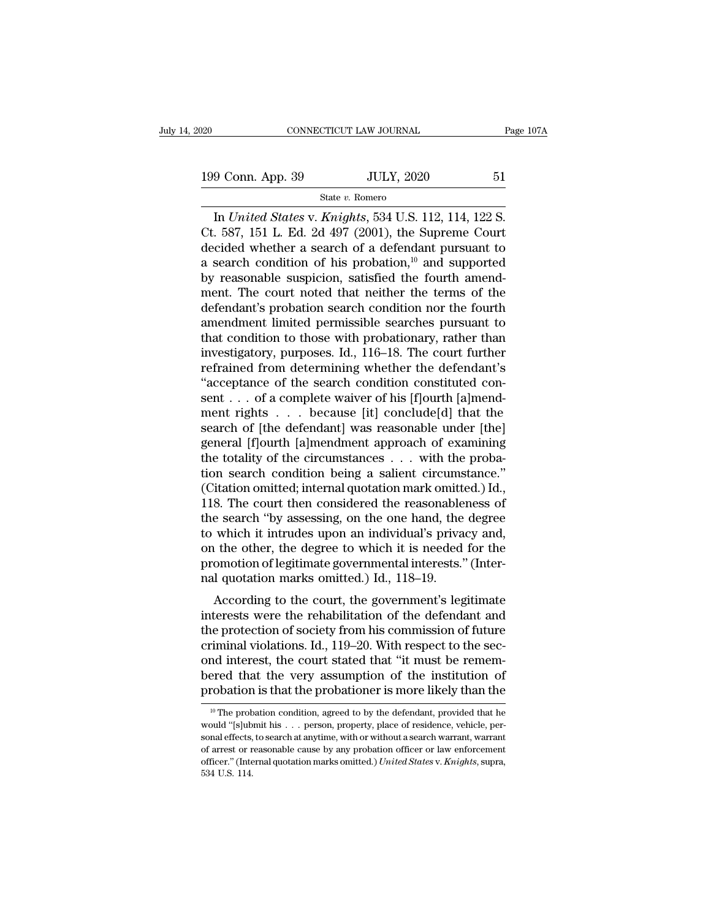## State *v.* Romero

CONNECTICUT LAW JOURNAL Page 10<br>
9 Conn. App. 39 JULY, 2020 51<br>
State v. Romero<br>
In *United States* v. *Knights*, 534 U.S. 112, 114, 122 S.<br>
587, 151 L. Ed. 2d 497 (2001), the Supreme Court<br>
coided whether a search of a de 199 Conn. App. 39 JULY, 2020 51<br>
State v. Romero<br>
In United States v. Knights, 534 U.S. 112, 114, 122 S.<br>
Ct. 587, 151 L. Ed. 2d 497 (2001), the Supreme Court<br>
decided whether a search of a defendant pursuant to<br>
a search 199 Conn. App. 39 JULY, 2020 51<br>
State v. Romero<br>
In *United States v. Knights*, 534 U.S. 112, 114, 122 S.<br>
Ct. 587, 151 L. Ed. 2d 497 (2001), the Supreme Court<br>
decided whether a search of a defendant pursuant to<br>
a sear 199 Conn. App. 39 JULY, 2020 51<br>
State v. Romero<br>
In *United States v. Knights*, 534 U.S. 112, 114, 122 S.<br>
Ct. 587, 151 L. Ed. 2d 497 (2001), the Supreme Court<br>
decided whether a search of a defendant pursuant to<br>
a sear 199 Conn. App. 39 JULY, 2020 51<br>
State v. Romero<br>
In *United States v. Knights*, 534 U.S. 112, 114, 122 S.<br>
Ct. 587, 151 L. Ed. 2d 497 (2001), the Supreme Court<br>
decided whether a search of a defendant pursuant to<br>
a sear State v. Komero<br>In United States v. Knights, 534 U.S. 112, 114, 122 S.<br>Ct. 587, 151 L. Ed. 2d 497 (2001), the Supreme Court<br>decided whether a search of a defendant pursuant to<br>a search condition of his probation,<sup>10</sup> and In *United States* v. *Knights*, 534 U.S. 112, 114, 122 S.<br>Ct. 587, 151 L. Ed. 2d 497 (2001), the Supreme Court<br>decided whether a search of a defendant pursuant to<br>a search condition of his probation,<sup>10</sup> and supported<br>by Ct. 587, 151 L. Ed. 2d 497 (2001), the Supreme Court<br>decided whether a search of a defendant pursuant to<br>a search condition of his probation,<sup>10</sup> and supported<br>by reasonable suspicion, satisfied the fourth amend-<br>ment. Th decided whether a search of a defendant pursuant to<br>a search condition of his probation,<sup>10</sup> and supported<br>by reasonable suspicion, satisfied the fourth amend-<br>ment. The court noted that neither the terms of the<br>defendant' a search condition of his probation,<sup>10</sup> and supported<br>by reasonable suspicion, satisfied the fourth amend-<br>ment. The court noted that neither the terms of the<br>defendant's probation search condition nor the fourth<br>amendmen by reasonable suspicion, satisfied the fourth amendment. The court noted that neither the terms of the defendant's probation search condition nor the fourth amendment limited permissible searches pursuant to that condition ment. The court noted that neither the terms of the<br>defendant's probation search condition nor the fourth<br>amendment limited permissible searches pursuant to<br>that condition to those with probationary, rather than<br>investigat defendant's probation search condition nor the fourth<br>amendment limited permissible searches pursuant to<br>that condition to those with probationary, rather than<br>investigatory, purposes. Id., 116–18. The court further<br>refrai amendment limited permissible searches pursuant to<br>that condition to those with probationary, rather than<br>investigatory, purposes. Id., 116–18. The court further<br>refrained from determining whether the defendant's<br>"acceptan that condition to those with probationary, rather than<br>investigatory, purposes. Id., 116–18. The court further<br>refrained from determining whether the defendant's<br>"acceptance of the search condition constituted con-<br>sent . investigatory, purposes. Id., 116–18. The court further<br>refrained from determining whether the defendant's<br>"acceptance of the search condition constituted con-<br>sent . . . of a complete waiver of his [f]ourth [a]mend-<br>ment refrained from determining whether the defendant's<br>"acceptance of the search condition constituted consent . . . of a complete waiver of his [f]ourth [a]mend-<br>ment rights  $\ldots$  because [it] conclude[d] that the<br>search of "acceptance of the search condition constituted consent . . . of a complete waiver of his [f]ourth [a]mendment rights  $\ldots$  because [it] conclude[d] that the search of [the defendant] was reasonable under [the] general [f sent . . . of a complete waiver of his [f]ourth [a]mend-<br>ment rights . . . because [it] conclude[d] that the<br>search of [the defendant] was reasonable under [the]<br>general [f]ourth [a]mendment approach of examining<br>the total ment rights . . . because [it] conclude[d] that the<br>search of [the defendant] was reasonable under [the]<br>general [f]ourth [a]mendment approach of examining<br>the totality of the circumstances . . . with the proba-<br>tion sear search of [the defendant] was reasonable under [the]<br>general [f]ourth [a]mendment approach of examining<br>the totality of the circumstances . . . with the proba-<br>tion search condition being a salient circumstance."<br>(Citation general [f]ourth [a]mendment approach of examining<br>the totality of the circumstances . . . with the proba-<br>tion search condition being a salient circumstance."<br>(Citation omitted; internal quotation mark omitted.) Id.,<br>118. the totality of the circumstances . . . with the probation search condition being a salient circumstance."<br>(Citation omitted; internal quotation mark omitted.) Id.,<br>118. The court then considered the reasonableness of<br>the tion search condition being a salient circumstance."<br>(Citation omitted; internal quotation mark omitted.) Id.,<br>118. The court then considered the reasonableness of<br>the search "by assessing, on the one hand, the degree<br>to w (Citation omitted; internal quotation mark omitt<br>118. The court then considered the reasonable<br>the search "by assessing, on the one hand, the<br>to which it intrudes upon an individual's priva<br>on the other, the degree to whic S. The court then considered the reasonable<br>hess of e search "by assessing, on the one hand, the degree<br>which it intrudes upon an individual's privacy and,<br>the other, the degree to which it is needed for the<br>omotion of leg the search by assessing, on the one hand, the degree<br>to which it intrudes upon an individual's privacy and,<br>on the other, the degree to which it is needed for the<br>promotion of legitimate governmental interests." (Inter-<br>na

to which it intridues upon an individual s privacy and,<br>on the other, the degree to which it is needed for the<br>promotion of legitimate governmental interests." (Inter-<br>nal quotation marks omitted.) Id., 118–19.<br>According t on the other, the degree to which it is heeded for the<br>promotion of legitimate governmental interests." (Inter-<br>nal quotation marks omitted.) Id., 118–19.<br>According to the court, the government's legitimate<br>interests were promotion of regulariate governmental interests. (inter-<br>nal quotation marks omitted.) Id., 118–19.<br>According to the court, the government's legitimate<br>interests were the rehabilitation of the defendant and<br>the protection hare quotation marks onlitted.) Id., 116–19.<br>
According to the court, the government's legitimate<br>
interests were the rehabilitation of the defendant and<br>
the protection of society from his commission of future<br>
criminal v According to the court, the government's legitimate<br>interests were the rehabilitation of the defendant and<br>the protection of society from his commission of future<br>criminal violations. Id., 119–20. With respect to the sec-The probation conditions. Id.,  $119-20$ . With respect to the sec-<br>nd interest, the court stated that "it must be remem-<br>ered that the very assumption of the institution of<br>robation is that the probationer is more likely t ond interest, the court stated that "it must be remem-<br>bered that the very assumption of the institution of<br>probation is that the probationer is more likely than the<br><sup>10</sup> The probation condition, agreed to by the defendan

bered that the very assumption of the institution of probation is that the probationer is more likely than the  $\frac{10 \text{ T}}{10 \text{ T}}$  The probation condition, agreed to by the defendant, provided that he would "[s]ubmit his probation is that the probationer is more likely than the<br>probation is that the probationer is more likely than the<br>would "[s]ubmit his . . . person, property, place of residence, vehicle, per-<br>sonal effects, to search at probation is that the probationer is more intery than the<br><sup>10</sup> The probation condition, agreed to by the defendant, provided that he<br>would "[s]ubmit his . . . person, property, place of residence, vehicle, per-<br>sonal effec <sup>10</sup> The prob<br>would "[s]ub<br>sonal effects,<br>of arrest or r<br>officer." (Inte<br>534 U.S. 114.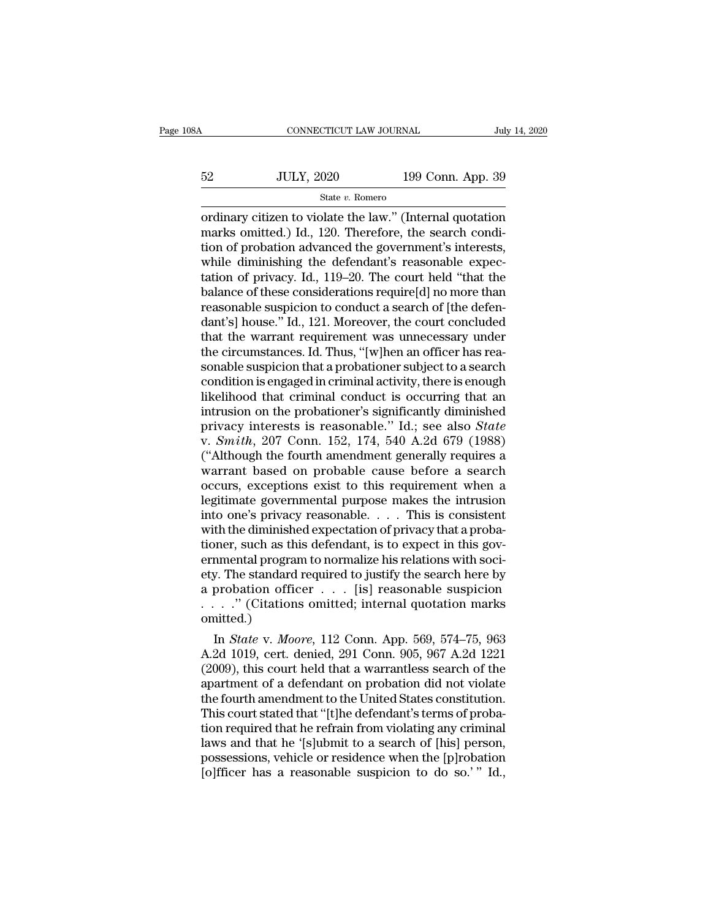# CONNECTICUT LAW JOURNAL July 14, 2020<br>52 JULY, 2020 199 Conn. App. 39<br>54te v. Romero State *v.* Romero

CONNECTICUT LAW JOURNAL July 14, 2020<br>
State v. Romero<br>
State v. Romero<br>
Cordinary citizen to violate the law.'' (Internal quotation<br>
marks omitted.) Id., 120. Therefore, the search condition of probation advanced the gove  $52$  JULY, 2020 199 Conn. App. 39<br>  $52$  State v. Romero<br>
ordinary citizen to violate the law." (Internal quotation<br>
marks omitted.) Id., 120. Therefore, the search condi-<br>
tion of probation advanced the government's inter 52 JULY, 2020 199 Conn. App. 39<br>
State v. Romero<br>
ordinary citizen to violate the law." (Internal quotation<br>
marks omitted.) Id., 120. Therefore, the search condi-<br>
tion of probation advanced the government's interests,<br>  $52$  JULY, 2020 199 Conn. App. 39<br>  $\frac{32}{199}$  Conn. App. 39<br>
ordinary citizen to violate the law." (Internal quotation<br>
marks omitted.) Id., 120. Therefore, the search condi-<br>
tion of probation advanced the government's State v. Romero<br>
ordinary citizen to violate the law." (Internal quotation<br>
marks omitted.) Id., 120. Therefore, the search condi-<br>
tion of probation advanced the government's interests,<br>
while diminishing the defendant's state v. Romero<br>
ordinary citizen to violate the law." (Internal quotation<br>
marks omitted.) Id., 120. Therefore, the search condi-<br>
tion of probation advanced the government's interests,<br>
while diminishing the defendant's ordinary citizen to violate the law." (Internal quotation marks omitted.) Id., 120. Therefore, the search condition of probation advanced the government's interests, while diminishing the defendant's reasonable expectation marks omitted.) Id., 120. Therefore, the search condition of probation advanced the government's interests,<br>while diminishing the defendant's reasonable expectation of privacy. Id., 119–20. The court held "that the<br>balance tion of probation advanced the government's interests,<br>while diminishing the defendant's reasonable expec-<br>tation of privacy. Id., 119–20. The court held "that the<br>balance of these considerations require[d] no more than<br>re while diminishing the defendant's reasonable expectation of privacy. Id., 119–20. The court held "that the balance of these considerations require[d] no more than reasonable suspicion to conduct a search of [the defendant' tation of privacy. Id., 119–20. The court held "that the balance of these considerations require[d] no more than reasonable suspicion to conduct a search of [the defendant's] house." Id., 121. Moreover, the court concluded balance of these considerations require[d] no more than<br>reasonable suspicion to conduct a search of [the defen-<br>dant's] house." Id., 121. Moreover, the court concluded<br>that the warrant requirement was unnecessary under<br>the reasonable suspicion to conduct a search of [the defen-<br>dant's] house." Id., 121. Moreover, the court concluded<br>that the warrant requirement was unnecessary under<br>the circumstances. Id. Thus, "[w]hen an officer has rea-<br>so dant's] house." Id., 121. Moreover, the court concluded<br>that the warrant requirement was unnecessary under<br>the circumstances. Id. Thus, "[w]hen an officer has rea-<br>sonable suspicion that a probationer subject to a search<br> that the warrant requirement was unnecessary under<br>the circumstances. Id. Thus, "[w]hen an officer has rea-<br>sonable suspicion that a probationer subject to a search<br>condition is engaged in criminal activity, there is enoug the circumstances. Id. Thus, "[w]hen an officer has reasonable suspicion that a probationer subject to a search<br>condition is engaged in criminal activity, there is enough<br>likelihood that criminal conduct is occurring that sonable suspicion that a probationer subject to a search<br>condition is engaged in criminal activity, there is enough<br>likelihood that criminal conduct is occurring that an<br>intrusion on the probationer's significantly dimini condition is engaged in criminal activity, there is enough<br>likelihood that criminal conduct is occurring that an<br>intrusion on the probationer's significantly diminished<br>privacy interests is reasonable." Id.; see also *Stat* likelihood that criminal conduct is occurring that an<br>intrusion on the probationer's significantly diminished<br>privacy interests is reasonable." Id.; see also *State*<br>v. *Smith*, 207 Conn. 152, 174, 540 A.2d 679 (1988)<br>("Al intrusion on the probationer's significantly diminished<br>privacy interests is reasonable." Id.; see also *State*<br>v. *Smith*, 207 Conn. 152, 174, 540 A.2d 679 (1988)<br>("Although the fourth amendment generally requires a<br>warr privacy interests is reasonable." Id.; see also *State* v. *Smith*, 207 Conn. 152, 174, 540 A.2d 679 (1988) ("Although the fourth amendment generally requires a warrant based on probable cause before a search occurs, excep v. Smith, 207 Conn. 152, 174, 540 A.2d 679 (1988)<br>("Although the fourth amendment generally requires a<br>warrant based on probable cause before a search<br>occurs, exceptions exist to this requirement when a<br>legitimate governm ("Although the fourth amendment generally requires a<br>warrant based on probable cause before a search<br>occurs, exceptions exist to this requirement when a<br>legitimate governmental purpose makes the intrusion<br>into one's priva warrant based on probable cause before a search<br>occurs, exceptions exist to this requirement when a<br>legitimate governmental purpose makes the intrusion<br>into one's privacy reasonable.... This is consistent<br>with the diminish occurs, exceptions exist to this requirement when a<br>legitimate governmental purpose makes the intrusion<br>into one's privacy reasonable. . . . This is consistent<br>with the diminished expectation of privacy that a proba-<br>tion legitimate governmental purpose makes the intrusion<br>into one's privacy reasonable. . . . This is consistent<br>with the diminished expectation of privacy that a proba-<br>tioner, such as this defendant, is to expect in this govinto one's privacy reasonable. . . . This is consistent<br>with the diminished expectation of privacy that a proba-<br>tioner, such as this defendant, is to expect in this gov-<br>ernmental program to normalize his relations with omitted.) nmental program to normalize his relations with soci-<br>
I. The standard required to justify the search here by<br>
probation officer . . . . [is] reasonable suspicion<br>
. . " (Citations omitted; internal quotation marks<br>
nitted ernmental program to normalize his relations with society. The standard required to justify the search here by<br>a probation officer  $\ldots$  [is] reasonable suspicion<br> $\ldots$ . " (Citations omitted; internal quotation marks<br>omit

(2009), the standard required to justify the search here by<br>
a probation officer  $\ldots$  [is] reasonable suspicion<br>  $\ldots$  ." (Citations omitted; internal quotation marks<br>
omitted.)<br>
In *State* v. *Moore*, 112 Conn. App. 569 a probation officer  $\ldots$  [18] reasonable suspicion<br> $\ldots$ ." (Citations omitted; internal quotation marks<br>omitted.)<br>In *State* v. *Moore*, 112 Conn. App. 569, 574–75, 963<br>A.2d 1019, cert. denied, 291 Conn. 905, 967 A.2d 12 the fourth amendment american internal quotation marks<br>
omitted.)<br>
In *State v. Moore*, 112 Conn. App. 569, 574–75, 963<br>
A.2d 1019, cert. denied, 291 Conn. 905, 967 A.2d 1221<br>
(2009), this court held that a warrantless se In *State v. Moore,* 112 Conn. App. 569, 574–75, 963<br>A.2d 1019, cert. denied, 291 Conn. 905, 967 A.2d 1221<br>(2009), this court held that a warrantless search of the<br>apartment of a defendant on probation did not violate<br>the In *State* v. *Moore*, 112 Conn. App. 569, 574–75, 963<br>A.2d 1019, cert. denied, 291 Conn. 905, 967 A.2d 1221<br>(2009), this court held that a warrantless search of the<br>apartment of a defendant on probation did not violate<br>th A.2d 1019, cert. denied, 291 Conn. 905, 967 A.2d 1221 (2009), this court held that a warrantless search of the apartment of a defendant on probation did not violate the fourth amendment to the United States constitution.<br>T (2009), this court held that a warrantless search of the apartment of a defendant on probation did not violate the fourth amendment to the United States constitution.<br>This court stated that "[t]he defendant's terms of prob apartment of a defendant on probation did not violate<br>the fourth amendment to the United States constitution.<br>This court stated that "[t]he defendant's terms of proba-<br>tion required that he refrain from violating any crimi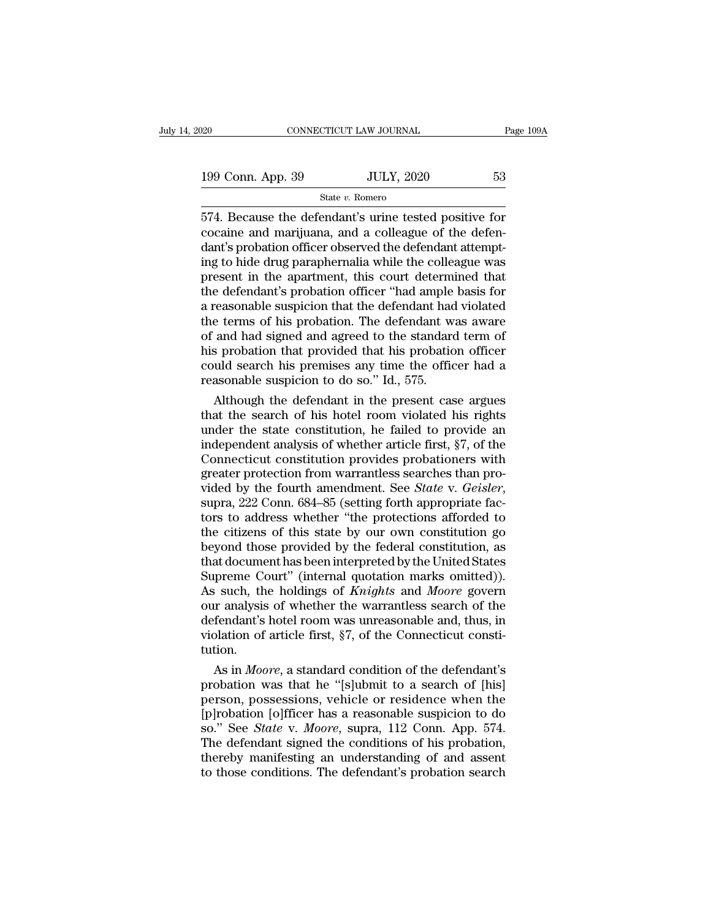## State *v.* Romero

574. Because the defendant's urine tested positive for<br>
574. Because the defendant's urine tested positive for<br>
574. Because the defendant's urine tested positive for<br>
574. Because the defendant's urine tested positive fo 199 Conn. App. 39 JULY, 2020 53<br>
State v. Romero<br>
574. Because the defendant's urine tested positive for<br>
cocaine and marijuana, and a colleague of the defen-<br>
dant's probation officer observed the defendant attempt-<br>
ing 199 Conn. App. 39 JULY, 2020 53<br>
State v. Romero<br>
574. Because the defendant's urine tested positive for<br>
cocaine and marijuana, and a colleague of the defen-<br>
dant's probation officer observed the defendant attempt-<br>
ing 199 Conn. App. 39 JULY, 2020 53<br>
State v. Romero<br>
574. Because the defendant's urine tested positive for<br>
cocaine and marijuana, and a colleague of the defen-<br>
dant's probation officer observed the defendant attempt-<br>
ing **Example 1988** Schiller 1.1 Present in the defendant's urine tested positive for cocaine and marijuana, and a colleague of the defendant's probation officer observed the defendant attempting to hide drug paraphermalia whi State v. Romero<br>
574. Because the defendant's urine tested positive for<br>
cocaine and marijuana, and a colleague of the defen-<br>
dant's probation officer observed the defendant attempt-<br>
ing to hide drug paraphernalia while 574. Because the defendant's urine tested positive for<br>cocaine and marijuana, and a colleague of the defen-<br>dant's probation officer observed the defendant attempt-<br>ing to hide drug paraphermalia while the colleague was<br>pr cocaine and marijuana, and a colleague of the defendant's probation officer observed the defendant attempting to hide drug paraphernalia while the colleague was present in the apartment, this court determined that the defe dant's probation officer observed the defendant attempting to hide drug paraphernalia while the colleague was<br>present in the apartment, this court determined that<br>the defendant's probation officer "had ample basis for<br>a re ing to hide drug paraphernalia while the colleague was<br>present in the apartment, this court determined that<br>the defendant's probation officer "had ample basis for<br>a reasonable suspicion that the defendant had violated<br>the present in the apartment, this court determined that<br>the defendant's probation officer "had ample basis for<br>a reasonable suspicion that the defendant had violated<br>the terms of his probation. The defendant was aware<br>of and the defendant's probation officer "had ample a reasonable suspicion that the defendant had the terms of his probation. The defendant w of and had signed and agreed to the standard his probation that provided that his proba reasonable suspicion that the defendant had violated<br>e terms of his probation. The defendant was aware<br>and had signed and agreed to the standard term of<br>s probation that provided that his probation officer<br>uld search his p the terms of his probation. The defendant was aware<br>of and had signed and agreed to the standard term of<br>his probation that provided that his probation officer<br>could search his premises any time the officer had a<br>reasonab

of and had signed and agreed to the standard term of<br>his probation that provided that his probation officer<br>could search his premises any time the officer had a<br>reasonable suspicion to do so." Id., 575.<br>Although the defend his probation that provided that his probation officer<br>could search his premises any time the officer had a<br>reasonable suspicion to do so." Id., 575.<br>Although the defendant in the present case argues<br>that the search of his could search his premises any time the officer had a<br>reasonable suspicion to do so." Id., 575.<br>Although the defendant in the present case argues<br>that the search of his hotel room violated his rights<br>under the state consti reasonable suspicion to do so." Id., 575.<br>
Although the defendant in the present case argues<br>
that the search of his hotel room violated his rights<br>
under the state constitution, he failed to provide an<br>
independent analy Although the defendant in the present case argues<br>that the search of his hotel room violated his rights<br>under the state constitution, he failed to provide an<br>independent analysis of whether article first, §7, of the<br>Connec under the state constitution, he failed to provide an independent analysis of whether article first,  $\S7$ , of the Connecticut constitution provides probationers with greater protection from warrantless searches than provi independent analysis of whether article first, §7, of the<br>Connecticut constitution provides probationers with<br>greater protection from warrantless searches than pro-<br>vided by the fourth amendment. See *State* v. *Geisler*,<br> Connecticut constitution provides probationers with<br>greater protection from warrantless searches than pro-<br>vided by the fourth amendment. See *State* v. *Geisler*,<br>supra, 222 Conn. 684–85 (setting forth appropriate fac-<br>to greater protection from warrantless searches than pro-<br>vided by the fourth amendment. See *State* v. *Geisler*,<br>supra, 222 Conn. 684–85 (setting forth appropriate fac-<br>tors to address whether "the protections afforded to<br>t vided by the fourth amendment. See *State* v. *Geisler*, supra, 222 Conn. 684–85 (setting forth appropriate factors to address whether "the protections afforded to the citizens of this state by our own constitution go beyo supra, 222 Conn. 684–85 (setting forth appropriate fac-<br>tors to address whether "the protections afforded to<br>the citizens of this state by our own constitution go<br>beyond those provided by the federal constitution, as<br>that tors to address whether "the protections afforded to<br>the citizens of this state by our own constitution go<br>beyond those provided by the federal constitution, as<br>that document has been interpreted by the United States<br>Supre the citizens of this state by our own constitution go<br>beyond those provided by the federal constitution, as<br>that document has been interpreted by the United States<br>Supreme Court" (internal quotation marks omitted)).<br>As suc beyond those provided by the federal constitution, as<br>that document has been interpreted by the United States<br>Supreme Court" (internal quotation marks omitted)).<br>As such, the holdings of *Knights* and *Moore* govern<br>our an tution. preme Court" (internal quotation marks omitted)).<br>
So such, the holdings of *Knights* and *Moore* govern<br>
or analysis of whether the warrantless search of the<br>
fendant's hotel room was unreasonable and, thus, in<br>
olation o As such, the holdings of *Knights* and *Moore* govern<br>our analysis of whether the warrantless search of the<br>defendant's hotel room was unreasonable and, thus, in<br>violation of article first,  $\S7$ , of the Connecticut consti

our analysis of whether the warrantless search of the<br>defendant's hotel room was unreasonable and, thus, in<br>violation of article first, §7, of the Connecticut consti-<br>tution.<br>As in *Moore*, a standard condition of the defe defendant's hotel room was unreasonable and, thus, in<br>violation of article first, §7, of the Connecticut consti-<br>tution.<br>As in *Moore*, a standard condition of the defendant's<br>probation was that he "[s]ubmit to a search of violation of article first, §7, of the Connecticut constitution.<br>
As in *Moore*, a standard condition of the defendant's<br>
probation was that he "[s]ubmit to a search of [his]<br>
person, possessions, vehicle or residence when tution.<br>
As in *Moore*, a standard condition of the defendant's<br>
probation was that he "[s]ubmit to a search of [his]<br>
person, possessions, vehicle or residence when the<br>
[p]robation [o]fficer has a reasonable suspicion to As in *Moore*, a standard condition of the defendant's<br>probation was that he "[s]ubmit to a search of [his]<br>person, possessions, vehicle or residence when the<br>[p]robation [o]fficer has a reasonable suspicion to do<br>so." Se probation was that he "[s]ubmit to a search of [his] person, possessions, vehicle or residence when the [p]robation [o]fficer has a reasonable suspicion to do so." See *State* v. *Moore*, supra, 112 Conn. App. 574. The def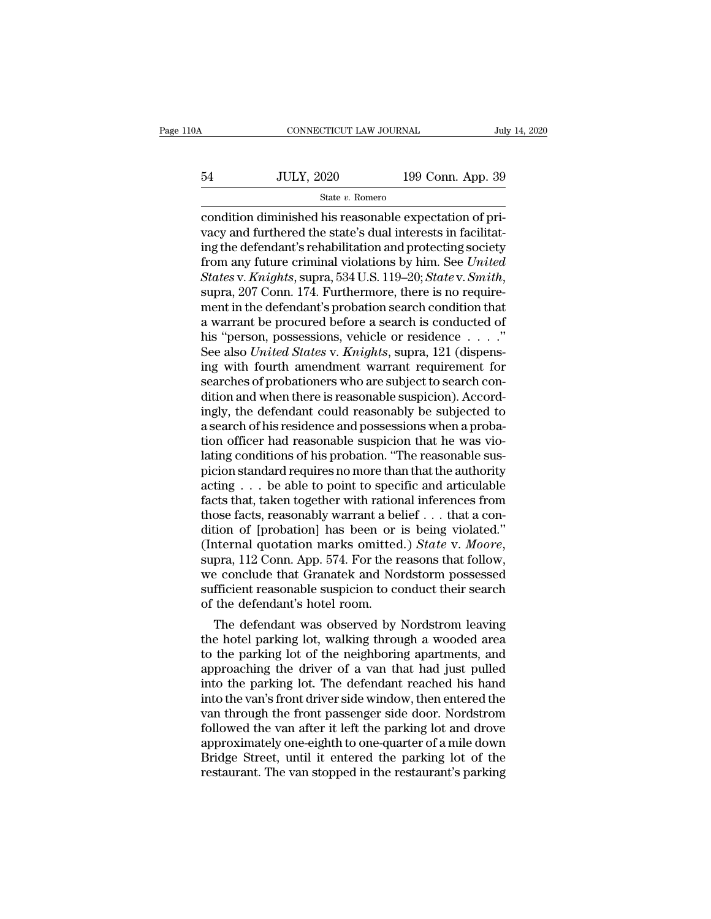# CONNECTICUT LAW JOURNAL July 14, 2020<br>54 JULY, 2020 199 Conn. App. 39<br>5tate v. Romero

## State *v.* Romero

CONNECTICUT LAW JOURNAL<br>
State v. Romero<br>
State v. Romero<br>
Condition diminished his reasonable expectation of pri-<br>
vacy and furthered the state's dual interests in facilitating the defendant's rehabilitation and protectin vacy and furthered the state's dual interests in facilitat- $\frac{\text{54}}{\text{State } v. \text{ Romero}}$  199 Conn. App. 39<br>
condition diminished his reasonable expectation of pri-<br>
vacy and furthered the state's dual interests in facilitating the defendant's rehabilitation and protecting society<br>
fro 54 JULY, 2020 199 Conn. App. 39<br>
<sup>State v. Romero</sup><br>
condition diminished his reasonable expectation of pri-<br>
vacy and furthered the state's dual interests in facilitat-<br>
ing the defendant's rehabilitation and protecting so *State v. Romero*<br>
State *v. Romero*<br>
Condition diminished his reasonable expectation of pri-<br>
vacy and furthered the state's dual interests in facilitat-<br>
ing the defendant's rehabilitation and protecting society<br>
from an condition diminished his reasonable expectation of privacy and furthered the state's dual interests in facilitating the defendant's rehabilitation and protecting society from any future criminal violations by him. See *Uni* vacy and furthered the state's dual interests in facilitating the defendant's rehabilitation and protecting society<br>from any future criminal violations by him. See *United*<br>*States* v. *Knights*, supra, 534 U.S. 119–20; ing the defendant's rehabilitation and protecting society<br>from any future criminal violations by him. See *United*<br>*States* v. *Knights*, supra, 534 U.S. 119–20; *State* v. *Smith*,<br>supra, 207 Conn. 174. Furthermore, there from any future criminal violations by him. See *United*<br>States v. *Knights*, supra, 534 U.S. 119–20; State v. *Smith*,<br>supra, 207 Conn. 174. Furthermore, there is no require-<br>ment in the defendant's probation search condi States v. Knights, supra, 534 U.S. 119–20; State v. Smith,<br>supra, 207 Conn. 174. Furthermore, there is no require-<br>ment in the defendant's probation search condition that<br>a warrant be procured before a search is conducted supra, 207 Conn. 174. Furthermore, there is no requirement in the defendant's probation search condition that<br>a warrant be procured before a search is conducted of<br>his "person, possessions, vehicle or residence  $\ldots$ ."<br>Se ment in the defendant's probation search condition that<br>a warrant be procured before a search is conducted of<br>his "person, possessions, vehicle or residence  $\ldots$ ..."<br>See also *United States* v. *Knights*, supra, 121 (dis a warrant be procured before a search is conducted of<br>his "person, possessions, vehicle or residence  $\ldots$ ."<br>See also *United States* v. *Knights*, supra, 121 (dispens-<br>ing with fourth amendment warrant requirement for<br>se his "person, possessions, vehicle or residence  $\dots$ ."<br>See also *United States* v. *Knights*, supra, 121 (dispensing with fourth amendment warrant requirement for<br>searches of probationers who are subject to search con-<br>dit See also *United States* v. *Knights*, supra, 121 (dispensing with fourth amendment warrant requirement for searches of probationers who are subject to search condition and when there is reasonable suspicion). Accordingly, ing with fourth amendment warrant requirement for<br>searches of probationers who are subject to search con-<br>dition and when there is reasonable suspicion). Accord-<br>ingly, the defendant could reasonably be subjected to<br>a sear searches of probationers who are subject to search condition and when there is reasonable suspicion). Accordingly, the defendant could reasonably be subjected to a search of his residence and possessions when a probation o dition and when there is reasonable suspicion). Accordingly, the defendant could reasonably be subjected to a search of his residence and possessions when a probation officer had reasonable suspicion that he was violating ingly, the defendant could reasonably be subjected to<br>a search of his residence and possessions when a proba-<br>tion officer had reasonable suspicion that he was vio-<br>lating conditions of his probation. "The reasonable sus-<br> a search of his residence and possessions when a probation officer had reasonable suspicion that he was violating conditions of his probation. "The reasonable suspicion standard requires no more than that the authority ac tion officer had reasonable suspicion that he was violating conditions of his probation. "The reasonable suspicion standard requires no more than that the authority acting  $\ldots$  be able to point to specific and articulabl lating conditions of his probation. "The reasonable sus-<br>picion standard requires no more than that the authority<br>acting . . . be able to point to specific and articulable<br>facts that, taken together with rational inference acting  $\ldots$  be able to point to specific and articulable<br>facts that, taken together with rational inferences from<br>those facts, reasonably warrant a belief  $\ldots$  that a con-<br>dition of [probation] has been or is being viol facts that, taken together with rational inferences from<br>those facts, reasonably warrant a belief . . . that a con-<br>dition of [probation] has been or is being violated."<br>(Internal quotation marks omitted.) *State* v. *Moo* those facts, reasonably warrant a be<br>dition of [probation] has been or<br>(Internal quotation marks omitted<br>supra, 112 Conn. App. 574. For the r<br>we conclude that Granatek and No.<br>sufficient reasonable suspicion to co<br>of the d The defendant was observed by Nordstrom leaving the parking of the new method. The defendant Granatek and Nordstorm possessed fficient reasonable suspicion to conduct their search the defendant's hotel room.<br>The defendant (Internal quotation marks omitted.) *State v. Moore*,<br>supra, 112 Conn. App. 574. For the reasons that follow,<br>we conclude that Granatek and Nordstorm possessed<br>sufficient reasonable suspicion to conduct their search<br>of th

supra, 112 Conn. App. 574. For the reasons that follow,<br>we conclude that Granatek and Nordstorm possessed<br>sufficient reasonable suspicion to conduct their search<br>of the defendant's hotel room.<br>The defendant was observed by we conclude that Granatek and Nordstorm possessed<br>sufficient reasonable suspicion to conduct their search<br>of the defendant's hotel room.<br>The defendant was observed by Nordstrom leaving<br>the hotel parking lot, walking throug sumcient reasonable suspicion to conduct their search<br>of the defendant's hotel room.<br>The defendant was observed by Nordstrom leaving<br>the hotel parking lot, walking through a wooded area<br>to the parking lot of the neighborin or the defendant s notel room.<br>
The defendant was observed by Nordstrom leaving<br>
the hotel parking lot, walking through a wooded area<br>
to the parking lot of the neighboring apartments, and<br>
approaching the driver of a van The defendant was observed by Nordstrom leaving<br>the hotel parking lot, walking through a wooded area<br>to the parking lot of the neighboring apartments, and<br>approaching the driver of a van that had just pulled<br>into the parki the hotel parking lot, walking through a wooded area<br>to the parking lot of the neighboring apartments, and<br>approaching the driver of a van that had just pulled<br>into the parking lot. The defendant reached his hand<br>into the to the parking lot of the neighboring apartments, and<br>approaching the driver of a van that had just pulled<br>into the parking lot. The defendant reached his hand<br>into the van 's front driver side window, then entered the<br>van approaching the driver of a van that had just pulled<br>into the parking lot. The defendant reached his hand<br>into the van's front driver side window, then entered the<br>van through the front passenger side door. Nordstrom<br>follo into the parking lot. The defendant reached his hand<br>into the van's front driver side window, then entered the<br>van through the front passenger side door. Nordstrom<br>followed the van after it left the parking lot and drove<br>a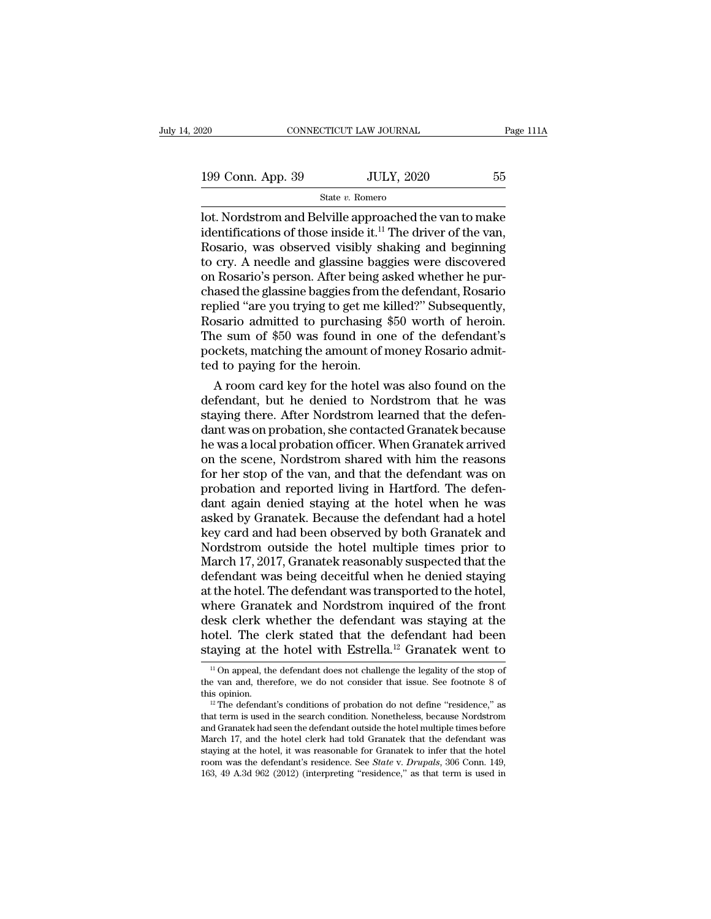199 Conn. App. 39 JULY, 2020 55 State v. Romero

State *v.* Romero

 $\begin{array}{ll}\n 0.20 & \text{COMNETICUT LAW JOURNAL} & \text{Page 111A} \\
 \hline\n 199 \text{ Conn. App. } 39 & \text{JULY, } 2020 & 55 \\
 \hline\n \text{State } v. \text{ Romero} & \text{Dot}. \text{Nordstrom and Belville approached the van to make} \text{identifications of those inside it.<sup>11</sup> The driver of the van, \text{Reserio, was observed visibility, sheking, and hoqinning}\n \end{array}$ 199 Conn. App. 39 JULY, 2020 55<br>
State v. Romero<br>
lot. Nordstrom and Belville approached the van to make<br>
identifications of those inside it.<sup>11</sup> The driver of the van,<br>
Rosario, was observed visibly shaking and beginning 199 Conn. App. 39 JULY, 2020 55<br>
State v. Romero<br>
lot. Nordstrom and Belville approached the van to make<br>
identifications of those inside it.<sup>11</sup> The driver of the van,<br>
Rosario, was observed visibly shaking and beginning 199 Conn. App. 39 JULY, 2020 55<br>
State v. Romero<br>
lot. Nordstrom and Belville approached the van to make<br>
identifications of those inside it.<sup>11</sup> The driver of the van,<br>
Rosario, was observed visibly shaking and beginning State v. Romero<br>
Iot. Nordstrom and Belville approached the van to make<br>
identifications of those inside it.<sup>11</sup> The driver of the van,<br>
Rosario, was observed visibly shaking and beginning<br>
to cry. A needle and glassine b State v. Romero<br>
lot. Nordstrom and Belville approached the van to make<br>
identifications of those inside it.<sup>11</sup> The driver of the van,<br>
Rosario, was observed visibly shaking and beginning<br>
to cry. A needle and glassine b lot. Nordstrom and Belville approached the van to make<br>identifications of those inside it.<sup>11</sup> The driver of the van,<br>Rosario, was observed visibly shaking and beginning<br>to cry. A needle and glassine baggies were discovere identifications of those inside it.<sup>11</sup> The driver of the van,<br>Rosario, was observed visibly shaking and beginning<br>to cry. A needle and glassine baggies were discovered<br>on Rosario's person. After being asked whether he pur Rosario, was observed visibly shaking and beginning<br>to cry. A needle and glassine baggies were discovered<br>on Rosario's person. After being asked whether he pur-<br>chased the glassine baggies from the defendant, Rosario<br>repli to cry. A needle and glassine baggies were discovered<br>on Rosario's person. After being asked whether he pur-<br>chased the glassine baggies from the defendant, Rosario<br>replied "are you trying to get me killed?" Subsequently,<br> on Rosario's person. After being a<br>chased the glassine baggies from the replied "are you trying to get me k<br>Rosario admitted to purchasing ?<br>The sum of \$50 was found in on<br>pockets, matching the amount of n<br>ted to paying fo assed the glassine baggies from the defendant, Rosario<br>plied "are you trying to get me killed?" Subsequently,<br>bsario admitted to purchasing \$50 worth of heroin.<br>le sum of \$50 was found in one of the defendant's<br>ckets, matc replied "are you trying to get me killed?" Subsequently,<br>Rosario admitted to purchasing \$50 worth of heroin.<br>The sum of \$50 was found in one of the defendant's<br>pockets, matching the amount of money Rosario admit-<br>ted to pa

Rosario admitted to purchasing \$50 worth of heroin.<br>The sum of \$50 was found in one of the defendant's<br>pockets, matching the amount of money Rosario admit-<br>ted to paying for the heroin.<br>A room card key for the hotel was al The sum of \$50 was found in one of the defendant's<br>pockets, matching the amount of money Rosario admit-<br>ted to paying for the heroin.<br>A room card key for the hotel was also found on the<br>defendant, but he denied to Nordstro pockets, matching the amount of money Rosario admitted to paying for the heroin.<br>A room card key for the hotel was also found on the defendant, but he denied to Nordstrom that he was<br>staying there. After Nordstrom learned ted to paying for the heroin.<br>A room card key for the hotel was also found on the<br>defendant, but he denied to Nordstrom that he was<br>staying there. After Nordstrom learned that the defen-<br>dant was on probation, she contacte A room card key for the hotel was also found on the<br>defendant, but he denied to Nordstrom that he was<br>staying there. After Nordstrom learned that the defen-<br>dant was on probation, she contacted Granatek because<br>he was a lo defendant, but he denied to Nordstrom that he was<br>staying there. After Nordstrom learned that the defen-<br>dant was on probation, she contacted Granatek because<br>he was a local probation officer. When Granatek arrived<br>on the staying there. After Nordstrom learned that the defen-<br>dant was on probation, she contacted Granatek because<br>he was a local probation officer. When Granatek arrived<br>on the scene, Nordstrom shared with him the reasons<br>for h dant was on probation, she contacted Granatek because<br>he was a local probation officer. When Granatek arrived<br>on the scene, Nordstrom shared with him the reasons<br>for her stop of the van, and that the defendant was on<br>proba he was a local probation officer. When Granatek arrived<br>on the scene, Nordstrom shared with him the reasons<br>for her stop of the van, and that the defendant was on<br>probation and reported living in Hartford. The defen-<br>dant on the scene, Nordstrom shared with him the reasons<br>for her stop of the van, and that the defendant was on<br>probation and reported living in Hartford. The defen-<br>dant again denied staying at the hotel when he was<br>asked by G for her stop of the van, and that the defendant was on<br>probation and reported living in Hartford. The defen-<br>dant again denied staying at the hotel when he was<br>asked by Granatek. Because the defendant had a hotel<br>key card probation and reported living in Hartford. The defendant again denied staying at the hotel when he was asked by Granatek. Because the defendant had a hotel<br>key card and had been observed by both Granatek and<br>Nordstrom outs dant again denied staying at the hotel when he was<br>asked by Granatek. Because the defendant had a hotel<br>key card and had been observed by both Granatek and<br>Nordstrom outside the hotel multiple times prior to<br>March 17, 2017 asked by Granatek. Because the defendant had a hotel<br>key card and had been observed by both Granatek and<br>Nordstrom outside the hotel multiple times prior to<br>March 17, 2017, Granatek reasonably suspected that the<br>defendant key card and had been observed by both Granatek and<br>Nordstrom outside the hotel multiple times prior to<br>March 17, 2017, Granatek reasonably suspected that the<br>defendant was being deceitful when he denied staying<br>at the hot Nordstrom outside the hotel multiple times prior to<br>March 17, 2017, Granatek reasonably suspected that the<br>defendant was being deceitful when he denied staying<br>at the hotel. The defendant was transported to the hotel,<br>wher March 17, 2017, Granatek reasonably suspected that the<br>defendant was being deceitful when he denied staying<br>at the hotel. The defendant was transported to the hotel,<br>where Granatek and Nordstrom inquired of the front<br>desk here Granatek and Nordstrom inquired of the front<br>esk clerk whether the defendant was staying at the<br>otel. The clerk stated that the defendant had been<br>aying at the hotel with Estrella.<sup>12</sup> Granatek went to<br><sup>11</sup> On appeal, desk clerk whether the defendant was staying at the hotel. The clerk stated that the defendant had been staying at the hotel with Estrella.<sup>12</sup> Granatek went to  $\frac{10}{10}$  on appeal, the defendant does not challenge the the defendant is defended to the defendant had been staying at the hotel. The clerk stated that the defendant had been staying at the hotel with Estrella.<sup>12</sup> Granatek went to  $\frac{1}{10}$  on appeal, the defendant does not

staying at the hotel with Estrella.<sup>12</sup> Granatek went to<br>
<sup>11</sup> On appeal, the defendant does not challenge the legality of the stop of<br>
the van and, therefore, we do not consider that issue. See footnote 8 of<br>
this opinio <sup>11</sup> On appeal, the defendant does not challenge the legality of the stop of the van and, therefore, we do not consider that issue. See footnote 8 of this opinion.<br><sup>12</sup> The defendant's conditions of probation do not defin <sup>11</sup> On appeal, the detendant does not challenge the legality of the stop of the van and, therefore, we do not consider that issue. See footnote 8 of this opinion.<br><sup>12</sup> The defendant's conditions of probation do not defin the van and, therefore, we do not consider that issue. See foothote 8 of<br>this opinion.<br><sup>12</sup> The defendant's conditions of probation do not define "residence," as<br>that term is used in the search condition. Nonetheless, bec <sup>12</sup> The defendant's conditions of probation do not define "residence," as that term is used in the search condition. Nonetheless, because Nordstrom and Granatek had seen the defendant outside the hotel multiple times befo that term is used in the search condition. Nonetheless, because Nordstrom and Granatek had seen the defendant outside the hotel multiple times before March 17, and the hotel clerk had told Granatek that the defendant was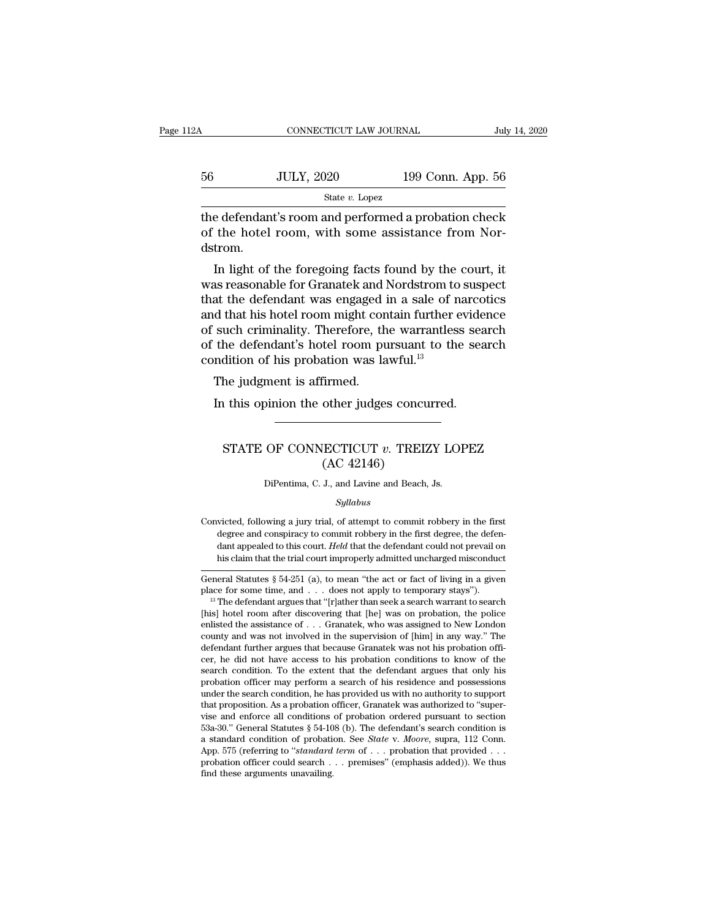| 2Α | CONNECTICUT LAW JOURNAL |                   | July 14, 2020 |
|----|-------------------------|-------------------|---------------|
| 56 | <b>JULY, 2020</b>       | 199 Conn. App. 56 |               |
|    | State $v$ . Lopez       |                   |               |

 $\begin{tabular}{ll} \multicolumn{1}{l}{{\text{conv}{\sf{ECTCUT~Law~JOLRNAL}}}} & \multicolumn{1}{l}{\text{July 14, 2020}}\\ \hline & {\text{State } v.\;{\text{Lopez}}\\ \hline & {\text{State } v.\;{\text{Lopez}}\\ \hline \end{tabular}}$ 56 JULY, 2020 199 Conn. App. 56<br>  $\frac{\text{State } v. \text{ Lopez}}{\text{the defendant's room and performed a production check of the hotel room, with some assistance from Nordstrom.}$ dstrom. JULY, 2020 199 Conn. App. 56<br>  $\frac{\text{State } v. \text{ Lopez}}{\text{Setendant's room and performed a proton check}}$ <br>
the hotel room, with some assistance from Nor-<br>
trom.<br>
In light of the foregoing facts found by the court, it<br>
as reasonable for Granatek and Nordstrom to susp

State  $v$ . Lopez<br>
the defendant's room and performed a probation check<br>
of the hotel room, with some assistance from Nor-<br>
dstrom.<br>
In light of the foregoing facts found by the court, it<br>
was reasonable for Granatek and N the defendant's room and performed a probation check<br>of the hotel room, with some assistance from Nor-<br>dstrom.<br>In light of the foregoing facts found by the court, it<br>was reasonable for Granatek and Nordstrom to suspect<br>tha the defendant stoom and performed a probation check<br>of the hotel room, with some assistance from Nor-<br>dstrom.<br>In light of the foregoing facts found by the court, it<br>was reasonable for Granatek and Nordstrom to suspect<br>that of the hotel room, whil some assistance from Noi-<br>dstrom.<br>In light of the foregoing facts found by the court, it<br>was reasonable for Granatek and Nordstrom to suspect<br>that the defendant was engaged in a sale of narcotics<br>an In light of the foregoing facts found by the court, it<br>was reasonable for Granatek and Nordstrom to suspect<br>that the defendant was engaged in a sale of narcotics<br>and that his hotel room might contain further evidence<br>of su In light of the foregoing facts found by the was reasonable for Granatek and Nordstrom to that the defendant was engaged in a sale of r and that his hotel room might contain further of such criminality. Therefore, the war as reasonable for Grandiek and last the defendant was engaged is d that his hotel room might consuch criminality. Therefore, the defendant's hotel room pundition of his probation was la The judgment is affirmed.<br>In this op In that his hotel room might contain further evide<br>such criminality. Therefore, the warrantless sea<br>the defendant's hotel room pursuant to the sea<br>ndition of his probation was lawful.<sup>13</sup><br>The judgment is affirmed.<br>In this

## dition of his probation was lawful.<sup>13</sup><br>he judgment is affirmed.<br>a this opinion the other judges concurred.<br>STATE OF CONNECTICUT *v*. TREIZY LOPEZ<br>(AC 42146) Firmed.<br>
other judges concu<br>
ECTICUT v. TREIZ<br>
(AC 42146)<br>
J., and Lavine and Beach, STATE OF CONNECTICUT  $v$ . TREIZY LOPEZ<br>(AC 42146)<br>DiPentima, C. J., and Lavine and Beach, Js.

*Syllabus*

CONVICTIVE 1 C. TREADY ECT 1.<br>  $(AC 42146)$ <br>
DiPentima, C. J., and Lavine and Beach, Js.<br>
Syllabus<br>
Convicted, following a jury trial, of attempt to commit robbery in the first<br>
degree and conspiracy to commit robbery in t  $(AC 42140)$ <br>DiPentima, C. J., and Lavine and Beach, Js.<br>Syllabus<br>victed, following a jury trial, of attempt to commit robbery in the first<br>degree and conspiracy to commit robbery in the first degree, the defen-<br>dant appea DiPentima, C. J., and Lavine and Beach, Js.<br>Syllabus<br>victed, following a jury trial, of attempt to commit robbery in the first<br>degree and conspiracy to commit robbery in the first degree, the defen-<br>dant appealed to this c *Syllabus*<br>
size of a stempt to commit robbery in the first<br>
degree and conspiracy to commit robbery in the first degree, the defendant<br>
appealed to this court. *Held* that the defendant could not prevail on<br>
this claim th Convicted, following a jury trial, of attempt to commit robbery in the first degree and conspiracy to commit robbery in the first degree, the defendant appealed to this court. *Held* that the defendant could not prevail o Convicted, following a jury trial, of attempt to commit robbery in the first degree and conspiracy to commit robbery in the first degree, the defendant appealed to this court. *Held* that the defendant could not prevail o

dant appealed to this court. *Held* that the defendant could not prevail on<br>his claim that the trial court improperly admitted uncharged misconduct<br>General Statutes § 54-251 (a), to mean "the act or fact of living in a gi his claim that the trial court improperly admitted uncharged misconduct<br>General Statutes § 54-251 (a), to mean "the act or fact of living in a given<br>place for some time, and . . . does not apply to temporary stays").<br><sup>13</sup> General Statutes § 54-251 (a), to mean "the act or fact of living in a given<br>place for some time, and . . . does not apply to temporary stays").<br><sup>13</sup> The defendant argues that "[r]ather than seek a search warrant to searc General Statutes § 54-251 (a), to mean "the act or fact of living in a given<br>place for some time, and . . . does not apply to temporary stays").<br><sup>13</sup> The defendant argues that "[r]ather than seek a search warrant to searc place for some time, and  $\ldots$  does not apply to temporary stays").<br><sup>13</sup> The defendant argues that "[r]ather than seek a search warrant to search<br>[his] hotel room after discovering that [he] was on probation, the police<br>e <sup>16</sup> The defendant argues that "[r]ather than seek a search warrant to search [his] hotel room after discovering that [he] was on probation, the police enlisted the assistance of . . . Granatek, who was assigned to New Lo [his] hotel room atter discovering that [he] was on probation, the police enlisted the assistance of . . . Granatek, who was assigned to New London county and was not involved in the supervision of [him] in any way." The enlisted the assistance of  $\ldots$  Granatek, who was assigned to New London county and was not involved in the supervision of [him] in any way." The defendant further argues that because Granatek was not his probation offic county and was not involved in the supervision of [him] in any way." The defendant further argues that because Granatek was not his probation officer, he did not have access to his probation conditions to know of the searc detendant turther argues that because Granatek was not his probation officer, he did not have access to his probation conditions to know of the search condition. To the extent that the defendant argues that only his probat cer, ne did not have access to his probation conditions to know of the search condition. To the extent that the defendant argues that only his probation officer may perform a search of his residence and possessions under search condition. To the extent that the detendant argues that only his<br>probation officer may perform a search of his residence and possessions<br>under the search condition, he has provided us with no authorized to "super-<br>v probation officer may perform a search of his residence and possessions<br>under the search condition, he has provided us with no authorized to "support<br>that proposition. As a probation officer, Granatek was authorized to "su under the search condition, he has provided us with no authority to support<br>that proposition. As a probation officer, Granatek was authorized to "super-<br>vise and enforce all conditions of probation ordered pursuant to sec that proposition. As a probation vise and enforce all conditions 53a-30." General Statutes  $\S$  54-10 a standard condition of probation probation officer could search.<br>The probation of fice and a probation of ficer could s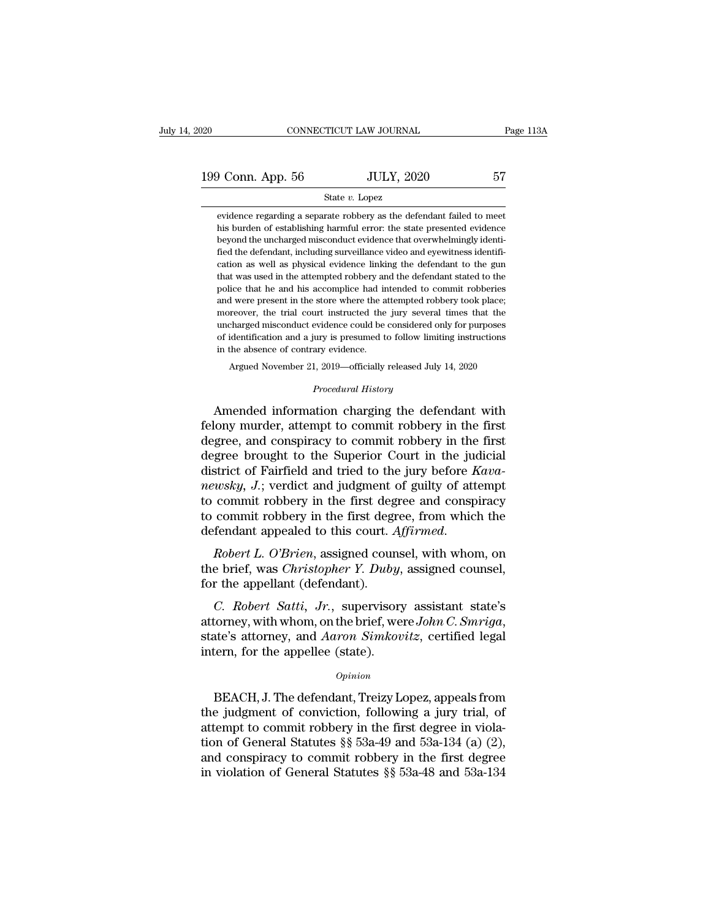## State *v.* Lopez

evidence regarding a separate robbery as the defendant failed to meet evidence regarding a separate robbery as the defendant failed to meet his burden of establishing harmful error: the state presented evidence his burden of establishing harmful error: the state presented evidence **beyond the uncharged misconduct** evidence in the uncharged misconduct evidence that overwhelmingly identified the defendant, including surveillance video and eyewitness identified the defendant, including surveillance vi  $\begin{minipage}[t]{0.7\textwidth} \begin{tabular}{p{0.8cm}} \textbf{State $v$. Lopez} \end{tabular} \end{minipage} \begin{minipage}[t]{0.8cm}{\textwidth} \begin{tabular}{p{0.8cm}} \textbf{State $v$ is the defendant failed to meet his burden of establishing harmful error: the state presented evidence beyond the uncharged misconduct evidence that overwhelmingly identified the defendant, including surveillance video and eyewitness identification as well as physical evidence linking the defendant to the gun. \end{tabular} \end{minipage}$ State v. Lopez<br>evidence regarding a separate robbery as the defendant failed to meet<br>his burden of establishing harmful error: the state presented evidence<br>beyond the uncharged misconduct evidence that overwhelmingly ident evidence regarding a separate robbery as the defendant failed to meet<br>his burden of establishing harmful error: the state presented evidence<br>beyond the uncharged misconduct evidence that overwhelmingly identi-<br>fied the def bis burden of establishing harmful error: the state presented evidence beyond the uncharged misconduct evidence that overwhelmingly identified the defendant, including surveillance video and eyewitness identification as we beyond the uncharged misconduct evidence that overwhelmingly identified the defendant, including surveillance video and eyewitness identification as well as physical evidence linking the defendant to the gun that was used Explored the defendant, including surveillance video and eyewitness identification as well as physical evidence linking the defendant to the gun that was used in the attempted robbery and the defendant stated to the police reation as well as physical evidence linking the defendant to the gun cation as well as physical evidence linking the defendant stated to the gun that was used in the attempted robbery and the defendant stated to the polic between the street in the attempted robbery and the defendant stated to the police that he and his accomplice had intended to commit robberies and were present in the store where the attempted robbery took place; moreover, that was used in the attempted robbery and the defendant stated to the police that he and his accomplice had intended to commit robberies and were present in the store where the attempted robbery took place; moreover, the I were present in the store where the attempted robbery took place;<br>reover, the trial court instructed the jury several times that the<br>charged misconduct evidence could be considered only for purposes<br>identification and a % uncharged misconduct evidence could be considered only for purposes<br>of identification and a jury is presumed to follow limiting instructions<br>in the absence of contrary evidence.<br>Argued November 21, 2019—officially releas motover, are and court instancted are jury several times and the<br>uncharged misconduct evidence could be considered only for purposes<br>of identification and a jury is presumed to follow limiting instructions<br>in the absence o

of identification and a jury is presumed to follow limiting instructions<br>in the absence of contrary evidence.<br>Argued November 21, 2019—officially released July 14, 2020<br>*Procedural History*<br>Amended information charging the in the absence of contrary evidence.<br>
Argued November 21, 2019—officially released July 14, 2020<br> *Procedural History*<br> **Amended information charging the defendant with<br>
felony murder, attempt to commit robbery in the firs** Argued November 21, 2019—officially released July 14, 2020<br> *Procedural History*<br> **Amended information charging the defendant with**<br> **felony murder, attempt to commit robbery in the first**<br> **degree, and conspiracy to commi** *Procedural History*<br>Amended information charging the defendant with<br>felony murder, attempt to commit robbery in the first<br>degree, and conspiracy to commit robbery in the first<br>degree brought to the Superior Court in the j *Procedural History*<br> *news Amended information charging the defendant with*<br> **felony murder, attempt to commit robbery in the first**<br>
degree, and conspiracy to commit robbery in the first<br>
degree brought to the Superior C Amended information charging the defendant with<br>felony murder, attempt to commit robbery in the first<br>degree, and conspiracy to commit robbery in the first<br>degree brought to the Superior Court in the judicial<br>district of felony murder, attempt to commit robbery in the first<br>degree, and conspiracy to commit robbery in the first<br>degree brought to the Superior Court in the judicial<br>district of Fairfield and tried to the jury before *Kava-<br>new* degree, and conspiracy to commit robbery in the first<br>degree brought to the Superior Court in the judicial<br>district of Fairfield and tried to the jury before *Kava-*<br>*newsky*, *J*.; verdict and judgment of guilty of attemp the branch and the brief diverging before *Ruba-<br>newsky*, *J*.; verdict and judgment of guilty of attempt<br>to commit robbery in the first degree, from which the<br>defendant appealed to this court. *Affirmed*.<br>*Robert L. O'Bri for the commit robbery* in the first degence to commit robbery in the first degence to commit robbery in the first degence<br>defendant appealed to this court. A Robert L. O'Brien, assigned cour<br>the brief, was Christopher Y

*COMER CONDER CONDER COMER COMER CONDERED A Robert L. O'Brien, assigned counsel, with whom, on a brief, was Christopher Y. Duby, assigned counsel, r the appellant (defendant).<br><i>C. Robert Satti, Jr.*, supervisory assistant

defendant appealed to this court. Affirmed.<br> *Robert L. O'Brien*, assigned counsel, with whom, on<br>
the brief, was *Christopher Y. Duby*, assigned counsel,<br>
for the appellant (defendant).<br> *C. Robert Satti, Jr.*, supervisor moert E. O Bren, assigned comes<br>the brief, was *Christopher Y. Duby*,<br>for the appellant (defendant).<br>*C. Robert Satti, Jr.*, supervisory<br>attorney, with whom, on the brief, we<br>state's attorney, and *Aaron Simkov*<br>intern, fo C. Robert Satti, Jr., supervisory assistant state's<br>torney, with whom, on the brief, were John C. Smriga,<br>ate's attorney, and Aaron Simkovitz, certified legal<br>tern, for the appellee (state).<br>Opinion<br>BEACH, J. The defendant

## *Opinion*

attorney, with whom, on the brief, were *John C. Smriga*,<br>state's attorney, and *Aaron Simkovitz*, certified legal<br>intern, for the appellee (state).<br> $opinion$ <br>BEACH, J. The defendant, Treizy Lopez, appeals from<br>the judgment of state's attorney, and *Aaron Simkovitz*, certified legal<br>intern, for the appellee (state).<br> $\frac{opinion}{opinion}$ <br>BEACH, J. The defendant, Treizy Lopez, appeals from<br>the judgment of conviction, following a jury trial, of<br>attempt to intern, for the appellee (state).<br> *Opinion*<br>
BEACH, J. The defendant, Treizy Lopez, appeals from<br>
the judgment of conviction, following a jury trial, of<br>
attempt to commit robbery in the first degree in viola-<br>
tion of Ge <sup>Opinion</sup><br>BEACH, J. The defendant, Treizy Lopez, appeals from<br>the judgment of conviction, following a jury trial, of<br>attempt to commit robbery in the first degree in viola-<br>tion of General Statutes §§ 53a-49 and 53a-134 ( EXACH, J. The defendant, Treizy Lopez, appeals from<br>the judgment of conviction, following a jury trial, of<br>attempt to commit robbery in the first degree in viola-<br>tion of General Statutes §§ 53a-49 and 53a-134 (a) (2),<br>and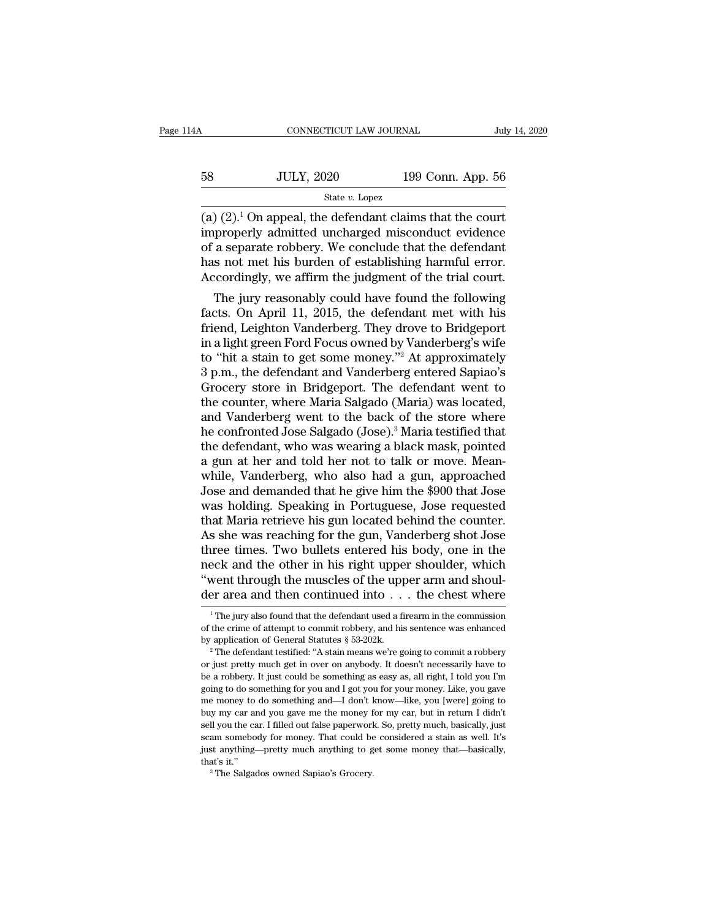| 114A | CONNECTICUT LAW JOURNAL |                   | July 14, 2020 |
|------|-------------------------|-------------------|---------------|
| 58   | <b>JULY, 2020</b>       | 199 Conn. App. 56 |               |
|      | State $v$ . Lopez       |                   |               |

 $\begin{array}{cccc}\n & \text{COMRECTICUT LAW JOURNAL} & \text{July 14, 2020} \\
 & \text{JULY, 2020} & \text{199 Conn. App. 56} \\
 & \text{State } v. \text{ Lopez} & \n\end{array}$  $\n \begin{array}{ll}\n 58 & \text{JULY, } 2020 & \text{199 Conn. App. 56} \\
 \hline\n \text{State } v. \text{ Lopez} \\
 \hline\n \text{(a) (2).} \text{On appeal, the defendant claims that the court} \\
 \text{improperly admitted uncharged misconduct evidence} \\
 \text{of a separate robberg. We conclude that the defendant} \\
 \text{has not met his burden of established harmful error}\n \end{array}$ 58 JULY, 2020 199 Conn. App. 56<br>  $\frac{\text{State } v. \text{ Lopez}}{(a) (2).1 \text{ On appeal, the defendant claims that the court  
improperly admitted uncharged misconduct evidence  
of a separate robberg. We conclude that the defendant  
has not met his burden of establishing harmful error.  
Accordingly, we offer the judgment of the trial court$ 58 JULY, 2020 199 Conn. App. 56<br>  $\frac{\text{State } v. \text{ Lopez}}{(a) (2).1 \text{ On appeal, the defendant claims that the court  
improperly admitted uncharged misconduct evidence  
of a separate robberg. We conclude that the defendant  
has not met his burden of establishing harmful error.  
Accordingly, we affirm the judgment of the trial court.$ State *v*. Lopez<br>
State *v*. Lopez<br>
(a) (2).<sup>1</sup> On appeal, the defendant claims that the court<br>
improperly admitted uncharged misconduct evidence<br>
of a separate robbery. We conclude that the defendant<br>
has not met his bur  $(2).<sup>1</sup>$  On appeal, the defendant claims that the court<br>properly admitted uncharged misconduct evidence<br>a separate robbery. We conclude that the defendant<br>s not met his burden of establishing harmful error.<br>coordingly (a) (2). On appeal, the defendant claims that the court<br>improperly admitted uncharged misconduct evidence<br>of a separate robbery. We conclude that the defendant<br>has not met his burden of establishing harmful error.<br>Accordi

mproperly aamlited uncharged misconduct evidence<br>of a separate robbery. We conclude that the defendant<br>has not met his burden of establishing harmful error.<br>Accordingly, we affirm the judgment of the trial court.<br>The jury or a separate robbery. We conclude that the defendant<br>has not met his burden of establishing harmful error.<br>Accordingly, we affirm the judgment of the trial court.<br>The jury reasonably could have found the following<br>facts. has not met his burden or establishing narmitul error.<br>Accordingly, we affirm the judgment of the trial court.<br>The jury reasonably could have found the following<br>facts. On April 11, 2015, the defendant met with his<br>friend, Accordingly, we arrirm the judgment of the trial court.<br>
The jury reasonably could have found the following<br>
facts. On April 11, 2015, the defendant met with his<br>
friend, Leighton Vanderberg. They drove to Bridgeport<br>
in a The jury reasonably could have found the following<br>facts. On April 11, 2015, the defendant met with his<br>friend, Leighton Vanderberg. They drove to Bridgeport<br>in a light green Ford Focus owned by Vanderberg's wife<br>to "hit a facts. On April 11, 2015, the defendant met with his<br>friend, Leighton Vanderberg. They drove to Bridgeport<br>in a light green Ford Focus owned by Vanderberg's wife<br>to "hit a stain to get some money."<sup>2</sup> At approximately<br>3 p. friend, Leighton Vanderberg. They drove to Bridgeport<br>in a light green Ford Focus owned by Vanderberg's wife<br>to "hit a stain to get some money."<sup>2</sup> At approximately<br>3 p.m., the defendant and Vanderberg entered Sapiao's<br>Gro in a light green Ford Focus owned by Vanderberg's wife<br>to "hit a stain to get some money."<sup>2</sup> At approximately<br>3 p.m., the defendant and Vanderberg entered Sapiao's<br>Grocery store in Bridgeport. The defendant went to<br>the co to "hit a stain to get some money."<sup>2</sup> At approximately<br>3 p.m., the defendant and Vanderberg entered Sapiao's<br>Grocery store in Bridgeport. The defendant went to<br>the counter, where Maria Salgado (Maria) was located,<br>and Van 3 p.m., the defendant and Vanderberg entered Sapiao's<br>Grocery store in Bridgeport. The defendant went to<br>the counter, where Maria Salgado (Maria) was located,<br>and Vanderberg went to the back of the store where<br>he confronte Grocery store in Bridgeport. The defendant went to<br>the counter, where Maria Salgado (Maria) was located,<br>and Vanderberg went to the back of the store where<br>he confronted Jose Salgado (Jose).<sup>3</sup> Maria testified that<br>the def the counter, where Maria Salgado (Maria) was located,<br>and Vanderberg went to the back of the store where<br>he confronted Jose Salgado (Jose).<sup>3</sup> Maria testified that<br>the defendant, who was wearing a black mask, pointed<br>a gun and Vanderberg went to the back of the store where<br>he confronted Jose Salgado (Jose).<sup>3</sup> Maria testified that<br>the defendant, who was wearing a black mask, pointed<br>a gun at her and told her not to talk or move. Mean-<br>while, he confronted Jose Salgado (Jose).<sup>3</sup> Maria testified that<br>the defendant, who was wearing a black mask, pointed<br>a gun at her and told her not to talk or move. Mean-<br>while, Vanderberg, who also had a gun, approached<br>Jose an the defendant, who was wearing a black mask, pointed<br>a gun at her and told her not to talk or move. Mean-<br>while, Vanderberg, who also had a gun, approached<br>Jose and demanded that he give him the \$900 that Jose<br>was holding. a gun at her and told her not to talk or move. Mean-<br>while, Vanderberg, who also had a gun, approached<br>Jose and demanded that he give him the \$900 that Jose<br>was holding. Speaking in Portuguese, Jose requested<br>that Maria re while, Vanderberg, who also had a gun, approached<br>Jose and demanded that he give him the \$900 that Jose<br>was holding. Speaking in Portuguese, Jose requested<br>that Maria retrieve his gun located behind the counter.<br>As she was Jose and demanded that he give him the \$900 that Jose<br>was holding. Speaking in Portuguese, Jose requested<br>that Maria retrieve his gun located behind the counter.<br>As she was reaching for the gun, Vanderberg shot Jose<br>three was holding. Speaking in Portuguese, Jose requested<br>that Maria retrieve his gun located behind the counter.<br>As she was reaching for the gun, Vanderberg shot Jose<br>three times. Two bullets entered his body, one in the<br>neck The gradient measurement in this right upper shoulder, which eeck and the other in his right upper shoulder, which went through the muscles of the upper arm and shoul-<br>er area and then continued into  $\dots$  the chest where<br> neck and the other in his right upper shoulder, which<br>
"went through the muscles of the upper arm and shoulder<br>
area and then continued into  $\dots$  the chest where<br>  $\frac{1}{1}$  The jury also found that the defendant used a fi

<sup>&</sup>quot;went through the muscles of the upper arm and shoulder area and then continued into  $\dots$  the chest where  $\frac{1}{1}$  The jury also found that the defendant used a firearm in the commission of the crime of attempt to commit

OF area and then COILINUED INTO . . . The CHEST WHERE<br>
<sup>1</sup> The jury also found that the defendant used a firearm in the commission<br>
of the crime of attempt to commit robbery, and his sentence was enhanced<br>
by application <sup>1</sup> The jury also found that the defendant used a firearm in the commission of the crime of attempt to commit robbery, and his sentence was enhanced by application of General Statutes  $\S$  53-202k.<br><sup>2</sup> The defendant testif of the crime of attempt to commit robbery, and his sentence was enhanced<br>by application of General Statutes § 53-202k.<br><sup>2</sup> The defendant testified: "A stain means we're going to commit a robbery<br>or just pretty much get in by application of General Statutes § 53-202k.<br>
<sup>2</sup> The defendant testified: "A stain means we're going to commit a robbery<br>
or just pretty much get in over on anybody. It doesn't necessarily have to<br>
be a robbery. It just <sup>2</sup> The defendant testified: "A stain means we're going to commit a robbery<br><sup>2</sup> The defendant testified: "A stain means we're going to commit a robbery<br>or just pretty much get in over on anybody. It doesn't necessarily hav or just pretty much get in over on anybody. It doesn't necessarily have to be a robbery. It just could be something as easy as, all right, I told you I'm going to do something for you and I got you for your money. Like, yo be a robbery. It just could be something as easy as, all right, I told you I'm going to do something for you and I got you for your money. Like, you gave me money to do something and—I don't know—like, you [were] going to going to do something for you and I got you for your money. Like, you gave me money to do something and—I don't know—like, you [were] going to buy my car and you gave me the money for my car, but in return I didn't sell y From the money to do something and—I don't I buy my car and you gave me the money f sell you the car. I filled out false paperwork scam somebody for money. That could be just anything—pretty much anything to g that's it."<br>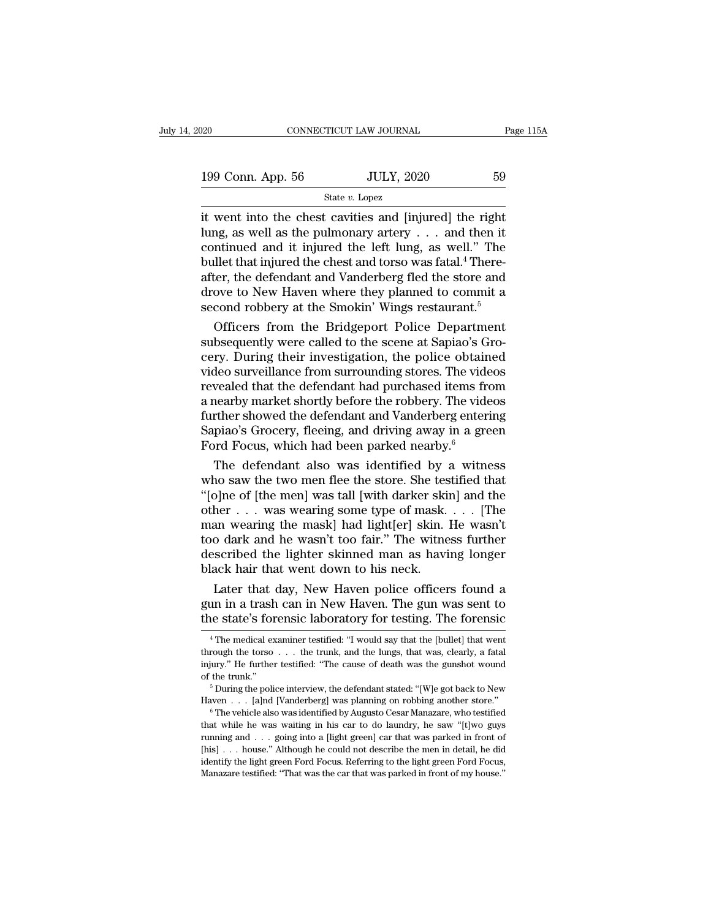199 Conn. App. 56 JULY, 2020 59<br>
State v. Lopez State v. Lopez

State *v.* Lopez

Fage 115.<br>
199 Conn. App. 56 JULY, 2020 59<br>
State v. Lopez<br>
it went into the chest cavities and [injured] the right<br>
lung, as well as the pulmonary artery . . . and then it<br>
continued and it injured the loft lung as well. 199 Conn. App. 56 JULY, 2020 59<br>
State v. Lopez<br>
it went into the chest cavities and [injured] the right<br>
lung, as well as the pulmonary artery . . . and then it<br>
continued and it injured the left lung, as well." The<br>
bul 199 Conn. App. 56 JULY, 2020 59<br>
State v. Lopez<br>
it went into the chest cavities and [injured] the right<br>
lung, as well as the pulmonary artery . . . and then it<br>
continued and it injured the left lung, as well." The<br>
bul 199 Conn. App. 56 JULY, 2020 59<br>
State v. Lopez<br>
it went into the chest cavities and [injured] the right<br>
lung, as well as the pulmonary artery . . . and then it<br>
continued and it injured the left lung, as well." The<br>
bul State *v*. Lopez<br>it went into the chest cavities and [injured] the right<br>lung, as well as the pulmonary artery . . . and then it<br>continued and it injured the left lung, as well." The<br>bullet that injured the chest and tors state *v*. Lopez<br>it went into the chest cavities and [injured] the right<br>lung, as well as the pulmonary artery  $\ldots$  and then it<br>continued and it injured the left lung, as well." The<br>bullet that injured the chest and tors it went into the chest cavities and [injured] the right<br>lung, as well as the pulmonary artery  $\ldots$  and then it<br>continued and it injured the left lung, as well." The<br>bullet that injured the chest and torso was fatal.<sup>4</sup> T ng, as well as the pulmonary artery . . . and then it<br>intinued and it injured the left lung, as well." The<br>illet that injured the chest and torso was fatal.<sup>4</sup> There-<br>ter, the defendant and Vanderberg fled the store and<br>ov continued and it injured the left lung, as well." The<br>bullet that injured the chest and torso was fatal.<sup>4</sup> There-<br>after, the defendant and Vanderberg fled the store and<br>drove to New Haven where they planned to commit a<br>se

builet that injured the chest and torso was fatal." There-<br>after, the defendant and Vanderberg fled the store and<br>drove to New Haven where they planned to commit a<br>second robbery at the Smokin' Wings restaurant.<sup>5</sup><br>Officer atter, the detendant and Vanderberg fled the store and<br>drove to New Haven where they planned to commit a<br>second robbery at the Smokin' Wings restaurant.<sup>5</sup><br>Officers from the Bridgeport Police Department<br>subsequently were c drove to New Haven where they planned to commit a<br>second robbery at the Smokin' Wings restaurant.<sup>5</sup><br>Officers from the Bridgeport Police Department<br>subsequently were called to the scene at Sapiao's Gro-<br>cery. During their second robbery at the Smokin' Wings restaurant."<br>
Officers from the Bridgeport Police Department<br>
subsequently were called to the scene at Sapiao's Gro-<br>
cery. During their investigation, the police obtained<br>
video surveil Officers from the Bridgeport Police Department<br>subsequently were called to the scene at Sapiao's Gro-<br>cery. During their investigation, the police obtained<br>video surveillance from surrounding stores. The videos<br>revealed t subsequently were called to the scene at Sapiao's Grocery. During their investigation, the police obtained video surveillance from surrounding stores. The videos revealed that the defendant had purchased items from a nearb cery. During their investigation, the police obtain video surveillance from surrounding stores. The videofrevealed that the defendant had purchased items fra a nearby market shortly before the robbery. The videofurther sh deo surveillance from surrounding stores. The videos<br>vealed that the defendant had purchased items from<br>nearby market shortly before the robbery. The videos<br>orther showed the defendant and Vanderberg entering<br>piao's Grocer revealed that the defendant had purchased items from<br>a nearby market shortly before the robbery. The videos<br>further showed the defendant and Vanderberg entering<br>Sapiao's Grocery, fleeing, and driving away in a green<br>Ford F

a nearby market shortly before the robbery. The videos<br>
further showed the defendant and Vanderberg entering<br>
Sapiao's Grocery, fleeing, and driving away in a green<br>
Ford Focus, which had been parked nearby.<br>
The defendan further showed the defendant and Vanderberg entering<br>Sapiao's Grocery, fleeing, and driving away in a green<br>Ford Focus, which had been parked nearby.<sup>6</sup><br>The defendant also was identified by a witness<br>who saw the two men fl Sapiao's Grocery, fleeing, and driving away in a green<br>Ford Focus, which had been parked nearby.<sup>6</sup><br>The defendant also was identified by a witness<br>who saw the two men flee the store. She testified that<br>"[o]ne of [the men] Ford Focus, which had been parked nearby."<br>
The defendant also was identified by a witness<br>
who saw the two men flee the store. She testified that<br>
"[o]ne of [the men] was tall [with darker skin] and the<br>
other . . . was The defendant also was identified by a witness<br>who saw the two men flee the store. She testified that<br>"[o]ne of [the men] was tall [with darker skin] and the<br>other . . . was wearing some type of mask. . . . [The<br>man weari who saw the two men flee the store. She tes<br>"[o]ne of [the men] was tall [with darker ski]<br>other  $\ldots$  was wearing some type of mask.<br>man wearing the mask] had light[er] skin.<br>too dark and he wasn't too fair." The witne<br>d be of the menj was tall [with darker skin] and the<br>her . . . was wearing some type of mask. . . . [The<br>an wearing the mask] had light[er] skin. He wasn't<br>o dark and he wasn't too fair." The witness further<br>scribed the ligh other . . . was wearing some type of mask. . . . [The<br>man wearing the mask] had light[er] skin. He wasn't<br>too dark and he wasn't too fair." The witness further<br>described the lighter skinned man as having longer<br>black hair man wearing the mask] had light[er] skin. He wasn't<br>too dark and he wasn't too fair." The witness further<br>described the lighter skinned man as having longer<br>black hair that went down to his neck.<br>Later that day, New Haven

Later that day, New Haven police officers found a<br>un in a trash can in New Haven. The gun was sent to<br>le state's forensic laboratory for testing. The forensic<br><sup>4</sup>The medical examiner testified: "I would say that the [bulle Later that day, New Haven police officers found a<br>gun in a trash can in New Haven. The gun was sent to<br>the state's forensic laboratory for testing. The forensic<br> $\frac{4}{1}$ The medical examiner testified: "I would say that t

gun in a trash can in New Haven. The gun was sent to<br>the state's forensic laboratory for testing. The forensic<br><sup>4</sup>The medical examiner testified: "I would say that the [bullet] that went<br>through the torso . . . the trunk, the state's forensic laboratory for testing. The forensic<br>  $^{4}$ The medical examiner testified: "I would say that the [bullet] that went<br>
through the torso . . . the trunk, and the lungs, that was, clearly, a fatal<br>
injur <sup>4</sup> The medical examiner testified: "I would say that the [bullet] that went through the torso . . . the trunk, and the lungs, that was, clearly, a fatal injury." He further testified: "The cause of death was the gunshot

through the torso . . . the trunk, and the lungs, that was, clearly, a fatal in<br>jury." He further testified: "The cause of death was the gunshot wound of the trunk."<br>
<sup>5</sup> During the police interview, the defendant stated: of the trunk."<br>
<sup>5</sup> During the police interview, the defendant stated: "[W]e got back to New<br>
Haven . . . [a]nd [Vanderberg] was planning on robbing another store."<br>
<sup>6</sup> The vehicle also was identified by Augusto Cesar Ma <sup>5</sup> During the police interview, the defendant stated: "[W]e got back to New Haven . . . [a]nd [Vanderberg] was planning on robbing another store."<br><sup>6</sup> The vehicle also was identified by Augusto Cesar Manazare, who testif Haven  $\ldots$  [a]nd [Vanderberg] was planning on robbing another store."<br>
<sup>6</sup> The vehicle also was identified by Augusto Cesar Manazare, who testified<br>
that while he was waiting in his car to do laundry, he saw "[t]wo guys<br> The vehicle also was identified by Augusto Cesar Manazare, who testified that while he was waiting in his car to do laundry, he saw "[t]wo guys running and . . . going into a [light green] car that was parked in front of [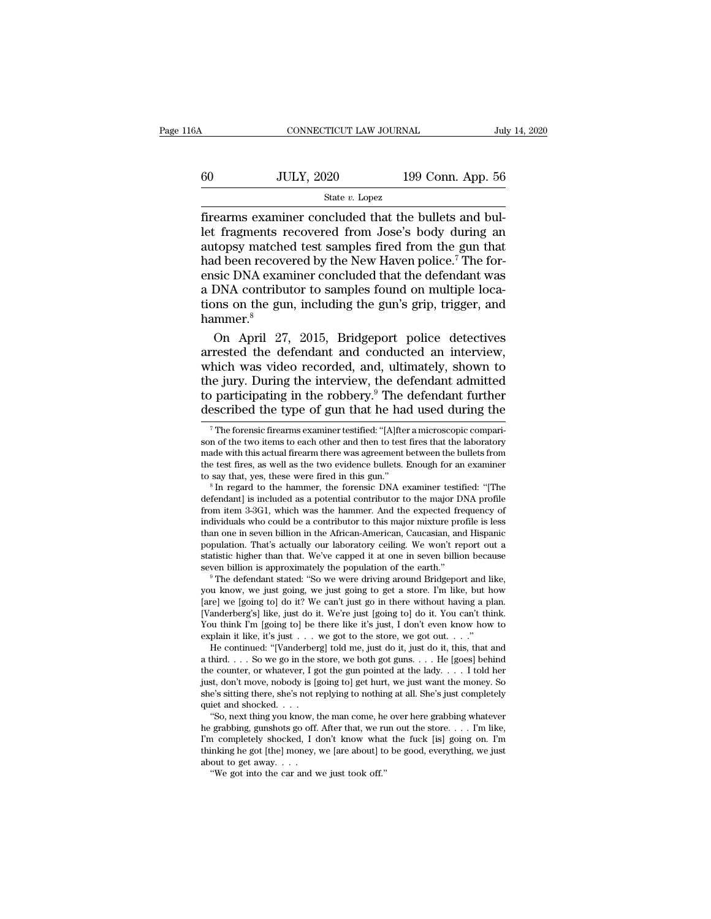# CONNECTICUT LAW JOURNAL July 14, 2020<br>60 JULY, 2020 199 Conn. App. 56<br>50 State v. Lopez State *v.* Lopez

Fire<br>
Firearms examiner concluded that the bullets and bullet fragments recovered from Jose's body during an<br>
Firearms examiner concluded that the bullets and bullet<br>
Firearms examiner concluded that the bullets and bullet  $\begin{array}{r} \hline \text{JULY, 2020} \text{199 Conn. App. 56} \ \hline \text{State } v. \text{ Lopez} \ \hline \text{firearms examineer concluded that the bullets and bullet fragments recovered from Jose's body during an autopsy matched test samples fired from the gun that had been recovered by the New Haven police? The for \frac{\text{560}}{\text{State }v.\text{ Lopez}}$  199 Conn. App. 56<br>  $\frac{\text{State }v.\text{Lopez}}{\text{firearms example}}$ <br>  $\frac{\text{State }v.\text{Lopez}}{\text{frequency example}}$ <br>  $\frac{\text{560}}{\text{Area of}}$ <br>  $\frac{\text{560}}{\text{Area of}}$ <br>  $\frac{\text{560}}{\text{Area of}}$ <br>  $\frac{\text{560}}{\text{Area of}}$ <br>  $\frac{\text{560}}{\text{Area of}}$ <br>  $\frac{\text{560}}{\text{Area of}}$ <br>  $\frac{\text{560}}{\text{Area$  $\frac{100}{\text{State }v. \text{ Lopez}}$  199 Conn. App. 56<br>  $\frac{100}{\text{State }v. \text{Lopez}}$ <br>
firearms examiner concluded that the bullets and bul-<br>
let fragments recovered from Jose's body during an<br>
autopsy matched test samples fired from the gu SULT, 2020 133 CORR. App. 30<br>
State v. Lopez<br>
firearms examiner concluded that the bullets and bul-<br>
let fragments recovered from Jose's body during an<br>
autopsy matched test samples fired from the gun that<br>
had been recov State *v*. Lopez<br>firearms examiner concluded that the bullets and bul-<br>let fragments recovered from Jose's body during an<br>autopsy matched test samples fired from the gun that<br>had been recovered by the New Haven police.<sup>7</sup> firearms examiner concluded that the bullets and bul-<br>let fragments recovered from Jose's body during an<br>autopsy matched test samples fired from the gun that<br>had been recovered by the New Haven police.<sup>7</sup> The for-<br>ensic DN hammer.<sup>8</sup> topsy matched test samples fired from the gun that<br>d been recovered by the New Haven police.<sup>7</sup> The for-<br>sic DNA examiner concluded that the defendant was<br>DNA contributor to samples found on multiple loca-<br>nns on the gun, had been recovered by the New Haven police.<sup>7</sup> The for-<br>ensic DNA examiner concluded that the defendant was<br>a DNA contributor to samples found on multiple loca-<br>tions on the gun, including the gun's grip, trigger, and<br>hamm

ensic DNA examiner concluded that the defendant was<br>a DNA contributor to samples found on multiple loca-<br>tions on the gun, including the gun's grip, trigger, and<br>hammer.<sup>8</sup><br>On April 27, 2015, Bridgeport police detectives<br>a a DNA contributor to samples found on multiple locations on the gun, including the gun's grip, trigger, and<br>hammer.<sup>8</sup><br>On April 27, 2015, Bridgeport police detectives<br>arrested the defendant and conducted an interview,<br>whic tions on the gun, including the gun's grip, trigger, and<br>hammer.<sup>8</sup><br>On April 27, 2015, Bridgeport police detectives<br>arrested the defendant and conducted an interview,<br>which was video recorded, and, ultimately, shown to<br>th hammer.<sup>8</sup><br>On April 27, 2015, Bridgeport police detectives<br>arrested the defendant and conducted an interview,<br>which was video recorded, and, ultimately, shown to<br>the jury. During the interview, the defendant admitted<br>to pa hich was video recorded, and, ultimately, shown to<br>he jury. During the interview, the defendant admitted<br>participating in the robbery.<sup>9</sup> The defendant further<br>escribed the type of gun that he had used during the<br><sup>7</sup>The fo the jury. During the interview, the defendant admitted<br>to participating in the robbery.<sup>9</sup> The defendant further<br>described the type of gun that he had used during the<br><sup>7</sup>The forensic firearms examiner testified: "[A]fter a

than one in seven billion in the African-American, Caucasian, and Hispanic population. That's actually our laboratory celling. We won't report out a statistic higher than that. We've capped it at one in seven billion becau population. That's actually our laboratory celling. We won't report out a statistic higher than that. We've capped it at one in seven billion because seven billion is approximately the population of the earth."<br>
<sup>9</sup> The de statistic higher than that. We ve capped it at one in seven billion because<br>seven billion is approximately the population of the earth."<br> $^9$  The defendant stated: "So we were driving around Bridgeport and like,<br>you know, seven billion is approximately the population of the earth."<br>
<sup>9</sup> The defendant stated: "So we were driving around Bridgeport and li<br>
you know, we just going, we just going to get a store. I'm like, but h<br>
[are] we [going The defendant stated: "So we were driving around Bridgeport and like,<br>
u know, we just going, we just going to get a store. I'm like, but how<br>
rel we [going to] do it? We can't just go in there without having a plan.<br>
and you know, we just going, we just going to get a store. I'm like, but how<br>[are] we [going to] do it? We can't just go in there without having a plan.<br>[Vanderberg's] like, just do it. We're just [going to] do it. You can't

[are] we [going to] do it? We can't just go in there without having a plan. [Vanderberg's] like, just do it. We're just [going to] do it. You can't think. You think I'm [going to] be there like it's just, I don't even know [Vanderberg's] like, just do it. We're just [going to] do it. You can't think.<br>You think I'm [going to] be there like it's just, I don't even know how to<br>explain it like, it's just . . . we got to the store, we got out. . Shetter in the shetter was shell be there is sitted to the store, we got out. . . ."<br>He continued: "[Vanderberg] told me, just do it, just do it, this, that and<br>a third. . . . So we go in the store, we both got guns. . . explain it like, it's just  $\ldots$ <br>
He continued: "[Vanderber<br>
a third.  $\ldots$  So we go in the s<br>
the counter, or whatever, I g<br>
just, don't move, nobody is [g<br>
she's sitting there, she's not r<br>
quiet and shocked.  $\ldots$ <br>
"So a third. . . . So we go in the store, we both got guns. . . . He [goes] behind the counter, or whatever, I got the gun pointed at the lady. . . . I told her just, don't move, nobody is [going to] get hurt, we just want th he grabbing, gunshots go off. After that, we run out the store. . . . I'm like,

the counter, or whatever, 1 got the gun pointed at the lady.... I told her<br>just, don't move, nobody is [going to] get hurt, we just want the money. So<br>she's sitting there, she's not replying to nothing at all. She's just just, don't move, nobody is [going to] get hurt, we just want the money. So<br>she's sitting there, she's not replying to nothing at all. She's just completely<br>quiet and shocked. . . .<br>"So, next thing you know, the man come, she's sitting there, she's not r<br>quiet and shocked. . . .<br>"So, next thing you know, t<br>he grabbing, gunshots go off.<br>I'm completely shocked, I c<br>thinking he got [the] money,<br>about to get away. . . .<br>"We got into the car and The and shocked. . . .<br>"So, next thing you know, the man come, he grabbing, gunshots go off. After that, we run completely shocked, I don't know what<br>inking he got [the] money, we [are about] to out to get away. . . .<br>"We

the Jury. During the interview, the determinant admitted to participating in the robbery.<sup>9</sup> The defendant further described the type of gun that he had used during the The forensic firearms examiner testified: "[A]fter a described the type of gun that he had used during the<br>  $\frac{1}{\pi}$  The forensic firearms examiner testified: "[A]fter a microscopic compari-<br>
son of the two items to each other and then to test fires that the laboratory<br>
m described the type of gun that he had used during the<br>
<sup>7</sup>The forensic firearms examiner testified: "[A]fter a microscopic compari-<br>
son of the two items to each other and then to test fires that the laboratory<br>
made with The forential contributor is included as a potential contributor to the major comparison of the two items to each other and then to test fires that the laboratory made with this actual firearm there was agreement between t

made with this actual firearm there was agreement between the bullets from<br>the test fires, as well as the two evidence bullets. Enough for an examiner<br>to say that, yes, these were fired in this gun."<br><sup>8</sup> In regard to the h defendant] is included as a potential contributor to the major DNA profile<br>from item 3-3G1, which was the hammer. And the expected frequency of<br>individuals who could be a contributor to this major mixture profile is less<br>t the test irres, as well as the two evidence bullets. Enough for an examiner<br>to say that, yes, these were fired in this gun."<br><sup>8</sup> In regard to the hammer, the forensic DNA examiner testified: "[The<br>defendant] is included as to say that, yes, these were fired in this gun.<br>
<sup>8</sup> In regard to the hammer, the forensic DNA examiner testified: "[The defendant] is included as a potential contributor to the major DNA profile from item 3-3G1, which was <sup>o</sup> In regard to the hammer, the forensic DNA examiner testified: "[The defendant] is included as a potential contributor to the major DNA profile from item 3-3G1, which was the hammer. And the expected frequency of indiv detendant] is included as a potential contributor to the major DNA profile<br>from item 3-3G1, which was the hammer. And the expected frequency of<br>individuals who could be a contributor to this major mixture profile is less<br>t manyiduals who could be a contributor to this major mixture profile is less<br>than one in seven billion in the African-American, Caucasian, and Hispanic<br>population. That's actually our laboratory ceiling. We won't report out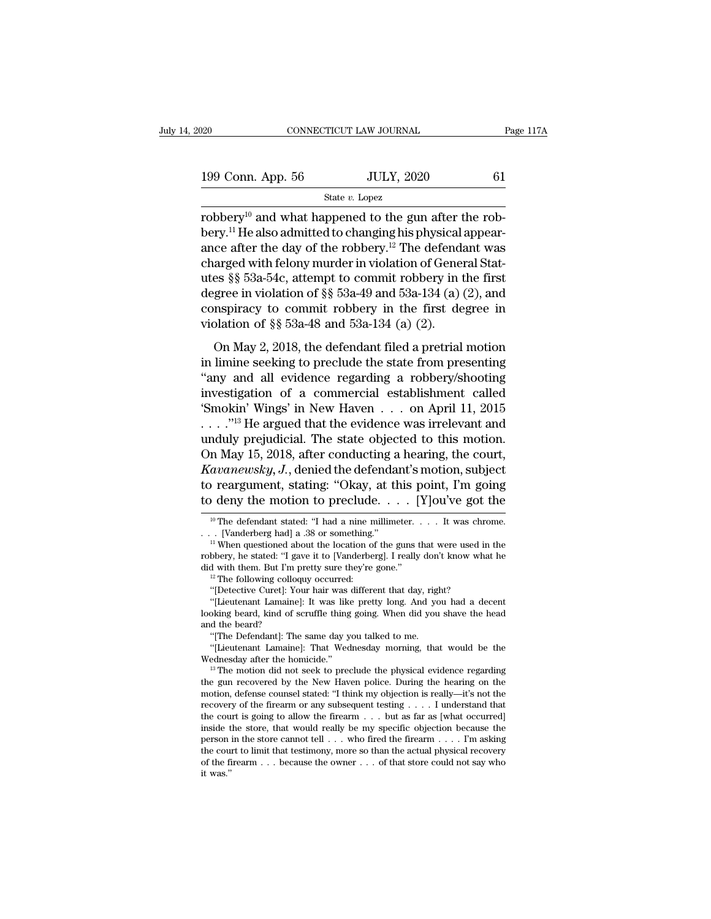$\begin{tabular}{l l l l} \hline & & & & & \mbox{\textbf{138}} \\ \hline 199 & Conn. & App. 56 & & & \mbox{\textbf{JULY, 2020}} & & \mbox{\textbf{61}} \\ & & & & \mbox{\textbf{State $v$}. Lopez} & & \hline \end{tabular}$ 

State *v.* Lopez

robbery<sup>10</sup> and what happened to the gun after the rob-<br>
bery<sup>10</sup> and what happened to the gun after the rob-<br>
bery<sup>11</sup> He also admitted to changing his physical appear-<br>
ango ofter the day of the robbery<sup>12</sup> The defendan 199 Conn. App. 56 JULY, 2020 61<br>
State v. Lopez<br>
robbery.<sup>10</sup> and what happened to the gun after the rob-<br>
bery.<sup>11</sup> He also admitted to changing his physical appear-<br>
ance after the day of the robbery.<sup>12</sup> The defendant 199 Conn. App. 56 JULY, 2020 61<br>
State v. Lopez<br>
robbery<sup>10</sup> and what happened to the gun after the rob-<br>
bery.<sup>11</sup> He also admitted to changing his physical appear-<br>
ance after the day of the robbery.<sup>12</sup> The defendant w 199 Conn. App. 56 JULY, 2020 61<br>
State *v*. Lopez<br>
robbery<sup>10</sup> and what happened to the gun after the rob-<br>
bery.<sup>11</sup> He also admitted to changing his physical appear-<br>
ance after the day of the robbery.<sup>12</sup> The defendant State v. Lopez<br>
robbery<sup>10</sup> and what happened to the gun after the rob-<br>
bery.<sup>11</sup> He also admitted to changing his physical appear-<br>
ance after the day of the robbery.<sup>12</sup> The defendant was<br>
charged with felony murder in state v. Lopez<br>robbery<sup>10</sup> and what happened to the gun after the rob-<br>bery.<sup>11</sup> He also admitted to changing his physical appear-<br>ance after the day of the robbery.<sup>12</sup> The defendant was<br>charged with felony murder in vio robbery<sup>10</sup> and what happened to the gun after the rob-<br>bery.<sup>11</sup> He also admitted to changing his physical appear-<br>ance after the day of the robbery.<sup>12</sup> The defendant was<br>charged with felony murder in violation of Gener bery.<sup>11</sup> He also admitted to changing his physical ance after the day of the robbery.<sup>12</sup> The defends charged with felony murder in violation of Generaties §§ 53a-54c, attempt to commit robbery in the degree in violation arged with felony murder in violation of General States §§ 53a-54c, attempt to commit robbery in the first gree in violation of §§ 53a-49 and 53a-134 (a) (2), and nspiracy to commit robbery in the first degree in blation Example what every manual in treatable of a conclude the first<br>degree in violation of §§ 53a-49 and 53a-134 (a) (2), and<br>conspiracy to commit robbery in the first degree in<br>violation of §§ 53a-48 and 53a-134 (a) (2).<br>On M

degree in violation of §§ 53a-49 and 53a-134 (a) (2), and<br>
conspiracy to commit robbery in the first degree in<br>
violation of §§ 53a-48 and 53a-134 (a) (2).<br>
On May 2, 2018, the defendant filed a pretrial motion<br>
in limine conspiracy to commit robbery in the first degree in<br>violation of §§ 53a-48 and 53a-134 (a) (2).<br>On May 2, 2018, the defendant filed a pretrial motion<br>in limine seeking to preclude the state from presenting<br>"any and all ev violation of §§ 53a-48 and 53a-134 (a) (2).<br>
On May 2, 2018, the defendant filed a pretrial motion<br>
in limine seeking to preclude the state from presenting<br>
"any and all evidence regarding a robbery/shooting<br>
investigatio . . . .''<sup>13</sup> He argued that the evidence was irrelevant and On May 2, 2018, the defendant filed a pretrial motion<br>in limine seeking to preclude the state from presenting<br>"any and all evidence regarding a robbery/shooting<br>investigation of a commercial establishment called<br>"Smokin' in limine seeking to preclude the state from presenting<br>
"any and all evidence regarding a robbery/shooting<br>
investigation of a commercial establishment called<br>
"Smokin" Wings' in New Haven . . . on April 11, 2015<br>
. . . *Kavanewsky, J.*, denied the defendant's motion, subject investigation of a commercial establishment called<br>
"Smokin' Wings' in New Haven . . . on April 11, 2015<br>
...."<sup>13</sup> He argued that the evidence was irrelevant and<br>
unduly prejudicial. The state objected to this motion.<br>
O "Smokin' Wings' in New Haven . . . on April 11, 2015<br>
. . . . "<sup>13</sup> He argued that the evidence was irrelevant and<br>
unduly prejudicial. The state objected to this motion.<br>
On May 15, 2018, after conducting a hearing, the In May 15, 2018, after conducting a hearing, the court,<br> *avanewsky*, *J*., denied the defendant's motion, subject<br>  $\alpha$  reargument, stating: "Okay, at this point, I'm going<br>  $\alpha$  deny the motion to preclude. . . . . [Y]<br> *Kavanewsky, J.*, denied the defendant's motion, subject<br>to reargument, stating: "Okay, at this point, I'm going<br>to deny the motion to preclude.... [Y]ou've got the<br> $\frac{10 \text{ T/h}}{10 \text{ T/h}}$  of the defendant stated: "I had a

robbery, he stated: "I gave it to [Vanderberg]. I really don't know what he<br>did with them. But I'm pretty sure they're gone."<br> $\cdot$ <br> $\cdot$  The following colloquy occurred:<br>"[Detective Curet]: Your hair was different that day If with them. But I'm pretty sure they're gone."<br>
"The following colloquy occurred:<br>
"[Detective Curet]: Your hair was different that day, right"<br>
"[Lieutenant Lamaine]: It was like pretty long. And you<br>
differend to me.<br> "The following colloquy occurred:<br>"[Detective Curet]: Your hair was different that day, right?<br>"[Lieutenant Lamaine]: It was like pretty long. And you had a decent<br>oking beard, kind of scruffle thing going. When did you sh "[Detective Curet]: Your hair was different that day, right?"<br>
"(Lieutenant Lamaine]: It was like pretty long. And you had a decent<br>
looking beard, kind of scruffle thing going. When did you shave the head<br>
and the beard?<br>

For the state in the state is to have it to  $[Y]$  ou've got the<br>  $\frac{10 \text{ T}}{10 \text{ T}}$  and the motion to preclude. . . . . . It was chrome.<br>
. . . . . [Vanderberg had] a .38 or something."<br>
. . . . . . . . . . . . . . . . . to deny the motion to preclude.  $\ldots$  |<br>
<sup>10</sup> The defendant stated: "I had a nine millimeter.<br>  $\ldots$  [Vanderberg had] a .38 or something."<br>
<sup>11</sup> When questioned about the location of the guns t<br>
robbery, he stated: "I gav The detendant stated: "I had a nine millimeter. . . . . It was chrowned . [Vanderberg had] a .38 or something."<br>
<sup>11</sup> When questioned about the location of the guns that were used in<br>
bbery, he stated: "I gave it to [Vand . [Vanderberg had] a .38 or something."<br>
<sup>11</sup> When questioned about the location of the guns that were used in the<br>
bbery, he stated: "I gave it to [Vanderberg]. I really don't know what he<br>
d with them. But I'm pretty su <sup>11</sup> When questioned about the location of the guns that were used in the robbery, he stated: "I gave it to [Vanderberg]. I really don't know what he did with them. But I'm pretty sure they're gone."<br><sup>12</sup> The following col

Iooking beard, kind of scruffle thing going. When did you shave the head<br>and the beard?<br>"(The Defendant]: The same day you talked to me.<br>"(Lieutenant Lamaine]: That Wednesday morning, that would be the<br>Wednesday after the and the beard?<br>
"[The Defendant]: The same day you talked to me.<br>
"[Lieutenant Lamaine]: That Wednesday morning, that would be the<br>
Wednesday after the homicide."<br>
<sup>13</sup> The motion did not seek to preclude the physical evi "[The Detendant]: The same day you talked to me.<br>""[Lieutenant Lamaine]: That Wednesday morning, that would be the<br>Wednesday after the homicide."<br>"<br>"The motion did not seek to preclude the physical evidence regarding<br>the "[Lieutenant Lamame]: That Wednesday morning, that would be the Wednesday after the homicide."<br>
<sup>13</sup> The motion did not seek to preclude the physical evidence regarding the gun recovered by the New Haven police. During th wednesday after the homicide."<br>
<sup>13</sup> The motion did not seek to preclude the physical evidence regarding<br>
the gun recovered by the New Haven police. During the hearing on the<br>
motion, defense counsel stated: "I think my o <sup>19</sup> The motion did not seek to precide the physical evidence regarding the gun recovered by the New Haven police. During the hearing on the motion, defense counsel stated: "I think my objection is really—it's not the rec the gun recovered by the New Haven police. During the hearing on the motion, defense counsel stated: "I think my objection is really—it's not the recovery of the firearm or any subsequent testing . . . . I understand that recovery of the firearm or any subsequent testing . . . . I understand that the court is going to allow the firearm . . . but as far as [what occurred] inside the store, that would really be my specific objection because inside the store, that would really be my specific objection because the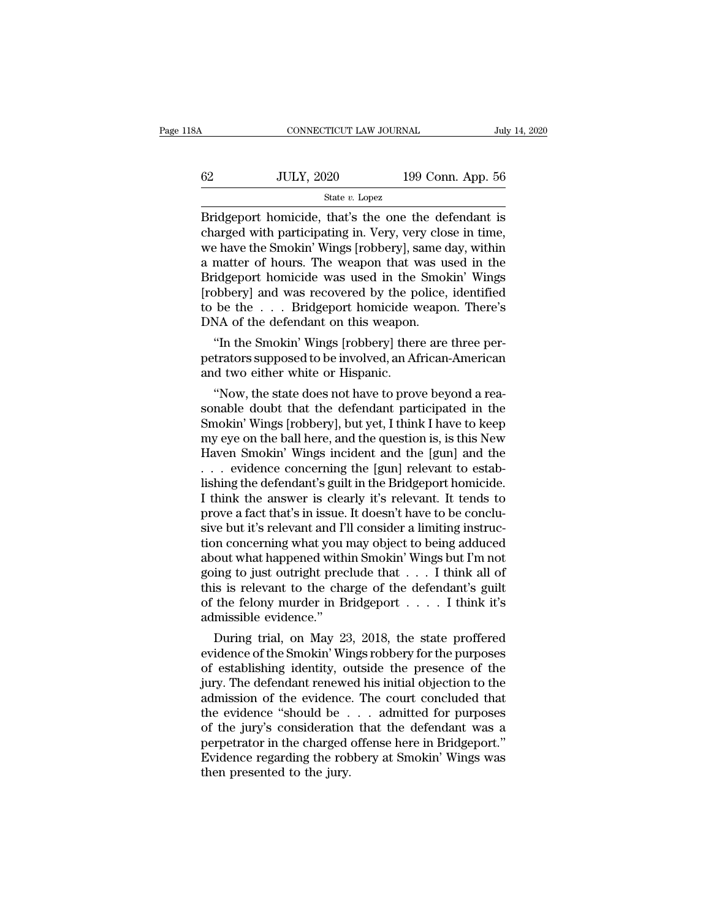| 3A | CONNECTICUT LAW JOURNAL |                   | July 14, 2020 |
|----|-------------------------|-------------------|---------------|
| 62 | <b>JULY, 2020</b>       | 199 Conn. App. 56 |               |
|    | State $v$ . Lopez       |                   |               |

 $\begin{array}{r} \text{COMRECTICUT LAW JOURNAL} & \text{July 14, 2020} \ \end{array}$ <br>  $\begin{array}{r} \text{SULY, 2020} & \text{199 Conn. App. 56} \ \end{array}$ <br>  $\begin{array}{r} \text{State } v. \text{ Lopez} \ \end{array}$ <br>  $\begin{array}{r} \text{Bridgeport homicide, that's the one the defendant is} \ \end{array}$ <br>  $\begin{array}{r} \text{charged with participating in. Very, very close in time,} \ \end{array}$ 62 JULY, 2020 199 Conn. App. 56<br>
State v. Lopez<br>
Bridgeport homicide, that's the one the defendant is<br>
charged with participating in. Very, very close in time,<br>
we have the Smokin' Wings [robbery], same day, within<br>
a mat  $\frac{\text{G2}}{\text{State } v. \text{ Lopez}}$  199 Conn. App. 56<br>State v. Lopez<br>Bridgeport homicide, that's the one the defendant is<br>charged with participating in. Very, very close in time,<br>we have the Smokin' Wings [robbery], same day, within<br>a  $\frac{62}{\text{State } v. \text{ Lopez}}$  199 Conn. App. 56<br>  $\frac{64}{\text{Bridgeport}}$ <br>
Bridgeport homicide, that's the one the defendant is<br>
charged with participating in. Very, very close in time,<br>
we have the Smokin' Wings [robbery], same day, within State v. Lopez<br>
State v. Lopez<br>
Bridgeport homicide, that's the one the defendant is<br>
charged with participating in. Very, very close in time,<br>
we have the Smokin' Wings [robbery], same day, within<br>
a matter of hours. The State v. Lopez<br>
Bridgeport homicide, that's the one the defendant is<br>
charged with participating in. Very, very close in time,<br>
we have the Smokin' Wings [robbery], same day, within<br>
a matter of hours. The weapon that was Bridgeport homicide, that's the one the defendant is<br>charged with participating in. Very, very close in time,<br>we have the Smokin' Wings [robbery], same day, within<br>a matter of hours. The weapon that was used in the<br>Bridgep charged with participating in. Very, very clowe have the Smokin' Wings [robbery], same of a matter of hours. The weapon that was u<br>Bridgeport homicide was used in the Smol<br>[robbery] and was recovered by the police,<br>to be t Phave the Smokin' Wings [robbery], same day, within<br>
matter of hours. The weapon that was used in the<br>
idgeport homicide was used in the Smokin' Wings<br>
bbbery] and was recovered by the police, identified<br>
be the . . . Brid a matter or nours. The weapon that was used in the<br>Bridgeport homicide was used in the Smokin' Wings<br>[robbery] and was recovered by the police, identified<br>to be the . . . Bridgeport homicide weapon. There's<br>DNA of the defe Bridgeport nomicide was used in the<br>[robbery] and was recovered by the po<br>to be the . . . Bridgeport homicide w<br>DNA of the defendant on this weapon.<br>"In the Smokin' Wings [robbery] ther<br>petrators supposed to be involved, a

be the . . . Bridgeport homicide weapon. There's<br>NA of the defendant on this weapon.<br>"In the Smokin' Wings [robbery] there are three per-<br>trators supposed to be involved, an African-American<br>d two either white or Hispanic.

DNA of the defendant on this weapon.<br>
"In the Smokin' Wings [robbery] there are three per-<br>
petrators supposed to be involved, an African-American<br>
and two either white or Hispanic.<br>
"Now, the state does not have to prove "In the Smokin' Wings [robbery] there are three per-<br>petrators supposed to be involved, an African-American<br>and two either white or Hispanic.<br>"Now, the state does not have to prove beyond a rea-<br>sonable doubt that the defe m the smokin wings [robbery] there are three per-<br>petrators supposed to be involved, an African-American<br>and two either white or Hispanic.<br>"Now, the state does not have to prove beyond a rea-<br>sonable doubt that the defenda petrators supposed to be involved, an African-American<br>and two either white or Hispanic.<br>"Now, the state does not have to prove beyond a reasonable doubt that the defendant participated in the<br>Smokin' Wings [robbery], but and two either white or Hispanic.<br>
"Now, the state does not have to prove beyond a reasonable doubt that the defendant participated in the<br>
Smokin' Wings [robbery], but yet, I think I have to keep<br>
my eye on the ball here, "Now, the state does not have to prove beyond a reasonable doubt that the defendant participated in the Smokin' Wings [robbery], but yet, I think I have to keep my eye on the ball here, and the question is, is this New Hav sonable doubt that the defendant participated in the<br>Smokin' Wings [robbery], but yet, I think I have to keep<br>my eye on the ball here, and the question is, is this New<br>Haven Smokin' Wings incident and the [gun] and the<br>... Smokin' Wings [robbery], but yet, I think I have to keep<br>my eye on the ball here, and the question is, is this New<br>Haven Smokin' Wings incident and the [gun] and the<br> $\ldots$  evidence concerning the [gun] relevant to estab-<br> my eye on the ball here, and the question is, is this New Haven Smokin' Wings incident and the [gun] and the . . . evidence concerning the [gun] relevant to establishing the defendant's guilt in the Bridgeport homicide. I Haven Smokin' Wings incident and the [gun] and the<br>  $\ldots$  evidence concerning the [gun] relevant to establishing the defendant's guilt in the Bridgeport homicide.<br>
I think the answer is clearly it's relevant. It tends to<br> . . . evidence concerning the [gun] relevant to establishing the defendant's guilt in the Bridgeport homicide.<br>I think the answer is clearly it's relevant. It tends to prove a fact that's in issue. It doesn't have to be co lishing the defendant's guilt in the Bridgeport homicide.<br>I think the answer is clearly it's relevant. It tends to<br>prove a fact that's in issue. It doesn't have to be conclu-<br>sive but it's relevant and I'll consider a lim I think the answer is clearly it's relevant. It tends to<br>prove a fact that's in issue. It doesn't have to be conclu-<br>sive but it's relevant and I'll consider a limiting instruc-<br>tion concerning what you may object to bein prove a fact that's in issue. It doesn't have to be conclusive but it's relevant and I'll consider a limiting instruction concerning what you may object to being adduced about what happened within Smokin' Wings but I'm not sive but it's relevant and I'll consider a limiting instruction concerning what you may object to being adduced<br>about what happened within Smokin' Wings but I'm not<br>going to just outright preclude that  $\dots$  I think all of out what happened within Smokin' Wings but I'm not<br>ing to just outright preclude that . . . I think all of<br>is is relevant to the charge of the defendant's guilt<br>the felony murder in Bridgeport . . . . I think it's<br>missible about what nappened within Smokin' wings but I m not<br>going to just outright preclude that  $\dots$  I think all of<br>this is relevant to the charge of the defendant's guilt<br>of the felony murder in Bridgeport  $\dots$  I think it's<br>ad

going to just outright preciude that . . . . I think all of<br>this is relevant to the charge of the defendant's guilt<br>of the felony murder in Bridgeport . . . . . I think it's<br>admissible evidence."<br>During trial, on May 23, 2 this is relevant to the charge of the defendant s guilt<br>of the felony murder in Bridgeport  $\dots$  . I think it's<br>admissible evidence."<br>During trial, on May 23, 2018, the state proffered<br>evidence of the Smokin' Wings robbery of the relony murder in Bridgeport . . . . . I think it's<br>admissible evidence."<br>During trial, on May 23, 2018, the state proffered<br>evidence of the Smokin' Wings robbery for the purposes<br>of establishing identity, outside th aamissible evidence.<br>
During trial, on May 23, 2018, the state proffered<br>
evidence of the Smokin' Wings robbery for the purposes<br>
of establishing identity, outside the presence of the<br>
jury. The defendant renewed his initi During trial, on May 23, 2018, the state proffered<br>evidence of the Smokin' Wings robbery for the purposes<br>of establishing identity, outside the presence of the<br>jury. The defendant renewed his initial objection to the<br>admis evidence of the Smokin' Wings robbery for the purposes<br>of establishing identity, outside the presence of the<br>jury. The defendant renewed his initial objection to the<br>admission of the evidence. The court concluded that<br>the of establishing identity, outside the presence of the<br>jury. The defendant renewed his initial objection to the<br>admission of the evidence. The court concluded that<br>the evidence "should be . . . admitted for purposes<br>of the the defendant renewer admission of the evidence the evidence "should be".<br>The evidence "should be".<br>Then present in the charged evidence regarding the rot<br>Evidence regarding the rot<br>then presented to the jury.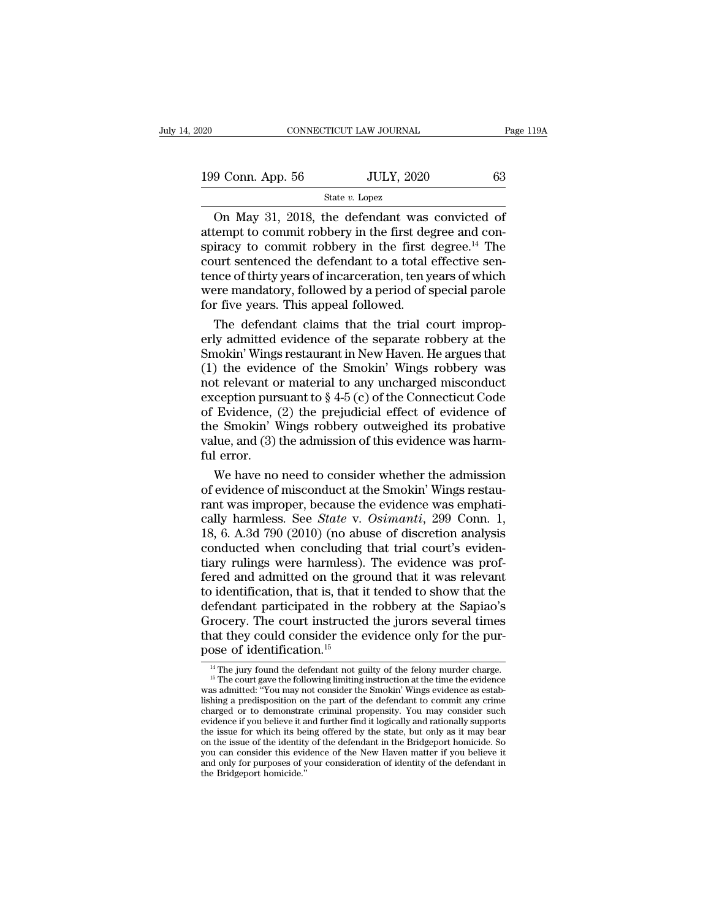| 20                | CONNECTICUT LAW JOURNAL | Page 119A |
|-------------------|-------------------------|-----------|
| 199 Conn. App. 56 | <b>JULY, 2020</b>       | 63        |
|                   | State $v$ . Lopez       |           |

CONNECTICUT LAW JOURNAL Page 119.<br>
9 Conn. App. 56 JULY, 2020 63<br>
State v. Lopez<br>
On May 31, 2018, the defendant was convicted of<br>
tempt to commit robbery in the first degree and con-<br>
tiracy to commit robbery in the firs 199 Conn. App. 56 JULY, 2020 63<br>
State v. Lopez<br>
On May 31, 2018, the defendant was convicted of<br>
attempt to commit robbery in the first degree and con-<br>
spiracy to commit robbery in the first degree.<sup>14</sup> The<br>
court sente 199 Conn. App. 56 JULY, 2020 63<br>
State v. Lopez<br>
On May 31, 2018, the defendant was convicted of<br>
attempt to commit robbery in the first degree and con-<br>
spiracy to commit robbery in the first degree.<sup>14</sup> The<br>
court sente 199 Conn. App. 56 JULY, 2020 63<br>
State v. Lopez<br>
On May 31, 2018, the defendant was convicted of<br>
attempt to commit robbery in the first degree and con-<br>
spiracy to commit robbery in the first degree.<sup>14</sup> The<br>
court sente Solution May 31, 2018, the defendant was convicted of<br>attempt to commit robbery in the first degree and con-<br>spiracy to commit robbery in the first degree.<sup>14</sup> The<br>court sentenced the defendant to a total effective sen-<br>t State  $v$ . Lopez<br>
On May 31, 2018, the defendant was convicted of<br>
attempt to commit robbery in the first degree and con-<br>
spiracy to commit robbery in the first degree.<sup>14</sup> The<br>
court sentenced the defendant to a total e On May 31, 2018, the defendant was<br>attempt to commit robbery in the first deg<br>spiracy to commit robbery in the first deg<br>court sentenced the defendant to a total d<br>tence of thirty years of incarceration, ten y<br>were mandato tempt to commit robbery in the first degree and con-<br>iracy to commit robbery in the first degree.<sup>14</sup> The<br>urt sentenced the defendant to a total effective sen-<br>nce of thirty years of incarceration, ten years of which<br>pre-m spiracy to commit robbery in the first degree.<sup>14</sup> The<br>court sentenced the defendant to a total effective sen-<br>tence of thirty years of incarceration, ten years of which<br>were mandatory, followed by a period of special paro

court sentenced the defendant to a total effective sentence of thirty years of incarceration, ten years of which<br>were mandatory, followed by a period of special parole<br>for five years. This appeal followed.<br>The defendant cl tence of thirty years of incarceration, ten years of which<br>were mandatory, followed by a period of special parole<br>for five years. This appeal followed.<br>The defendant claims that the trial court improp-<br>erly admitted evide were mandatory, followed by a period of special parole<br>for five years. This appeal followed.<br>The defendant claims that the trial court improp-<br>erly admitted evidence of the separate robbery at the<br>Smokin' Wings restaurant for five years. This appeal followed.<br>
The defendant claims that the trial court improp-<br>
erly admitted evidence of the separate robbery at the<br>
Smokin' Wings restaurant in New Haven. He argues that<br>
(1) the evidence of t The defendant claims that the trial court improperly admitted evidence of the separate robbery at the Smokin' Wings restaurant in New Haven. He argues that (1) the evidence of the Smokin' Wings robbery was not relevant or erly admitted evidence of the separate robbery at the<br>Smokin' Wings restaurant in New Haven. He argues that<br>(1) the evidence of the Smokin' Wings robbery was<br>not relevant or material to any uncharged misconduct<br>exception p Smokin' Wings restaurant in New Haven. He argues that<br>
(1) the evidence of the Smokin' Wings robbery was<br>
not relevant or material to any uncharged misconduct<br>
exception pursuant to  $\S 4.5$  (c) of the Connecticut Code<br>
of (1) the evider<br>not relevant o<br>exception purs<br>of Evidence, (<br>the Smokin' V<br>value, and (3)<br>ful error.<br>We have no the relevant or material to any uncharged misconduct<br>ception pursuant to § 4-5 (c) of the Connecticut Code<br>Evidence, (2) the prejudicial effect of evidence of<br>e Smokin' Wings robbery outweighed its probative<br>lue, and (3) t exception pursuant to § 4-5 (c) of the Connecticut Code<br>of Evidence, (2) the prejudicial effect of evidence of<br>the Smokin' Wings robbery outweighed its probative<br>value, and (3) the admission of this evidence was harm-<br>ful

of Evidence, (2) the prejudicial effect of evidence of<br>the Smokin' Wings robbery outweighed its probative<br>value, and (3) the admission of this evidence was harm-<br>ful error.<br>We have no need to consider whether the admissio the Smokin' Wings robbery outweighed its probative<br>value, and (3) the admission of this evidence was harm-<br>ful error.<br>We have no need to consider whether the admission<br>of evidence of misconduct at the Smokin' Wings restauvalue, and (3) the admission of this evidence was harm-<br>ful error.<br>We have no need to consider whether the admission<br>of evidence of misconduct at the Smokin' Wings restau-<br>rant was improper, because the evidence was empha ful error.<br>We have no need to consider whether the admission<br>of evidence of misconduct at the Smokin' Wings restau-<br>rant was improper, because the evidence was emphati-<br>cally harmless. See *State* v. *Osimanti*, 299 Conn. We have no need to consider whether the admission<br>of evidence of misconduct at the Smokin' Wings restau-<br>rant was improper, because the evidence was emphati-<br>cally harmless. See *State* v. *Osimanti*, 299 Conn. 1,<br>18, 6. A of evidence of misconduct at the Smokin' Wings restaurant was improper, because the evidence was emphatically harmless. See *State* v. *Osimanti*, 299 Conn. 1, 18, 6. A.3d 790 (2010) (no abuse of discretion analysis conduc rant was improper, because the evidence was emphatically harmless. See *State* v. *Osimanti*, 299 Conn. 1, 18, 6. A.3d 790 (2010) (no abuse of discretion analysis conducted when concluding that trial court's evidentiary ru cally harmless. See *State* v. Osimanti, 299 Conn. 1, 18, 6. A.3d 790 (2010) (no abuse of discretion analysis conducted when concluding that trial court's evidentiary rulings were harmless). The evidence was profered and 18, 6. A.3d 790 (2010) (no abuse of discretion analysis<br>conducted when concluding that trial court's eviden-<br>tiary rulings were harmless). The evidence was prof-<br>fered and admitted on the ground that it was relevant<br>to id conducted when concluding that trial court's evidentiary rulings were harmless). The evidence was prof-<br>fered and admitted on the ground that it was relevant<br>to identification, that is, that it tended to show that the<br>defe tiary rulings were harmless).<br>fered and admitted on the greation of the distribution, that is, that if<br>defendant participated in the<br>Grocery. The court instructed<br>that they could consider the e<br>pose of identification.<sup>15</sup> Efendant participated in the robbery at the Sapiao's<br>rocery. The court instructed the jurors several times<br>at they could consider the evidence only for the pur-<br>pose of identification.<sup>15</sup><br><sup>14</sup> The jury found the defendant

Grocery. The court instructed the jurors several times<br>that they could consider the evidence only for the pur-<br>pose of identification.<sup>15</sup><br> $\frac{14}{10}$  The jury found the defendant not guilty of the felony murder charge.<br><sup></sup> that they could consider the evidence only for the pur-<br>pose of identification.<sup>15</sup><br> $\frac{14}{11}$  The jury found the defendant not guilty of the felony murder charge.<br><sup>15</sup> The court gave the following limiting instruction a **pose of identification.**<sup>15</sup><br>
<sup>14</sup> The jury found the defendant not guilty of the felony murder charge.<br>
<sup>15</sup> The court gave the following limiting instruction at the time the evidence was admitted: "You may not consider pose of identification.<br>
<sup>14</sup> The jury found the defendant not guilty of the felony murder charge.<br>
<sup>15</sup> The court gave the following limiting instruction at the time the evidence<br>
was admitted: "You may not consider the S <sup>14</sup> The jury found the defendant not guilty of the felony murder charge.<br><sup>15</sup> The court gave the following limiting instruction at the time the evidence was admitted: "You may not consider the Smokin' Wings evidence as e <sup>15</sup> The court gave the following limiting instruction at the time the evidence was admitted: "You may not consider the Smokin' Wings evidence as establishing a predisposition on the part of the defendant to commit any cri lishing a predisposition on the part of the defendant to commit any crime charged or to demonstrate criminal propensity. You may consider such evidence if you believe it and further find it logically and rationally suppor main and a predisposition on the part of the defendant to commit any crime charged or to demonstrate criminal propensity. You may consider such evidence if you believe it and further find it logically and rationally suppor you can consider this evidence of the New Haven matter if you believe it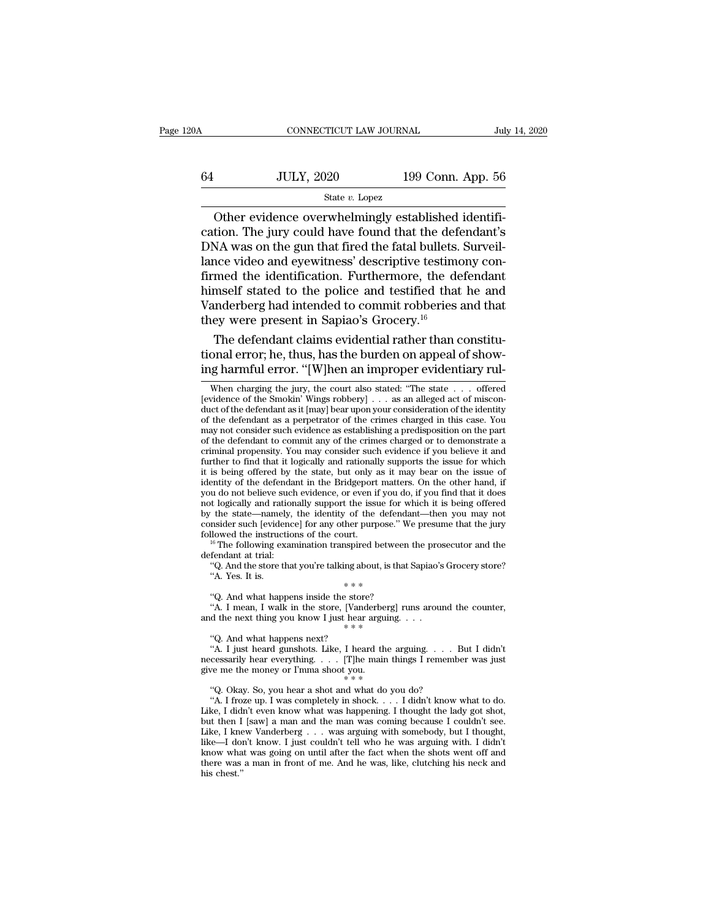# CONNECTICUT LAW JOURNAL July 14, 2020<br>64 JULY, 2020 199 Conn. App. 56<br>50 State v. Lopez State *v.* Lopez

CONNECTICUT LAW JOURNAL<br>Jul<br>JULY, 2020 199 Conn. App. 56<br>State v. Lopez<br>Other evidence overwhelmingly established identifi-<br>tion. The jury could have found that the defendant's<br>NA was on the gun that fired the fatal hullet  $\begin{array}{r} \text{G4} & \text{JULY, 2020} & \text{199 Conn. App. 56} \\ \text{State } v. \text{ Lopez} \end{array}$ <br>Other evidence overwhelmingly established identification. The jury could have found that the defendant's DNA was on the gun that fired the fatal bullets. Surv  $U_L$ ,  $2020$  199 Conn. App. 56<br>  $U_L$  State v. Lopez<br>
Other evidence overwhelmingly established identification. The jury could have found that the defendant's<br>
DNA was on the gun that fired the fatal bullets. Surveillance  $\frac{199 \text{ Conn. App. } 56}{\text{State } v. \text{ Lopez}}$ <br>
Other evidence overwhelmingly established identification. The jury could have found that the defendant's<br>
DNA was on the gun that fired the fatal bullets. Surveillance video and eyewitnes For  $\frac{1}{2}$  or  $\frac{1}{2}$  or  $\frac{1}{2}$  or  $\frac{1}{2}$  or  $\frac{1}{2}$  or  $\frac{1}{2}$  or  $\frac{1}{2}$  or  $\frac{1}{2}$  or  $\frac{1}{2}$  or  $\frac{1}{2}$  or  $\frac{1}{2}$  or  $\frac{1}{2}$  or  $\frac{1}{2}$  or  $\frac{1}{2}$  or  $\frac{1}{2}$  or  $\frac{1}{2}$  or  $\frac{1}{2}$ State v. Lopez<br>
Other evidence overwhelmingly established identifi-<br>
cation. The jury could have found that the defendant's<br>
DNA was on the gun that fired the fatal bullets. Surveil-<br>
lance video and eyewitness' descripti Other evidence overwhelmingly established identification. The jury could have found that the defendant's DNA was on the gun that fired the fatal bullets. Surveillance video and eyewitness' descriptive testimony confirmed cation. The jury could have found that the defe<br>DNA was on the gun that fired the fatal bullets.<br>lance video and eyewitness' descriptive testime<br>firmed the identification. Furthermore, the de<br>himself stated to the police a NA was on the gun that fired the fatal bullets. Surveil-<br>nce video and eyewitness' descriptive testimony con-<br>med the identification. Furthermore, the defendant<br>mself stated to the police and testified that he and<br>underber lance video and eyewitness' descriptive testimony confirmed the identification. Furthermore, the defendant himself stated to the police and testified that he and Vanderberg had intended to commit robberies and that they we firmed the identification. Furthermore, the defendant<br>himself stated to the police and testified that he and<br>Vanderberg had intended to commit robberies and that<br>they were present in Sapiao's Grocery.<sup>16</sup><br>The defendant cl

rey were present in Sapiao's Grocery."<br>The defendant claims evidential rather than constitu-<br>onal error; he, thus, has the burden on appeal of show-<br>ig harmful error. "[W]hen an improper evidentiary rul-<br>when charging the The defendant claims evidential rather than constitutional error; he, thus, has the burden on appeal of showing harmful error. "[W]hen an improper evidentiary rul-<br>When charging the jury, the court also stated: "The state

% followed the instructions of the court.<br>
""The following examination transpired between the prosecutor and the defendant at trial:<br>
"Q. And the store that you're talking about, is that Sapiao's Grocery store?<br>
"A. Yes. <sup>16</sup> The following examination transpired between the prosecutor and the fendant at trial:<br>
"Q. And the store that you're talking about, is that Sapiao's Grocery store?<br>
"A. Yes. It is.<br>
"Q. And what happens inside the st defendant at trial:<br>
"Q. And the store that you're talking about, is that Sapiao's<br>
"A. Yes. It is.<br>
" $* * *$ <br>
"Q. And what happens inside the store?<br>
"A. I mean, I walk in the store, [Vanderberg] runs arous<br>
and the next t A. Yes. It is.<br>
"A. Yes. It is.<br>
"A. Yes. It is.<br>
"A. I mean, I walk in the store, [Vand the next thing you know I just hear<br>
"A. I just heard gunshots. Like, I hear<br>
"A. I just heard gunshots. Like, I hear<br>
"A. I just hea

<sup>\*</sup>\*\*<br>
"Q. And what happens inside the store?<br>
"A. I mean, I walk in the store, [Vanderberg] runs around the counter,<br>
d the next thing you know I just hear arguing. . . .<br>
"Q. And what happens next?<br>
"A. I just heard guns "Q. And what happens inside the store?<br>
"A. I mean, I walk in the store, [Vanderberg] runs around the counter,<br>
and the next thing you know I just hear arguing. . . .<br>
"Q. And what happens next?<br>
"A. I just heard gunshots <sup>4</sup>A. I mean, I walk in the store, [Vanderberg]<br>and the next thing you know I just hear arguing<br> $* * *$ <br>"Q. And what happens next?<br>"A. I just heard gunshots. Like, I heard the a<br>necessarily hear everything.... [The main th<br> ''Q. Okay. So, you hear a shot and what do you do? "Q. And what happens next?<br>
"A. I just heard gunshots. Like, I heard the arguing. . . . But I didn't<br>
cessarily hear everything. . . . [T]he main things I remember was just<br>
we me the money or I'mma shoot you.<br>
"4. I froze

Frame was expressed to the arguing. The and the arguing  $\cdot$   $\cdot$  But I didn't necessarily hear everything  $\cdot$   $\cdot$  [T]he main things I remember was just give me the money or I'mma shoot you.<br>
"Q. Okay. So, you hear a sh but then I [saw] a man and the man was coming because I couldn't see. Like, I know Vanderberg ... we are a shot with some of  $\mathbb{R}^n$ . The method of  $\mathbb{R}^n$ . If didn't know what to do.<br>Like, I didn't even know what was happening. I thought the lady got shot,<br>but then I [saw] a man and (a) Okay. So, you hear a shot and what do you do?<br>
"A. I froze up. I was completely in shock.... I didn't know what to do.<br>
Like, I didn't even know what was happening. I thought the lady got shot,<br>
but then I [saw] a man "Q. Okay. So, you hear a shot and what do you do? "A. I froze up. I was completely in shock. . . . I didn't know what to do. Like, I didn't even know what was happening. I thought the lady got shot, but then I [saw] a man "A. I froze up. I was completely in shock.... I didn't know what to do.<br>Like, I didn't even know what was happening. I thought the lady got shot,<br>but then I [saw] a man and the man was coming because I couldn't see.<br>Like, Like, I didn't even know what was happening. I thought the lady got shot, but then I [saw] a man and the man was coming because I couldn't see. Like, I knew Vanderberg  $\ldots$  was arguing with somebody, but I thought, like—

The defendant claims evidential rather than constitutional error; he, thus, has the burden on appeal of showing harmful error. "[W]hen an improper evidentiary rul-<br>When charging the jury, the court also stated: "The state tional error; he, thus, has the burden on appeal of showing harmful error. "[W]hen an improper evidentiary rul-<br>when charging the jury, the court also stated: "The state  $\ldots$  offered [evidence of the Smokin' Wings robber ing harmful error. "[W]hen an improper evidentiary rul-<br>
when charging the jury, the court also stated: "The state . . . offered<br>
[evidence of the Smokin' Wings robbery] . . . as an alleged act of misconduct of the defend **The defendant of the defendant** of the defendant of the defendant as it [may] bear upon your consideration of the identity of the defendant as it [may] bear upon your consideration of the identity of the defendant as a p When charging the jury, the court also stated: "The state  $\ldots$  offered [evidence of the Smokin' Wings robbery]  $\ldots$  as an alleged act of misconduct of the defendant as it [may] bear upon your consideration of the identi Further to find sum, while that it logically and rational and reduced the defendant as it imay bear upon your consideration of the identity of the defendant as a perpetrator of the crimes charged in this case. You may not force of the defendant as it [may] bear upon your consideration of the identity<br>of the defendant as it [may] bear upon your consideration of the identity<br>of the defendant as a perpetrator of the crimes charged in this case and the defendant in the defendant in the crimes charged in this case. You may not consider such evidence as establishing a predisposition on the part of the defendant to commit any of the crimes charged or to demonstrate may not consider such evidence as establishing a predisposition on the part<br>of the defendant to commit any of the crimes charged or to demonstrate a<br>criminal propensity. You may consider such evidence if you believe it and not do the defendant both commit any of the crimes charged or to demonstrate a<br>criminal propensity. You may consider such evidence if you believe it and<br>further to find that it logically and rationally supports the issue f by the state—namely, the identity of the defendant—then you helieve it and further to find that it logically and rationally supports the issue for which it is being offered by the state, but only as it may bear on the issu consider to find that it logically and rationally supports the issue for which<br>it is being offered by the state, but only as it may bear on the issue of<br>identity of the defendant in the Bridgeport matters. On the other ha Followed the defendant in the Bridgeport matters. On the other hand, if<br>it is being offered by the state, but only as it may bear on the issue of<br>identity of the defendant in the Bridgeport matters. On the other hand, if<br> sexually or the derivative such<br>you do not believe such<br>not logically and ration<br>by the state—namely,<br>consider such [evidence]<br> $^{16}$  The following examedered at trial:<br> $^{40}$  And the store tha<br> $^{42}$  A Nes It is to the state—namely, the issue for which it is being offered the state—namely, the identity of the defendant—then you may not msider such [evidence] for any other purpose." We presume that the jury llowed the instructions The state—namely, the identity of the defermider such [evidence] for any other purpose."<br>
llowed the instructions of the court.<br>
<sup>16</sup> The following examination transpired betwe fendant at trial:<br>
"Q. And the store that yo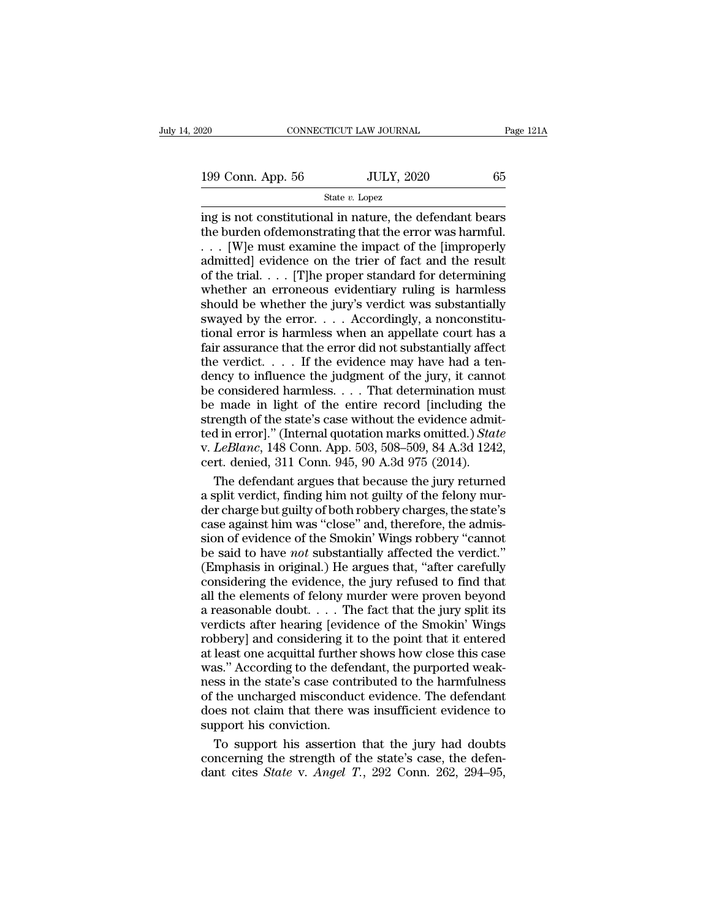State *v.* Lopez

 $\begin{array}{ll}\n 199 \text{ Conn. App. } 56 \quad \text{JULY, } 2020 \quad \text{65}\n \hline\n 199 \text{ Conn. App. } 56 \quad \text{State } v. \text{ Lopez}\n \hline\n \text{ing is not constitutional in nature, the defendant bears}\n \text{the burden ofdemonstrating that the error was harmful.}\n \text{[Wle must examine the impact of the [improper]}\n \end{array}$ 199 Conn. App. 56 JULY, 2020 65<br>State v. Lopez<br>ing is not constitutional in nature, the defendant bears<br>the burden of demonstrating that the error was harmful.<br> $\ldots$  [W]e must examine the impact of the [improperly<br>admitte 199 Conn. App. 56 JULY, 2020 65<br>
State v. Lopez<br>
ing is not constitutional in nature, the defendant bears<br>
the burden of demonstrating that the error was harmful.<br>
. . . [W]e must examine the impact of the [improperly<br>
ad 199 Conn. App. 56 JULY, 2020 65<br>
State v. Lopez<br>
ing is not constitutional in nature, the defendant bears<br>
the burden of demonstrating that the error was harmful.<br>
... [W]e must examine the impact of the [improperly<br>
admi Solution State v. Lopez<br>
State v. Lopez<br>
ing is not constitutional in nature, the defendant bears<br>
the burden of<br>
demonstrating that the error was harmful.<br>
... [W]e must examine the impact of the [improperly<br>
admitted] e State *v*. Lopez<br>ing is not constitutional in nature, the defendant bears<br>the burden ofdemonstrating that the error was harmful.<br> $\dots$  [W]e must examine the impact of the [improperly<br>admitted] evidence on the trier of fact ing is not constitutional in nature, the defendant bears<br>the burden ofdemonstrating that the error was harmful.<br>... [W]e must examine the impact of the [improperly<br>admitted] evidence on the trier of fact and the result<br>of the burden of demonstrating that the error was harmful.<br>
. . . [W]e must examine the impact of the [improperly admitted] evidence on the trier of fact and the result<br>
of the trial. . . . [T]he proper standard for determin ... [W]e must examine the impact of the [improperly admitted] evidence on the trier of fact and the result of the trial.... [T]he proper standard for determining whether an erroneous evidentiary ruling is harmless should admitted] evidence on the trier of fact and the result<br>of the trial. . . . [T]he proper standard for determining<br>whether an erroneous evidentiary ruling is harmless<br>should be whether the jury's verdict was substantially<br>s of the trial. . . . [T]he proper standard for determining<br>whether an erroneous evidentiary ruling is harmless<br>should be whether the jury's verdict was substantially<br>swayed by the error. . . . Accordingly, a nonconstitu-<br>t whether an erroneous evidentiary ruling is harmless<br>should be whether the jury's verdict was substantially<br>swayed by the error....Accordingly, a nonconstitu-<br>tional error is harmless when an appellate court has a<br>fair ass should be whether the jury's verdict was substantially<br>swayed by the error. . . . Accordingly, a nonconstitu-<br>tional error is harmless when an appellate court has a<br>fair assurance that the error did not substantially affe swayed by the error. . . . Accordingly, a nonconstitutional error is harmless when an appellate court has a fair assurance that the error did not substantially affect the verdict. . . . If the evidence may have had a tend strength of the state is harmless when an appellate court has a fair assurance that the error did not substantially affect the verdict.... If the evidence may have had a tendency to influence the judgment of the jury, it Fair assurance that the error did not substantially affect<br>the verdict.... If the evidence may have had a ten-<br>dency to influence the judgment of the jury, it cannot<br>be considered harmless.... That determination must<br>be m v. **Let us a line of the state of the evidence may have had a tendency to influence the judgment of the jury, it cannot be considered harmless. . . . That determination must be made in light of the entire record [including** check that the independent of the jury, it cannot dency to influence the judgment of the jury, it cannot be considered harmless. . . . That determination muss be made in light of the entire record [including th strength of considered harmless. . . . That determination must<br>made in light of the entire record [including the<br>rength of the state's case without the evidence admit-<br>d in error]." (Internal quotation marks omitted.) *State*<br>LeBlanc be made in light of the entire record [including the strength of the state's case without the evidence admitted in error]." (Internal quotation marks omitted.) State v. LeBlanc, 148 Conn. App. 503, 508–509, 84 A.3d 1242, c

strength of the state's case without the evidence admitted in error]." (Internal quotation marks omitted.) *State* v. *LeBlanc*, 148 Conn. App. 503, 508–509, 84 A.3d 1242, cert. denied, 311 Conn. 945, 90 A.3d 975 (2014).<br>T ted in error]." (Internal quotation marks omitted.) *State*<br>v. *LeBlanc*, 148 Conn. App. 503, 508–509, 84 A.3d 1242,<br>cert. denied, 311 Conn. 945, 90 A.3d 975 (2014).<br>The defendant argues that because the jury returned<br>a sp v. *LeBlanc*, 148 Conn. App. 503, 508–509, 84 A.3d 1242,<br>cert. denied, 311 Conn. 945, 90 A.3d 975 (2014).<br>The defendant argues that because the jury returned<br>a split verdict, finding him not guilty of the felony mur-<br>der c cert. denied, 311 Conn. 945, 90 A.3d 975 (2014).<br>The defendant argues that because the jury returned<br>a split verdict, finding him not guilty of the felony mur-<br>der charge but guilty of both robbery charges, the state's<br>cas The defendant argues that because the jury returned<br>a split verdict, finding him not guilty of the felony mur-<br>der charge but guilty of both robbery charges, the state's<br>case against him was "close" and, therefore, the adm a split verdict, finding him not guilty of the felony murder charge but guilty of both robbery charges, the state's case against him was "close" and, therefore, the admission of evidence of the Smokin' Wings robbery "cann all the charge but guilty of both robbery charges, the state's<br>case against him was "close" and, therefore, the admis-<br>sion of evidence of the Smokin' Wings robbery "cannot<br>be said to have *not* substantially affected the a reasonable doubt. . . . . The fact that the jury split its verdicts.<br>
Therefore, the admission of evidence of the Smokin' Wings robbery "cannot<br>
be said to have *not* substantially affected the verdict."<br>
(Emphasis in or sion of evidence of the Smokin' Wings robbery "cannot<br>be said to have *not* substantially affected the verdict."<br>(Emphasis in original.) He argues that, "after carefully<br>considering the evidence, the jury refused to find be said to have *not* substantially affected the verdict."<br>(Emphasis in original.) He argues that, "after carefully<br>considering the evidence, the jury refused to find that<br>all the elements of felony murder were proven beyo be completed in original.) He argues that, "after carefully considering the evidence, the jury refused to find that all the elements of felony murder were proven beyond a reasonable doubt. . . . The fact that the jury spli Considering the evidence, the jury refused to find that all the elements of felony murder were proven beyond a reasonable doubt.  $\dots$  The fact that the jury split its verdicts after hearing [evidence of the Smokin' Wings Extracting the Criticles, the july Terms of the harm and a reasonable doubt. . . . . The fact that the jury split its verdicts after hearing [evidence of the Smokin' Wings robbery] and considering it to the point that it e are scanable doubt. . . . The fact that the jury split its<br>verdicts after hearing [evidence of the Smokin' Wings<br>robbery] and considering it to the point that it entered<br>at least one acquittal further shows how close this does not claim in the claim of the Smokin' Wings<br>robbery] and considering it to the point that it entered<br>at least one acquittal further shows how close this case<br>was." According to the defendant, the purported weak-<br>ness For also also realing police<br>robbery] and considering it t<br>at least one acquittal further<br>was." According to the defer<br>ness in the state's case control<br>of the uncharged misconduc<br>does not claim that there w:<br>support his co least one acquittal further shows how close this case<br>as." According to the defendant, the purported weak-<br>ss in the state's case contributed to the harmfulness<br>the uncharged misconduct evidence. The defendant<br>less not cl was." According to the defendant, the purported weakness in the state's case contributed to the harmfulness<br>of the uncharged misconduct evidence. The defendant<br>does not claim that there was insufficient evidence to<br>suppor ness in the state's case contributed to the harmfulness<br>of the uncharged misconduct evidence. The defendant<br>does not claim that there was insufficient evidence to<br>support his conviction.<br>To support his assertion that the j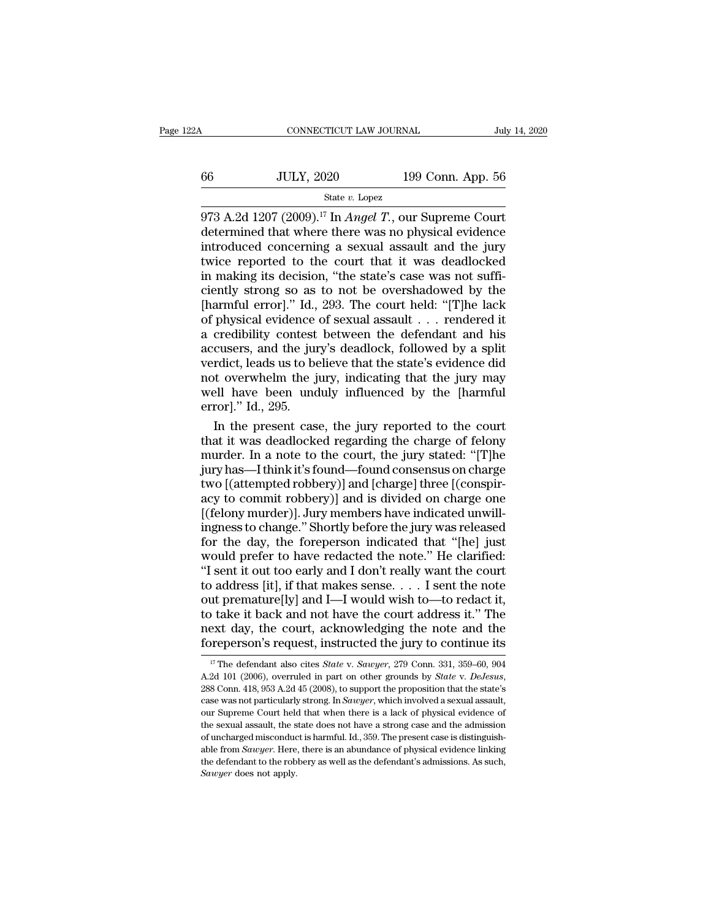| ۵A | CONNECTICUT LAW JOURNAL |                   | July 14, 2020 |
|----|-------------------------|-------------------|---------------|
| 66 | <b>JULY, 2020</b>       | 199 Conn. App. 56 |               |
|    | State $v$ . Lopez       |                   |               |

CONNECTICUT LAW JOURNAL July 14, 2020<br>
973 A.2d 1207 (2009).<sup>17</sup> In *Angel T*., our Supreme Court<br>
determined that where there was no physical evidence<br>
introduced concerning a sexual assault and the jury  $\frac{JULY, 2020}{\text{State } v. \text{ Lopez}}$  199 Conn. App. 56<br>  $\frac{84.2 \text{d} \cdot 1207 (2009).^{17} \text{In} \text{Angle } T.}{}$ , our Supreme Court determined that where there was no physical evidence introduced concerning a sexual assault and the jury twic <sup>66</sup><br>
IULY, 2020 199 Conn. App. 56<br>
<sup>State v. Lopez</sup><br>
<sup>State v. Lopez</sup><br>
<sup>State v. Lopez</sup><br>
<sup>State v. Lopez</sup><br>
<br>
determined that where there was no physical evidence<br>
introduced concerning a sexual assault and the jury<br>
twic 56 JULY, 2020 199 Conn. App. 56<br>
State v. Lopez<br>  $\frac{373 \text{ A.2d}}{207 (2009).}$ <sup>17</sup> In *Angel T*., our Supreme Court<br>
determined that where there was no physical evidence<br>
introduced concerning a sexual assault and the jury<br> 66 JULY, 2020 199 Conn. App. 56<br>  $\frac{\text{State } v. \text{ Lopez}}{973 \text{ A}.2d}$  1207 (2009).<sup>17</sup> In *Angel T*., our Supreme Court<br>
determined that where there was no physical evidence<br>
introduced concerning a sexual assault and the jury<br>
t State v. Lopez<br>
973 A.2d 1207 (2009).<sup>17</sup> In *Angel T*., our Supreme Court<br>
determined that where there was no physical evidence<br>
introduced concerning a sexual assault and the jury<br>
twice reported to the court that it wa 973 A.2d 1207 (2009).<sup>17</sup> In *Angel T*., our Supreme Court<br>determined that where there was no physical evidence<br>introduced concerning a sexual assault and the jury<br>twice reported to the court that it was deadlocked<br>in mak determined that where there was no physical evidence<br>introduced concerning a sexual assault and the jury<br>twice reported to the court that it was deadlocked<br>in making its decision, "the state's case was not suffi-<br>ciently s introduced concerning a sexual assault and the jury<br>twice reported to the court that it was deadlocked<br>in making its decision, "the state's case was not suffi-<br>ciently strong so as to not be overshadowed by the<br>[harmful er twice reported to the court that it was deadlocked<br>in making its decision, "the state's case was not suffi-<br>ciently strong so as to not be overshadowed by the<br>[harmful error]." Id., 293. The court held: "[T]he lack<br>of phys in making its decision, "the state's case was not sufficiently strong so as to not be overshadowed by the [harmful error]." Id., 293. The court held: "[T]he lack of physical evidence of sexual assault  $\ldots$  rendered it a ciently strong so as to not be overshadowed by the [harmful error]." Id., 293. The court held: "[T]he lack of physical evidence of sexual assault . . . rendered it a credibility contest between the defendant and his accus [harmful error]." Id., 293. The court held: "[T]he lack<br>of physical evidence of sexual assault . . . rendered it<br>a credibility contest between the defendant and his<br>accusers, and the jury's deadlock, followed by a split<br>ve error of physical evidence<br>a credibility contest<br>accusers, and the jure<br>verdict, leads us to be<br>not overwhelm the j<br>well have been und<br>error]." Id., 295.<br>In the present cas credibility contest between the defendant and his<br>cusers, and the jury's deadlock, followed by a split<br>rdict, leads us to believe that the state's evidence did<br>t overwhelm the jury, indicating that the jury may<br>ell have be accusers, and the jury's deadlock, followed by a split<br>verdict, leads us to believe that the state's evidence did<br>not overwhelm the jury, indicating that the jury may<br>well have been unduly influenced by the [harmful<br>error]

verdict, leads us to believe that the state's evidence did<br>not overwhelm the jury, indicating that the jury may<br>well have been unduly influenced by the [harmful<br>error]." Id., 295.<br>In the present case, the jury reported to not overwhelm the jury, indicating that the jury may<br>well have been unduly influenced by the [harmful<br>error]." Id., 295.<br>In the present case, the jury reported to the court<br>that it was deadlocked regarding the charge of fe well have been unduly influenced by the [harmful<br>error]." Id., 295.<br>In the present case, the jury reported to the court<br>that it was deadlocked regarding the charge of felony<br>murder. In a note to the court, the jury stated: error]." Id., 295.<br>
In the present case, the jury reported to the court<br>
that it was deadlocked regarding the charge of felony<br>
murder. In a note to the court, the jury stated: "[T]he<br>
jury has—I think it's found—found con In the present case, the jury reported to the court<br>that it was deadlocked regarding the charge of felony<br>murder. In a note to the court, the jury stated: "[T]he<br>jury has—I think it's found—found consensus on charge<br>two [( that it was deadlocked regarding the charge of felony<br>murder. In a note to the court, the jury stated: "[T]he<br>jury has—I think it's found—found consensus on charge<br>two [(attempted robbery)] and [charge] three [(conspir-<br>ac murder. In a note to the court, the jury stated: "[T]he<br>jury has—I think it's found—found consensus on charge<br>two [(attempted robbery)] and [charge] three [(conspir-<br>acy to commit robbery)] and is divided on charge one<br>[(f jury has—I think it's found—found consensus on charge<br>two [(attempted robbery)] and [charge] three [(conspir-<br>acy to commit robbery)] and is divided on charge one<br>[(felony murder)]. Jury members have indicated unwill-<br>ingn two [(attempted robbery)] and [charge] three [(conspiracy to commit robbery)] and is divided on charge one [(felony murder)]. Jury members have indicated unwill-<br>ingness to change." Shortly before the jury was released<br>fo acy to commit robbery)] and is divided on charge one [(felony murder)]. Jury members have indicated unwill-<br>ingness to change." Shortly before the jury was released<br>for the day, the foreperson indicated that "[he] just<br>wou [(felony murder)]. Jury members have indicated unwill-<br>ingness to change." Shortly before the jury was released<br>for the day, the foreperson indicated that "[he] just<br>would prefer to have redacted the note." He clarified:<br> the day, the foreperson indicated that "[he] just<br>would prefer to have redacted the note." He clarified:<br>"I sent it out too early and I don't really want the court<br>to address [it], if that makes sense.... I sent the note<br>o for the day, the foreperson indicated that "[he] just<br>would prefer to have redacted the note." He clarified:<br>"I sent it out too early and I don't really want the court<br>to address [it], if that makes sense. . . . I sent the would prefer to have redacted the note." He clarified:<br>"I sent it out too early and I don't really want the court<br>to address [it], if that makes sense.... I sent the note<br>out premature[ly] and I—I would wish to—to redact out premature[ly] and I—I would wish to—to redact it,<br>to take it back and not have the court address it." The<br>next day, the court, acknowledging the note and the<br>foreperson's request, instructed the jury to continue its<br> $\$ 

to take it back and not have the court address it." The next day, the court, acknowledging the note and the foreperson's request, instructed the jury to continue its  $\frac{17}{17}$  The defendant also cites *State* v. *Sawyer* foreperson's request, instructed the jury to continue its<br>
<sup>17</sup> The defendant also cites *State* v. *Sawyer*, 279 Conn. 331, 359–60, 904<br>
A.2d 101 (2006), overruled in part on other grounds by *State* v. *DeJesus*,<br>
288 Co **LOTEPETSON S TEQUEST, INSTRUCTED THE UPTY TO CONTRINUE ITS**<br>
<sup>17</sup> The defendant also cites *State* v. *Sawyer*, 279 Conn. 331, 359–60, 904<br>
A.2d 101 (2006), overruled in part on other grounds by *State* v. *DeJesus*,<br>
28 <sup>17</sup> The defendant also cites *State* v. *Sawyer*, 279 Conn. 331, 359–60, 904<br>A.2d 101 (2006), overruled in part on other grounds by *State* v. *DeJesus*,<br>288 Conn. 418, 953 A.2d 45 (2008), to support the proposition that A.2d 101 (2006), overruled in part on other grounds by *State* v. *DeJesus*, 288 Conn. 418, 953 A.2d 45 (2008), to support the proposition that the state's case was not particularly strong. In *Sawyer*, which involved a s <sup>2288</sup> Conn. 418, 953 A.2d 45 (2008), to support the proposition that the state's case was not particularly strong. In *Sawyer*, which involved a sexual assault, our Supreme Court held that when there is a lack of physica case was not particularly strong. In *Sawyer*, which involved a sexual assault, our Supreme Court held that when there is a lack of physical evidence of the sexual assault, the state does not have a strong case and the ad our Supreme Court held that when there is a lack of physical evidence of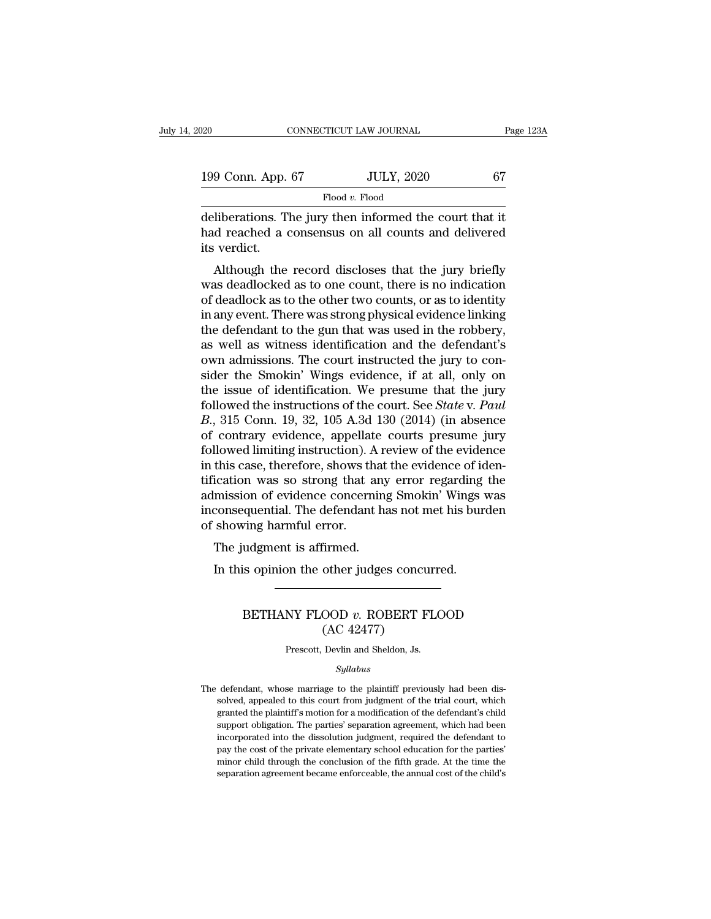| )20                  | CONNECTICUT LAW JOURNAL |                                                                                                                | Page 123A |
|----------------------|-------------------------|----------------------------------------------------------------------------------------------------------------|-----------|
| 199 Conn. App. 67    |                         | <b>JULY, 2020</b>                                                                                              | 67        |
|                      | Flood $v$ . Flood       |                                                                                                                |           |
| ita wordi <i>o</i> t |                         | deliberations. The jury then informed the court that it<br>had reached a consensus on all counts and delivered |           |

199 Conn. App. 67 JULY, 2020 67<br>Flood v. Flood v. Flood<br>deliberations. The jury then informed the court that it<br>had reached a consensus on all counts and delivered<br>its verdict. 199 Conn. App.<br>deliberations. T<br>had reached a c<br>its verdict.<br>Although the  $\frac{1000 \text{ N}}{10000 \text{ N}}$  Flood v. Flood<br>Iiberations. The jury then informed the court that it<br>d reached a consensus on all counts and delivered<br>is verdict.<br>Although the record discloses that the jury briefly<br>as deadlocke

 $\begin{array}{l} \text{Flood } v. \text{ Flood} \\ \text{deliberations. The jury then informed the court that it} \\ \text{had reached a consensus on all counts and delivered} \\ \text{its vertical.} \\ \text{Although the record discusses that the jury briefly} \\ \text{was deadlocked as to one count, there is no indication} \\ \text{of deadlock as to the other two counts, or as to identify} \\ \text{in any event.} \\ \text{There was strong physical evidence linking} \end{array}$ deliberations. The jury then informed the court that it<br>had reached a consensus on all counts and delivered<br>its verdict.<br>Although the record discloses that the jury briefly<br>was deadlocked as to one count, there is no indic demoerations. The jury then mornted the court that it<br>had reached a consensus on all counts and delivered<br>its verdict.<br>Although the record discloses that the jury briefly<br>was deadlocked as to one count, there is no indicat the defendant of the gun that was used in the gun that was deadlocked as to one count, there is no indication<br>of deadlocked as to one count, there is no indication<br>of deadlock as to the other two counts, or as to identity<br> as vertuct.<br>
Although the record discloses that the jury briefly<br>
was deadlocked as to one count, there is no indication<br>
of deadlock as to the other two counts, or as to identity<br>
in any event. There was strong physical e Although the record discloses that the jury briefly<br>was deadlocked as to one count, there is no indication<br>of deadlock as to the other two counts, or as to identity<br>in any event. There was strong physical evidence linking<br> was deadlocked as to one count, there is no indication<br>of deadlock as to the other two counts, or as to identity<br>in any event. There was strong physical evidence linking<br>the defendant to the gun that was used in the robber of deadlock as to the other two counts, or as to identity<br>in any event. There was strong physical evidence linking<br>the defendant to the gun that was used in the robbery,<br>as well as witness identification and the defendant in any event. There was strong physical evidence linking<br>the defendant to the gun that was used in the robbery,<br>as well as witness identification and the defendant's<br>own admissions. The court instructed the jury to con-<br>si the defendant to the gun that was used in the robbery,<br>as well as witness identification and the defendant's<br>own admissions. The court instructed the jury to con-<br>sider the Smokin' Wings evidence, if at all, only on<br>the is as well as witness identification and the defendant's<br>own admissions. The court instructed the jury to con-<br>sider the Smokin' Wings evidence, if at all, only on<br>the issue of identification. We presume that the jury<br>followe own admissions. The court instructed the jury to consider the Smokin' Wings evidence, if at all, only on the issue of identification. We presume that the jury followed the instructions of the court. See *State* v. *Paul* sider the Smokin' Wings evidence, if at all, only on<br>the issue of identification. We presume that the jury<br>followed the instructions of the court. See *State* v. *Paul*<br> $B$ , 315 Conn. 19, 32, 105 A.3d 130 (2014) (in absen the issue of identification. We presume that the jury<br>followed the instructions of the court. See *State* v. *Paul*<br>*B.*, 315 Conn. 19, 32, 105 A.3d 130 (2014) (in absence<br>of contrary evidence, appellate courts presume jur followed the instructions of the court. See *State* v. *Paul* B., 315 Conn. 19, 32, 105 A.3d 130 (2014) (in absence of contrary evidence, appellate courts presume jury followed limiting instruction). A review of the eviden B., 315 Conn. 19, 32, 105 A.3d 130 (2014) (in absence<br>of contrary evidence, appellate courts presume jury<br>followed limiting instruction). A review of the evidence<br>in this case, therefore, shows that the evidence of iden-<br>t of contrary evidence, appellat<br>followed limiting instruction). A<br>in this case, therefore, shows th<br>tification was so strong that a<br>admission of evidence concern<br>inconsequential. The defendant<br>of showing harmful error.<br>The The judgment is affirmed.<br>This case, therefore, shows that<br>ication was so strong that any<br>mission of evidence concerning<br>consequential. The defendant has<br>howing harmful error.<br>The judgment is affirmed.<br>In this opinion the In this opinion was so strong that any error regarding<br>In the other concerning Smokin' Wings<br>In this openical. The defendant has not met his bur<br>In this opinion the other judges concurred.

## %ring harmful error.<br>
udgment is affirmed.<br>
is opinion the other judges concurred.<br>
BETHANY FLOOD v. ROBERT FLOOD<br>
(AC 42477) firmed.<br>
other judges concu<br>
OOD v. ROBERT F<br>
(AC 42477)<br>
Devlin and Sheldon, Js. BETHANY FLOOD  $v$ . ROBERT FLOOD<br>(AC 42477)<br>Prescott, Devlin and Sheldon, Js.

## *Syllabus*

 $(AC 42477)$ <br>Prescott, Devlin and Sheldon, Js.<br>*Syllabus*<br>The defendant, whose marriage to the plaintiff previously had been dis-<br>solved, appealed to this court from judgment of the trial court, which Frescott, Devlin and Sheldon, Js.<br>Syllabus<br>defendant, whose marriage to the plaintiff previously had been dis-<br>solved, appealed to this court from judgment of the trial court, which<br>granted the plaintiff's motion for a mo Prescott, Devlin and Sheldon, Js.<br>
Syllabus<br>
defendant, whose marriage to the plaintiff previously had been dis-<br>
solved, appealed to this court from judgment of the trial court, which<br>
granted the plaintiff's motion for a Syllabus<br>defendant, whose marriage to the plaintiff previously had been dis-<br>solved, appealed to this court from judgment of the trial court, which<br>granted the plaintiff's motion for a modification of the defendant's child *Syllabus*<br>defendant, whose marriage to the plaintiff previously had been dis-<br>solved, appealed to this court from judgment of the trial court, which<br>granted the plaintiff's motion for a modification of the defendant's chi defendant, whose marriage to the plaintiff previously had been dissolved, appealed to this court from judgment of the trial court, which granted the plaintiff's motion for a modification of the defendant's child support ob solved, appealed to this court from judgment of the trial court, which granted the plaintiff's motion for a modification of the defendant's child support obligation. The parties' separation agreement, which had been incorp solved, appealed to this court from judgment of the trial court, which granted the plaintiff's motion for a modification of the defendant's child support obligation. The parties' separation agreement, which had been incorp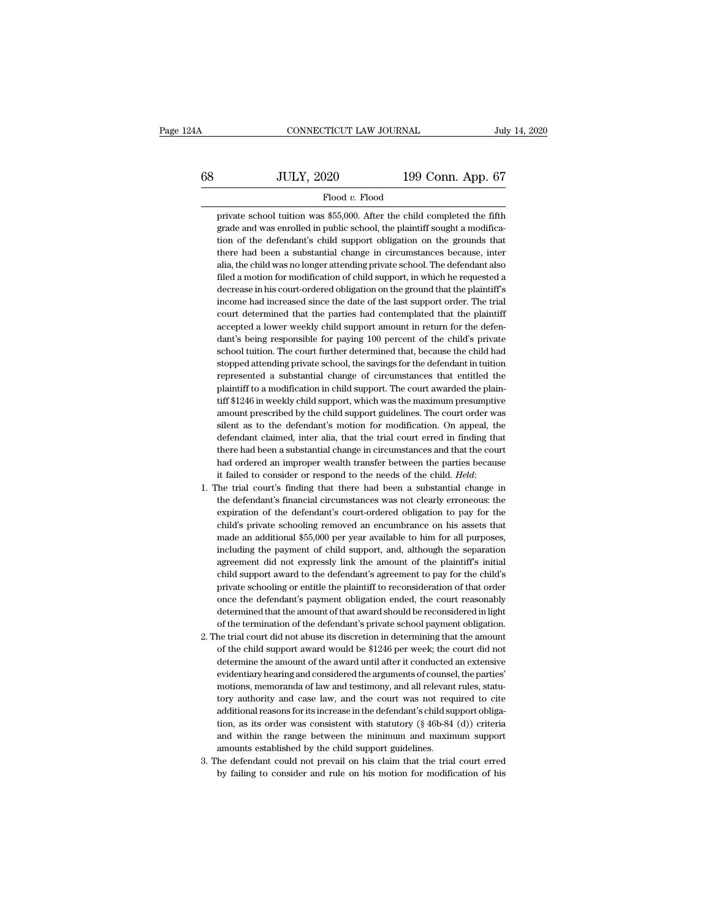# CONNECTICUT LAW JOURNAL July 14, 2020<br>68 JULY, 2020 199 Conn. App. 67<br>Flood v. Flood Flood *v.* Flood JULY, 2020 199 Conn. App. 67<br>Flood v. Flood<br>private school tuition was \$55,000. After the child completed the fifth<br>grade and was enrolled in public school, the plaintiff sought a modifica-

 $JULY, 2020$  199 Conn. App. 67<br>Flood v. Flood<br>private school tuition was \$55,000. After the child completed the fifth<br>grade and was enrolled in public school, the plaintiff sought a modifica-<br>tion of the defendant's child  $JULY, 2020$  199 Conn. App. 67<br>Flood v. Flood<br>private school tuition was \$55,000. After the child completed the fifth<br>grade and was enrolled in public school, the plaintiff sought a modifica-<br>tion of the defendant's child  $\begin{minipage}[t]{0.7\textwidth} \begin{tabular}{p{0.8cm}} \textbf{Flood } v. \text{ Flood} \end{tabular} \end{minipage} \begin{minipage}[t]{0.7\textwidth} \begin{tabular}{p{0.8cm}} \textbf{Flood} & \textbf{a 1} & \textbf{b 2} & \textbf{c 3} & \textbf{c 4} & \textbf{d 5} & \textbf{d 6} & \textbf{d 7} & \textbf{d 8} & \textbf{d 7} & \textbf{d 8} & \textbf{d 8} & \textbf{d 9} & \textbf{d 9} & \textbf{d 9} &$ Flood v. Flood<br>private school tuition was \$55,000. After the child completed the fifth<br>grade and was enrolled in public school, the plaintiff sought a modifica-<br>tion of the defendant's child support obligation on the groun private school tuition was \$55,000. After the child completed the fifth grade and was enrolled in public school, the plaintiff sought a modification of the defendant's child support obligation on the grounds that there had grade and was enrolled in public school, the plaintiff sought a modification of the defendant's child support obligation on the grounds that there had been a substantial change in circumstances because, inter alia, the chi ition of the defendant's child support obligation on the grounds that there had been a substantial change in circumstances because, inter alia, the child was no longer attending private school. The defendant also filed a m there had been a substantial change in circumstances because, inter<br>alia, the child was no longer attending private school. The defendant also<br>filed a motion for modification of child support, in which he requested a<br>decre alia, the child was no longer attending private school. The defendant also<br>filed a motion for modification of child support, in which he requested a<br>decrease in his court-ordered obligation on the ground that the plaintiff filed a motion for modification of child support, in which he requested a decrease in his court-ordered obligation on the ground that the plaintiff's income had increased since the date of the last support order. The trial decrease in his court-ordered obligation on the ground that the plaintiff's<br>income had increased since the date of the last support order. The trial<br>court determined that the parties had contemplated that the plaintiff<br>acc income had increased since the date of the last support order. The trial<br>court determined that the parties had contemplated that the plaintiff<br>accepted a lower weekly child support amount in return for the defen-<br>dant's be court determined that the parties had contemplated that the plaintiff accepted a lower weekly child support amount in return for the defendant's being responsible for paying 100 percent of the child's private school tuitio accepted a lower weekly child support amount in return for the defendant's being responsible for paying 100 percent of the child's private school tuition. The court further determined that, because the child had stopped at dant's being responsible for paying 100 percent of the child's private school tuition. The court further determined that, because the child had stopped attending private school, the savings for the defendant in tuition rep school tuition. The court further determined that, because the child had stopped attending private school, the savings for the defendant in tuition represented a substantial change of circumstances that entitled the plaint stopped attending private school, the savings for the defendant in tuition<br>represented a substantial change of circumstances that entitled the<br>plaintiff to a modification in child support. The court awarded the plain-<br>tiff represented a substantial change of circumstances that entitled the plaintiff to a modification in child support. The court awarded the plaintiff \$1246 in weekly child support, which was the maximum presumptive amount pres plaintiff to a modification in child support. The court awarded the plaintiff \$1246 in weekly child support, which was the maximum presumptive amount prescribed by the child support guidelines. The court order was silent if  $$1246$  in weekly child support, which was the maximum presumptive<br>amount prescribed by the child support guidelines. The court order was<br>silent as to the defendant's motion for modification. On appeal, the<br>defendant c it failed to the defendant's motion for modification. On appeal, the defendant claimed, inter alia, that the trial court erred in finding that there had been a substantial change in circumstances and that the court had ord defendant claimed, inter alia, that the trial court erred in finding that<br>there had been a substantial change in circumstances and that the court<br>had ordered an improper wealth transfer between the parties because<br>it faile

- there had been a substantial change in circumstances and that the court<br>had ordered an improper wealth transfer between the parties because<br>it failed to consider or respond to the needs of the child. *Held*:<br>The trial cour had ordered an improper wealth transfer between the parties because<br>it failed to consider or respond to the needs of the child. *Held*:<br>The trial court's finding that there had been a substantial change in<br>the defendant's it failed to consider or respond to the needs of the child. *Held*:<br>The trial court's finding that there had been a substantial change in<br>the defendant's financial circumstances was not clearly erroneous: the<br>expiration of The trial court's finding that there had been a substantial change in<br>the defendant's financial circumstances was not clearly erroneous: the<br>expiration of the defendant's court-ordered obligation to pay for the<br>child's pri the defendant's financial circumstances was not clearly erroneous: the expiration of the defendant's court-ordered obligation to pay for the child's private schooling removed an encumbrance on his assets that made an addit expiration of the defendant's court-ordered obligation to pay for the child's private schooling removed an encumbrance on his assets that made an additional \$55,000 per year available to him for all purposes, including the child's private schooling removed an encumbrance on his assets that<br>made an additional \$55,000 per year available to him for all purposes,<br>including the payment of child support, and, although the separation<br>agreement did made an additional \$55,000 per year available to him for all purposes,<br>including the payment of child support, and, although the separation<br>agreement did not expressly link the amount of the plaintiff's initial<br>child suppo including the payment of child support, and, although the separation agreement did not expressly link the amount of the plaintiff's initial child support award to the defendant's agreement to pay for the child's private sc agreement did not expressly link the amount of the plaintiff's initial<br>child support award to the defendant's agreement to pay for the child's<br>private schooling or entitle the plaintiff to reconsideration of that order<br>onc child support award to the defendant's agreement to pay for the child's<br>private schooling or entitle the plaintiff to reconsideration of that order<br>once the defendant's payment obligation ended, the court reasonably<br>determ private schooling or entitle the plaintiff to reconsideration of that order<br>once the defendant's payment obligation ended, the court reasonably<br>determined that the amount of that award should be reconsidered in light<br>of th
- once the defendant's payment obligation ended, the court reasonably<br>determined that the amount of that award should be reconsidered in light<br>of the termination of the defendant's private school payment obligation.<br>he trial determined that the amount of that award should be reconsidered in light<br>of the termination of the defendant's private school payment obligation.<br>he trial court did not abuse its discretion in determining that the amount<br>o of the termination of the defendant's private school payment obligation.<br>he trial court did not abuse its discretion in determining that the amount<br>of the child support award would be \$1246 per week; the court did not<br>dete the trial court did not abuse its discretion in determining that the amount<br>of the child support award would be \$1246 per week; the court did not<br>determine the amount of the award until after it conducted an extensive<br>evid of the child support award would be \$1246 per week; the court did not<br>determine the amount of the award until after it conducted an extensive<br>evidentiary hearing and considered the arguments of counsel, the parties'<br>motion determine the amount of the award until after it conducted an extensive<br>evidentiary hearing and considered the arguments of counsel, the parties'<br>motions, memoranda of law and testimony, and all relevant rules, statu-<br>tory evidentiary hearing and considered the arguments of counsel, the parties'<br>motions, memoranda of law and testimony, and all relevant rules, statu-<br>tory authority and case law, and the court was not required to cite<br>addition motions, memoranda of law and testimony, and all relevant tory authority and case law, and the court was not requadditional reasons for its increase in the defendant's child support gion, as its order was consistent with s tory authority and case law, and the court was not required to cite additional reasons for its increase in the defendant's child support obligation, as its order was consistent with statutory ( $\$ 46b-84 (d)) criteria and additional reasons for its increase in the defendant's child support obligation, as its order was consistent with statutory (§ 46b-84 (d)) criteria and within the range between the minimum and maximum support amounts estab
-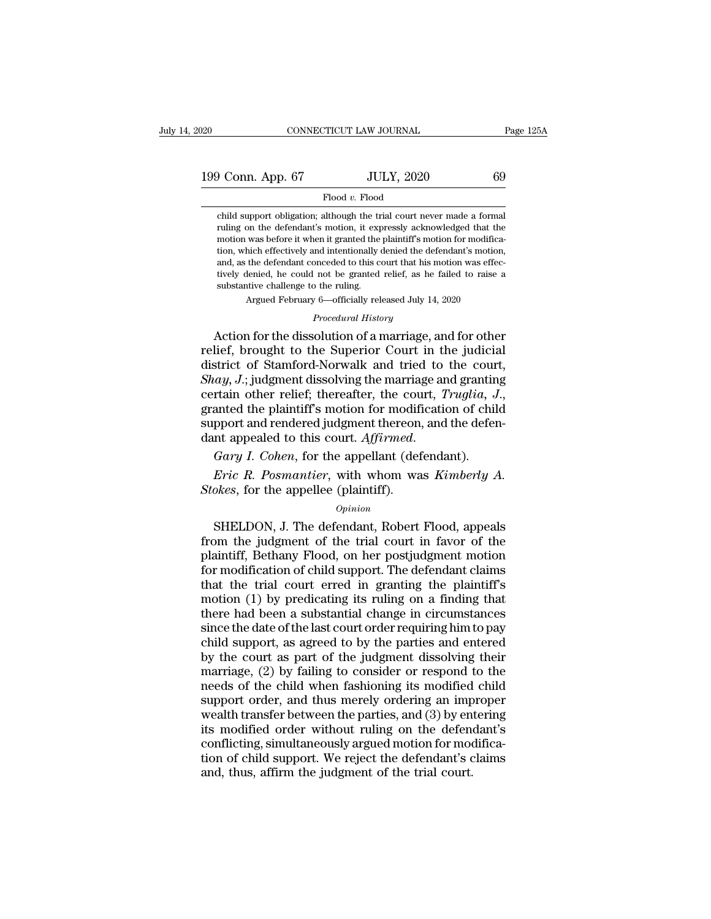199 Conn. App. 67 JULY, 2020 69<br>Theod v. Flood v. Flood

## Flood *v.* Flood

Conn. App. 67 JULY, 2020 69<br>Flood v. Flood<br>child support obligation; although the trial court never made a formal<br>ruling on the defendant's motion, it expressly acknowledged that the Flood v. Flood<br>Flood v. Flood<br>Child support obligation; although the trial court never made a formal<br>ruling on the defendant's motion, it expressly acknowledged that the<br>motion was before it when it granted the plaintiff's motion was before it when it granted the plaintiff's motion was before it when it granted the plaintiff's motion for modification, which effectively and intentionally denied the defendant's motion, which effectively and i Flood v. Flood<br>Flood v. Flood<br>Child support obligation; although the trial court never made a formal<br>ruling on the defendant's motion, it expressly acknowledged that the<br>motion was before it when it granted the plaintiff's  $\label{eq:1} \text{Flood } v. \text{ Flood}$  child support obligation; although the trial court never made a formal<br>ruling on the defendant's motion, it expressly acknowledged that the<br>motion was before it when it granted the plaintiff's moti child support obligation; although the trial court never made a formal ruling on the defendant's motion, it expressly acknowledged that the motion was before it when it granted the plaintiff's motion for modification, whic enia support obigation; atmough the transmit<br>ruling on the defendant's motion, it expending motion was before it when it granted the<br>tion, which effectively and intentionally and, as the defendant conceded to this c<br>tively motion was before it when it granted the plaintiff's motion for modification, which effectively and intentionally denied the defendant's motion, and, as the defendant conceded to this court that his motion was effectively Indian was before it when it granted the plantin's motion for modification, which effectively and intentionally denied the defendant's motion, and, as the defendant conceded to this court that his motion was effectively de

Argued February 6—officially released July 14, 2020<br>*Procedural History*<br>Action for the dissolution of a marriage, and for other and, as the defendant conceded to this court that his motion was effec-<br>tively denied, he could not be granted relief, as he failed to raise a<br>substantive challenge to the ruling.<br>Argued February 6—officially released Jul tively denied, he could not be granted relief, as he failed to raise a<br>substantive challenge to the ruling.<br>Argued February 6—officially released July 14, 2020<br>*Procedural History*<br>Action for the dissolution of a marriage, substantive challenge to the ruling.<br> *Argued February 6*—officially released July 14, 2020<br> *Procedural History*<br> **Action for the dissolution of a marriage, and for other relief, brought to the Superior Court in the judic** Argued February 6—officially released July 14, 2020<br> *Procedural History*<br>
Action for the dissolution of a marriage, and for other<br>
relief, brought to the Superior Court in the judicial<br>
district of Stamford-Norwalk and tr Action for the dissolution of a marriage, and for other<br>relief, brought to the Superior Court in the judicial<br>district of Stamford-Norwalk and tried to the court,<br> $Shay, J.;$  judgment dissolving the marriage and granting<br>cert relief, brought to the Superior Court in the judicial<br>district of Stamford-Norwalk and tried to the cour<br>*Shay*, *J*.; judgment dissolving the marriage and grantin<br>certain other relief; thereafter, the court, *Truglia*, *J Erical A. J.*; Judgment dissolving the marriage and granting ratain other relief; thereafter, the court, Truglia, J., anted the plaintiff's motion for modification of child pport and rendered judgment thereon, and the def *Stokes, for the appellee (plaintiff's motion for modifierated the plaintiff's motion for modifierant appealed to this court. Affirmed.*<br>*Gary I. Cohen, for the appellant (def Eric R. Posmantier, with whom was Stokes, fo* 

## *Opinion*

in appealed to this court. Affirmed.<br>
Fary I. Cohen, for the appellant (defendant).<br>
Fric R. Posmantier, with whom was Kimberly A.<br>
okes, for the appellee (plaintiff).<br>
Opinion<br>
SHELDON, J. The defendant, Robert Flood, app Gary I. Cohen, for the appellant (defendant).<br> *Eric R. Posmantier*, with whom was *Kimberly A.*<br> *Stokes*, for the appellee (plaintiff).<br> *Opinion*<br>
SHELDON, J. The defendant, Robert Flood, appeals<br>
from the judgment of t *Eric R. Posmantier*, with whom was *Kimberly A.<br>Stokes*, for the appellee (plaintiff).<br>*Opinion*<br>BHELDON, J. The defendant, Robert Flood, appeals<br>from the judgment of the trial court in favor of the<br>plaintiff, Bethany Flo *Eric R. Posmantier*, with whom was *Rimberty A.*<br> *Stokes*, for the appellee (plaintiff).<br> *Opinion*<br>
SHELDON, J. The defendant, Robert Flood, appeals<br>
from the judgment of the trial court in favor of the<br>
plaintiff, Bet Stokes, for the appellee (plaintiff).<br>  $\frac{Opinion}{P}$ <br>
SHELDON, J. The defendant, Robert Flood, appeals<br>
from the judgment of the trial court in favor of the<br>
plaintiff, Bethany Flood, on her postjudgment motion<br>
for modific  $opinion$ <br>
SHELDON, J. The defendant, Robert Flood, appeals<br>
from the judgment of the trial court in favor of the<br>
plaintiff, Bethany Flood, on her postjudgment motion<br>
for modification of child support. The defendant claims<br> SHELDON, J. The defendant, Robert Flood, appeals<br>from the judgment of the trial court in favor of the<br>plaintiff, Bethany Flood, on her postjudgment motion<br>for modification of child support. The defendant claims<br>that the tr from the judgment of the trial court in favor of the plaintiff, Bethany Flood, on her postjudgment motion for modification of child support. The defendant claims that the trial court erred in granting the plaintiff's motio plaintiff, Bethany Flood, on her postjudgment motion<br>for modification of child support. The defendant claims<br>that the trial court erred in granting the plaintiff's<br>motion (1) by predicating its ruling on a finding that<br>the for modification of child support. The defendant claims<br>that the trial court erred in granting the plaintiff's<br>motion (1) by predicating its ruling on a finding that<br>there had been a substantial change in circumstances<br>sin that the trial court erred in granting the plaintiff's<br>motion (1) by predicating its ruling on a finding that<br>there had been a substantial change in circumstances<br>since the date of the last court order requiring him to pay motion (1) by predicating its ruling on a finding that<br>there had been a substantial change in circumstances<br>since the date of the last court order requiring him to pay<br>child support, as agreed to by the parties and entere there had been a substantial change in circumstances<br>since the date of the last court order requiring him to pay<br>child support, as agreed to by the parties and entered<br>by the court as part of the judgment dissolving their<br> since the date of the last court order requiring him to pay<br>child support, as agreed to by the parties and entered<br>by the court as part of the judgment dissolving their<br>marriage, (2) by failing to consider or respond to th child support, as agreed to by the parties and entered<br>by the court as part of the judgment dissolving their<br>marriage, (2) by failing to consider or respond to the<br>needs of the child when fashioning its modified child<br>supp by the court as part of the judgment dissolving their<br>marriage, (2) by failing to consider or respond to the<br>needs of the child when fashioning its modified child<br>support order, and thus merely ordering an improper<br>wealth marriage, (2) by failing to consider or respond to the<br>needs of the child when fashioning its modified child<br>support order, and thus merely ordering an improper<br>wealth transfer between the parties, and (3) by entering<br>its needs of the child when fashioning its modified<br>support order, and thus merely ordering an imp<br>wealth transfer between the parties, and (3) by en<br>its modified order without ruling on the defen-<br>conflicting, simultaneously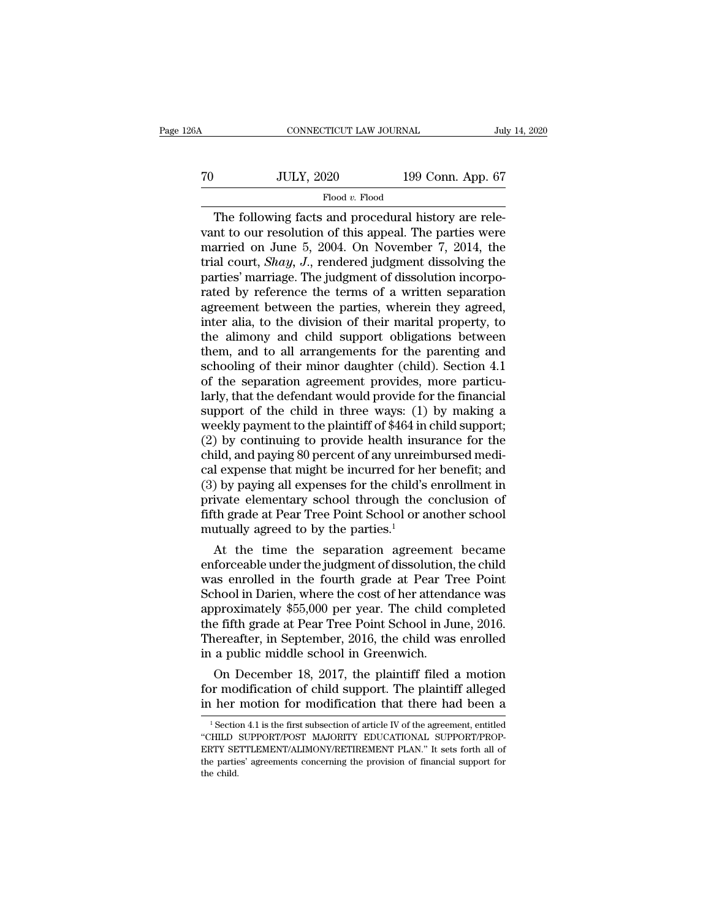| 26A | CONNECTICUT LAW JOURNAL |                   | July 14, 2020 |
|-----|-------------------------|-------------------|---------------|
| 70  | <b>JULY, 2020</b>       | 199 Conn. App. 67 |               |
|     | Flood v. Flood          |                   |               |

CONNECTICUT LAW JOURNAL<br>
Jul<br>
JULY, 2020 199 Conn. App. 67<br>
Flood v. Flood<br>
The following facts and procedural history are rele-<br>
Int to our resolution of this appeal. The parties were<br>
partied on June 5, 2004. On November Vant Tool van to our resolution of this appeal. The parties were<br>married on June 5, 2004. On November 7, 2014, the<br>trial court Shaw I, rendered judgment dissolving the To  $\frac{JULY, 2020}{Flood v. Flood}$ <br>The following facts and procedural history are relevant to our resolution of this appeal. The parties were<br>married on June 5, 2004. On November 7, 2014, the<br>trial court, *Shay*, J., rendered judg To Table 199 Conn. App. 67<br>
The following facts and procedural history are relevant to our resolution of this appeal. The parties were<br>
married on June 5, 2004. On November 7, 2014, the<br>
trial court, *Shay*, *J*., rendered Flood v. Flood<br>The following facts and procedural history are relevant to our resolution of this appeal. The parties were<br>married on June 5, 2004. On November 7, 2014, the<br>trial court, *Shay*, J., rendered judgment dissol Flood v. Flood<br>The following facts and procedural history are relevant to our resolution of this appeal. The parties were<br>married on June 5, 2004. On November 7, 2014, the<br>trial court, *Shay*, *J*., rendered judgment diss The following facts and procedural history are relevant to our resolution of this appeal. The parties were married on June 5, 2004. On November 7, 2014, the trial court, *Shay*, *J*., rendered judgment dissolving the part vant to our resolution of this appeal. The parties were<br>married on June 5, 2004. On November 7, 2014, the<br>trial court, *Shay*, J., rendered judgment dissolving the<br>parties' marriage. The judgment of dissolution incorpo-<br>ra married on June 5, 2004. On November 7, 2014, the<br>trial court, *Shay*, *J*., rendered judgment dissolving the<br>parties' marriage. The judgment of dissolution incorpo-<br>rated by reference the terms of a written separation<br>ag trial court, *Shay*, *J.*, rendered judgment dissolving the parties' marriage. The judgment of dissolution incorporated by reference the terms of a written separation agreement between the parties, wherein they agreed, int parties' marriage. The judgment of dissolution incorporated by reference the terms of a written separation agreement between the parties, wherein they agreed, inter alia, to the division of their marital property, to the a rated by reference the terms of a written separation<br>agreement between the parties, wherein they agreed,<br>inter alia, to the division of their marital property, to<br>the alimony and child support obligations between<br>them, and agreement between the parties, wherein they agreed,<br>inter alia, to the division of their marital property, to<br>the alimony and child support obligations between<br>them, and to all arrangements for the parenting and<br>schooling inter alia, to the division of their marital property, to<br>the alimony and child support obligations between<br>them, and to all arrangements for the parenting and<br>schooling of their minor daughter (child). Section 4.1<br>of the the alimony and child support obligations between<br>them, and to all arrangements for the parenting and<br>schooling of their minor daughter (child). Section 4.1<br>of the separation agreement provides, more particu-<br>larly, that t them, and to all arrangements for the parenting and<br>schooling of their minor daughter (child). Section 4.1<br>of the separation agreement provides, more particu-<br>larly, that the defendant would provide for the financial<br>suppo schooling of their minor daughter (child). Section 4.1<br>of the separation agreement provides, more particu-<br>larly, that the defendant would provide for the financial<br>support of the child in three ways: (1) by making a<br>weekl of the separation agreement provides, more particu-<br>larly, that the defendant would provide for the financial<br>support of the child in three ways: (1) by making a<br>weekly payment to the plaintiff of \$464 in child support;<br>(2 larly, that the defendant would provide for the financial<br>support of the child in three ways: (1) by making a<br>weekly payment to the plaintiff of \$464 in child support;<br>(2) by continuing to provide health insurance for the<br> support of the child in three ways: (1) by making a<br>weekly payment to the plaintiff of \$464 in child support;<br>(2) by continuing to provide health insurance for the<br>child, and paying 80 percent of any unreimbursed medi-<br>ca weekly payment to the plaintiff of \$464 in child support;<br>(2) by continuing to provide health insurance for the<br>child, and paying 80 percent of any unreimbursed medi-<br>cal expense that might be incurred for her benefit; and (2) by continuing to provide health insu<br>child, and paying 80 percent of any unrein<br>cal expense that might be incurred for he<br>(3) by paying all expenses for the child's<br>private elementary school through the<br>fifth grade at  $\mu$ d, and paying 80 percent of any unreimbursed medi-<br>
1 expense that might be incurred for her benefit; and<br>  $\mu$ ) by paying all expenses for the child's enrollment in<br>
ivate elementary school through the conclusion of<br> cal expense that might be incurred for her benefit; and<br>
(3) by paying all expenses for the child's enrollment in<br>
private elementary school through the conclusion of<br>
fifth grade at Pear Tree Point School or another schoo

(3) by paying all expenses for the child's enrollment in<br>private elementary school through the conclusion of<br>fifth grade at Pear Tree Point School or another school<br>mutually agreed to by the parties.<sup>1</sup><br>At the time the se private elementary school through the conclusion of<br>fifth grade at Pear Tree Point School or another school<br>mutually agreed to by the parties.<sup>1</sup><br>At the time the separation agreement became<br>enforceable under the judgment o filth grade at Pear Tree Point School or another school<br>mutually agreed to by the parties.<sup>1</sup><br>At the time the separation agreement became<br>enforceable under the judgment of dissolution, the child<br>was enrolled in the fourth mutually agreed to by the parties.<br>
At the time the separation agreement became<br>
enforceable under the judgment of dissolution, the child<br>
was enrolled in the fourth grade at Pear Tree Point<br>
School in Darien, where the co At the time the separation agreement became<br>enforceable under the judgment of dissolution, the child<br>was enrolled in the fourth grade at Pear Tree Point<br>School in Darien, where the cost of her attendance was<br>approximately enforceable under the judgment of dissolution,<br>was enrolled in the fourth grade at Pear Tr<br>School in Darien, where the cost of her attenda<br>approximately \$55,000 per year. The child co<br>the fifth grade at Pear Tree Point Sch as enrolled in the fourth grade at Pear Tree Point<br>hool in Darien, where the cost of her attendance was<br>proximately \$55,000 per year. The child completed<br>e fifth grade at Pear Tree Point School in June, 2016.<br>lereafter, in School in Darien, where the cost of her attendance was<br>approximately \$55,000 per year. The child completed<br>the fifth grade at Pear Tree Point School in June, 2016.<br>Thereafter, in September, 2016, the child was enrolled<br>in approximately \$55,000 per year. The child completed<br>the fifth grade at Pear Tree Point School in June, 2016.<br>Thereafter, in September, 2016, the child was enrolled<br>in a public middle school in Greenwich.<br>On December 18, 2

On December 18, 2017, the plaintiff filed a motion<br>or modification of child support. The plaintiff alleged<br>her motion for modification that there had been a<br> $\frac{1}{1}$ Section 4.1 is the first subsection of article IV of th On December 18, 2017, the plaintiff filed a motion<br>for modification of child support. The plaintiff alleged<br>in her motion for modification that there had been a<br>"section 4.1 is the first subsection of article IV of the agr

for modification of child support. The plaintiff alleged<br>in her motion for modification that there had been a<br> $\frac{1}{1}$ Section 4.1 is the first subsection of article IV of the agreement, entitled<br>"CHILD SUPPORT/POST MAJOR The particle of the particle of the particle of the particle of the particle of  $\frac{1}{1}$  Section 4.1 is the first subsection of article IV of the agreement, entitled "CHILD SUPPORT/POST MAJORITY EDUCATIONAL SUPPORT/PROPE III Her<br>
<sup>1</sup> Sectio<br>
"CHILD<br>
ERTY SE<br>
the partie<br>
the child.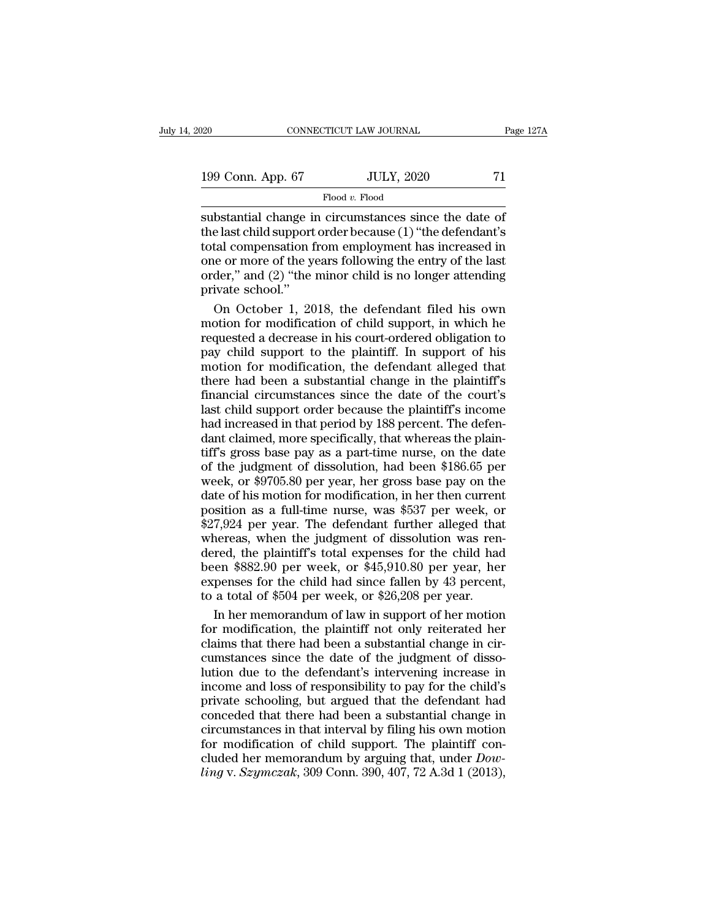| 020               | CONNECTICUT LAW JOURNAL | Page 127A |
|-------------------|-------------------------|-----------|
| 199 Conn. App. 67 | <b>JULY, 2020</b>       | 71        |
|                   | Flood v. Flood          |           |

 $\begin{array}{ccc}\n 0.20 & \text{CONRECTICUT LAW JOURNAL} & \text{Page 127} \\
 \hline\n 199 & \text{Conn. App. 67} & \text{JULY, 2020} & 71 \\
 \hline\n \text{Flood } v. \text{Flood} & \text{subset the date of} \\
 \text{substantial change in circumstances since the date of} & \text{the last child support order because (1) "the defendant's total compensation from employment has increased in)}\n \end{array}$ 199 Conn. App. 67 JULY, 2020 71<br>Flood v. Flood<br>substantial change in circumstances since the date of<br>the last child support order because (1) "the defendant's<br>total compensation from employment has increased in<br>one or mor 199 Conn. App. 67 JULY, 2020 71<br>Flood v. Flood<br>substantial change in circumstances since the date of<br>the last child support order because (1) "the defendant's<br>total compensation from employment has increased in<br>one or mor 199 Conn. App. 67 JULY, 2020 71<br>Flood v. Flood<br>substantial change in circumstances since the date of<br>the last child support order because (1) "the defendant's<br>total compensation from employment has increased in<br>one or mor Flood v. Flood<br>
substantial change in circumstances since the date of<br>
the last child support order because (1) "the defendant's<br>
total compensation from employment has increased in<br>
one or more of the years following the substantial change if<br>the last child support<br>total compensation f<br>one or more of the y<br>order," and (2) "the<br>private school."<br>On October 1, 20 bstantial change in circumstances since the date of<br>e last child support order because (1) "the defendant's<br>tal compensation from employment has increased in<br>e or more of the years following the entry of the last<br>der," and the last child support order because (1) "the defendant's<br>total compensation from employment has increased in<br>one or more of the years following the entry of the last<br>order," and (2) "the minor child is no longer attending

total compensation from employment has increased in<br>one or more of the years following the entry of the last<br>order," and (2) "the minor child is no longer attending<br>private school."<br>On October 1, 2018, the defendant filed one or more of the years following the entry of the last<br>order," and (2) "the minor child is no longer attending<br>private school."<br>On October 1, 2018, the defendant filed his own<br>motion for modification of child support, in order," and (2) "the minor child is no longer attending<br>private school."<br>On October 1, 2018, the defendant filed his own<br>motion for modification of child support, in which he<br>requested a decrease in his court-ordered oblig private school."<br>
On October 1, 2018, the defendant filed his own<br>
motion for modification of child support, in which he<br>
requested a decrease in his court-ordered obligation to<br>
pay child support to the plaintiff. In supp On October 1, 2018, the defendant filed his own<br>motion for modification of child support, in which he<br>requested a decrease in his court-ordered obligation to<br>pay child support to the plaintiff. In support of his<br>motion for motion for modification of child support, in which he<br>requested a decrease in his court-ordered obligation to<br>pay child support to the plaintiff. In support of his<br>motion for modification, the defendant alleged that<br>there moderated a decrease in his court-ordered obligation to<br>requested a decrease in his court-ordered obligation to<br>pay child support to the plaintiff. In support of his<br>motion for modification, the defendant alleged that<br>ther requested a decrease in the baintiff. In support of his<br>motion for modification, the defendant alleged that<br>there had been a substantial change in the plaintiff's<br>financial circumstances since the date of the court's<br>last motion for modification, the defendant alleged that<br>there had been a substantial change in the plaintiff's<br>financial circumstances since the date of the court's<br>last child support order because the plaintiff's income<br>had There had been a substantial change in the plaintiff's<br>financial circumstances since the date of the court's<br>last child support order because the plaintiff's income<br>had increased in that period by 188 percent. The defen-<br>d financial circumstances since the date of the court's<br>last child support order because the plaintiff's income<br>had increased in that period by 188 percent. The defen-<br>dant claimed, more specifically, that whereas the plainmatter of his support order because the plaintiff's income<br>had increased in that period by 188 percent. The defen-<br>dant claimed, more specifically, that whereas the plain-<br>tiff's gross base pay as a part-time nurse, on the had increased in that period by 188 percent. The defendant claimed, more specifically, that whereas the plaintiff's gross base pay as a part-time nurse, on the date of the judgment of dissolution, had been \$186.65 per week raa necessed in the period if y text person. The element<br>dant claimed, more specifically, that whereas the plain-<br>tiff's gross base pay as a part-time nurse, on the date<br>of the judgment of dissolution, had been \$186.65 per tiff's gross base pay as a part-time nurse, on the date<br>of the judgment of dissolution, had been \$186.65 per<br>week, or \$9705.80 per year, her gross base pay on the<br>date of his motion for modification, in her then current<br>p dered, the planet of dissolution, had been \$186.65 per<br>week, or \$9705.80 per year, her gross base pay on the<br>date of his motion for modification, in her then current<br>position as a full-time nurse, was \$537 per week, or<br>\$2 week, or \$9705.80 per year, her gross base pay on the<br>date of his motion for modification, in her then current<br>position as a full-time nurse, was \$537 per week, or<br>\$27,924 per year. The defendant further alleged that<br>wher expendite of his motion for modification, in her then current position as a full-time nurse, was \$537 per week, or \$27,924 per year. The defendant further alleged that whereas, when the judgment of dissolution was rendere position as a full-time nurse, was \$537 per week, or \$27,924 per year. The defendant further alleged that whereas, when the judgment of dissolution was ren dered, the plaintiff's total expenses for the child had been \$882. 7,924 per year. The defendant further alleged that<br>nereas, when the judgment of dissolution was ren-<br>red, the plaintiff's total expenses for the child had<br>een \$882.90 per week, or \$45,910.80 per year, her<br>penses for the ch whereas, when the judgment of dissolution was ren-<br>dered, the plaintiff's total expenses for the child had<br>been \$882.90 per week, or \$45,910.80 per year, her<br>expenses for the child had since fallen by 43 percent,<br>to a tota

dered, the plaintiff's total expenses for the child had<br>been \$882.90 per week, or \$45,910.80 per year, her<br>expenses for the child had since fallen by 43 percent,<br>to a total of \$504 per week, or \$26,208 per year.<br>In her mem been \$882.90 per week, or \$45,910.80 per year, her expenses for the child had since fallen by 43 percent, to a total of \$504 per week, or \$26,208 per year.<br>In her memorandum of law in support of her motion for modification expenses for the child had since fallen by 43 percent,<br>to a total of \$504 per week, or \$26,208 per year.<br>In her memorandum of law in support of her motion<br>for modification, the plaintiff not only reiterated her<br>claims that to a total of \$504 per week, or \$26,208 per year.<br>In her memorandum of law in support of her motion<br>for modification, the plaintiff not only reiterated her<br>claims that there had been a substantial change in cir-<br>cumstances In her memorandum of law in support of her motion<br>for modification, the plaintiff not only reiterated her<br>claims that there had been a substantial change in cir-<br>cumstances since the date of the judgment of disso-<br>lution d Example in the Haintiff not only reiterated her<br>claims that there had been a substantial change in cir-<br>cumstances since the date of the judgment of disso-<br>lution due to the defendant's intervening increase in<br>income and l claims that there had been a substantial change in circumstances since the date of the judgment of dissolution due to the defendant's intervening increase in income and loss of responsibility to pay for the child's private cumstances since the date of the judgment of dissolution due to the defendant's intervening increase in income and loss of responsibility to pay for the child's private schooling, but argued that the defendant had concede clution due to the defendant's intervening increase in income and loss of responsibility to pay for the child's private schooling, but argued that the defendant had conceded that there had been a substantial change in circ income and loss of responsibility to pay for the child's private schooling, but argued that the defendant had conceded that there had been a substantial change in circumstances in that interval by filing his own motion for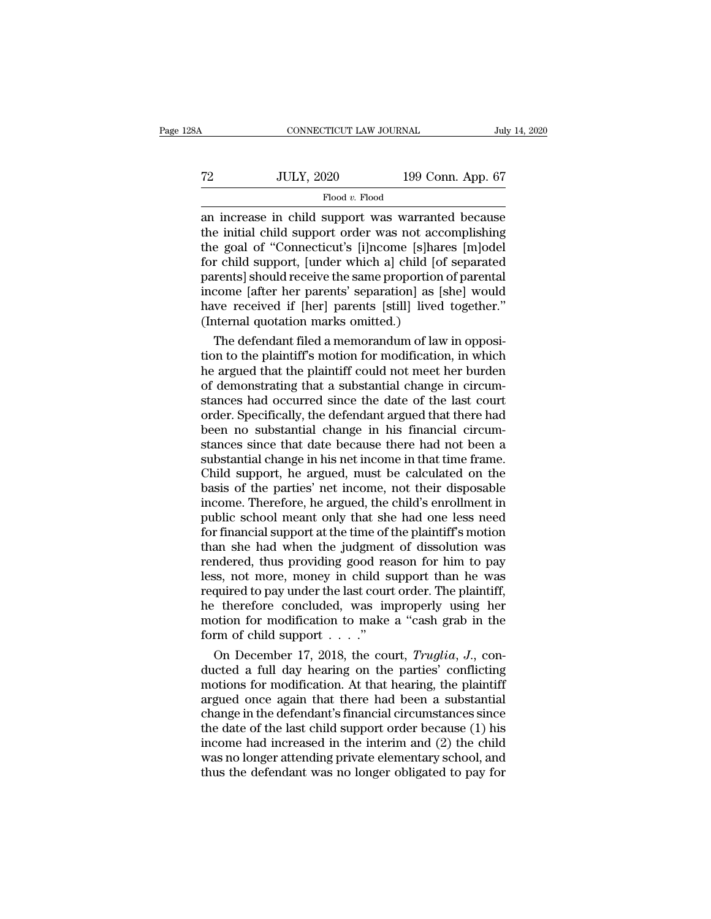| 3A |                   | CONNECTICUT LAW JOURNAL |  |
|----|-------------------|-------------------------|--|
|    |                   |                         |  |
| 72 | <b>JULY, 2020</b> | 199 Conn. App. 67       |  |
|    | Flood v. Flood    |                         |  |

CONNECTICUT LAW JOURNAL July 14, 2020<br>
T2 JULY, 2020 199 Conn. App. 67<br>
Flood v. Flood<br>
an increase in child support was warranted because<br>
the initial child support order was not accomplishing<br>
the goal of "Connecticut's T2 JULY, 2020 199 Conn. App. 67<br>Flood v. Flood<br>an increase in child support was warranted because<br>the initial child support order was not accomplishing<br>the goal of "Connecticut's [i]ncome [s]hares [m]odel<br>for child support The goal of ''Connecticut's [i]ncome [s]hares [m]odel parents] should receive the same proportion of parents]<br>The goal of "Connecticut's [i]ncome [s]hares [m]odel for child support, [under which a] child [of separated par Flood v. Flood 199 Conn. App. 67<br>Flood v. Flood<br>an increase in child support was warranted because<br>the initial child support order was not accomplishing<br>the goal of "Connecticut's [i]ncome [s]hares [m]odel<br>for child suppo  $\frac{1}{2020}$   $\frac{1}{2020}$   $\frac{1}{2020}$   $\frac{1}{2020}$   $\frac{1}{2020}$   $\frac{1}{2020}$   $\frac{1}{2020}$   $\frac{1}{2020}$   $\frac{1}{2020}$   $\frac{1}{2020}$   $\frac{1}{2020}$   $\frac{1}{2020}$   $\frac{1}{2020}$   $\frac{1}{2020}$   $\frac{1}{2020}$   $\frac{1}{2020}$   $\frac{1}{2020}$  Flood v. Flood<br>an increase in child support was warranted because<br>the initial child support order was not accomplishing<br>the goal of "Connecticut's [i]ncome [s]hares [m]odel<br>for child support, [under which a] child [of sep an increase in child support was warranted because<br>the initial child support order was not accomplishing<br>the goal of "Connecticut's [i]ncome [s]hares [m]odel<br>for child support, [under which a] child [of separated<br>parents] the initial child support order was not acce<br>the goal of "Connecticut's [i]ncome [s]har<br>for child support, [under which a] child [of<br>parents] should receive the same proportion<br>income [after her parents' separation] as [s<br> e goal of "Connecticut's [i]ncome [s]hares [m]odel<br>r child support, [under which a] child [of separated<br>rents] should receive the same proportion of parental<br>come [after her parents' separation] as [she] would<br>we received for child support, [under which a] child [of separated<br>parents] should receive the same proportion of parental<br>income [after her parents' separation] as [she] would<br>have received if [her] parents [still] lived together."<br>(

parents] should receive the same proportion of parental<br>income [after her parents' separation] as [she] would<br>have received if [her] parents [still] lived together."<br>(Internal quotation marks omitted.)<br>The defendant filed income [after her parents' separation] as [she] would<br>have received if [her] parents [still] lived together."<br>(Internal quotation marks omitted.)<br>The defendant filed a memorandum of law in opposi-<br>tion to the plaintiff's m have received if [her] parents [still] lived together."<br>(Internal quotation marks omitted.)<br>The defendant filed a memorandum of law in opposi-<br>tion to the plaintiff's motion for modification, in which<br>he argued that the pl (Internal quotation marks omitted.)<br>The defendant filed a memorandum of law in opposition to the plaintiff's motion for modification, in which<br>he argued that the plaintiff could not meet her burden<br>of demonstrating that a The defendant filed a memorandum of law in opposition to the plaintiff's motion for modification, in which<br>he argued that the plaintiff could not meet her burden<br>of demonstrating that a substantial change in circum-<br>stance tion to the plaintiff's motion for modification, in which<br>he argued that the plaintiff could not meet her burden<br>of demonstrating that a substantial change in circum-<br>stances had occurred since the date of the last court<br>o he argued that the plaintiff could not meet her burden<br>of demonstrating that a substantial change in circum-<br>stances had occurred since the date of the last court<br>order. Specifically, the defendant argued that there had<br>be of demonstrating that a substantial change in circum-<br>stances had occurred since the date of the last court<br>order. Specifically, the defendant argued that there had<br>been no substantial change in his financial circum-<br>stanc stances had occurred since the date of the last court<br>order. Specifically, the defendant argued that there had<br>been no substantial change in his financial circum-<br>stances since that date because there had not been a<br>substa order. Specifically, the defendant argued that there had<br>been no substantial change in his financial circum-<br>stances since that date because there had not been a<br>substantial change in his net income in that time frame.<br>Chi been no substantial change in his financial circum-<br>stances since that date because there had not been a<br>substantial change in his net income in that time frame.<br>Child support, he argued, must be calculated on the<br>basis of stances since that date because there had not been a<br>substantial change in his net income in that time frame.<br>Child support, he argued, must be calculated on the<br>basis of the parties' net income, not their disposable<br>incom substantial change in his net income in that time frame.<br>Child support, he argued, must be calculated on the<br>basis of the parties' net income, not their disposable<br>income. Therefore, he argued, the child's enrollment in<br>pu Child support, he argued, must be calculated on the<br>basis of the parties' net income, not their disposable<br>income. Therefore, he argued, the child's enrollment in<br>public school meant only that she had one less need<br>for fin basis of the parties' net income, not their disposable<br>income. Therefore, he argued, the child's enrollment in<br>public school meant only that she had one less need<br>for financial support at the time of the plaintiff's motion income. Therefore, he argued, the child's enrollment in<br>public school meant only that she had one less need<br>for financial support at the time of the plaintiff's motion<br>than she had when the judgment of dissolution was<br>rend public school meant only that she had one less need<br>for financial support at the time of the plaintiff's motion<br>than she had when the judgment of dissolution was<br>rendered, thus providing good reason for him to pay<br>less, no for financial support at the time of the plaintiff's motion<br>than she had when the judgment of dissolution was<br>rendered, thus providing good reason for him to pay<br>less, not more, money in child support than he was<br>required than she had when the judgment<br>rendered, thus providing good realisting the less, not more, money in child s<br>required to pay under the last cour<br>he therefore concluded, was in<br>motion for modification to make<br>form of child ndered, thus providing good reason for him to pay<br>ss, not more, money in child support than he was<br>quired to pay under the last court order. The plaintiff,<br>therefore concluded, was improperly using her<br>otion for modificati less, not more, money in child support than he was<br>required to pay under the last court order. The plaintiff,<br>he therefore concluded, was improperly using her<br>motion for modification to make a "cash grab in the<br>form of ch

required to pay under the last court order. The plaintiff,<br>he therefore concluded, was improperly using her<br>motion for modification to make a "cash grab in the<br>form of child support . . . ."<br>On December 17, 2018, the cour the therefore concluded, was improperly using her<br>motion for modification to make a "cash grab in the<br>form of child support . . . ."<br>On December 17, 2018, the court, *Truglia*, *J.*, con-<br>ducted a full day hearing on the motion for modification to make a "cash grab in the<br>form of child support . . . ."<br>On December 17, 2018, the court, *Truglia*, *J.*, con-<br>ducted a full day hearing on the parties' conflicting<br>motions for modification. At form of child support  $\dots$ ."<br>
On December 17, 2018, the court, *Truglia*, *J.*, conducted a full day hearing on the parties' conflicting<br>
motions for modification. At that hearing, the plaintiff<br>
argued once again that th On December 17, 2018, the court, *Truglia*, *J.*, conducted a full day hearing on the parties' conflicting<br>motions for modification. At that hearing, the plaintiff<br>argued once again that there had been a substantial<br>chang ducted a full day hearing on the parties' conflicting<br>motions for modification. At that hearing, the plaintiff<br>argued once again that there had been a substantial<br>change in the defendant's financial circumstances since<br>the motions for modification. At that hearing, the plaintiff<br>argued once again that there had been a substantial<br>change in the defendant's financial circumstances since<br>the date of the last child support order because (1) his<br>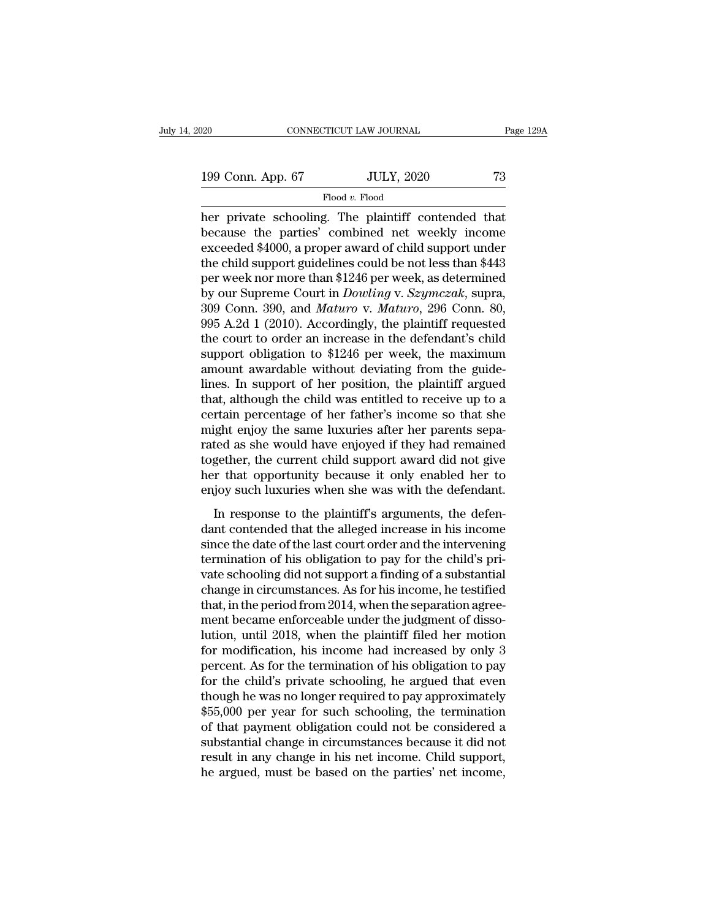## Flood *v.* Flood

 $\begin{array}{ll}\n 0.20 & \text{CONRECTICUT LAW JOURNAL} & \text{Page 129}\n \hline\n 199 & \text{Conn. App. 67} & \text{JULY, 2020} & \text{73}\n \hline\n \end{array}$ Flood v. Flood<br>
her private schooling. The plaintiff contended that<br>
because the parties' combined net weekly income<br>
exceeded 199 Conn. App. 67 JULY, 2020 73<br>Flood v. Flood<br>her private schooling. The plaintiff contended that<br>because the parties' combined net weekly income<br>exceeded \$4000, a proper award of child support under<br>the child support mi 199 Conn. App. 67 JULY, 2020 73<br>
Flood v. Flood<br>
her private schooling. The plaintiff contended that<br>
because the parties' combined net weekly income<br>
exceeded \$4000, a proper award of child support under<br>
the child suppo 199 Conn. App. 67 JULY, 2020 73<br>
Flood v. Flood<br>
her private schooling. The plaintiff contended that<br>
because the parties' combined net weekly income<br>
exceeded \$4000, a proper award of child support under<br>
the child suppo Flood v. Flood<br>her private schooling. The plaintiff contended that<br>because the parties' combined net weekly income<br>exceeded \$4000, a proper award of child support under<br>the child support guidelines could be not less than Flood *v.* Flood<br>her private schooling. The plaintiff contended that<br>because the parties' combined net weekly income<br>exceeded \$4000, a proper award of child support under<br>the child support guidelines could be not less than her private schooling. The plaintiff contended that<br>because the parties' combined net weekly income<br>exceeded \$4000, a proper award of child support under<br>the child support guidelines could be not less than \$443<br>per week no because the parties' combined net weekly income<br>exceeded \$4000, a proper award of child support under<br>the child support guidelines could be not less than \$443<br>per week nor more than \$1246 per week, as determined<br>by our Su exceeded \$4000, a proper award of child support under<br>the child support guidelines could be not less than \$443<br>per week nor more than \$1246 per week, as determined<br>by our Supreme Court in *Dowling* v. *Szymczak*, supra,<br>30 the child support guidelines could be not less than \$443<br>per week nor more than \$1246 per week, as determined<br>by our Supreme Court in *Dowling* v. *Szymczak*, supra,<br>309 Conn. 390, and *Maturo* v. *Maturo*, 296 Conn. 80,<br>9 per week nor more than \$1246 per week, as determined<br>by our Supreme Court in *Dowling* v. *Szymczak*, supra,<br>309 Conn. 390, and *Maturo* v. *Maturo*, 296 Conn. 80,<br>995 A.2d 1 (2010). Accordingly, the plaintiff requested<br>th by our Supreme Court in *Dowling* v. *Szymczak*, supra, 309 Conn. 390, and *Maturo* v. *Maturo*, 296 Conn. 80, 995 A.2d 1 (2010). Accordingly, the plaintiff requested the court to order an increase in the defendant's child 309 Conn. 390, and *Maturo* v. *Maturo*, 296 Conn. 80, 995 A.2d 1 (2010). Accordingly, the plaintiff requested the court to order an increase in the defendant's child support obligation to  $$1246$  per week, the maximum am 995 A.2d 1 (2010). Accordingly, the plaintiff requested<br>the court to order an increase in the defendant's child<br>support obligation to \$1246 per week, the maximum<br>amount awardable without deviating from the guide-<br>lines. I the court to order an increase in the defendant's child<br>support obligation to \$1246 per week, the maximum<br>amount awardable without deviating from the guide-<br>lines. In support of her position, the plaintiff argued<br>that, alt support obligation to \$1246 per week, the maximum<br>amount awardable without deviating from the guide-<br>lines. In support of her position, the plaintiff argued<br>that, although the child was entitled to receive up to a<br>certain amount awardable without deviating from the guide-<br>lines. In support of her position, the plaintiff argued<br>that, although the child was entitled to receive up to a<br>certain percentage of her father's income so that she<br>migh lines. In support of her position, the plaintiff argued<br>that, although the child was entitled to receive up to a<br>certain percentage of her father's income so that she<br>might enjoy the same luxuries after her parents sepa-<br>r that, although the child was entitled to receive up to a<br>certain percentage of her father's income so that she<br>might enjoy the same luxuries after her parents sepa-<br>rated as she would have enjoyed if they had remained<br>toge In response to the latter's meshic is the since the gight enjoy the same luxuries after her parents sepated as she would have enjoyed if they had remained gether, the current child support award did not give r that opportu rated as she would have enjoyed if they had remained together, the current child support award did not give<br>her that opportunity because it only enabled her to<br>enjoy such luxuries when she was with the defendant.<br>In respo

rated as she would have enjoyed it andy had remained together, the current child support award did not give her that opportunity because it only enabled her to enjoy such luxuries when she was with the defendant.<br>In respon ther that opportunity because it only enabled her to<br>enjoy such luxuries when she was with the defendant.<br>In response to the plaintiff's arguments, the defen-<br>dant contended that the alleged increase in his income<br>since th variance is the support and the defendant.<br>
In response to the plaintiff's arguments, the defendant<br>
in response to the plaintiff's arguments, the defendant<br>
contended that the alleged increase in his income<br>
since the dat In response to the plaintiff's arguments, the defendant contended that the alleged increase in his income<br>since the date of the last court order and the intervening<br>termination of his obligation to pay for the child's pri-In response to the plaintiff's arguments, the defendant contended that the alleged increase in his income since the date of the last court order and the intervening termination of his obligation to pay for the child's priv dant contended that the alleged increase in his income<br>since the date of the last court order and the intervening<br>termination of his obligation to pay for the child's pri-<br>vate schooling did not support a finding of a subs since the date of the last court order and the intervening<br>termination of his obligation to pay for the child's pri-<br>vate schooling did not support a finding of a substantial<br>change in circumstances. As for his income, he termination of his obligation to pay for the child's private schooling did not support a finding of a substantial<br>change in circumstances. As for his income, he testified<br>that, in the period from 2014, when the separation vate schooling did not support a finding of a substantial<br>change in circumstances. As for his income, he testified<br>that, in the period from 2014, when the separation agree-<br>ment became enforceable under the judgment of dis change in circumstances. As for his income, he testified<br>that, in the period from 2014, when the separation agree-<br>ment became enforceable under the judgment of disso-<br>lution, until 2018, when the plaintiff filed her motio that, in the period from 2014, when the separation agreement became enforceable under the judgment of dissolution, until 2018, when the plaintiff filed her motion for modification, his income had increased by only 3 percen ment became enforceable under the judgment of dissolution, until 2018, when the plaintiff filed her motion<br>for modification, his income had increased by only 3<br>percent. As for the termination of his obligation to pay<br>for t lution, until 2018, when the plaintiff filed her motion<br>for modification, his income had increased by only 3<br>percent. As for the termination of his obligation to pay<br>for the child's private schooling, he argued that even<br>t for modification, his income had increased by only 3<br>percent. As for the termination of his obligation to pay<br>for the child's private schooling, he argued that even<br>though he was no longer required to pay approximately<br>\$55 percent. As for the termination of his obligation to pay<br>for the child's private schooling, he argued that even<br>though he was no longer required to pay approximately<br>\$55,000 per year for such schooling, the termination<br>of for the child's private schooling, he argued that even<br>though he was no longer required to pay approximately<br>\$55,000 per year for such schooling, the termination<br>of that payment obligation could not be considered a<br>substan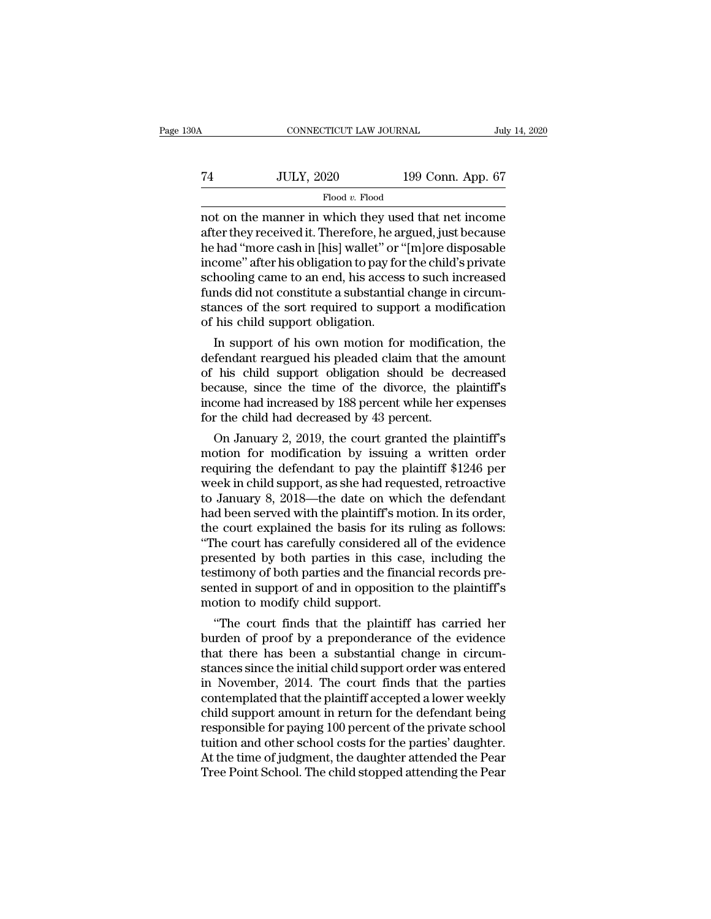| 0A | CONNECTICUT LAW JOURNAL |                   | July 14, 2020 |
|----|-------------------------|-------------------|---------------|
| 74 | <b>JULY, 2020</b>       | 199 Conn. App. 67 |               |
|    | Flood v. Flood          |                   |               |

CONNECTICUT LAW JOURNAL July 14, 2020<br>
Thuy 14, 2020<br>
Thood v. Flood<br>
Thood v. Flood<br>
Thood v. Flood<br>
Thood v. Flood<br>
Thood the manner in which they used that net income<br>
after they received it. Therefore, he argued, just Term and the manner in which they used that net income after they received it. Therefore, he argued, just because the had "more cash in [his] wallet" or "[m]ore disposable income" after his obligation to pay for the child  $\begin{tabular}{ll} \hline \textbf{74} & \textbf{JULY, 2020} & \textbf{199 Conn. App. 67} \\ \hline \textbf{61} & \textbf{201} & \textbf{199 Conn. App. 67} \\ \hline \end{tabular}$  <br> not on the manner in which they used that net income<br>after they received it. Therefore, he argued, just because<br>he had "m The Tauration of the manner in which they used that net income<br>income after they received it. Therefore, he argued, just because<br>the had "more cash in [his] wallet" or "[m]ore disposable<br>income" after his obligation to pa Flood v. Flood<br>
Flood v. Flood<br>
not on the manner in which they used that net income<br>
after they received it. Therefore, he argued, just because<br>
he had "more cash in [his] wallet" or "[m]ore disposable<br>
income" after his  $\begin{array}{l} \text{Flood } v. \text{ Flood} \\ \text{not on the manner in which they used that net income after they received it. Therefore, he argued, just because he had "more cash in [his] wallet" or "[mlore disposeable income" after his obligation to pay for the child's private schooling came to an end, his access to such increased funds did not constitute a substantial change in circumstances of the sort required to support a modification of his child support obligation. \end{array}$ not on the manner in which they used that net income<br>after they received it. Therefore, he argued, just because<br>he had "more cash in [his] wallet" or "[m]ore disposable<br>income" after his obligation to pay for the child's p after they received it. Therefore, he and the had "more cash in [his] wallet" or "income" after his obligation to pay for schooling came to an end, his access funds did not constitute a substantial stances of the sort requ rad more cash in [nis] wailet or [m]ore disposable<br>come" after his obligation to pay for the child's private<br>hooling came to an end, his access to such increased<br>nds did not constitute a substantial change in circum-<br>ances mcome arter nis obigation to pay for the child s private<br>schooling came to an end, his access to such increased<br>funds did not constitute a substantial change in circum-<br>stances of the sort required to support a modificatio

schooling came to an end, his access to such increased<br>funds did not constitute a substantial change in circum-<br>stances of the sort required to support a modification<br>of his child support obligation.<br>In support of his own runds and not constitute a substantial change in circum-<br>stances of the sort required to support a modification<br>of his child support obligation.<br>In support of his own motion for modification, the<br>defendant reargued his ple stances or the sort required to support a modification<br>of his child support obligation.<br>In support of his own motion for modification, the<br>defendant reargued his pleaded claim that the amount<br>of his child support obligatio or his child support obligation.<br>In support of his own motion for modificat<br>defendant reargued his pleaded claim that the<br>of his child support obligation should be de<br>because, since the time of the divorce, the p<br>income ha In support or his own motion for modification, the<br>fendant reargued his pleaded claim that the amount<br>his child support obligation should be decreased<br>cause, since the time of the divorce, the plaintiff's<br>come had increase derendant reargued his pleaded claim that the amount<br>of his child support obligation should be decreased<br>because, since the time of the divorce, the plaintiff's<br>income had increased by 188 percent while her expenses<br>for th

or his child support obligation should be decreased<br>because, since the time of the divorce, the plaintiff's<br>income had increased by 188 percent while her expenses<br>for the child had decreased by 43 percent.<br>On January 2, 20 because, since the time of the divorce, the plaintiff's<br>income had increased by 188 percent while her expenses<br>for the child had decreased by 43 percent.<br>On January 2, 2019, the court granted the plaintiff's<br>motion for mod Income had increased by 188 percent while her expenses<br>for the child had decreased by 43 percent.<br>On January 2, 2019, the court granted the plaintiff's<br>motion for modification by issuing a written order<br>requiring the defen for the child nad decreased by 43 percent.<br>
On January 2, 2019, the court granted the plaintiff's<br>
motion for modification by issuing a written order<br>
requiring the defendant to pay the plaintiff \$1246 per<br>
week in child s On January 2, 2019, the court granted the plaintiff's<br>motion for modification by issuing a written order<br>requiring the defendant to pay the plaintiff \$1246 per<br>week in child support, as she had requested, retroactive<br>to Ja motion for modification by issuing a written order<br>
requiring the defendant to pay the plaintiff \$1246 per<br>
week in child support, as she had requested, retroactive<br>
to January 8, 2018—the date on which the defendant<br>
had requiring the defendant to pay the plaintiff \$1246 per<br>week in child support, as she had requested, retroactive<br>to January 8, 2018—the date on which the defendant<br>had been served with the plaintiff's motion. In its order,<br> week in child support, as she had requested, retroactive<br>to January 8, 2018—the date on which the defendant<br>had been served with the plaintiff's motion. In its order,<br>the court explained the basis for its ruling as follows to January 8, 2018—the date on which the defendant<br>had been served with the plaintiff's motion. In its order,<br>the court explained the basis for its ruling as follows:<br>"The court has carefully considered all of the evidence had been served with the plaintiff's mothe court explained the basis for its if the court has carefully considered a presented by both parties in this can testimony of both parties and the final sented in support of and in e court explained the basis for its ruing as follows:<br>
The court has carefully considered all of the evidence<br>
esented by both parties in this case, including the<br>
stimony of both parties and the financial records pre-<br>
In The court has carefully considered all of the evidence<br>presented by both parties in this case, including the<br>testimony of both parties and the financial records pre-<br>sented in support of and in opposition to the plaintiff'

presented by both parties in this case, including the<br>testimony of both parties and the financial records pre-<br>sented in support of and in opposition to the plaintiff's<br>motion to modify child support.<br>"The court finds that testimony of both parties and the imancial records presented in support of and in opposition to the plaintiff's<br>motion to modify child support.<br>"The court finds that the plaintiff has carried her<br>burden of proof by a prepo sented in support or and in opposition to the plaintiff smotion to modify child support.<br>
"The court finds that the plaintiff has carried her<br>
burden of proof by a preponderance of the evidence<br>
that there has been a subst motion to modify child support.<br>
"The court finds that the plaintiff has carried her<br>
burden of proof by a preponderance of the evidence<br>
that there has been a substantial change in circum-<br>
stances since the initial child "The court finds that the plaintiff has carried her<br>burden of proof by a preponderance of the evidence<br>that there has been a substantial change in circum-<br>stances since the initial child support order was entered<br>in Novemb burden of proof by a preponderance of the evidence<br>that there has been a substantial change in circum-<br>stances since the initial child support order was entered<br>in November, 2014. The court finds that the parties<br>contempla that there has been a substantial change in circum-<br>stances since the initial child support order was entered<br>in November, 2014. The court finds that the parties<br>contemplated that the plaintiff accepted a lower weekly<br>chil stances since the initial child support order was entered<br>in November, 2014. The court finds that the parties<br>contemplated that the plaintiff accepted a lower weekly<br>child support amount in return for the defendant being<br>r in November, 2014. The court finds that the parties<br>contemplated that the plaintiff accepted a lower weekly<br>child support amount in return for the defendant being<br>responsible for paying 100 percent of the private school<br>tu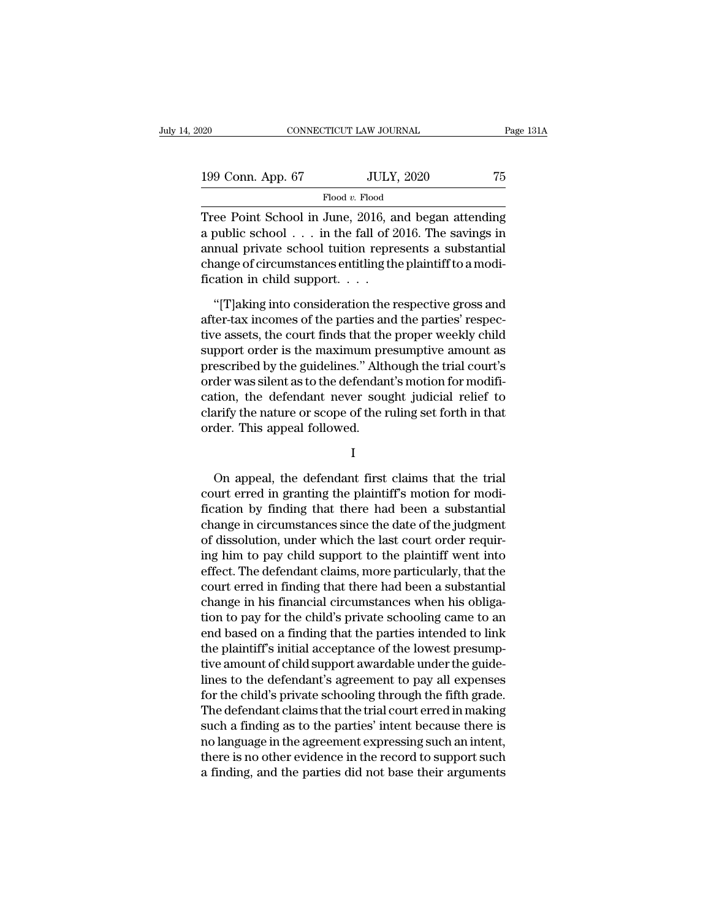| 020               | CONNECTICUT LAW JOURNAL | Page 131A |
|-------------------|-------------------------|-----------|
| 199 Conn. App. 67 | <b>JULY, 2020</b>       | 75        |
|                   | Flood v. Flood          |           |

 $\begin{array}{ll}\n 200 & \text{CONPECTICUT LAW JOURNAL} & \text{Page 131A} \\
 \hline\n 199 & \text{Conn. App. 67} & \text{JULY, 2020} & \text{75} \\
 \hline\n \text{Flood } v. \text{Flood} & \text{Tree Point School in June, 2016, and began attending a public school . . . in the fall of 2016. The savings in annual private school$  $2016. The savings in\n\end{array}$ 199 Conn. App. 67 JULY, 2020 75<br>Flood v. Flood<br>Tree Point School in June, 2016, and began attending<br>a public school . . . in the fall of 2016. The savings in<br>annual private school tuition represents a substantial<br>change o 199 Conn. App. 67 JULY, 2020 75<br>
Flood v. Flood<br>
Tree Point School in June, 2016, and began attending<br>
a public school . . . in the fall of 2016. The savings in<br>
annual private school tuition represents a substantial<br>
cha 199 Conn. App. 67 JULY, 2020 75<br>
Flood v. Flood<br>
Tree Point School in June, 2016, and began attending<br>
a public school . . . in the fall of 2016. The savings in<br>
annual private school tuition represents a substantial<br>
cha Flood v. Flood<br>Tree Point School in June, 2016, a<br>a public school  $\ldots$  in the fall of 2<br>annual private school tuition repre<br>change of circumstances entitling th<br>fication in child support. . . .<br>"[T]aking into considerati ee Point School in June, 2016, and began attending<br>
public school . . . in the fall of 2016. The savings in<br>
mual private school tuition represents a substantial<br>
ange of circumstances entitling the plaintiff to a modi-<br>
a a public school  $\ldots$  in the fall of 2016. The savings in<br>annual private school tuition represents a substantial<br>change of circumstances entitling the plaintiff to a modi-<br>fication in child support.  $\ldots$ <br>"[T]aking into c

annual private school tuition represents a substantial<br>change of circumstances entitling the plaintiff to a modi-<br>fication in child support.  $\dots$ <br>"[T]aking into consideration the respective gross and<br>after-tax incomes of change of circumstances entitling the plaintiff to a modification in child support.<br>
"[T]aking into consideration the respective gross and after-tax incomes of the parties and the parties' respective assets, the court fin fication in child support.<br>
"[T]aking into consideration the respective gross and<br>
after-tax incomes of the parties and the parties' respec-<br>
tive assets, the court finds that the proper weekly child<br>
support order is the "[T]aking into consideration the respective gross and after-tax incomes of the parties and the parties' respective assets, the court finds that the proper weekly child support order is the maximum presumptive amount as pr "[T]aking into consideration the respective gross and<br>after-tax incomes of the parties and the parties' respec-<br>tive assets, the court finds that the proper weekly child<br>support order is the maximum presumptive amount as<br>p after-tax incomes of the parties and the parties' respective assets, the court finds that the proper weekly child support order is the maximum presumptive amount as prescribed by the guidelines." Although the trial court's tive assets, the court finds that the<br>support order is the maximum pre<br>prescribed by the guidelines." Alth<br>order was silent as to the defendan<br>cation, the defendant never sou<br>clarify the nature or scope of the r<br>order. Thi der was shent as to the defendant is motion for modificion, the defendant never sought judicial relief to arify the nature or scope of the ruling set forth in that der. This appeal followed.<br>
I<br>
On appeal, the defendant fi

I

cauon, the defendant flever sought judicial reflect to<br>clarify the nature or scope of the ruling set forth in that<br>order. This appeal followed.<br>I<br>On appeal, the defendant first claims that the trial<br>court erred in granting clarify the nature or scope of the runng set forth in that<br>order. This appeal followed.<br>I<br>On appeal, the defendant first claims that the trial<br>court erred in granting the plaintiff's motion for modi-<br>fication by finding th I<br>I<br>On appeal, the defendant first claims that the trial<br>court erred in granting the plaintiff's motion for modi-<br>fication by finding that there had been a substantial<br>change in circumstances since the date of the judgment I<br>
On appeal, the defendant first claims that the trial<br>
court erred in granting the plaintiff's motion for modi-<br>
fication by finding that there had been a substantial<br>
change in circumstances since the date of the judgme On appeal, the defendant first claims that the trial<br>court erred in granting the plaintiff's motion for modi-<br>fication by finding that there had been a substantial<br>change in circumstances since the date of the judgment<br>of On appeal, the defendant first claims that the trial<br>court erred in granting the plaintiff's motion for modi-<br>fication by finding that there had been a substantial<br>change in circumstances since the date of the judgment<br>of court erred in granting the plaintiff's motion for modi-<br>fication by finding that there had been a substantial<br>change in circumstances since the date of the judgment<br>of dissolution, under which the last court order requirfication by finding that there had been a substantial<br>change in circumstances since the date of the judgment<br>of dissolution, under which the last court order requir-<br>ing him to pay child support to the plaintiff went into<br> change in circumstances since the date of the judgment<br>of dissolution, under which the last court order requir-<br>ing him to pay child support to the plaintiff went into<br>effect. The defendant claims, more particularly, that of dissolution, under which the last court order requiring him to pay child support to the plaintiff went into<br>effect. The defendant claims, more particularly, that the<br>court erred in finding that there had been a substant ing him to pay child support to the plaintiff went into<br>effect. The defendant claims, more particularly, that the<br>court erred in finding that there had been a substantial<br>change in his financial circumstances when his obli effect. The defendant claims, more particularly, that the court erred in finding that there had been a substantial change in his financial circumstances when his obligation to pay for the child's private schooling came to court erred in finding that there had been a substantial<br>change in his financial circumstances when his obliga-<br>tion to pay for the child's private schooling came to an<br>end based on a finding that the parties intended to l change in his financial circumstances when his obligation to pay for the child's private schooling came to an end based on a finding that the parties intended to link the plaintiff's initial acceptance of the lowest presum tion to pay for the child's private schooling came to an<br>end based on a finding that the parties intended to link<br>the plaintiff's initial acceptance of the lowest presump-<br>tive amount of child support awardable under the g end based on a finding that the parties intended to link<br>the plaintiff's initial acceptance of the lowest presump-<br>tive amount of child support awardable under the guide-<br>lines to the defendant's agreement to pay all expen the plaintiff's initial acceptance of the lowest presumptive amount of child support awardable under the guidelines to the defendant's agreement to pay all expenses for the child's private schooling through the fifth grade tive amount of child support awardable under the guide-<br>lines to the defendant's agreement to pay all expenses<br>for the child's private schooling through the fifth grade.<br>The defendant claims that the trial court erred in m lines to the defendant's agreement to pay all expenses<br>for the child's private schooling through the fifth grade.<br>The defendant claims that the trial court erred in making<br>such a finding as to the parties' intent because t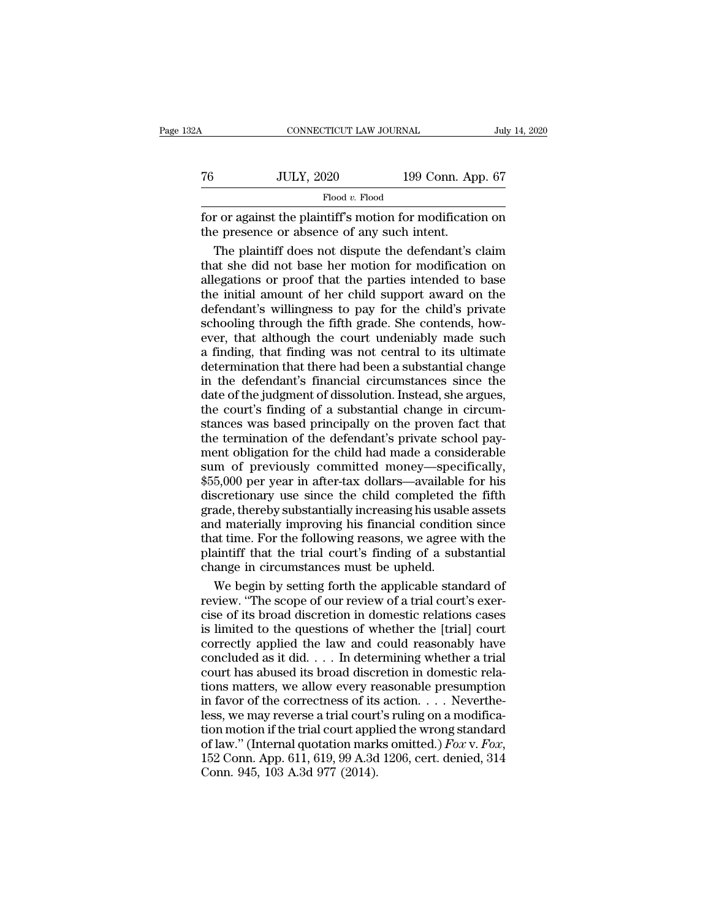| 32A | CONNECTICUT LAW JOURNAL                                                                                  |                   | July 14, 2020 |
|-----|----------------------------------------------------------------------------------------------------------|-------------------|---------------|
| 76  | <b>JULY, 2020</b>                                                                                        | 199 Conn. App. 67 |               |
|     | Flood v. Flood                                                                                           |                   |               |
|     | for or against the plaintiff's motion for modification on<br>the presence or absence of any such intent. |                   |               |
|     | The plaintiff does not dispute the defendant's claim                                                     |                   |               |

 $JULY, 2020$  199 Conn. App. 67<br>  $\frac{Flood v. Flood}{Fload}$ <br>
The plaintiff's motion for modification on<br>
Expressence or absence of any such intent.<br>
The plaintiff does not dispute the defendant's claim<br>
at she did not base her motion To  $\frac{JULY, 2020}{Flood v. Flood}$  199 Conn. App. 67<br>
for or against the plaintiff's motion for modification on<br>
the presence or absence of any such intent.<br>
The plaintiff does not dispute the defendant's claim<br>
that she did not b Flood v. Flood<br>for or against the plaintiff's motion for modification on<br>the presence or absence of any such intent.<br>The plaintiff does not dispute the defendant's claim<br>that she did not base her motion for modification o Frood *v*. Frood<br>for or against the plaintiff's motion for modification on<br>the presence or absence of any such intent.<br>The plaintiff does not dispute the defendant's claim<br>that she did not base her motion for modification for or against the plaintiff's motion for modification on<br>the presence or absence of any such intent.<br>The plaintiff does not dispute the defendant's claim<br>that she did not base her motion for modification on<br>allegations or the presence or absence of any such intent.<br>The plaintiff does not dispute the defendant's claim<br>that she did not base her motion for modification on<br>allegations or proof that the parties intended to base<br>the initial amoun The plaintiff does not dispute the defendant's claim<br>that she did not base her motion for modification on<br>allegations or proof that the parties intended to base<br>the initial amount of her child support award on the<br>defendan that she did not base her motion for modification on<br>allegations or proof that the parties intended to base<br>the initial amount of her child support award on the<br>defendant's willingness to pay for the child's private<br>school allegations or proof that the parties intended to base<br>the initial amount of her child support award on the<br>defendant's willingness to pay for the child's private<br>schooling through the fifth grade. She contends, how-<br>ever, in the initial amount of her child support award on the<br>defendant's willingness to pay for the child's private<br>schooling through the fifth grade. She contends, how-<br>ever, that although the court undeniably made such<br>a find defendant's willingness to pay for the child's private<br>schooling through the fifth grade. She contends, how-<br>ever, that although the court undeniably made such<br>a finding, that finding was not central to its ultimate<br>determ schooling through the fifth grade. She contends, how-<br>ever, that although the court undeniably made such<br>a finding, that finding was not central to its ultimate<br>determination that there had been a substantial change<br>in the states was a tender which grade. See the development and finding, that finding was not central to its ultimate determination that there had been a substantial change in the defendant's financial circumstances since the dat the defermination that there had been a substantial change<br>in the defermination that there had been a substantial change<br>in the defendant's financial circumstances since the<br>date of the judgment of dissolution. Instead, sh determination that there had been a substantial change<br>in the defendant's financial circumstances since the<br>date of the judgment of dissolution. Instead, she argues,<br>the court's finding of a substantial change in circum-<br>s in the defendant's financial circumstances since the<br>date of the judgment of dissolution. Instead, she argues,<br>the court's finding of a substantial change in circum-<br>stances was based principally on the proven fact that<br>th In the of the judgment of dissolution. Instead, she argues,<br>the court's finding of a substantial change in circum-<br>stances was based principally on the proven fact that<br>the termination of the defendant's private school pay ance of the galactical methods, see algoes,<br>the court's finding of a substantial change in circum-<br>stances was based principally on the proven fact that<br>the termination of the defendant's private school pay-<br>ment obligatio are searce manning or a standard change in each stances was based principally on the proven fact that the termination of the defendant's private school payment obligation for the child had made a considerable sum of previo France was stated principarly on the proven rated pay-<br>the termination of the defendant's private school pay-<br>ment obligation for the child had made a considerable<br>sum of previously committed money—specifically,<br>\$55,000 pe The continuation for the child had made a considerable<br>sum of previously committed money—specifically,<br>\$55,000 per year in after-tax dollars—available for his<br>discretionary use since the child completed the fifth<br>grade, th plantiff that the trial completed money—specifically,<br>\$55,000 per year in after-tax dollars—available for his<br>discretionary use since the child completed the fifth<br>grade, thereby substantially increasing his usable assets<br> state of the processes and the state of the state of the state discretionary use since the child completed to grade, thereby substantially increasing his usable and materially improving his financial condition that time. F scretionary use since the child completed the fifth<br>ade, thereby substantially increasing his usable assets<br>d materially improving his financial condition since<br>at time. For the following reasons, we agree with the<br>aintiff grade, thereby substantially increasing his usable assets<br>and materially improving his financial condition since<br>that time. For the following reasons, we agree with the<br>plaintiff that the trial court's finding of a substan

and materially improving his financial condition since<br>that time. For the following reasons, we agree with the<br>plaintiff that the trial court's finding of a substantial<br>change in circumstances must be upheld.<br>We begin by s that time. For the following reasons, we agree with the plaintiff that the trial court's finding of a substantial change in circumstances must be upheld.<br>We begin by setting forth the applicable standard of review. "The sc plaintiff that the trial court's finding of a substantial<br>change in circumstances must be upheld.<br>We begin by setting forth the applicable standard of<br>review. "The scope of our review of a trial court's exer-<br>cise of its b change in circumstances must be upheld.<br>We begin by setting forth the applicable standard of<br>review. "The scope of our review of a trial court's exer-<br>cise of its broad discretion in domestic relations cases<br>is limited to We begin by setting forth the applicable standard of<br>review. "The scope of our review of a trial court's exer-<br>cise of its broad discretion in domestic relations cases<br>is limited to the questions of whether the [trial] co the scheme of the scheme of a trial court's exercise of its broad discretion in domestic relations cases<br>is limited to the questions of whether the [trial] court<br>correctly applied the law and could reasonably have<br>conclud cise of its broad discretion in domestic relations cases<br>is limited to the questions of whether the [trial] court<br>correctly applied the law and could reasonably have<br>concluded as it did.... In determining whether a trial<br>c is limited to the questions of whether the [trial] court<br>correctly applied the law and could reasonably have<br>concluded as it did. . . . In determining whether a trial<br>court has abused its broad discretion in domestic rela to meetly applied the law and could reasonably have<br>concluded as it did.... In determining whether a trial<br>court has abused its broad discretion in domestic rela-<br>tions matters, we allow every reasonable presumption<br>in fa concluded as it did.  $\ldots$  In determining whether a trial court has abused its broad discretion in domestic relations matters, we allow every reasonable presumption in favor of the correctness of its action.  $\ldots$  Neverth tions matters, we allow every re<br>in favor of the correctness of its<br>less, we may reverse a trial court<br>tion motion if the trial court appl<br>of law." (Internal quotation mark<br>152 Conn. App. 611, 619, 99 A.3d<br>Conn. 945, 103 A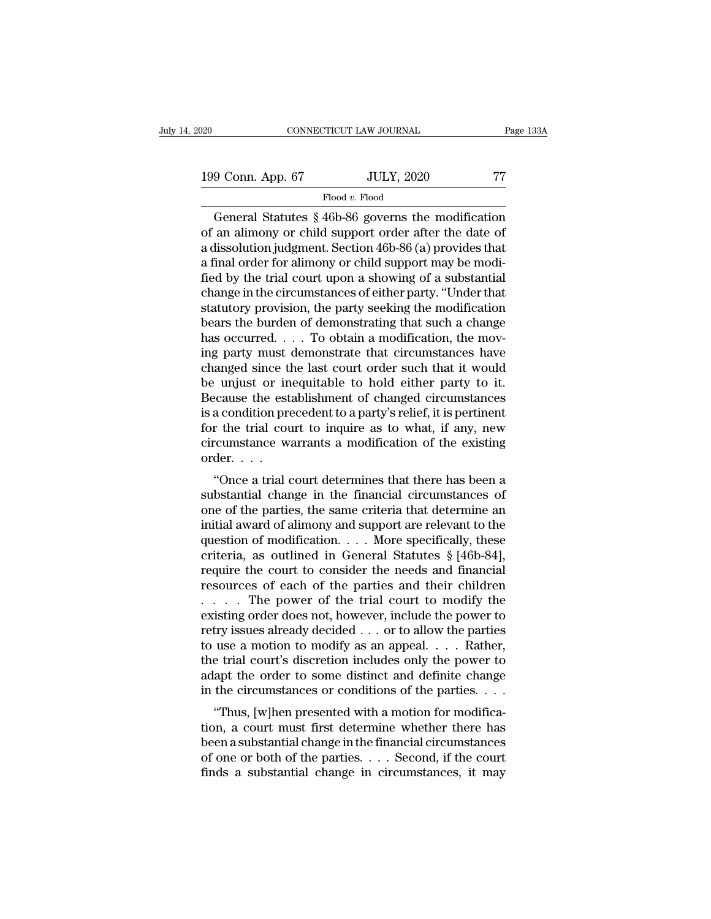199 Conn. App. 67 JULY, 2020 77 Flood v. Flood

Flood *v.* Flood

CONNECTICUT LAW JOURNAL Page 133A<br>
9 Conn. App. 67 JULY, 2020 77<br>
Flood v. Flood<br>
General Statutes § 46b-86 governs the modification<br>
an alimony or child support order after the date of<br>
dissolution indemnat Soction 46b-86 199 Conn. App. 67 JULY, 2020 77<br>Flood v. Flood<br>General Statutes § 46b-86 governs the modification<br>of an alimony or child support order after the date of<br>a dissolution judgment. Section 46b-86 (a) provides that<br>a final ord 199 Conn. App. 67 JULY, 2020 77<br>Flood v. Flood<br>General Statutes § 46b-86 governs the modification<br>of an alimony or child support order after the date of<br>a dissolution judgment. Section 46b-86 (a) provides that<br>a final ord 199 Conn. App. 67 JULY, 2020 77<br>
Flood v. Flood<br>
General Statutes § 46b-86 governs the modification<br>
of an alimony or child support order after the date of<br>
a dissolution judgment. Section 46b-86 (a) provides that<br>
a fina Flood v. Flood<br>
Flood v. Flood<br>
General Statutes § 46b-86 governs the modification<br>
of an alimony or child support order after the date of<br>
a dissolution judgment. Section 46b-86 (a) provides that<br>
a final order for alimo Flood v. Flood<br>General Statutes § 46b-86 governs the modification<br>of an alimony or child support order after the date of<br>a dissolution judgment. Section 46b-86 (a) provides that<br>a final order for alimony or child support General Statutes  $\S$  46b-86 governs the modification<br>of an alimony or child support order after the date of<br>a dissolution judgment. Section 46b-86 (a) provides that<br>a final order for alimony or child support may be modi-<br> of an alimony or child support order after the date of<br>a dissolution judgment. Section 46b-86 (a) provides that<br>a final order for alimony or child support may be modi-<br>fied by the trial court upon a showing of a substantia a dissolution judgment. Section 46b-86 (a) provides that<br>a final order for alimony or child support may be modi-<br>fied by the trial court upon a showing of a substantial<br>change in the circumstances of either party. "Under t a final order for alimony or child support may be modified by the trial court upon a showing of a substantial<br>change in the circumstances of either party. "Under that<br>statutory provision, the party seeking the modification fied by the trial court upon a showing of a substantial<br>change in the circumstances of either party. "Under that<br>statutory provision, the party seeking the modification<br>bears the burden of demonstrating that such a change<br> change in the circumstances of either party. "Under that<br>statutory provision, the party seeking the modification<br>bears the burden of demonstrating that such a change<br>has occurred. . . . To obtain a modification, the mov-<br> statutory provision, the party seeking the modification<br>bears the burden of demonstrating that such a change<br>has occurred. . . . To obtain a modification, the mov-<br>ing party must demonstrate that circumstances have<br>change bears the burden of demonstrating that such a change<br>has occurred. . . . To obtain a modification, the mov-<br>ing party must demonstrate that circumstances have<br>changed since the last court order such that it would<br>be unjus has occurred. . . . To obtain a modification, the moving party must demonstrate that circumstances have changed since the last court order such that it would be unjust or inequitable to hold either party to it. Because th ing party must demonstrate that circumstances have<br>changed since the last court order such that it would<br>be unjust or inequitable to hold either party to it.<br>Because the establishment of changed circumstances<br>is a conditi changed since the<br>be unjust or in<br>Because the est<br>is a condition pre<br>for the trial cou<br>circumstance wi<br>order....<br>"Once a trial o Equivalent of the establishment of changed circumstances<br>a condition precedent to a party's relief, it is pertinent<br>r the trial court to inquire as to what, if any, new<br>reumstance warrants a modification of the existing<br>d Because the establishment of changed circumstances<br>is a condition precedent to a party's relief, it is pertinent<br>for the trial court to inquire as to what, if any, new<br>circumstance warrants a modification of the existing<br>o

is a condition precedent to a party steller, it is perturent<br>for the trial court to inquire as to what, if any, new<br>circumstance warrants a modification of the existing<br>order....<br>"Once a trial court determines that there h for the that court to inquire as to what, if any, hew<br>circumstance warrants a modification of the existing<br>order....<br>"Once a trial court determines that there has been a<br>substantial change in the financial circumstances o circuitstance warrants a modification of the existing<br>order....<br>"Once a trial court determines that there has been a<br>substantial change in the financial circumstances of<br>one of the parties, the same criteria that determin "Once a trial court determines that there has been a substantial change in the financial circumstances of one of the parties, the same criteria that determine an initial award of alimony and support are relevant to the qu "Once a trial court determines that there has been a substantial change in the financial circumstances of one of the parties, the same criteria that determine an initial award of alimony and support are relevant to the qu substantial change in the financial circumstances of<br>one of the parties, the same criteria that determine an<br>initial award of alimony and support are relevant to the<br>question of modification.... More specifically, these<br>c one of the parties, the same criteria that determine an<br>initial award of alimony and support are relevant to the<br>question of modification. . . . More specifically, these<br>criteria, as outlined in General Statutes  $\S$  [46binitial award of alimony and support are relevant to the<br>question of modification. . . . More specifically, these<br>criteria, as outlined in General Statutes § [46b-84],<br>require the court to consider the needs and financial question of modification. . . . More specifically, these criteria, as outlined in General Statutes  $\S$  [46b-84], require the court to consider the needs and financial resources of each of the parties and their children . criteria, as outlined in General Statutes § [46b-84],<br>require the court to consider the needs and financial<br>resources of each of the parties and their children<br>. . . . . The power of the trial court to modify the<br>existing require the court to consider the needs and financial<br>resources of each of the parties and their children<br> $\dots$  The power of the trial court to modify the<br>existing order does not, however, include the power to<br>retry issues resources of each of the parties and their children<br>  $\dots$  The power of the trial court to modify the<br>
existing order does not, however, include the power to<br>
retry issues already decided  $\dots$  or to allow the parties<br>
to u . . . . . The power of the trial court to modify the existing order does not, however, include the power to retry issues already decided . . . or to allow the parties to use a motion to modify as an appeal. . . . Rather, Example 1 does not, nowever, include the power to<br>try issues already decided  $\ldots$  or to allow the parties<br>use a motion to modify as an appeal.  $\ldots$ . Rather,<br>e trial court's discretion includes only the power to<br>apt the tetly issues already decided  $\ldots$  or to allow the parties<br>to use a motion to modify as an appeal.  $\ldots$  Rather,<br>the trial court's discretion includes only the power to<br>adapt the order to some distinct and definite change

be use a motion to modify as an appear.  $\ldots$  hadden,<br>the trial court's discretion includes only the power to<br>adapt the order to some distinct and definite change<br>in the circumstances or conditions of the parties.  $\ldots$ <br>" delay the order to some distinct and definite change<br>in the circumstances or conditions of the parties. . . .<br>"Thus, [w]hen presented with a motion for modifica-<br>tion, a court must first determine whether there has<br>been a Finds a substantial change in the circumstances or conditions of the parties.  $\dots$  "Thus, [w]hen presented with a motion for modification, a court must first determine whether there has been a substantial change in the fi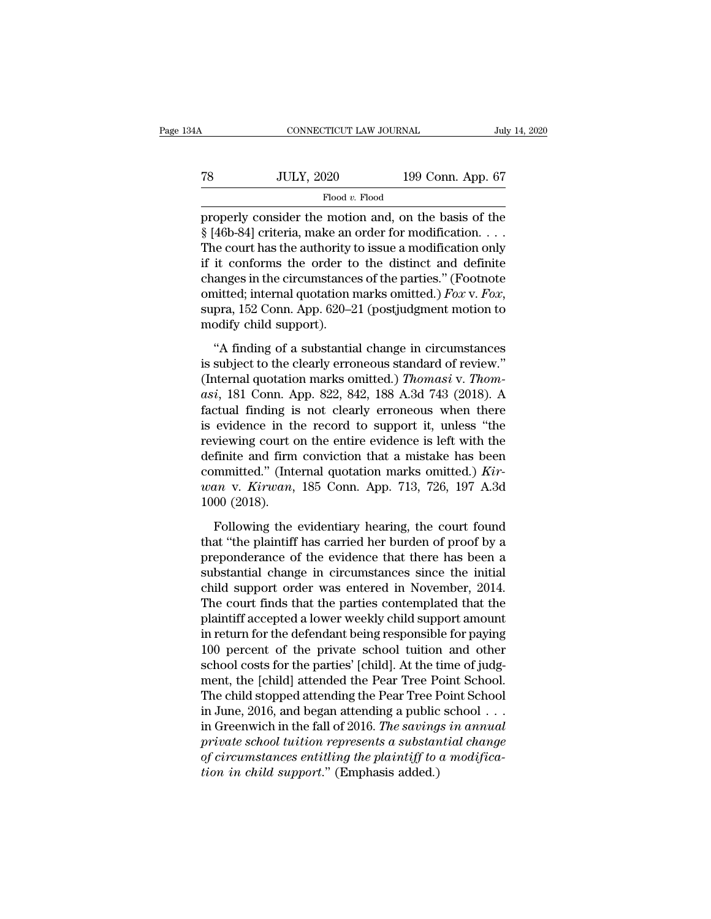| 4A | CONNECTICUT LAW JOURNAL |                   | July 14, 2020 |
|----|-------------------------|-------------------|---------------|
| 78 | <b>JULY, 2020</b>       | 199 Conn. App. 67 |               |
|    | Flood v. Flood          |                   |               |

FROMETICUT LAW JOURNAL July 14, 2020<br>
TROOD MADE TO MADE TO MADE TO MADE TO MADE TO MADE TO MADE TO MADE TO MADE TO MADE S<br>
Properly consider the motion and, on the basis of the<br>
S [46b-84] criteria, make an order for mod <sup>78</sup> JULY, 2020 199 Conn. App. 67<br>Flood v. Flood<br>properly consider the motion and, on the basis of the<br>§ [46b-84] criteria, make an order for modification. . . .<br>The court has the authority to issue a modification only<br>if The court has the authority of the authority of the authority of the authority to issue a modification  $\cdot$ ...<br>The court has the authority to issue a modification only if it conforms the order to the distinct and definite T8 JULY, 2020 199 Conn. App. 67<br>
Flood v. Flood<br>
properly consider the motion and, on the basis of the<br>
§ [46b-84] criteria, make an order for modification. . . .<br>
The court has the authority to issue a modification only<br> Flood v. Flood<br>properly consider the motion and, on the basis of the<br> $\S$  [46b-84] criteria, make an order for modification....<br>The court has the authority to issue a modification only<br>if it conforms the order to the disti Food *v*. Food<br>
S [46b-84] criteria, make an order for modification....<br>
The court has the authority to issue a modification only<br>
if it conforms the order to the distinct and definite<br>
changes in the circumstances of the § [46b-84] criteria, make an<br>The court has the authority i<br>if it conforms the order to<br>changes in the circumstance<br>omitted; internal quotation r<br>supra, 152 Conn. App. 620–2<br>modify child support).<br>"A finding of a substantia it conforms the order to the distinct and definite<br>
it conforms the order to the distinct and definite<br>
anges in the circumstances of the parties." (Footnote<br>
initted; internal quotation marks omitted.) *Fox v. Fox*,<br>
pra changes in the circumstances of the parties." (Footnote<br>omitted; internal quotation marks omitted.) Fox v. Fox,<br>supra, 152 Conn. App. 620–21 (postjudgment motion to<br>modify child support).<br>"A finding of a substantial chang

changes in the circumstances of the parties." (Footnote omitted; internal quotation marks omitted.) *Fox v. Fox*, supra, 152 Conn. App. 620–21 (postjudgment motion to modify child support).<br>"A finding of a substantial chan **Example, 182 Conn. App. 620–21 (postjudgment motion to**<br>
modify child support).<br>
"A finding of a substantial change in circumstances<br>
is subject to the clearly erroneous standard of review."<br>
(Internal quotation marks omi modify child support).<br>
"A finding of a substantial change in circumstances<br>
is subject to the clearly erroneous standard of review."<br>
(Internal quotation marks omitted.) *Thomasi* v. *Thom-*<br>
asi, 181 Conn. App. 822, 842 "A finding of a substantial change in circumstances<br>is subject to the clearly erroneous standard of review."<br>(Internal quotation marks omitted.) *Thomasi* v. *Thom-<br>asi*, 181 Conn. App. 822, 842, 188 A.3d 743 (2018). A<br>fa "A finding of a substantial change in circumstances<br>is subject to the clearly erroneous standard of review."<br>(Internal quotation marks omitted.) *Thomasi* v. *Thom-*<br>asi, 181 Conn. App. 822, 842, 188 A.3d 743 (2018). A<br>fa is subject to the clearly erroneous standard of review."<br>(Internal quotation marks omitted.) *Thomasi* v. *Thomasi*, 181 Conn. App. 822, 842, 188 A.3d 743 (2018). A<br>factual finding is not clearly erroneous when there<br>is e (Internal quotation marks omitted.) *Thomasi* v. *Thomasi*, 181 Conn. App. 822, 842, 188 A.3d 743 (2018). A factual finding is not clearly erroneous when there is evidence in the record to support it, unless "the reviewing asi, 181 Conn. App. 822, 842, 188 A.3d 743 (2018). A<br>factual finding is not clearly erroneous when there<br>is evidence in the record to support it, unless "the<br>reviewing court on the entire evidence is left with the<br>definite factual finding is<br>is evidence in the<br>reviewing court c<br>definite and firm<br>committed." (Internatively and the<br>non-terminal political field<br>1000 (2018).<br>Following the viewing court on the entire evidence is left with the<br>finite and firm conviction that a mistake has been<br>mmitted." (Internal quotation marks omitted.) *Kir-*<br> $an$  v. *Kirwan*, 185 Conn. App. 713, 726, 197 A.3d<br>00 (2018).<br>Fo definite and firm conviction that a mistake has been<br>
committed." (Internal quotation marks omitted.)  $Kir-$ <br>  $wan$  v.  $Kirwan$ , 185 Conn. App. 713, 726, 197 A.3d<br>
1000 (2018).<br>
Following the evidentiary hearing, the court found<br>

committed." (Internal quotation marks omitted.) *Kirwan* v. *Kirwan*, 185 Conn. App. 713, 726, 197 A.3d 1000 (2018).<br>Following the evidentiary hearing, the court found that "the plaintiff has carried her burden of proof b wan v. Kirwan, 185 Conn. App. 713, 726, 197 A.3d<br>1000 (2018).<br>Following the evidentiary hearing, the court found<br>that "the plaintiff has carried her burden of proof by a<br>preponderance of the evidence that there has been a<br> Following the evidentiary hearing, the court found<br>that "the plaintiff has carried her burden of proof by a<br>preponderance of the evidence that there has been a<br>substantial change in circumstances since the initial<br>child su Following the evidentiary hearing, the court found<br>that "the plaintiff has carried her burden of proof by a<br>preponderance of the evidence that there has been a<br>substantial change in circumstances since the initial<br>child su Following the evidentiary hearing, the court found<br>that "the plaintiff has carried her burden of proof by a<br>preponderance of the evidence that there has been a<br>substantial change in circumstances since the initial<br>child su that "the plaintiff has carried her burden of proof by a<br>preponderance of the evidence that there has been a<br>substantial change in circumstances since the initial<br>child support order was entered in November, 2014.<br>The cour preponderance of the evidence that there has been a<br>substantial change in circumstances since the initial<br>child support order was entered in November, 2014.<br>The court finds that the parties contemplated that the<br>plaintiff substantial change in circumstances since the initial<br>child support order was entered in November, 2014.<br>The court finds that the parties contemplated that the<br>plaintiff accepted a lower weekly child support amount<br>in retu child support order was entered in November, 2014.<br>The court finds that the parties contemplated that the<br>plaintiff accepted a lower weekly child support amount<br>in return for the defendant being responsible for paying<br>100 The court finds that the parties contemplated that the plaintiff accepted a lower weekly child support amount<br>in return for the defendant being responsible for paying<br>100 percent of the private school tuition and other<br>sc plaintiff accepted a lower weekly child support amount<br>in return for the defendant being responsible for paying<br>100 percent of the private school tuition and other<br>school costs for the parties' [child]. At the time of judg in return for the defendant being responsible for paying<br>100 percent of the private school tuition and other<br>school costs for the parties' [child]. At the time of judg-<br>ment, the [child] attended the Pear Tree Point School 100 percent of the private school tuition and other<br>school costs for the parties' [child]. At the time of judg-<br>ment, the [child] attended the Pear Tree Point School.<br>The child stopped attending the Pear Tree Point School<br> school costs for the parties' [child]. At the time of judgment, the [child] attended the Pear Tree Point School.<br>The child stopped attending the Pear Tree Point School<br>in June, 2016, and began attending a public school . . ment, the [child] attended the Pear Tree P<br>The child stopped attending the Pear Tree F<br>in June, 2016, and began attending a public<br>in Greenwich in the fall of 2016. *The saving<br>private school tuition represents a substan<br>o*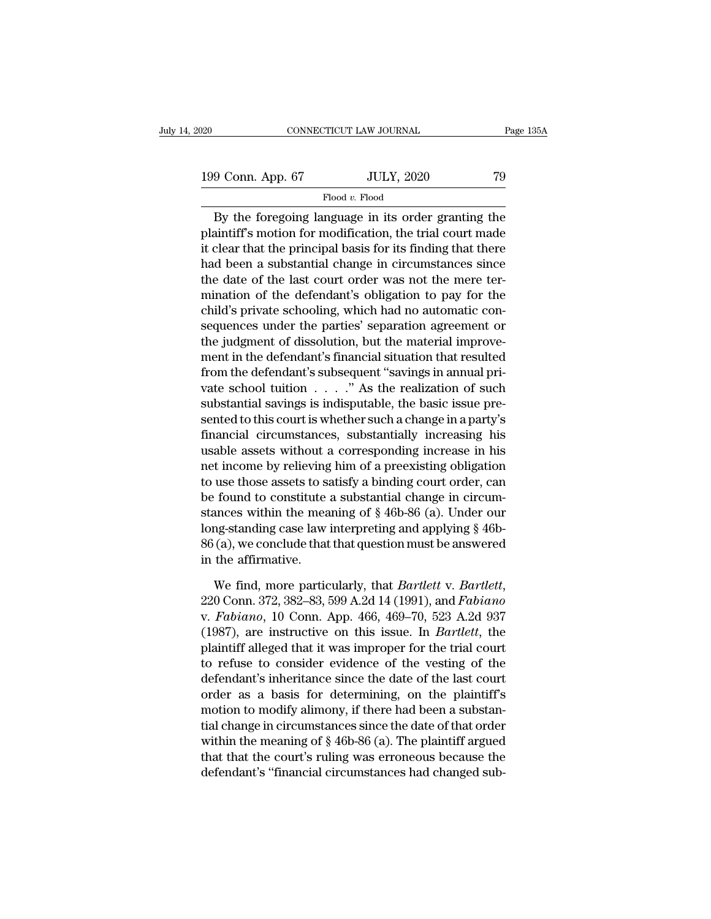# Flood *v.* Flood

CONNECTICUT LAW JOURNAL Page 135A<br>
9 Conn. App. 67 JULY, 2020 79<br>
Flood v. Flood<br>
By the foregoing language in its order granting the<br>
aintiff's motion for modification, the trial court made 199 Conn. App. 67 JULY, 2020 79<br>Flood v. Flood<br>By the foregoing language in its order granting the<br>plaintiff's motion for modification, the trial court made<br>it clear that the principal basis for its finding that there<br>had 199 Conn. App. 67 JULY, 2020 79<br>
Flood v. Flood<br>
By the foregoing language in its order granting the<br>
plaintiff's motion for modification, the trial court made<br>
it clear that the principal basis for its finding that there 199 Conn. App. 67 JULY, 2020 79<br>
Flood v. Flood<br>
By the foregoing language in its order granting the<br>
plaintiff's motion for modification, the trial court made<br>
it clear that the principal basis for its finding that there Flood  $v$ . Flood<br>By the foregoing language in its order granting the<br>plaintiff's motion for modification, the trial court made<br>it clear that the principal basis for its finding that there<br>had been a substantial change in Exploration of the defendant is order granting the plaintiff's motion for modification, the trial court made it clear that the principal basis for its finding that there had been a substantial change in circumstances sinc By the foregoing language in its order granting the plaintiff's motion for modification, the trial court made it clear that the principal basis for its finding that there had been a substantial change in circumstances sinc plaintiff's motion for modification, the trial court made<br>it clear that the principal basis for its finding that there<br>had been a substantial change in circumstances since<br>the date of the last court order was not the mere it clear that the principal basis for its finding that there<br>had been a substantial change in circumstances since<br>the date of the last court order was not the mere ter-<br>mination of the defendant's obligation to pay for the had been a substantial change in circumstances since<br>the date of the last court order was not the mere ter-<br>mination of the defendant's obligation to pay for the<br>child's private schooling, which had no automatic con-<br>seque the date of the last court order was not the mere ter-<br>mination of the defendant's obligation to pay for the<br>child's private schooling, which had no automatic con-<br>sequences under the parties' separation agreement or<br>the mination of the defendant's obligation to pay for the<br>child's private schooling, which had no automatic con-<br>sequences under the parties' separation agreement or<br>the judgment of dissolution, but the material improve-<br>ment child's private schooling, which had no automatic con-<br>sequences under the parties' separation agreement or<br>the judgment of dissolution, but the material improve-<br>ment in the defendant's financial situation that resulted<br> sequences under the parties' separation agreement or<br>the judgment of dissolution, but the material improve-<br>ment in the defendant's financial situation that resulted<br>from the defendant's subsequent "savings in annual pri-<br> the judgment of dissolution, but the material improve-<br>ment in the defendant's financial situation that resulted<br>from the defendant's subsequent "savings in annual pri-<br>vate school tuition . . . . ." As the realization of ment in the defendant's financial situation that resulted<br>from the defendant's subsequent "savings in annual pri-<br>vate school tuition . . . . ." As the realization of such<br>substantial savings is indisputable, the basic iss from the defendant's subsequent "savings in annual private school tuition  $\ldots$ " As the realization of such substantial savings is indisputable, the basic issue presented to this court is whether such a change in a party' vate school tution  $\ldots$  ..." As the realization of such<br>substantial savings is indisputable, the basic issue pre-<br>sented to this court is whether such a change in a party's<br>financial circumstances, substantially increasi substantial savings is indisputable, the basic issue presented to this court is whether such a change in a party's financial circumstances, substantially increasing his usable assets without a corresponding increase in hi sented to this court is whether such a change in a party's<br>financial circumstances, substantially increasing his<br>usable assets without a corresponding increase in his<br>net income by relieving him of a preexisting obligation financial circumstances, substantially increasing his<br>usable assets without a corresponding increase in his<br>net income by relieving him of a preexisting obligation<br>to use those assets to satisfy a binding court order, can usable assets without a corresponding increase in his<br>net income by relieving him of a preexisting obligation<br>to use those assets to satisfy a binding court order, can<br>be found to constitute a substantial change in circum net income by relieving<br>to use those assets to s:<br>be found to constitute<br>stances within the mea<br>long-standing case law<br>86 (a), we conclude that<br>in the affirmative.<br>We find, more partic be found to constitute a substantial change in circum-<br>stances within the meaning of § 46b-86 (a). Under our<br>long-standing case law interpreting and applying § 46b-<br>86 (a), we conclude that that question must be answered<br>i

long-standing case law interpreting and applying § 46b-86 (a), we conclude that that question must be answered<br>in the affirmative.<br>We find, more particularly, that *Bartlett* v. *Bartlett*,<br>220 Conn. 372, 382–83, 599 A.2d 86 (a), we conclude that that question must be answered<br>in the affirmative.<br>We find, more particularly, that *Bartlett* v. *Bartlett*,<br>220 Conn. 372, 382–83, 599 A.2d 14 (1991), and *Fabiano*<br>v. *Fabiano*, 10 Conn. App. 46 in the affirmative.<br>We find, more particularly, that *Bartlett* v. *Bartlett*,<br>220 Conn. 372, 382–83, 599 A.2d 14 (1991), and *Fabiano*<br>v. *Fabiano*, 10 Conn. App. 466, 469–70, 523 A.2d 937<br>(1987), are instructive on this We find, more particularly, that *Bartlett* v. *Bartlett*,<br>220 Conn. 372, 382–83, 599 A.2d 14 (1991), and *Fabiano*<br>v. *Fabiano*, 10 Conn. App. 466, 469–70, 523 A.2d 937<br>(1987), are instructive on this issue. In *Bartlett* We find, more particularly, that *Bartlett* v. *Bartlett*,<br>220 Conn. 372, 382–83, 599 A.2d 14 (1991), and *Fabiano*<br>v. *Fabiano*, 10 Conn. App. 466, 469–70, 523 A.2d 937<br>(1987), are instructive on this issue. In *Bartlett* 220 Conn. 372, 382–83, 599 A.2d 14 (1991), and *Fabiano*<br>v. *Fabiano*, 10 Conn. App. 466, 469–70, 523 A.2d 937<br>(1987), are instructive on this issue. In *Bartlett*, the<br>plaintiff alleged that it was improper for the trial v. Fabiano, 10 Conn. App. 466, 469–70, 523 A.2d 937<br>(1987), are instructive on this issue. In *Bartlett*, the<br>plaintiff alleged that it was improper for the trial court<br>to refuse to consider evidence of the vesting of the (1987), are instructive on this issue. In *Bartlett*, the plaintiff alleged that it was improper for the trial court to refuse to consider evidence of the vesting of the defendant's inheritance since the date of the last plaintiff alleged that it was improper for the trial court<br>to refuse to consider evidence of the vesting of the<br>defendant's inheritance since the date of the last court<br>order as a basis for determining, on the plaintiff's<br> to refuse to consider evidence of the vesting of the<br>defendant's inheritance since the date of the last court<br>order as a basis for determining, on the plaintiff's<br>motion to modify alimony, if there had been a substan-<br>tia defendant's inheritance since the date of the last court<br>order as a basis for determining, on the plaintiff's<br>motion to modify alimony, if there had been a substan-<br>tial change in circumstances since the date of that order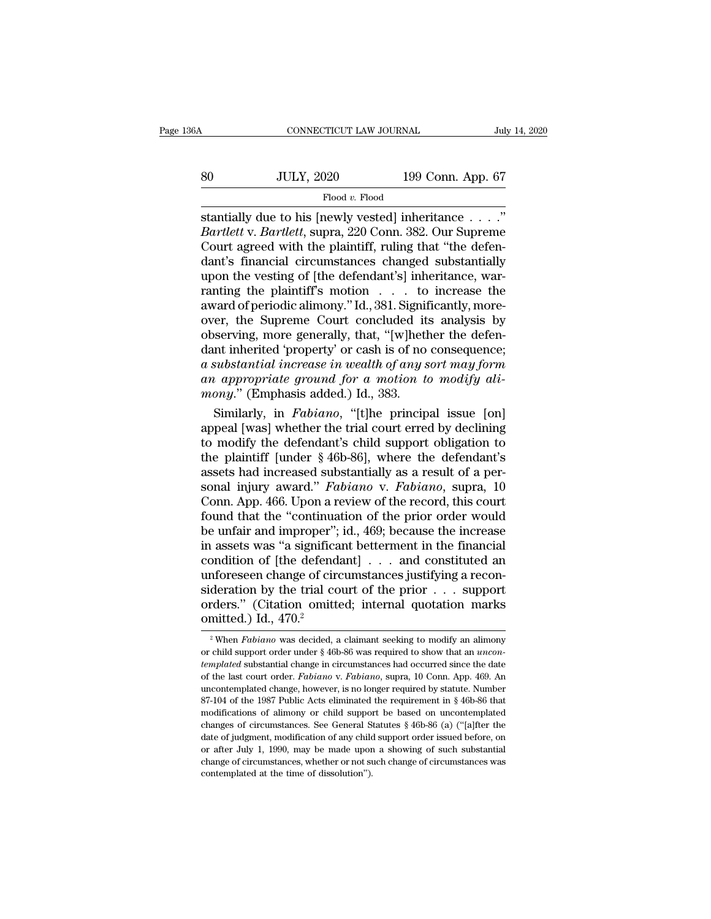|        | CONNECTICUT LAW JOURNAL |                   | July 14, 2020 |
|--------|-------------------------|-------------------|---------------|
|        |                         |                   |               |
| $80\,$ | <b>JULY, 2020</b>       | 199 Conn. App. 67 |               |
|        | Flood v. Flood          |                   |               |

So CONNECTICUT LAW JOURNAL July 14, 2<br>
So JULY, 2020 199 Conn. App. 67<br>
Flood v. Flood<br>
Stantially due to his [newly vested] inheritance . . . . ."<br>
Bartlett v. Bartlett, supra, 220 Conn. 382. Our Supreme<br>
Court agroed wit *Bartlett* v. *Bartlett*, supra, 220 Conn. 382. Our Supreme Court agreed with the plaintiff, ruling that "the defendant's financial circumstances changed substantially  $\frac{\text{JULY, 2020}}{\text{Flood } v. \text{ Flood}}$   $\frac{\text{Flood } v. \text{ Flood}}{\text{stantially due to his [newly tested] inheritance . . . .''}}$ <br>  $\frac{\text{Bartlett v. Bartlett, supra, 220 Conn. 382. Our Supreme Court agreed with the plaintiff, ruling that "the defendant's financial circumstances changed substantially upon the vesting of [the defendant's inheritance. War \begin{array}{c} \text{JULY, 2020} \text{199 Conn. App. 67} \ \hline \text{Flood } v. \text{Flood} \ \text{standardly due to his [newlyvested] inheritance} \ \ldots \ \text{Bartlett v. Bartlett, supra, 220 Conn. 382. Our Supreme Court agreed with the plaintiff, ruling that "the defendant's financial circumstances changed substantially upon the vesting of [the defendant's] inheritance, war-  
ranting the plaintiff's motion to increase the$  $\begin{array}{l} \hline \text{Flood } v. \text{Flood} \\ \hline \text{standardly due to his [newlyvested] inheritance} \dots \dots \\ \text{Bartlett v. Bartlett, supra, 220 Conn. 382. Our Supreme Court agreed with the plaintiff, ruling that "the defendant's financial circumstances changed substantially upon the vesting of [the defendant's] inheritance, warranty the plaintiff's motion . . . to increase the award of pariodic almost a 381. Similarly, more.} \end{array}$ Flood v. Flood<br>stantially due to his [newly vested] inheritance . . . ."<br>Bartlett v. Bartlett, supra, 220 Conn. 382. Our Supreme<br>Court agreed with the plaintiff, ruling that "the defen-<br>dant's financial circumstances chan stantially due to his [newly vested] inheritance . . . ."<br>Bartlett v. Bartlett, supra, 220 Conn. 382. Our Supreme<br>Court agreed with the plaintiff, ruling that "the defen-<br>dant's financial circumstances changed substantiall Bartlett v. Bartlett, supra, 220 Conn. 382. Our Supreme<br>Court agreed with the plaintiff, ruling that "the defen-<br>dant's financial circumstances changed substantially<br>upon the vesting of [the defendant's] inheritance, war-<br> Court agreed with the plaintiff, ruling that "the defendant's financial circumstances changed substantially<br>upon the vesting of [the defendant's] inheritance, warranting the plaintiff's motion  $\ldots$  to increase the<br>award dant's financial circumstances changed substantially<br>upon the vesting of [the defendant's] inheritance, warranting the plaintiff's motion  $\dots$  to increase the<br>award of periodic alimony." Id., 381. Significantly, more-<br>ove upon the vesting of [the defendant's] inheritance, warranting the plaintiff's motion . . . to increase the award of periodic alimony." Id., 381. Significantly, moreover, the Supreme Court concluded its analysis by observin ranting the plaintiff's motion . . . to increase the award of periodic alimony." Id., 381. Significantly, more-<br>over, the Supreme Court concluded its analysis by<br>observing, more generally, that, "[w]hether the defen-<br>dant award of periodic alimony." Id., 381. Signif over, the Supreme Court concluded it observing, more generally, that, "[w]heth dant inherited 'property' or cash is of no a substantial increase in wealth of any s an appropriat is expressed its analysis by<br>serving, more generally, that, "[w]hether the defen-<br>nt inherited 'property' or cash is of no consequence;<br>substantial increase in wealth of any sort may form<br>in appropriate ground for a motion observing, more generally, that, "[w]hether the defen-<br>dant inherited 'property' or cash is of no consequence;<br>a substantial increase in wealth of any sort may form<br>an appropriate ground for a motion to modify ali-<br>mony."

dant inherited 'property' or cash is of no consequence;<br>a substantial increase in wealth of any sort may form<br>an appropriate ground for a motion to modify ali-<br>mony." (Emphasis added.) Id., 383.<br>Similarly, in *Fabiano*, " a substantial increase in wealth of any sort may form<br>an appropriate ground for a motion to modify ali-<br>mony." (Emphasis added.) Id., 383.<br>Similarly, in *Fabiano*, "[t]he principal issue [on]<br>appeal [was] whether the trial an appropriate ground for a motion to modify ali-<br>mony." (Emphasis added.) Id., 383.<br>Similarly, in *Fabiano*, "[t]he principal issue [on]<br>appeal [was] whether the trial court erred by declining<br>to modify the defendant's c mony." (Emphasis added.) Id., 383.<br>
Similarly, in *Fabiano*, "[t]he principal issue [on]<br>
appeal [was] whether the trial court erred by declining<br>
to modify the defendant's child support obligation to<br>
the plaintiff [under Similarly, in *Fabiano*, "[t]he principal issue [on]<br>appeal [was] whether the trial court erred by declining<br>to modify the defendant's child support obligation to<br>the plaintiff [under § 46b-86], where the defendant's<br>asset appeal [was] whether the trial court erred by declining<br>to modify the defendant's child support obligation to<br>the plaintiff [under § 46b-86], where the defendant's<br>assets had increased substantially as a result of a per-<br>s to modify the defendant's child support obligation to<br>the plaintiff [under § 46b-86], where the defendant's<br>assets had increased substantially as a result of a per-<br>sonal injury award." *Fabiano* v. *Fabiano*, supra, 10<br>Co the plaintiff [under § 46b-86], where the defendant's<br>assets had increased substantially as a result of a per-<br>sonal injury award." *Fabiano* v. *Fabiano*, supra, 10<br>Conn. App. 466. Upon a review of the record, this court assets had increased substantially as a result of a per-<br>sonal injury award." *Fabiano* v. *Fabiano*, supra, 10<br>Conn. App. 466. Upon a review of the record, this court<br>found that the "continuation of the prior order would<br> sonal injury award." *Fabiano* v. *Fabiano*, supra, 10<br>Conn. App. 466. Upon a review of the record, this court<br>found that the "continuation of the prior order would<br>be unfair and improper"; id., 469; because the increase<br> Conn. App. 466. Upon a review of the record, this court<br>found that the "continuation of the prior order would<br>be unfair and improper"; id., 469; because the increase<br>in assets was "a significant betterment in the financia found that the "continuation of the prior order would<br>be unfair and improper"; id., 469; because the increase<br>in assets was "a significant betterment in the financial<br>condition of [the defendant] . . . and constituted an<br> be unfair and improper";<br>in assets was "a significa<br>condition of [the defend<br>unforeseen change of cir-<br>sideration by the trial cc<br>orders." (Citation omitt<br>omitted.) Id.,  $470.<sup>2</sup>$ <br> $^2$  When *Fabiano* was decided, a mforeseen change of circumstances justifying a reconderation by the trial court of the prior . . . support rders." (Citation omitted; internal quotation marks mitted.) Id., 470.<sup>2</sup><br><sup>2</sup> When *Fabiano* was decided, a claiman sideration by the trial court of the prior . . . support orders." (Citation omitted; internal quotation marks omitted.) Id., 470.<sup>2</sup><br><sup>2</sup> When *Fabiano* was decided, a claimant seeking to modify an alimony or child support

orders." (Citation omitted; internal quotation marks<br>
omitted.) Id.,  $470.<sup>2</sup>$ <br>
<sup>2</sup> When *Fabiano* was decided, a claimant seeking to modify an alimony<br>
or child support order under § 46b-86 was required to show that a omitted.) Id., 470.<sup>2</sup><br><sup>2</sup> When *Fabiano* was decided, a claimant seeking to modify an alimony<br>or child support order under § 46b-86 was required to show that an *uncon-<br>templated* substantial change in circumstances had o When *Fabiano* was decided, a claimant seeking to modify an alimony<br>or child support order under § 46b-86 was required to show that an *uncon*-<br>templated substantial change in circumstances had occurred since the date<br>of <sup>2</sup> When *Fabiano* was decided, a claimant seeking to modify an alimony or child support order under § 46b-86 was required to show that an *uncontemplated* substantial change in circumstances had occurred since the date o or child support order under § 46b-86 was required to show that an *uncon-*<br>templated substantial change in circumstances had occurred since the date<br>of the last court order. *Fabiano* v. *Fabiano*, supra, 10 Conn. App. 4 *templated* substantial change in circumstances had occurred since the date of the last court order. *Fabiano* v. *Fabiano*, supra, 10 Conn. App. 469. An uncontemplated change, however, is no longer required by statute. Nu for the last court order. *Fabiano* v. *Fabiano*, supra, 10 Conn. App. 469. An uncontemplated change, however, is no longer required by statute. Number 87-104 of the 1987 Public Acts eliminated the requirement in § 46b-86 uncontemplated change, however, is no longer required by statute. Number 87-104 of the 1987 Public Acts eliminated the requirement in  $\S$  46b-86 that modifications of alimony or child support be based on uncontemplated ch 87-104 of the 1987 Public Acts eliminated the requirement in  $\S$  46b-86 that modifications of alimony or child support be based on uncontemplated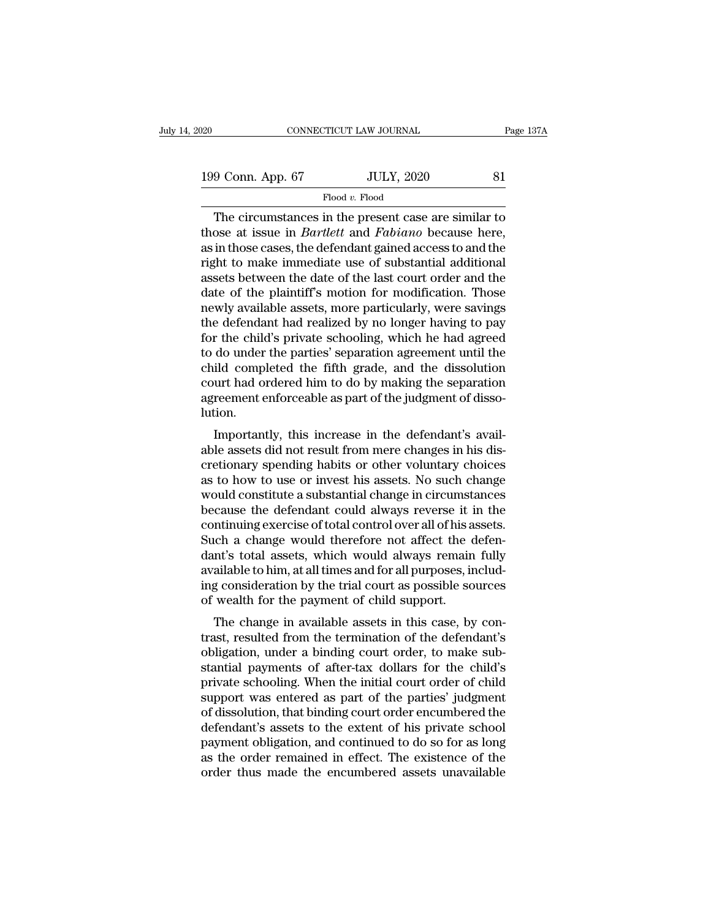| 020               | CONNECTICUT LAW JOURNAL | Page 137A |
|-------------------|-------------------------|-----------|
| 199 Conn. App. 67 | <b>JULY, 2020</b>       | 81        |
|                   | Flood v. Flood          |           |

CONNECTICUT LAW JOURNAL Page 137A<br>
9 Conn. App. 67 JULY, 2020 81<br>
Flood v. Flood<br>
The circumstances in the present case are similar to<br>
ose at issue in *Bartlett* and *Fabiano* because here,<br>
in these gases the defendant s 199 Conn. App. 67 JULY, 2020 81<br>Flood v. Flood<br>The circumstances in the present case are similar to<br>those at issue in *Bartlett* and *Fabiano* because here,<br>as in those cases, the defendant gained access to and the<br>right t 199 Conn. App. 67 JULY, 2020 81<br>Flood v. Flood<br>The circumstances in the present case are similar to<br>those at issue in *Bartlett* and *Fabiano* because here,<br>as in those cases, the defendant gained access to and the<br>right 199 Conn. App. 67 JULY, 2020 81<br>Flood v. Flood<br>The circumstances in the present case are similar to<br>those at issue in *Bartlett* and *Fabiano* because here,<br>as in those cases, the defendant gained access to and the<br>right Flood v. Flood<br>The circumstances in the present case are similar to<br>those at issue in *Bartlett* and *Fabiano* because here,<br>as in those cases, the defendant gained access to and the<br>right to make immediate use of substan Flood v. Flood<br>The circumstances in the present case are similar to<br>those at issue in *Bartlett* and *Fabiano* because here,<br>as in those cases, the defendant gained access to and the<br>right to make immediate use of substan The circumstances in the present case are similar to<br>those at issue in *Bartlett* and *Fabiano* because here,<br>as in those cases, the defendant gained access to and the<br>right to make immediate use of substantial additional<br> those at issue in *Bartlett* and *Fabiano* because here,<br>as in those cases, the defendant gained access to and the<br>right to make immediate use of substantial additional<br>assets between the date of the last court order and t as in those cases, the defendant gained access to and the<br>right to make immediate use of substantial additional<br>assets between the date of the last court order and the<br>date of the plaintiff's motion for modification. Those right to make immediate use of substantial additional<br>assets between the date of the last court order and the<br>date of the plaintiff's motion for modification. Those<br>newly available assets, more particularly, were savings<br>t assets between the date of the last court order and the<br>date of the plaintiff's motion for modification. Those<br>newly available assets, more particularly, were savings<br>the defendant had realized by no longer having to pay<br>f date of the plaintiff's motion for modification. Those<br>newly available assets, more particularly, were savings<br>the defendant had realized by no longer having to pay<br>for the child's private schooling, which he had agreed<br>to newly available assets, more particularly, were savings<br>the defendant had realized by no longer having to pay<br>for the child's private schooling, which he had agreed<br>to do under the parties' separation agreement until the<br>c lution. If the child s private schooling, which he had agreed<br>do under the parties' separation agreement until the<br>ild completed the fifth grade, and the dissolution<br>urt had ordered him to do by making the separation<br>reement enfor to do under the parties separation agreement until the<br>child completed the fifth grade, and the dissolution<br>court had ordered him to do by making the separation<br>agreement enforceable as part of the judgment of disso-<br>lutio

critical completed the finit grade, and the dissolution<br>court had ordered him to do by making the separation<br>agreement enforceable as part of the judgment of disso-<br>lution.<br>Importantly, this increase in the defendant's ava count had ordered mint to do by making the separation<br>agreement enforceable as part of the judgment of disso-<br>lution.<br>Importantly, this increase in the defendant's avail-<br>able assets did not result from mere changes in his agreement emorceable as part of the judgment of ussolution.<br>Importantly, this increase in the defendant's available assets did not result from mere changes in his discretionary spending habits or other voluntary choices<br>as Importantly, this increase in the defendant's available assets did not result from mere changes in his discretionary spending habits or other voluntary choices as to how to use or invest his assets. No such change would co Importantly, this increase in the defendant's available assets did not result from mere changes in his discretionary spending habits or other voluntary choices as to how to use or invest his assets. No such change would co able assets did not result from mere changes in his discretionary spending habits or other voluntary choices<br>as to how to use or invest his assets. No such change<br>would constitute a substantial change in circumstances<br>beca cretionary spending habits or other voluntary choices<br>as to how to use or invest his assets. No such change<br>would constitute a substantial change in circumstances<br>because the defendant could always reverse it in the<br>contin as to how to use or invest his assets. No such change<br>would constitute a substantial change in circumstances<br>because the defendant could always reverse it in the<br>continuing exercise of total control over all of his assets. would constitute a substantial change in circumstances<br>because the defendant could always reverse it in the<br>continuing exercise of total control over all of his assets.<br>Such a change would therefore not affect the defen-<br>d because the defendant could always reverse it is continuing exercise of total control over all of his a Such a change would therefore not affect the colant's total assets, which would always remain available to him, at all Infinitung exercise of total control over an of its assets.<br>
Ich a change would therefore not affect the defen-<br>
Int's total assets, which would always remain fully<br>
ailable to him, at all times and for all purposes, inclu Buch a change would interefore not affect the defendant's total assets, which would always remain fully available to him, at all times and for all purposes, including consideration by the trial court as possible sources of

dant s total assets, which would always felliant fully<br>available to him, at all times and for all purposes, includ-<br>ing consideration by the trial court as possible sources<br>of wealth for the payment of child support.<br>The c available to fill, at all thits and for all purposes, including consideration by the trial court as possible sources<br>of wealth for the payment of child support.<br>The change in available assets in this case, by con-<br>trast, r mg consideration by the trial court as possible sources<br>of wealth for the payment of child support.<br>The change in available assets in this case, by con-<br>trast, resulted from the termination of the defendant's<br>obligation, u or wealth for the payment of child support.<br>The change in available assets in this case, by contrast, resulted from the termination of the defendant's<br>obligation, under a binding court order, to make sub-<br>stantial payments The change in available assets in this case, by contrast, resulted from the termination of the defendant's obligation, under a binding court order, to make substantial payments of after-tax dollars for the child's private trast, resulted from the termination of the defendant's<br>obligation, under a binding court order, to make sub-<br>stantial payments of after-tax dollars for the child's<br>private schooling. When the initial court order of child<br> obligation, under a binding court order, to make substantial payments of after-tax dollars for the child's<br>private schooling. When the initial court order of child<br>support was entered as part of the parties' judgment<br>of di stantial payments of after-tax dollars for the child's<br>private schooling. When the initial court order of child<br>support was entered as part of the parties' judgment<br>of dissolution, that binding court order encumbered the<br>d private schooling. When the initial court order of child<br>support was entered as part of the parties' judgment<br>of dissolution, that binding court order encumbered the<br>defendant's assets to the extent of his private school<br>p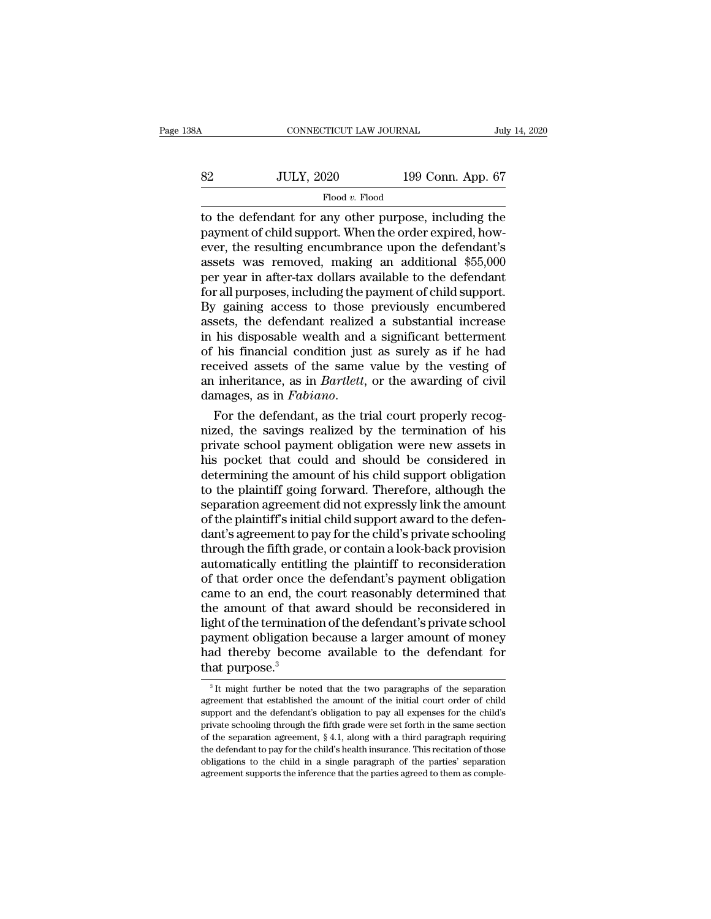| 8Α | CONNECTICUT LAW JOURNAL |                   | July 14, 2020 |
|----|-------------------------|-------------------|---------------|
| 82 | <b>JULY, 2020</b>       | 199 Conn. App. 67 |               |
|    | Flood v. Flood          |                   |               |

CONNECTICUT LAW JOURNAL July 14, 2020<br>
Sandwich Mark 2020<br>
Thood v. Flood<br>
Thood v. Flood<br>
Thood v. Flood<br>
Thood v. Flood<br>
Thood v. Flood<br>
Thomagnese, including the<br>
payment of child support. When the order expired, how-<br> SEPTE SERVIEW NET SERVIEW NET SERVIEW NET SUITE SUITE OF The order expired, how-<br>payment of child support. When the order expired, how-<br>ever, the resulting encumbrance upon the defendant's<br>assets was removed making an addi Eventually, 2020 and 199 Conn. App. 67<br>
Flood v. Flood<br>
to the defendant for any other purpose, including the<br>
payment of child support. When the order expired, how-<br>
ever, the resulting encumbrance upon the defendant's<br>  $\noindent\hfill\text{199 Conn. App. 67}\n\hfill\text{199 Conn. App. 67}\n\hfill\text{190 }\text{199 Conn. App. 67}\n\hfill\text{100 }\text{100 }\text{100 }\text{100 }\text{100 }\text{100 }\text{100 }\text{1000 }\text{1000 }\text{1000}\n\hfill\text{101 }\text{102 }\text{1000 }\text{1000 }\text{1000 }\text{1000 }\text{1000 }\text{1000 }\text{10000 }\text{10000 }\text{10000 }\text{10000$ Flood v. Flood<br>Flood v. Flood<br>payment of child support. When the order expired, how-<br>ever, the resulting encumbrance upon the defendant's<br>assets was removed, making an additional \$55,000<br>per year in after-tax dollars avai Flood v. Flood<br>to the defendant for any other purpose, including the<br>payment of child support. When the order expired, how-<br>ever, the resulting encumbrance upon the defendant's<br>assets was removed, making an additional \$55 to the defendant for any other purpose, including the<br>payment of child support. When the order expired, how-<br>ever, the resulting encumbrance upon the defendant's<br>assets was removed, making an additional \$55,000<br>per year in payment of child support. When the order expired, how-<br>ever, the resulting encumbrance upon the defendant's<br>assets was removed, making an additional \$55,000<br>per year in after-tax dollars available to the defendant<br>for all ever, the resulting encumbrance upon the defendant's<br>assets was removed, making an additional \$55,000<br>per year in after-tax dollars available to the defendant<br>for all purposes, including the payment of child support.<br>By ga assets was removed, making an additional \$55,000<br>per year in after-tax dollars available to the defendant<br>for all purposes, including the payment of child support.<br>By gaining access to those previously encumbered<br>assets, t per year in after-tax dollars available to the defendant<br>for all purposes, including the payment of child support.<br>By gaining access to those previously encumbered<br>assets, the defendant realized a substantial increase<br>in h for all purposes, including the payment of child support.<br>By gaining access to those previously encumbered<br>assets, the defendant realized a substantial increase<br>in his disposable wealth and a significant betterment<br>of his By gaining access to those previously encumbered<br>assets, the defendant realized a substantial increase<br>in his disposable wealth and a significant betterment<br>of his financial condition just as surely as if he had<br>received a In his disposable wealth and a significant betterment<br>of his financial condition just as surely as if he had<br>received assets of the same value by the vesting of<br>an inheritance, as in *Bartlett*, or the awarding of civil<br>d

of his financial condition just as surely as if he had<br>received assets of the same value by the vesting of<br>an inheritance, as in *Bartlett*, or the awarding of civil<br>damages, as in *Fabiano*.<br>For the defendant, as the tria received assets of the same value by the vesting of<br>an inheritance, as in *Bartlett*, or the awarding of civil<br>damages, as in *Fabiano*.<br>For the defendant, as the trial court properly recog-<br>nized, the savings realized by an inheritance, as in *Bartlett*, or the awarding of civil<br>damages, as in *Fabiano*.<br>For the defendant, as the trial court properly recog-<br>nized, the savings realized by the termination of his<br>private school payment obliga damages, as in  $Fabiano$ .<br>For the defendant, as the trial court properly recognized, the savings realized by the termination of his<br>private school payment obligation were new assets in<br>his pocket that could and should be cons For the defendant, as the trial court properly recognized, the savings realized by the termination of his private school payment obligation were new assets in his pocket that could and should be considered in determining t nized, the savings realized by the termination of his private school payment obligation were new assets in his pocket that could and should be considered in determining the amount of his child support obligation to the pla private school payment obligation were new assets in<br>his pocket that could and should be considered in<br>determining the amount of his child support obligation<br>to the plaintiff going forward. Therefore, although the<br>separati his pocket that could and should be considered in<br>determining the amount of his child support obligation<br>to the plaintiff going forward. Therefore, although the<br>separation agreement did not expressly link the amount<br>of the determining the amount of his child support obligation<br>to the plaintiff going forward. Therefore, although the<br>separation agreement did not expressly link the amount<br>of the plaintiff's initial child support award to the de to the plaintiff going forward. Therefore, although the separation agreement did not expressly link the amount of the plaintiff's initial child support award to the defendant's agreement to pay for the child's private scho separation agreement did not expressly link the amount<br>of the plaintiff's initial child support award to the defen-<br>dant's agreement to pay for the child's private schooling<br>through the fifth grade, or contain a look-back of the plaintiff's initial child support award to the defendant's agreement to pay for the child's private schooling<br>through the fifth grade, or contain a look-back provision<br>automatically entitling the plaintiff to recons dant's agreement to pay for the child's private schooling<br>through the fifth grade, or contain a look-back provision<br>automatically entitling the plaintiff to reconsideration<br>of that order once the defendant's payment obliga through the fifth grade, or contain a look-back provision<br>automatically entitling the plaintiff to reconsideration<br>of that order once the defendant's payment obligation<br>came to an end, the court reasonably determined that<br> automatically entitling the plaintiff to reconsideration<br>of that order once the defendant's payment obligation<br>came to an end, the court reasonably determined that<br>the amount of that award should be reconsidered in<br>light o of that order once the came to an end, the the amount of that light of the termination and thereby becomparate in the purpose.<sup>3</sup> ght of the termination of the defendant's private school<br>ayment obligation because a larger amount of money<br>ad thereby become available to the defendant for<br>at purpose.<sup>3</sup><br><sup>3</sup>It might further be noted that the two paragrap payment obligation because a larger amount of money<br>had thereby become available to the defendant for<br>that purpose.<sup>3</sup><br><sup>3</sup>It might further be noted that the two paragraphs of the separation<br>agreement that established the a

had thereby become available to the defendant for<br>that purpose.<sup>3</sup><br> $\frac{3}{1}$ It might further be noted that the two paragraphs of the separation<br>agreement that established the amount of the initial court order of child<br>sup that purpose.<sup>3</sup><br>that purpose.<sup>3</sup><br> $\frac{1}{3}$  It might further be noted that the two paragraphs of the separation<br>agreement that established the amount of the initial court order of child<br>support and the defendant's obligat That purpose.<br>
<sup>3</sup> It might further be noted that the two paragraphs of the separation agreement that established the amount of the initial court order of child support and the defendant's obligation to pay all expenses f <sup>3</sup> It might further be noted that the two paragraphs of the separation agreement that established the amount of the initial court order of child support and the defendant's obligation to pay all expenses for the child's agreement that established the amount of the initial court order of child support and the defendant's obligation to pay all expenses for the child's private schooling through the fifth grade were set forth in the same sec support and the defendant's obligation to pay all expenses for the child's private schooling through the fifth grade were set forth in the same section of the separation agreement,  $\S 4.1$ , along with a third paragraph re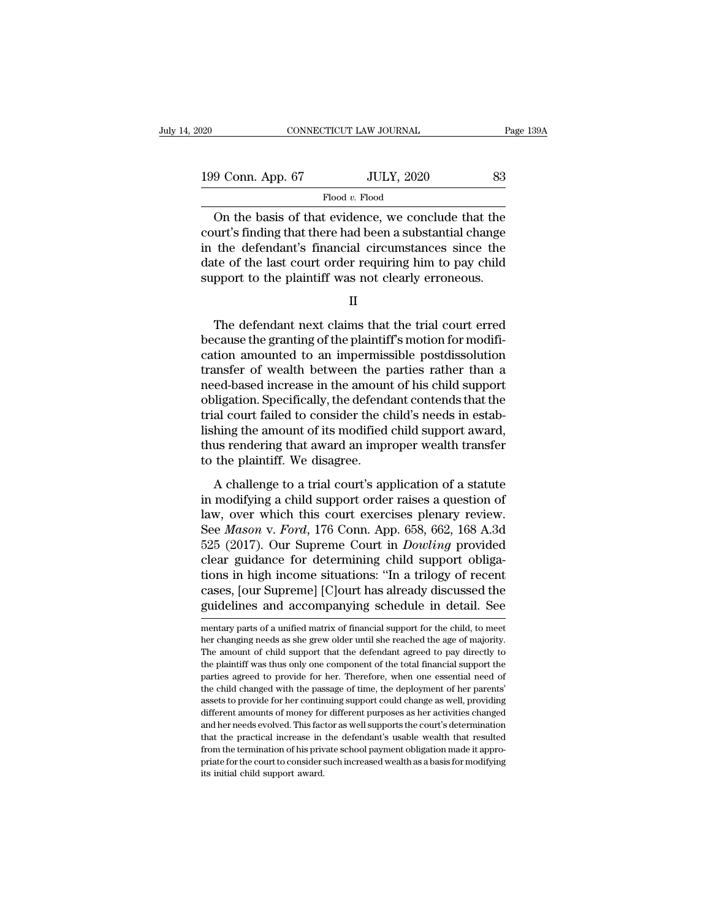| 120               | CONNECTICUT LAW JOURNAL | Page 139A |  |
|-------------------|-------------------------|-----------|--|
|                   |                         |           |  |
| 199 Conn. App. 67 | <b>JULY, 2020</b>       | 83        |  |
|                   | Flood v. Flood          |           |  |

CONNECTICUT LAW JOURNAL Page 139A<br>
9 Conn. App. 67 JULY, 2020 83<br>
Flood v. Flood<br>
On the basis of that evidence, we conclude that the<br>
urt's finding that there had been a substantial change<br>
the defendant's financial circu 199 Conn. App. 67 JULY, 2020 83<br>Flood v. Flood<br>On the basis of that evidence, we conclude that the<br>court's finding that there had been a substantial change<br>in the defendant's financial circumstances since the<br>date of the 199 Conn. App. 67 JULY, 2020 83<br>
Flood v. Flood<br>
On the basis of that evidence, we conclude that the<br>
court's finding that there had been a substantial change<br>
in the defendant's financial circumstances since the<br>
date of  $\begin{tabular}{l} 199 \textbf{ Conn. App. 67} \hspace{1.5cm} \textcolor{red}{JULY, 2020} \hspace{1.5cm} \textcolor{red}{83} \vspace{1mm} \hline \textcolor{red}{\text{Con the basis of that evidence, we conclude that the court's finding that there had been a substantial change in the defendant's financial circumstances since the date of the last court order requiring him to pay child support to the plaintiff was not clearly erroneous.} \end{tabular}$ Flood v. Flood<br>
The plane of that evidence, we conclude that the<br>
court's finding that there had been a substantial change<br>
in the defendant's financial circumstances since the<br>
date of the last court order requiring him t urt's finding that there had been a substantial change<br>the defendant's financial circumstances since the<br>te of the last court order requiring him to pay child<br>pport to the plaintiff was not clearly erroneous.<br>II<br>The defend

in the defendant's financial circumstances since the<br>date of the last court order requiring him to pay child<br>support to the plaintiff was not clearly erroneous.<br> $\hfill$   $\Pi$ <br>The defendant next claims that the trial court er date of the last court order requiring him to pay child<br>support to the plaintiff was not clearly erroneous.<br>II<br>The defendant next claims that the trial court erred<br>because the granting of the plaintiff's motion for modifisupport to the plaintiff was not clearly erroneous.<br>
II<br>
The defendant next claims that the trial court erred<br>
because the granting of the plaintiff's motion for modifi-<br>
cation amounted to an impermissible postdissolution II<br>The defendant next claims that the trial court erred<br>because the granting of the plaintiff's motion for modifi-<br>cation amounted to an impermissible postdissolution<br>transfer of wealth between the parties rather than a<br>ne The defendant next claims that the trial court erred<br>because the granting of the plaintiff's motion for modifi-<br>cation amounted to an impermissible postdissolution<br>transfer of wealth between the parties rather than a<br>need-The defendant next claims that the trial court erred<br>because the granting of the plaintiff's motion for modifi-<br>cation amounted to an impermissible postdissolution<br>transfer of wealth between the parties rather than a<br>needbecause the granting of the plaintiff's motion for modification amounted to an impermissible postdissolution<br>transfer of wealth between the parties rather than a<br>need-based increase in the amount of his child support<br>oblig cation amounted to an impermissible postdissolution<br>transfer of wealth between the parties rather than a<br>need-based increase in the amount of his child support<br>obligation. Specifically, the defendant contends that the<br>tria transfer of wealth between the p<br>need-based increase in the amoun<br>obligation. Specifically, the defend<br>trial court failed to consider the c<br>lishing the amount of its modified<br>thus rendering that award an imp<br>to the plainti Equivalent Consider the child in the challenge of a statute and court failed to consider the child's needs in estab-<br>hing the amount of its modified child support award,<br>us rendering that award an improper wealth transfer<br> in modifying the amount of its modified child support award,<br>thus rendering that award an improper wealth transfer<br>to the plaintiff. We disagree.<br>A challenge to a trial court's application of a statute<br>in modifying a chil

lishing the amount of its modified child support award,<br>thus rendering that award an improper wealth transfer<br>to the plaintiff. We disagree.<br>A challenge to a trial court's application of a statute<br>in modifying a child sup Islam's are anounced and support award,<br>thus rendering that award an improper wealth transfer<br>to the plaintiff. We disagree.<br>A challenge to a trial court's application of a statute<br>in modifying a child support order raises to the plaintiff. We disagree.<br>
A challenge to a trial court's application of a statute<br>
in modifying a child support order raises a question of<br>
law, over which this court exercises plenary review.<br>
See *Mason v. Ford*, 1 A challenge to a trial court's application of a statute<br>in modifying a child support order raises a question of<br>law, over which this court exercises plenary review.<br>See *Mason v. Ford*, 176 Conn. App. 658, 662, 168 A.3d<br>52 A challenge to a trial court's application of a statute<br>in modifying a child support order raises a question of<br>law, over which this court exercises plenary review.<br>See *Mason* v. *Ford*, 176 Conn. App. 658, 662, 168 A.3d<br> in modifying a child support order raises a question of<br>law, over which this court exercises plenary review.<br>See *Mason v. Ford*, 176 Conn. App. 658, 662, 168 A.3d<br>525 (2017). Our Supreme Court in *Dowling* provided<br>clear law, over which this court exercises plenary review.<br>See *Mason* v. *Ford*, 176 Conn. App. 658, 662, 168 A.3d<br>525 (2017). Our Supreme Court in *Dowling* provided<br>clear guidance for determining child support obliga-<br>tions i clear guidance for determining child support obliga-<br>tions in high income situations: "In a trilogy of recent<br>cases, [our Supreme] [C]ourt has already discussed the<br>guidelines and accompanying schedule in detail. See<br>menta tions in high income situations: "In a trilogy of recent cases, [our Supreme] [C]ourt has already discussed the guidelines and accompanying schedule in detail. See mentary parts of a unified matrix of financial support for

cases, [our Supreme] [C]ourt has already discussed the guidelines and accompanying schedule in detail. See mentary parts of a unified matrix of financial support for the child, to meet her changing needs as she grew older Example 2014 of the plantiff was the detail and accompanying schedule in detail. See<br>mentary parts of a unified matrix of financial support for the child, to meet<br>her changing needs as she grew older until she reached the mentary parts of a unified matrix of financial support for the child, to meet<br>her changing needs as she grew older until she reached the age of majority.<br>The amount of child support that the defendant agreed to pay directl mentary parts of a unified matrix of financial support for the child, to meet<br>her changing needs as she grew older until she reached the age of majority.<br>The amount of child support that the defendant agreed to pay directl her changing needs as she grew older until she reached the age of majority.<br>The amount of child support that the defendant agreed to pay directly to<br>the plaintiff was thus only one component of the total financial support The amount of child support that the defendant agreed to pay directly to the plaintiff was thus only one component of the total financial support the parties agreed to provide for her. Therefore, when one essential need of The plaintiff was thus only one component of the total financial support the plaintiff was thus only one component of the total financial support the parties agreed to provide for her. Therefore, when one essential need of parties agreed to provide for her. Therefore, when one essential need of the child changed with the passage of time, the deployment of her parents' assets to provide for her continuing support could change as well, providi parties agreed to provide for her. Therefore, when one essential need of the child changed with the passage of time, the deployment of her parents' assets to provide for her continuing support could change as well, providi assets to provide for her continuing support could change as well, providing different amounts of money for different purposes as her activities changed and her needs evolved. This factor as well supports the court's deter different amounts of money for different purposes as her activities changed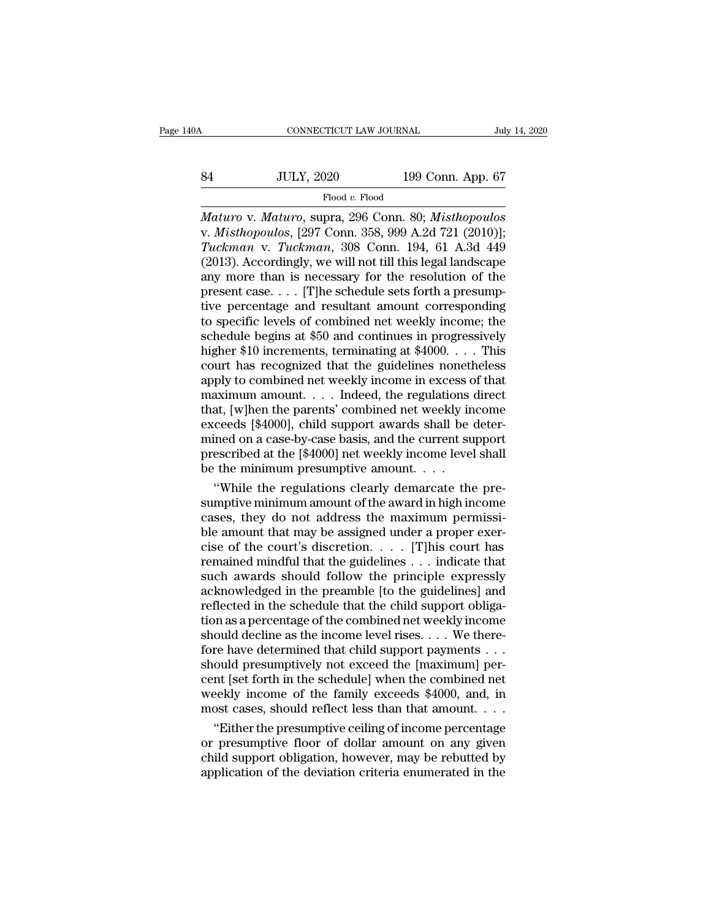# CONNECTICUT LAW JOURNAL July 14, 2020<br>84 JULY, 2020 199 Conn. App. 67<br>Flood v. Flood

Flood *v.* Flood

*CONNECTICUT LAW JOURNAL* July 14, 2020<br> *Maturo* v. *Maturo*, supra, 296 Conn. 80; *Misthopoulos*<br> *Maturo* v. *Maturo*, supra, 296 Conn. 80; *Misthopoulos*<br> *W. Misthopoulos*, [297 Conn. 358, 999 A.2d 721 (2010)];<br> *Tuck* V. *JULY, 2020* 199 Conn. App. 67<br>
Flood v. Flood<br>
Maturo v. *Maturo*, supra, 296 Conn. 80; *Misthopoulos*<br>
v. *Misthopoulos*, [297 Conn. 358, 999 A.2d 721 (2010)];<br>
Tuckman v. *Tuckman*, 308 Conn. 194, 61 A.3d 449<br>
(2013) *Tuckman* v. *Tuckman*, 308 Conn. 199 Conn. 42<br> *Thood v. Flood*<br> *Tuckman* v. *Maturo*, supra, 296 Conn. 80; *Misthopoulos*<br> *Tuckman* v. *Tuckman*, 308 Conn. 194, 61 A.3d 449<br>
(2013). Accordingly, we will not till this l  $\frac{\text{JULY, 2020}}{\text{Flood } v. \text{ Flood}}$ <br>  $\frac{\text{Flood } v. \text{ Flood}}{\text{Mature v. } Maturo, \text{ supra, 296 Conn. 80; *Misthopoulos*}\n\nv. *Misthopoulos*, [297 Conn. 358, 999 A.2d 721 (2010)];\n\nTuckman v. *Tuckman*, 308 Conn. 194, 61 A.3d 449 (2013). Accordingly, we will not till this legal landscape\nany more than is necessary for the resolution of the\n\npresent case. [The schedule sets forth a presumably\n$ Flood v. Flood<br>Maturo v. Maturo, supra, 296 Conn. 80; Misthopoulos<br>v. Misthopoulos, [297 Conn. 358, 999 A.2d 721 (2010)];<br>Tuckman v. Tuckman, 308 Conn. 194, 61 A.3d 449<br>(2013). Accordingly, we will not till this legal lan Flood v. Flood<br>Maturo v. Maturo, supra, 296 Conn. 80; Misthopoulos<br>v. Misthopoulos, [297 Conn. 358, 999 A.2d 721 (2010)];<br>Tuckman v. Tuckman, 308 Conn. 194, 61 A.3d 449<br>(2013). Accordingly, we will not till this legal land Maturo v. Maturo, supra, 296 Conn. 80; Misthopoulos<br>v. Misthopoulos, [297 Conn. 358, 999 A.2d 721 (2010)];<br>Tuckman v. Tuckman, 308 Conn. 194, 61 A.3d 449<br>(2013). Accordingly, we will not till this legal landscape<br>any more v. *Misthopoulos*, [297 Conn. 358, 999 A.2d 721 (2010)];<br>Tuckman v. Tuckman, 308 Conn. 194, 61 A.3d 449<br>(2013). Accordingly, we will not till this legal landscape<br>any more than is necessary for the resolution of the<br>presen Tuckman v. Tuckman, 308 Conn. 194, 61 A.3d 449 (2013). Accordingly, we will not till this legal landscape any more than is necessary for the resolution of the present case. . . . [T]he schedule sets forth a presumptive pe (2013). Accordingly, we will not till this legal landscape<br>any more than is necessary for the resolution of the<br>present case. . . . [T]he schedule sets forth a presump-<br>tive percentage and resultant amount corresponding<br>t any more than is necessary for the resolution of the<br>present case.... [T]he schedule sets forth a presump-<br>tive percentage and resultant amount corresponding<br>to specific levels of combined net weekly income; the<br>schedule present case. . . . [T]he schedule sets forth a presumptive percentage and resultant amount corresponding<br>to specific levels of combined net weekly income; the<br>schedule begins at \$50 and continues in progressively<br>higher tive percentage and resultant amount corresponding<br>to specific levels of combined net weekly income; the<br>schedule begins at \$50 and continues in progressively<br>higher \$10 increments, terminating at \$4000. . . . This<br>court h to specific levels of combined net weekly income; the schedule begins at \$50 and continues in progressively higher \$10 increments, terminating at \$4000.  $\ldots$  This court has recognized that the guidelines nonetheless appl schedule begins at \$50 and continues in progressively<br>higher \$10 increments, terminating at \$4000.... This<br>court has recognized that the guidelines nonetheless<br>apply to combined net weekly income in excess of that<br>maximum higher \$10 increments, terminating at \$4000.... This<br>court has recognized that the guidelines nonetheless<br>apply to combined net weekly income in excess of that<br>maximum amount.... Indeed, the regulations direct<br>that, [w]he court has recognized that the guidelines nonetheless<br>apply to combined net weekly income in excess of that<br>maximum amount.... Indeed, the regulations direct<br>that, [w]hen the parents' combined net weekly income<br>exceeds [\$4 apply to combined net weekly income in excess constraining maximum amount. . . . . Indeed, the regulations that, [w]hen the parents' combined net weekly in exceeds [\$4000], child support awards shall be minimed on a caseaximum amount.... Indeed, the regulations direct<br>at, [w]hen the parents' combined net weekly income<br>ceeds [\$4000], child support awards shall be deter-<br>ined on a case-by-case basis, and the current support<br>escribed at the that, [w]hen the parents' combined net weekly income<br>exceeds [\$4000], child support awards shall be deter-<br>mined on a case-by-case basis, and the current support<br>prescribed at the [\$4000] net weekly income level shall<br>be

exceeds [\$4000], child support awards shall be deter-<br>mined on a case-by-case basis, and the current support<br>prescribed at the [\$4000] net weekly income level shall<br>be the minimum presumptive amount. . . .<br>"While the regul mined on a case-by-case basis, and the current support<br>prescribed at the [\$4000] net weekly income level shall<br>be the minimum presumptive amount. . . .<br>"While the regulations clearly demarcate the pre-<br>sumptive minimum am prescribed at the [\$4000] net weekly income level shall<br>be the minimum presumptive amount. . . .<br>"While the regulations clearly demarcate the pre-<br>sumptive minimum amount of the award in high income<br>cases, they do not add be the minimum presumptive amount. . . .<br>
"While the regulations clearly demarcate the pre-<br>
sumptive minimum amount of the award in high income<br>
cases, they do not address the maximum permissi-<br>
ble amount that may be ass "While the regulations clearly demarcate the pre-<br>sumptive minimum amount of the award in high income<br>cases, they do not address the maximum permissi-<br>ble amount that may be assigned under a proper exer-<br>cise of the court sumptive minimum amount of the award in high income<br>cases, they do not address the maximum permissi-<br>ble amount that may be assigned under a proper exer-<br>cise of the court's discretion. . . . . [T]his court has<br>remained m cases, they do not address the maximum permissi-<br>ble amount that may be assigned under a proper exercise of the court's discretion. . . . [T] his court has<br>remained mindful that the guidelines . . . indicate that<br>such awa ble amount that may be assigned under a proper exercise of the court's discretion. . . . [T]his court has<br>remained mindful that the guidelines . . . indicate that<br>such awards should follow the principle expressly<br>acknowle cise of the court's discretion. . . . . [T]his court has<br>remained mindful that the guidelines . . . indicate that<br>such awards should follow the principle expressly<br>acknowledged in the preamble [to the guidelines] and<br>refl remained mindful that the guidelines . . . indicate that<br>such awards should follow the principle expressly<br>acknowledged in the preamble [to the guidelines] and<br>reflected in the schedule that the child support obliga-<br>tion such awards should follow the principle expressly<br>acknowledged in the preamble [to the guidelines] and<br>reflected in the schedule that the child support obliga-<br>tion as a percentage of the combined net weekly income<br>should acknowledged in the preamble [to the guidelines] and<br>reflected in the schedule that the child support obliga-<br>tion as a percentage of the combined net weekly income<br>should decline as the income level rises. . . . We therereflected in the schedule that the child support obligation as a percentage of the combined net weekly income<br>should decline as the income level rises. . . . We there-<br>fore have determined that child support payments . . . tion as a percentage of the combined net weekly income<br>should decline as the income level rises. . . . We there-<br>fore have determined that child support payments . . .<br>should presumptively not exceed the [maximum] per-<br>ce ould decline as the income level rises. . . . We there-<br>re have determined that child support payments . . .<br>ould presumptively not exceed the [maximum] per-<br>nt [set forth in the schedule] when the combined net<br>eekly incom fore have determined that child support payments . . .<br>should presumptively not exceed the [maximum] per-<br>cent [set forth in the schedule] when the combined net<br>weekly income of the family exceeds \$4000, and, in<br>most cases

should presumptively not exceed the [maximum] per-<br>cent [set forth in the schedule] when the combined net<br>weekly income of the family exceeds \$4000, and, in<br>most cases, should reflect less than that amount....<br>"Either the cent [set forth in the schedule] when the combined net<br>weekly income of the family exceeds \$4000, and, in<br>most cases, should reflect less than that amount. . . .<br>"Either the presumptive ceiling of income percentage<br>or pres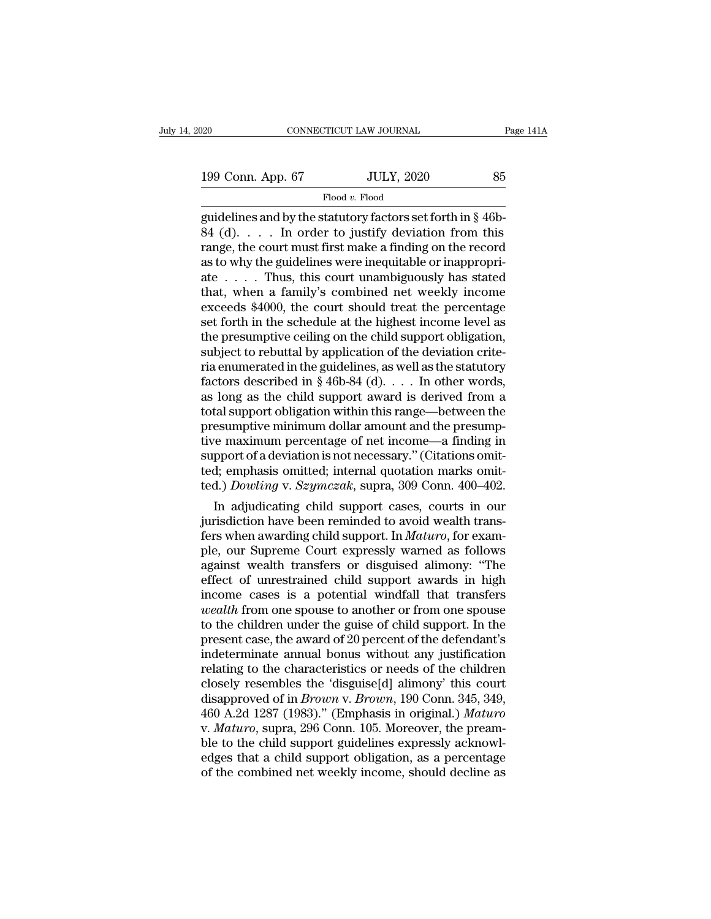Flood *v.* Flood

guidelines and by the statutory factors set forth in § 46b-<br>
guidelines and by the statutory factors set forth in § 46b-<br>
guidelines and by the statutory factors set forth in § 46b-<br>
84 (d).... In order to justify deviatio 199 Conn. App. 67 JULY, 2020 85<br>Flood v. Flood<br>guidelines and by the statutory factors set forth in § 46b-<br>84 (d). . . . In order to justify deviation from this<br>range, the court must first make a finding on the record<br>as 199 Conn. App. 67 JULY, 2020 85<br>Flood v. Flood<br>guidelines and by the statutory factors set forth in § 46b-<br>84 (d). . . . In order to justify deviation from this<br>range, the court must first make a finding on the record<br>as 199 Conn. App. 67 JULY, 2020 85<br>
Flood v. Flood<br>
guidelines and by the statutory factors set forth in § 46b-<br>
84 (d).... In order to justify deviation from this<br>
range, the court must first make a finding on the record<br>
a Flood v. Flood<br>guidelines and by the statutory factors set forth in § 46b-<br>84 (d).... In order to justify deviation from this<br>range, the court must first make a finding on the record<br>as to why the guidelines were inequita Flood v. Flood<br>guidelines and by the statutory factors set forth in § 46b-<br>84 (d). . . . . In order to justify deviation from this<br>range, the court must first make a finding on the record<br>as to why the guidelines were ine guidelines and by the statutory factors set forth in § 46b-<br>84 (d). . . . In order to justify deviation from this<br>range, the court must first make a finding on the record<br>as to why the guidelines were inequitable or inapp 84 (d). . . . . In order to justify deviation from this range, the court must first make a finding on the record as to why the guidelines were inequitable or inappropriate . . . . Thus, this court unambiguously has stated range, the court must first make a finding on the record<br>as to why the guidelines were inequitable or inappropri-<br>ate  $\ldots$ . Thus, this court unambiguously has stated<br>that, when a family's combined net weekly income<br>excee as to why the guidelines were inequitable or inappropriate . . . . . Thus, this court unambiguously has stated that, when a family's combined net weekly income exceeds \$4000, the court should treat the percentage set fort ate . . . . . Thus, this court unambiguously has stated<br>that, when a family's combined net weekly income<br>exceeds \$4000, the court should treat the percentage<br>set forth in the schedule at the highest income level as<br>the pr that, when a family's combined net weekly income<br>exceeds \$4000, the court should treat the percentage<br>set forth in the schedule at the highest income level as<br>the presumptive ceiling on the child support obligation,<br>subje exceeds \$4000, the court should treat the percentage<br>set forth in the schedule at the highest income level as<br>the presumptive ceiling on the child support obligation,<br>subject to rebuttal by application of the deviation cr set forth in the schedule at the highest income level as<br>the presumptive ceiling on the child support obligation,<br>subject to rebuttal by application of the deviation crite-<br>ria enumerated in the guidelines, as well as the the presumptive ceiling on the child support obligation,<br>subject to rebuttal by application of the deviation crite-<br>ria enumerated in the guidelines, as well as the statutory<br>factors described in § 46b-84 (d).  $\dots$  In oth subject to rebuttal by application of the deviation crite-<br>ria enumerated in the guidelines, as well as the statutory<br>factors described in § 46b-84 (d).  $\dots$  In other words,<br>as long as the child support award is derived f ria enumerated in the guidelines, as well as the statutory<br>factors described in § 46b-84 (d). . . . In other words,<br>as long as the child support award is derived from a<br>total support obligation within this range—between t factors described in § 46b-84 (d). . . . In other words, as long as the child support award is derived from a total support obligation within this range—between the presumptive minimum dollar amount and the presumptive ma as long as the child support award is derived from a<br>total support obligation within this range—between the<br>presumptive minimum dollar amount and the presump-<br>tive maximum percentage of net income—a finding in<br>support of a tal support obligation within this range—between the<br>esumptive minimum dollar amount and the presump-<br>re maximum percentage of net income—a finding in<br>pport of a deviation is not necessary." (Citations omit-<br>d.) emphasis presumptive minimum dollar amount and the presumptive maximum percentage of net income—a finding in<br>support of a deviation is not necessary." (Citations omit-<br>ted.) Dowling v. Szymczak, supra, 309 Conn. 400–402.<br>In adjudi

tive maximum percentage of net income—a finding in<br>support of a deviation is not necessary." (Citations omit-<br>ted.) *Dowling* v. *Szymczak*, supra, 309 Conn. 400–402.<br>In adjudicating child support cases, courts in our<br>juri support of a deviation is not necessary." (Citations omitted; emphasis omitted; internal quotation marks omitted.) *Dowling* v. *Szymczak*, supra, 309 Conn. 400–402.<br>In adjudicating child support cases, courts in our juris ted.) *Dowling* v. *Szymczak*, supra, 309 Conn. 400–402.<br>
In adjudicating child support cases, courts in our<br>
jurisdiction have been reminded to avoid wealth trans-<br>
fers when awarding child support. In *Maturo*, for examted.) *Dowting* v. *Szymczak*, supra, 309 Conn. 400–402.<br>
In adjudicating child support cases, courts in our<br>
jurisdiction have been reminded to avoid wealth trans-<br>
fers when awarding child support. In *Maturo*, for exam In adjudicating child support cases, courts in our<br>jurisdiction have been reminded to avoid wealth trans-<br>fers when awarding child support. In *Maturo*, for exam-<br>ple, our Supreme Court expressly warned as follows<br>against jurisdiction have been reminded to avoid wealth trans-<br>fers when awarding child support. In *Maturo*, for exam-<br>ple, our Supreme Court expressly warned as follows<br>against wealth transfers or disguised alimony: "The<br>effect fers when awarding child support. In *Maturo*, for example, our Supreme Court expressly warned as follows against wealth transfers or disguised alimony: "The effect of unrestrained child support awards in high income cases ple, our Supreme Court expressly warned as follows<br>against wealth transfers or disguised alimony: "The<br>effect of unrestrained child support awards in high<br>income cases is a potential windfall that transfers<br>*wealth* from o against wealth transfers or disguised alimony: "The<br>effect of unrestrained child support awards in high<br>income cases is a potential windfall that transfers<br>wealth from one spouse to another or from one spouse<br>to the childr effect of unrestrained child support awards in high<br>income cases is a potential windfall that transfers<br>*wealth* from one spouse to another or from one spouse<br>to the children under the guise of child support. In the<br>presen income cases is a potential windfall that transfers<br>wealth from one spouse to another or from one spouse<br>to the children under the guise of child support. In the<br>present case, the award of 20 percent of the defendant's<br>in wealth from one spouse to another or from one spouse<br>to the children under the guise of child support. In the<br>present case, the award of 20 percent of the defendant's<br>indeterminate annual bonus without any justification<br>re to the children under the guise of child support. In the<br>present case, the award of 20 percent of the defendant's<br>indeterminate annual bonus without any justification<br>relating to the characteristics or needs of the childre present case, the award of 20 percent of the defendant's<br>indeterminate annual bonus without any justification<br>relating to the characteristics or needs of the children<br>closely resembles the 'disguise[d] alimony' this court<br> indeterminate annual bonus without any justification<br>relating to the characteristics or needs of the children<br>closely resembles the 'disguise[d] alimony' this court<br>disapproved of in *Brown* v. *Brown*, 190 Conn. 345, 349, relating to the characteristics or needs of the children<br>closely resembles the 'disguise[d] alimony' this court<br>disapproved of in *Brown v. Brown*, 190 Conn. 345, 349,<br>460 A.2d 1287 (1983)." (Emphasis in original.) *Maturo* closely resembles the 'disguise[d] alimony' this court<br>disapproved of in *Brown* v. *Brown*, 190 Conn. 345, 349,<br>460 A.2d 1287 (1983)." (Emphasis in original.) *Maturo*<br>v. *Maturo*, supra, 296 Conn. 105. Moreover, the prea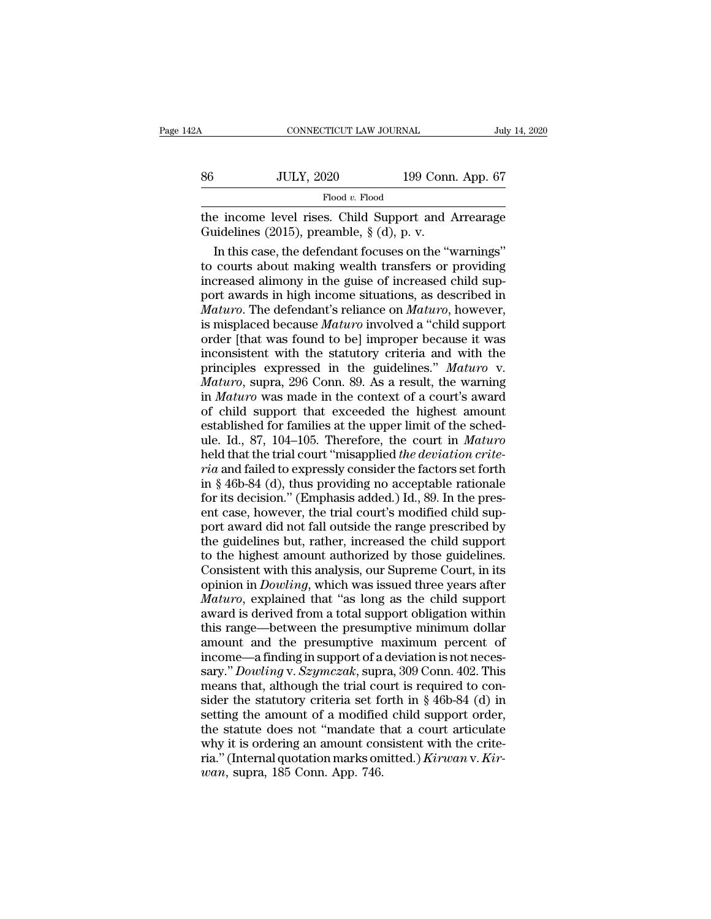| 2Α | CONNECTICUT LAW JOURNAL                                                                             |                   | July 14, 2020 |
|----|-----------------------------------------------------------------------------------------------------|-------------------|---------------|
|    |                                                                                                     |                   |               |
| 86 | <b>JULY, 2020</b>                                                                                   | 199 Conn. App. 67 |               |
|    | Flood $v$ . Flood                                                                                   |                   |               |
|    | the income level rises. Child Support and Arrearage<br>Guidelines (2015), preamble, $\S$ (d), p. v. |                   |               |
|    | In this case, the defendant focuses on the "warnings"                                               |                   |               |

JULY, 2020 199 Conn. App. 67<br>Flood v. Flood<br>e income level rises. Child Support and Arrearage<br>idelines (2015), preamble,  $\S$  (d), p. v.<br>In this case, the defendant focuses on the "warnings"<br>courts about making wealth tran 86 JULY, 2020 199 Conn. App. 67<br>Flood v. Flood<br>the income level rises. Child Support and Arrearage<br>Guidelines (2015), preamble, § (d), p. v.<br>In this case, the defendant focuses on the "warnings"<br>to courts about making wea Flood v. Flood<br>the income level rises. Child Support and Arrearage<br>Guidelines (2015), preamble,  $\S$  (d), p. v.<br>In this case, the defendant focuses on the "warnings"<br>to courts about making wealth transfers or providing<br>inc proce *i*. Food *i*. Food *i*. Food *i*. Food *i*. Food *i*. Food *i*. Food *i*. Food *i*. Food *i* in this case, Child Support and Arrearage in this case, the defendant focuses on the "warnings" to courts about making we the income level rises. Child Support and Arrearage<br> *Guidelines (2015), preamble,* § (d), p. v.<br> *Maturo*. The defendant focuses on the "warnings"<br>
to courts about making wealth transfers or providing<br>
increased alimony i Guidelines (2015), preamble, § (d), p. v.<br>In this case, the defendant focuses on the "warnings"<br>to courts about making wealth transfers or providing<br>increased alimony in the guise of increased child sup-<br>port awards in hig In this case, the defendant focuses on the "warnings"<br>to courts about making wealth transfers or providing<br>increased alimony in the guise of increased child sup-<br>port awards in high income situations, as described in<br> $Maturo$ to courts about making wealth transfers or providing<br>increased alimony in the guise of increased child sup-<br>port awards in high income situations, as described in<br>*Maturo*. The defendant's reliance on *Maturo*, however,<br>is increased alimony in the guise of increased child sup-<br>port awards in high income situations, as described in<br>*Maturo*. The defendant's reliance on *Maturo*, however,<br>is misplaced because *Maturo* involved a "child support port awards in high income situations, as described in *Maturo*. The defendant's reliance on *Maturo*, however, is misplaced because *Maturo* involved a "child support order [that was found to be] improper because it was i *Maturo*. The defendant's reliance on *Maturo*, however,<br>is misplaced because *Maturo* involved a "child support<br>order [that was found to be] improper because it was<br>inconsistent with the statutory criteria and with the<br>pr is misplaced because *Maturo* involved a "child support<br>order [that was found to be] improper because it was<br>inconsistent with the statutory criteria and with the<br>principles expressed in the guidelines." *Maturo* v.<br>*Matu* order [that was found to be] improper because it was<br>inconsistent with the statutory criteria and with the<br>principles expressed in the guidelines." Maturo v.<br>Maturo, supra, 296 Conn. 89. As a result, the warning<br>in Maturo inconsistent with the statutory criteria and with the principles expressed in the guidelines." *Maturo* v.<br> *Maturo*, supra, 296 Conn. 89. As a result, the warning<br>
in *Maturo* was made in the context of a court's award<br>
o principles expressed in the guidelines." *Maturo* v.<br>*Maturo*, supra, 296 Conn. 89. As a result, the warning<br>in *Maturo* was made in the context of a court's award<br>of child support that exceeded the highest amount<br>establis *Maturo*, supra, 296 Conn. 89. As a result, the warning<br>in *Maturo* was made in the context of a court's award<br>of child support that exceeded the highest amount<br>established for families at the upper limit of the sched-<br>ule in *Maturo* was made in the context of a court's award<br>of child support that exceeded the highest amount<br>established for families at the upper limit of the sched-<br>ule. Id., 87, 104–105. Therefore, the court in *Maturo*<br>he of child support that exceeded the highest amount<br>established for families at the upper limit of the sched-<br>ule. Id., 87, 104–105. Therefore, the court in *Maturo*<br>held that the trial court "misapplied *the deviation crite* established for families at the upper limit of the sched-<br>ule. Id., 87, 104–105. Therefore, the court in *Maturo*<br>held that the trial court "misapplied *the deviation crite-*<br>*ria* and failed to expressly consider the fact ule. Id., 87, 104–105. Therefore, the court in *Maturo*<br>held that the trial court "misapplied *the deviation crite-*<br>*ria* and failed to expressly consider the factors set forth<br>in § 46b-84 (d), thus providing no acceptabl held that the trial court "misapplied *the deviation crite-*<br>*ria* and failed to expressly consider the factors set forth<br>in § 46b-84 (d), thus providing no acceptable rationale<br>for its decision." (Emphasis added.) Id., 89 *ria* and failed to expressly consider the factors set forth<br>in § 46b-84 (d), thus providing no acceptable rationale<br>for its decision." (Emphasis added.) Id., 89. In the pres-<br>ent case, however, the trial court's modified in § 46b-84 (d), thus providing no acceptable rationale<br>for its decision." (Emphasis added.) Id., 89. In the pres-<br>ent case, however, the trial court's modified child sup-<br>port award did not fall outside the range prescrib for its decision." (Emphasis added.) Id., 89. In the present case, however, the trial court's modified child support award did not fall outside the range prescribed by the guidelines but, rather, increased the child suppor ent case, however, the trial court's modified child support award did not fall outside the range prescribed by<br>the guidelines but, rather, increased the child support<br>to the highest amount authorized by those guidelines.<br>C port award did not fall outside the range prescribed by<br>the guidelines but, rather, increased the child support<br>to the highest amount authorized by those guidelines.<br>Consistent with this analysis, our Supreme Court, in its the guidelines but, rather, increased the child support<br>to the highest amount authorized by those guidelines.<br>Consistent with this analysis, our Supreme Court, in its<br>opinion in *Dowling*, which was issued three years afte to the highest amount authorized by those guidelines.<br>Consistent with this analysis, our Supreme Court, in its<br>opinion in *Dowling*, which was issued three years after<br>*Maturo*, explained that "as long as the child suppor Consistent with this analysis, our Supreme Court, in its<br>opinion in *Dowling*, which was issued three years after<br>*Maturo*, explained that "as long as the child support<br>award is derived from a total support obligation with opinion in *Dowling*, which was issued three years after *Maturo*, explained that "as long as the child support award is derived from a total support obligation within this range—between the presumptive minimum dollar amou *Maturo*, explained that "as long as the child support<br>award is derived from a total support obligation within<br>this range—between the presumptive minimum dollar<br>amount and the presumptive maximum percent of<br>income—a findi award is derived from a total support obligation within<br>this range—between the presumptive minimum dollar<br>amount and the presumptive maximum percent of<br>income—a finding in support of a deviation is not neces-<br>sary." *Dowl* this range—between the presumptive minimum dollar<br>amount and the presumptive maximum percent of<br>income—a finding in support of a deviation is not neces-<br>sary." *Dowling* v. *Szymczak*, supra, 309 Conn. 402. This<br>means tha amount and the presumptive maximum percent of<br>income—a finding in support of a deviation is not neces-<br>sary." *Dowling* v. *Szymczak*, supra, 309 Conn. 402. This<br>means that, although the trial court is required to con-<br>si income—a finding in support of a deviation is not necessary." *Dowling* v. *Szymczak*, supra, 309 Conn. 402. This means that, although the trial court is required to consider the statutory criteria set forth in § 46b-84 ( sary." *Dowling* v. *Szymczak*, supra, 309 Conn. 402. This means that, although the trial court is required to consider the statutory criteria set forth in § 46b-84 (d) in setting the amount of a modified child support ord means that, although the trial cosider the statutory criteria set for<br>sider the statutory criteria set for<br>setting the amount of a modified<br>the statute does not "mandate t<br>why it is ordering an amount cor<br>ria." (Internal q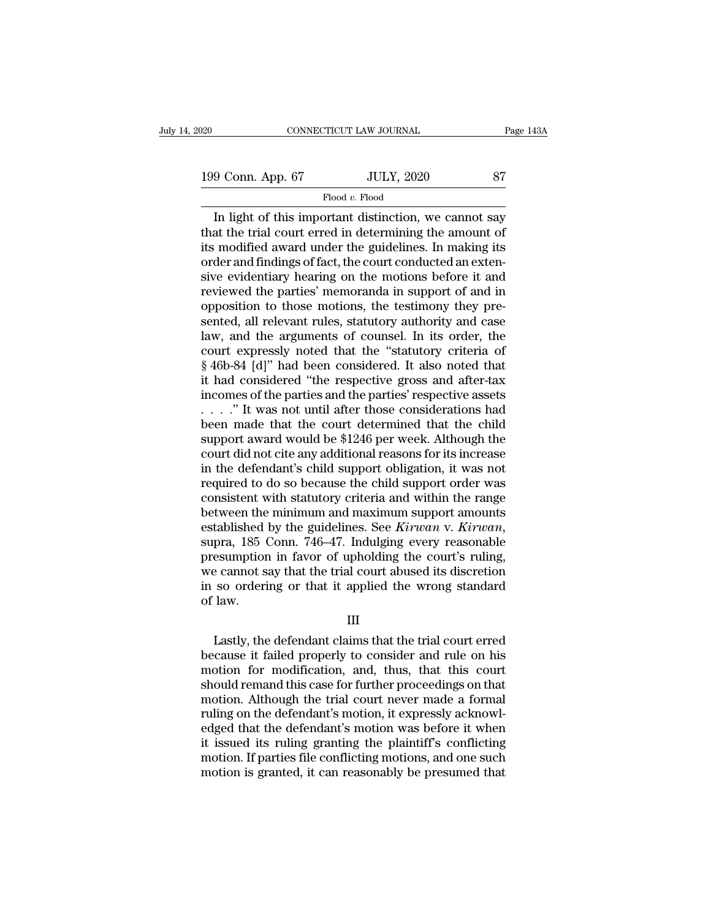# Flood *v.* Flood

CONNECTICUT LAW JOURNAL Page 143A<br>
9 Conn. App. 67 JULY, 2020 87<br>
Flood v. Flood<br>
In light of this important distinction, we cannot say<br>
at the trial court erred in determining the amount of<br>
the modified award under the g 199 Conn. App. 67 JULY, 2020 87<br>Flood v. Flood<br>In light of this important distinction, we cannot say<br>that the trial court erred in determining the amount of<br>its modified award under the guidelines. In making its<br>order and 199 Conn. App. 67 JULY, 2020 87<br>
Flood v. Flood<br>
In light of this important distinction, we cannot say<br>
that the trial court erred in determining the amount of<br>
its modified award under the guidelines. In making its<br>
orde 199 Conn. App. 67 JULY, 2020 87<br>
Flood v. Flood<br>
In light of this important distinction, we cannot say<br>
that the trial court erred in determining the amount of<br>
its modified award under the guidelines. In making its<br>
orde Flood v. Flood<br>
Flood v. Flood<br>
In light of this important distinction, we cannot say<br>
that the trial court erred in determining the amount of<br>
its modified award under the guidelines. In making its<br>
order and findings of Flood v. Flood<br>In light of this important distinction, we cannot say<br>that the trial court erred in determining the amount of<br>its modified award under the guidelines. In making its<br>order and findings of fact, the court con In light of this important distinction, we cannot say<br>that the trial court erred in determining the amount of<br>its modified award under the guidelines. In making its<br>order and findings of fact, the court conducted an extenthat the trial court erred in determining the amount of<br>its modified award under the guidelines. In making its<br>order and findings of fact, the court conducted an exten-<br>sive evidentiary hearing on the motions before it and its modified award under the guidelines. In making its<br>order and findings of fact, the court conducted an exten-<br>sive evidentiary hearing on the motions before it and<br>reviewed the parties' memoranda in support of and in<br>op order and findings of fact, the court conducted an extensive evidentiary hearing on the motions before it and<br>reviewed the parties' memoranda in support of and in<br>opposition to those motions, the testimory they pre-<br>sented sive evidentiary hearing on the motions before it and<br>reviewed the parties' memoranda in support of and in<br>opposition to those motions, the testimony they pre-<br>sented, all relevant rules, statutory authority and case<br>law, reviewed the parties' memoranda in support of and in<br>opposition to those motions, the testimony they pre-<br>sented, all relevant rules, statutory authority and case<br>law, and the arguments of counsel. In its order, the<br>court opposition to those motions, the testimony they presented, all relevant rules, statutory authority and case law, and the arguments of counsel. In its order, the court expressly noted that the "statutory criteria of  $§ 46b$ sented, all relevant rules, statutory authority and case<br>law, and the arguments of counsel. In its order, the<br>court expressly noted that the "statutory criteria of<br>§ 46b-84 [d]" had been considered. It also noted that<br>it h law, and the arguments of counsel. In its order, the<br>court expressly noted that the "statutory criteria of<br> $\S 46b-84$  [d]" had been considered. It also noted that<br>it had considered "the respective gross and after-tax<br>inco court expressly noted that the "statutory criteria of  $\S$  46b-84 [d]" had been considered. It also noted that<br>it had considered "the respective gross and after-tax<br>incomes of the parties and the parties' respective assets  $\S$  46b-84 [d]" had been considered. It also noted that<br>it had considered "the respective gross and after-tax<br>incomes of the parties and the parties' respective assets<br> $\ldots$ ." It was not until after those considerations h it had considered "the respective gross and after-tax<br>incomes of the parties and the parties' respective assets<br> $\ldots$  ." It was not until after those considerations had<br>been made that the court determined that the child<br>s incomes of the parties and the parties' respective assets<br>  $\ldots$   $\ldots$  " It was not until after those considerations had<br>
been made that the court determined that the child<br>
support award would be \$1246 per week. Although consistent with statutory criteria and within the range been made that the court determined that the child<br>support award would be \$1246 per week. Although the<br>court did not cite any additional reasons for its increase<br>in the defendant's child support obligation, it was not<br>requ support award would be \$1246 per week. Although the<br>court did not cite any additional reasons for its increase<br>in the defendant's child support obligation, it was not<br>required to do so because the child support order was<br>c in the defendant's child support obligation, it was not<br>required to do so because the child support order was<br>consistent with statutory criteria and within the range<br>between the minimum and maximum support amounts<br>establis required to do so because the child support order was<br>consistent with statutory criteria and within the range<br>between the minimum and maximum support amounts<br>established by the guidelines. See *Kirwan* v. *Kirwan*,<br>supra, consistent with statutory criteria and within the range<br>between the minimum and maximum support amounts<br>established by the guidelines. See *Kirwan* v. *Kirwan*,<br>supra, 185 Conn. 746–47. Indulging every reasonable<br>presumpti between the<br>established<br>supra, 185 (<br>presumptior<br>we cannot s<br>in so orderi<br>of law. pra, 100 Collin. 140 41. Induiging every reasonable<br>esumption in favor of upholding the court's ruling,<br>e cannot say that the trial court abused its discretion<br>so ordering or that it applied the wrong standard<br>law.<br>III<br>Las

III

presumption in favor of upholoning the court's ruling,<br>we cannot say that the trial court abused its discretion<br>in so ordering or that it applied the wrong standard<br>of law.<br>III<br>Lastly, the defendant claims that the trial c motion for modification, and, thus, that this court<br>and the wrong standard<br>of law.<br>III<br>Lastly, the defendant claims that the trial court erred<br>because it failed properly to consider and rule on his<br>motion for modification, III<br>III<br>Lastly, the defendant claims that the trial court erred<br>because it failed properly to consider and rule on his<br>motion for modification, and, thus, that this court<br>should remand this case for further proceedings on III<br>Lastly, the defendant claims that the trial court erred<br>because it failed properly to consider and rule on his<br>motion for modification, and, thus, that this court<br>should remand this case for further proceedings on that III<br>Lastly, the defendant claims that the trial court erred<br>because it failed properly to consider and rule on his<br>motion for modification, and, thus, that this court<br>should remand this case for further proceedings on that Lastly, the defendant claims that the trial court erred<br>because it failed properly to consider and rule on his<br>motion for modification, and, thus, that this court<br>should remand this case for further proceedings on that<br>mot because it failed properly to consider and rule on his<br>motion for modification, and, thus, that this court<br>should remand this case for further proceedings on that<br>motion. Although the trial court never made a formal<br>ruling motion for modification, and, thus, that this court<br>should remand this case for further proceedings on that<br>motion. Although the trial court never made a formal<br>ruling on the defendant's motion, it expressly acknowl-<br>edged should remand this case for further proceedings on that<br>motion. Although the trial court never made a formal<br>ruling on the defendant's motion, it expressly acknowl-<br>edged that the defendant's motion was before it when<br>it i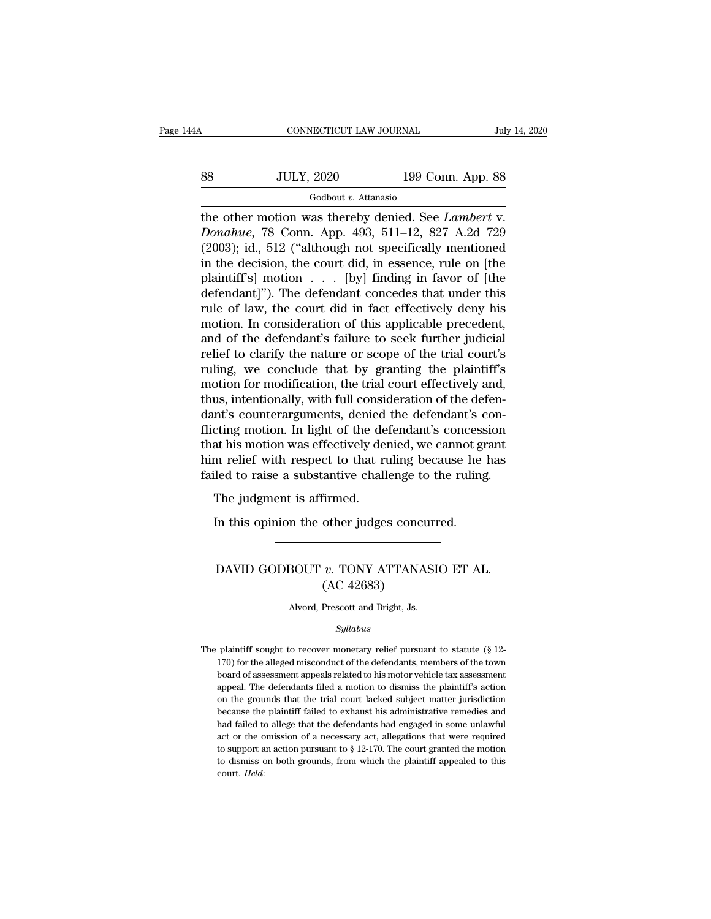# CONNECTICUT LAW JOURNAL July 14, 2020<br>88 JULY, 2020 199 Conn. App. 88<br>Godbout v. Attanasio

# Godbout *v.* Attanasio

THE CONNECTICUT LAW JOURNAL<br>
SASE MULY, 2020 199 Conn. App. 88<br>
Godbout v. Attanasio<br>
The other motion was thereby denied. See *Lambert* v.<br>
Donahue, 78 Conn. App. 493, 511–12, 827 A.2d 729<br>
C2003): id. 512 ("although not *DONA BET ACCEL ATTER SALE OF A LOTER SALE OF A LOTER SALE Of A DONA AVE A LOTER DONA AVE , THE DONA AVE (2003); id., 512 ("although not specifically mentioned in the docision the court did in essence rule on Ithe* (2003); id., 512 ("although not specifically mentioned in the decision, the court did, in essence, rule on [the polaitiff's] motion. [by] finding in four of [the polaitiff's] motion. [by] finding in four of [the SS JULY, 2020 199 Conn. App. 88<br>
Godbout v. Attanasio<br>
the other motion was thereby denied. See *Lambert* v.<br> *Donahue*, 78 Conn. App. 493, 511–12, 827 A.2d 729<br>
(2003); id., 512 ("although not specifically mentioned<br>
in For the state of the defendant  $\frac{1}{2}$ . The state of  $\frac{1}{2}$  and  $\frac{1}{2}$  and  $\frac{1}{2}$  and  $\frac{1}{2}$  and  $\frac{1}{2}$  and  $\frac{1}{2}$  and  $\frac{1}{2}$  and  $\frac{1}{2}$  and  $\frac{1}{2}$  and  $\frac{1}{2}$  and  $\frac{1}{2}$  and  $\frac{1}{2}$  an Godbout v. Attanasio<br>the other motion was thereby denied. See *Lambert* v.<br>Donahue, 78 Conn. App. 493, 511–12, 827 A.2d 729<br>(2003); id., 512 ("although not specifically mentioned<br>in the decision, the court did, in essence the other motion was thereby denied. See *Lambert* v.<br> *Donahue*, 78 Conn. App. 493, 511–12, 827 A.2d 729<br>
(2003); id., 512 ("although not specifically mentioned<br>
in the decision, the court did, in essence, rule on [the<br> Donahue, 78 Conn. App. 493, 511–12, 827 A.2d 729 (2003); id., 512 ("although not specifically mentioned<br>in the decision, the court did, in essence, rule on [the<br>plaintiff's] motion . . . [by] finding in favor of [the<br>defen (2003); id., 512 ("although not specifically mentioned<br>in the decision, the court did, in essence, rule on [the<br>plaintiff's] motion  $\ldots$  [by] finding in favor of [the<br>defendant]"). The defendant concedes that under this<br> in the decision, the court did, in essence, rule on [the plaintiff's] motion  $\ldots$  [by] finding in favor of [the defendant]"). The defendant concedes that under this rule of law, the court did in fact effectively deny his plaintiff's] motion . . . [by] finding in favor of [the<br>defendant]"). The defendant concedes that under this<br>rule of law, the court did in fact effectively deny his<br>motion. In consideration of this applicable precedent,<br>an defendant]"). The defendant concedes that under this<br>rule of law, the court did in fact effectively deny his<br>motion. In consideration of this applicable precedent,<br>and of the defendant's failure to seek further judicial<br>re rule of law, the court did in fact effectively deny his<br>motion. In consideration of this applicable precedent,<br>and of the defendant's failure to seek further judicial<br>relief to clarify the nature or scope of the trial cour motion. In consideration of this applicable precedent,<br>and of the defendant's failure to seek further judicial<br>relief to clarify the nature or scope of the trial court's<br>ruling, we conclude that by granting the plaintiff's and of the defendant's failure to seek further judicial<br>relief to clarify the nature or scope of the trial court's<br>ruling, we conclude that by granting the plaintiff's<br>motion for modification, the trial court effectively a relief to clarify the nature or scope of the trial court's<br>ruling, we conclude that by granting the plaintiff's<br>motion for modification, the trial court effectively and,<br>thus, intentionally, with full consideration of the ruling, we conclude that by granting the plaintiff's<br>motion for modification, the trial court effectively and,<br>thus, intentionally, with full consideration of the defen-<br>dant's counterarguments, denied the defendant's conmotion for modification, the trial court effectively and,<br>thus, intentionally, with full consideration of the defen-<br>dant's counterarguments, denied the defendant's con-<br>flicting motion. In light of the defendant's concess The judgment is affirmed.<br>In its counterarguments, denied<br>tring motion. In light of the deat his motion was effectively den<br>m relief with respect to that ruled to raise a substantive chall<br>The judgment is affirmed.<br>In this recting motion. In light of the defendant's concess<br>at his motion was effectively denied, we cannot gi<br>m relief with respect to that ruling because he<br>led to raise a substantive challenge to the ruling<br>The judgment is affi

# ed to raise a substantive challenge to the ruling.<br>The judgment is affirmed.<br>In this opinion the other judges concurred.<br>DAVID GODBOUT *v*. TONY ATTANASIO ET AL.<br>(AC 42683) firmed.<br>
other judges concu<br>
v. TONY ATTANA:<br>
(AC 42683)<br>
Prescott and Bright, Js. DAVID GODBOUT  $v$ . TONY ATTANASIO ET AL.<br>(AC 42683)<br>Alvord, Prescott and Bright, Js.

# *Syllabus*

 $\rm (AC~42683)$ <br>Alvord, Prescott and Bright, Js.<br> $Syllabus$ <br>The plaintiff sought to recover monetary relief pursuant to statute (§ 12-<br>170) for the alleged misconduct of the defendants, members of the town Alvord, Prescott and Bright, Js.<br>
5yllabus<br>
plaintiff sought to recover monetary relief pursuant to statute (§ 12-<br>
170) for the alleged misconduct of the defendants, members of the town<br>
board of assessment appeals relate Alvord, Prescott and Bright, Js.<br>
Syllabus<br>
plaintiff sought to recover monetary relief pursuant to statute (§ 12-<br>
170) for the alleged misconduct of the defendants, members of the town<br>
board of assessment appeals relate  $Syllabus$ <br>plaintiff sought to recover monetary relief pursuant to statute (§ 12-<br>170) for the alleged misconduct of the defendants, members of the town<br>board of assessment appeals related to his motor vehicle tax assessment<br> symmus<br>plaintiff sought to recover monetary relief pursuant to statute (§ 12-<br>170) for the alleged misconduct of the defendants, members of the town<br>board of assessment appeals related to his motor vehicle tax assessment<br> plaintiff sought to recover monetary relief pursuant to statute  $(\S 12-170)$  for the alleged misconduct of the defendants, members of the town board of assessment appeals related to his motor vehicle tax assessment appeal 170) for the alleged misconduct of the defendants, members of the town board of assessment appeals related to his motor vehicle tax assessment appeal. The defendants filed a motion to dismiss the plaintiff's action on the board of assessment appeals related to his motor vehicle tax assessment appeal. The defendants filed a motion to dismiss the plaintiff's action on the grounds that the trial court lacked subject matter jurisdiction becaus appeal. The defendants filed a motion to dismiss the plaintiff's action<br>on the grounds that the trial court lacked subject matter jurisdiction<br>because the plaintiff failed to exhaust his administrative remedies and<br>had fa on the grounds that the trial court lacked subject matter jurisdiction because the plaintiff failed to exhaust his administrative remedies and had failed to allege that the defendants had engaged in some unlawful act or t court. *Held*: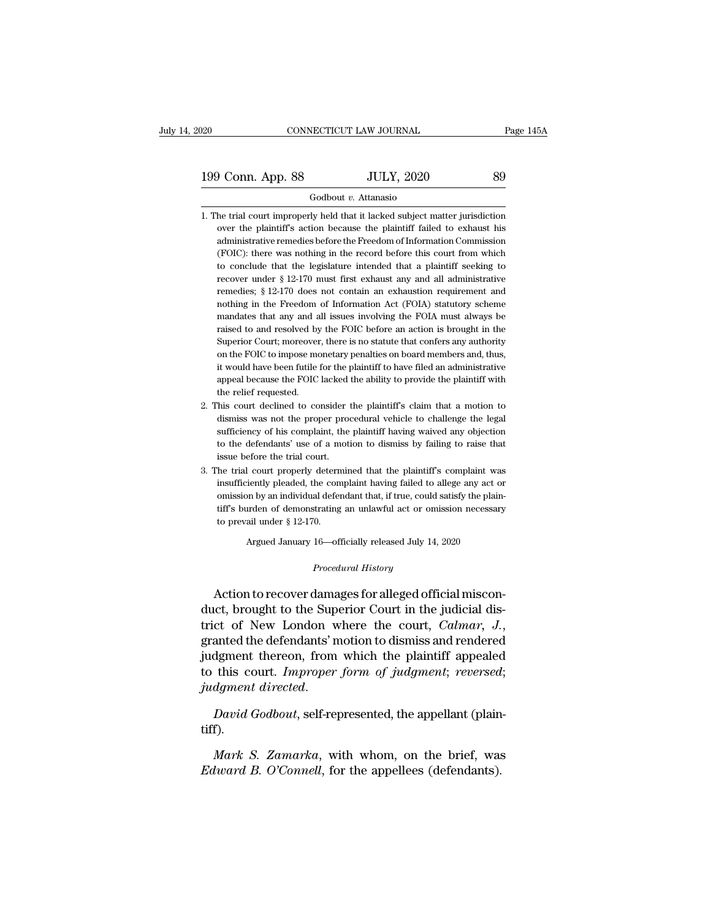199 Conn. App. 88 JULY, 2020 89 Godbout v. Attanasio

## Godbout *v.* Attanasio

- 199 Conn. App. 88 JULY, 2020 89<br>
Godbout v. Attanasio<br>
1. The trial court improperly held that it lacked subject matter jurisdiction<br>
over the plaintiff's action because the plaintiff failed to exhaust his over the plaintiff's action because the plaintiff failed to exhaust his administrative remedies before the Freedom of Information Commission 3 Conn. App. 88 Godbout *v*. Attanasio<br>
6 Godbout *v*. Attanasio<br>
he trial court improperly held that it lacked subject matter jurisdiction<br>
over the plaintiff's action because the plaintiff failed to exhaust his<br>
adminis Godbout v. Attanasio<br>
he trial court improperly held that it lacked subject matter jurisdiction<br>
over the plaintiff's action because the plaintiff failed to exhaust his<br>
administrative remedies before the Freedom of Inform Godbout *v*. Attanasio<br>he trial court improperly held that it lacked subject matter jurisdiction<br>over the plaintiff's action because the plaintiff failed to exhaust his<br>administrative remedies before the Freedom of Informa he trial court improperly held that it lacked subject matter jurisdiction<br>over the plaintiff's action because the plaintiff failed to exhaust his<br>administrative remedies before the Freedom of Information Commission<br>(FOIC): over the plaintiff's action because the plaintiff failed to exhaust his administrative remedies before the Freedom of Information Commission (FOIC): there was nothing in the record before this court from which to conclude administrative remedies before the Freedom of Information Commission (FOIC): there was nothing in the record before this court from which to conclude that the legislature intended that a plaintiff seeking to recover under (FOIC): there was nothing in the record before this court from which<br>to conclude that the legislature intended that a plaintiff seeking to<br>recover under  $\S 12{\text -}170$  must first exhaust any and all administrative<br>remedies to conclude that the legislature intended that a plaintiff seeking to<br>recover under  $\S 12{\text -}170$  must first exhaust any and all administrative<br>remedies;  $\S 12{\text -}170$  does not contain an exhaustion requirement and<br>nothin recover under  $\S$  12-170 must first exhaust any and all administrative<br>remedies;  $\S$  12-170 does not contain an exhaustion requirement and<br>nothing in the Freedom of Information Act (FOIA) statutory scheme<br>mandates that an remedies; § 12-170 does not contain an exhaustion requirement and nothing in the Freedom of Information Act (FOIA) statutory scheme mandates that any and all issues involving the FOIA must always be raised to and resolved nothing in the Freedom of Information Act (FOIA) statutory scheme<br>mandates that any and all issues involving the FOIA must always be<br>raised to and resolved by the FOIC before an action is brought in the<br>Superior Court; mor mandates that any and all issues involving the FOIA must always be<br>raised to and resolved by the FOIC before an action is brought in the<br>Superior Court; moreover, there is no statute that confers any authority<br>on the FOIC raised to and resolved by the FOIC before an action is brought in the Superior Court; moreover, there is no statute that confers any authority on the FOIC to impose monetary penalties on board members and, thus, it would Superior Court; moreover, there is no statute that confers any authority<br>on the FOIC to impose monetary penalties on board members and, thus,<br>it would have been futile for the plaintiff to have filed an administrative<br>appe on the FOIC to impose monetary penalties on board members and, thus, it would have been futile for the plaintiff to have filed an administrative appeal because the FOIC lacked the ability to provide the plaintiff with the
- it would have been futile for the plaintiff to have filed an administrative<br>appeal because the FOIC lacked the ability to provide the plaintiff with<br>the relief requested.<br>his court declined to consider the plaintiff's clai appeal because the FOIC lacked the ability to provide the plaintiff with<br>the relief requested.<br>This court declined to consider the plaintiff's claim that a motion to<br>dismiss was not the proper procedural vehicle to challen the relief requested.<br>This court declined to consider<br>dismiss was not the proper pro<br>sufficiency of his complaint, the<br>to the defendants' use of a mot<br>issue before the trial court.<br>The trial court properly determin 2. This court declined to consider the plaintiff's claim that a motion to dismiss was not the proper procedural vehicle to challenge the legal sufficiency of his complaint, the plaintiff having waived any objection to the dismiss was not the proper procedural vehicle to challenge the legal sufficiency of his complaint, the plaintiff having waived any objection to the defendants' use of a motion to dismiss by failing to raise that issue befo
- sufficiency of his complaint, the plaintiff having waived any objection<br>to the defendants' use of a motion to dismiss by failing to raise that<br>issue before the trial court.<br>the trial court properly determined that the plai to the defendants' use of a motion to dismiss by failing to raise that<br>issue before the trial court.<br>The trial court properly determined that the plaintiff's complaint was<br>insufficiently pleaded, the complaint having fail issue before the trial court.<br>The trial court properly determ<br>insufficiently pleaded, the com<br>omission by an individual defer<br>tiff's burden of demonstrating<br>to prevail under § 12-170.<br>Argued January 16—of insufficiently pleaded, the complaint having failed to allege any act or omission by an individual defendant that, if true, could satisfy the plaintiff's burden of demonstrating an unlawful act or omission necessary to pr

Argued January 16—officially released July 14, 2020<br>*Procedural History*<br>Action to recover damages for alleged official misconbut the burst of demonstrating an unlawful act or omission necessary<br>to prevail under § 12-170.<br>Argued January 16—officially released July 14, 2020<br>*Procedural History*<br>Action to recover damages for alleged official miscon to prevail under § 12-170.<br>
Argued January 16—officially released July 14, 2020<br>  $Procedural History$ <br>
Action to recover damages for alleged official miscon-<br>
duct, brought to the Superior Court in the judicial dis-<br>
trict of New Lond Argued January 16—officially released July 14, 2020<br> *Procedural History*<br>
Action to recover damages for alleged official miscon-<br>
duct, brought to the Superior Court in the judicial dis-<br>
trict of New London where the cou Frocedural History<br>Action to recover damages for alleged official miscon-<br>duct, brought to the Superior Court in the judicial dis-<br>trict of New London where the court, *Calmar*, *J.*,<br>granted the defendants' motion to dism Action to recover damages for alleged official misconduct, brought to the Superior Court in the judicial district of New London where the court, *Calmar*, *J*., granted the defendants' motion to dismiss and rendered judgme Action to recover damages for alleged official misconduct, brought to the Superior Court in the judicial district of New London where the court, *Calmar*, *J.*, granted the defendants' motion to dismiss and rendered judgme *Mark S. Zamarka*, with when the plantiful appeared this court. *Improper form of judgment*; *reversed*;<br>*David Godbout*, self-represented, the appellant (plain-f).<br>*Mark S. Zamarka*, with whom, on the brief, was *lward B.* 

tiff). *Edward B. O'Connell*, for the appellant (plain tiff).<br> *Edward B. O'Connell*, for the appellees (defendants).<br> *Edward B. O'Connell*, for the appellees (defendants).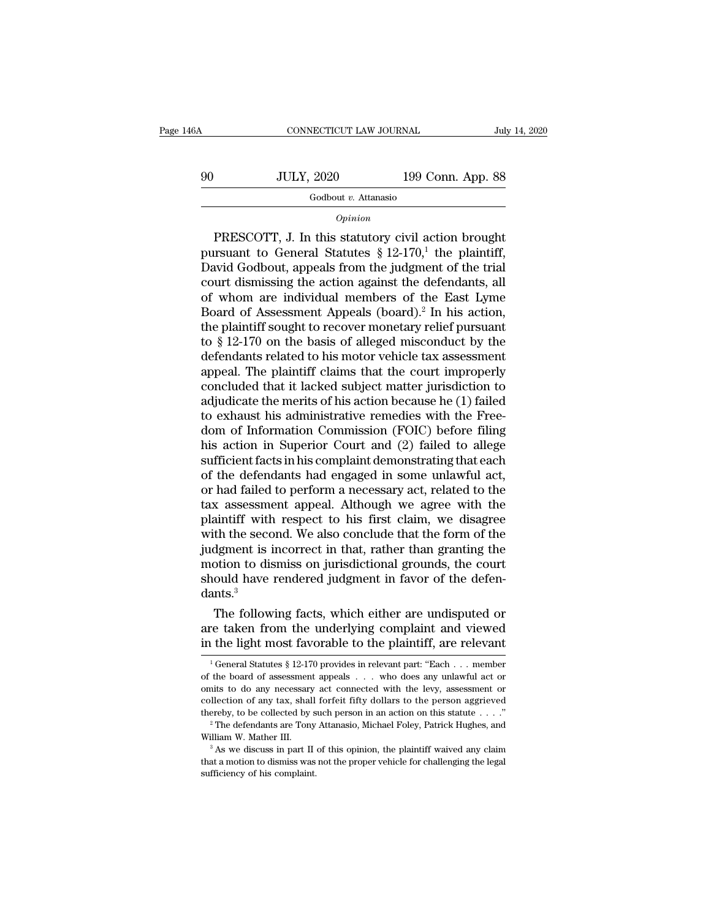CONNECTICUT LAW JOURNAL July 14, 2020<br>
90 JULY, 2020 199 Conn. App. 88<br>
Godbout v. Attanasio

## Godbout *v.* Attanasio

## *Opinion*

JULY, 2020 199 Conn. App. 88<br>
Godbout v. Attanasio<br>
Opinion<br>
PRESCOTT, J. In this statutory civil action brought<br>
resuant to General Statutes § 12-170,<sup>1</sup> the plaintiff,<br>
avid Godbout appeals from the judgment of the trial 90 JULY, 2020 199 Conn. App. 88<br>
Godbout v. Attanasio<br> *Opinion*<br>
PRESCOTT, J. In this statutory civil action brought<br>
pursuant to General Statutes § 12-170,<sup>1</sup> the plaintiff,<br>
David Godbout, appeals from the judgment of 90 JULY, 2020 199 Conn. App. 88<br>
Godbout v. Attanasio<br>
Opinion<br>
PRESCOTT, J. In this statutory civil action brought<br>
pursuant to General Statutes § 12-170,<sup>1</sup> the plaintiff,<br>
David Godbout, appeals from the judgment of th Godbout *v.* Attanasio<br>
opinion<br>
PRESCOTT, J. In this statutory civil action brought<br>
pursuant to General Statutes § 12-170,<sup>1</sup> the plaintiff,<br>
David Godbout, appeals from the judgment of the trial<br>
court dismissing the a **Example 10**<br>
opinion<br>
opinion<br>
pursuant to General Statutes § 12-170,<sup>1</sup> the plaintiff,<br>
David Godbout, appeals from the judgment of the trial<br>
court dismissing the action against the defendants, all<br>
of whom are individ *Opinion*<br>
PRESCOTT, J. In this statutory civil action brought<br>
pursuant to General Statutes § 12-170,<sup>1</sup> the plaintiff,<br>
David Godbout, appeals from the judgment of the trial<br>
court dismissing the action against the defe PRESCOTT, J. In this statutory civil action brought<br>pursuant to General Statutes § 12-170,<sup>1</sup> the plaintiff,<br>David Godbout, appeals from the judgment of the trial<br>court dismissing the action against the defendants, all<br>of pursuant to General Statutes  $\S$  12-170,<sup>1</sup> the plaintiff,<br>David Godbout, appeals from the judgment of the trial<br>court dismissing the action against the defendants, all<br>of whom are individual members of the East Lyme<br>Boar David Godbout, appeals from the judgment of the trial<br>court dismissing the action against the defendants, all<br>of whom are individual members of the East Lyme<br>Board of Assessment Appeals (board).<sup>2</sup> In his action,<br>the plain court dismissing the action against the defendants, all<br>of whom are individual members of the East Lyme<br>Board of Assessment Appeals (board).<sup>2</sup> In his action,<br>the plaintiff sought to recover monetary relief pursuant<br>to § 1 of whom are individual members of the East Lyme<br>Board of Assessment Appeals (board).<sup>2</sup> In his action,<br>the plaintiff sought to recover monetary relief pursuant<br>to § 12-170 on the basis of alleged misconduct by the<br>defendan Board of Assessment Appeals (board).<sup>2</sup> In his action,<br>the plaintiff sought to recover monetary relief pursuant<br>to  $\S$  12-170 on the basis of alleged misconduct by the<br>defendants related to his motor vehicle tax assessmen the plaintiff sought to recover monetary relief pursuant<br>to  $\S$  12-170 on the basis of alleged misconduct by the<br>defendants related to his motor vehicle tax assessment<br>appeal. The plaintiff claims that the court improperl to § 12-170 on the basis of alleged misconduct by the<br>defendants related to his motor vehicle tax assessment<br>appeal. The plaintiff claims that the court improperly<br>concluded that it lacked subject matter jurisdiction to<br>ad defendants related to his motor vehicle tax assessment<br>appeal. The plaintiff claims that the court improperly<br>concluded that it lacked subject matter jurisdiction to<br>adjudicate the merits of his action because he (1) faile appeal. The plaintiff claims that the court improperly<br>concluded that it lacked subject matter jurisdiction to<br>adjudicate the merits of his action because he (1) failed<br>to exhaust his administrative remedies with the Freeconcluded that it lacked subject matter jurisdiction to<br>adjudicate the merits of his action because he (1) failed<br>to exhaust his administrative remedies with the Free-<br>dom of Information Commission (FOIC) before filing<br>his adjudicate the merits of his action because he (1) failed<br>to exhaust his administrative remedies with the Free-<br>dom of Information Commission (FOIC) before filing<br>his action in Superior Court and (2) failed to allege<br>suffi to exhaust his administrative remedies with the Free-<br>dom of Information Commission (FOIC) before filing<br>his action in Superior Court and (2) failed to allege<br>sufficient facts in his complaint demonstrating that each<br>of th dom of Information Commission (FOIC) before filing<br>his action in Superior Court and (2) failed to allege<br>sufficient facts in his complaint demonstrating that each<br>of the defendants had engaged in some unlawful act,<br>or had his action in Superior Court and (2) failed to allege<br>sufficient facts in his complaint demonstrating that each<br>of the defendants had engaged in some unlawful act,<br>or had failed to perform a necessary act, related to the<br>t sufficient facts in his complaint demonstrating that each<br>of the defendants had engaged in some unlawful act,<br>or had failed to perform a necessary act, related to the<br>tax assessment appeal. Although we agree with the<br>plain of the defendants had engaged in some unlawful act,<br>or had failed to perform a necessary act, related to the<br>tax assessment appeal. Although we agree with the<br>plaintiff with respect to his first claim, we disagree<br>with the or had failed to perform a necessary act, related to the<br>tax assessment appeal. Although we agree with the<br>plaintiff with respect to his first claim, we disagree<br>with the second. We also conclude that the form of the<br>judgm dants.<sup>3</sup> anntiff with respect to his first claim, we disagree<br>th the second. We also conclude that the form of the<br>dgment is incorrect in that, rather than granting the<br>otion to dismiss on jurisdictional grounds, the court<br>ould hav with the second. We also conclude that the form of the<br>judgment is incorrect in that, rather than granting the<br>motion to dismiss on jurisdictional grounds, the court<br>should have rendered judgment in favor of the defen-<br>dan judgment is incorrect in that, rather than granting the<br>motion to dismiss on jurisdictional grounds, the court<br>should have rendered judgment in favor of the defen-<br>dants.<sup>3</sup><br>The following facts, which either are undispute

The following facts, which either are undisputed or<br>re taken from the underlying complaint and viewed<br>i the light most favorable to the plaintiff, are relevant<br> $\frac{1}{1}$ General Statutes § 12-170 provides in relevant part: The following facts, which either are undisputed or<br>are taken from the underlying complaint and viewed<br>in the light most favorable to the plaintiff, are relevant<br> $\frac{1}{1}$ General Statutes § 12-170 provides in relevant par

are taken from the underlying complaint and viewed<br>in the light most favorable to the plaintiff, are relevant<br> $\frac{1}{1}$ General Statutes § 12-170 provides in relevant part: "Each . . . member<br>of the board of assessment app in the light most favorable to the plaintiff, are relevant<br>
<sup>1</sup> General Statutes § 12-170 provides in relevant part: "Each . . . member<br>
of the board of assessment appeals . . . who does any unlawful act or<br>
omits to do a In the light most lavorable to the plaintiff, are relevant<br>
<sup>1</sup> General Statutes § 12-170 provides in relevant part: "Each . . . member<br>
of the board of assessment appeals . . . who does any unlawful act or<br>
omits to do a of the board of assessment appeals  $\ldots$  who does any unlawful act or omits to do any necessary act connected with the levy, assessment or collection of any tax, shall forfeit fifty dollars to the person aggrieved thereby % onlies to do any necessary act connected with the levy, assessment or collection of any tax, shall for<br>feit fifty dollars to the person aggrieved thereby, to be collected by such person in an action on this statute<br> $\dots$ thereby, to be collected by such person in an action on this statute  $\ldots$ ."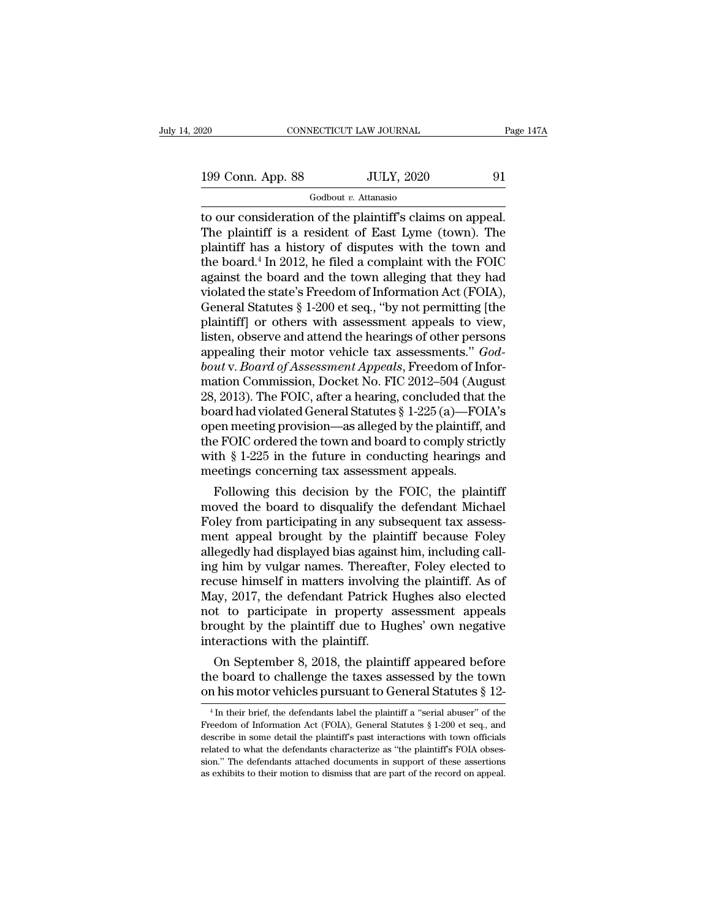# Godbout *v.* Attanasio

The plaintiff has a history of disputes with the town and<br>plaintiff has a history of disputes with the town and<br>plaintiff has a history of disputes with the town and 199 Conn. App. 88 JULY, 2020 91<br>
Godbout v. Attanasio<br>
to our consideration of the plaintiff's claims on appeal.<br>
The plaintiff is a resident of East Lyme (town). The<br>
plaintiff has a history of disputes with the town and 199 Conn. App. 88 JULY, 2020 91<br>
Godbout v. Attanasio<br>
to our consideration of the plaintiff's claims on appeal.<br>
The plaintiff is a resident of East Lyme (town). The<br>
plaintiff has a history of disputes with the town and 199 Conn. App. 88 JULY, 2020 91<br>
Godbout v. Attanasio<br>
to our consideration of the plaintiff's claims on appeal.<br>
The plaintiff is a resident of East Lyme (town). The<br>
plaintiff has a history of disputes with the town and Godbout v. Attanasio<br>to our consideration of the plaintiff's claims on appeal.<br>The plaintiff is a resident of East Lyme (town). The<br>plaintiff has a history of disputes with the town and<br>the board.<sup>4</sup> In 2012, he filed a c Godbout v. Attanasio<br>to our consideration of the plaintiff's claims on appeal.<br>The plaintiff is a resident of East Lyme (town). The<br>plaintiff has a history of disputes with the town and<br>the board.<sup>4</sup> In 2012, he filed a c to our consideration of the plaintiff's claims on appeal.<br>The plaintiff is a resident of East Lyme (town). The<br>plaintiff has a history of disputes with the town and<br>the board.<sup>4</sup> In 2012, he filed a complaint with the FOIC The plaintiff is a resident of East Lyme (town). The plaintiff has a history of disputes with the town and the board.<sup>4</sup> In 2012, he filed a complaint with the FOIC against the board and the town alleging that they had vio plaintiff has a history of disputes with the town and<br>the board.<sup>4</sup> In 2012, he filed a complaint with the FOIC<br>against the board and the town alleging that they had<br>violated the state's Freedom of Information Act (FOIA),<br> the board.<sup>4</sup> In 2012, he filed a complaint with the FOIC against the board and the town alleging that they had violated the state's Freedom of Information Act (FOIA), General Statutes § 1-200 et seq., "by not permitting [ against the board and the town alleging that they had<br>violated the state's Freedom of Information Act (FOIA),<br>General Statutes § 1-200 et seq., "by not permitting [the<br>plaintiff] or others with assessment appeals to view,<br> violated the state's Freedom of Information Act (FOIA),<br>General Statutes § 1-200 et seq., "by not permitting [the<br>plaintiff] or others with assessment appeals to view,<br>listen, observe and attend the hearings of other perso General Statutes § 1-200 et seq., "by not permitting [the<br>plaintiff] or others with assessment appeals to view,<br>listen, observe and attend the hearings of other persons<br>appealing their motor vehicle tax assessments."  $God<$ plaintiff] or others with assessment appeals to view,<br>listen, observe and attend the hearings of other persons<br>appealing their motor vehicle tax assessments." *God-*<br>bout v. Board of Assessment Appeals, Freedom of Infor-<br>m listen, observe and attend the hearings of other persons<br>appealing their motor vehicle tax assessments." *God-<br>bout* v. *Board of Assessment Appeals*, Freedom of Infor-<br>mation Commission, Docket No. FIC 2012–504 (August<br>28 appealing their motor vehicle tax assessments." God-<br>bout v. Board of Assessment Appeals, Freedom of Infor-<br>mation Commission, Docket No. FIC 2012–504 (August<br>28, 2013). The FOIC, after a hearing, concluded that the<br>board bout v. Board of Assessment Appeals, Freedom of Information Commission, Docket No. FIC 2012–504 (August 28, 2013). The FOIC, after a hearing, concluded that the board had violated General Statutes § 1-225 (a)—FOIA's open m mation Commission, Docket No. FIC 2012–504 (Aug<br>28, 2013). The FOIC, after a hearing, concluded that<br>board had violated General Statutes § 1-225 (a)—FO<br>open meeting provision—as alleged by the plaintiff,<br>the FOIC ordered t , 2013). The FOIC, after a nearing, concluded that the<br>aard had violated General Statutes § 1-225 (a)—FOIA's<br>een meeting provision—as alleged by the plaintiff, and<br>e FOIC ordered the town and board to comply strictly<br>th § board had violated General statutes  $\S$  1-225 (a)—FOIA s<br>open meeting provision—as alleged by the plaintiff, and<br>the FOIC ordered the town and board to comply strictly<br>with  $\S$  1-225 in the future in conducting hearings a

open meeting provision—as alleged by the plaintiff, and<br>the FOIC ordered the town and board to comply strictly<br>with § 1-225 in the future in conducting hearings and<br>meetings concerning tax assessment appeals.<br>Following thi the FOIC ordered the town and board to comply strictly<br>with § 1-225 in the future in conducting hearings and<br>meetings concerning tax assessment appeals.<br>Following this decision by the FOIC, the plaintiff<br>moved the board to with § 1-225 in the future in conducting nearings and<br>meetings concerning tax assessment appeals.<br>Following this decision by the FOIC, the plaintiff<br>moved the board to disqualify the defendant Michael<br>Foley from participat meetings concerning tax assessment appeais.<br>
Following this decision by the FOIC, the plaintiff<br>
moved the board to disqualify the defendant Michael<br>
Foley from participating in any subsequent tax assess-<br>
ment appeal brou Following this decision by the FOIC, the plaintiff<br>moved the board to disqualify the defendant Michael<br>Foley from participating in any subsequent tax assess-<br>ment appeal brought by the plaintiff because Foley<br>allegedly had moved the board to disqualify the defendant Michael<br>Foley from participating in any subsequent tax assessment appeal brought by the plaintiff because Foley<br>allegedly had displayed bias against him, including call-<br>ing him Foley from participating in any subsequent tax assessment appeal brought by the plaintiff because Foley allegedly had displayed bias against him, including calling him by vulgar names. Thereafter, Foley elected to recuse h ment appeal brought by the plaintiff because Foley<br>allegedly had displayed bias against him, including call-<br>ing him by vulgar names. Thereafter, Foley elected to<br>recuse himself in matters involving the plaintiff. As of<br>Ma allegedly had displayed bias against him, including calling him by vulgar names. Thereafter, Foley elected to recuse himself in matters involving the plaintiff. As of May, 2017, the defendant Patrick Hughes also elected no g nm by vulgar names. Thereatter, Foley elected to<br>cuse himself in matters involving the plaintiff. As of<br>ay, 2017, the defendant Patrick Hughes also elected<br>t to participate in property assessment appeals<br>ought by the pla recuse nimself in matters involving the plaintiff. As of<br>May, 2017, the defendant Patrick Hughes also elected<br>not to participate in property assessment appeals<br>brought by the plaintiff due to Hughes' own negative<br>interacti may, 2017, the defendant Patrick Hugnes also elected<br>not to participate in property assessment appeals<br>brought by the plaintiff due to Hughes' own negative<br>interactions with the plaintiff.<br>On September 8, 2018, the plaint

On September 8, 2018, the plaintiff appeared before<br>the board to challenge the taxes assessed by the town<br>n his motor vehicles pursuant to General Statutes § 12-<br> $^{4}$ In their brief, the defendants label the plaintiff a " On September 8, 2018, the plaintiff appeared before the board to challenge the taxes assessed by the town on his motor vehicles pursuant to General Statutes  $\S$  12-<br><sup>4</sup> In their brief, the defendants label the plaintiff a

the board to challenge the taxes assessed by the town<br>on his motor vehicles pursuant to General Statutes  $\S 12$ -<br> $^{4}$ In their brief, the defendants label the plaintiff a "serial abuser" of the<br>Freedom of Information Act on his motor vehicles pursuant to General Statutes § 12-<br>  $\frac{4}{1}$  In their brief, the defendants label the plaintiff a "serial abuser" of the<br>
Freedom of Information Act (FOIA), General Statutes § 1-200 et seq., and<br>
de of this infolior verticles pursuant to General Statutes  $\S$  12-<br><sup>4</sup> In their brief, the defendants label the plaintiff a "serial abuser" of the<br>Freedom of Information Act (FOIA), General Statutes  $\S$  1-200 et seq., and<br>de <sup>4</sup> In their brief, the defendants label the plaintiff a "serial abuser" of the Freedom of Information Act (FOIA), General Statutes  $\S 1-200$  et seq., and describe in some detail the plaintiff's past interactions with tow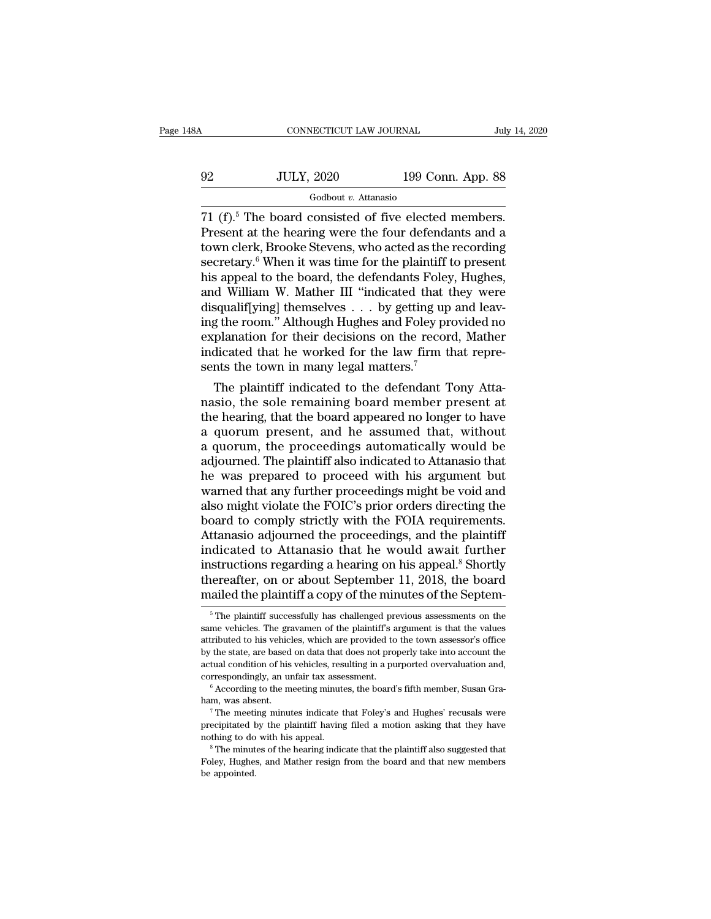# CONNECTICUT LAW JOURNAL July 14, 2020<br>
92 JULY, 2020 199 Conn. App. 88<br>
Godbout v. Attanasio Godbout *v.* Attanasio

CONNECTICUT LAW JOURNAL July 14, 2<br>
92 JULY, 2020 199 Conn. App. 88<br>
Godbout v. Attanasio<br>
71 (f).<sup>5</sup> The board consisted of five elected members.<br>
Present at the hearing were the four defendants and a<br>
town clerk Brooke S 92 JULY, 2020 199 Conn. App. 88<br>
Godbout v. Attanasio<br>
71 (f).<sup>5</sup> The board consisted of five elected members.<br>
Present at the hearing were the four defendants and a<br>
town clerk, Brooke Stevens, who acted as the recording 92 JULY, 2020 199 Conn. App. 88<br>
Godbout v. Attanasio<br>
71 (f).<sup>5</sup> The board consisted of five elected members.<br>
Present at the hearing were the four defendants and a<br>
town clerk, Brooke Stevens, who acted as the recording 92 JULY, 2020 199 Conn. App. 88<br>
Godbout *v.* Attanasio<br>
71 (f).<sup>5</sup> The board consisted of five elected members.<br>
Present at the hearing were the four defendants and a<br>
town clerk, Brooke Stevens, who acted as the recordi  $\frac{1}{100}$  Godbout *v*. Attanasio<br>  $\frac{1}{100}$  Godbout *v*. Attanasio<br>  $\frac{1}{100}$  The board consisted of five elected members.<br>
Present at the hearing were the four defendants and a<br>
town clerk, Brooke Stevens, who acte  $\frac{1}{2}$  Godbout *v*. Attanasio<br>
71 (f).<sup>5</sup> The board consisted of five elected members.<br>
Present at the hearing were the four defendants and a<br>
town clerk, Brooke Stevens, who acted as the recording<br>
secretary.<sup>6</sup> When 71 (f).<sup>5</sup> The board consisted of five elected members.<br>Present at the hearing were the four defendants and a<br>town clerk, Brooke Stevens, who acted as the recording<br>secretary.<sup>6</sup> When it was time for the plaintiff to pres Present at the hearing were the four defendants and a<br>town clerk, Brooke Stevens, who acted as the recording<br>secretary.<sup>6</sup> When it was time for the plaintiff to present<br>his appeal to the board, the defendants Foley, Hughes town clerk, Brooke Stevens, who acted as the recording<br>secretary.<sup>6</sup> When it was time for the plaintiff to present<br>his appeal to the board, the defendants Foley, Hughes,<br>and William W. Mather III "indicated that they were<br> secretary.<sup>6</sup> When it was time for the plaintiff to present<br>his appeal to the board, the defendants Foley, Hughes,<br>and William W. Mather III "indicated that they were<br>disqualif[ying] themselves  $\dots$  by getting up and leav his appeal to the board, the defendants Foley<br>and William W. Mather III "indicated that t<br>disqualif[ying] themselves  $\ldots$  by getting up<br>ing the room." Although Hughes and Foley pre<br>explanation for their decisions on the  $\alpha$  william w. Mather III "indicated that they were<br>squalif[ying] themselves . . . by getting up and leav-<br>g the room." Although Hughes and Foley provided no<br>planation for their decisions on the record, Mather<br>dicated th disqualitying] themselves  $\ldots$  by getting up and leaving the room." Although Hughes and Foley provided no explanation for their decisions on the record, Mather indicated that he worked for the law firm that represents th

ing the room." Although Hughes and Foley provided no<br>explanation for their decisions on the record, Mather<br>indicated that he worked for the law firm that repre-<br>sents the town in many legal matters.<sup>7</sup><br>The plaintiff indica explanation for their decisions on the record, Mather<br>indicated that he worked for the law firm that repre-<br>sents the town in many legal matters.<sup>7</sup><br>The plaintiff indicated to the defendant Tony Atta-<br>nasio, the sole remai malcated that he worked for the law firm that represents the town in many legal matters.<sup>7</sup><br>The plaintiff indicated to the defendant Tony Atta-<br>nasio, the sole remaining board member present at<br>the hearing, that the board sents the town in many legal matters.'<br>The plaintiff indicated to the defendant Tony Atta-<br>nasio, the sole remaining board member present at<br>the hearing, that the board appeared no longer to have<br>a quorum present, and he a The plaintiff indicated to the defendant Tony Atta-<br>nasio, the sole remaining board member present at<br>the hearing, that the board appeared no longer to have<br>a quorum present, and he assumed that, without<br>a quorum, the proc nasio, the sole remaining board member present at<br>the hearing, that the board appeared no longer to have<br>a quorum present, and he assumed that, without<br>a quorum, the proceedings automatically would be<br>adjourned. The plaint the hearing, that the board appeared no longer to have<br>a quorum present, and he assumed that, without<br>a quorum, the proceedings automatically would be<br>adjourned. The plaintiff also indicated to Attanasio that<br>he was prepar a quorum present, and he assumed that, without<br>a quorum, the proceedings automatically would be<br>adjourned. The plaintiff also indicated to Attanasio that<br>he was prepared to proceed with his argument but<br>warned that any fur a quorum, the proceedings automatically would be<br>adjourned. The plaintiff also indicated to Attanasio that<br>he was prepared to proceed with his argument but<br>warned that any further proceedings might be void and<br>also might v adjourned. The plaintiff also indicated to Attanasio that<br>he was prepared to proceed with his argument but<br>warned that any further proceedings might be void and<br>also might violate the FOIC's prior orders directing the<br>boar he was prepared to proceed with his argument but<br>warned that any further proceedings might be void and<br>also might violate the FOIC's prior orders directing the<br>board to comply strictly with the FOIA requirements.<br>Attanasio warned that any further proceedings might be void and<br>also might violate the FOIC's prior orders directing the<br>board to comply strictly with the FOIA requirements.<br>Attanasio adjourned the proceedings, and the plaintiff<br>ind also might violate the FOIC's prior orders directing the board to comply strictly with the FOIA requirements.<br>Attanasio adjourned the proceedings, and the plaintiff indicated to Attanasio that he would await further instru dicated to Attanasio that he would await further<br>structions regarding a hearing on his appeal.<sup>8</sup> Shortly<br>lereafter, on or about September 11, 2018, the board<br>ailed the plaintiff a copy of the minutes of the Septem-<br><sup>5</sup>The instructions regarding a hearing on his appeal.<sup>8</sup> Shortly thereafter, on or about September 11, 2018, the board mailed the plaintiff a copy of the minutes of the September  $\frac{1}{10}$ . The plaintiff successfully has chall

thereafter, on or about September 11, 2018, the board mailed the plaintiff a copy of the minutes of the Septem-<br><sup>5</sup>The plaintiff successfully has challenged previous assessments on the same vehicles. The gravamen of the pl mailed the plaintiff a copy of the minutes of the Septem-<br>  $\frac{1}{100}$  The plaintiff successfully has challenged previous assessments on the<br>
same vehicles. The gravamen of the plaintiff's argument is that the values<br>
att Triation of the plaintiff siccessfully has challenged previous assessments on the same vehicles. The gravamen of the plaintiff's argument is that the values attributed to his vehicles, which are provided to the town assess <sup>5</sup> The plaintiff successfully has challenged previous assessments on the same vehicles. The gravamen of the plaintiff's argument is that the values attributed to his vehicles, which are provided to the town assessor's of absolution to his vehicles, which are provided to the town assessor's office<br>by the state, are based on data that does not properly take into account the<br>actual condition of his vehicles, resulting in a purported overvalua

by and condition of his vehicles, resulting in a purported overvaluation and, correspondingly, an unfair tax assessment.<br>
<sup>6</sup> According to the meeting minutes, the board's fifth member, Susan Graham, was absent.<br>
<sup>7</sup> The m correspondingly, an unfair tax assessment.<br>
<sup>6</sup> According to the meeting minutes, the board's fifth member, Susan Graham, was absent.<br>
<sup>7</sup> The meeting minutes indicate that Foley's and Hughes' recusals were<br>
precipitated b Follow Hughes, and Hughes, and Hughes, and Hughes, and Hughes, and Hughes, and Hughes, and Hughes, and Hughes, and Hughes, and Hughes, and Hughes, and with his appeal.<br>
The minutes of the hearing indicate that the plaintif The meeting of the meeting to do<br>precipitated by nothing to do<br><sup>8</sup> The minut Foley, Hughes<br>be appointed.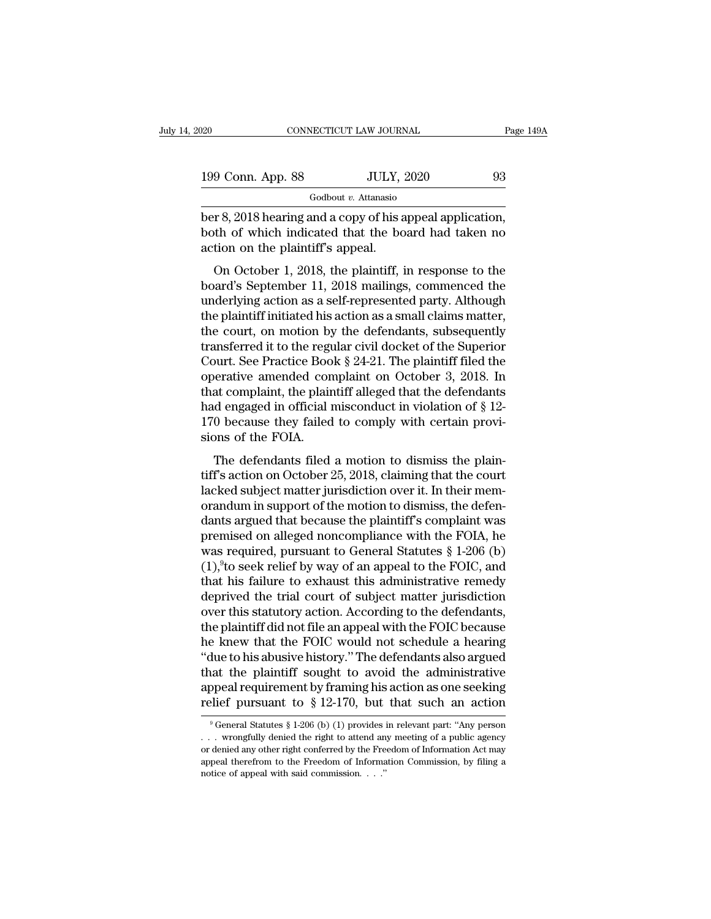| 020               | CONNECTICUT LAW JOURNAL | Page 149A |
|-------------------|-------------------------|-----------|
| 199 Conn. App. 88 | <b>JULY, 2020</b>       | 93        |
|                   | Godbout v. Attanasio    |           |

ber 8, 2018 hearing and a copy of his appeal application,<br>
ber 8, 2018 hearing and a copy of his appeal application,<br>
both of which indicated that the board had taken no 199 Conn. App. 88 JULY, 2020 93<br>
Godbout v. Attanasio<br>
ber 8, 2018 hearing and a copy of his appeal application,<br>
both of which indicated that the board had taken no<br>
action on the plaintiff's appeal. 199 Conn. App. 88 JULY,<br>
Godbout v. Attanasio<br>
ber 8, 2018 hearing and a copy of his a<br>
both of which indicated that the bo<br>
action on the plaintiff's appeal.<br>
On October 1, 2018, the plaintiff, i On October 1, 2018, the plaintiff, in response to the

 $\frac{6 \text{odbout } v.$  Attanasio<br>
board's September 1, 2018 hearing and a copy of his appeal application,<br>
both of which indicated that the board had taken no<br>
action on the plaintiff's appeal.<br>
On October 1, 2018, the plaintiff ber 8, 2018 hearing and a copy of his appeal application,<br>both of which indicated that the board had taken no<br>action on the plaintiff's appeal.<br>On October 1, 2018, the plaintiff, in response to the<br>board's September 11, 20 both of which indicated that the board had taken no<br>action on the plaintiff's appeal.<br>On October 1, 2018, the plaintiff, in response to the<br>board's September 11, 2018 mailings, commenced the<br>underlying action as a self-rep Fraction on the plaintiff's appeal.<br>
On October 1, 2018, the plaintiff, in response to the<br>
board's September 11, 2018 mailings, commenced the<br>
underlying action as a self-represented party. Although<br>
the plaintiff initiat On October 1, 2018, the plaintiff, in response to the<br>board's September 11, 2018 mailings, commenced the<br>underlying action as a self-represented party. Although<br>the plaintiff initiated his action as a small claims matter, On October 1, 2018, the plaintiff, in response to the<br>board's September 11, 2018 mailings, commenced the<br>underlying action as a self-represented party. Although<br>the plaintiff initiated his action as a small claims matter,<br> board's September 11, 2018 mailings, commenced the<br>underlying action as a self-represented party. Although<br>the plaintiff initiated his action as a small claims matter,<br>the court, on motion by the defendants, subsequently<br> underlying action as a self-represented party. Although<br>the plaintiff initiated his action as a small claims matter,<br>the court, on motion by the defendants, subsequently<br>transferred it to the regular civil docket of the S the plaintiff initiated his action as a small claims matter,<br>the court, on motion by the defendants, subsequently<br>transferred it to the regular civil docket of the Superior<br>Court. See Practice Book § 24-21. The plaintiff f the court, on motion by the defendants, subsequently<br>transferred it to the regular civil docket of the Superior<br>Court. See Practice Book  $\S 24-21$ . The plaintiff filed the<br>operative amended complaint on October 3, 2018. I transferred it to the regu<br>Court. See Practice Boo<br>operative amended con<br>that complaint, the plair<br>had engaged in official 1<br>170 because they failed<br>sions of the FOIA.<br>The defendants filed Figure 3. 21 2.1 The plaintin filed are<br>erative amended complaint on October 3, 2018. In<br>at complaint, the plaintiff alleged that the defendants<br>d engaged in official misconduct in violation of § 12-<br>0 because they failed by character differentiated complaint on October 9, 2018, in<br>that complaint, the plaintiff alleged that the defendants<br>had engaged in official misconduct in violation of § 12-<br>170 because they failed to comply with certai

and complaint, the plaintiff and<br>complaints had engaged in official misconduct in violation of § 12-<br>170 because they failed to comply with certain provi-<br>sions of the FOIA.<br>The defendants filed a motion to dismiss the pl fract engaged in official insecutate in violation of  $\frac{1}{8}$  170 because they failed to comply with certain provisions of the FOIA.<br>The defendants filed a motion to dismiss the plaintiff's action on October 25, 2018, cl The defendants filed a motion to dismiss the plain-<br>tiff's action on October 25, 2018, claiming that the court<br>lacked subject matter jurisdiction over it. In their mem-<br>orandum in support of the motion to dismiss, the def The defendants filed a motion to dismiss the plain-<br>tiff's action on October 25, 2018, claiming that the court<br>lacked subject matter jurisdiction over it. In their mem-<br>orandum in support of the motion to dismiss, the def The defendants filed a motion to dismiss the plain-<br>tiff's action on October 25, 2018, claiming that the court<br>lacked subject matter jurisdiction over it. In their mem-<br>orandum in support of the motion to dismiss, the def tiff's action on October 25, 2018, claiming that the court<br>lacked subject matter jurisdiction over it. In their mem-<br>orandum in support of the motion to dismiss, the defen-<br>dants argued that because the plaintiff's complai lacked subject matter jurisdiction over it. In their memorandum in support of the motion to dismiss, the defendants argued that because the plaintiff's complaint was premised on alleged noncompliance with the FOIA, he was orandum in support of the motion to dismiss, the defendants argued that because the plaintiff's complaint was<br>premised on alleged noncompliance with the FOIA, he<br>was required, pursuant to General Statutes § 1-206 (b)<br>(1),<sup></sup> dants argued that because the plaintiff's complaint was<br>premised on alleged noncompliance with the FOIA, he<br>was required, pursuant to General Statutes § 1-206 (b)<br>(1),<sup>9</sup>to seek relief by way of an appeal to the FOIC, and<br> premised on alleged noncompliance with the FOIA, he<br>was required, pursuant to General Statutes § 1-206 (b)<br>(1),<sup>9</sup>to seek relief by way of an appeal to the FOIC, and<br>that his failure to exhaust this administrative remedy<br>d was required, pursuant to General Statutes  $\S$  1-206 (b)<br>(1),<sup>9</sup>to seek relief by way of an appeal to the FOIC, and<br>that his failure to exhaust this administrative remedy<br>deprived the trial court of subject matter jurisdi  $(1)$ ,  $\#$ to seek relief by way of an appeal to the FOIC, and<br>that his failure to exhaust this administrative remedy<br>deprived the trial court of subject matter jurisdiction<br>over this statutory action. According to the de that his failure to exhaust this administrative remedy<br>deprived the trial court of subject matter jurisdiction<br>over this statutory action. According to the defendants,<br>the plaintiff did not file an appeal with the FOIC be deprived the trial court of subject matter jurisdiction<br>over this statutory action. According to the defendants,<br>the plaintiff did not file an appeal with the FOIC because<br>he knew that the FOIC would not schedule a hearing over this statutory action. According to the defendants,<br>the plaintiff did not file an appeal with the FOIC because<br>he knew that the FOIC would not schedule a hearing<br>"due to his abusive history." The defendants also argu due to his abusive history." The detendants also argued<br>aat the plaintiff sought to avoid the administrative<br>opeal requirement by framing his action as one seeking<br>lief pursuant to § 12-170, but that such an action<br> $9^9$  that the plaintiff sought to avoid the administrative<br>appeal requirement by framing his action as one seeking<br>relief pursuant to § 12-170, but that such an action<br><sup>9</sup>General Statutes § 1-206 (b) (1) provides in relevant p

appeal requirement by framing his action as one seeking<br>relief pursuant to § 12-170, but that such an action<br> $\degree$ General Statutes § 1-206 (b) (1) provides in relevant part: "Any person<br> $\degree$  or denied any other right to at relief pursuant to § 12-170, but that such an action  $\frac{1}{2}$  of General Statutes § 1-206 (b) (1) provides in relevant part: "Any person ... wrongfully denied the right to attend any meeting of a public agency or denied <sup>9</sup> General Statutes § 1-206 (b) (1) provides in relevant part: "Any person . . . wrong<br>fully denied the right to attend any meeting of a public agency or denied any other right conferred by the Freedom of Information Act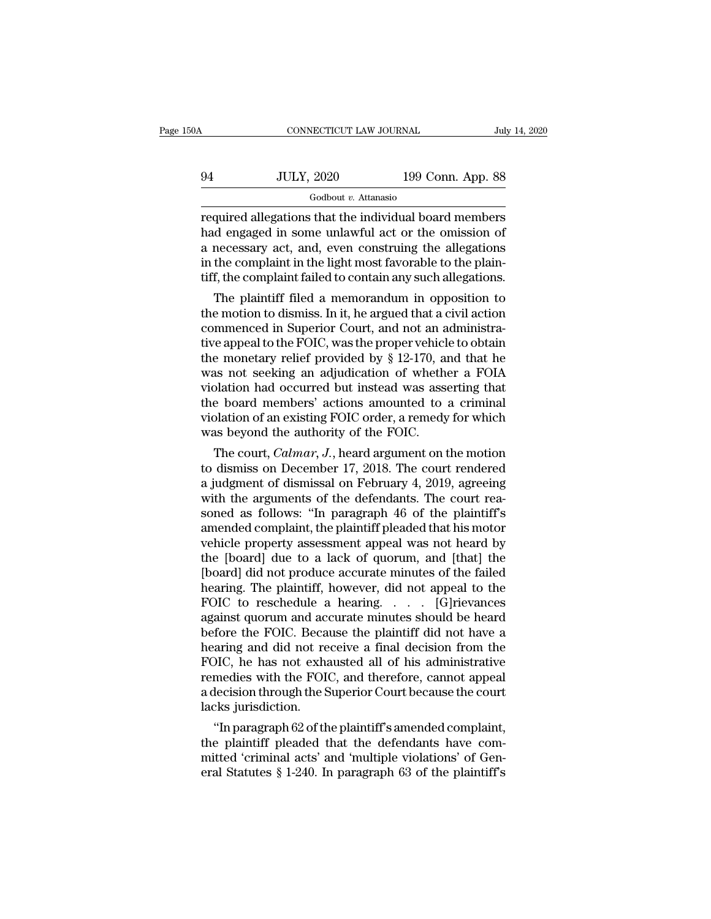| 50A | CONNECTICUT LAW JOURNAL |                   | July 14, 2020 |
|-----|-------------------------|-------------------|---------------|
| 94  | <b>JULY, 2020</b>       | 199 Conn. App. 88 |               |
|     | Godbout v. Attanasio    |                   |               |

required allegations that the individual board members  $\frac{94}{\text{Goldout } v. \text{ Attanasio}}$ <br>  $\frac{600}{\text{Goldout } v. \text{ Attanasio}}$ <br>
Fequired allegations that the individual board members<br>
had engaged in some unlawful act or the omission of<br>
a necessary act, and, even construing the allegations<br>
in t  $\frac{94}{94}$  JULY, 2020 199 Conn. App. 88<br>  $\frac{6 \text{odbout } v. \text{ Attanasio}}{\text{required allegations that the individual board members}}$ <br>
had engaged in some unlawful act or the omission of<br>
a necessary act, and, even construing the allegations<br>
in the complaint in the light mos  $\frac{94}{\text{Goldout } v. \text{ Attanasio}}$ <br>  $\frac{600}{\text{Goldout } v. \text{ Attanasio}}$ <br>
Fequired allegations that the individual board members<br>
had engaged in some unlawful act or the omission of<br>
a necessary act, and, even construing the allegations<br>
in the Godbout *v*. Attanasio<br>
required allegations that the individual board members<br>
had engaged in some unlawful act or the omission of<br>
a necessary act, and, even construing the allegations<br>
in the complaint in the light most quired allegations that the individual board members<br>d engaged in some unlawful act or the omission of<br>necessary act, and, even construing the allegations<br>the complaint in the light most favorable to the plain-<br>f, the comp required allegations that the motividual board members<br>had engaged in some unlawful act or the omission of<br>a necessary act, and, even construing the allegations<br>in the complaint in the light most favorable to the plain-<br>ti

rad engaged in some uniawrul act or the omission of<br>a necessary act, and, even construing the allegations<br>in the complaint in the light most favorable to the plain-<br>tiff, the complaint failed to contain any such allegatio a necessary act, and, even construing the allegations<br>in the complaint in the light most favorable to the plain-<br>tiff, the complaint failed to contain any such allegations.<br>The plaintiff filed a memorandum in opposition t In the complaint in the light most ravorable to the plain-<br>tiff, the complaint failed to contain any such allegations.<br>The plaintiff filed a memorandum in opposition to<br>the motion to dismiss. In it, he argued that a civil tiff, the complaint failed to contain any such allegations.<br>The plaintiff filed a memorandum in opposition to<br>the motion to dismiss. In it, he argued that a civil action<br>commenced in Superior Court, and not an administra-<br> The plaintiff filed a memorandum in opposition to<br>the motion to dismiss. In it, he argued that a civil action<br>commenced in Superior Court, and not an administra-<br>tive appeal to the FOIC, was the proper vehicle to obtain<br>t the motion to dismiss. In it, he argued that a civil action<br>commenced in Superior Court, and not an administra-<br>tive appeal to the FOIC, was the proper vehicle to obtain<br>the monetary relief provided by § 12-170, and that h commenced in Superior Court, and not an administrative appeal to the FOIC, was the proper vehicle to obtain the monetary relief provided by § 12-170, and that he was not seeking an adjudication of whether a FOIA violation tive appeal to the FOIC, was the proper vehicl<br>the monetary relief provided by  $\S$  12-170, an<br>was not seeking an adjudication of wheth<br>violation had occurred but instead was asse<br>the board members' actions amounted to<br>vio e monetary rener provided by § 12-170, and that ne<br>as not seeking an adjudication of whether a FOIA<br>plation had occurred but instead was asserting that<br>e board members' actions amounted to a criminal<br>plation of an existing was not seeking an adjudication of whether a FOIA<br>violation had occurred but instead was asserting that<br>the board members' actions amounted to a criminal<br>violation of an existing FOIC order, a remedy for which<br>was beyond

violation had occurred but instead was asserting that<br>the board members' actions amounted to a criminal<br>violation of an existing FOIC order, a remedy for which<br>was beyond the authority of the FOIC.<br>The court, *Calmar*, *J* the board members actions amounted to a criminal<br>violation of an existing FOIC order, a remedy for which<br>was beyond the authority of the FOIC.<br>The court, *Calmar*, *J.*, heard argument on the motion<br>to dismiss on December violation of an existing FOIC order, a remedy for which<br>was beyond the authority of the FOIC.<br>The court, *Calmar*, *J*., heard argument on the motion<br>to dismiss on December 17, 2018. The court rendered<br>a judgment of dismi was beyond the authority of the FOIC.<br>
The court, *Calmar*, *J*., heard argument on the motion<br>
to dismiss on December 17, 2018. The court rendered<br>
a judgment of dismissal on February 4, 2019, agreeing<br>
with the argument The court, *Calmar*, *J.*, heard argument on the motion<br>to dismiss on December 17, 2018. The court rendered<br>a judgment of dismissal on February 4, 2019, agreeing<br>with the arguments of the defendants. The court rea-<br>soned a to dismiss on December 17, 2018. The court rendered<br>a judgment of dismissal on February 4, 2019, agreeing<br>with the arguments of the defendants. The court rea-<br>soned as follows: "In paragraph 46 of the plaintiff's<br>amended c a judgment of dismissal on February 4, 2019, agreeing<br>with the arguments of the defendants. The court rea-<br>soned as follows: "In paragraph 46 of the plaintiff's<br>amended complaint, the plaintiff pleaded that his motor<br>vehic with the arguments of the defendants. The court reasoned as follows: "In paragraph 46 of the plaintiff's amended complaint, the plaintiff pleaded that his motor vehicle property assessment appeal was not heard by the [boar soned as follows: "In paragraph 46 of the plaintiff's<br>amended complaint, the plaintiff pleaded that his motor<br>vehicle property assessment appeal was not heard by<br>the [board] due to a lack of quorum, and [that] the<br>[board] amended complaint, the plaintiff pleaded that his motor<br>vehicle property assessment appeal was not heard by<br>the [board] due to a lack of quorum, and [that] the<br>[board] did not produce accurate minutes of the failed<br>hearing vehicle property assessment appeal was not heard by<br>the [board] due to a lack of quorum, and [that] the<br>[board] did not produce accurate minutes of the failed<br>hearing. The plaintiff, however, did not appeal to the<br>FOIC to the [board] due to a lack of quorum, and [that] the<br>[board] did not produce accurate minutes of the failed<br>hearing. The plaintiff, however, did not appeal to the<br>FOIC to reschedule a hearing. . . . . [G]<br>rievances<br>against [board] did not produce accurate minutes of the failed<br>hearing. The plaintiff, however, did not appeal to the<br>FOIC to reschedule a hearing.... [G]rievances<br>against quorum and accurate minutes should be heard<br>before the FO hearing. The plaintiff, however, did not appeal to the FOIC to reschedule a hearing.  $\ldots$  [G] rievances against quorum and accurate minutes should be heard before the FOIC. Because the plaintiff did not have a hearing an FOIC to reschedule a hearing. . . . [G]rievances<br>against quorum and accurate minutes should be heard<br>before the FOIC. Because the plaintiff did not have a<br>hearing and did not receive a final decision from the<br>FOIC, he has against quorum and accept<br>before the FOIC. Beca<br>hearing and did not re<br>FOIC, he has not exha<br>remedies with the FOI<br>a decision through the S<br>lacks jurisdiction.<br>"In paragraph 62 of th Frore the FOIC. Because the plaintiff du not have a<br>aring and did not receive a final decision from the<br>DIC, he has not exhausted all of his administrative<br>medies with the FOIC, and therefore, cannot appeal<br>lecision throug nearing and did not receive a final decision from the<br>FOIC, he has not exhausted all of his administrative<br>remedies with the FOIC, and therefore, cannot appeal<br>a decision through the Superior Court because the court<br>lacks

FOIC, he has not exhausted all of his administrative<br>remedies with the FOIC, and therefore, cannot appeal<br>a decision through the Superior Court because the court<br>lacks jurisdiction.<br>"In paragraph 62 of the plaintiff's amen remeates with the FOIC, and therefore, cannot appear<br>a decision through the Superior Court because the court<br>lacks jurisdiction.<br>"In paragraph 62 of the plaintiff's amended complaint,<br>the plaintiff pleaded that the defenda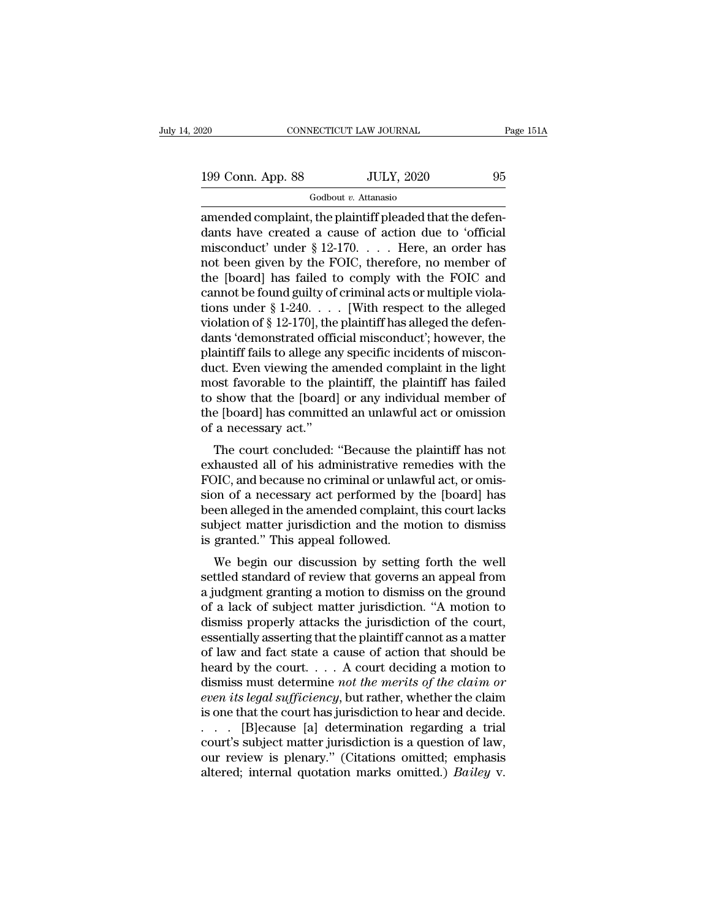Godbout *v.* Attanasio

 $\begin{array}{r|l} \hline \text{199 Conn. App. 88} & \text{JULY, 2020} & \text{95} \ \hline \text{Godbout } v. \text{ Attanasio} \ \hline \text{amended complaint, the plaintiff placeded that the defendants have created a cause of action due to 'official microoluct' under  $8.12.170$  — Here, an order has$ 199 Conn. App. 88 JULY, 2020 95<br>
Godbout v. Attanasio<br>
amended complaint, the plaintiff pleaded that the defendants have created a cause of action due to 'official<br>
misconduct' under  $\S 12-170$ . . . . Here, an order has 199 Conn. App. 88 JULY, 2020 95<br>
Godbout v. Attanasio<br>
amended complaint, the plaintiff pleaded that the defendants have created a cause of action due to 'official<br>
misconduct' under § 12-170. . . . . Here, an order has<br> 199 Conn. App. 88 JULY, 2020 95<br>
Godbout v. Attanasio<br>
amended complaint, the plaintiff pleaded that the defendants have created a cause of action due to 'official<br>
misconduct' under  $\S 12-170$ . . . . Here, an order has<br> Godbout *v*. Attanasio<br>
amended complaint, the plaintiff pleaded that the defen-<br>
dants have created a cause of action due to 'official<br>
misconduct' under § 12-170. . . . . Here, an order has<br>
not been given by the FOIC, Godbout *v*. Attanasio<br>
amended complaint, the plaintiff pleaded that the defen-<br>
dants have created a cause of action due to 'official<br>
misconduct' under § 12-170. . . . . Here, an order has<br>
not been given by the FOIC, amended complaint, the plaintiff pleaded that the defendants have created a cause of action due to 'official<br>misconduct' under § 12-170. . . . . Here, an order has<br>not been given by the FOIC, therefore, no member of<br>the [ dants have created a cause of action due to 'official<br>misconduct' under § 12-170. . . . . Here, an order has<br>not been given by the FOIC, therefore, no member of<br>the [board] has failed to comply with the FOIC and<br>cannot be misconduct' under § 12-170. . . . . Here, an order has<br>not been given by the FOIC, therefore, no member of<br>the [board] has failed to comply with the FOIC and<br>cannot be found guilty of criminal acts or multiple viola-<br>tion not been given by the FOIC, therefore, no member of<br>the [board] has failed to comply with the FOIC and<br>cannot be found guilty of criminal acts or multiple viola-<br>tions under § 1-240. . . . [With respect to the alleged<br>viol the [board] has failed to comply with the FOIC and<br>cannot be found guilty of criminal acts or multiple viola-<br>tions under  $\S 1-240$ .... [With respect to the alleged<br>violation of  $\S 12-170$ ], the plaintiff has alleged the cannot be found guilty of criminal acts or multiple violations under  $\S 1-240$ . . . . [With respect to the alleged<br>violation of  $\S 12-170$ ], the plaintiff has alleged the defen-<br>dants 'demonstrated official misconduct'; h tions under § 1-240. . . . [With respect to the alleged<br>violation of § 12-170], the plaintiff has alleged the defen-<br>dants 'demonstrated official misconduct'; however, the<br>plaintiff fails to allege any specific incidents violation of § 12-170], the plaintiff has alleged the defendants 'demonstrated official misconduct'; however, the plaintiff fails to allege any specific incidents of misconduct. Even viewing the amended complaint in the li dants 'demonstrated offic<br>plaintiff fails to allege an<br>duct. Even viewing the a<br>most favorable to the pl<br>to show that the [board]<br>the [board] has committe<br>of a necessary act."<br>The court concluded: From viewing the amended complaint in the light<br>ost favorable to the plaintiff, the plaintiff has failed<br>show that the [board] or any individual member of<br>e [board] has committed an unlawful act or omission<br>a necessary act exhaustive the plaintiff, the plaintiff has failed<br>to show that the [board] or any individual member of<br>the [board] has committed an unlawful act or omission<br>of a necessary act."<br>The court concluded: "Because the plaintiff

FOIC, and because no criminal or unlawful act or omission<br>fall points are positive in the point of the [board] has committed an unlawful act or omission<br>of a necessary act."<br>The court concluded: "Because the plaintiff has to show that the [board] of any murvidual member of<br>the [board] has committed an unlawful act or omission<br>of a necessary act."<br>The court concluded: "Because the plaintiff has not<br>exhausted all of his administrative remedie the poarty has committed an unlawful act of ontission<br>of a necessary act."<br>The court concluded: "Because the plaintiff has not<br>exhausted all of his administrative remedies with the<br>FOIC, and because no criminal or unlawful or a necessary act.<br>The court concluded: "Because the plaintiff has not<br>exhausted all of his administrative remedies with the<br>FOIC, and because no criminal or unlawful act, or omis-<br>sion of a necessary act performed by the The court concluded: "Because the pexhausted all of his administrative ren<br>FOIC, and because no criminal or unlaw<br>sion of a necessary act performed by<br>been alleged in the amended complaint,<br>subject matter jurisdiction and mausted an of its annihistrative femethes with the<br>DIC, and because no criminal or unlawful act, or omis-<br>on of a necessary act performed by the [board] has<br>en alleged in the amended complaint, this court lacks<br>bject matte FOIC, and because no criminal of unlawful act, of onlis-<br>sion of a necessary act performed by the [board] has<br>been alleged in the amended complaint, this court lacks<br>subject matter jurisdiction and the motion to dismiss<br>is

sion of a flecessary act performed by the [board] has<br>been alleged in the amended complaint, this court lacks<br>subject matter jurisdiction and the motion to dismiss<br>is granted." This appeal followed.<br>We begin our discussion been aneged in the antended complaint, this court facks<br>subject matter jurisdiction and the motion to dismiss<br>is granted." This appeal followed.<br>We begin our discussion by setting forth the well<br>settled standard of review subject matter jurisdiction and the motion to dishuss<br>is granted." This appeal followed.<br>We begin our discussion by setting forth the well<br>settled standard of review that governs an appeal from<br>a judgment granting a motion Example 1.1 This appear followed.<br>
We begin our discussion by setting forth the well<br>
settled standard of review that governs an appeal from<br>
a judgment granting a motion to dismiss on the ground<br>
of a lack of subject mat We begin our discussion by setting forth the well<br>settled standard of review that governs an appeal from<br>a judgment granting a motion to dismiss on the ground<br>of a lack of subject matter jurisdiction. "A motion to<br>dismiss settled standard of review that governs an appeal from<br>a judgment granting a motion to dismiss on the ground<br>of a lack of subject matter jurisdiction. "A motion to<br>dismiss properly attacks the jurisdiction of the court,<br>es a judgment granting a motion to dismiss on the ground<br>of a lack of subject matter jurisdiction. "A motion to<br>dismiss properly attacks the jurisdiction of the court,<br>essentially asserting that the plaintiff cannot as a matt of a lack of subject matter jurisdiction. "A motion to<br>dismiss properly attacks the jurisdiction of the court,<br>essentially asserting that the plaintiff cannot as a matter<br>of law and fact state a cause of action that should dismiss properly attacks the jurisdiction of the court,<br>essentially asserting that the plaintiff cannot as a matter<br>of law and fact state a cause of action that should be<br>heard by the court.... A court deciding a motion t essentially asserting that the plaintiff cannot as a matter<br>of law and fact state a cause of action that should be<br>heard by the court.... A court deciding a motion to<br>dismiss must determine *not the merits of the claim or* of law and fact state a cause of action that should be<br>heard by the court.... A court deciding a motion to<br>dismiss must determine *not the merits of the claim or*<br>even its legal sufficiency, but rather, whether the claim<br> heard by the court. . . . . A court deciding a motion to<br>dismiss must determine *not the merits of the claim or*<br>even its legal sufficiency, but rather, whether the claim<br>is one that the court has jurisdiction to hear and dismiss must determine *not the merits of the claim or* even its legal sufficiency, but rather, whether the claim is one that the court has jurisdiction to hear and decide.<br>
. . . [B]ecause [a] determination regarding a tr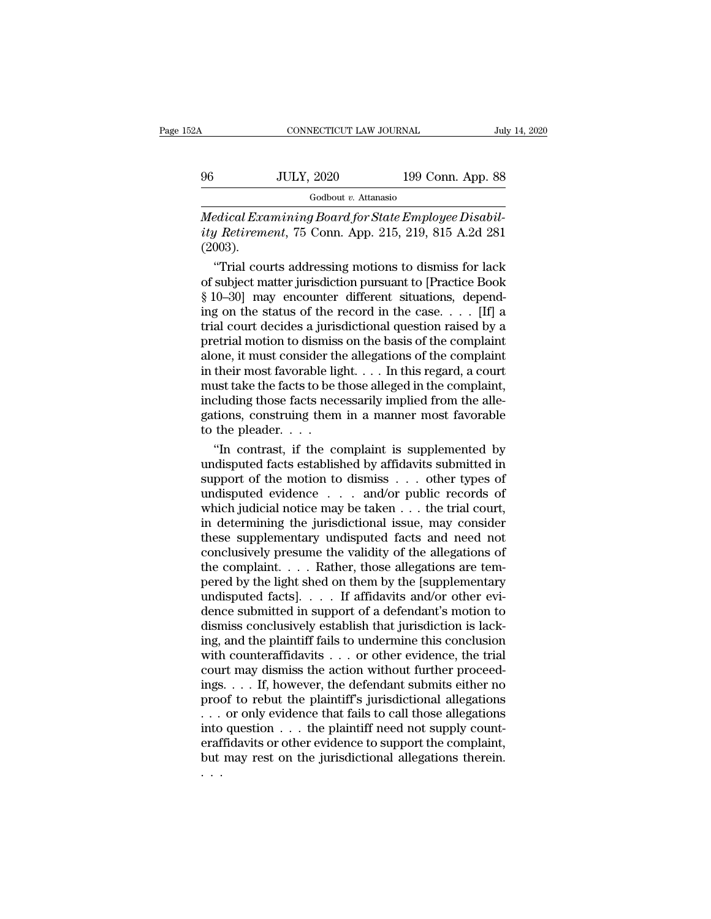# CONNECTICUT LAW JOURNAL July 14, 2020<br>
96 JULY, 2020 199 Conn. App. 88<br>
Godbout v. Attanasio

Godbout *v.* Attanasio

CONNECTICUT LAW JOURNAL<br> *Medical Examining Board for State Employee Disabil-*<br> *Medical Examining Board for State Employee Disabil-<br>
ity Retirement, 75 Conn. App. 215, 219, 815 A.2d 281*<br>
(2003) *ity Retirement*, 75 Conn. App. 215, 219, 815 A.2d 281 (2003).  $JULY, 2020$  199 Conn. App. 88<br>
Godbout v. Attanasio<br>
edical Examining Board for State Employee Disabil-<br> *J* Retirement, 75 Conn. App. 215, 219, 815 A.2d 281<br>
(003).<br>
"Trial courts addressing motions to dismiss for lack<br>

Godbout v. Attanasio<br>
Medical Examining Board for State Employee Disabil-<br>
ity Retirement, 75 Conn. App. 215, 219, 815 A.2d 281<br>
(2003).<br>
"Trial courts addressing motions to dismiss for lack<br>
of subject matter jurisdictio **Solution Constraints**<br>
Medical Examining Board for State Employee Disabil-<br>
ity Retirement, 75 Conn. App. 215, 219, 815 A.2d 281<br>
(2003).<br>
"Trial courts addressing motions to dismiss for lack<br>
of subject matter jurisdict Medical Examining Board for State Employee Disabil-<br>ity Retirement, 75 Conn. App. 215, 219, 815 A.2d 281<br>(2003).<br>"Trial courts addressing motions to dismiss for lack<br>of subject matter jurisdiction pursuant to [Practice Bo tty Retrement, 75 Conn. App. 215, 219, 815 A.2d 281<br>(2003).<br>"Trial courts addressing motions to dismiss for lack<br>of subject matter jurisdiction pursuant to [Practice Book<br>§ 10–30] may encounter different situations, depen (2003).<br>
"Trial courts addressing motions to dismiss for lack<br>
of subject matter jurisdiction pursuant to [Practice Book<br>
§ 10–30] may encounter different situations, depend-<br>
ing on the status of the record in the case. "Trial courts addressing motions to dismiss for lack<br>of subject matter jurisdiction pursuant to [Practice Book<br>§ 10–30] may encounter different situations, depend-<br>ing on the status of the record in the case. . . . [If] a of subject matter jurisdiction pursuant to [Practice Book  $\S$  10–30] may encounter different situations, depending on the status of the record in the case. . . . [If] a trial court decides a jurisdictional question raised  $\S$  10–30] may encounter different situations, depending on the status of the record in the case. . . . [If] a trial court decides a jurisdictional question raised by a pretrial motion to dismiss on the basis of the compl ing on the status of the record in the case. . . . . [If] a<br>trial court decides a jurisdictional question raised by a<br>pretrial motion to dismiss on the basis of the complaint<br>alone, it must consider the allegations of the trial court decides a jurisdictional question raised by a<br>pretrial motion to dismiss on the basis of the complaint<br>alone, it must consider the allegations of the complaint<br>in their most favorable light. . . . In this rega pretrial motion to dismiss<br>alone, it must consider the<br>in their most favorable lig<br>must take the facts to be t<br>including those facts nec<br>gations, construing them<br>to the pleader. . . . .<br>"In contrast, if the co one, it must consider the allegations of the complaint<br>
their most favorable light.... In this regard, a court<br>
ust take the facts to be those alleged in the complaint,<br>
cluding those facts necessarily implied from the al in their most favorable light. . . . In this regard, a court<br>must take the facts to be those alleged in the complaint,<br>including those facts necessarily implied from the alle-<br>gations, construing them in a manner most fav

must take the facts to be those alleged in the complaint,<br>including those facts necessarily implied from the alle-<br>gations, construing them in a manner most favorable<br>to the pleader....<br>"In contrast, if the complaint is su including those facts necessarily implied from the allegations, construing them in a manner most favorable<br>to the pleader. . . .<br>"In contrast, if the complaint is supplemented by<br>undisputed facts established by affidavits gations, construing them in a manner most favorable<br>to the pleader. . . .<br>"In contrast, if the complaint is supplemented by<br>undisputed facts established by affidavits submitted in<br>support of the motion to dismiss . . . ot to the pleader. . . .<br>
"In contrast, if the complaint is supplemented by<br>
undisputed facts established by affidavits submitted in<br>
support of the motion to dismiss . . . other types of<br>
undisputed evidence . . . and/or pu "In contrast, if the complaint is supplemented by<br>undisputed facts established by affidavits submitted in<br>support of the motion to dismiss  $\ldots$  other types of<br>undisputed evidence  $\ldots$  and/or public records of<br>which judi undisputed facts established by affidavits submitted in<br>support of the motion to dismiss . . . other types of<br>undisputed evidence . . . and/or public records of<br>which judicial notice may be taken . . . the trial court,<br>in support of the motion to dismiss . . . other types of undisputed evidence . . . and/or public records of which judicial notice may be taken . . . the trial court, in determining the jurisdictional issue, may consider thes undisputed evidence . . . and/or public records of<br>which judicial notice may be taken . . . the trial court,<br>in determining the jurisdictional issue, may consider<br>these supplementary undisputed facts and need not<br>conclusi which judicial notice may be taken  $\ldots$  the trial court,<br>in determining the jurisdictional issue, may consider<br>these supplementary undisputed facts and need not<br>conclusively presume the validity of the allegations of<br>the in determining the jurisdictional issue, may consider<br>these supplementary undisputed facts and need not<br>conclusively presume the validity of the allegations of<br>the complaint. . . . Rather, those allegations are tem-<br>pered these supplementary undisputed facts and need not conclusively presume the validity of the allegations of the complaint.  $\dots$  Rather, those allegations are tempered by the light shed on them by the [supplementary undisput conclusively presume the validity of the allegations of<br>the complaint. . . . . Rather, those allegations are tem-<br>pered by the light shed on them by the [supplementary<br>undisputed facts]. . . . If affidavits and/or other e the complaint. . . . Rather, those allegations are tempered by the light shed on them by the [supplementary undisputed facts]. . . . If affidavits and/or other evidence submitted in support of a defendant's motion to dism pered by the light shed on them by the [supplementary undisputed facts]. . . . If affidavits and/or other evidence submitted in support of a defendant's motion to dismiss conclusively establish that jurisdiction is lackin undisputed facts]. . . . If affidavits and/or other evidence submitted in support of a defendant's motion to dismiss conclusively establish that jurisdiction is lacking, and the plaintiff fails to undermine this conclusio dence submitted in support of a defendant's motion to<br>dismiss conclusively establish that jurisdiction is lack-<br>ing, and the plaintiff fails to undermine this conclusion<br>with counteraffidavits  $\ldots$  or other evidence, the dismiss conclusively establish that jurisdiction is lack-<br>ing, and the plaintiff fails to undermine this conclusion<br>with counteraffidavits . . . or other evidence, the trial<br>court may dismiss the action without further pro ing, and the plaintiff fails to undermine this conclusion<br>with counteraffidavits . . . or other evidence, the trial<br>court may dismiss the action without further proceed-<br>ings. . . . If, however, the defendant submits eith with counteraffidavits . . . or other evidence, the trial<br>court may dismiss the action without further proceed-<br>ings. . . . If, however, the defendant submits either no<br>proof to rebut the plaintiff's jurisdictional allega court may dismiss the action without further proceedings. . . . If, however, the defendant submits either no proof to rebut the plaintiff's jurisdictional allegations . . . or only evidence that fails to call those allega ings<br>prod<br>...<br>...<br>...<br>...<br>...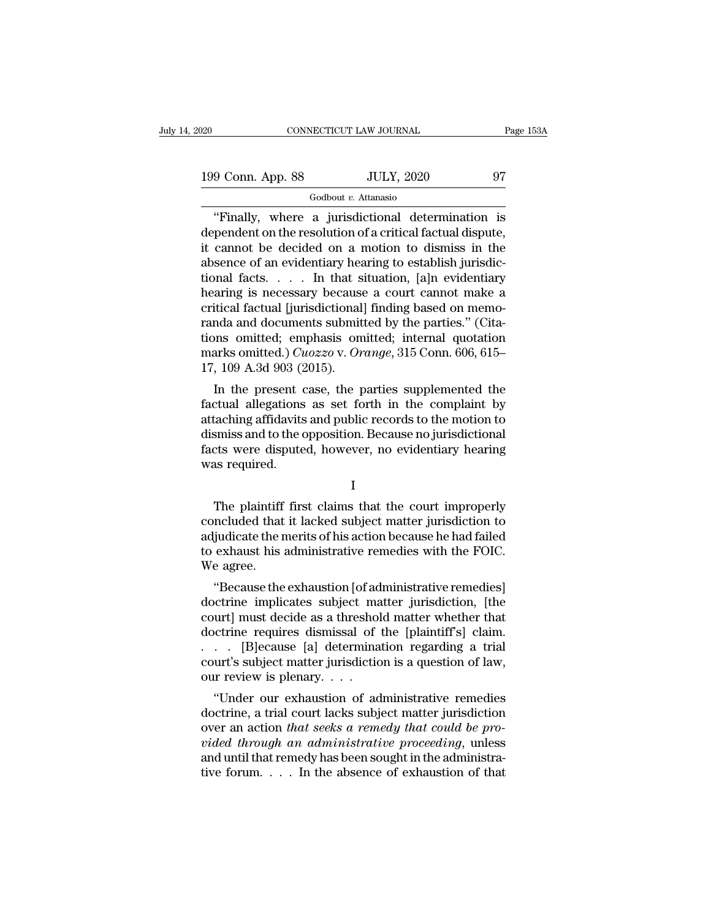199 Conn. App. 88 JULY, 2020 97<br>
Godbout v. Attanasio

# Godbout *v.* Attanasio

CONNECTICUT LAW JOURNAL Page 153A<br>
9 Conn. App. 88 JULY, 2020 97<br>
Godbout v. Attanasio<br>
"Finally, where a jurisdictional determination is<br>
pendent on the resolution of a critical factual dispute,<br>
connect be decided on a m 199 Conn. App. 88 JULY, 2020 97<br>
Godbout v. Attanasio<br>
"Finally, where a jurisdictional determination is<br>
dependent on the resolution of a critical factual dispute,<br>
it cannot be decided on a motion to dismiss in the<br>
abs 199 Conn. App. 88 JULY, 2020 97<br>  $\frac{199 \text{ Conn. App. 88}}{\text{``Finally, where a jurisdictional determination is}$ <br>
dependent on the resolution of a critical factual dispute,<br>
it cannot be decided on a motion to dismiss in the<br>
absence of an evidentiary hearing to estab 199 Conn. App. 88 JULY, 2020 97<br>
Godbout *v*. Attanasio<br>
"Finally, where a jurisdictional determination is<br>
dependent on the resolution of a critical factual dispute,<br>
it cannot be decided on a motion to dismiss in the<br>
a Finally, where a jurisdictional determination is<br>dependent on the resolution of a critical factual dispute,<br>it cannot be decided on a motion to dismiss in the<br>absence of an evidentiary hearing to establish jurisdic-<br>tiona  $\frac{1}{2}$  Godbout *v*. Attanasio<br>
"Finally, where a jurisdictional determination is<br>
dependent on the resolution of a critical factual dispute,<br>
it cannot be decided on a motion to dismiss in the<br>
absence of an evidentiar "Finally, where a jurisdictional determination is<br>dependent on the resolution of a critical factual dispute,<br>it cannot be decided on a motion to dismiss in the<br>absence of an evidentiary hearing to establish jurisdic-<br>tiona dependent on the resolution of a critical factual dispute,<br>it cannot be decided on a motion to dismiss in the<br>absence of an evidentiary hearing to establish jurisdic-<br>tional facts. . . . In that situation, [a]n evidentiar it cannot be decided on a motion to dismiss in the<br>absence of an evidentiary hearing to establish jurisdic-<br>tional facts. . . . In that situation, [a]n evidentiary<br>hearing is necessary because a court cannot make a<br>critic absence of an evidentiary hearing to establish jurisdictional facts. . . . . In that situation, [a]n evidentiary hearing is necessary because a court cannot make a critical factual [jurisdictional] finding based on memoran tional facts. . . . In that s<br>hearing is necessary because<br>critical factual [jurisdictional<br>randa and documents submit<br>tions omitted; emphasis on<br>marks omitted.)  $Cuozzo$  v. Or<br>17, 109 A.3d 903 (2015).<br>In the present case, t Final Interests of the parties and the parties and documents submitted by the parties." (Cita-<br>In the parties of the parties of Cita-<br>In the present case, the parties supplemented the<br>citual allegations as set forth in the Fridera ractual Hurisuctional Infiding based on hierio-<br>randa and documents submitted by the parties." (Cita-<br>tions omitted.) *Cuozzo* v. *Orange*, 315 Conn. 606, 615–<br>17, 109 A.3d 903 (2015).<br>In the present case, the par

Francia and documents submitted by the parties. (Citations omitted; emphasis omitted; internal quotation marks omitted.) Cuozzo v. Orange, 315 Conn. 606, 615–17, 109 A.3d 903 (2015).<br>
In the present case, the parties supp dions omitted; emphasis omitted; internal quotation<br>marks omitted.) *Cuozzo* v. *Orange*, 315 Conn. 606, 615–<br>17, 109 A.3d 903 (2015).<br>In the present case, the parties supplemented the<br>factual allegations as set forth in t flactual allegations as set forth in the complemented the factual allegations as set forth in the complaint by attaching affidavits and public records to the motion to dismiss and to the opposition. Because no jurisdictio T<sub>1</sub>, 109 A.5d 905 (2)<br>In the present c<br>factual allegations<br>attaching affidavits<br>dismiss and to the c<br>facts were dispute<br>was required. taching affidavits and public records to the motion to<br>smiss and to the opposition. Because no jurisdictional<br>cts were disputed, however, no evidentiary hearing<br>as required.<br>I<br>The plaintiff first claims that the court impr

I

dismiss and to the opposition. Because no jurisdictional<br>facts were disputed, however, no evidentiary hearing<br>was required.<br>I<br>The plaintiff first claims that the court improperly<br>concluded that it lacked subject matter jur facts were disputed, however, no evidentiary hearing<br>was required.<br>I<br>The plaintiff first claims that the court improperly<br>concluded that it lacked subject matter jurisdiction to<br>adjudicate the merits of his action because was required.<br>
I<br>
The plaintiff first claims that the court improperly<br>
concluded that it lacked subject matter jurisdiction to<br>
adjudicate the merits of his action because he had failed<br>
to exhaust his administrative reme The plaintiff<br>concluded that<br>adjudicate the r<br>to exhaust his<br>We agree.<br>"Because the The plaintiff first claims that the court improperly<br>
ncluded that it lacked subject matter jurisdiction to<br>
judicate the merits of his action because he had failed<br>
exhaust his administrative remedies with the FOIC.<br>
e ag The plaintiff first claims that the court improperty<br>concluded that it lacked subject matter jurisdiction to<br>adjudicate the merits of his action because he had failed<br>to exhaust his administrative remedies with the FOIC.<br>W

concluded that it lacked subject matter jurisdiction to<br>adjudicate the merits of his action because he had failed<br>to exhaust his administrative remedies with the FOIC.<br>We agree.<br>"Because the exhaustion [of administrative r adjudicate the merits of his action because he had failed<br>to exhaust his administrative remedies with the FOIC.<br>We agree.<br>"Because the exhaustion [of administrative remedies]<br>doctrine implicates subject matter jurisdiction to exhaust his administrative remedies with the FOIC.<br>We agree.<br>
"Because the exhaustion [of administrative remedies]<br>
doctrine implicates subject matter jurisdiction, [the<br>
court] must decide as a threshold matter whether we agree.<br>
"Because the exhaustion [of administrative remedies]<br>
doctrine implicates subject matter jurisdiction, [the<br>
court] must decide as a threshold matter whether that<br>
doctrine requires dismissal of the [plaintiff' "Because the exhaustion [of addoctrine implicates subject ma<br>court] must decide as a threshol<br>doctrine requires dismissal of<br>. . . . [B]ecause [a] determina<br>court's subject matter jurisdictic<br>our review is plenary. . . .<br>" of the matter studier matter jurisdiction, [the urt] must decide as a threshold matter whether that of the limitiff's claim.<br>  $\therefore$  [B]ecause [a] determination regarding a trial urt's subject matter jurisdiction is a quest court] must decide as a threshold matter whether that<br>doctrine requires dismissal of the [plaintiff's] claim.<br> $\ldots$  [B]ecause [a] determination regarding a trial<br>court's subject matter jurisdiction is a question of law,<br>o

over a requires alternation regarding a trial<br>
. . . . [B]ecause [a] determination regarding a trial<br>
court's subject matter jurisdiction is a question of law,<br>
our review is plenary. . . .<br>
"Under our exhaustion of admini *videos Chrigonore (a)* determination regarding a trial court's subject matter jurisdiction is a question of law, our review is plenary. . . .<br>
"Under our exhaustion of administrative remedies doctrine, a trial court lacks court s subject matter jurisdiction is a question of law,<br>our review is plenary....<br>"Under our exhaustion of administrative remedies<br>doctrine, a trial court lacks subject matter jurisdiction<br>over an action *that seeks a r* our review is pienary. . . .<br>
"Under our exhaustion of administrative remedies doctrine, a trial court lacks subject matter jurisdiction<br>
over an action *that seeks a remedy that could be pro-*<br> *vided through an administ*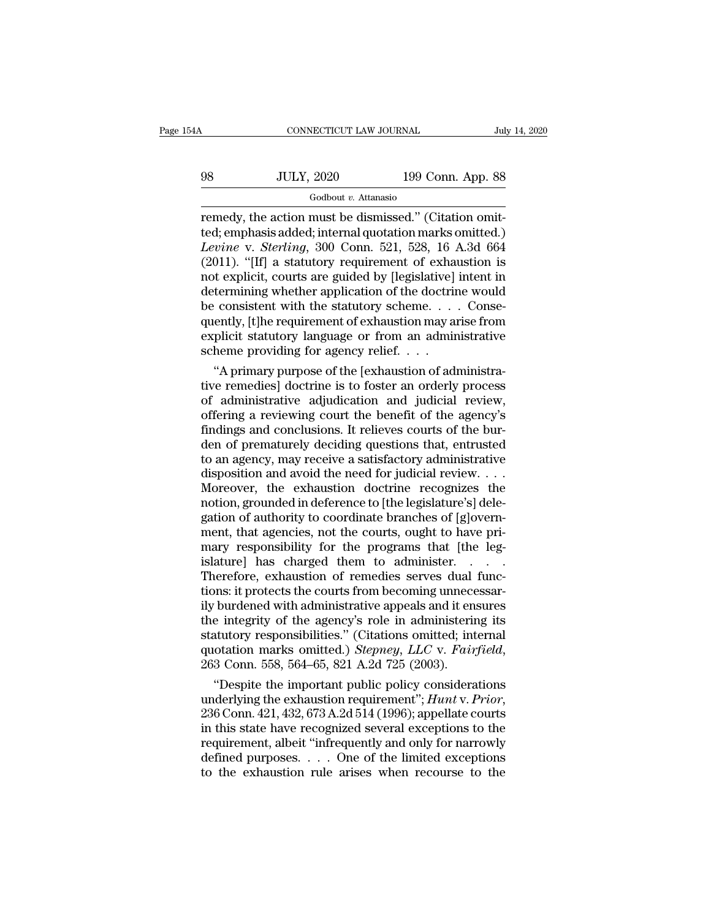CONNECTICUT LAW JOURNAL July 14, 2020<br>
98 JULY, 2020 199 Conn. App. 88<br>
Godbout v. Attanasio

# Godbout *v.* Attanasio

CONNECTICUT LAW JOURNAL<br>
For the Marian Multiple Conn. App. 88<br>
Godbout v. Attanasio<br>
Fernedy, the action must be dismissed.'' (Citation omit-<br>
ted; emphasis added; internal quotation marks omitted.)<br>
Lavine v. Sterling, 3 98 JULY, 2020 199 Conn. App. 88<br>
Godbout v. Attanasio<br>
Temedy, the action must be dismissed." (Citation omit-<br>
ted; emphasis added; internal quotation marks omitted.)<br>
Levine v. Sterling, 300 Conn. 521, 528, 16 A.3d 664<br>
( *LEVINERRA LEVINERRA LEVINERRA Codbout v. Attanasio*<br> *Codbout v. Attanasio*<br> *Codbout v. Attanasio*<br> *Levine* v. *Sterling*, 300 Conn. 521, 528, 16 A.3d 664<br> *Levine* v. *Sterling*, 300 Conn. 521, 528, 16 A.3d 664<br> (2011).  $38$  JULY, 2020 199 Conn. App. 88<br>  $\frac{600}{2}$  Godbout *v*. Attanasio<br>
remedy, the action must be dismissed." (Citation omit-<br>
ted; emphasis added; internal quotation marks omitted.)<br> *Levine* v. *Sterling*, 300 C For explicit,  $\frac{1}{2020}$  and the containing containing containing the action must be dismissed." (Citation omitted; emphasis added; internal quotation marks omitted.)<br> *Levine* v. *Sterling*, 300 Conn. 521, 528, 16 A.3d Godbout *v*. Attanasio<br>remedy, the action must be dismissed." (Citation omit-<br>ted; emphasis added; internal quotation marks omitted.)<br>*Levine* v. *Sterling*, 300 Conn. 521, 528, 16 A.3d 664<br>(2011). "[If] a statutory requi remedy, the action must be dismissed." (Citation omitted; emphasis added; internal quotation marks omitted.)<br> *Levine* v. *Sterling*, 300 Conn. 521, 528, 16 A.3d 664<br>
(2011). "[If] a statutory requirement of exhaustion is ted; emphasis added; internal quotation marks omitted.)<br> *Levine* v. *Sterling*, 300 Conn. 521, 528, 16 A.3d 664<br>
(2011). "[If] a statutory requirement of exhaustion is<br>
not explicit, courts are guided by [legislative] int Levine v. Sterling, 300 Conn. 521, 528, 16 A.3d 664 (2011). "[If] a statutory requirement of exhaustion is not explicit, courts are guided by [legislative] intent in determining whether application of the doctrine would b (2011). "[If] a statutory requirement of exhand to explicit, courts are guided by [legislative] determining whether application of the doctrine consistent with the statutory scheme. . . . quently, [t]he requirement of exh of explicit, courts are guided by [legislative] intent in<br>termining whether application of the doctrine would<br>consistent with the statutory scheme.... Conse-<br>ently, [t]he requirement of exhaustion may arise from<br>plicit sta determining whether application of the doctrine would<br>be consistent with the statutory scheme.... Conse-<br>quently, [t]he requirement of exhaustion may arise from<br>explicit statutory language or from an administrative<br>scheme

be consistent with the statutory scheme. . . . Consequently, [t]he requirement of exhaustion may arise from<br>explicit statutory language or from an administrative<br>scheme providing for agency relief. . . .<br>"A primary purpose quently, [t]he requirement of exhaustion may arise from<br>explicit statutory language or from an administrative<br>scheme providing for agency relief. . . .<br>"A primary purpose of the [exhaustion of administra-<br>tive remedies] do explicit statutory language or from an administrative<br>scheme providing for agency relief. . . .<br>"A primary purpose of the [exhaustion of administra-<br>tive remedies] doctrine is to foster an orderly process<br>of administrative scheme providing for agency relief. . . .<br>"A primary purpose of the [exhaustion of administra-<br>tive remedies] doctrine is to foster an orderly process<br>of administrative adjudication and judicial review,<br>offering a reviewin "A primary purpose of the [exhaustion of administrative remedies] doctrine is to foster an orderly process of administrative adjudication and judicial review, offering a reviewing court the benefit of the agency's finding tive remedies] doctrine is to foster an orderly process<br>of administrative adjudication and judicial review,<br>offering a reviewing court the benefit of the agency's<br>findings and conclusions. It relieves courts of the bur-<br>de of administrative adjudication and judicial review,<br>offering a reviewing court the benefit of the agency's<br>findings and conclusions. It relieves courts of the bur-<br>den of prematurely deciding questions that, entrusted<br>to a offering a reviewing court the benefit of the agency's<br>findings and conclusions. It relieves courts of the burden of prematurely deciding questions that, entrusted<br>to an agency, may receive a satisfactory administrative<br>di findings and conclusions. It relieves courts of the burden of prematurely deciding questions that, entrusted<br>to an agency, may receive a satisfactory administrative<br>disposition and avoid the need for judicial review. . . den of prematurely deciding questions that, entrusted<br>to an agency, may receive a satisfactory administrative<br>disposition and avoid the need for judicial review. . . .<br>Moreover, the exhaustion doctrine recognizes the<br>notio to an agency, may receive a satisfactory administrative<br>disposition and avoid the need for judicial review....<br>Moreover, the exhaustion doctrine recognizes the<br>notion, grounded in deference to [the legislature's] dele-<br>ga disposition and avoid the need for judicial review. . . . Moreover, the exhaustion doctrine recognizes the notion, grounded in deference to [the legislature's] delegation of authority to coordinate branches of [g]overnment Moreover, the exhaustion doctrine recognizes the<br>notion, grounded in deference to [the legislature's] dele-<br>gation of authority to coordinate branches of [g]overn-<br>ment, that agencies, not the courts, ought to have pri-<br>ma notion, grounded in deference to [the legislature's] delegation of authority to coordinate branches of [g]overnment, that agencies, not the courts, ought to have primary responsibility for the programs that [the legislatur gation of authority to coordinate branches of [g]overnment, that agencies, not the courts, ought to have primary responsibility for the programs that [the legislature] has charged them to administer. . . . . . Therefore, e ment, that agencies, not the courts, ought to have pri-<br>mary responsibility for the programs that [the leg-<br>islature] has charged them to administer. . . . .<br>Therefore, exhaustion of remedies serves dual func-<br>tions: it p mary responsibility for the programs that [the leg-<br>islature] has charged them to administer. . . . . .<br>Therefore, exhaustion of remedies serves dual func-<br>tions: it protects the courts from becoming unnecessar-<br>ily burde islature] has charged them to administer. . . . . . Therefore, exhaustion of remedies serves dual functions: it protects the courts from becoming unnecessarily burdened with administrative appeals and it ensures the integr ons: it protects the courts from becoming unnecessar-<br>
burdened with administrative appeals and it ensures<br>
e integrity of the agency's role in administering its<br>
atutory responsibilities." (Citations omitted; internal<br>
o ily burdened with administrative appeals and it ensures<br>the integrity of the agency's role in administering its<br>statutory responsibilities." (Citations omitted; internal<br>quotation marks omitted.) *Stepney*, *LLC* v. *Fairf* 

statutory responsibilities." (Citations omitted; internal<br>quotation marks omitted.) *Stepney*, *LLC* v. *Fairfield*,<br>263 Conn. 558, 564–65, 821 A.2d 725 (2003).<br>"Despite the important public policy considerations<br>underlyin quotation marks omitted.) *Stepney*, *LLC* v. *Fairfield*,<br>263 Conn. 558, 564–65, 821 A.2d 725 (2003).<br>
"Despite the important public policy considerations<br>
underlying the exhaustion requirement"; *Hunt* v. *Prior*,<br>236 C 263 Conn. 558, 564–65, 821 A.2d 725 (2003).<br>
"Despite the important public policy considerations<br>
underlying the exhaustion requirement"; *Hunt* v. *Prior*,<br>
236 Conn. 421, 432, 673 A.2d 514 (1996); appellate courts<br>
in t "Despite the important public policy considerations<br>underlying the exhaustion requirement";  $Hunt$  v. Prior,<br>236 Conn. 421, 432, 673 A.2d 514 (1996); appellate courts<br>in this state have recognized several exceptions to the<br>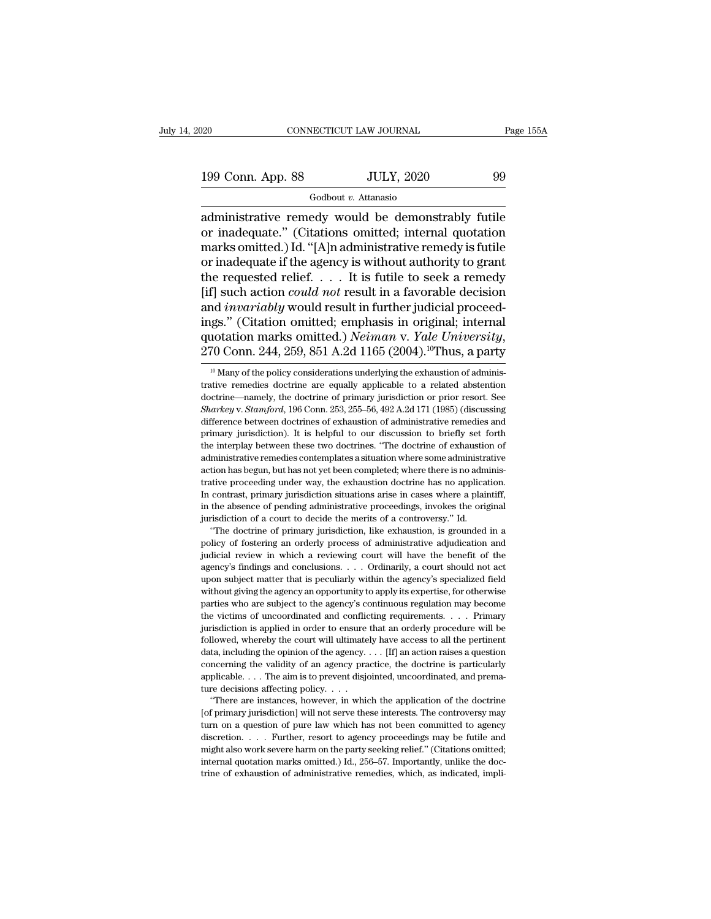199 Conn. App. 88 JULY, 2020 99 Godbout v. Attanasio

Godbout *v.* Attanasio

connectricut LAW JOURNAL Page 155A<br>
199 Conn. App. 88 JULY, 2020 99<br>
Godbout v. Attanasio<br>
administrative remedy would be demonstrably futile<br>
or inadequate." (Citations omitted; internal quotation<br>
marks omitted ) Id "[A] 199 Conn. App. 88 JULY, 2020 99<br>
Godbout v. Attanasio<br>
administrative remedy would be demonstrably futile<br>
or inadequate.'' (Citations omitted; internal quotation<br>
marks omitted.) Id. "[A]n administrative remedy is futile<br> 199 Conn. App. 88 JULY, 2020 99<br>  $\frac{\text{Godbout } v. \text{ Attanasio}}{\text{administrative remedy would be demonstrably futile}}$ <br>
or inadequate." (Citations omitted; internal quotation<br>
marks omitted.) Id. "[A]n administrative remedy is futile<br>
or inadequate if the agency is wi 199 Conn. App. 88 JULY, 2020 99<br>
Godbout v. Attanasio<br>
administrative remedy would be demonstrably futile<br>
or inadequate." (Citations omitted; internal quotation<br>
marks omitted.) Id. "[A]n administrative remedy is futile<br>  $\frac{1}{\text{codbout } v}$ . Attanasio<br>
administrative remedy would be demonstrably futile<br>
or inadequate." (Citations omitted; internal quotation<br>
marks omitted.) Id. "[A]n administrative remedy is futile<br>
or inadequate if the agen Godbout *v*. Attanasio<br>administrative remedy would be demonstrably futile<br>or inadequate." (Citations omitted; internal quotation<br>marks omitted.) Id. "[A]n administrative remedy is futile<br>or inadequate if the agency is with administrative remedy would be demonstrably futile<br>or inadequate." (Citations omitted; internal quotation<br>marks omitted.) Id. "[A]n administrative remedy is futile<br>or inadequate if the agency is without authority to grant<br> or inadequate." (Citations omitted; internal quotation<br>marks omitted.) Id. "[A]n administrative remedy is futile<br>or inadequate if the agency is without authority to grant<br>the requested relief. . . . It is futile to seek a marks omitted.) Id. "[A]n administrative remedy is futile<br>or inadequate if the agency is without authority to grant<br>the requested relief. . . . . It is futile to seek a remedy<br>[if] such action *could not* result in a favor nd *invariably* would result in further judicial proceed-<br>gs." (Citation omitted; emphasis in original; internal<br>aotation marks omitted.) *Neiman* v. *Yale University*,<br>70 Conn. 244, 259, 851 A.2d 1165 (2004).<sup>10</sup>Thus, a p ings." (Citation omitted; emphasis in original; internal quotation marks omitted.) *Neiman v. Yale University*, 270 Conn. 244, 259, 851 A.2d 1165 (2004).<sup>10</sup>Thus, a party  $\frac{10 \text{ Many of the policy considerations underlying the exhaustion of administrative.}$  and  $\frac{10 \text{ Army of the policy}}{10000 \text{$ 

quotation marks omitted.) *Neiman* v. *Yale University*,<br>270 Conn. 244, 259, 851 A.2d 1165 (2004).<sup>10</sup>Thus, a party<br><sup>10</sup> Many of the policy considerations underlying the exhaustion of administrative remedies doctrine are <sup>10</sup> Many of the policy considerations underlying the exhaustion of administrative remedies doctrine are equally applicable to a related abstention doctrine—namely, the doctrine of primary jurisdiction or prior resort. See 270 COIIII. 244, 259, 851 A.2d 1105 (2004).<sup>25</sup> Titus, a party<br><sup>10</sup> Many of the policy considerations underlying the exhaustion of administrative remedies doctrine are equally applicable to a related abstention doctrine—n <sup>10</sup> Many of the policy considerations underlying the exhaustion of administrative remedies doctrine are equally applicable to a related abstention doctrine—namely, the doctrine of primary jurisdiction or prior resort. Se trative remedies doctrine are equally applicable to a related abstention doctrine—namely, the doctrine of primary jurisdiction or prior resort. See *Sharkey* v. *Stamford*, 196 Conn. 253, 255–56, 492 A.2d 171 (1985) (discu doctrine—namely, the doctrine of primary jurisdiction or prior resort. See<br>Sharkey v. Stamford, 196 Conn. 253, 255–56, 492 A.2d 171 (1985) (discussing<br>difference between doctrines of exhaustion of administrative remedies a *Sharkey v. Stamford*, 196 Conn. 253, 255–56, 492 A.2d 171 (1985) (discussing difference between doctrines of exhaustion of administrative remedies and primary jurisdiction). It is helpful to our discussion to briefly set difference between doctrines of exhaustion of administrative remedies and primary jurisdiction). It is helpful to our discussion to briefly set forth the interplay between these two doctrines. "The doctrine of exhaustion o primary jurisdiction). It is helpful to our discussion to briefly set forth the interplay between these two doctrines. "The doctrine of exhaustion of administrative remedies contemplates a situation where some administrati Finally between these two doctrines. "The doctrine of exhaustion of administrative remedies contemplates a situation where some administrative action has begun, but has not yet been completed; where there is no administrat administrative remedies contemplates a situation where some administrative action has begun, but has not yet been completed; where there is no administrative proceeding under way, the exhaustion doctrine has no application tion has begun, but has not yet been completed; where there is no administive proceeding under way, the exhaustion doctrine has no application.<br>
contrast, primary jurisdiction situations arise in cases where a plaintiff,<br> proceeding under way, the exhaustion doctrine has no application.<br>In contrast, primary jurisdiction situations arise in cases where a plaintiff,<br>in the absence of pending administrative proceedings, invokes the original<br>ju

In contrast, primary jurisdiction situations arise in cases where a plaintiff, in the absence of pending administrative proceedings, invokes the original jurisdiction of a court to decide the merits of a controversy." Id. judicial review in which a reviewing court will have the benefit of the agency's findings and conclusions.  $\ldots$  Ordinarily, a court should not act upon subject matter that is peculiarly within the agency's specialized fi jurisdiction of a court to decide the merits of a controversy." Id.<br>
"The doctrine of primary jurisdiction, like exhaustion, is grounded in a<br>
policy of fostering an orderly process of administrative adjudication and<br>
judi "The doctrine of primary jurisdiction, like exhaustion, is grounded in a policy of fostering an orderly process of administrative adjudication and judicial review in which a reviewing court will have the benefit of the age policy of fostering an orderly process of administrative adjudication and pidicial review in which a reviewing court will have the benefit of the agency's findings and conclusions. . . . Ordinarily, a court should not act pulicial review in which a reviewing court will have the benefit of the agency's findings and conclusions. . . . Ordinarily, a court should not act upon subject matter that is peculiarly within the agency's specialized fi jurisdiction is and conclusions. . . . Ordinarily, a court should not act upon subject matter that is peculiarly within the agency's specialized field without giving the agency an opportunity to apply its expertise, for ot shows the matter that is peculiarly within the agency's specialized field without giving the agency an opportunity to apply its expertise, for otherwise parties who are subject to the agency's continuous regulation may be metally and the agency and opportunity to apply its expertise, for otherwise parties who are subject to the agency's continuous regulation may become the victims of uncoordinated and conflicting requirements. . . . Primar marties who are subject to the agency's continuous regulation may become the victims of uncoordinated and conflicting requirements. . . . Primary jurisdiction is applied in order to ensure that an orderly procedure will b the victims of uncoordinated and conflicting requirements. . . . Primary<br>jurisdiction is applied in order to ensure that an orderly procedure will be<br>followed, whereby the court will ultimately have access to all the pert jurisdiction is applied in order to ensure<br>followed, whereby the court will ultimate<br>data, including the opinion of the agency.<br>concerning the validity of an agency pra<br>applicable. . . . The aim is to prevent disjure<br>decis flowed, whereby the court will ultimately have access to all the pertinent tra, including the opinion of the agency.... [If] an action raises a question nocerning the validity of an agency practice, the doctrine is partic data, including the opinion of the agency.  $\ldots$  [If] an action raises a question concerning the validity of an agency practice, the doctrine is particularly applicable.  $\ldots$  The aim is to prevent disjointed, uncoordinat

concerning the validity of an agency practice, the doctrine is particularly applicable. . . . The aim is to prevent disjointed, uncoordinated, and premature decisions affecting policy. . . . "There are instances, however, discretion. . . . Further, resort to agency proceedings may be futile and the decisions affecting policy....<br>
"There are instances, however, in which the application of the doctrine<br>
[of primary jurisdiction] will not serve these interests. The controversy may<br>
turn on a question of pure law whi There are instances, however, in which the application of the doctrine<br>if of primary jurisdiction] will not serve these interests. The controversy may<br>turn on a question of pure law which has not been committed to agency<br>d For the administrative remedies. The controversy may turn on a question of pure law which has not been committed to agency discretion.  $\ldots$ . Further, resort to agency proceedings may be futile and might also work severe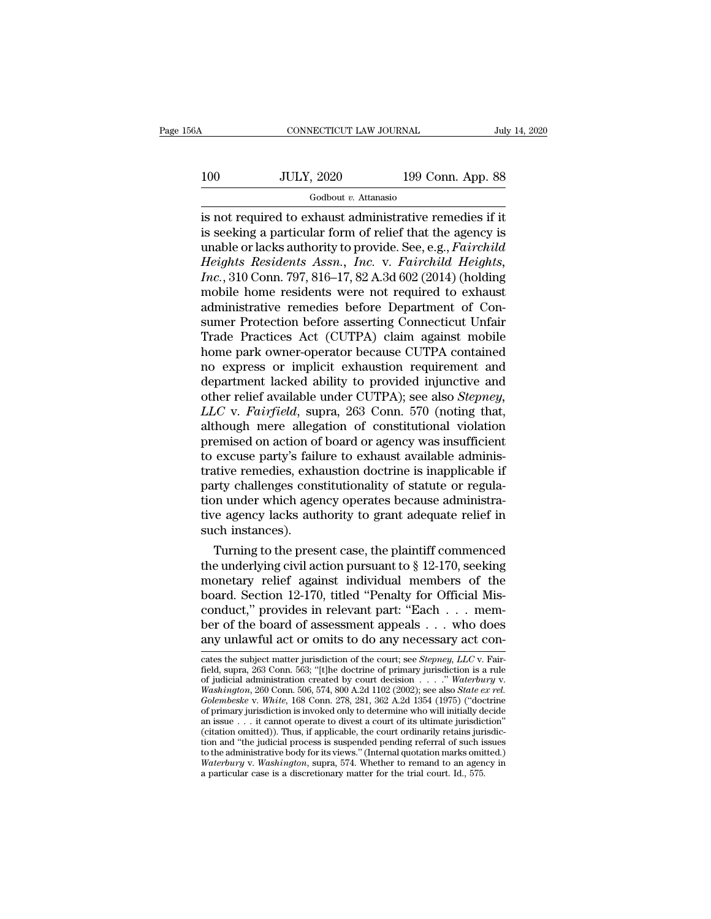# 100 CONNECTICUT LAW JOURNAL July 14, 2020<br>100 JULY, 2020 199 Conn. App. 88

# Godbout *v.* Attanasio

is not required to exhaust administrative remedies if it IOO JULY, 2020 199 Conn. App. 88<br>
Godbout v. Attanasio<br>
is not required to exhaust administrative remedies if it<br>
is seeking a particular form of relief that the agency is<br>
unable or lacks authority to provide. See, e.g., 100 JULY, 2020 199 Conn. App. 88<br>
Godbout v. Attanasio<br>
is not required to exhaust administrative remedies if it<br>
is seeking a particular form of relief that the agency is<br>
unable or lacks authority to provide. See, e.g., *Heights Residents Assn., Inc.* v. *Fairchild Heights Residents Assn., Inc.* v. *Fairchild Heights Residents Assn., Inc.* v. *Fairchild Heights, Inc.*, 310 Conn. 797, 816–17, 82 A.3d 602 (2014) (holding mobile home residen *Inc.*, 2023<br> *Inc.*, 2028<br> *Inc.*, 300<br> *Inc.*, 310 Conn. 797, 816–17, 82 A.3d 602 (2014) (holding<br>
mobile home residents were not required to exhaust<br> *Inc.*, 310 Conn. 797, 816–17, 82 A.3d 602 (2014) (holding<br>
mobile ho Godbout *v*. Attanasio<br>
is not required to exhaust administrative remedies if it<br>
is seeking a particular form of relief that the agency is<br>
unable or lacks authority to provide. See, e.g., *Fairchild*<br> *Heights Residents* is not required to exhaust administrative remedies if it<br>is seeking a particular form of relief that the agency is<br>unable or lacks authority to provide. See, e.g., *Fairchild*<br>*Heights Residents Assn., Inc.* v. *Fairchild* is seeking a particular form of relief that the agency is<br>unable or lacks authority to provide. See, e.g., *Fairchild*<br>Heights, *Residents Assn.*, *Inc.* v. *Fairchild Heights*,<br>*Inc.*, 310 Conn. 797, 816–17, 82 A.3d 602 ( unable or lacks authority to provide. See, e.g., *Fairchild*<br>Heights Residents Assn., Inc. v. Fairchild Heights,<br>Inc., 310 Conn. 797, 816–17, 82 A.3d 602 (2014) (holding<br>mobile home residents were not required to exhaust<br>a Heights Residents Assn., Inc. v. Fairchild Heights,<br>Inc., 310 Conn. 797, 816–17, 82 A.3d 602 (2014) (holding<br>mobile home residents were not required to exhaust<br>administrative remedies before Department of Con-<br>sumer Protec Inc., 310 Conn. 797, 816–17, 82 A.3d 602 (2014) (holding<br>mobile home residents were not required to exhaust<br>administrative remedies before Department of Con-<br>sumer Protection before asserting Connecticut Unfair<br>Trade Pract mobile home residents were not required to exhaust<br>administrative remedies before Department of Con-<br>sumer Protection before asserting Connecticut Unfair<br>Trade Practices Act (CUTPA) claim against mobile<br>home park owner-ope administrative remedies before Department of Consumer Protection before asserting Connecticut Unfair<br>Trade Practices Act (CUTPA) claim against mobile<br>home park owner-operator because CUTPA contained<br>no express or implicit sumer Protection before asserting Connecticut Unfair<br>Trade Practices Act (CUTPA) claim against mobile<br>home park owner-operator because CUTPA contained<br>no express or implicit exhaustion requirement and<br>department lacked abi Trade Practices Act (CUTPA) claim against mobile<br>home park owner-operator because CUTPA contained<br>no express or implicit exhaustion requirement and<br>department lacked ability to provided injunctive and<br>other relief availabl home park owner-operator because CUTPA contained<br>no express or implicit exhaustion requirement and<br>department lacked ability to provided injunctive and<br>other relief available under CUTPA); see also *Stepney,<br>LLC* v. *Fairf* no express or implicit exhaustion requirement and<br>department lacked ability to provided injunctive and<br>other relief available under CUTPA); see also *Stepney,<br>LLC* v. *Fairfield*, supra, 263 Conn. 570 (noting that,<br>althoug department lacked ability to provided injunctive and<br>other relief available under CUTPA); see also *Stepney,<br>LLC* v. *Fairfield*, supra, 263 Conn. 570 (noting that,<br>although mere allegation of constitutional violation<br>prem other relief available under CUTPA); see also *Stepney,*<br>*LLC* v. *Fairfield*, supra, 263 Conn. 570 (noting that,<br>although mere allegation of constitutional violation<br>premised on action of board or agency was insufficient<br> LLC v. Fairfield, supra, 263 Conn. 570 (noting that, although mere allegation of constitutional violation premised on action of board or agency was insufficient to excuse party's failure to exhaust available administrative although mere allegation of constitutional violation<br>premised on action of board or agency was insufficient<br>to excuse party's failure to exhaust available adminis-<br>trative remedies, exhaustion doctrine is inapplicable if<br>p premised on action of<br>to excuse party's failurative remedies, exhangery<br>party challenges constion under which age<br>tive agency lacks aut<br>such instances).<br>Turning to the pres excuse party's failure to exhaust available administrative remedies, exhaustion doctrine is inapplicable if rty challenges constitutionality of statute or regula-<br>on under which agency operates because administrative agen trative remedies, exhaustion doctrine is inapplicable if<br>party challenges constitutionality of statute or regula-<br>tion under which agency operates because administra-<br>tive agency lacks authority to grant adequate relief i

party challenges constitutionality of statute or regulation under which agency operates because administrative agency lacks authority to grant adequate relief in such instances).<br>Turning to the present case, the plaintiff tion under which agency operates because administrative agency lacks authority to grant adequate relief in such instances).<br>Turning to the present case, the plaintiff commenced the underlying civil action pursuant to  $\S$  tive agency lacks authority to grant adequate relief in<br>such instances).<br>Turning to the present case, the plaintiff commenced<br>the underlying civil action pursuant to § 12-170, seeking<br>monetary relief against individual mem such instances).<br>Turning to the present case, the plaintiff commenced<br>the underlying civil action pursuant to § 12-170, seeking<br>monetary relief against individual members of the<br>board. Section 12-170, titled "Penalty for O Turning to the present case, the plaintiff commenced<br>the underlying civil action pursuant to § 12-170, seeking<br>monetary relief against individual members of the<br>board. Section 12-170, titled "Penalty for Official Mis-<br>con board. Section 12-170, titled "Penalty for Official Misconduct," provides in relevant part: "Each . . . member of the board of assessment appeals . . . who does<br>any unlawful act or omits to do any necessary act concates t conduct," provides in relevant part: "Each . . . member of the board of assessment appeals . . . who does<br>any unlawful act or omits to do any necessary act concates the subject matter jurisdiction of the court; see *Stepn* 

of judicial administration created by court decision . . . .'' *Waterbury* v. *Washington*, 260 Conn. 506, 574, 800 A.2d 1102 (2002); see also *State ex rel.* **FROM SET ASSET AND AND THEORY CONSERVANCE CONCRETED AND THE SCALE SERVICE CONNEIGNMENT CONDUCTS (SUPPRESS) (THE SCALE OF JURISHIPS 168 CONN. 768) (THE SCALE OF DEVIDENCY CONDUCTS UNITAL SCALE AND THE SCALE CONTROLLY CONTR** any unlawful act of onlies to do any necessary act con-<br>
cates the subject matter jurisdiction of the court; see *Stepney*, LLC v. Fair-<br>
field, supra, 263 Conn. 563; "[t]he doctrine of primary jurisdiction is a rule<br>
of cates the subject matter jurisdiction of the court; see *Stepney*, *LLC* v. Fairfield, supra, 263 Conn. 563; "[t]he doctrine of primary jurisdiction is a rule of judicial administration created by court decision . . . ." field, supra, 263 Conn. 563; "[the doctrine of primary jurisdiction is a rule of judicial administration created by court decision  $\ldots$ ." Waterbury v. Washington, 260 Conn. 506, 574, 800 A.2d 1102 (2002); see also *State* for increases is contracted by court decision  $\ldots$ . Waterbury v.<br>Washington, 260 Conn. 506, 574, 800 A.2d 1102 (2002); see also *State ex rel.*<br>Golembeske v. White, 168 Conn. 278, 281, 362 A.2d 1354 (1975) ("doctrine<br>of *Transmitted.* 260 Conn. 506, 574, 800 A.2d 1102 (2002); see also *State ex rel.*<br>Golembeske v. White, 168 Conn. 278, 281, 362 A.2d 1354 (1975) ("doctrine of primary jurisdiction is invoked only to determine who will init *Golembeske v. White*, 168 Conn. 278, 281, 362 A.2d 1354 (1975) ("doctrine of primary jurisdiction is invoked only to determine who will initially decide an issue . . . it cannot operate to divest a court of its ultimate j a particular is a discretion is invoked only to determine who will initially definitially described in the trial court of its ultimate jurisdic (citation omitted)). Thus, if applicable, the court ordinarily retains juriti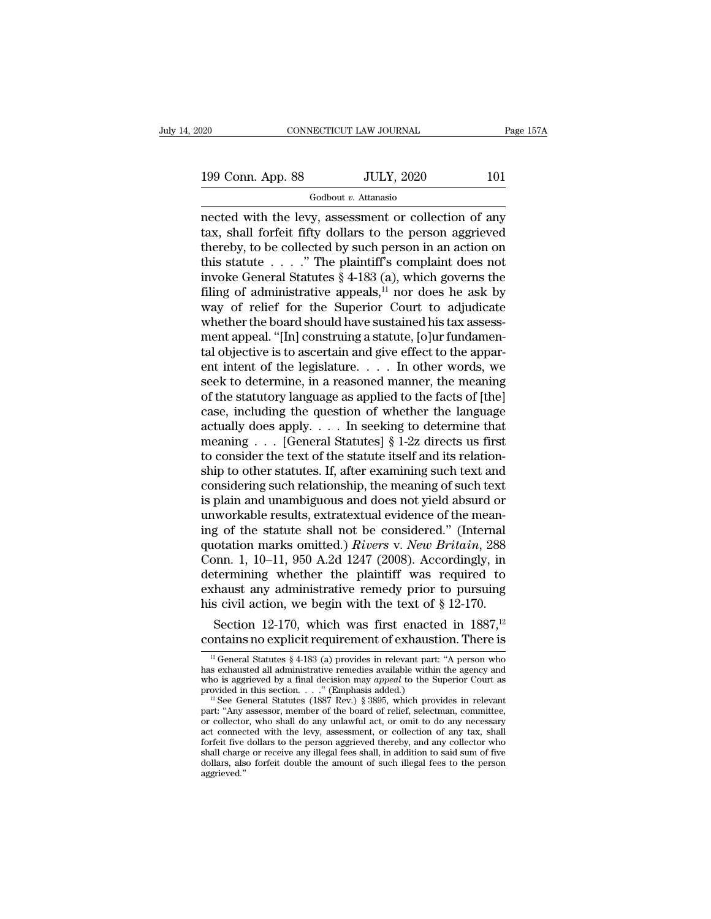Godbout *v.* Attanasio

nected with the levy, assessment or collection of any denoted the collection of any density and forfeit fifty dollars to the person aggrieved thereby to be collected by such person in an action on 199 Conn. App. 88 JULY, 2020 101<br>
Godbout v. Attanasio<br>
nected with the levy, assessment or collection of any<br>
tax, shall forfeit fifty dollars to the person aggrieved<br>
thereby, to be collected by such person in an action 199 Conn. App. 88 JULY, 2020 101<br>
Godbout v. Attanasio<br>
nected with the levy, assessment or collection of any<br>
tax, shall forfeit fifty dollars to the person aggrieved<br>
thereby, to be collected by such person in an action 199 Conn. App. 88 JULY, 2020 101<br>
Godbout v. Attanasio<br>
nected with the levy, assessment or collection of any<br>
tax, shall forfeit fifty dollars to the person aggrieved<br>
thereby, to be collected by such person in an action Godbout v. Attanasio<br>
nected with the levy, assessment or collection of any<br>
tax, shall forfeit fifty dollars to the person aggrieved<br>
thereby, to be collected by such person in an action on<br>
this statute . . . . ." The p  $\frac{1}{100}$  Godbout *v*. Attanasio<br>nected with the levy, assessment or collection of any<br>tax, shall forfeit fifty dollars to the person aggrieved<br>thereby, to be collected by such person in an action on<br>this statute . . . nected with the levy, assessment or collection of any<br>tax, shall forfeit fifty dollars to the person aggrieved<br>thereby, to be collected by such person in an action on<br>this statute . . . . " The plaintiff's complaint does tax, shall forfeit fifty dollars to the person aggrieved<br>thereby, to be collected by such person in an action on<br>this statute  $\ldots$ ." The plaintiff's complaint does not<br>invoke General Statutes § 4-183 (a), which governs t thereby, to be collected by such person in an action on<br>this statute . . . . " The plaintiff's complaint does not<br>invoke General Statutes § 4-183 (a), which governs the<br>filing of administrative appeals,<sup>11</sup> nor does he as this statute  $\ldots$  ." The plaintiff's complaint does not<br>invoke General Statutes § 4-183 (a), which governs the<br>filing of administrative appeals,<sup>11</sup> nor does he ask by<br>way of relief for the Superior Court to adjudicate<br>w invoke General Statutes § 4-183 (a), which governs the<br>filing of administrative appeals,<sup>11</sup> nor does he ask by<br>way of relief for the Superior Court to adjudicate<br>whether the board should have sustained his tax assess-<br>me filing of administrative appeals,<sup>11</sup> nor does he ask by<br>way of relief for the Superior Court to adjudicate<br>whether the board should have sustained his tax assess-<br>ment appeal. "[In] construing a statute, [o]ur fundamen-<br> way of relief for the Superior Court to adjudicate<br>whether the board should have sustained his tax assess-<br>ment appeal. "[In] construing a statute, [o]ur fundamen-<br>tal objective is to ascertain and give effect to the appar whether the board should have sustained his tax assessment appeal. "[In] construing a statute, [o]ur fundamental objective is to ascertain and give effect to the apparent intent of the legislature.  $\dots$  In other words, we ment appeal. "[In] construing a statute, [o]ur fundamental objective is to ascertain and give effect to the apparent intent of the legislature. . . . . In other words, we seek to determine, in a reasoned manner, the meani tal objective is to ascertain and give effect to the apparent intent of the legislature. . . . In other words, we seek to determine, in a reasoned manner, the meaning of the statutory language as applied to the facts of [ ent intent of the legislature. . . . . In other words, we seek to determine, in a reasoned manner, the meaning of the statutory language as applied to the facts of [the] case, including the question of whether the languag seek to determine, in a reasoned manner, the meaning<br>of the statutory language as applied to the facts of [the]<br>case, including the question of whether the language<br>actually does apply. . . . In seeking to determine that<br> of the statutory language as applied to the facts of [the]<br>case, including the question of whether the language<br>actually does apply. . . . In seeking to determine that<br>meaning . . . [General Statutes] § 1-2z directs us fir case, including the question of whether the language<br>actually does apply. . . . In seeking to determine that<br>meaning . . . [General Statutes] § 1-2z directs us first<br>to consider the text of the statute itself and its rela actually does apply. . . . In seeking to determine that<br>meaning . . . [General Statutes] § 1-2z directs us first<br>to consider the text of the statute itself and its relation-<br>ship to other statutes. If, after examining suc meaning . . . [General Statutes] § 1-2z directs us first<br>to consider the text of the statute itself and its relation-<br>ship to other statutes. If, after examining such text and<br>considering such relationship, the meaning of to consider the text of the statute itself and its relationship to other statutes. If, after examining such text and considering such relationship, the meaning of such text is plain and unambiguous and does not yield absur ship to other statutes. If, after examining such text and<br>considering such relationship, the meaning of such text<br>is plain and unambiguous and does not yield absurd or<br>unworkable results, extratextual evidence of the meanconsidering such relationship, the meaning of such text<br>is plain and unambiguous and does not yield absurd or<br>unworkable results, extratextual evidence of the mean-<br>ing of the statute shall not be considered." (Internal<br>q is plain and unambiguous and does not yield absurd or<br>unworkable results, extratextual evidence of the mean-<br>ing of the statute shall not be considered." (Internal<br>quotation marks omitted.) Rivers v. New Britain, 288<br>Conn unworkable results, extratextual evidence of the mean-<br>ing of the statute shall not be considered." (Internal<br>quotation marks omitted.) *Rivers v. New Britain*, 288<br>Conn. 1, 10–11, 950 A.2d 1247 (2008). Accordingly, in<br>de g of the statute shall not be considered." (Internal otation marks omitted.) *Rivers v. New Britain*, 288 pm. 1, 10–11, 950 A.2d 1247 (2008). Accordingly, in termining whether the plaintiff was required to haust any admin quotation marks omitted.) *Rivers* v. *New Britain*, 288<br>Conn. 1, 10–11, 950 A.2d 1247 (2008). Accordingly, in<br>determining whether the plaintiff was required to<br>exhaust any administrative remedy prior to pursuing<br>his civi

<sup>11</sup> Section 12-170, which was first enacted in 1887,<sup>12</sup><br>
Section 12-170, which was first enacted in 1887,<sup>12</sup><br>
21 Ontains no explicit requirement of exhaustion. There is<br>
<sup>11</sup> General Statutes § 4-183 (a) provides in rele his civil action, we begin with the text of § 12-170.<br>Section 12-170, which was first enacted in 1887,<sup>12</sup><br>contains no explicit requirement of exhaustion. There is<br> $\frac{11}{1}$  General Statutes § 4-183 (a) provides in relev Section 12-170, which was first enacted in 1887,<sup>12</sup><br>contains no explicit requirement of exhaustion. There is<br> $\frac{10}{10}$  General Statutes § 4-183 (a) provides in relevant part: "A person who<br>has exhausted all administrat Section 12-170, which was first enacte<br>
contains no explicit requirement of exhaust<br>
<sup>11</sup> General Statutes § 4-183 (a) provides in relevant part<br>
has exhausted all administrative remedies available within<br>
who is aggrieve **CONTA THE SEE THE SEE ASSET SEE ASSET ASSET AS A SET AND THE SEE General Statutes (1887 A)** a) provides in relevant part: "A person who sexhausted all administrative remedies available within the agency and no is aggriev **Particular STO EXPITCLE TEQUITETITE OF EXTRACTORE TO THETE IS<br>
The Greenal Statutes § 4-183 (a) provides in relevant part: "A person who<br>
has exhausted all administrative remedies available within the agency and<br>
who is** 

<sup>&</sup>lt;sup>11</sup> General Statutes § 4-183 (a) provides in relevant part: "A person who has exhausted all administrative remedies available within the agency and who is aggrieved by a final decision may *appeal* to the Superior Court has exhausted all administrative remedies available within the agency and who is aggrieved by a final decision may *appeal* to the Superior Court as provided in this section. . . ." (Emphasis added.) <sup>12</sup> See General Stat who is aggrieved by a final decision may *appeal* to the Superior Court as<br>provided in this section. . . . " (Emphasis added.)<br><sup>12</sup> See General Statutes (1887 Rev.) § 3895, which provides in relevant<br>part: "Any assessor, shall charge or receive any illegal fees shall, in addition to said sum of five-<br>provided in this section. . . . . " (Emphasis added.)<br><sup>12</sup> See General Statutes (1887 Rev.) § 3895, which provides in relevant<br>part: "Any as <sup>12</sup> See General Statutes (1887 Rev.) § 3895, which provides in relevant part: "Any assessor, member of the board of relief, selectman, committee, or collector, who shall do any unlawful act, or omit to do any necessary a aggrieved.''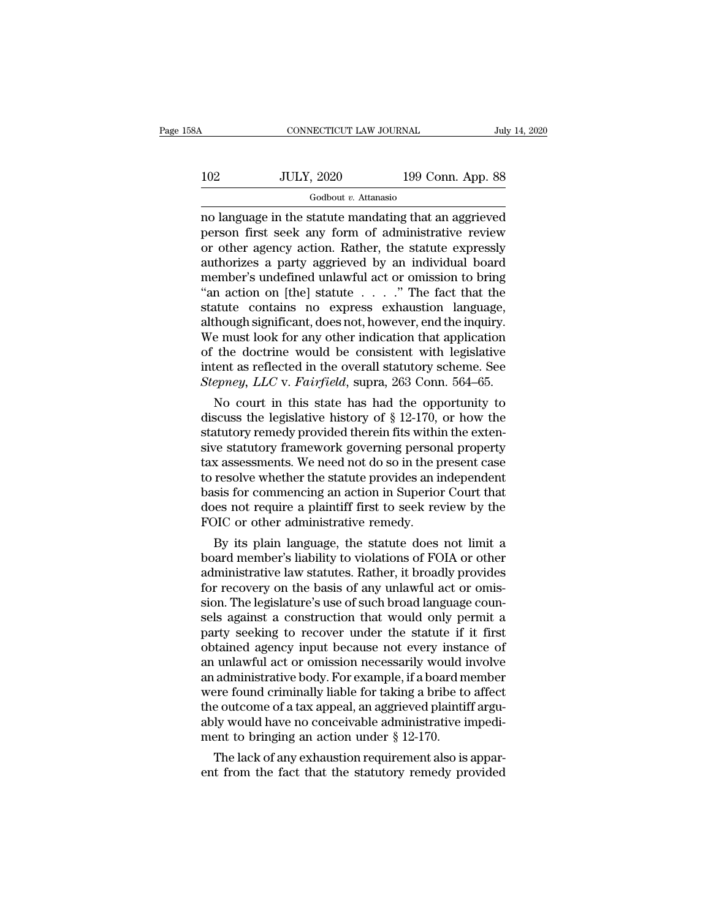| 58A | CONNECTICUT LAW JOURNAL |                   | July 14, 2020 |
|-----|-------------------------|-------------------|---------------|
|     |                         |                   |               |
| 102 | <b>JULY, 2020</b>       | 199 Conn. App. 88 |               |
|     | Godbout v. Attanasio    |                   |               |

no language in the statute mandating that an aggrieved 102 JULY, 2020 199 Conn. App. 88<br>
Godbout v. Attanasio<br>
no language in the statute mandating that an aggrieved<br>
person first seek any form of administrative review<br>
or other agency action. Rather, the statute expressly<br>
au  $102$  JULY, 2020 199 Conn. App. 88<br>
Godbout v. Attanasio<br>
no language in the statute mandating that an aggrieved<br>
person first seek any form of administrative review<br>
or other agency action. Rather, the statute expressly<br>  $102$  JULY, 2020 199 Conn. App. 88<br>
Godbout *v*. Attanasio<br>
no language in the statute mandating that an aggrieved<br>
person first seek any form of administrative review<br>
or other agency action. Rather, the statute expressl  $\frac{1}{\text{codbout } v}$ . Attanasio<br>
no language in the statute mandating that an aggrieved<br>
person first seek any form of administrative review<br>
or other agency action. Rather, the statute expressly<br>
authorizes a party aggrieved  $\frac{1}{2}$  Godbout *v*. Attanasio<br>
no language in the statute mandating that an aggrieved<br>
person first seek any form of administrative review<br>
or other agency action. Rather, the statute expressly<br>
authorizes a party aggr no language in the statute mandating that an aggrieved<br>person first seek any form of administrative review<br>or other agency action. Rather, the statute expressly<br>authorizes a party aggrieved by an individual board<br>member's person first seek any form of administrative review<br>or other agency action. Rather, the statute expressly<br>authorizes a party aggrieved by an individual board<br>member's undefined unlawful act or omission to bring<br>"an action or other agency action. Rather, the statute expressly<br>authorizes a party aggrieved by an individual board<br>member's undefined unlawful act or omission to bring<br>"an action on [the] statute . . . . ." The fact that the<br>statut authorizes a party aggrieved by an individual board<br>member's undefined unlawful act or omission to bring<br>"an action on [the] statute  $\ldots$ ..." The fact that the<br>statute contains no express exhaustion language,<br>although si member's undefined unlawful act or omission to bring<br>"an action on [the] statute  $\ldots$ ..." The fact that the<br>statute contains no express exhaustion language,<br>although significant, does not, however, end the inquiry.<br>We mu "an action on [the] statute . . . . ." The fact that the statute contains no express exhaustion language, although significant, does not, however, end the inquiry. We must look for any other indication that application of Figure 2.1 and the opportunity of the state has had the opportunity of the doctrine would be consistent with legislative tent as reflected in the overall statutory scheme. See *epney*, *LLC* v. *Fairfield*, supra, 263 Con atthough significant, does not, nowever, end the inquiry.<br>We must look for any other indication that application<br>of the doctrine would be consistent with legislative<br>intent as reflected in the overall statutory scheme. Se

we must look for any other indication that application<br>of the doctrine would be consistent with legislative<br>intent as reflected in the overall statutory scheme. See<br>Stepney, LLC v. Fairfield, supra, 263 Conn. 564–65.<br>No c or the doctrine would be consistent with legislative<br>intent as reflected in the overall statutory scheme. See<br>*Stepney*, *LLC* v. *Fairfield*, supra, 263 Conn. 564–65.<br>No court in this state has had the opportunity to<br>dis ment as renected in the overall statutory scheme. See<br>Stepney, LLC v. Fairfield, supra, 263 Conn. 564–65.<br>No court in this state has had the opportunity to<br>discuss the legislative history of § 12-170, or how the<br>statutory Stepney, LLC v. Fairfield, supra, 263 Conn. 564–65.<br>No court in this state has had the opportunity to<br>discuss the legislative history of  $\S$  12-170, or how the<br>statutory remedy provided therein fits within the exten-<br>sive No court in this state has had the opportunity to<br>discuss the legislative history of  $\S$  12-170, or how the<br>statutory remedy provided therein fits within the exten-<br>sive statutory framework governing personal property<br>tax discuss the legislative history of  $\S$  12-170, or how the statutory remedy provided therein fits within the extensive statutory framework governing personal property tax assessments. We need not do so in the present case statutory remedy provided therein fits within<br>sive statutory framework governing person<br>tax assessments. We need not do so in the p<br>to resolve whether the statute provides an in<br>basis for commencing an action in Superion<br>d We statutory framework governing personal property<br>
x assessments. We need not do so in the present case<br>
resolve whether the statute provides an independent<br>
sis for commencing an action in Superior Court that<br>
es not req tax assessments. we need not do so in the present case<br>to resolve whether the statute provides an independent<br>basis for commencing an action in Superior Court that<br>does not require a plaintiff first to seek review by the<br>F

to resolve whether the statute provides an independent<br>basis for commencing an action in Superior Court that<br>does not require a plaintiff first to seek review by the<br>FOIC or other administrative remedy.<br>By its plain langua basis for commencing an action in superior Court that<br>does not require a plaintiff first to seek review by the<br>FOIC or other administrative remedy.<br>By its plain language, the statute does not limit a<br>board member's liabili since the simulation of the statute of such that the statute does not limit a board member's liability to violations of FOIA or other administrative law statutes. Rather, it broadly provides for recovery on the basis of an FOIC or other administrative remedy.<br>By its plain language, the statute does not limit a<br>board member's liability to violations of FOIA or other<br>administrative law statutes. Rather, it broadly provides<br>for recovery on the By its plain language, the statute does not limit a<br>board member's liability to violations of FOIA or other<br>administrative law statutes. Rather, it broadly provides<br>for recovery on the basis of any unlawful act or omis-<br>si board member's liability to violations of FOIA or other<br>administrative law statutes. Rather, it broadly provides<br>for recovery on the basis of any unlawful act or omis-<br>sion. The legislature's use of such broad language cou administrative law statutes. Rather, it broadly provides<br>for recovery on the basis of any unlawful act or omis-<br>sion. The legislature's use of such broad language coun-<br>sels against a construction that would only permit a<br> for recovery on the basis of any unlawful act or omission. The legislature's use of such broad language counsels against a construction that would only permit a party seeking to recover under the statute if it first obtain sion. The legislature's use of such broad language counsels against a construction that would only permit a party seeking to recover under the statute if it first obtained agency input because not every instance of an unla sels against a construction that would only permit a<br>party seeking to recover under the statute if it first<br>obtained agency input because not every instance of<br>an unlawful act or omission necessarily would involve<br>an admin party seeking to recover under the statute if it first<br>obtained agency input because not every instance of<br>an unlawful act or omission necessarily would involve<br>an administrative body. For example, if a board member<br>were f obtained agency input because not every insta<br>an unlawful act or omission necessarily would i<br>an administrative body. For example, if a board m<br>were found criminally liable for taking a bribe to<br>the outcome of a tax appeal Unlawful act or omission necessarily would involve<br>administrative body. For example, if a board member<br>refound criminally liable for taking a bribe to affect<br>e outcome of a tax appeal, an aggrieved plaintiff argu-<br>ly woul an administrative body. For example, if a board member<br>were found criminally liable for taking a bribe to affect<br>the outcome of a tax appeal, an aggrieved plaintiff argu-<br>ably would have no conceivable administrative impe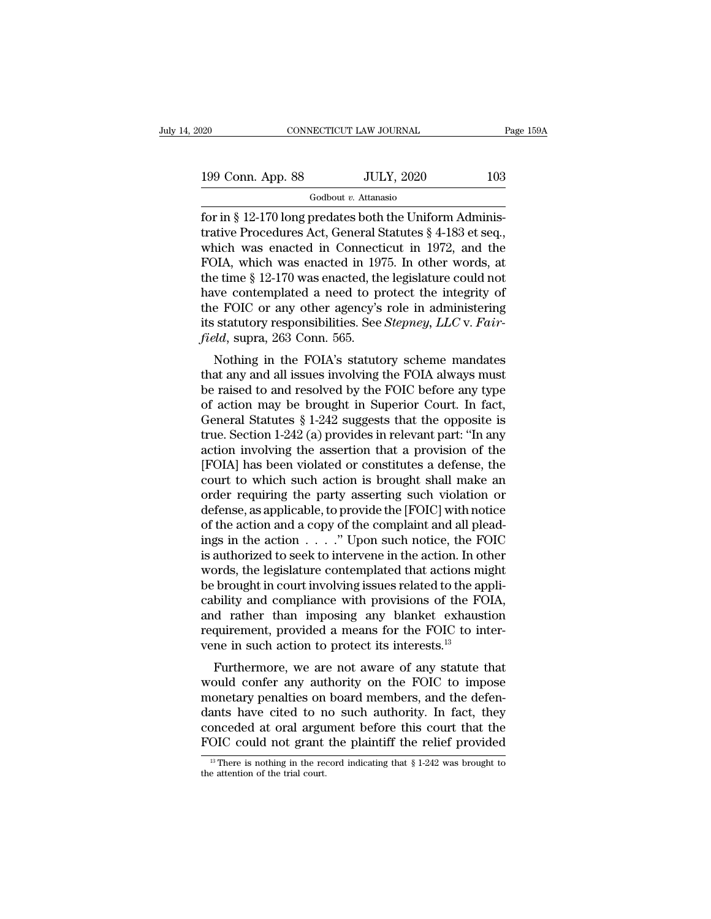| 20                | CONNECTICUT LAW JOURNAL |                   | Page 159A |
|-------------------|-------------------------|-------------------|-----------|
| 199 Conn. App. 88 |                         | <b>JULY, 2020</b> | 103       |
|                   | Godbout v. Attanasio    |                   |           |

For in § 12-170 long predates both the Uniform Administrative Procedures Act, General Statutes § 4-183 et seq., 199 Conn. App. 88 JULY, 2020 103<br>
Godbout v. Attanasio<br>
for in § 12-170 long predates both the Uniform Administrative Procedures Act, General Statutes § 4-183 et seq.,<br>
which was enacted in Connecticut in 1972, and the<br>
F 199 Conn. App. 88 JULY, 2020 103<br>
Godbout v. Attanasio<br>
for in § 12-170 long predates both the Uniform Administrative Procedures Act, General Statutes § 4-183 et seq.,<br>
which was enacted in Connecticut in 1972, and the<br>
F 199 Conn. App. 88 JULY, 2020 103<br>
Godbout v. Attanasio<br>
for in § 12-170 long predates both the Uniform Administrative Procedures Act, General Statutes § 4-183 et seq.,<br>
which was enacted in Connecticut in 1972, and the<br>
F Godbout v. Attanasio<br>
for in § 12-170 long predates both the Uniform Administrative Procedures Act, General Statutes § 4-183 et seq.,<br>
which was enacted in Connecticut in 1972, and the<br>
FOIA, which was enacted in 1975. In Godbout *v*. Attanasio<br>for in § 12-170 long predates both the Uniform Adminis-<br>trative Procedures Act, General Statutes § 4-183 et seq.,<br>which was enacted in Connecticut in 1972, and the<br>FOIA, which was enacted in 1975. I for in § 12-170 long predates both the Uniform Administrative Procedures Act, General Statutes § 4-183 et seq., which was enacted in Connecticut in 1972, and the FOIA, which was enacted in 1975. In other words, at the tim trative Procedures Act, General Statutes § 4-183 et seq.,<br>which was enacted in Connecticut in 1972, and the<br>FOIA, which was enacted in 1975. In other words, at<br>the time § 12-170 was enacted, the legislature could not<br>have which was enacted in Connect<br>*FOIA*, which was enacted in 19'<br>the time § 12-170 was enacted, th<br>have contemplated a need to pi<br>the *FOIC* or any other agency's<br>its statutory responsibilities. See<br>*field*, supra, 263 Conn. FIA, which was enacted in 1975. In other words, at<br>e time § 12-170 was enacted, the legislature could not<br>we contemplated a need to protect the integrity of<br>e FOIC or any other agency's role in administering<br>statutory res the time y 12-110 was enacted, the regislature could not<br>have contemplated a need to protect the integrity of<br>the FOIC or any other agency's role in administering<br>its statutory responsibilities. See *Stepney, LLC* v. *Fair* 

he FOIC or any other agency's role in administering<br>its statutory responsibilities. See *Stepney*, *LLC* v. *Fair-<br>field*, supra, 263 Conn. 565.<br>Nothing in the FOIA's statutory scheme mandates<br>that any and all issues invol the FOIC of any other agency's fole in administering<br>its statutory responsibilities. See *Stepney*, *LLC* v. *Fair-<br>field*, supra, 263 Conn. 565.<br>Nothing in the FOIA's statutory scheme mandates<br>that any and all issues inv field, supra, 263 Conn. 565.<br>
Nothing in the FOIA's statutory scheme mandates<br>
that any and all issues involving the FOIA always must<br>
be raised to and resolved by the FOIC before any type<br>
of action may be brought in Sup Nothing in the FOIA's statutory scheme mandates<br>that any and all issues involving the FOIA always must<br>be raised to and resolved by the FOIC before any type<br>of action may be brought in Superior Court. In fact,<br>General Sta Nothing in the FOIA's statutory scheme mandates<br>that any and all issues involving the FOIA always must<br>be raised to and resolved by the FOIC before any type<br>of action may be brought in Superior Court. In fact,<br>General Sta that any and all issues involving the FOIA always must<br>be raised to and resolved by the FOIC before any type<br>of action may be brought in Superior Court. In fact,<br>General Statutes § 1-242 suggests that the opposite is<br>true. be raised to and resolved by the FOIC before any type<br>of action may be brought in Superior Court. In fact,<br>General Statutes § 1-242 suggests that the opposite is<br>true. Section 1-242 (a) provides in relevant part: "In any<br>a of action may be brought in Superior Court. In fact,<br>General Statutes § 1-242 suggests that the opposite is<br>true. Section 1-242 (a) provides in relevant part: "In any<br>action involving the assertion that a provision of the<br> General Statutes § 1-242 suggests that the opposite is<br>true. Section 1-242 (a) provides in relevant part: "In any<br>action involving the assertion that a provision of the<br>[FOIA] has been violated or constitutes a defense, t true. Section 1-242 (a) provides in relevant part: "In any<br>action involving the assertion that a provision of the<br>[FOIA] has been violated or constitutes a defense, the<br>court to which such action is brought shall make an<br> action involving the assertion that a provision of the [FOIA] has been violated or constitutes a defense, the court to which such action is brought shall make an order requiring the party asserting such violation or defens [FOIA] has been violated or constitutes a defense, the court to which such action is brought shall make an order requiring the party asserting such violation or defense, as applicable, to provide the [FOIC] with notice of court to which such action is brought shall make an order requiring the party asserting such violation or defense, as applicable, to provide the [FOIC] with notice of the action and a copy of the complaint and all pleadin order requiring the party asserting such violation or<br>defense, as applicable, to provide the [FOIC] with notice<br>of the action and a copy of the complaint and all plead-<br>ings in the action  $\ldots$ ." Upon such notice, the FOI defense, as applicable, to provide the [FOIC] with notice<br>of the action and a copy of the complaint and all plead-<br>ings in the action . . . . " Upon such notice, the FOIC<br>is authorized to seek to intervene in the action. I of the action and a copy of the complaint and all pleadings in the action  $\ldots$  ." Upon such notice, the FOIC is authorized to seek to intervene in the action. In other words, the legislature contemplated that actions mig ings in the action  $\ldots$  ." Upon such notice, the FOIC is authorized to seek to intervene in the action. In other words, the legislature contemplated that actions might be brought in court involving issues related to the is authorized to seek to intervene in the action. In ot words, the legislature contemplated that actions mi<br>be brought in court involving issues related to the ap<br>cability and compliance with provisions of the FC<br>and rath Furthermore, we are not aware of any statute that brought in court involving issues related to the appli-<br>bility and compliance with provisions of the FOIA,<br>d rather than imposing any blanket exhaustion<br>quirement, provided be brought in court involving issues related to the applicability and compliance with provisions of the FOIA, and rather than imposing any blanket exhaustion requirement, provided a means for the FOIC to intervene in such

cabiny and compilance with provisions of the FOIA,<br>and rather than imposing any blanket exhaustion<br>requirement, provided a means for the FOIC to inter-<br>vene in such action to protect its interests.<sup>13</sup><br>Furthermore, we are and rather than imposing any blanket exhaustion<br>requirement, provided a means for the FOIC to inter-<br>vene in such action to protect its interests.<sup>13</sup><br>Furthermore, we are not aware of any statute that<br>would confer any auth requirement, provided a means for the POIC to inter-<br>vene in such action to protect its interests.<sup>13</sup><br>Furthermore, we are not aware of any statute that<br>would confer any authority on the FOIC to impose<br>monetary penalties o Furthermore, we are not aware of any statute that<br>would confer any authority on the FOIC to impose<br>monetary penalties on board members, and the defen-<br>dants have cited to no such authority. In fact, they<br>conceded at oral 13 Ionetary penalties on board members, and the defenants have cited to no such authority. In fact, they onceded at oral argument before this court that the OIC could not grant the plaintiff the relief provided  $\frac{13}{12}$ dants have cited to n<br>conceded at oral argu<br> $\frac{FOIC}{13}$  could not grant<br> $\frac{13}{13}$  There is nothing in the reacher the attention of the trial court.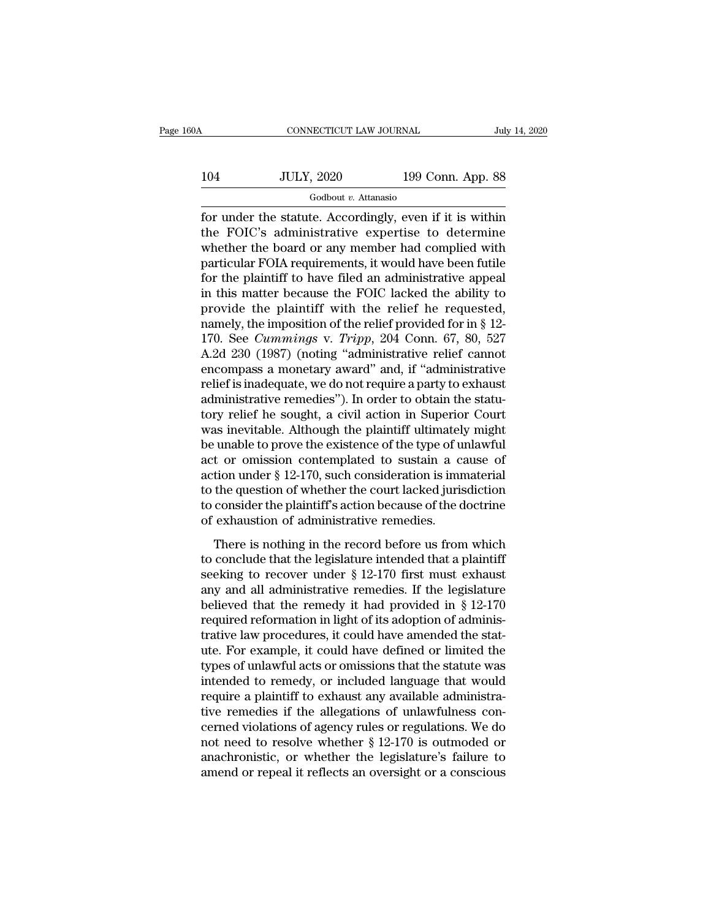# CONNECTICUT LAW JOURNAL July 14, 2020<br>104 JULY, 2020 199 Conn. App. 88<br>Godbout v. Attanasio Godbout *v.* Attanasio

For under the statute. Accordingly, even if it is within<br>the FOIC's administrative expertise to determine<br>whether the board or any momber had complied with  $104$  JULY, 2020 199 Conn. App. 88<br>
Godbout v. Attanasio<br>
for under the statute. Accordingly, even if it is within<br>
the FOIC's administrative expertise to determine<br>
whether the board or any member had complied with<br>
part  $104$  JULY, 2020 199 Conn. App. 88<br>
Godbout v. Attanasio<br>
for under the statute. Accordingly, even if it is within<br>
the FOIC's administrative expertise to determine<br>
whether the board or any member had complied with<br>
part  $\frac{JULY, 2020}{199 \text{ Conn. App. 88}}$ <br>  $\frac{600}{199 \text{ Conn. App. 88}}$ <br>
for under the statute. Accordingly, even if it is within<br>
the FOIC's administrative expertise to determine<br>
whether the board or any member had complied with<br>
partic  $\frac{1}{1 + \frac{1}{1 + \frac{1}{1}} \cdot \frac{1}{1 + \frac{1}{1 + \frac{1}{1}} \cdot \frac{1}{1 + \frac{1}{1 + \frac{1}{1 + \frac{1}{1 + \frac{1}{1 + \frac{1}{1 + \frac{1}{1 + \frac{1}{1 + \frac{1}{1 + \frac{1}{1 + \frac{1}{1 + \frac{1}{1 + \frac{1}{1 + \frac{1}{1 + \frac{1}{1 + \frac{1}{1 + \frac{1}{1 + \frac{1}{1 + \frac{1}{1 + \frac{1}{1 + \frac{1}{1 + \frac{1}{1 + \frac{1}{1 + \frac{1}{1 + \frac{1}{1$ Godbout *v*. Attanasio<br>for under the statute. Accordingly, even if it is within<br>the FOIC's administrative expertise to determine<br>whether the board or any member had complied with<br>particular FOIA requirements, it would hav for under the statute. Accordingly, even if it is within<br>the FOIC's administrative expertise to determine<br>whether the board or any member had complied with<br>particular FOIA requirements, it would have been futile<br>for the p the FOIC's administrative expertise to determine<br>whether the board or any member had complied with<br>particular FOIA requirements, it would have been futile<br>for the plaintiff to have filed an administrative appeal<br>in this m whether the board or any member had complied with<br>particular FOIA requirements, it would have been futile<br>for the plaintiff to have filed an administrative appeal<br>in this matter because the FOIC lacked the ability to<br>provi particular FOIA requirements, it would have been futile<br>for the plaintiff to have filed an administrative appeal<br>in this matter because the FOIC lacked the ability to<br>provide the plaintiff with the relief he requested,<br>na for the plaintiff to have filed an administrative appeal<br>in this matter because the FOIC lacked the ability to<br>provide the plaintiff with the relief he requested,<br>namely, the imposition of the relief provided for in § 12in this matter because the FOIC lacked the ability to<br>provide the plaintiff with the relief he requested,<br>namely, the imposition of the relief provided for in § 12-<br>170. See *Cummings v. Tripp*, 204 Conn. 67, 80, 527<br>A.2d provide the plaintiff with the relief he requested,<br>namely, the imposition of the relief provided for in § 12-<br>170. See *Cummings* v. *Tripp*, 204 Conn. 67, 80, 527<br>A.2d 230 (1987) (noting "administrative relief cannot<br>en namely, the imposition of the relief provided for in § 12-<br>170. See *Cummings v. Tripp*, 204 Conn. 67, 80, 527<br>A.2d 230 (1987) (noting "administrative relief cannot<br>encompass a monetary award" and, if "administrative<br>reli 170. See *Cummings v. Tripp*, 204 Conn. 67, 80, 527<br>A.2d 230 (1987) (noting "administrative relief cannot<br>encompass a monetary award" and, if "administrative<br>relief is inadequate, we do not require a party to exhaust<br>admi A.2d 230 (1987) (noting "administrative relief cannot<br>encompass a monetary award" and, if "administrative<br>relief is inadequate, we do not require a party to exhaust<br>administrative remedies"). In order to obtain the statuencompass a monetary award" and, if "administrative<br>relief is inadequate, we do not require a party to exhaust<br>administrative remedies"). In order to obtain the statu-<br>tory relief he sought, a civil action in Superior Cour relief is inadequate, we do not require a party to exhaust<br>administrative remedies"). In order to obtain the statu-<br>tory relief he sought, a civil action in Superior Court<br>was inevitable. Although the plaintiff ultimately administrative remedies"). In order to obtain the statu-<br>tory relief he sought, a civil action in Superior Court<br>was inevitable. Although the plaintiff ultimately might<br>be unable to prove the existence of the type of unlaw tory relief he sought, a civil action in Superior Court<br>was inevitable. Although the plaintiff ultimately might<br>be unable to prove the existence of the type of unlawful<br>act or omission contemplated to sustain a cause of<br>ac was inevitable. Although the plaintiff ultimatel;<br>be unable to prove the existence of the type of u<br>act or omission contemplated to sustain a c:<br>action under § 12-170, such consideration is imn<br>to the question of whether t t or omission contemplated to sustain a cause of<br>tion under § 12-170, such consideration is immaterial<br>the question of whether the court lacked jurisdiction<br>consider the plaintiff's action because of the doctrine<br>exhausti action under § 12-170, such consideration is immaterial<br>to the question of whether the court lacked jurisdiction<br>to consider the plaintiff's action because of the doctrine<br>of exhaustion of administrative remedies.<br>There i

section direct  $\frac{1}{3}$  12-170, such consideration is initiated<br>to the question of whether the court lacked jurisdiction<br>to consider the plaintiff's action because of the doctrine<br>of exhaustion of administrative remedies to consider the plaintiff's action because of the doctrine<br>of exhaustion of administrative remedies.<br>There is nothing in the record before us from which<br>to conclude that the legislature intended that a plaintiff<br>seeking t be consider the plannar succion seculate of the doctrine<br>of exhaustion of administrative remedies.<br>There is nothing in the record before us from which<br>to conclude that the legislature intended that a plaintiff<br>seeking to There is nothing in the record before us from which<br>to conclude that the legislature intended that a plaintiff<br>seeking to recover under  $\S$  12-170 first must exhaust<br>any and all administrative remedies. If the legislature There is nothing in the record before us from which<br>to conclude that the legislature intended that a plaintiff<br>seeking to recover under  $\S$  12-170 first must exhaust<br>any and all administrative remedies. If the legislature to conclude that the legislature intended that a plaintiff<br>seeking to recover under  $\S$  12-170 first must exhaust<br>any and all administrative remedies. If the legislature<br>believed that the remedy it had provided in  $\S$  12seeking to recover under  $\S$  12-170 first must exhaust<br>any and all administrative remedies. If the legislature<br>believed that the remedy it had provided in  $\S$  12-170<br>required reformation in light of its adoption of admini any and all administrative remedies. If the legislature<br>believed that the remedy it had provided in § 12-170<br>required reformation in light of its adoption of adminis-<br>trative law procedures, it could have amended the statbelieved that the remedy it had provided in § 12-170<br>required reformation in light of its adoption of adminis-<br>trative law procedures, it could have amended the stat-<br>ute. For example, it could have defined or limited the<br> required reformation in light of its adoption of administrative law procedures, it could have amended the statute. For example, it could have defined or limited the types of unlawful acts or omissions that the statute was trative law procedures, it could have amended the stat-<br>ute. For example, it could have defined or limited the<br>types of unlawful acts or omissions that the statute was<br>intended to remedy, or included language that would<br>re ute. For example, it could have defined or limited the<br>types of unlawful acts or omissions that the statute was<br>intended to remedy, or included language that would<br>require a plaintiff to exhaust any available administra-<br>t types of unlawful acts or omissions that the statute was<br>intended to remedy, or included language that would<br>require a plaintiff to exhaust any available administra-<br>tive remedies if the allegations of unlawfulness con-<br>ce intended to remedy, or included language that would<br>require a plaintiff to exhaust any available administra-<br>tive remedies if the allegations of unlawfulness con-<br>cerned violations of agency rules or regulations. We do<br>no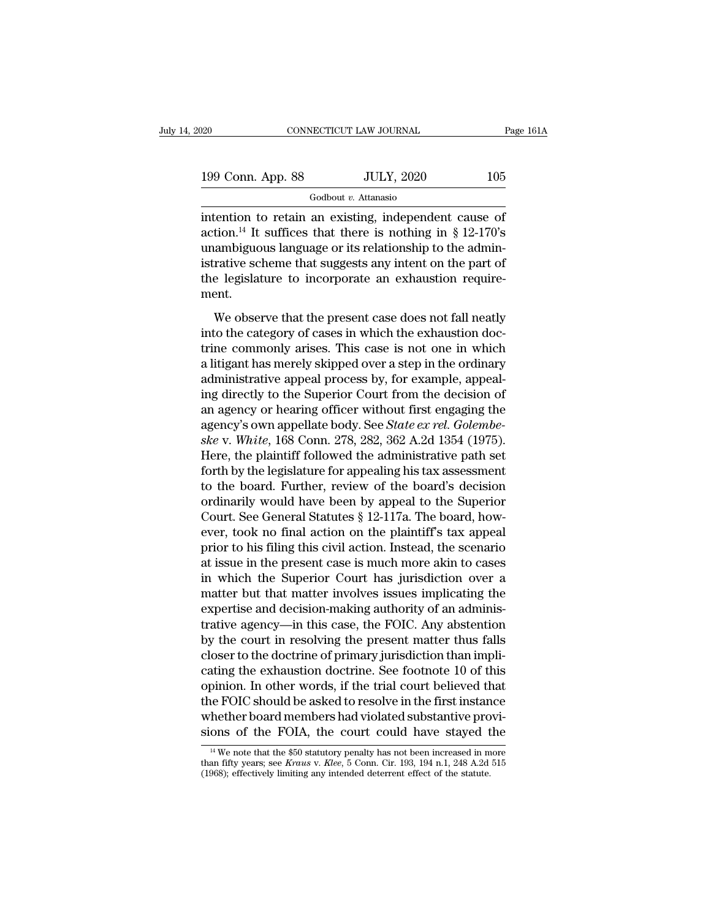| 20                | CONNECTICUT LAW JOURNAL | Page 161A |
|-------------------|-------------------------|-----------|
| 199 Conn. App. 88 | <b>JULY, 2020</b>       | 105       |
|                   | Godbout v. Attanasio    |           |

Fage 161/2<br>
199 Conn. App. 88 JULY, 2020 105<br>
Godbout v. Attanasio<br>
intention to retain an existing, independent cause of<br>
action.<sup>14</sup> It suffices that there is nothing in § 12-170's<br>
unambiguous language on its relations 199 Conn. App. 88 JULY, 2020 105<br>
Godbout v. Attanasio<br>
intention to retain an existing, independent cause of<br>
action.<sup>14</sup> It suffices that there is nothing in § 12-170's<br>
unambiguous language or its relationship to the a 199 Conn. App. 88 JULY, 2020 105<br>
Godbout *v*. Attanasio<br>
intention to retain an existing, independent cause of<br>
action.<sup>14</sup> It suffices that there is nothing in § 12-170's<br>
unambiguous language or its relationship to the 199 Conn. App. 88 JULY, 2020 105<br>
Godbout *v*. Attanasio<br>
intention to retain an existing, independent cause of<br>
action.<sup>14</sup> It suffices that there is nothing in § 12-170's<br>
unambiguous language or its relationship to the Godbout *v*. Attanasio<br>intention to retain an existing, independent cause of<br>action.<sup>14</sup> It suffices that there is nothing in § 12-170's<br>unambiguous language or its relationship to the admin-<br>istrative scheme that suggest ment.  $^{14}$  It suffices that there is nothing in § 12-170's<br>ambiguous language or its relationship to the admin-<br>rative scheme that suggests any intent on the part of<br>e legislature to incorporate an exhaustion require-<br>ent.<br>We into the category of the case is relationship to the administrative scheme that suggests any intent on the part of the legislature to incorporate an exhaustion requirement.<br>We observe that the present case does not fall ne

the legislature to incorporate an exhaustion require-<br>istrative scheme that suggests any intent on the part of<br>the legislature to incorporate an exhaustion require-<br>ment.<br>We observe that the present case does not fall neat Example scheme that suggests any method in the part of<br>the legislature to incorporate an exhaustion require-<br>ment.<br>We observe that the present case does not fall neatly<br>into the category of cases in which the exhaustion do are registrative to incorporate an emitational requirement.<br>
We observe that the present case does not fall neatly<br>
into the category of cases in which the exhaustion doc-<br>
trine commonly arises. This case is not one in wh We observe that the present case does not fall neatly<br>into the category of cases in which the exhaustion doc-<br>trine commonly arises. This case is not one in which<br>a litigant has merely skipped over a step in the ordinary<br> We observe that the present case does not fall neatly<br>into the category of cases in which the exhaustion doc-<br>trine commonly arises. This case is not one in which<br>a litigant has merely skipped over a step in the ordinary<br> into the category of cases in which the exhaustion doctrine commonly arises. This case is not one in which a litigant has merely skipped over a step in the ordinary administrative appeal process by, for example, appealing trine commonly arises. This case is not one in which<br>a litigant has merely skipped over a step in the ordinary<br>administrative appeal process by, for example, appeal-<br>ing directly to the Superior Court from the decision of<br> a litigant has merely skipped over a step in the ordinary<br>administrative appeal process by, for example, appeal-<br>ing directly to the Superior Court from the decision of<br>an agency or hearing officer without first engaging t administrative appeal process by, for example, appealing directly to the Superior Court from the decision of<br>an agency or hearing officer without first engaging the<br>agency's own appellate body. See *State ex rel. Golembe-<br>* ing directly to the Superior Court from the decision of<br>an agency or hearing officer without first engaging the<br>agency's own appellate body. See *State ex rel. Golembe-<br>ske* v. *White*, 168 Conn. 278, 282, 362 A.2d 1354 ( an agency or hearing officer without first engaging the<br>agency's own appellate body. See *State ex rel. Golembe-*<br>ske v. White, 168 Conn. 278, 282, 362 A.2d 1354 (1975).<br>Here, the plaintiff followed the administrative pat agency's own appellate body. See *State ex rel. Golembe-*<br>ske v. White, 168 Conn. 278, 282, 362 A.2d 1354 (1975).<br>Here, the plaintiff followed the administrative path set<br>forth by the legislature for appealing his tax asse ske v. White, 168 Conn. 278, 282, 362 A.2d 1354 (1975).<br>Here, the plaintiff followed the administrative path set<br>forth by the legislature for appealing his tax assessment<br>to the board. Further, review of the board's decisi Here, the plaintiff followed the administrative path set<br>forth by the legislature for appealing his tax assessment<br>to the board. Further, review of the board's decision<br>ordinarily would have been by appeal to the Superior<br> forth by the legislature for appealing his tax assessment<br>to the board. Further, review of the board's decision<br>ordinarily would have been by appeal to the Superior<br>Court. See General Statutes § 12-117a. The board, how-<br>ev to the board. Further, review of the board's decision<br>ordinarily would have been by appeal to the Superior<br>Court. See General Statutes  $\S$  12-117a. The board, how-<br>ever, took no final action on the plaintiff's tax appeal<br> ordinarily would have been by appeal to the Superior<br>Court. See General Statutes § 12-117a. The board, how-<br>ever, took no final action on the plaintiff's tax appeal<br>prior to his filing this civil action. Instead, the scena Court. See General Statutes § 12-117a. The board, however, took no final action on the plaintiff's tax appeal<br>prior to his filing this civil action. Instead, the scenario<br>at issue in the present case is much more akin to c ever, took no final action on the plaintiff's tax appeal<br>prior to his filing this civil action. Instead, the scenario<br>at issue in the present case is much more akin to cases<br>in which the Superior Court has jurisdiction ove prior to his filing this civil action. Instead, the scenario<br>at issue in the present case is much more akin to cases<br>in which the Superior Court has jurisdiction over a<br>matter but that matter involves issues implicating th at issue in the present case is much more akin to cases<br>in which the Superior Court has jurisdiction over a<br>matter but that matter involves issues implicating the<br>expertise and decision-making authority of an adminis-<br>trat in which the Superior Court has jurisdiction over a<br>matter but that matter involves issues implicating the<br>expertise and decision-making authority of an adminis-<br>trative agency—in this case, the FOIC. Any abstention<br>by the matter but that matter involves issues implicating the<br>expertise and decision-making authority of an adminis-<br>trative agency—in this case, the FOIC. Any abstention<br>by the court in resolving the present matter thus falls<br>cl expertise and decision-making authority of an administrative agency—in this case, the FOIC. Any abstention<br>by the court in resolving the present matter thus falls<br>closer to the doctrine of primary jurisdiction than impli-<br> trative agency—in this case, the FOIC. Any abstention<br>by the court in resolving the present matter thus falls<br>closer to the doctrine of primary jurisdiction than impli-<br>cating the exhaustion doctrine. See footnote 10 of th by the court in resolving the present matter thus falls<br>closer to the doctrine of primary jurisdiction than impli-<br>cating the exhaustion doctrine. See footnote 10 of this<br>opinion. In other words, if the trial court believ pinion. In other words, if the trial court believed that<br>he FOIC should be asked to resolve in the first instance<br>hether board members had violated substantive provi-<br>ons of the FOIA, the court could have stayed the<br> $\frac{1$ the FOIC should be asked to resolve in the first instance<br>whether board members had violated substantive provi-<br>sions of the FOIA, the court could have stayed the<br><sup>14</sup> We note that the \$50 statutory penalty has not been in Whether board members had violated substantive pro<br>sions of the FOIA, the court could have stayed t<br><sup>14</sup> We note that the \$50 statutory penalty has not been increased in m<br>than fifty years; see *Kraus v. Klee*, 5 Conn. Cir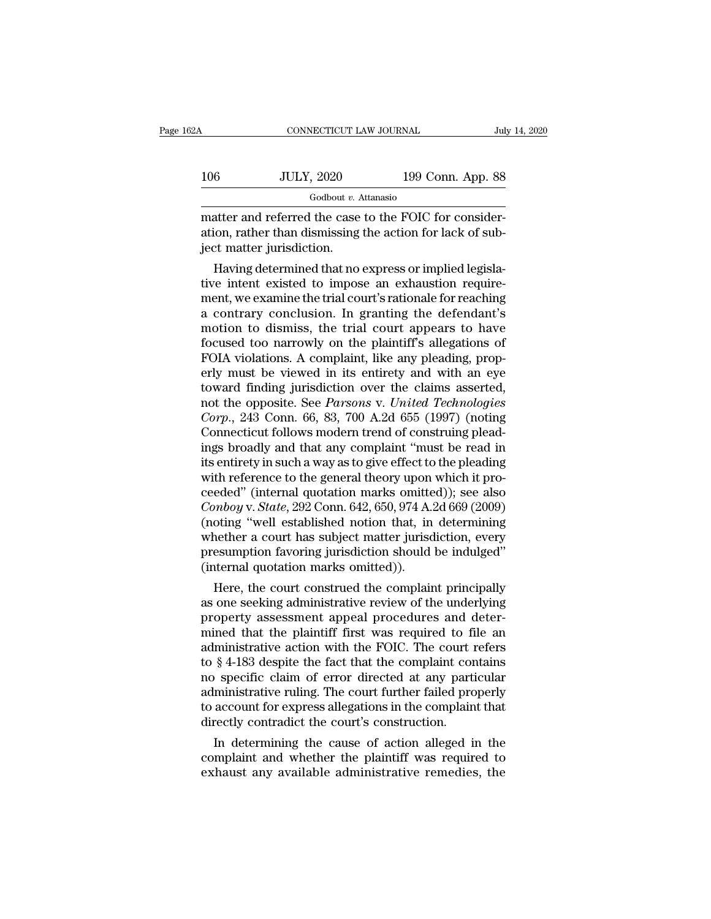| 62A | CONNECTICUT LAW JOURNAL                                                                                                                         |                   | July 14, 2020 |
|-----|-------------------------------------------------------------------------------------------------------------------------------------------------|-------------------|---------------|
|     |                                                                                                                                                 |                   |               |
| 106 | <b>JULY, 2020</b>                                                                                                                               | 199 Conn. App. 88 |               |
|     | Godbout $v$ . Attanasio                                                                                                                         |                   |               |
|     | matter and referred the case to the FOIC for consider-<br>ation, rather than dismissing the action for lack of sub-<br>joot mottor iuricdiction |                   |               |

ation, rather than dismissing the action for lack of sub- $\begin{array}{c|l} \hline & \text{JULY, 2020} \\\hline \text{0.4} & \text{0.6} \\\hline \text{0.7} & \text{0.7} \\\hline \text{0.8} & \text{0.8} \\\hline \text{0.9} & \text{0.9} \\\hline \text{0.9} & \text{0.9} \\\hline \text{0.9} & \text{0.9} \\\hline \text{0.9} & \text{0.9} \\\hline \text{0.9} & \text{0.9} \\\hline \text{0.9} & \text{0.9} \\\hline \text{0.9} & \text{0.9} \\\hline$  $\frac{60}{\text{Godbout } v. \text{ Attanasio}}$ <br>  $\frac{60}{\text{Godbout } v. \text{ Attanasio}}$ <br>
atter and referred the case to the FOIC for consider-<br>
ion, rather than dismissing the action for lack of sub-<br>
that no express or implied legisla-<br>
re intent existe

 $\frac{1}{100}$  Godbout *v*. Attanasio<br>
matter and referred the case to the FOIC for consider-<br>
ation, rather than dismissing the action for lack of sub-<br>
ject matter jurisdiction.<br>
Having determined that no express or implie matter and referred the case to the FOIC for consideration, rather than dismissing the action for lack of subject matter jurisdiction.<br>Having determined that no express or implied legislative intent existed to impose an ex matter and referred the case to the FOIC for consideration, rather than dismissing the action for lack of subject matter jurisdiction.<br>Having determined that no express or implied legislative intent existed to impose an ex ation, rather than dismissing the action for lack of subject matter jurisdiction.<br>Having determined that no express or implied legislative intent existed to impose an exhaustion requirement, we examine the trial court's ra flaving determined that no express or implied legislative intent existed to impose an exhaustion requirement, we examine the trial court's rationale for reaching a contrary conclusion. In granting the defendant's motion to Having determined that no express or implied legislative intent existed to impose an exhaustion requirement, we examine the trial court's rationale for reaching a contrary conclusion. In granting the defendant's motion to tive intent existed to impose an exhaustion requirement, we examine the trial court's rationale for reaching<br>a contrary conclusion. In granting the defendant's<br>motion to dismiss, the trial court appears to have<br>focused too ment, we examine the trial court's rationale for reaching<br>a contrary conclusion. In granting the defendant's<br>motion to dismiss, the trial court appears to have<br>focused too narrowly on the plaintiff's allegations of<br>FOIA vi a contrary conclusion. In granting the defendant's<br>motion to dismiss, the trial court appears to have<br>focused too narrowly on the plaintiff's allegations of<br>FOIA violations. A complaint, like any pleading, prop-<br>erly must motion to dismiss, the trial court appears to have<br>focused too narrowly on the plaintiff's allegations of<br>FOIA violations. A complaint, like any pleading, prop-<br>erly must be viewed in its entirety and with an eye<br>toward fi focused too narrowly on the plaintiff's allegations of FOIA violations. A complaint, like any pleading, properly must be viewed in its entirety and with an eye toward finding jurisdiction over the claims asserted, not the FOIA violations. A complaint, like any pleading, properly must be viewed in its entirety and with an eye<br>toward finding jurisdiction over the claims asserted,<br>not the opposite. See *Parsons* v. *United Technologies*<br>*Corp.* erly must be viewed in its entirety and with an eye<br>toward finding jurisdiction over the claims asserted,<br>not the opposite. See *Parsons* v. *United Technologies*<br>Corp., 243 Conn. 66, 83, 700 A.2d 655 (1997) (noting<br>Connec toward finding jurisdiction over the claims asserted,<br>not the opposite. See *Parsons* v. *United Technologies*<br>Corp., 243 Conn. 66, 83, 700 A.2d 655 (1997) (noting<br>Connecticut follows modern trend of construing plead-<br>ing not the opposite. See *Parsons* v. *United Technologies*<br>Corp., 243 Conn. 66, 83, 700 A.2d 655 (1997) (noting<br>Connecticut follows modern trend of construing plead-<br>ings broadly and that any complaint "must be read in<br>its e *Corp.*, 243 Conn. 66, 83, 700 A.2d 655 (1997) (noting<br>Connecticut follows modern trend of construing plead-<br>ings broadly and that any complaint "must be read in<br>its entirety in such a way as to give effect to the pleading Connecticut follows modern trend of construing pleadings broadly and that any complaint "must be read in its entirety in such a way as to give effect to the pleading with reference to the general theory upon which it proce ings broadly and that any complaint "must be read in<br>its entirety in such a way as to give effect to the pleading<br>with reference to the general theory upon which it pro-<br>ceeded" (internal quotation marks omitted)); see als its entirety in such a way as to give effect to the pleading<br>with reference to the general theory upon which it pro-<br>ceeded'' (internal quotation marks omitted)); see also<br>*Conboy* v. *State*, 292 Conn. 642, 650, 974 A.2d with reference to the general theory upon<br>ceeded" (internal quotation marks omitte<br>*Conboy* v. *State*, 292 Conn. 642, 650, 974 A.:<br>(noting "well established notion that, in<br>whether a court has subject matter jurisd<br>presum eded (internal quotation marks omitted)); see also<br>mboy v. State, 292 Conn. 642, 650, 974 A.2d 669 (2009)<br>oting "well established notion that, in determining<br>nether a court has subject matter jurisdiction, every<br>esumption Conooy v. state, 292 Conn. 642, 650, 974 A.2d 669 (2009)<br>
(noting "well established notion that, in determining<br>
whether a court has subject matter jurisdiction, every<br>
presumption favoring jurisdiction should be indulged

(noting "well established notion that, in determining<br>whether a court has subject matter jurisdiction, every<br>presumption favoring jurisdiction should be indulged"<br>(internal quotation marks omitted)).<br>Here, the court constr whether a court has subject matter jurisdiction, every<br>presumption favoring jurisdiction should be indulged"<br>(internal quotation marks omitted)).<br>Here, the court construed the complaint principally<br>as one seeking administr presumption ravoring jurisdiction should be matuged<br>(internal quotation marks omitted)).<br>Here, the court construed the complaint principally<br>as one seeking administrative review of the underlying<br>property assessment appeal (internal quotation marks omitted)).<br>
Here, the court construed the complaint principally<br>
as one seeking administrative review of the underlying<br>
property assessment appeal procedures and deter-<br>
mined that the plaintiff Here, the court construed the complaint principally<br>as one seeking administrative review of the underlying<br>property assessment appeal procedures and deter-<br>mined that the plaintiff first was required to file an<br>administrat as one seeking administrative review of the underlying<br>property assessment appeal procedures and deter-<br>mined that the plaintiff first was required to file an<br>administrative action with the FOIC. The court refers<br>to § 4-18 property assessment appeal procedures and deter-<br>mined that the plaintiff first was required to file an<br>administrative action with the FOIC. The court refers<br>to § 4-183 despite the fact that the complaint contains<br>no speci mined that the plaintiff first was required to fi<br>administrative action with the FOIC. The court  $\frac{1}{100}$  to  $\frac{1}{3}$  4-183 despite the fact that the complaint cor<br>no specific claim of error directed at any parti<br>admi ministrative action with the FOIC. The court refers<br>
§ 4-183 despite the fact that the complaint contains<br>
pecific claim of error directed at any particular<br>
ministrative ruling. The court further failed properly<br>
account to § 4-183 despite the ract that the complaint contains<br>no specific claim of error directed at any particular<br>administrative ruling. The court further failed properly<br>to account for express allegations in the complaint tha no specific claim of error directed at any particular<br>administrative ruling. The court further failed properly<br>to account for express allegations in the complaint that<br>directly contradict the court's construction.<br>In deter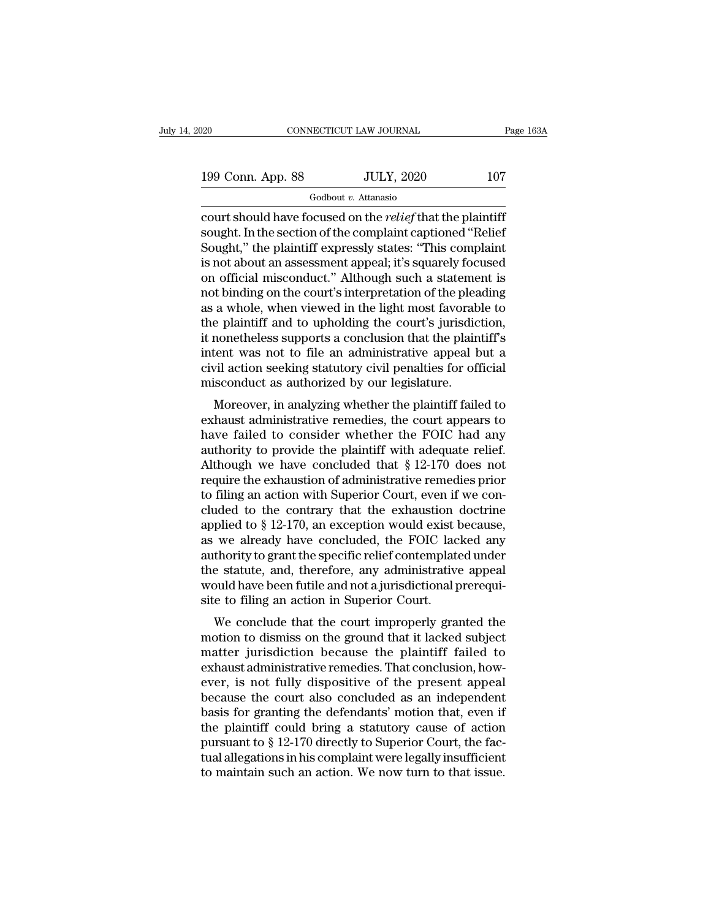| 20                | CONNECTICUT LAW JOURNAL | Page 163A |
|-------------------|-------------------------|-----------|
| 199 Conn. App. 88 | <b>JULY, 2020</b>       | 107       |
|                   | Godbout v. Attanasio    |           |

court should have focused on the *relief* that the plaintiff 199 Conn. App. 88 JULY, 2020 107<br>
Godbout v. Attanasio<br>
court should have focused on the *relief* that the plaintiff<br>
sought. In the section of the complaint captioned "Relief<br>
Sought," the plaintiff expressly states: "Thi 199 Conn. App. 88 JULY, 2020 107<br>
Godbout v. Attanasio<br>
court should have focused on the *relief* that the plaintiff<br>
sought. In the section of the complaint captioned "Relief<br>
Sought," the plaintiff expressly states: "Th 199 Conn. App. 88 JULY, 2020 107<br>
Godbout v. Attanasio<br>
court should have focused on the *relief* that the plaintiff<br>
sought. In the section of the complaint captioned "Relief<br>
Sought," the plaintiff expressly states: "Th  $\frac{1}{1+\mu}$  of  $\frac{1}{1+\mu}$  or  $\frac{1}{1+\mu}$  or  $\frac{1}{1+\mu}$  and  $\frac{1}{1+\mu}$  count should have focused on the *relief* that the plaintiff sought. In the section of the complaint captioned "Relief Sought," the plaintiff expres  $\frac{1}{1000}$  Godbout *v*. Attanasio<br>
court should have focused on the *relief* that the plaintiff<br>
sought. In the section of the complaint captioned "Relief<br>
Sought," the plaintiff expressly states: "This complaint<br>
is no court should have focused on the *relief* that the plaintiff<br>sought. In the section of the complaint captioned "Relief<br>Sought," the plaintiff expressly states: "This complaint<br>is not about an assessment appeal; it's square sought. In the section of the complaint captioned "Relief Sought," the plaintiff expressly states: "This complaint<br>is not about an assessment appeal; it's squarely focused<br>on official misconduct." Although such a statement Sought," the plaintiff expressly states: "This complaint<br>is not about an assessment appeal; it's squarely focused<br>on official misconduct." Although such a statement is<br>not binding on the court's interpretation of the plead is not about an assessment appeal; it's squarely focused<br>on official misconduct." Although such a statement is<br>not binding on the court's interpretation of the pleading<br>as a whole, when viewed in the light most favorable t on official misconduct." Although such a statement is<br>not binding on the court's interpretation of the pleading<br>as a whole, when viewed in the light most favorable to<br>the plaintiff and to upholding the court's jurisdiction not binding on the court's interpretation of the pleads as a whole, when viewed in the light most favorab the plaintiff and to upholding the court's jurisdic it nonetheless supports a conclusion that the plaintient was not a whole, when viewed in the light hlost favorable to<br>e plaintiff and to upholding the court's jurisdiction,<br>nonetheless supports a conclusion that the plaintiff's<br>tent was not to file an administrative appeal but a<br>vil act the plantin and to upholong the court's jurisdiction,<br>it nonetheless supports a conclusion that the plaintiff's<br>intent was not to file an administrative appeal but a<br>civil action seeking statutory civil penalties for offic

have for the an administrative appeal but a<br>civil action seeking statutory civil penalties for official<br>misconduct as authorized by our legislature.<br>Moreover, in analyzing whether the plaintiff failed to<br>exhaust administra ment was not to me an administrative appear but a<br>civil action seeking statutory civil penalties for official<br>misconduct as authorized by our legislature.<br>Moreover, in analyzing whether the plaintiff failed to<br>exhaust adm EVIT action seeking statutory CIVII penalties for official<br>misconduct as authorized by our legislature.<br>Moreover, in analyzing whether the plaintiff failed to<br>exhaust administrative remedies, the court appears to<br>have fail misconduct as authorized by our legislature.<br>
Moreover, in analyzing whether the plaintiff failed to<br>
exhaust administrative remedies, the court appears to<br>
have failed to consider whether the FOIC had any<br>
authority to p Moreover, in analyzing whether the plaintiff failed to<br>exhaust administrative remedies, the court appears to<br>have failed to consider whether the FOIC had any<br>authority to provide the plaintiff with adequate relief.<br>Althou exhaust administrative remedies, the court appears to<br>have failed to consider whether the FOIC had any<br>authority to provide the plaintiff with adequate relief.<br>Although we have concluded that § 12-170 does not<br>require the have failed to consider whether the FOIC had any<br>authority to provide the plaintiff with adequate relief.<br>Although we have concluded that  $\S 12-170$  does not<br>require the exhaustion of administrative remedies prior<br>to fili authority to provide the plaintiff with adequate relief.<br>Although we have concluded that § 12-170 does not<br>require the exhaustion of administrative remedies prior<br>to filing an action with Superior Court, even if we con-<br>cl Although we have concluded that  $\S$  12-170 does not require the exhaustion of administrative remedies prior to filing an action with Superior Court, even if we concluded to the contrary that the exhaustion doctrine applie require the exhaustion of administrative remedies prior<br>to filing an action with Superior Court, even if we con-<br>cluded to the contrary that the exhaustion doctrine<br>applied to § 12-170, an exception would exist because,<br>as to filing an action with Superior Court, even if we concluded to the contrary that the exhaustion doctrine applied to § 12-170, an exception would exist because, as we already have concluded, the FOIC lacked any authority cluded to the contrary that the exhaustion applied to § 12-170, an exception would exist has we already have concluded, the FOIC lace authority to grant the specific relief contemplate the statute, and, therefore, any admi phed to y 12-170, an exception would exist because,<br>we already have concluded, the FOIC lacked any<br>thority to grant the specific relief contemplated under<br>e statute, and, therefore, any administrative appeal<br>build have bee as we aready have concluded, the FOIC lacked any<br>authority to grant the specific relief contemplated under<br>the statute, and, therefore, any administrative appeal<br>would have been futile and not a jurisdictional prerequi-<br>si

authority to grant the specific refler contemplated under<br>the statute, and, therefore, any administrative appeal<br>would have been futile and not a jurisdictional prerequi-<br>site to filing an action in Superior Court.<br>We conc the statue, and, therefore, any administrative appear<br>would have been futile and not a jurisdictional prerequi-<br>site to filing an action in Superior Court.<br>We conclude that the court improperly granted the<br>motion to dismis would have been fullie and not a jurisdictional prerequisite to filing an action in Superior Court.<br>We conclude that the court improperly granted the<br>motion to dismiss on the ground that it lacked subject<br>matter jurisdicti Site to fining an action in superior Court.<br>
We conclude that the court improperly granted the<br>
motion to dismiss on the ground that it lacked subject<br>
matter jurisdiction because the plaintiff failed to<br>
exhaust administr We conclude that the court improperly granted the<br>motion to dismiss on the ground that it lacked subject<br>matter jurisdiction because the plaintiff failed to<br>exhaust administrative remedies. That conclusion, how-<br>ever, is motion to dismiss on the ground that it lacked subject<br>matter jurisdiction because the plaintiff failed to<br>exhaust administrative remedies. That conclusion, how-<br>ever, is not fully dispositive of the present appeal<br>becaus matter jurisdiction because the plaintiff failed to<br>exhaust administrative remedies. That conclusion, how-<br>ever, is not fully dispositive of the present appeal<br>because the court also concluded as an independent<br>basis for g exhaust administrative remedies. That conclusion, how-<br>ever, is not fully dispositive of the present appeal<br>because the court also concluded as an independent<br>basis for granting the defendants' motion that, even if<br>the pla ever, is not fully dispositive of the present appeal<br>because the court also concluded as an independent<br>basis for granting the defendants' motion that, even if<br>the plaintiff could bring a statutory cause of action<br>pursuant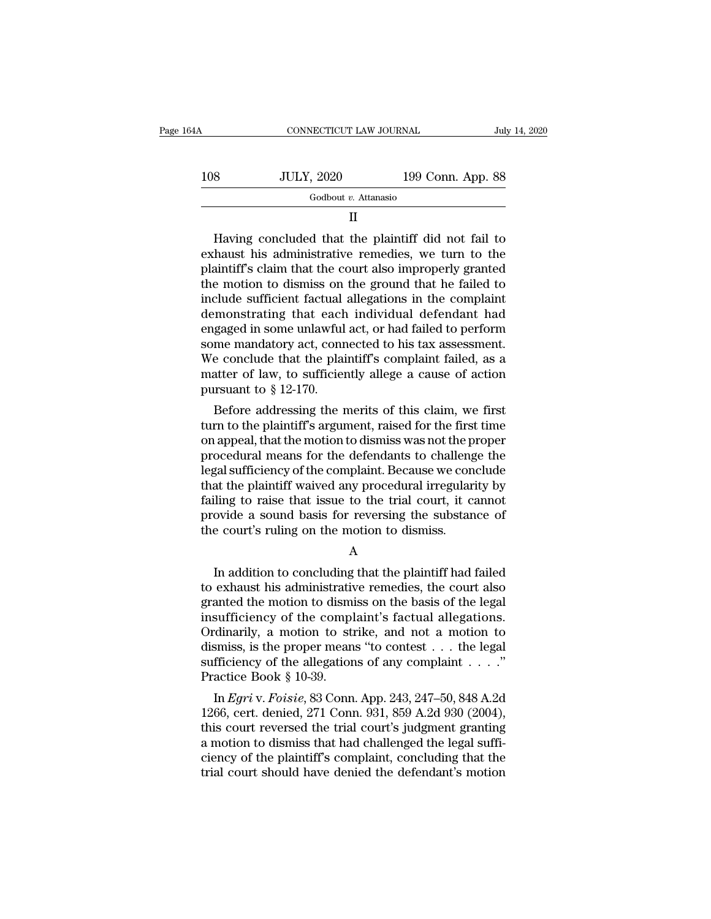| 164A | CONNECTICUT LAW JOURNAL |                   | July 14, 2020 |
|------|-------------------------|-------------------|---------------|
| 108  | <b>JULY, 2020</b>       | 199 Conn. App. 88 |               |
|      | Godbout v. Attanasio    |                   |               |
|      |                         |                   |               |

108 JULY, 2020 199 Conn. App. 88<br>
Godbout v. Attanasio<br>
II<br>
Having concluded that the plaintiff did not fail to<br>
exhaust his administrative remedies, we turn to the<br>
plaintiff's claim that the court also improperly granted 108 JULY, 2020 199 Conn. App. 88<br>  $\frac{1}{\text{Godbout } v. \text{ Attanasio}}$  II<br>
Having concluded that the plaintiff did not fail to<br>
exhaust his administrative remedies, we turn to the<br>
plaintiff's claim that the court also improperly gran  $\begin{array}{c} \hline \text{Godbout } v. \text{ Attanasio} \ \hline \text{II} \end{array}$ <br>  $\begin{array}{c} \text{Having concluded that the plaintiff did not fail to} \text{exhaust his administrative remedies, we turn to the plaintiff's claim that the court alsoright graphed} \text{the motion to dismiss on the ground that he failed to include sufficient factual allegations in the complaint} \text{domonstrating that each individual deformant had} \end{array}$ II<br>
Having concluded that the plaintiff did not fail to<br>
exhaust his administrative remedies, we turn to the<br>
plaintiff's claim that the court also improperly granted<br>
the motion to dismiss on the ground that he failed to<br> Having concluded that the plaintiff did not fail to<br>exhaust his administrative remedies, we turn to the<br>plaintiff's claim that the court also improperly granted<br>the motion to dismiss on the ground that he failed to<br>include Having concluded that the plaintiff did not fail to<br>exhaust his administrative remedies, we turn to the<br>plaintiff's claim that the court also improperly granted<br>the motion to dismiss on the ground that he failed to<br>include exhaust his administrative remedies, we turn to the plaintiff's claim that the court also improperly granted the motion to dismiss on the ground that he failed to include sufficient factual allegations in the complaint dem plaintiff's claim that the court also improperly granted<br>the motion to dismiss on the ground that he failed to<br>include sufficient factual allegations in the complaint<br>demonstrating that each individual defendant had<br>engage the motion to dismiss on the ground that he failed to<br>include sufficient factual allegations in the complaint<br>demonstrating that each individual defendant had<br>engaged in some unlawful act, or had failed to perform<br>some ma include sufficient factual<br>demonstrating that each<br>engaged in some unlawful<br>some mandatory act, conr<br>We conclude that the plai<br>matter of law, to sufficien<br>pursuant to  $\S$  12-170.<br>Before addressing the r monstrating that each mutudual defendant had<br>gaged in some unlawful act, or had failed to perform<br>me mandatory act, connected to his tax assessment.<br>e conclude that the plaintiff's complaint failed, as a<br>atter of law, to s engaged in some uniawful act, or had failed to perform<br>some mandatory act, connected to his tax assessment.<br>We conclude that the plaintiff's complaint failed, as a<br>matter of law, to sufficiently allege a cause of action<br>pu

some mandatory act, connected to fits tax assessment.<br>We conclude that the plaintiff's complaint failed, as a<br>matter of law, to sufficiently allege a cause of action<br>pursuant to  $\S$  12-170.<br>Before addressing the merits of we conclude that the plaintin's complaint raned, as a<br>matter of law, to sufficiently allege a cause of action<br>pursuant to  $\S$  12-170.<br>Before addressing the merits of this claim, we first<br>turn to the plaintiff's argument, matter of taw, to sufficiently anege a cause of action<br>pursuant to § 12-170.<br>Before addressing the merits of this claim, we first<br>turn to the plaintiff's argument, raised for the first time<br>on appeal, that the motion to d pursuant to y 12-170.<br>
Before addressing the merits of this claim, we first<br>
turn to the plaintiff's argument, raised for the first time<br>
on appeal, that the motion to dismiss was not the proper<br>
procedural means for the d Before addressing the merits of this claim, we first<br>turn to the plaintiff's argument, raised for the first time<br>on appeal, that the motion to dismiss was not the proper<br>procedural means for the defendants to challenge the turn to the plaintiff's argument, raised for the first time<br>on appeal, that the motion to dismiss was not the proper<br>procedural means for the defendants to challenge the<br>legal sufficiency of the complaint. Because we concl on appeal, that the motion to dismiss was not the proper<br>procedural means for the defendants to challenge the<br>legal sufficiency of the complaint. Because we conclude<br>that the plaintiff waived any procedural irregularity by In a the plaintiff waived any procedural irregularity by<br>
iling to raise that issue to the trial court, it cannot<br>
ovide a sound basis for reversing the substance of<br>
e court's ruling on the motion to dismiss.<br>
A<br>
In addit

A

failing to raise that issue to the trial court, it cannot<br>provide a sound basis for reversing the substance of<br>the court's ruling on the motion to dismiss.<br>A<br>In addition to concluding that the plaintiff had failed<br>to exhau provide a sound basis for reversing the substance of<br>the court's ruling on the motion to dismiss.<br> $\overline{A}$ <br>In addition to concluding that the plaintiff had failed<br>to exhaust his administrative remedies, the court also<br>gra In addition to concluding that the plaintiff had failed<br>to exhaust his administrative remedies, the court also<br>granted the motion to dismiss on the basis of the legal<br>insufficiency of the complaint's factual allegations.<br>O A<br>
In addition to concluding that the plaintiff had failed<br>
to exhaust his administrative remedies, the court also<br>
granted the motion to dismiss on the basis of the legal<br>
insufficiency of the complaint's factual allegati A<br>In addition to concluding that the plaintiff had failed<br>to exhaust his administrative remedies, the court also<br>granted the motion to dismiss on the basis of the legal<br>insufficiency of the complaint's factual allegations In addition to concluding that the plaintiff had failed<br>to exhaust his administrative remedies, the court also<br>granted the motion to dismiss on the basis of the legal<br>insufficiency of the complaint's factual allegations.<br> to exhaust his administrative<br>granted the motion to disminisufficiency of the compl<br>Ordinarily, a motion to studismiss, is the proper mean<br>sufficiency of the allegatior<br>Practice Book § 10-39.<br>In *Egri* v. *Foisie*, 83 Con anted the motion to dismiss on the basis of the legal<br>sufficiency of the complaint's factual allegations.<br>dinarily, a motion to strike, and not a motion to<br>smiss, is the proper means "to contest . . . the legal<br>fficiency o Insurricency of the complaint s'actual anegations.<br>
Ordinarily, a motion to strike, and not a motion to<br>
dismiss, is the proper means "to contest  $\dots$  the legal<br>
sufficiency of the allegations of any complaint  $\dots$ "<br>
Prac

ordinarity, a motion to strike, and not a motion to<br>dismiss, is the proper means "to contest . . . the legal<br>sufficiency of the allegations of any complaint . . . ."<br>Practice Book § 10-39.<br>In *Egri* v. *Foisie*, 83 Conn. dismiss, is the proper means to contest  $\ldots$  the legal sufficiency of the allegations of any complaint  $\ldots$ ."<br>Practice Book § 10-39.<br>In *Egri* v. *Foisie*, 83 Conn. App. 243, 247–50, 848 A.2d<br>1266, cert. denied, 271 Con sumciency of the allegations of any complaint  $\ldots$ .<br>Practice Book § 10-39.<br>In *Egri* v. *Foisie*, 83 Conn. App. 243, 247–50, 848 A.2d<br>1266, cert. denied, 271 Conn. 931, 859 A.2d 930 (2004),<br>this court reversed the trial Fractice Book § 10-39.<br>In *Egri* v. *Foisie*, 83 Conn. App. 243, 247–50, 848 A.2d<br>1266, cert. denied, 271 Conn. 931, 859 A.2d 930 (2004),<br>this court reversed the trial court's judgment granting<br>a motion to dismiss that had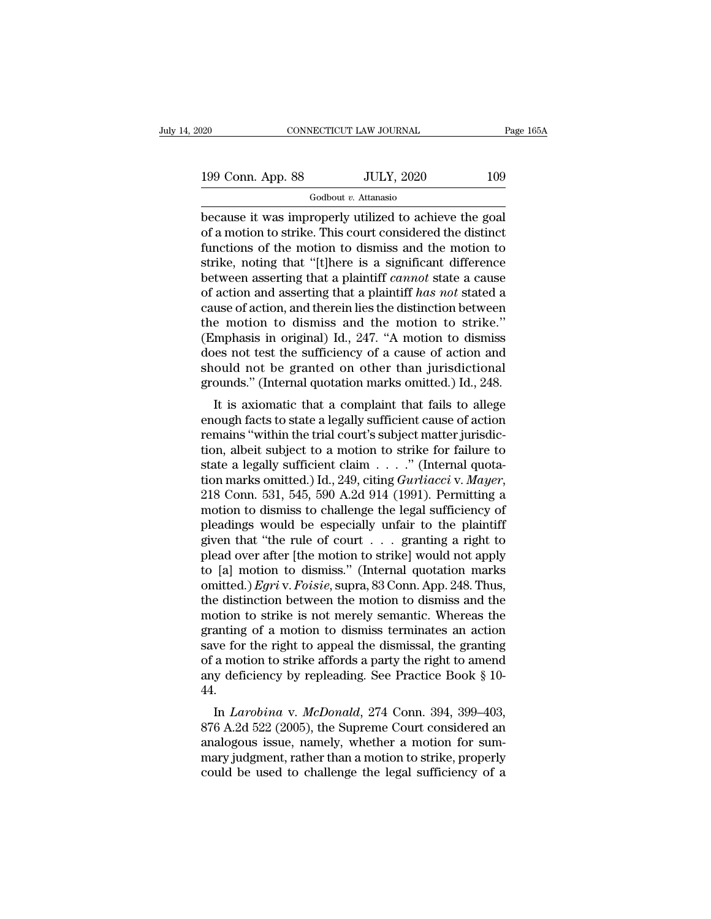199 Conn. App. 88 JULY, 2020 109<br>
Godbout v. Attanasio

Godbout *v.* Attanasio

because it was improperly utilized to achieve the goal<br>of a motion to strike. This court considered the distinct<br>functions of the motion to dismiss and the motion to 199 Conn. App. 88 JULY, 2020 109<br>
Godbout v. Attanasio<br>
because it was improperly utilized to achieve the goal<br>
of a motion to strike. This court considered the distinct<br>
functions of the motion to dismiss and the motion 199 Conn. App. 88 JULY, 2020 109<br>
Godbout v. Attanasio<br>
because it was improperly utilized to achieve the goal<br>
of a motion to strike. This court considered the distinct<br>
functions of the motion to dismiss and the motion 199 Conn. App. 88 JULY, 2020 109<br>
Godbout v. Attanasio<br>
because it was improperly utilized to achieve the goal<br>
of a motion to strike. This court considered the distinct<br>
functions of the motion to dismiss and the motion Godbout *v*. Attanasio<br>because it was improperly utilized to achieve the goal<br>of a motion to strike. This court considered the distinct<br>functions of the motion to dismiss and the motion to<br>strike, noting that "[t]here is a Godbout *v*. Attanasio<br>because it was improperly utilized to achieve the goal<br>of a motion to strike. This court considered the distinct<br>functions of the motion to dismiss and the motion to<br>strike, noting that "[t]here is a because it was improperly utilized to achieve the goal<br>of a motion to strike. This court considered the distinct<br>functions of the motion to dismiss and the motion to<br>strike, noting that "[t]here is a significant differenc of a motion to strike. This court considered the distinct<br>functions of the motion to dismiss and the motion to<br>strike, noting that "[t]here is a significant difference<br>between asserting that a plaintiff *cannot* state a c functions of the motion to dismiss and the motion to strike, noting that "[t]here is a significant difference between asserting that a plaintiff *cannot* state a cause of action and asserting that a plaintiff *has not* st strike, noting that "[t]here is a significant difference<br>between asserting that a plaintiff *cannot* state a cause<br>of action and asserting that a plaintiff *has not* stated a<br>cause of action, and therein lies the distinct between asserting that a plaintiff *cannot* state a cause<br>of action and asserting that a plaintiff *has not* stated a<br>cause of action, and therein lies the distinction between<br>the motion to dismiss and the motion to strike % of action and asserting that a plaintiff has not stated a cause of action, and therein lies the distinction between the motion to dismiss and the motion to strike." (Emphasis in original) Id., 247. "A motion to dismiss deed motion to dismiss and the motion to strike."<br>
mphasis in original) Id., 247. "A motion to dismiss<br>
less not test the sufficiency of a cause of action and<br>
ould not be granted on other than jurisdictional<br>
ounds." (Int the motion to disitiss and the motion to strike.<br>
(Emphasis in original) Id., 247. "A motion to dismiss<br>
does not test the sufficiency of a cause of action and<br>
should not be granted on other than jurisdictional<br>
grounds."

(Eniphasis in originar) id.,  $247$ . A moduli to dishuss<br>does not test the sufficiency of a cause of action and<br>should not be granted on other than jurisdictional<br>grounds." (Internal quotation marks omitted.) Id., 248.<br>It should not be granted on other than jurisdictional<br>should not be granted on other than jurisdictional<br>grounds." (Internal quotation marks omitted.) Id., 248.<br>It is axiomatic that a complaint that fails to allege<br>enough fa should not be granted on other than jurisdictional<br>grounds." (Internal quotation marks omitted.) Id., 248.<br>It is axiomatic that a complaint that fails to allege<br>enough facts to state a legally sufficient cause of action<br>r It is axiomatic that a complaint that fails to allege<br>enough facts to state a legally sufficient cause of action<br>remains "within the trial court's subject matter jurisdic-<br>tion, albeit subject to a motion to strike for fai enough facts to state a legally sufficient cause of action<br>remains "within the trial court's subject matter jurisdic-<br>tion, albeit subject to a motion to strike for failure to<br>state a legally sufficient claim  $\ldots$ ." (Int remains "within the trial court's subject matter jurisdiction, albeit subject to a motion to strike for failure to state a legally sufficient claim  $\ldots$ ." (Internal quotation marks omitted.) Id., 249, citing *Gurliacci* tion, albeit subject to a motion to strike for failure to<br>state a legally sufficient claim . . . ." (Internal quota-<br>tion marks omitted.) Id., 249, citing *Gurliacci* v. *Mayer*,<br>218 Conn. 531, 545, 590 A.2d 914 (1991). P state a legally sufficient claim  $\ldots$  ." (Internal quotation marks omitted.) Id., 249, citing *Gurliacci* v. *Mayer*, 218 Conn. 531, 545, 590 A.2d 914 (1991). Permitting a motion to dismiss to challenge the legal suffici tion marks omitted.) Id., 249, citing *Gurliacci* v. *Mayer*, 218 Conn. 531, 545, 590 A.2d 914 (1991). Permitting a motion to dismiss to challenge the legal sufficiency of pleadings would be especially unfair to the plain 218 Conn. 531, 545, 590 A.2d 914 (1991). Permitting a<br>motion to dismiss to challenge the legal sufficiency of<br>pleadings would be especially unfair to the plaintiff<br>given that "the rule of court . . . granting a right to<br>pl motion to dismiss to challenge the legal sufficiency of<br>pleadings would be especially unfair to the plaintiff<br>given that "the rule of court . . . . granting a right to<br>plead over after [the motion to strike] would not app pleadings would be especially unfair to the plaintiff<br>given that "the rule of court  $\ldots$  eranting a right to<br>plead over after [the motion to strike] would not apply<br>to [a] motion to dismiss." (Internal quotation marks<br>om given that "the rule of court  $\ldots$  granting a right to<br>plead over after [the motion to strike] would not apply<br>to [a] motion to dismiss." (Internal quotation marks<br>omitted.) *Egri* v. *Foisie*, supra, 83 Conn. App. 248. plead over after [the motion to strike] would not apply<br>to [a] motion to dismiss." (Internal quotation marks<br>omitted.) *Egri* v. *Foisie*, supra, 83 Conn. App. 248. Thus,<br>the distinction between the motion to dismiss and t to [a] motion to dismiss." (Internal quotation marks<br>omitted.) *Egri* v. *Foisie*, supra, 83 Conn. App. 248. Thus,<br>the distinction between the motion to dismiss and the<br>motion to strike is not merely semantic. Whereas the omitted.) *Egri* v. *Foisie*, supra, 83 Conn. App. 248. Thus, the distinction between the motion to dismiss and the motion to strike is not merely semantic. Whereas the granting of a motion to dismiss terminates an action 44. But to strike is not interely sentantic. Whereas the<br>anting of a motion to dismiss terminates an action<br>we for the right to appeal the dismissal, the granting<br>a motion to strike affords a party the right to amend<br>y deficie granting of a motion to ushiss terminates an action<br>save for the right to appeal the dismissal, the granting<br>of a motion to strike affords a party the right to amend<br>any deficiency by repleading. See Practice Book § 10-<br>44

save for the right to appear the usinissal, the granting<br>of a motion to strike affords a party the right to amend<br>any deficiency by repleading. See Practice Book § 10-<br>44.<br>In *Larobina* v. *McDonald*, 274 Conn. 394, 399–40 or a motion to strike anotas a party the right to allend<br>any deficiency by repleading. See Practice Book § 10-<br>44.<br>In *Larobina* v. *McDonald*, 274 Conn. 394, 399–403,<br>876 A.2d 522 (2005), the Supreme Court considered an<br> any denciency by repleading. See Tractice Book § 10-44.<br>44. In *Larobina* v. *McDonald*, 274 Conn. 394, 399–403, 876 A.2d 522 (2005), the Supreme Court considered an analogous issue, namely, whether a motion for summary ju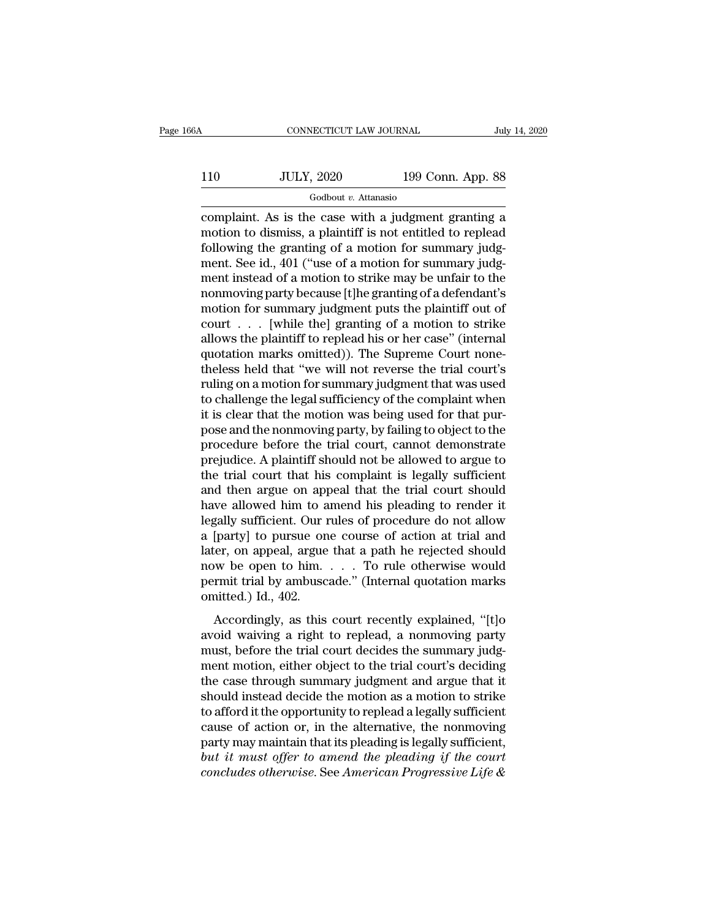## CONNECTICUT LAW JOURNAL July 14, 2020<br>110 JULY, 2020 199 Conn. App. 88<br>Godbout v. Attanasio Godbout *v.* Attanasio

CONNECTICUT LAW JOURNAL July 14, 2020<br>
110 JULY, 2020 199 Conn. App. 88<br>
Godbout v. Attanasio<br>
complaint. As is the case with a judgment granting a<br>
motion to dismiss, a plaintiff is not entitled to replead<br>
following the 110 JULY, 2020 199 Conn. App. 88<br>
Godbout v. Attanasio<br>
complaint. As is the case with a judgment granting a<br>
motion to dismiss, a plaintiff is not entitled to replead<br>
following the granting of a motion for summary judg-<br> 110 JULY, 2020 199 Conn. App. 88<br>  $\frac{6 \text{odbout } v. \text{ Attanasio}}{100 \text{condant.}}$ <br>
complaint. As is the case with a judgment granting a<br>
motion to dismiss, a plaintiff is not entitled to replead<br>
following the granting of a motion for 110 JULY, 2020 199 Conn. App. 88<br>  $\frac{600}{2}$  Godbout *v*. Attanasio<br>
complaint. As is the case with a judgment granting a<br>
motion to dismiss, a plaintiff is not entitled to replead<br>
following the granting of a motion for  $\frac{1}{\text{codbout } v}$ . Attanasio<br>
complaint. As is the case with a judgment granting a<br>
motion to dismiss, a plaintiff is not entitled to replead<br>
following the granting of a motion for summary judg-<br>
ment. See id., 401 ("use Footbout *v*. Attanasio<br>
complaint. As is the case with a judgment granting a<br>
motion to dismiss, a plaintiff is not entitled to replead<br>
following the granting of a motion for summary judg-<br>
ment. See id., 401 ("use of a complaint. As is the case with a judgment granting a<br>motion to dismiss, a plaintiff is not entitled to replead<br>following the granting of a motion for summary judg-<br>ment. See id., 401 ("use of a motion for summary judg-<br>me motion to dismiss, a plaintiff is not entitled to replead<br>following the granting of a motion for summary judg-<br>ment. See id., 401 ("use of a motion for summary judg-<br>ment instead of a motion to strike may be unfair to the following the granting of a motion for summary judgment. See id., 401 ("use of a motion for summary judgment instead of a motion to strike may be unfair to the nonmoving party because [t]he granting of a defendant's motion ment. See id., 401 ("use of a motion for summary judgment instead of a motion to strike may be unfair to the nonmoving party because [t]he granting of a defendant's motion for summary judgment puts the plaintiff out of cou ment instead of a motion to strike may be unfair to the<br>nonmoving party because [t]he granting of a defendant's<br>motion for summary judgment puts the plaintiff out of<br>court . . . [while the] granting of a motion to strike<br>a rulled monomoving party because [t]he granting of a defendant's<br>motion for summary judgment puts the plaintiff out of<br>court  $\ldots$  [while the] granting of a motion to strike<br>allows the plaintiff to replead his or her case" motion for summary judgment puts the plaintiff out of<br>court  $\ldots$  [while the] granting of a motion to strike<br>allows the plaintiff to replead his or her case" (internal<br>quotation marks omitted)). The Supreme Court none-<br>th court . . . [while the] granting of a motion to strike<br>allows the plaintiff to replead his or her case" (internal<br>quotation marks omitted)). The Supreme Court none-<br>theless held that "we will not reverse the trial court's<br> allows the plaintiff to replead his or her case" (internal<br>quotation marks omitted)). The Supreme Court none-<br>theless held that "we will not reverse the trial court's<br>ruling on a motion for summary judgment that was used<br>t quotation marks omitted)). The Supreme Court none-<br>theless held that "we will not reverse the trial court's<br>ruling on a motion for summary judgment that was used<br>to challenge the legal sufficiency of the complaint when<br>it theless held that "we will not reverse the trial court's<br>ruling on a motion for summary judgment that was used<br>to challenge the legal sufficiency of the complaint when<br>it is clear that the motion was being used for that pu ruling on a motion for summary judgment that was used<br>to challenge the legal sufficiency of the complaint when<br>it is clear that the motion was being used for that pur-<br>pose and the nonmoving party, by failing to object to to challenge the legal sufficiency of the complaint when<br>it is clear that the motion was being used for that pur-<br>pose and the nonmoving party, by failing to object to the<br>procedure before the trial court, cannot demonstra it is clear that the motion was being used for that pur-<br>pose and the nonmoving party, by failing to object to the<br>procedure before the trial court, cannot demonstrate<br>prejudice. A plaintiff should not be allowed to argue pose and the nonmoving party, by failing to object to the<br>procedure before the trial court, cannot demonstrate<br>prejudice. A plaintiff should not be allowed to argue to<br>the trial court that his complaint is legally sufficie procedure before the trial court, cannot demonstrate<br>prejudice. A plaintiff should not be allowed to argue to<br>the trial court that his complaint is legally sufficient<br>and then argue on appeal that the trial court should<br>ha prejudice. A plaintiff should not be allowed to argue to<br>the trial court that his complaint is legally sufficient<br>and then argue on appeal that the trial court should<br>have allowed him to amend his pleading to render it<br>leg the trial court that his complaint is legally sufficient<br>and then argue on appeal that the trial court should<br>have allowed him to amend his pleading to render it<br>legally sufficient. Our rules of procedure do not allow<br>a [ and then argue on appeal that the trial court should<br>have allowed him to amend his pleading to render it<br>legally sufficient. Our rules of procedure do not allow<br>a [party] to pursue one course of action at trial and<br>later, have allowed him to a<br>legally sufficient. Our r<br>a [party] to pursue on<br>later, on appeal, argue<br>now be open to him.<br>permit trial by ambusc<br>omitted.) Id., 402.<br>Accordingly, as this [party] to pursue one course of action at trial and<br>
learty] to pursue one course of action at trial and<br>
we be open to him.... To rule otherwise would<br>
rmit trial by ambuscade." (Internal quotation marks<br>
aitted.) Id., 4 a figure) is parsic one coalse of action at and and later, on appeal, argue that a path he rejected should<br>now be open to him. . . . To rule otherwise would<br>permit trial by ambuscade." (Internal quotation marks<br>omitted.)

mow be open to him. . . . To rule otherwise would<br>permit trial by ambuscade." (Internal quotation marks<br>omitted.) Id., 402.<br>Accordingly, as this court recently explained, "[t]o<br>avoid waiving a right to replead, a nonmoving ment trial by ambuscade." (Internal quotation marks<br>permit trial by ambuscade." (Internal quotation marks<br>omitted.) Id., 402.<br>Accordingly, as this court recently explained, "[t]o<br>avoid waiving a right to replead, a nonmovi omitted.) Id., 402.<br>
Accordingly, as this court recently explained, "[t]o<br>
avoid waiving a right to replead, a nonmoving party<br>
must, before the trial court decides the summary judg-<br>
ment motion, either object to the tria shaked, as this court recently explained, "[t]o<br>avoid waiving a right to replead, a nonmoving party<br>must, before the trial court decides the summary judg-<br>ment motion, either object to the trial court's deciding<br>the case t Accordingly, as this court recently explained, "[t]o<br>avoid waiving a right to replead, a nonmoving party<br>must, before the trial court decides the summary judg-<br>ment motion, either object to the trial court's deciding<br>the c avoid waiving a right to replead, a nonmoving party<br>must, before the trial court decides the summary judg-<br>ment motion, either object to the trial court's deciding<br>the case through summary judgment and argue that it<br>should must, before the trial court decides the summary judgment motion, either object to the trial court's deciding<br>the case through summary judgment and argue that it<br>should instead decide the motion as a motion to strike<br>to a ment motion, either object to the trial court's deciding<br>the case through summary judgment and argue that it<br>should instead decide the motion as a motion to strike<br>to afford it the opportunity to replead a legally sufficie the case through summary judgment and argue that it should instead decide the motion as a motion to strike to afford it the opportunity to replead a legally sufficient cause of action or, in the alternative, the nonmoving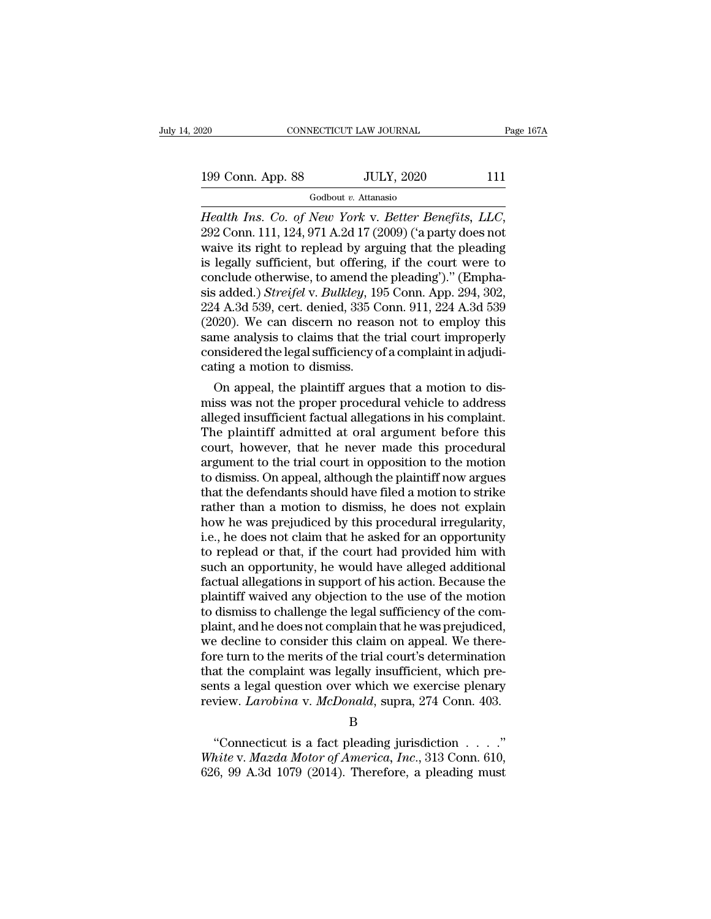# 199 Conn. App. 88 JULY, 2020 111

Godbout *v.* Attanasio

*Health Ins. Co. of New York v. Better Benefits, LLC*, 292 Conn. 111, 124, 971 A.2d 17 (2009) ('a party does not waive its right to replead by arguing that the pleading is logally sufficient but offering if the court were 199 Conn. App. 88 JULY, 2020 111<br>
Godbout v. Attanasio<br>
Health Ins. Co. of New York v. Better Benefits, LLC,<br>
292 Conn. 111, 124, 971 A.2d 17 (2009) ('a party does not<br>
waive its right to replead by arguing that the plead 199 Conn. App. 88 JULY, 2020 111<br>
Godbout v. Attanasio<br>
Health Ins. Co. of New York v. Better Benefits, LLC,<br>
292 Conn. 111, 124, 971 A.2d 17 (2009) ('a party does not<br>
waive its right to replead by arguing that the plead Godbout v. Attanasio<br>
Health Ins. Co. of New York v. Better Benefits, LLC,<br>
292 Conn. 111, 124, 971 A.2d 17 (2009) ('a party does not<br>
waive its right to replead by arguing that the pleading<br>
is legally sufficient, but of Godbout v. Attanasio<br> *Health Ins. Co. of New York v. Better Benefits, LLC,*<br>
292 Conn. 111, 124, 971 A.2d 17 (2009) ('a party does not<br>
waive its right to replead by arguing that the pleading<br>
is legally sufficient, but o Health Ins. Co. of New York v. Better Benefits, LLC,<br>292 Conn. 111, 124, 971 A.2d 17 (2009) ('a party does not<br>waive its right to replead by arguing that the pleading<br>is legally sufficient, but offering, if the court were 292 Conn. 111, 124, 971 A.2d 17 (2009) ('a party does not<br>waive its right to replead by arguing that the pleading<br>is legally sufficient, but offering, if the court were to<br>conclude otherwise, to amend the pleading')." (Em waive its right to replead by arguing that the pleading<br>is legally sufficient, but offering, if the court were to<br>conclude otherwise, to amend the pleading')." (Empha-<br>sis added.) *Streifel* v. *Bulkley*, 195 Conn. App. 29 is legally sufficient, but offering, if the court were to conclude otherwise, to amend the pleading')." (Emphasis added.) *Streifel* v. *Bulkley*, 195 Conn. App. 294, 302, 224 A.3d 539, cert. denied, 335 Conn. 911, 224 A.3 conclude otherwise, to amend th<br>sis added.) Streifel v. Bulkley, 19<br>224 A.3d 539, cert. denied, 335 C<br>(2020). We can discern no rease<br>same analysis to claims that the<br>considered the legal sufficiency o<br>cating a motion to d Sadded.) Stretjet V. Butkley, 195 Conn. App. 294, 302, 4 A.3d 539, cert. denied, 335 Conn. 911, 224 A.3d 539 020). We can discern no reason not to employ this me analysis to claims that the trial court improperly msidered 224 A.3d 539, cert. denied, 335 Conn. 911, 224 A.3d 539<br>(2020). We can discern no reason not to employ this<br>same analysis to claims that the trial court improperly<br>considered the legal sufficiency of a complaint in adjudi

(2020). We can discern no reason not to employ this<br>same analysis to claims that the trial court improperly<br>considered the legal sufficiency of a complaint in adjudi-<br>cating a motion to dismiss.<br>On appeal, the plaintiff ar same analysis to claims that the trial court improperly<br>considered the legal sufficiency of a complaint in adjudi-<br>cating a motion to dismiss.<br>On appeal, the plaintiff argues that a motion to dis-<br>miss was not the proper p considered the legal sumclency of a complaint in adjudicating a motion to dismiss.<br>On appeal, the plaintiff argues that a motion to dismiss was not the proper procedural vehicle to address<br>alleged insufficient factual alle cating a motion to dismiss.<br>
On appeal, the plaintiff argues that a motion to dismiss was not the proper procedural vehicle to address<br>
alleged insufficient factual allegations in his complaint.<br>
The plaintiff admitted at On appeal, the plaintiff argues that a motion to dismiss was not the proper procedural vehicle to address<br>alleged insufficient factual allegations in his complaint.<br>The plaintiff admitted at oral argument before this<br>court miss was not the proper procedural vehicle to address<br>alleged insufficient factual allegations in his complaint.<br>The plaintiff admitted at oral argument before this<br>court, however, that he never made this procedural<br>argume alleged insufficient factual allegations in his complaint.<br>The plaintiff admitted at oral argument before this<br>court, however, that he never made this procedural<br>argument to the trial court in opposition to the motion<br>to d The plaintiff admitted at oral argument before this<br>court, however, that he never made this procedural<br>argument to the trial court in opposition to the motion<br>to dismiss. On appeal, although the plaintiff now argues<br>that t court, however, that he never made this procedural<br>argument to the trial court in opposition to the motion<br>to dismiss. On appeal, although the plaintiff now argues<br>that the defendants should have filed a motion to strike<br>r argument to the trial court in opposition to the motion<br>to dismiss. On appeal, although the plaintiff now argues<br>that the defendants should have filed a motion to strike<br>rather than a motion to dismiss, he does not explain to dismiss. On appeal, although the plaintiff now argues<br>that the defendants should have filed a motion to strike<br>rather than a motion to dismiss, he does not explain<br>how he was prejudiced by this procedural irregularity,<br> that the defendants should have filed a motion to strike<br>rather than a motion to dismiss, he does not explain<br>how he was prejudiced by this procedural irregularity,<br>i.e., he does not claim that he asked for an opportunity<br> rather than a motion to dismiss, he does not explain<br>how he was prejudiced by this procedural irregularity,<br>i.e., he does not claim that he asked for an opportunity<br>to replead or that, if the court had provided him with<br>su how he was prejudiced by this procedural irregularity,<br>i.e., he does not claim that he asked for an opportunity<br>to replead or that, if the court had provided him with<br>such an opportunity, he would have alleged additional<br>f i.e., he does not claim that he asked for an opportunity<br>to replead or that, if the court had provided him with<br>such an opportunity, he would have alleged additional<br>factual allegations in support of his action. Because th to replead or that, if the court had provided him with<br>such an opportunity, he would have alleged additional<br>factual allegations in support of his action. Because the<br>plaintiff waived any objection to the use of the motion such an opportunity, he would have alleged additional<br>factual allegations in support of his action. Because the<br>plaintiff waived any objection to the use of the motion<br>to dismiss to challenge the legal sufficiency of the c factual allegations in support of his action. Because the plaintiff waived any objection to the use of the motion to dismiss to challenge the legal sufficiency of the complaint, and he does not complain that he was prejud plaintiff waived any objection to the use of the motion<br>to dismiss to challenge the legal sufficiency of the com-<br>plaint, and he does not complain that he was prejudiced,<br>we decline to consider this claim on appeal. We the to dismiss to challenge the legal sufficiency of the complaint, and he does not complain that he was prejudiced, we decline to consider this claim on appeal. We therefore turn to the merits of the trial court's determinati The term to the merits of the trial court's determination<br>
at the complaint was legally insufficient, which pre-<br>
a legal question over which we exercise plenary<br>
view. *Larobina* v. *McDonald*, supra, 274 Conn. 403.<br>
B<br>
" *White* that the complaint was legally insufficient, which presents a legal question over which we exercise plenary review. *Larobina* v. *McDonald*, supra, 274 Conn. 403.<br>B<br>
"Connecticut is a fact pleading jurisdiction .

B

sents a legal question over which we exercise plenary<br>review. *Larobina* v. *McDonald*, supra, 274 Conn. 403.<br>B<br>"Connecticut is a fact pleading jurisdiction . . . ."<br>White v. *Mazda Motor of America*, *Inc.*, 313 Conn. 610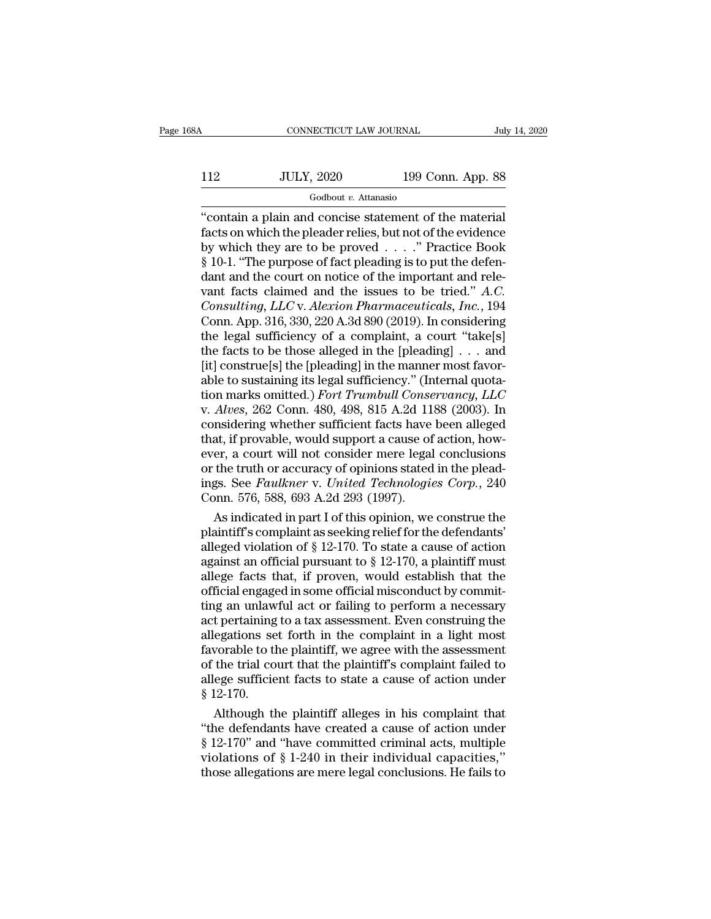## CONNECTICUT LAW JOURNAL July 14, 2020<br>112 JULY, 2020 199 Conn. App. 88<br>Godbout v. Attanasio Godbout *v.* Attanasio

### ''contain a plain and concise statement of the material 112 JULY, 2020 199 Conn. App. 88<br>
Godbout v. Attanasio<br>
"contain a plain and concise statement of the material<br>
facts on which the pleader relies, but not of the evidence<br>
by which they are to be proved . . . ." Practice B  $\frac{112}{\text{JULY, }2020}$  199 Conn. App. 88<br>  $\frac{112}{\text{codbout } v. \text{ Attanasio}}$ <br>
"contain a plain and concise statement of the material facts on which the pleader relies, but not of the evidence by which they are to be proved . . . 112 JULY, 2020 199 Conn. App. 88<br>  $\frac{6 \text{odd} + v \cdot \text{Attanasio}}{3}$ <br>
"contain a plain and concise statement of the material facts on which the pleader relies, but not of the evidence<br>
by which they are to be proved . . . . " Pra  $\frac{1}{100}$   $\frac{1}{100}$   $\frac{1}{100}$   $\frac{1}{100}$   $\frac{1}{100}$   $\frac{1}{100}$   $\frac{1}{100}$   $\frac{1}{100}$   $\frac{1}{100}$   $\frac{1}{100}$   $\frac{1}{100}$   $\frac{1}{100}$   $\frac{1}{100}$   $\frac{1}{100}$   $\frac{1}{100}$   $\frac{1}{100}$   $\frac{1}{100}$   $\frac{1}{100}$   $\frac{1$ Godbout *v*. Attanasio<br>
"contain a plain and concise statement of the material<br>
facts on which the pleader relies, but not of the evidence<br>
by which they are to be proved  $\ldots$ ." Practice Book<br>
§ 10-1. "The purpose of fac "contain a plain and concise statement of the material facts on which the pleader relies, but not of the evidence<br>by which they are to be proved . . . . " Practice Book<br>§ 10-1. "The purpose of fact pleading is to put the d facts on which the pleader relies, but not of the evidence<br>by which they are to be proved . . . . " Practice Book<br>§ 10-1. "The purpose of fact pleading is to put the defen-<br>dant and the court on notice of the important an by which they are to be proved . . . . " Practice Book § 10-1. "The purpose of fact pleading is to put the defendant and the court on notice of the important and relevant facts claimed and the issues to be tried."  $A.C.$  C § 10-1. "The purpose of fact pleading is to put the defendant and the court on notice of the important and relevant facts claimed and the issues to be tried." *A.C.* Consulting, LLC v. *Alexion Pharmaceuticals*, Inc., 194 dant and the court on notice of the important and relevant facts claimed and the issues to be tried." A.C.<br>Consulting, LLC v. Alexion Pharmaceuticals, Inc., 194<br>Conn. App. 316, 330, 220 A.3d 890 (2019). In considering<br>the vant facts claimed and the issues to be tried." A.C.<br>Consulting, LLC v. Alexion Pharmaceuticals, Inc., 194<br>Conn. App. 316, 330, 220 A.3d 890 (2019). In considering<br>the legal sufficiency of a complaint, a court "take[s]<br>th Consulting, LLC v. Alexion Pharmaceuticals, Inc., 194<br>Conn. App. 316, 330, 220 A.3d 890 (2019). In considering<br>the legal sufficiency of a complaint, a court "take[s]<br>the facts to be those alleged in the [pleading] . . . an Conn. App. 316, 330, 220 A.3d 890 (2019). In considering<br>the legal sufficiency of a complaint, a court "take[s]<br>the facts to be those alleged in the [pleading] . . . and<br>[it] construe[s] the [pleading] in the manner most f the legal sufficiency of a complaint, a court "take[s]<br>the facts to be those alleged in the [pleading]  $\ldots$  and<br>[it] construe[s] the [pleading] in the manner most favor-<br>able to sustaining its legal sufficiency." (Intern the facts to be those alleged in the [pleading]  $\ldots$  and [it] construe[s] the [pleading] in the manner most favorable to sustaining its legal sufficiency." (Internal quotation marks omitted.) *Fort Trumbull Conservancy*, [it] construe[s] the [pleading] in the manner most favorable to sustaining its legal sufficiency." (Internal quotation marks omitted.) *Fort Trumbull Conservancy, LLC* v. *Alves*, 262 Conn. 480, 498, 815 A.2d 1188 (2003). able to sustaining its legal sufficiency." (Internal quotation marks omitted.) *Fort Trumbull Conservancy*, *LLC* v. *Alves*, 262 Conn. 480, 498, 815 A.2d 1188 (2003). In considering whether sufficient facts have been alle tion marks omitted.) Fort Trumbull Conservancy, LLC<br>v. Alves, 262 Conn. 480, 498, 815 A.2d 1188 (2003). In<br>considering whether sufficient facts have been alleged<br>that, if provable, would support a cause of action, how-<br>eve v. Alves, 262 Conn. 480, 498, 815 A.2d 11<br>considering whether sufficient facts have<br>that, if provable, would support a cause of<br>ever, a court will not consider mere legal<br>or the truth or accuracy of opinions stated<br>ings. S nsidering whether sufficient facts have been alleged<br>at, if provable, would support a cause of action, how-<br>er, a court will not consider mere legal conclusions<br>the truth or accuracy of opinions stated in the plead-<br>gs. Se that, if provable, would support a cause of action, how-<br>ever, a court will not consider mere legal conclusions<br>or the truth or accuracy of opinions stated in the plead-<br>ings. See *Faulkner* v. United Technologies Corp.,

ever, a court will not consider mere legal conclusions<br>or the truth or accuracy of opinions stated in the plead-<br>ings. See *Faulkner* v. *United Technologies Corp.*, 240<br>Conn. 576, 588, 693 A.2d 293 (1997).<br>As indicated i or the truth or accuracy of opinions stated in the pleadings. See *Faulkner v. United Technologies Corp.*, 240 Conn. 576, 588, 693 A.2d 293 (1997).<br>As indicated in part I of this opinion, we construe the plaintiff's compl ings. See Faulkner v. United Technologies Corp., 240<br>Conn. 576, 588, 693 A.2d 293 (1997).<br>As indicated in part I of this opinion, we construe the<br>plaintiff's complaint as seeking relief for the defendants'<br>alleged violati Conn. 576, 588, 693 A.2d 293 (1997).<br>
As indicated in part I of this opinion, we construe the<br>
plaintiff's complaint as seeking relief for the defendants'<br>
alleged violation of § 12-170. To state a cause of action<br>
agains As indicated in part I of this opinion, we construe the plaintiff's complaint as seeking relief for the defendants' alleged violation of  $\S 12-170$ . To state a cause of action against an official pursuant to  $\S 12-170$ , a plaintiff's complaint as seeking relief for the defendants'<br>alleged violation of § 12-170. To state a cause of action<br>against an official pursuant to § 12-170, a plaintiff must<br>allege facts that, if proven, would establish alleged violation of  $\S$  12-170. To state a cause of action<br>against an official pursuant to  $\S$  12-170, a plaintiff must<br>allege facts that, if proven, would establish that the<br>official engaged in some official misconduct against an official pursuant to  $\S$  12-170, a plaintiff must<br>allege facts that, if proven, would establish that the<br>official engaged in some official misconduct by commit-<br>ting an unlawful act or failing to perform a nece allege facts that, if proven, would establish that the official engaged in some official misconduct by commit-<br>ting an unlawful act or failing to perform a necessary<br>act pertaining to a tax assessment. Even construing the<br> official engaged in some official misconduct by commit-<br>ting an unlawful act or failing to perform a necessary<br>act pertaining to a tax assessment. Even construing the<br>allegations set forth in the complaint in a light most<br> ting an unlaw<br>act pertaining<br>allegations se<br>favorable to tl<br>of the trial co<br>allege sufficie<br>§ 12-170.<br>Although tl t pertaining to a tax assessment. Even construing the<br>egations set forth in the complaint in a light most<br>vorable to the plaintiff, we agree with the assessment<br>the trial court that the plaintiff's complaint failed to<br>ege allegations set forth in the complaint in a light most<br>favorable to the plaintiff, we agree with the assessment<br>of the trial court that the plaintiff's complaint failed to<br>allege sufficient facts to state a cause of action

favorable to the plaintiff, we agree with the assessment<br>of the trial court that the plaintiff's complaint failed to<br>allege sufficient facts to state a cause of action under<br> $§$  12-170.<br>Although the plaintiff alleges in h of the trial court that the plaintiff's complaint failed to<br>allege sufficient facts to state a cause of action under<br> $§$  12-170.<br>Although the plaintiff alleges in his complaint that<br>"the defendants have created a cause of allege sufficient facts to state a cause of action under  $\S$  12-170.<br>Although the plaintiff alleges in his complaint that "the defendants have created a cause of action under  $\S$  12-170" and "have committed criminal acts,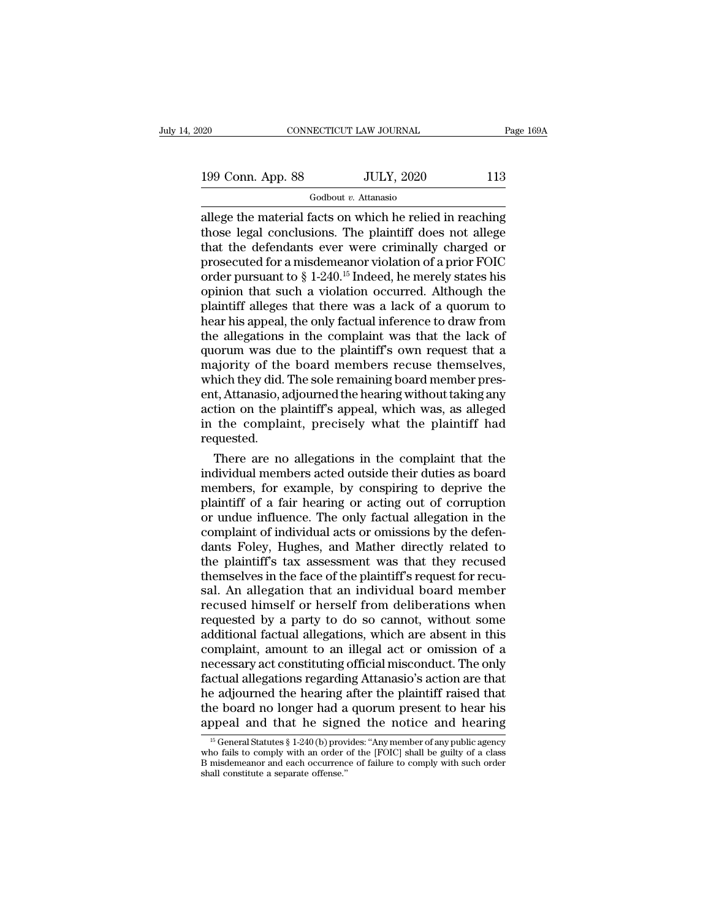Godbout *v.* Attanasio

 $\begin{array}{|l|l|} \hline \text{199 Conn. App. 88} \hline \text{JULY, 2020} \hline \text{113} \hline \text{Godbout } v. \text{ Attanasio} \hline \text{1139} \hline \text{Godbout } v. \text{ Attanasio} \hline \text{1139} \hline \text{1200} \hline \text{130} \hline \text{1310} \hline \text{1410} \hline \text{15110} \hline \text{16111} \hline \text{17111} \hline \text{17111} \hline \text{18111} \$ 199 Conn. App. 88 JULY, 2020 113<br>
Godbout v. Attanasio<br>
allege the material facts on which he relied in reaching<br>
those legal conclusions. The plaintiff does not allege<br>
that the defendants ever were criminally charged or<br> 199 Conn. App. 88 JULY, 2020 113<br>
Godbout v. Attanasio<br>
allege the material facts on which he relied in reaching<br>
those legal conclusions. The plaintiff does not allege<br>
that the defendants ever were criminally charged or 199 Conn. App. 88 JULY, 2020 113<br>
Godbout *v*. Attanasio<br>
allege the material facts on which he relied in reaching<br>
those legal conclusions. The plaintiff does not allege<br>
that the defendants ever were criminally charged Godbout *v.* Attanasio<br>
allege the material facts on which he relied in reaching<br>
those legal conclusions. The plaintiff does not allege<br>
that the defendants ever were criminally charged or<br>
prosecuted for a misdemeanor v Godbout *v*. Attanasio<br>
allege the material facts on which he relied in reaching<br>
those legal conclusions. The plaintiff does not allege<br>
that the defendants ever were criminally charged or<br>
prosecuted for a misdemeanor v allege the material facts on which he relied in reaching<br>those legal conclusions. The plaintiff does not allege<br>that the defendants ever were criminally charged or<br>prosecuted for a misdemeanor violation of a prior FOIC<br>ord those legal conclusions. The plaintiff does not allege<br>that the defendants ever were criminally charged or<br>prosecuted for a misdemeanor violation of a prior FOIC<br>order pursuant to  $\S 1{\text -}240.^{15}$  Indeed, he merely state that the defendants ever were criminally charged or<br>prosecuted for a misdemeanor violation of a prior FOIC<br>order pursuant to  $\S 1{\text -}240.^{15}$  Indeed, he merely states his<br>opinion that such a violation occurred. Although prosecuted for a misdemeanor violation of a prior FOIC<br>order pursuant to  $\S$  1-240.<sup>15</sup> Indeed, he merely states his<br>opinion that such a violation occurred. Although the<br>plaintiff alleges that there was a lack of a quorum order pursuant to  $\S 1-240$ .<sup>15</sup> Indeed, he merely states his<br>opinion that such a violation occurred. Although the<br>plaintiff alleges that there was a lack of a quorum to<br>hear his appeal, the only factual inference to draw opinion that such a violation occurred. Although the plaintiff alleges that there was a lack of a quorum to hear his appeal, the only factual inference to draw from the allegations in the complaint was that the lack of quo plaintiff alleges that there was a lack of a quorum to<br>hear his appeal, the only factual inference to draw from<br>the allegations in the complaint was that the lack of<br>quorum was due to the plaintiff's own request that a<br>maj hear his appeal, the only factual inference to draw from<br>the allegations in the complaint was that the lack of<br>quorum was due to the plaintiff's own request that a<br>majority of the board members recuse themselves,<br>which the the allegations in the complaint was that the lack of<br>quorum was due to the plaintiff's own request that a<br>majority of the board members recuse themselves,<br>which they did. The sole remaining board member pres-<br>ent, Attanas requested. ajority of the board members recuse themselves,<br>nich they did. The sole remaining board member pres-<br>t, Attanasio, adjourned the hearing without taking any<br>tion on the plaintiff's appeal, which was, as alleged<br>the complain which they did. The sole remaining board member present, Attanasio, adjourned the hearing without taking any<br>action on the plaintiff's appeal, which was, as alleged<br>in the complaint, precisely what the plaintiff had<br>reques

ent, Attanasio, adjourned the hearing without taking any<br>action on the plaintiff's appeal, which was, as alleged<br>in the complaint, precisely what the plaintiff had<br>requested.<br>There are no allegations in the complaint that action on the plaintiff's appeal, which was, as alleged<br>in the complaint, precisely what the plaintiff had<br>requested.<br>There are no allegations in the complaint that the<br>individual members acted outside their duties as boar in the complaint, precisely what the plaintiff had<br>requested.<br>There are no allegations in the complaint that the<br>individual members acted outside their duties as board<br>members, for example, by conspiring to deprive the<br>pla requested.<br>There are no allegations in the complaint that the<br>individual members acted outside their duties as board<br>members, for example, by conspiring to deprive the<br>plaintiff of a fair hearing or acting out of corruptio There are no allegations in the complaint that the<br>individual members acted outside their duties as board<br>members, for example, by conspiring to deprive the<br>plaintiff of a fair hearing or acting out of corruption<br>or undue individual members acted outside their duties as board<br>members, for example, by conspiring to deprive the<br>plaintiff of a fair hearing or acting out of corruption<br>or undue influence. The only factual allegation in the<br>compl members, for example, by conspiring to deprive the plaintiff of a fair hearing or acting out of corruption or undue influence. The only factual allegation in the complaint of individual acts or omissions by the defendants plaintiff of a fair hearing or acting out of corruption<br>or undue influence. The only factual allegation in the<br>complaint of individual acts or omissions by the defen-<br>dants Foley, Hughes, and Mather directly related to<br>the or undue influence. The only factual allegation in the complaint of individual acts or omissions by the defendants Foley, Hughes, and Mather directly related to the plaintiff's tax assessment was that they recused themselv complaint of individual acts or omissions by the defendants Foley, Hughes, and Mather directly related to the plaintiff's tax assessment was that they recused themselves in the face of the plaintiff's request for recusal. dants Foley, Hughes, and Mather directly related to<br>the plaintiff's tax assessment was that they recused<br>themselves in the face of the plaintiff's request for recu-<br>sal. An allegation that an individual board member<br>recuse the plaintiff's tax assessment was that they recused<br>themselves in the face of the plaintiff's request for recu-<br>sal. An allegation that an individual board member<br>recused himself or herself from deliberations when<br>request themselves in the face of the plaintiff's request for recusal. An allegation that an individual board member<br>recused himself or herself from deliberations when<br>requested by a party to do so cannot, without some<br>additional sal. An allegation that an individual board member<br>recused himself or herself from deliberations when<br>requested by a party to do so cannot, without some<br>additional factual allegations, which are absent in this<br>complaint, a recused himself or herself from deliberations when<br>requested by a party to do so cannot, without some<br>additional factual allegations, which are absent in this<br>complaint, amount to an illegal act or omission of a<br>necessary requested by a party to do so cannot, without some<br>additional factual allegations, which are absent in this<br>complaint, amount to an illegal act or omission of a<br>necessary act constituting official misconduct. The only<br>fact additional factual allegations, which are absent in this<br>complaint, amount to an illegal act or omission of a<br>necessary act constituting official misconduct. The only<br>factual allegations regarding Attanasio's action are t netual allegations regarding Attanasio's action are that<br>e adjourned the hearing after the plaintiff raised that<br>e board no longer had a quorum present to hear his<br>ppeal and that he signed the notice and hearing<br> $\frac{15}{6}$ Whe adjourned the hearing after the plaintiff raised that<br>the adjourned the hearing after the plaintiff raised that<br>the board no longer had a quorum present to hear his<br>appeal and that he signed the notice and hearing<br> $\frac$ 

The adjourned the hearing after the plaintiff raised that<br>the board no longer had a quorum present to hear his<br>appeal and that he signed the notice and hearing<br><sup>15</sup> General Statutes § 1-240 (b) provides: "Any member of any the board no longer had a<br>appeal and that he signeral statutes  $\S 1-240$  (b) prov<br>who fails to comply with an order of<br>B misdemeanor and each occurrence<br>shall constitute a separate offense."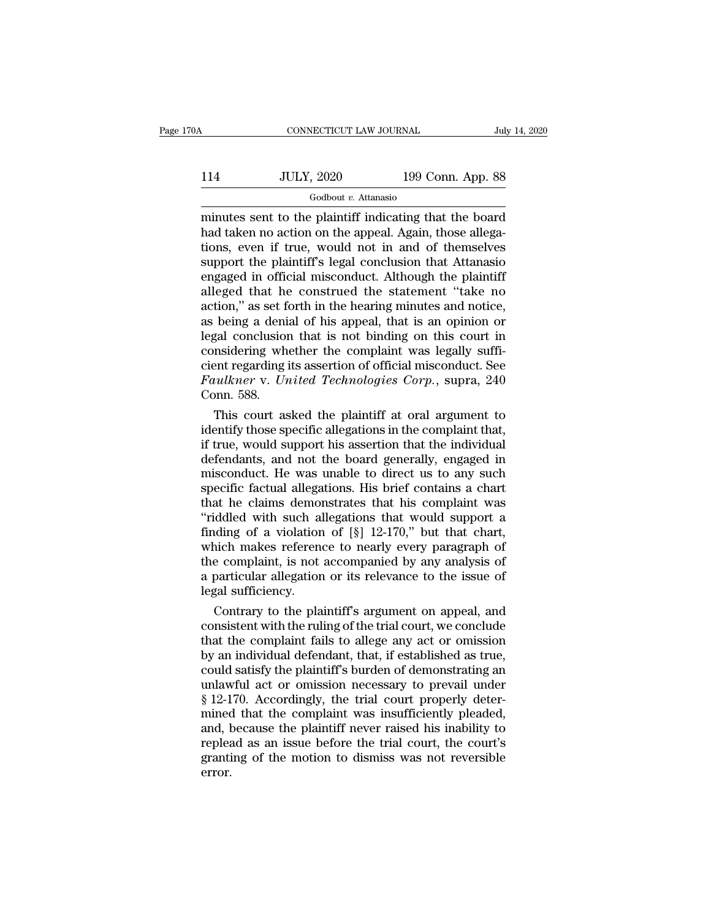# CONNECTICUT LAW JOURNAL July 14, 2020<br>114 JULY, 2020 199 Conn. App. 88<br>Godbout v. Attanasio

Godbout *v.* Attanasio

minutes sent to the plaintiff indicating that the board  $\frac{114}{\text{JULY, }2020}$  199 Conn. App. 88<br>  $\frac{600\text{bout } v.$  Attanasio<br>
minutes sent to the plaintiff indicating that the board<br>
had taken no action on the appeal. Again, those allega-<br>
tions, even if true, would not in and  $114$  JULY, 2020 199 Conn. App. 88<br>  $\frac{114}{\text{codbout } v. \text{ Attanasio}}$ <br>
minutes sent to the plaintiff indicating that the board<br>
had taken no action on the appeal. Again, those allega-<br>
tions, even if true, would not in and of th  $\frac{\text{JULY, 2020}}{\text{Godbout } v. \text{ Attanasio}}$ <br>
minutes sent to the plaintiff indicating that the board<br>
had taken no action on the appeal. Again, those allega-<br>
tions, even if true, would not in and of themselves<br>
support the plaint For Solar, 2020<br>
For Solar, 1pp. 00<br>
minutes sent to the plaintiff indicating that the board<br>
had taken no action on the appeal. Again, those allega-<br>
tions, even if true, would not in and of themselves<br>
support the plain Godbout v. Attanasio<br>
minutes sent to the plaintiff indicating that the board<br>
had taken no action on the appeal. Again, those allega-<br>
tions, even if true, would not in and of themselves<br>
support the plaintiff's legal co minutes sent to the plaintiff indicating that the board<br>had taken no action on the appeal. Again, those allega-<br>tions, even if true, would not in and of themselves<br>support the plaintiff's legal conclusion that Attanasio<br>en had taken no action on the appeal. Again, those allegations, even if true, would not in and of themselves<br>support the plaintiff's legal conclusion that Attanasio<br>engaged in official misconduct. Although the plaintiff<br>alleg tions, even if true, would not in and of themselves<br>support the plaintiff's legal conclusion that Attanasio<br>engaged in official misconduct. Although the plaintiff<br>alleged that he construed the statement "take no<br>action," a support the plaintiff's legal conclusion that Attanasio<br>engaged in official misconduct. Although the plaintiff<br>alleged that he construed the statement "take no<br>action," as set forth in the hearing minutes and notice,<br>as b engaged in official misconduct. Although the plaintiff<br>alleged that he construed the statement "take no<br>action," as set forth in the hearing minutes and notice,<br>as being a denial of his appeal, that is an opinion or<br>legal alleged that he construed the statement "take no<br>action," as set forth in the hearing minutes and notice,<br>as being a denial of his appeal, that is an opinion or<br>legal conclusion that is not binding on this court in<br>conside action," as set f<br>as being a deni<br>legal conclusion<br>considering wh<br>cient regarding<br>*Faulkner* v. Ur<br>Conn. 588.<br>This court as being a denial of his appeal, that is an opinion or<br>gal conclusion that is not binding on this court in<br>msidering whether the complaint was legally suffi-<br>ent regarding its assertion of official misconduct. See<br>*uulkner* v legal conclusion that is not binding on this court in<br>considering whether the complaint was legally suffi-<br>cient regarding its assertion of official misconduct. See<br>Faulkner v. United Technologies Corp., supra, 240<br>Conn. 5

considering whether the complaint was legally suffi-<br>cient regarding its assertion of official misconduct. See<br>Faulkner v. United Technologies Corp., supra, 240<br>Conn. 588.<br>This court asked the plaintiff at oral argument to cient regarding its assertion of official misconduct. See<br>Faulkner v. United Technologies Corp., supra, 240<br>Conn. 588.<br>This court asked the plaintiff at oral argument to<br>identify those specific allegations in the complaint Faulkner v. United Technologies Corp., supra, 240<br>Conn. 588.<br>This court asked the plaintiff at oral argument to<br>identify those specific allegations in the complaint that,<br>if true, would support his assertion that the indiv Conn. 588.<br>This court asked the plaintiff at oral argument to<br>identify those specific allegations in the complaint that,<br>if true, would support his assertion that the individual<br>defendants, and not the board generally, eng This court asked the plaintiff at oral argument to<br>identify those specific allegations in the complaint that,<br>if true, would support his assertion that the individual<br>defendants, and not the board generally, engaged in<br>mi identify those specific allegations in the complaint that,<br>if true, would support his assertion that the individual<br>defendants, and not the board generally, engaged in<br>misconduct. He was unable to direct us to any such<br>spe if true, would support his assertion that the individual<br>defendants, and not the board generally, engaged in<br>misconduct. He was unable to direct us to any such<br>specific factual allegations. His brief contains a chart<br>that defendants, and not the board generally, engaged in<br>misconduct. He was unable to direct us to any such<br>specific factual allegations. His brief contains a chart<br>that he claims demonstrates that his complaint was<br>"riddled wi misconduct. He was unable to direct us to any such<br>specific factual allegations. His brief contains a chart<br>that he claims demonstrates that his complaint was<br>"riddled with such allegations that would support a<br>finding of specific factual allegations. His brief contains a chart<br>that he claims demonstrates that his complaint was<br>"riddled with such allegations that would support a<br>finding of a violation of [§] 12-170," but that chart,<br>which m that he claims demon<br>
"riddled with such all<br>
finding of a violation<br>
which makes reference<br>
the complaint, is not<br>
a particular allegation<br>
legal sufficiency.<br>
Contrary to the pla iddled with such allegations that would support a<br>
iding of a violation of  $[\S]$  12-170," but that chart,<br>
ich makes reference to nearly every paragraph of<br>
e complaint, is not accompanied by any analysis of<br>
particular a finding of a violation of  $[\S]$  12-170," but that chart,<br>which makes reference to nearly every paragraph of<br>the complaint, is not accompanied by any analysis of<br>a particular allegation or its relevance to the issue of<br>leg

which makes reference to nearly every paragraph of<br>the complaint, is not accompanied by any analysis of<br>a particular allegation or its relevance to the issue of<br>legal sufficiency.<br>Contrary to the plaintiff's argument on ap the complaint, is not accompanied by any analysis of<br>a particular allegation or its relevance to the issue of<br>legal sufficiency.<br>Contrary to the plaintiff's argument on appeal, and<br>consistent with the ruling of the trial c a particular allegation or its relevance to the issue of<br>legal sufficiency.<br>Contrary to the plaintiff's argument on appeal, and<br>consistent with the ruling of the trial court, we conclude<br>that the complaint fails to allege legal sufficiency.<br>
Contrary to the plaintiff's argument on appeal, and<br>
consistent with the ruling of the trial court, we conclude<br>
that the complaint fails to allege any act or omission<br>
by an individual defendant, that, Contrary to the plaintiff's argument on appeal, and<br>consistent with the ruling of the trial court, we conclude<br>that the complaint fails to allege any act or omission<br>by an individual defendant, that, if established as true consistent with the ruling of the trial court, we conclude<br>that the complaint fails to allege any act or omission<br>by an individual defendant, that, if established as true,<br>could satisfy the plaintiff's burden of demonstrat that the complaint fails to allege any act or omission<br>by an individual defendant, that, if established as true,<br>could satisfy the plaintiff's burden of demonstrating an<br>unlawful act or omission necessary to prevail under<br> by an individual defendant, that, if established as true,<br>could satisfy the plaintiff's burden of demonstrating an<br>unlawful act or omission necessary to prevail under<br>§ 12-170. Accordingly, the trial court properly deter-<br> could satisfy the plaintiff's burden of demonstrating an<br>unlawful act or omission necessary to prevail under<br>§ 12-170. Accordingly, the trial court properly deter-<br>mined that the complaint was insufficiently pleaded,<br>and, error.